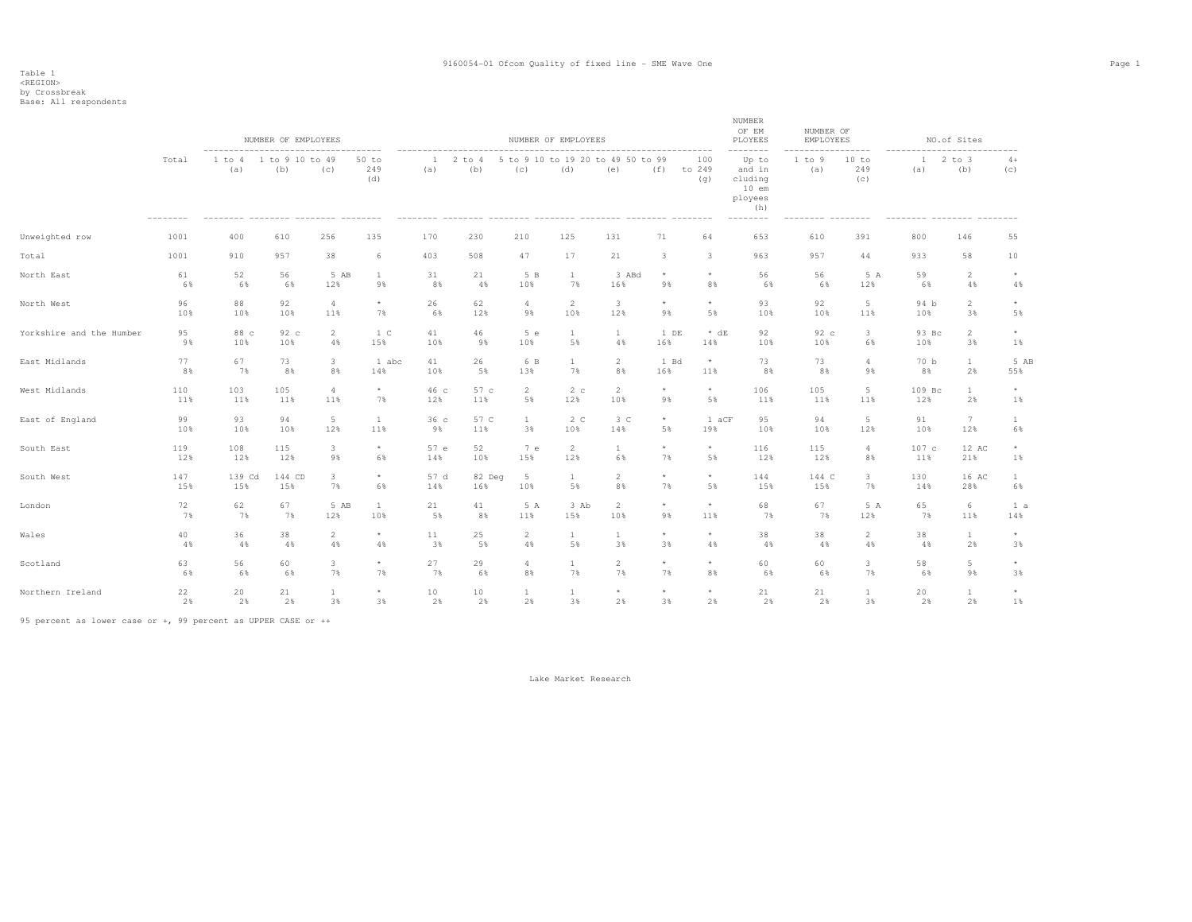Table 1 <REGION> by Crossbreak Base: All respondents

|                          |       | $- - - - - - -$ | NUMBER OF EMPLOYEES    |                |                               |          |                   |                | NUMBER OF EMPLOYEES |                                          |            |                         | NUMBER<br>OF EM<br>PLOYEES                                                      | NUMBER OF<br>EMPLOYEES | -----                           |                     | NO.of Sites       |              |
|--------------------------|-------|-----------------|------------------------|----------------|-------------------------------|----------|-------------------|----------------|---------------------|------------------------------------------|------------|-------------------------|---------------------------------------------------------------------------------|------------------------|---------------------------------|---------------------|-------------------|--------------|
|                          | Total | 1 to 4<br>(a)   | 1 to 9 10 to 49<br>(b) | (C)            | ------<br>50 to<br>249<br>(d) | 1<br>(a) | $2$ to $4$<br>(b) | (C)            | (d)                 | 5 to 9 10 to 19 20 to 49 50 to 99<br>(e) | (f)        | 100<br>to 249<br>(q)    | --------<br>Up to<br>and in<br>cluding<br>$10$ em<br>ployees<br>(h)<br>-------- | 1 to 9<br>(a)          | 10 to<br>249<br>(c)<br>-------- | $\mathbf{1}$<br>(a) | $2$ to $3$<br>(b) | $4+$<br>(c)  |
| Unweighted row           | 1001  | 400             | 610                    | 256            | 135                           | 170      | 230               | 210            | 125                 | 131                                      | 71         | 64                      | 653                                                                             | 610                    | 391                             | 800                 | 146               | 55           |
| Total                    | 1001  | 910             | 957                    | 38             | 6                             | 403      | 508               | 47             | 17                  | 21                                       | 3          | $\overline{\mathbf{3}}$ | 963                                                                             | 957                    | 44                              | 933                 | 58                | 10           |
| North East               | 61    | 52              | 56                     | 5 AB           | $\mathbf{1}$                  | 31       | 21                | 5 B            | $\mathbf{1}$        | 3 ABd                                    | $^{\star}$ | $\star$                 | 56                                                                              | 56                     | 5 A                             | 59                  | $\overline{2}$    | $^{\star}$   |
|                          | 6%    | 6%              | 6%                     | 12%            | 9%                            | 8%       | 4%                | 10%            | 7%                  | 16%                                      | 9%         | 8%                      | 6%                                                                              | 6%                     | 12%                             | 6%                  | 4%                | 4%           |
| North West               | 96    | 88              | 92                     | $\overline{4}$ | $\star$                       | 26       | 62                | $\overline{4}$ | $\overline{2}$      | 3                                        | $^\star$   | $\star$                 | 93                                                                              | 92                     | 5                               | 94 b                | $\overline{2}$    | $\star$      |
|                          | 10%   | 10%             | 10%                    | 11%            | 7%                            | 6%       | 12%               | 9%             | 10%                 | 12%                                      | 9%         | 5%                      | 10%                                                                             | 10%                    | 11%                             | 10%                 | 3%                | 5%           |
| Yorkshire and the Humber | 95    | 88 c            | 92 c                   | $\overline{2}$ | 1 C                           | 41       | 46                | 5 e            | $\mathbf{1}$        | $\mathbf{1}$                             | 1 DE       | $* dE$                  | 92                                                                              | 92 c                   | $\mathbf{3}$                    | 93 Bc               | $\overline{2}$    | $^{\star}$   |
|                          | 9%    | 10%             | 10%                    | 4%             | 15%                           | 10%      | 9%                | 10%            | 5%                  | 4%                                       | 16%        | 14%                     | 10%                                                                             | 10%                    | 6%                              | 10%                 | 3%                | $1\%$        |
| East Midlands            | 77    | 67              | 73                     | $\mathbf{3}$   | 1 abc                         | 41       | 26                | 6 B            | $\mathbf{1}$        | $\overline{2}$                           | 1 Bd       | $\star$                 | 73                                                                              | 73                     | $\overline{4}$                  | 70 b                | $\mathbf{1}$      | 5 AB         |
|                          | 8%    | 7%              | 8%                     | 8%             | 14%                           | 10%      | 5%                | 13%            | 7%                  | 8%                                       | 16%        | 11%                     | 8%                                                                              | 8%                     | 9%                              | 8%                  | 2%                | 55%          |
| West Midlands            | 110   | 103             | 105                    | $\overline{4}$ | $^\star$                      | 46 с     | 57 c              | $\overline{2}$ | 2c                  | $\overline{2}$                           | $^{\star}$ | $\star$                 | 106                                                                             | 105                    | $5\phantom{.0}$                 | 109 Bc              | $\mathbf{1}$      | $^{\star}$   |
|                          | 11%   | 11%             | 11%                    | 11%            | 7%                            | 12%      | 11%               | 5%             | 12%                 | 10%                                      | 9%         | 5%                      | 11%                                                                             | 11%                    | 11%                             | 12%                 | 2%                | $1\%$        |
| East of England          | 99    | 93              | 94                     | 5              | $\mathbf{1}$                  | 36c      | 57 C              | $\mathbf{1}$   | 2 <sub>c</sub>      | 3 <sup>c</sup>                           | $\star$    | 1 aCF                   | 95                                                                              | 94                     | 5                               | 91                  | $7\phantom{.0}$   | $\mathbf{1}$ |
|                          | 10%   | 10%             | 10%                    | 12%            | 11%                           | 9%       | 11%               | 3%             | 10%                 | 14%                                      | 5%         | 19%                     | 10%                                                                             | 10%                    | 12%                             | 10%                 | 12%               | 6%           |
| South East               | 119   | 108             | 115                    | 3              | $^\star$                      | 57 e     | 52                | 7 e            | 2                   | <sup>1</sup>                             | $\star$    | $\star$                 | 116                                                                             | 115                    | 4                               | 107c                | 12 AC             | $^{\star}$   |
|                          | 12%   | 12%             | 12%                    | 9%             | 6%                            | 14%      | 10%               | 15%            | 12%                 | 6%                                       | 7%         | 5%                      | 12%                                                                             | 12%                    | 8%                              | 11%                 | 21%               | $1\%$        |
| South West               | 147   | 139 Cd          | 144 CD                 | 3              | $^{\star}$                    | 57 d     | 82 Deg            | 5              | $\mathbf{1}$        | $\overline{2}$                           | $^\star$   | $\star$                 | 144                                                                             | 144 C                  | $\mathbf{3}$                    | 130                 | 16 AC             | $\mathbf{1}$ |
|                          | 15%   | 15%             | 15%                    | 7%             | 6%                            | 14%      | 16%               | 10%            | 5%                  | 8%                                       | 7%         | 5%                      | 15%                                                                             | 15%                    | 7%                              | 14%                 | 28%               | 6%           |
| London                   | 72    | 62              | 67                     | 5 AB           | $\mathbf{1}$                  | 21       | 41                | 5 A            | 3 Ab                | $\overline{2}$                           | $\star$    | $\star$                 | 68                                                                              | 67                     | 5A                              | 65                  | 6                 | 1 a          |
|                          | 7%    | 7%              | 7%                     | 12%            | 10%                           | 5%       | 8%                | 11%            | 15%                 | 10%                                      | 9%         | 11%                     | 7%                                                                              | 7%                     | 12%                             | 7%                  | 11%               | 14%          |
| Wales                    | 40    | 36              | 38                     | $\overline{2}$ | $^{\star}$                    | 11       | 25                | $\overline{2}$ | $\mathbf{1}$        | $\mathbf{1}$                             | $\star$    | $\star$                 | 38                                                                              | 38                     | 2                               | 38                  | $\mathbf{1}$      | $\star$      |
|                          | 4%    | 4%              | 4%                     | 4%             | $4\,$                         | 3%       | 5%                | 4%             | 5%                  | 3%                                       | 3%         | $4\,$                   | 4%                                                                              | 4%                     | $4\,$                           | 4%                  | 2%                | 3%           |
| Scotland                 | 63    | 56              | 60                     | 3              | $^\star$                      | 27       | 29                | $\overline{4}$ | $\mathbf{1}$        | $\overline{c}$                           | $\star$    | $\star$                 | 60                                                                              | 60                     | $\overline{\mathbf{3}}$         | 58                  | 5                 | $^{\star}$   |
|                          | 6%    | 6%              | 6%                     | 7%             | 7%                            | 7%       | 6%                | 8%             | 7%                  | 7%                                       | 7%         | 8%                      | 6%                                                                              | 6%                     | 7%                              | 6%                  | 9%                | 3%           |
| Northern Ireland         | 22    | 20              | 21                     | $\mathbf{1}$   | $^{\star}$                    | 10       | 10                | $\mathbf{1}$   | 1                   | $\star$                                  | $\star$    | $\star$                 | 21                                                                              | 21                     | $\mathbf{1}$                    | 20                  | $\mathbf{1}$      | $^{\star}$   |
|                          | 2%    | 2%              | 2%                     | 3%             | 3%                            | 2%       | 2%                | 2%             | 3%                  | 2%                                       | 3%         | 2%                      | 2%                                                                              | 2%                     | 3%                              | 2%                  | 2%                | 1%           |

95 percent as lower case or +, 99 percent as UPPER CASE or ++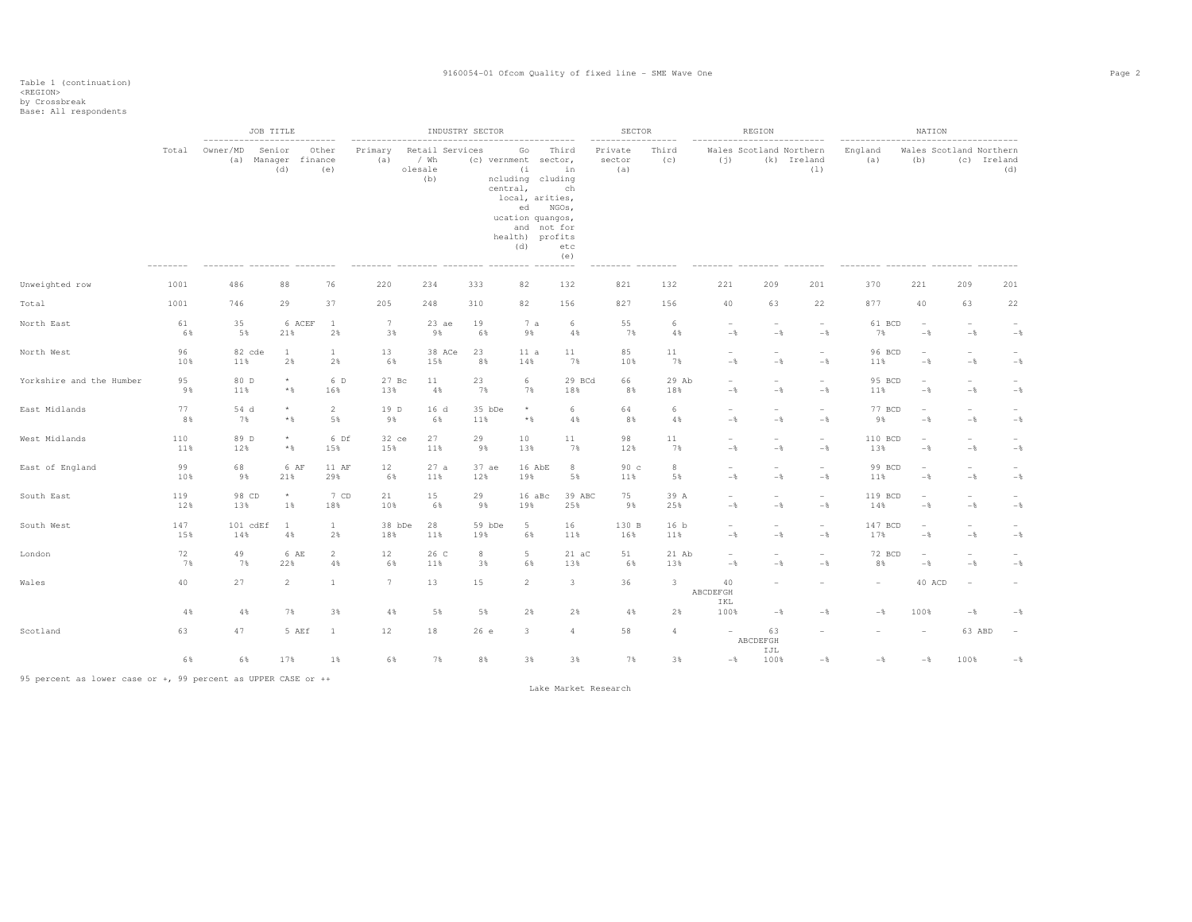|                          |            | --------------------------- | JOB TITLE                            |                        |                       |            |                                | INDUSTRY SECTOR |                                                                                                                                    |                                                                                 | SECTOR<br>----------------- |                        | ---------------------------                | REGION                                     |                                            | -------------------------------------- | NATION                                            |                                            |                                               |
|--------------------------|------------|-----------------------------|--------------------------------------|------------------------|-----------------------|------------|--------------------------------|-----------------|------------------------------------------------------------------------------------------------------------------------------------|---------------------------------------------------------------------------------|-----------------------------|------------------------|--------------------------------------------|--------------------------------------------|--------------------------------------------|----------------------------------------|---------------------------------------------------|--------------------------------------------|-----------------------------------------------|
|                          | Total      | Owner/MD                    | Senior<br>(a) Manager finance<br>(d) | Other<br>(e)           | Primary<br>(a)        | olesale    | Retail Services<br>/ Wh<br>(b) |                 | Go<br>(c) vernment sector,<br>(i)<br>ncluding cluding<br>central,<br>local, arities,<br>ucation quangos,<br>health) profits<br>(d) | Third<br>in<br>ch<br>ed NGOs,<br>and not for<br>etc<br>(e)<br>$- - - - - - - -$ | Private<br>sector<br>(a)    | Third<br>(C)           | Wales Scotland Northern<br>(i)             |                                            | (k) Ireland<br>(1)                         | England<br>(a)                         | (b)                                               |                                            | Wales Scotland Northern<br>(c) Ireland<br>(d) |
| Unweighted row           | 1001       | 486                         | 88                                   | 76                     | 220                   |            | 234                            | 333             | 82                                                                                                                                 | 132                                                                             | 821                         | 132                    | 221                                        | 209                                        | 201                                        | 370                                    | 221                                               | 209                                        | 201                                           |
| Total                    | 1001       | 746                         | 29                                   | 37                     | 205                   |            | 248                            | 310             | 82                                                                                                                                 | 156                                                                             | 827                         | 156                    | 40                                         | 63                                         | 22                                         | 877                                    | 40                                                | 63                                         | 22                                            |
| North East               | 61<br>6%   | 35<br>5%                    | 21%                                  | 6 ACEF<br><sup>1</sup> | $7\phantom{.0}$<br>2% | 3%         | $23$ ae<br>9%                  | 19<br>6%        | 7a<br>9%                                                                                                                           | 6<br>4%                                                                         | 55<br>7%                    | 6<br>4%                | $\overline{\phantom{a}}$<br>$-\,$          | $\overline{\phantom{a}}$<br>$-\frac{6}{5}$ | $\overline{\phantom{a}}$<br>$-\frac{6}{6}$ | 61 BCD<br>7%                           | $\overline{\phantom{a}}$<br>$-\frac{6}{6}$        | $\overline{\phantom{a}}$<br>$-$            | $-$                                           |
| North West               | 96<br>10%  | 11%                         | 82 cde<br>1<br>2%                    | $\mathbf{1}$           | 13<br>2%              | 6%         | 38 ACe<br>15%                  | 23<br>8%        | 11 a<br>14%                                                                                                                        | 11<br>7%                                                                        | 85<br>10%                   | 11<br>7%               | $\overline{\phantom{a}}$<br>$-\frac{6}{5}$ | $\overline{\phantom{a}}$<br>$-$            | $\overline{\phantom{a}}$<br>$-$            | 96 BCD<br>11%                          | $\overline{\phantom{a}}$<br>$-\frac{6}{6}$        | $\overline{\phantom{a}}$<br>$-\frac{6}{6}$ | $-$                                           |
| Yorkshire and the Humber | 95<br>9%   | 80 D<br>11%                 | $\star$<br>$*$ &                     | 16%                    | 6 D<br>13%            | 27 Bc      | 11<br>4%                       | 23<br>7%        | 6<br>7%                                                                                                                            | 29 BCd<br>18%                                                                   | 66<br>8%                    | 29 Ab<br>18%           | $-$ %                                      | $-\frac{6}{6}$                             | $\overline{\phantom{a}}$<br>$-$            | 95 BCD<br>11%                          | $\overline{\phantom{a}}$<br>$-$                   | $\overline{\phantom{m}}$<br>$-\frac{6}{9}$ | $-\frac{6}{6}$                                |
| East Midlands            | 77<br>8%   | 54 d<br>7%                  | $\star$<br>$*$ &                     | $\overline{2}$         | 5%                    | 19 D<br>9% | 16 <sub>d</sub><br>6%          | 35 bDe<br>11%   | $\star$<br>$*$ &                                                                                                                   | 6<br>4%                                                                         | 64<br>8%                    | 6<br>4%                | $\overline{a}$<br>$-$                      | $\sim$<br>$-\frac{6}{5}$                   | $\overline{\phantom{a}}$<br>$-\frac{6}{6}$ | 77 BCD<br>9%                           | $\hspace{0.1mm}-\hspace{0.1mm}$<br>$-\frac{6}{6}$ | $\overline{\phantom{a}}$<br>$-\frac{6}{6}$ | $\overline{\phantom{0}}$<br>$-\frac{6}{5}$    |
| West Midlands            | 110<br>11% | 89 D<br>12%                 | $^\star$<br>$*$ &                    | 15%                    | 6 Df<br>15%           | 32 ce      | 27<br>11%                      | 29<br>9%        | 10<br>13%                                                                                                                          | 11<br>7%                                                                        | 98<br>12%                   | 11<br>7%               | $\overline{\phantom{a}}$<br>$-$            | $\overline{\phantom{a}}$<br>$-\frac{6}{6}$ | $\overline{\phantom{a}}$<br>$-\frac{6}{6}$ | 110 BCD<br>13%                         | $\overline{\phantom{a}}$<br>$-\frac{6}{6}$        | $\overline{\phantom{a}}$<br>$-$            | $-$                                           |
| East of England          | 99<br>10%  | 68<br>9%                    | 21%                                  | 6 AF                   | 12<br>11 AF<br>29%    | 6%         | 27a<br>11%                     | 37 ae<br>12%    | 16 AbE<br>19%                                                                                                                      | 8<br>5%                                                                         | 90c<br>11%                  | 8<br>5%                | $\overline{\phantom{0}}$<br>$-\frac{6}{5}$ | $\overline{\phantom{m}}$<br>$-\frac{6}{5}$ | $\overline{\phantom{a}}$<br>$-$            | 99 BCD<br>11%                          | $\overline{\phantom{a}}$<br>$-$                   | $\overline{\phantom{a}}$<br>$-\frac{6}{6}$ | $-$                                           |
| South East               | 119<br>12% | 98 CD<br>13%                | $^\star$<br>$1\%$                    | 18%                    | 7 CD<br>21<br>10%     |            | 15<br>6%                       | 29<br>9%        | 16 aBc<br>19%                                                                                                                      | 39 ABC<br>25%                                                                   | 75<br>9%                    | 39 A<br>25%            | $\overline{\phantom{m}}$<br>$-\,$ $\,$     | $\overline{\phantom{a}}$<br>$-\frac{6}{5}$ | $\sim$<br>$-\,$ $\,$                       | 119 BCD<br>14%                         | $\overline{\phantom{a}}$<br>$-\,$ $\,$            | $\overline{\phantom{a}}$<br>$-$            | $\overline{\phantom{0}}$<br>$-\,$             |
| South West               | 147<br>15% | 14%                         | 101 cdEf<br><sup>1</sup><br>4%       | $\mathbf{1}$           | 18%<br>2%             | 38 bDe     | 28<br>11%                      | 59 bDe<br>19%   | $5 -$<br>6%                                                                                                                        | 16<br>11%                                                                       | 130 B<br>16%                | 16 <sub>b</sub><br>11% | $\overline{a}$<br>$-\frac{6}{9}$           | $\sim$<br>$-$                              | $\sim$<br>$-$                              | 147 BCD<br>17%                         | $\hspace{0.1mm}-\hspace{0.1mm}$<br>$-$            | $\overline{\phantom{a}}$<br>$-$            | $-\frac{6}{5}$                                |
| London                   | 72<br>7%   | 49<br>7%                    | 22%                                  | 6 AE<br>$\overline{2}$ | 12<br>4%              | 6%         | 26 C<br>11%                    | 8<br>3%         | $5 -$<br>6%                                                                                                                        | $21 \naC$<br>13%                                                                | 51<br>6%                    | 21 Ab<br>13%           | $\overline{\phantom{a}}$<br>$-\frac{6}{5}$ | $\overline{\phantom{a}}$<br>$-\frac{6}{5}$ | $\equiv$<br>$-\frac{6}{5}$                 | 72 BCD<br>8%                           | $\overline{\phantom{a}}$<br>$-\frac{6}{6}$        | $\overline{\phantom{a}}$<br>$-\frac{6}{6}$ | $-\frac{6}{5}$                                |
| Wales                    | 40         | 27                          | $\overline{2}$                       |                        | $7\overline{ }$       |            | 13                             | 15              | $\overline{2}$                                                                                                                     | $\overline{\mathbf{3}}$                                                         | 36                          | 3                      | 40<br>ABCDEFGH                             |                                            |                                            |                                        | 40 ACD                                            |                                            |                                               |

 IKL 4% 4% 7% 3% 4% 5% 5% 2% 2% 4% 2% 100% -% -% -% 100% -% -% Scotland 63 47 5 AEf 1 12 18 26 e 3 4 58 4 - 63 - - - 63 ABD - ABCDEFGH IJL IJL 100% 6% 6% 17% 1% 6% 7% 8% 3% 3% 7% 3% -% 100% -% -% -% 100% -%

95 percent as lower case or +, 99 percent as UPPER CASE or ++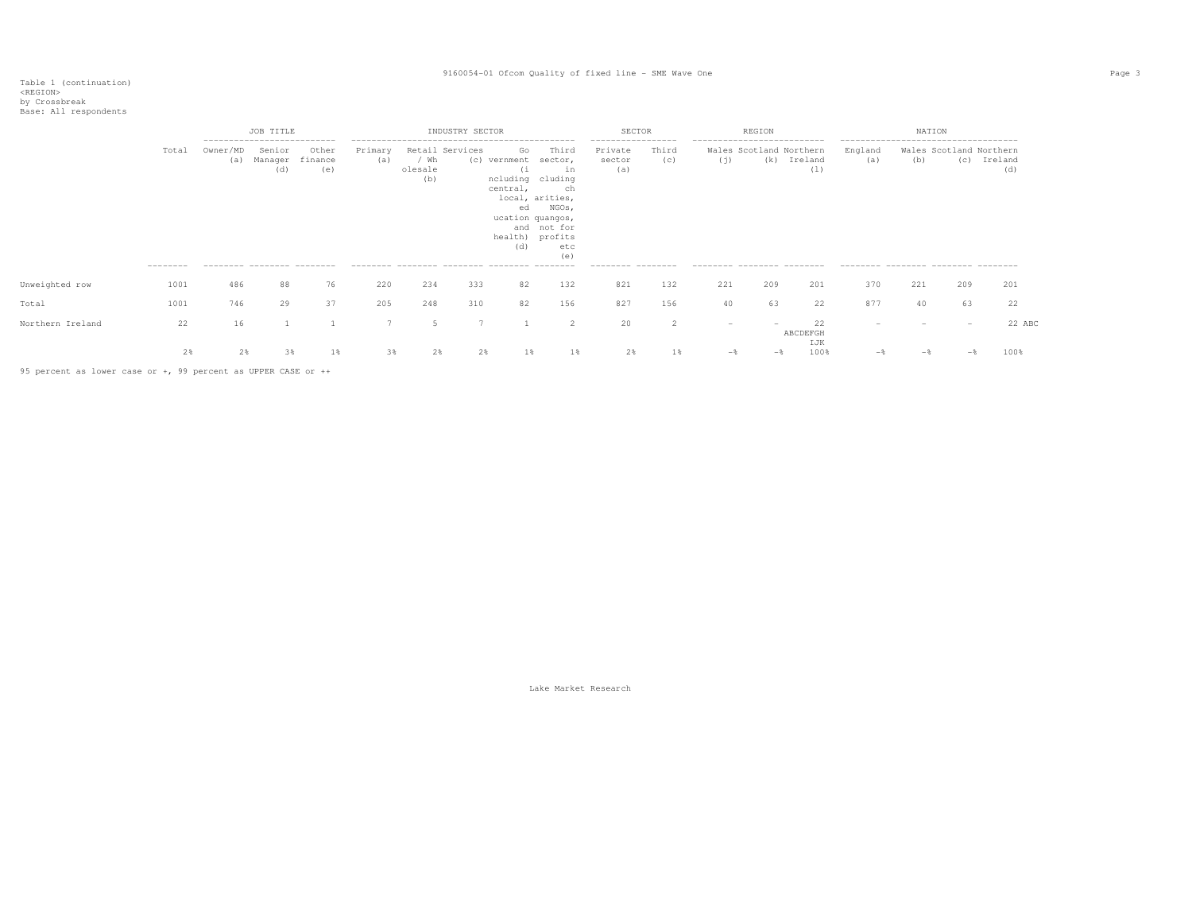|                  |                            | JOB TITLE<br>--------------------------- |                                                         |                         |                | INDUSTRY SECTOR                           |     |                                                                       | <b>SECTOR</b>                                                                                                                |                                                                     |              | REGION                                                            |       |                                           | NATION                                                |     |                                |                |
|------------------|----------------------------|------------------------------------------|---------------------------------------------------------|-------------------------|----------------|-------------------------------------------|-----|-----------------------------------------------------------------------|------------------------------------------------------------------------------------------------------------------------------|---------------------------------------------------------------------|--------------|-------------------------------------------------------------------|-------|-------------------------------------------|-------------------------------------------------------|-----|--------------------------------|----------------|
|                  | Total<br>---------<br>1001 | Owner/MD<br>(a)                          | Senior<br>Manager<br>(a)<br>--------- -------- -------- | Other<br>finance<br>(e) | Primary<br>(a) | Retail Services<br>/ Wh<br>olesale<br>(b) |     | Go<br>(c) vernment<br>(1<br>central,<br>ed<br>ucation quangos,<br>(d) | Third<br>sector,<br>in<br>ncluding cluding<br>ch<br>local, arities,<br>NGOs,<br>and not for<br>health) profits<br>etc<br>(e) | -----------------<br>Private<br>sector<br>(a)<br>--------- -------- | Third<br>(c) | ---------------------------<br>(i)<br>--------- -------- -------- | (k)   | Wales Scotland Northern<br>Ireland<br>(1) | England<br>(a)<br>--------- -------- ------- -------- | (b) | Wales Scotland Northern<br>(C) | Ireland<br>(d) |
| Unweighted row   |                            | 486                                      | 88                                                      | 76                      | 220            | 234                                       | 333 | 82                                                                    | 132                                                                                                                          | 821                                                                 | 132          | 221                                                               | 209   | 201                                       | 370                                                   | 221 | 209                            | 201            |
| Total            | 1001                       | 746                                      | 29                                                      | 37                      | 205            | 248                                       | 310 | 82                                                                    | 156                                                                                                                          | 827                                                                 | 156          | 40                                                                | 63    | 22                                        | 877                                                   | 40  | 63                             | 22             |
| Northern Ireland | 22                         | 16                                       |                                                         |                         |                | 5                                         |     |                                                                       | $\mathcal{P}$                                                                                                                | 20                                                                  |              | $\overline{\phantom{a}}$                                          |       | 22<br>ABCDEFGH<br>IJK                     |                                                       |     | $\overline{\phantom{a}}$       | 22 ABC         |
|                  | 2%                         | $2\%$                                    | 3%                                                      | $1\%$                   | 3%             | 2%                                        | 2%  | 1%                                                                    | $1\%$                                                                                                                        | 2%                                                                  | $1\%$        | $-$                                                               | $-$ % | 100%                                      |                                                       |     | $ \frac{1}{2}$                 | 100%           |

95 percent as lower case or +, 99 percent as UPPER CASE or ++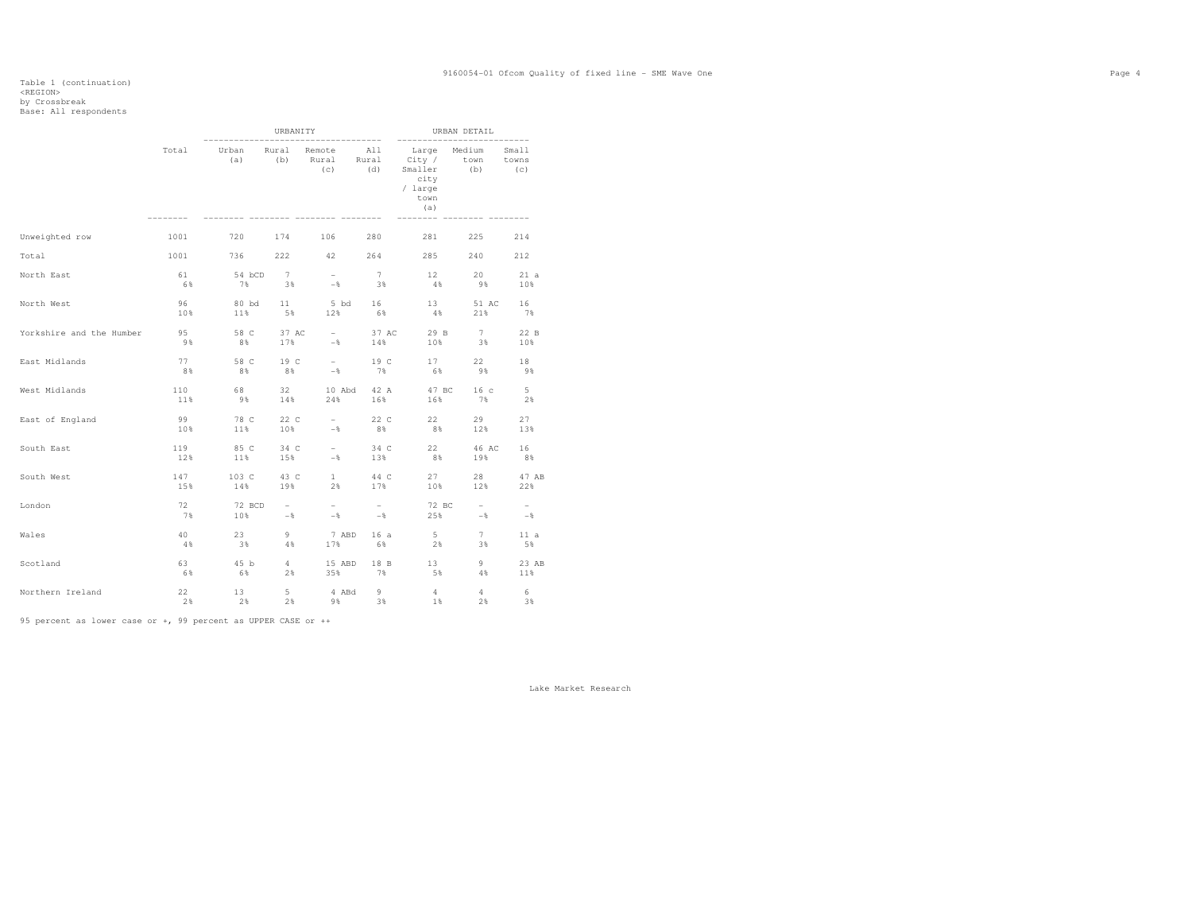### Table 1 (continuation)<br><REGION> by Crossbreak<br>Base: All respondents

|                          |                |                 | URBANITY       |                                           |                | -------                                                                           | URBAN DETAIL    |              |
|--------------------------|----------------|-----------------|----------------|-------------------------------------------|----------------|-----------------------------------------------------------------------------------|-----------------|--------------|
|                          | Total          | Urban<br>(a)    | Rural          | -----------<br>Remote<br>(b) Rural<br>(c) | All<br>(d)     | Large<br>Rural City / town towns<br>Smaller (b)<br>city<br>/ large<br>town<br>(a) | Medium          | Small<br>(C) |
| Unweighted row           | 1001           | 720             | 174            | 106                                       | 280            | 281                                                                               | 225             | 214          |
| Total                    | 1001           | 736             | 222            |                                           |                | 42 264 285                                                                        | 240             | 212          |
| North East               | 61             | 54 bCD          | $7^{\circ}$    | $\sim$ 100 $\mu$                          | 7              | 12                                                                                | 20              | 21a          |
|                          | 6%             | 7%              | 3%             | $ \sim$                                   | 3%             | 4%                                                                                | 9%              | 10%          |
| North West               | 96<br>10%      | 80 bd<br>11%    | 11<br>5%       | 12%                                       | 5 bd 16<br>6%  | 13<br>$4\%$                                                                       | 51 AC<br>21%    | 16<br>7%     |
| Yorkshire and the Humber | 95             | 58 C            | 37 AC          | the company of                            | 37 AC          | 29 B                                                                              | 7               | 22 B         |
|                          | 9%             | 8%              | 17%            | $-8$                                      | 14%            | 10%                                                                               | 3%              | 10%          |
| East Midlands            | 77             | 58 C            | 19 C           | $\sim 10^{-10}$ km s $^{-1}$              | 19 C           | 17 - 17                                                                           | $22 -$          | 18           |
|                          | 8%             | 8%              | $8\%$          | $-8$                                      | 7%             | 6%                                                                                | 9%              | 9%           |
| West Midlands            | 110            | 68              | $32 -$         | 10 Abd                                    | 42 A           | 47 BC                                                                             | 16 <sub>c</sub> | $5 -$        |
|                          | 11%            | 9%              | 14%            | 24%                                       | 16%            | 16%                                                                               | 7%              | 2%           |
| East of England          | 99             | 78 C            | 22 C           | $\sim 10^{-10}$                           | 22 C           | 22                                                                                | 29              | 27           |
|                          | 10%            | 11%             | 10%            | $-$                                       | 8%             | 8%                                                                                | 12%             | 13%          |
| South East               | 119            | 85 C            | 34 C           | $\sim$ 100 $\mu$                          | 34 C           | 22                                                                                | 46 AC           | 16           |
|                          | 12%            | 11%             | 15%            | $-$ %                                     | 13%            | 8%                                                                                | 19%             | 8%           |
| South West               | 147            | 103 C           | 43 C           | $\frac{1}{2}$                             | 44 C           | 27                                                                                | 28              | 47 AB        |
|                          | 15%            | 14%             | 19%            | 2%                                        | 17%            | 10%                                                                               | 12%             | 22%          |
| London                   | 72             | 72 BCD          | $\sim$         | $\sim$ 100 $\mu$                          | $\sim$ $-$     | 72 BC                                                                             | $-$             | $\sim$       |
|                          | 7%             | 10%             | $ \frac{8}{3}$ | $-$                                       | $ \frac{6}{3}$ | 25%                                                                               | $-$             | $-$          |
| Wales                    | 40             | 23              | 9              | 7 ABD                                     | 16a            | $5 -$                                                                             | 7               | 11a          |
|                          | $4\frac{8}{5}$ | 3%              | 4%             | 17%                                       | 6%             | 2%                                                                                | 3%              | 5%           |
| Scotland                 | 63             | 45 b            | 4              | 15 ABD                                    | 18 B           | 13                                                                                | $-9$            | 23 AB        |
|                          | 6%             | 6%              | $2\%$          | 35%                                       | 7%             | 5%                                                                                | $-48$           | 11%          |
| Northern Ireland         | 22<br>$2\%$    | $13 -$<br>$2\%$ | $5 -$<br>2%    | 4 ABd<br>9%                               | 9<br>3%        | $4 -$<br>18                                                                       | $4\overline{ }$ | 6<br>2% 3%   |

95 percent as lower case or +, 99 percent as UPPER CASE or ++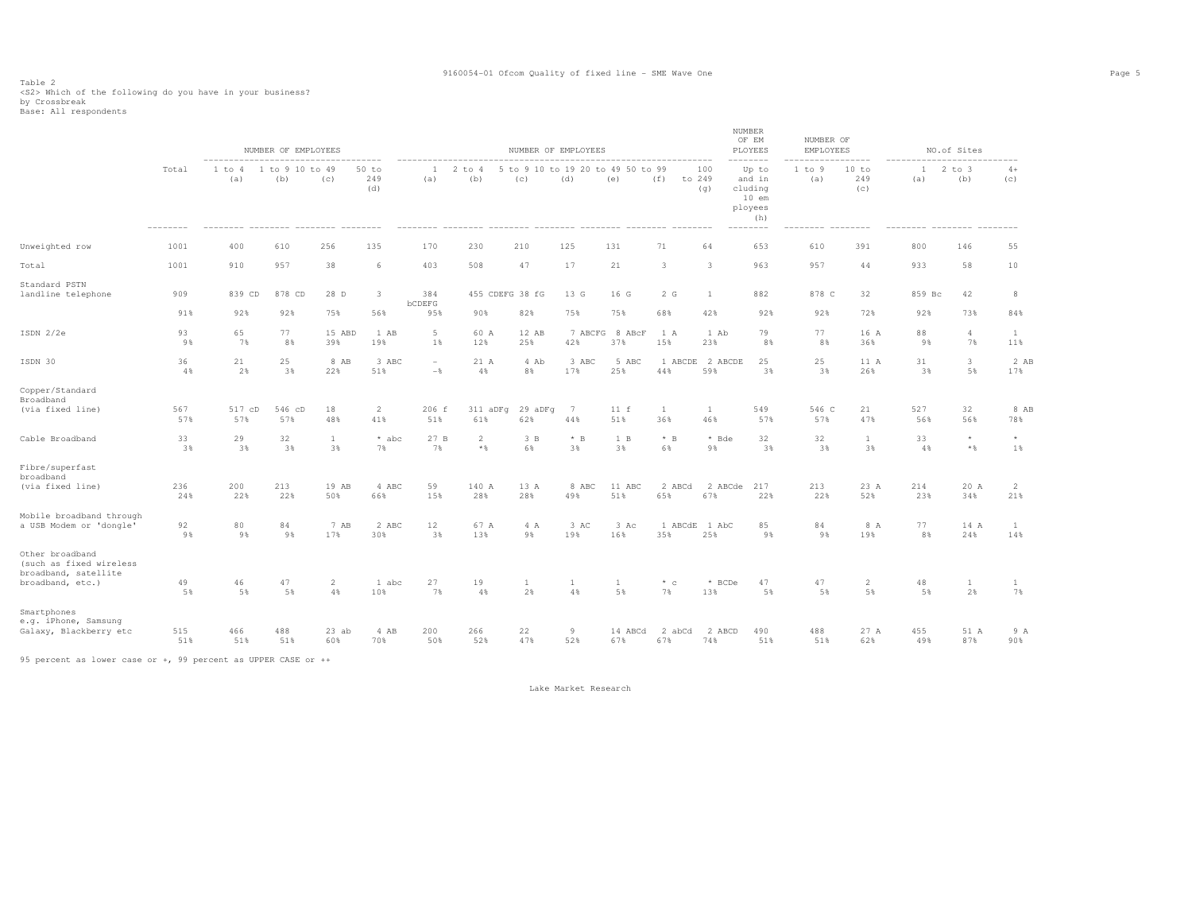### Table 2<br><S2> Which of the following do you have in your business?<br>by Crossbreak<br>Base: All respondents

|                                                                                        |            |               | NUMBER OF EMPLOYEES    |                      |                     |                       |                       | NUMBER OF EMPLOYEES |              |                                          |                     |                        | NUMBER<br>OF EM<br>PLOYEES                                          | NUMBER OF<br><b>EMPLOYEES</b> |                      |            | NO.of Sites          |                     |
|----------------------------------------------------------------------------------------|------------|---------------|------------------------|----------------------|---------------------|-----------------------|-----------------------|---------------------|--------------|------------------------------------------|---------------------|------------------------|---------------------------------------------------------------------|-------------------------------|----------------------|------------|----------------------|---------------------|
|                                                                                        | Total      | 1 to 4<br>(a) | 1 to 9 10 to 49<br>(b) | (C)                  | 50 to<br>249<br>(d) | <sup>1</sup><br>(a)   | $2$ to $4$<br>(b)     | (C)                 | (d)          | 5 to 9 10 to 19 20 to 49 50 to 99<br>(e) | (f)                 | 100<br>to 249<br>(q)   | Up to<br>and in<br>cluding<br>$10$ em<br>ployees<br>(h)<br>-------- | 1 to 9<br>(a)                 | 10 to<br>249<br>(c)  | 1<br>(a)   | $2$ to $3$<br>(b)    | $4+$<br>(c)         |
| Unweighted row                                                                         | 1001       | 400           | 610                    | 256                  | 135                 | 170                   | 230                   | 210                 | 125          | 131                                      | 71                  | 64                     | 653                                                                 | 610                           | 391                  | 800        | 146                  | 55                  |
| Total                                                                                  | 1001       | 910           | 957                    | 38                   | 6                   | 403                   | 508                   | 47                  | 17           | 21                                       | 3                   | 3                      | 963                                                                 | 957                           | 44                   | 933        | 58                   | 10                  |
| Standard PSTN<br>landline telephone                                                    | 909        | 839 CD        | 878 CD                 | 28 D                 | $\mathbf{3}$        | 384<br>bCDEFG         | 455 CDEFG 38 fG       |                     | 13 G         | 16 G                                     | 2 G                 | 1                      | 882                                                                 | 878 C                         | 32                   | 859 Bc     | 42                   | 8                   |
|                                                                                        | 91%        | 92%           | 92%                    | 75%                  | 56%                 | 95%                   | 90%                   | 82%                 | 75%          | 75%                                      | 68%                 | 42%                    | 92%                                                                 | 92%                           | 72%                  | 92%        | 73%                  | 84%                 |
| ISDN 2/2e                                                                              | 93<br>9%   | 65<br>7%      | 77<br>8%               | 15 ABD<br>39%        | 1 AB<br>19%         | $5\phantom{.0}$<br>1% | 60 A<br>12%           | 12 AB<br>25%        | 42%          | 7 ABCFG 8 ABcF<br>37%                    | 1 A<br>15%          | 1 Ab<br>23%            | 79<br>8%                                                            | 77<br>8%                      | 16 A<br>36%          | 88<br>9%   | $\overline{4}$<br>7% | $\mathbf{1}$<br>11% |
| ISDN 30                                                                                | 36<br>4%   | 21<br>2%      | 25<br>3%               | 8 AB<br>22%          | 3 ABC<br>51%        | $\sim$<br>$-$         | 21 A<br>4%            | 4 Ab<br>8%          | 3 ABC<br>17% | 5 ABC<br>25%                             | 44%                 | 1 ABCDE 2 ABCDE<br>59% | 25<br>3%                                                            | 25<br>3%                      | 11 A<br>26%          | 31<br>3%   | 3<br>5%              | 2 AB<br>17%         |
| Copper/Standard<br>Broadband<br>(via fixed line)                                       | 567<br>57% | 517 cD<br>57% | 546 cD<br>57%          | 18<br>48%            | 2<br>41%            | 206 f<br>51%          | 311 aDFq<br>61%       | 29 aDFg<br>62%      | 7<br>44%     | 11 f<br>51%                              | $\mathbf{1}$<br>36% | <sup>1</sup><br>46%    | 549<br>57%                                                          | 546 C<br>57%                  | 21<br>47%            | 527<br>56% | 32<br>56%            | 8 AB<br>78%         |
| Cable Broadband                                                                        | 33<br>3%   | 29<br>3%      | 32<br>3%               | $\mathbf{1}$<br>3%   | * abc<br>7%         | 27 B<br>7%            | $\overline{2}$<br>$*$ | 3B<br>6%            | $*$ B<br>3%  | 1 B<br>3%                                | $*$ B<br>6%         | * Bde<br>9%            | 32<br>3%                                                            | 32<br>3%                      | $\mathbf{1}$<br>3%   | 33<br>4%   | $\star$<br>$*$ &     | $^{\star}$<br>1%    |
| Fibre/superfast<br>broadband<br>(via fixed line)                                       | 236<br>24% | 200<br>22%    | 213<br>22%             | 19 AB<br>50%         | 4 ABC<br>66%        | 59<br>15%             | 140 A<br>28%          | 13 A<br>28%         | 8 ABC<br>49% | 11 ABC<br>51%                            | 2 ABCd<br>65%       | 67%                    | 2 ABCde 217<br>22%                                                  | 213<br>22%                    | 23 A<br>52%          | 214<br>23% | 20 A<br>34%          | 2<br>21%            |
| Mobile broadband through<br>a USB Modem or 'dongle'                                    | 92<br>9%   | 80<br>9%      | 84<br>9%               | 7 AB<br>17%          | 2 ABC<br>30%        | 12<br>3%              | 67 A<br>13%           | 4 A<br>9%           | 3 AC<br>19%  | 3 Ac<br>16%                              | 1 ABCdE<br>35%      | 1 AbC<br>25%           | 85<br>9%                                                            | 84<br>9%                      | 8 A<br>19%           | 77<br>8%   | 14 A<br>24%          | $\mathbf{1}$<br>14% |
| Other broadband<br>(such as fixed wireless<br>broadband, satellite<br>broadband, etc.) | 49<br>5%   | 46<br>5%      | 47<br>5%               | $\overline{2}$<br>4% | 1 abc<br>10%        | 27<br>7%              | 19<br>4%              | 1<br>2%             | 1<br>4%      | $\mathbf{1}$<br>5%                       | $*$ c<br>7%         | * BCDe<br>13%          | 47<br>5%                                                            | 47<br>5%                      | $\overline{2}$<br>5% | 48<br>5%   | $\mathbf{1}$<br>2%   | 1<br>7%             |
| Smartphones<br>e.g. iPhone, Samsung<br>Galaxy, Blackberry etc                          | 515<br>51% | 466<br>51%    | 488<br>51%             | $23$ ab<br>60%       | 4 AB<br>70%         | 200<br>50%            | 266<br>52%            | 22<br>47%           | 9<br>52%     | 14 ABCd<br>67%                           | 2 abCd<br>67%       | 2 ABCD<br>74%          | 490<br>51%                                                          | 488<br>51%                    | 27 A<br>62%          | 455<br>49% | 51 A<br>87%          | 9 A<br>90%          |
|                                                                                        |            |               |                        |                      |                     |                       |                       |                     |              |                                          |                     |                        |                                                                     |                               |                      |            |                      |                     |

95 percent as lower case or +, 99 percent as UPPER CASE or ++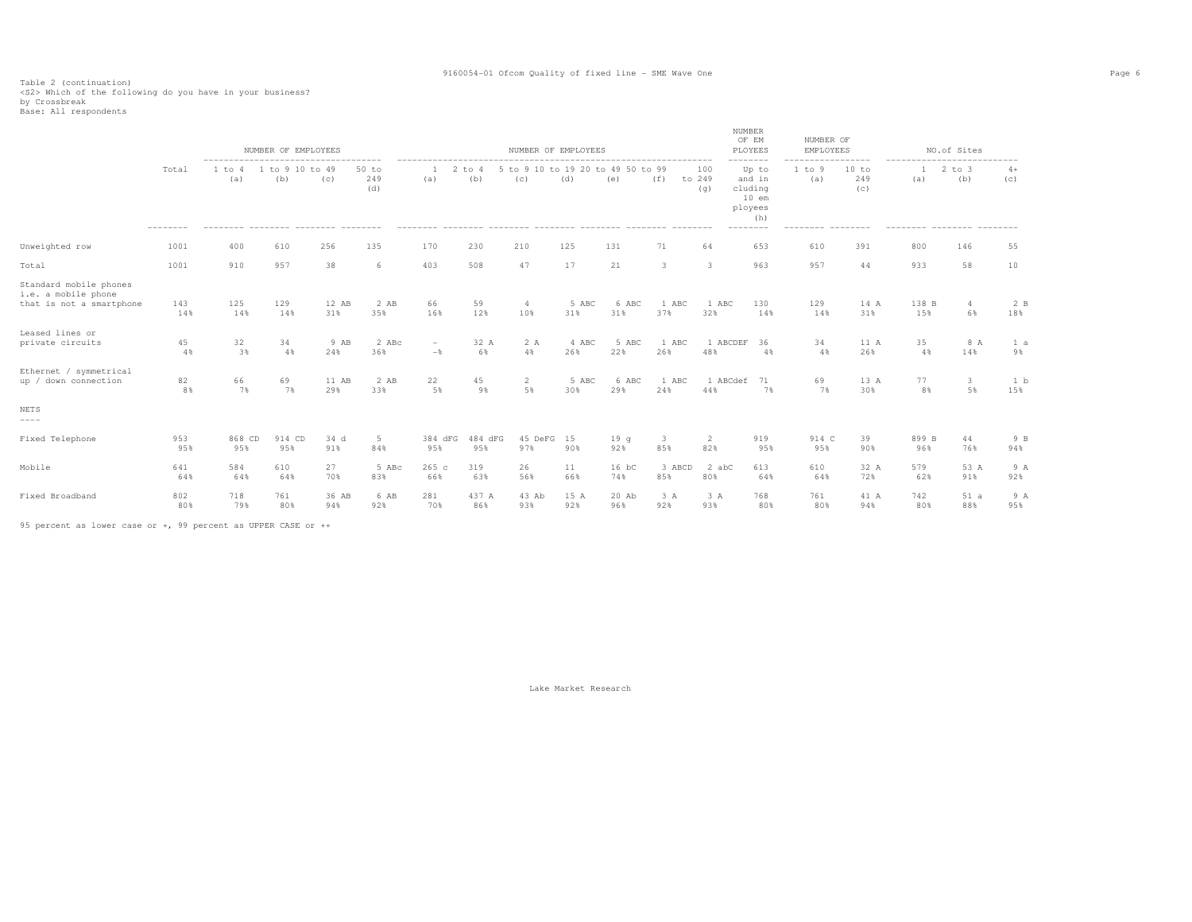Table 2 (continuation)<br><S2> Which of the following do you have in your business?<br>by Crossbreak<br>Base: All respondents

|                                                                           |                            |                                                                                          | NUMBER OF EMPLOYEES  |              |                       |                                            |                | NUMBER OF EMPLOYEES          |              |                    |                 |                      | NUMBER<br>OF EM<br>PLOYEES                                                      | NUMBER OF<br>EMPLOYEES     |                                                      |              | NO.of Sites                                    |             |
|---------------------------------------------------------------------------|----------------------------|------------------------------------------------------------------------------------------|----------------------|--------------|-----------------------|--------------------------------------------|----------------|------------------------------|--------------|--------------------|-----------------|----------------------|---------------------------------------------------------------------------------|----------------------------|------------------------------------------------------|--------------|------------------------------------------------|-------------|
|                                                                           | Total<br>$- - - - - - - -$ | -------------------------------------<br>1 to<br>(a)<br>-------- -------- -------- ----- | to 9 10 to 49<br>(b) | (C)          | $50$ to<br>249<br>(d) | $\overline{2}$<br>(a)                      | to 4<br>(b)    | 5 to 9 10 to 19 20 to<br>(C) | (d)          | 49 50 to 99<br>(e) | (f)<br>-------- | 100<br>to 249<br>(q) | --------<br>Up to<br>and in<br>cluding<br>$10$ em<br>ployees<br>(h)<br>-------- | 1 to 9<br>(a)<br>--------- | --------<br>10 to<br>249<br>(c)<br>$- - - - - - - -$ | -----<br>(a) | $2$ to $3$<br>(b)<br>--------- -------- ------ | $4+$<br>(c) |
| Unweighted row                                                            | 1001                       | 400                                                                                      | 610                  | 256          | 135                   | 170                                        | 230            | 210                          | 125          | 131                | 71              | 64                   | 653                                                                             | 610                        | 391                                                  | 800          | 146                                            | 55          |
| Total                                                                     | 1001                       | 910                                                                                      | 957                  | 38           | 6                     | 403                                        | 508            | 47                           | 17           | 21                 | 3               | 3                    | 963                                                                             | 957                        | 44                                                   | 933          | 58                                             | 10          |
| Standard mobile phones<br>i.e. a mobile phone<br>that is not a smartphone | 143<br>14%                 | 125<br>14%                                                                               | 129<br>14%           | 12 AB<br>31% | 2 AB<br>35%           | 66<br>16%                                  | 59<br>12%      | $\overline{4}$<br>10%        | 5 ABC<br>31% | 6 ABC<br>31%       | 1 ABC<br>37%    | 1 ABC<br>32%         | 130<br>14%                                                                      | 129<br>14%                 | 14 A<br>31%                                          | 138 B<br>15% | $4\phantom{.0}$<br>6%                          | 2B<br>18%   |
| Leased lines or<br>private circuits                                       | 45<br>4%                   | 32<br>3%                                                                                 | 34<br>4%             | 9 AB<br>24%  | 2 ABc<br>36%          | $\overline{\phantom{a}}$<br>$-\frac{6}{5}$ | 32 A<br>6%     | 2 A<br>4%                    | 4 ABC<br>26% | 5 ABC<br>22%       | 1 ABC<br>26%    | 1 ABCDEF<br>48%      | 36<br>4%                                                                        | 34<br>4%                   | 11 A<br>26%                                          | 35<br>4%     | 8 A<br>14%                                     | 1 a<br>9%   |
| Ethernet / symmetrical<br>up / down connection                            | 82<br>8%                   | 66<br>7%                                                                                 | 69<br>7%             | 11 AB<br>29% | 2 AB<br>33%           | 22<br>5%                                   | 45<br>9%       | 2<br>5%                      | 5 ABC<br>30% | 6 ABC<br>29%       | 1 ABC<br>24%    | 1 ABCdef<br>44%      | 71<br>7%                                                                        | 69<br>7%                   | 13 A<br>30%                                          | 77<br>8%     | $\mathbf{3}$<br>5%                             | 1 b<br>15%  |
| NETS<br>$---$                                                             |                            |                                                                                          |                      |              |                       |                                            |                |                              |              |                    |                 |                      |                                                                                 |                            |                                                      |              |                                                |             |
| Fixed Telephone                                                           | 953<br>95%                 | 868 CD<br>95%                                                                            | 914 CD<br>95%        | 34 d<br>91%  | 5<br>84%              | 384 dFG<br>95%                             | 484 dFG<br>95% | 45 DeFG 15<br>97%            | 90%          | 19q<br>92%         | 3<br>85%        | 2<br>82%             | 919<br>95%                                                                      | 914 C<br>95%               | 39<br>90%                                            | 899 B<br>96% | 44<br>76%                                      | 9 B<br>94%  |
| Mobile                                                                    | 641<br>64%                 | 584<br>64%                                                                               | 610<br>64%           | 27<br>70%    | 5 ABc<br>83%          | 265 с<br>66%                               | 319<br>63%     | 26<br>56%                    | 11<br>66%    | 16 bC<br>74%       | 3 ABCD<br>85%   | 2 abC<br>80%         | 613<br>64%                                                                      | 610<br>64%                 | 32 A<br>72%                                          | 579<br>62%   | 53 A<br>91%                                    | 9A<br>92%   |
| Fixed Broadband                                                           | 802<br>80%                 | 718<br>79%                                                                               | 761<br>80%           | 36 AB<br>94% | 6 AB<br>92%           | 281<br>70%                                 | 437 A<br>86%   | 43 Ab<br>93%                 | 15 A<br>92%  | 20 Ab<br>96%       | 3A<br>92%       | 3A<br>93%            | 768<br>80%                                                                      | 761<br>80%                 | 41 A<br>94%                                          | 742<br>80%   | 51a<br>88%                                     | 9 A<br>95%  |

95 percent as lower case or +, 99 percent as UPPER CASE or ++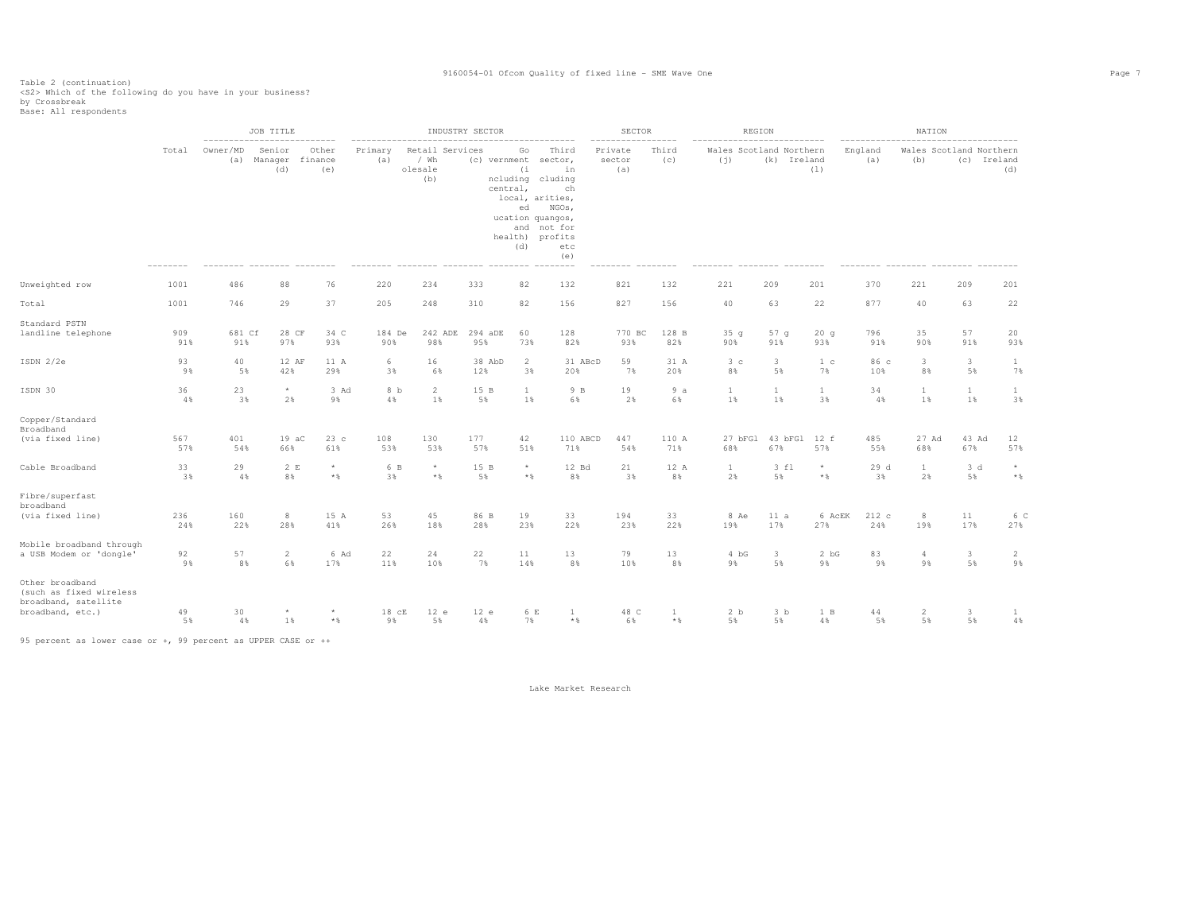Table 2 (continuation)<br><S2> Which of the following do you have in your business?<br>by Crossbreak<br>Base: All respondents

|                                                                                        |            |                 | JOB TITLE<br>---------------------------- |                         |                |                                             | INDUSTRY SECTOR |                                    |                                                                                                                                                               | SECTOR                   |              |                                | REGION                        |                      |                | NATION                        |                               |                                               |
|----------------------------------------------------------------------------------------|------------|-----------------|-------------------------------------------|-------------------------|----------------|---------------------------------------------|-----------------|------------------------------------|---------------------------------------------------------------------------------------------------------------------------------------------------------------|--------------------------|--------------|--------------------------------|-------------------------------|----------------------|----------------|-------------------------------|-------------------------------|-----------------------------------------------|
|                                                                                        | Total      | Owner/MD<br>(a) | Senior<br>Manager<br>(d)                  | Other<br>finance<br>(e) | Primary<br>(a) | Retail Services<br>$/$ Wh<br>olesale<br>(b) |                 | Go<br>(i)<br>central,<br>ed<br>(d) | Third<br>(c) vernment sector,<br>in<br>ncluding cluding<br>ch<br>local, arities,<br>NGOs,<br>ucation quangos,<br>and not for<br>health) profits<br>etc<br>(e) | Private<br>sector<br>(a) | Third<br>(c) | Wales Scotland Northern<br>(i) | (k) Ireland                   | (1)                  | England<br>(a) | (b)                           |                               | Wales Scotland Northern<br>(c) Ireland<br>(d) |
| Unweighted row                                                                         | 1001       | 486             | 88                                        | 76                      | 220            | 234                                         | 333             | 82                                 | 132                                                                                                                                                           | 821                      | 132          | 221                            | 209                           | 201                  | 370            | 221                           | 209                           | 201                                           |
| Total                                                                                  | 1001       | 746             | 29                                        | 37                      | 205            | 248                                         | 310             | 82                                 | 156                                                                                                                                                           | 827                      | 156          | 40                             | 63                            | 22                   | 877            | 40                            | 63                            | 22                                            |
| Standard PSTN<br>landline telephone                                                    | 909<br>91% | 681 Cf<br>91%   | 28 CF<br>97%                              | 34 C<br>93%             | 184 De<br>90%  | 242 ADE<br>98%                              | 294 aDE<br>95%  | 60<br>73%                          | 128<br>82%                                                                                                                                                    | 770 BC<br>93%            | 128 B<br>82% | 35q<br>90%                     | 57 <sub>q</sub><br>91%        | 20q<br>93%           | 796<br>91%     | 35<br>90%                     | 57<br>91%                     | 20<br>93%                                     |
| ISDN 2/2e                                                                              | 93<br>9%   | 40<br>5%        | 12 AF<br>42%                              | 11 A<br>29%             | 6<br>3%        | 16<br>6%                                    | 38 AbD<br>12%   | 2<br>3%                            | 31 ABcD<br>20%                                                                                                                                                | 59<br>7%                 | 31 A<br>20%  | 3 <sub>c</sub><br>8%           | $\overline{\mathbf{3}}$<br>5% | 1 <sup>c</sup><br>7% | 86 с<br>10%    | $\overline{\mathbf{3}}$<br>8% | $\overline{3}$<br>5%          | $\mathbf{1}$<br>7%                            |
| ISDN 30                                                                                | 36<br>4%   | 23<br>3%        | $^{\star}$<br>2%                          | 3 Ad<br>9%              | 8 b<br>4%      | $\overline{2}$<br>1%                        | 15 B<br>5%      | $\mathbf{1}$<br>1%                 | 9 B<br>6%                                                                                                                                                     | 19<br>2%                 | 9a<br>6%     | $\mathbf{1}$<br>1%             | $\mathbf{1}$<br>1%            | $\mathbf{1}$<br>3%   | 34<br>4%       | $\mathbf{1}$<br>1%            | $\mathbf{1}$<br>1%            | $\mathbf{1}$<br>3%                            |
| Copper/Standard<br>Broadband                                                           |            |                 |                                           |                         |                |                                             |                 |                                    |                                                                                                                                                               |                          |              |                                |                               |                      |                |                               |                               |                                               |
| (via fixed line)                                                                       | 567<br>57% | 401<br>54%      | $19 \text{ aC}$<br>66%                    | 23c<br>61%              | 108<br>53%     | 130<br>53%                                  | 177<br>57%      | 42<br>51%                          | 110 ABCD<br>71%                                                                                                                                               | 447<br>54%               | 110 A<br>71% | 27 bFG1<br>68%                 | 43 bFG1<br>67%                | 12 f<br>57%          | 485<br>55%     | 27 Ad<br>68%                  | 43 Ad<br>67%                  | 12<br>57%                                     |
| Cable Broadband                                                                        | 33<br>3%   | 29<br>4%        | 2 E<br>8%                                 | $\star$<br>$*$ &        | 6 B<br>3%      | $^{\star}$<br>$\star$ $\S$                  | 15 B<br>5%      | $^{\star}$<br>$*$ &                | 12 Bd<br>8%                                                                                                                                                   | 21<br>3%                 | 12 A<br>8%   | $\mathbf{1}$<br>2%             | 3 fl<br>5%                    | $^{\star}$<br>$*$ &  | 29d<br>3%      | $\mathbf{1}$<br>2%            | 3d<br>5%                      | $^{\star}$<br>$\star$ $\,$                    |
| Fibre/superfast<br>broadband                                                           |            |                 |                                           |                         |                |                                             |                 |                                    |                                                                                                                                                               |                          |              |                                |                               |                      |                |                               |                               |                                               |
| (via fixed line)                                                                       | 236<br>24% | 160<br>22%      | 8<br>28%                                  | 15 A<br>41%             | 53<br>26%      | 45<br>18%                                   | 86 B<br>28%     | 19<br>23%                          | 33<br>22%                                                                                                                                                     | 194<br>23%               | 33<br>22%    | 8 Ae<br>19%                    | 11 a<br>17%                   | 6 AcEK<br>27%        | 212 c<br>24%   | 8<br>19%                      | 11<br>17%                     | 6 C<br>27%                                    |
| Mobile broadband through<br>a USB Modem or 'dongle'                                    | 92<br>9%   | 57<br>8%        | $\overline{2}$<br>6%                      | 6 Ad<br>17%             | 22<br>11%      | 24<br>10%                                   | 22<br>7%        | 11<br>14%                          | 13<br>8%                                                                                                                                                      | 79<br>10%                | 13<br>8%     | 4 bG<br>9%                     | $\mathbf{3}$<br>5%            | 2 bG<br>9%           | 83<br>9%       | $\overline{4}$<br>9%          | $\overline{\mathbf{3}}$<br>5% | 2<br>9%                                       |
| Other broadband<br>(such as fixed wireless<br>broadband, satellite<br>broadband, etc.) | 49         | 30              | $\star$                                   | $\star$                 | 18 cE          | 12 e                                        | 12 e            | 6 E                                | 1                                                                                                                                                             | 48 C                     | $\mathbf{1}$ | 2 <sub>b</sub>                 | 3 <sub>b</sub>                | 1 B                  | 44             | $\overline{2}$                | 3                             | $\mathbf{1}$<br>$4\,$                         |
|                                                                                        | 5%         | 4%              | 1%                                        | $\star$ $\,$            | 9%             | 5%                                          | 4%              | 7%                                 | $*$                                                                                                                                                           | 6%                       | $*$ &        | 5%                             | 5%                            | 4%                   | 5%             | 5%                            | 5%                            |                                               |

95 percent as lower case or +, 99 percent as UPPER CASE or ++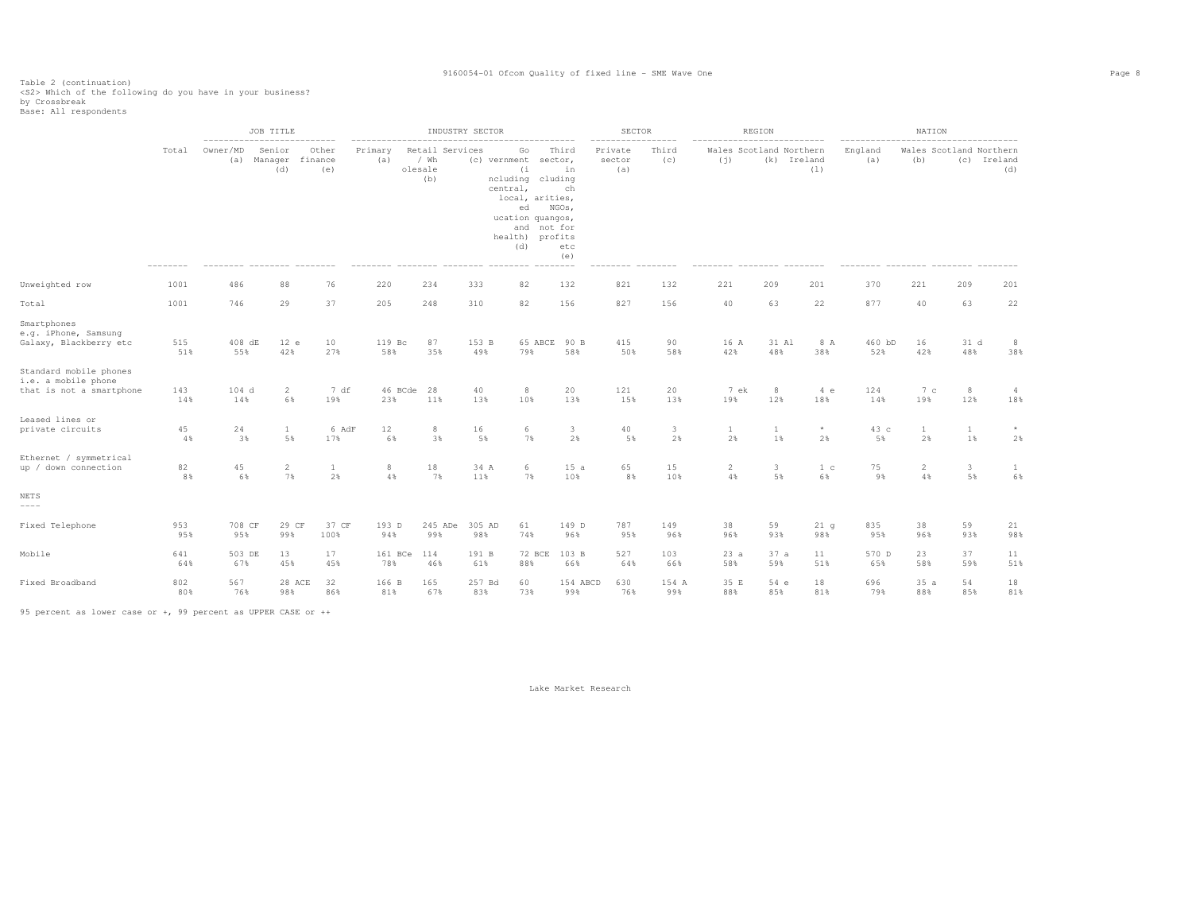Table 2 (continuation) <S2> Which of the following do you have in your business?

by Crossbreak Base: All respondents

 JOB TITLE INDUSTRY SECTOR SECTOR REGION NATION -------------------------- -------------------------------------------- ----------------- -------------------------- ----------------------------------- Total Owner/MD Senior Other Primary Retail Services Go Third Private Third Wales Scotland Northern England Wales Scotland Northern (c) Ireland (a) Manager finance (a) / Wh (c) vernment sector, sector (c) (j) (k) Ireland (a) (b) (c) Ireland (d) (e) olesale (i in (a) (l) (d) (b) ncluding cluding -ch central. local, arities, ed NGOs, ucation quangos, and not for health) profits etc (d) etc (e) -------- -------- -------- -------- -------- -------- -------- -------- -------- -------- -------- -------- -------- -------- -------- -------- -------- -------- Unweighted row 1001 486 88 76 220 234 333 82 132 821 132 221 209 201 370 221 209 201 Total 1001 746 29 37 205 248 310 82 156 827 156 40 63 22 877 40 63 22 Smartphones e.g. iPhone, Samsung Galaxy, Blackberry etc 515 408 dE 12 e 10 119 Bc 87 153 B 65 ABCE 90 B 415 90 16 A 31 Al 8 A 460 bD 16 31 d 8  $38%$  51% 55% 42% 27% 58% 35% 49% 79% 58% 50% 58% 42% 48% 38% 52% 42% 48% 38% Standard mobile phones i.e. a mobile phone that is not a smartphone 143 104 d 2 7 df 46 BCde 28 40 8 20 121 20 7 ek 8 4 e 124 7 c 8 4 18% 14% 14% 6% 19% 23% 11% 13% 10% 13% 15% 13% 19% 12% 18% 14% 19% 12% 18% Leased lines or private circuits private circuits 45 24 1 6 AdF 12 8 16 6 3 40 3 1 \* 43 c 1 \*  $2%$  4% 3% 5% 17% 6% 3% 5% 7% 2% 5% 2% 2% 1% 2% 5% 2% 1% 2% Ethernet / symmetrical<br>up / down connection up/down.connection 82 45 2 1 8 18 34.A 6 15.a 65 15 2 3 1.c 75 2 3 1 6% 8% 6% 7% 2% 4% 7% 11% 7% 10% 8% 10% 4% 5% 6% 9% 4% 5% 6% NETS ---- Fixed Telephone 953 708 CF 29 CF 37 CF 193 D 245 ADe 305 AD 61 149 D 787 149 38 59 21 g 835 38 59 21 98% 95% 95% 99% 100% 94% 99% 98% 74% 96% 95% 96% 96% 93% 98% 95% 96% 93% 98% Mobile 641 503 DE 13 17 161 BCe 114 191 B 72 BCE 103 B 527 103 23 a 37 a 11 570 D 23 37 11 51% 64% 67% 45% 45% 78% 46% 61% 88% 66% 64% 66% 58% 59% 51% 65% 58% 59% 51% Fixed Broadband 802 567 28 ACE 32 166 B 165 257 Bd 60 154 ABCD 630 154 A 35 E 54 e 18 696 35 a 54 18 81% 80% 76% 98% 86% 81% 67% 83% 73% 99% 76% 99% 88% 85% 81% 79% 88% 85% 81%

95 percent as lower case or +, 99 percent as UPPER CASE or ++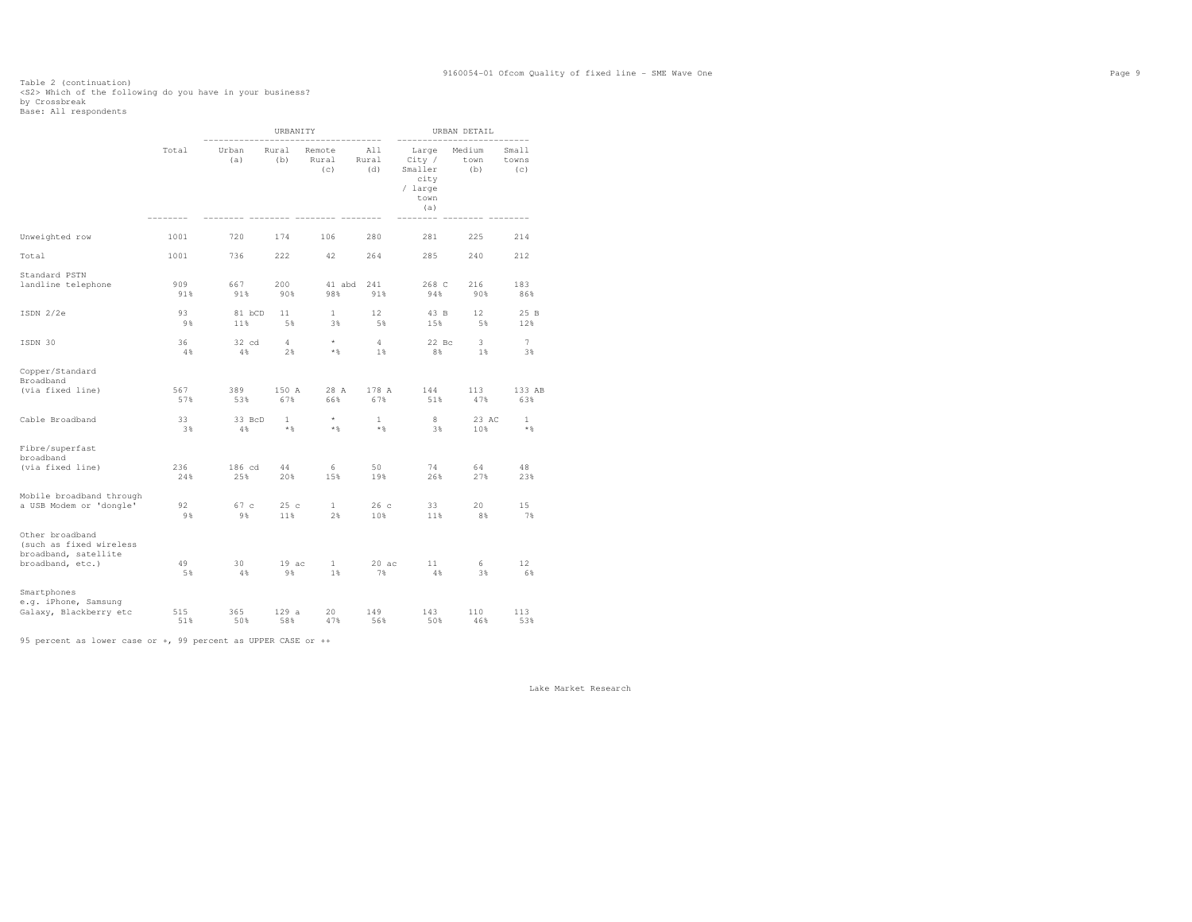### Table 2 (continuation)<br><S2> Which of the following do you have in your business?<br>by Crossbreak<br>Base: All respondents

|                                                                                        |            |               | URBANITY              |                        |                         |                                                              | URBAN DETAIL          |                       |
|----------------------------------------------------------------------------------------|------------|---------------|-----------------------|------------------------|-------------------------|--------------------------------------------------------------|-----------------------|-----------------------|
|                                                                                        | Total      | Urban<br>(a)  | Rural<br>(b)          | Remote<br>Rural<br>(c) | All<br>Rural<br>(d)     | Large<br>City /<br>Smaller<br>city<br>/ large<br>town<br>(a) | Medium<br>town<br>(b) | Small<br>towns<br>(c) |
| Unweighted row                                                                         | 1001       | 720           | 174                   | 106                    | 280                     | 281                                                          | 225                   | 214                   |
| Total                                                                                  | 1001       | 736           | 222                   | 42                     | 264                     | 285                                                          | 240                   | 212                   |
| Standard PSTN<br>landline telephone                                                    | 909<br>91% | 667<br>91%    | 200<br>90%            | 41 abd<br>98%          | 241<br>91%              | 268 C<br>94%                                                 | 216<br>90%            | 183<br>86%            |
| ISDN 2/2e                                                                              | 93<br>9%   | 81 bCD<br>11% | 11<br>5%              | $\mathbf{1}$<br>3%     | 12<br>5%                | 43 B<br>15%                                                  | 12<br>5%              | 25 B<br>12%           |
| ISDN 30                                                                                | 36<br>4%   | 32 cd<br>4%   | 4<br>2%               | $\star$<br>$*$ &       | $\overline{4}$<br>$1\%$ | $22$ Bc<br>8%                                                | 3.<br>$1\%$           | $\tau$<br>3%          |
| Copper/Standard<br>Broadband                                                           |            |               |                       |                        |                         |                                                              |                       |                       |
| (via fixed line)                                                                       | 567<br>57% | 389<br>53%    | 150 A<br>67%          | 28 A<br>66%            | 178 A<br>67%            | 144<br>51%                                                   | 113<br>47%            | 133 AB<br>63%         |
| Cable Broadband                                                                        | 33<br>3%   | 33 BcD<br>4%  | $\mathbf{1}$<br>$*$ % | $\star$<br>$*$ &       | $\mathbf{1}$<br>$*$     | 8<br>3%                                                      | 23 AC<br>10%          | 1<br>$*$ %            |
| Fibre/superfast<br>broadband                                                           |            |               |                       |                        |                         |                                                              |                       |                       |
| (via fixed line)                                                                       | 236<br>24% | 186 cd<br>25% | 44<br>20%             | 6<br>15%               | 50<br>19%               | 74<br>26%                                                    | 64<br>27%             | 48<br>23%             |
| Mobile broadband through<br>a USB Modem or 'dongle'                                    | 92<br>9 %  | 67 c<br>9%    | 25c<br>11%            | $\mathbf{1}$<br>2%     | 26c<br>10%              | 33<br>11%                                                    | 20<br>8%              | 15<br>7%              |
| Other broadband<br>(such as fixed wireless<br>broadband, satellite<br>broadband, etc.) | 49<br>5%   | 30<br>4%      | 19ac<br>9%            | $\mathbf{1}$<br>1%     | 20ac<br>7%              | 11<br>4%                                                     | 6<br>3%               | 12<br>6%              |
| Smartphones<br>e.g. iPhone, Samsung<br>Galaxy, Blackberry etc                          | 515<br>51% | 365<br>50%    | 129a<br>58%           | 20<br>47%              | 149<br>56%              | 143<br>50%                                                   | 110<br>46%            | 113<br>53%            |

95 percent as lower case or +, 99 percent as UPPER CASE or ++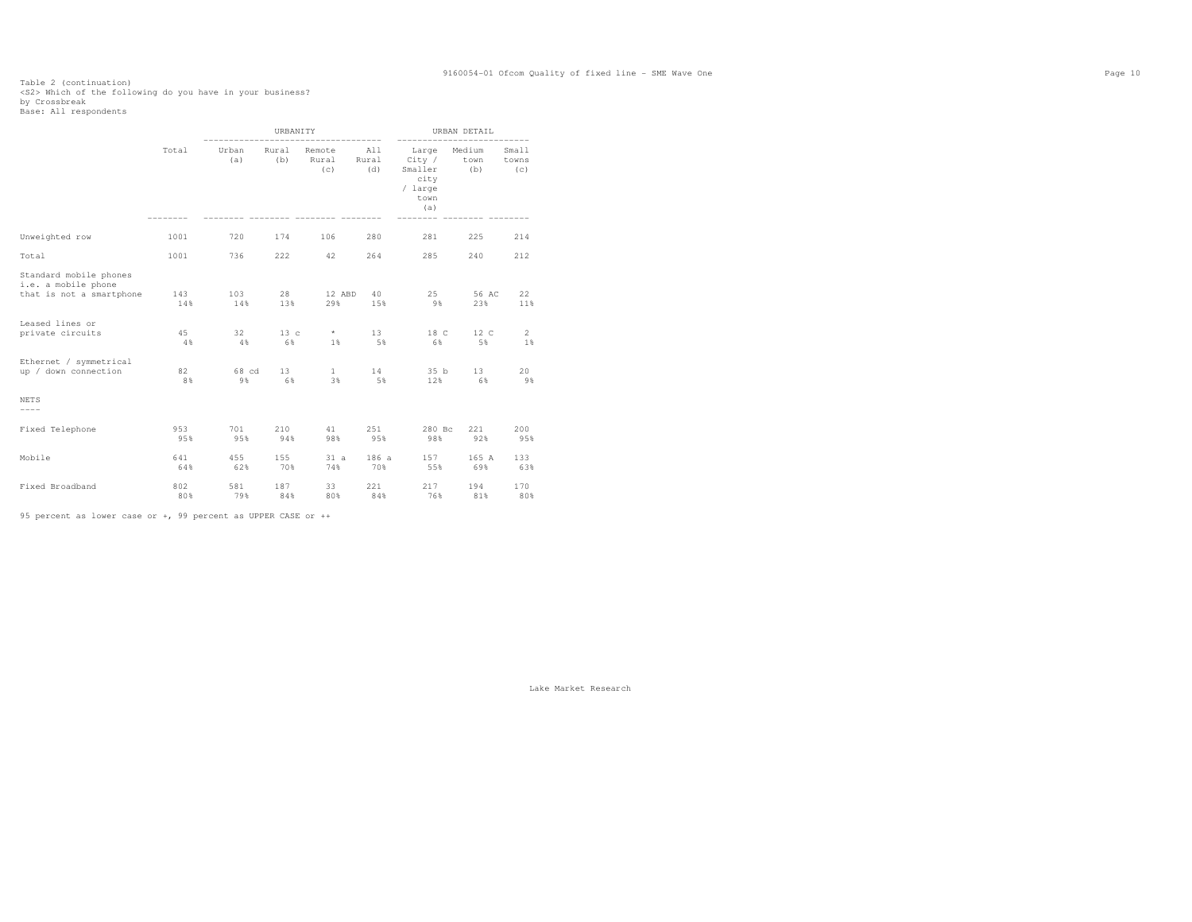### Table 2 (continuation)<br><S2> Which of the following do you have in your business?<br>by Crossbreak<br>Base: All respondents

|                                                                                                                                            |                        |                        | URBANITY               |                                   |                       |                                                                                 | URBAN DETAIL               |                                   |
|--------------------------------------------------------------------------------------------------------------------------------------------|------------------------|------------------------|------------------------|-----------------------------------|-----------------------|---------------------------------------------------------------------------------|----------------------------|-----------------------------------|
|                                                                                                                                            | Total                  | Urban<br>(a)           | Rural<br>(b)           | Remote<br>Rural<br>(c)            | All<br>Rural<br>(d)   | --------<br>Large Medium<br>City /<br>Smaller<br>city<br>/ large<br>town<br>(a) | town<br>(b)                | Small<br>towns<br>(C)             |
| Unweighted row                                                                                                                             | 1001                   | 720                    | 174                    | 106                               | 280                   | 281                                                                             | 225                        | 214                               |
| Total                                                                                                                                      | 1001                   | 736                    | 222                    | 42                                | 264                   | 285                                                                             | 240                        | 212                               |
| Standard mobile phones<br>i.e. a mobile phone<br>that is not a smartphone<br>Leased lines or<br>private circuits<br>Ethernet / symmetrical | 143<br>14%<br>45<br>4% | 103<br>14%<br>32<br>4% | 28<br>13%<br>13c<br>6% | 12 ABD<br>29%<br>$\star$<br>$1\%$ | 40<br>15%<br>13<br>5% | 25<br>9%<br>18 C<br>6%                                                          | 56 AC<br>23%<br>12 C<br>5% | 22<br>11%<br>$\overline{2}$<br>1% |
| up / down connection                                                                                                                       | 82<br>8%               | 68 cd<br>9%            | 13 <sup>7</sup><br>6%  | $\mathbf{1}$<br>3%                | 14<br>5%              | 35 b<br>12%                                                                     | 13 <sup>7</sup><br>6%      | 20<br>9%                          |
| <b>NETS</b><br>$--- - -$                                                                                                                   |                        |                        |                        |                                   |                       |                                                                                 |                            |                                   |
| Fixed Telephone                                                                                                                            | 953<br>95%             | 701<br>95%             | 210<br>94%             | 41<br>98%                         | 251<br>95%            | 280 Bc<br>98%                                                                   | 221<br>92%                 | 200<br>95%                        |
| Mobile                                                                                                                                     | 641<br>64%             | 455<br>62%             | 155<br>70%             | 31 a<br>74%                       | 186 a<br>70%          | 157<br>55%                                                                      | 165 A<br>69%               | 133<br>63%                        |
| Fixed Broadband                                                                                                                            | 802<br>80%             | 581<br>79%             | 187<br>84%             | 33<br>80%                         | 221<br>84%            | 217<br>76%                                                                      | 194<br>81%                 | 170<br>80%                        |

95 percent as lower case or +, 99 percent as UPPER CASE or ++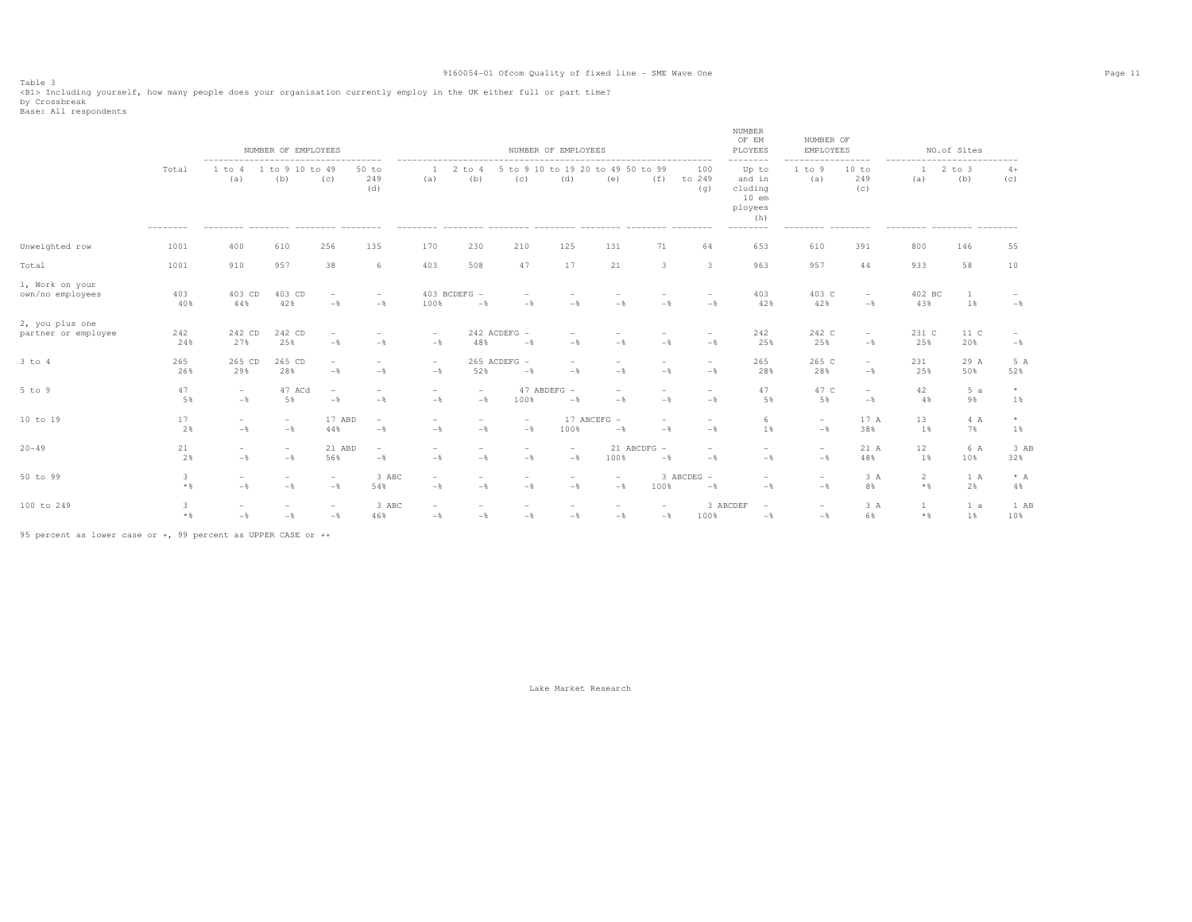Table 3<br><Bl> Including yourself, how many people does your organisation currently employ in the UK either full or part time?<br>by Crossbreak

Base: All respondents

|                                        |            |                                            | NUMBER OF EMPLOYEES                      |                                                   |                                                   |                                            |                                            |                                            | NUMBER OF EMPLOYEES                               |                                                                    |                                 |                                            | NUMBER<br>OF EM<br>PLOYEES<br>--------                                         | NUMBER OF<br>EMPLOYEES                     | --------                        |                   | NO.of Sites<br>-------------------------- |                |
|----------------------------------------|------------|--------------------------------------------|------------------------------------------|---------------------------------------------------|---------------------------------------------------|--------------------------------------------|--------------------------------------------|--------------------------------------------|---------------------------------------------------|--------------------------------------------------------------------|---------------------------------|--------------------------------------------|--------------------------------------------------------------------------------|--------------------------------------------|---------------------------------|-------------------|-------------------------------------------|----------------|
|                                        | Total      | 1 to 4<br>(a)                              | 1 to 9 10 to 49<br>(b)                   | (c)                                               | $50$ to<br>249<br>(d)<br>--------                 | (a)                                        | $2$ to $4$<br>(b)                          | (C)<br>--------- -------- -------          | (d)                                               | 5 to 9 10 to 19 20 to 49 50 to 99<br>(e)<br>______________________ | (f)                             | 100<br>to 249<br>(q)<br>---------          | Up to<br>and in<br>cluding<br>$10$ em<br>ployees<br>(h)<br>$- - - - - - - - -$ | 1 to 9<br>(a)                              | 10 to<br>249<br>(C)<br>-------- | -1<br>(a)         | $2$ to $3$<br>(b)                         | $4+$<br>(c)    |
| Unweighted row                         | 1001       | 400                                        | 610                                      | 256                                               | 135                                               | 170                                        | 230                                        | 210                                        | 125                                               | 131                                                                | 71                              | 64                                         | 653                                                                            | 610                                        | 391                             | 800               | 146                                       | 55             |
| Total                                  | 1001       | 910                                        | 957                                      | 38                                                | 6                                                 | 403                                        | 508                                        | 47                                         | 17                                                | 21                                                                 | 3                               | $\overline{\mathbf{3}}$                    | 963                                                                            | 957                                        | 44                              | 933               | 58                                        | 10             |
| 1, Work on your<br>own/no employees    | 403<br>40% | 403 CD<br>44%                              | 403 CD<br>42%                            | $\overline{\phantom{a}}$<br>$-$                   | $\overline{\phantom{a}}$<br>$-$                   | 100%                                       | 403 BCDEFG -<br>$-$                        | $\qquad \qquad$<br>$-$                     | $-$                                               | $-$                                                                | $-$                             | $\overline{\phantom{a}}$<br>$-$            | 403<br>42%                                                                     | 403 C<br>42%                               | $\sim$<br>$-\frac{6}{6}$        | 402 BC<br>43%     | 1<br>1%                                   | $-$            |
| 2, you plus one<br>partner or employee | 242<br>24% | 242 CD<br>27%                              | 242 CD<br>25%                            | $-$                                               | $\overline{\phantom{a}}$<br>$-\frac{6}{5}$        | $\overline{\phantom{a}}$<br>$-\frac{6}{5}$ | 48%                                        | 242 ACDEFG -<br>$-$                        | $-$                                               | $-\frac{6}{5}$                                                     | $-$                             | $-$                                        | 242<br>25%                                                                     | 242 C<br>25%                               | $\overline{\phantom{a}}$<br>$-$ | 231 C<br>25%      | 11 C<br>20%                               | $-\frac{6}{6}$ |
| $3$ to $4$                             | 265<br>26% | 265 CD<br>29%                              | 265 CD<br>28%                            | $\overline{\phantom{a}}$<br>$-\frac{6}{5}$        | $\qquad \qquad$<br>$-$                            | $\overline{\phantom{m}}$<br>$-\frac{6}{5}$ | 52%                                        | 265 ACDEFG -<br>$-\frac{6}{6}$             | $\overline{\phantom{a}}$<br>$-$                   | $\overline{\phantom{0}}$<br>$-\frac{6}{5}$                         | $-$                             | $\overline{\phantom{a}}$<br>$-\frac{6}{5}$ | 265<br>28%                                                                     | 265 C<br>28%                               | $\overline{\phantom{a}}$<br>$-$ | 231<br>25%        | 29 A<br>50%                               | 5 A<br>52%     |
| $5$ to $9$                             | 47<br>5%   | $\overline{\phantom{a}}$<br>$-\frac{6}{5}$ | 47 ACd<br>5%                             | $\overline{\phantom{a}}$<br>$-\frac{6}{5}$        | $\overline{\phantom{a}}$<br>$-\frac{6}{5}$        | $\overline{\phantom{0}}$<br>$-\frac{6}{5}$ | $\overline{\phantom{a}}$<br>$-$ 8          | 100%                                       | 47 ABDEFG -<br>$-\frac{6}{5}$                     | $\equiv$<br>$-\frac{6}{5}$                                         | $-$                             | $-\frac{6}{5}$                             | 47<br>5%                                                                       | 47 C<br>5%                                 | $\overline{\phantom{a}}$<br>$-$ | 42<br>4%          | 5a<br>9%                                  | $\star$<br>1%  |
| 10 to 19                               | 17<br>2%   | $\overline{\phantom{a}}$<br>$-\frac{6}{5}$ | $\overline{\phantom{a}}$<br>$-$ 8        | 17 ABD<br>44%                                     | $\overline{\phantom{a}}$<br>$-\frac{6}{5}$        | $\overline{\phantom{0}}$<br>$-\frac{6}{5}$ | $\overline{\phantom{a}}$<br>$-\frac{6}{5}$ | $\overline{\phantom{a}}$<br>$-\frac{6}{5}$ | 100%                                              | 17 ABCEFG<br>$-$                                                   | $\overline{\phantom{a}}$<br>$-$ | $\overline{\phantom{a}}$<br>$-$            | 6<br>1 %                                                                       | $\overline{\phantom{0}}$<br>$-\frac{6}{5}$ | 17 A<br>38%                     | 13<br>1%          | 4 A<br>7%                                 | $\star$<br>1%  |
| $20 - 49$                              | 21<br>2%   | $\overline{\phantom{a}}$<br>$-\frac{6}{5}$ | $\hspace{0.1mm}-\hspace{0.1mm}$<br>$-$ 8 | 21 ABD<br>56%                                     | $\hspace{0.1mm}-\hspace{0.1mm}$<br>$-\frac{6}{6}$ | $\overline{\phantom{a}}$<br>$-\frac{6}{5}$ | $\overline{\phantom{a}}$<br>$-\frac{6}{5}$ | $\overline{\phantom{a}}$<br>$-$            | $\overline{\phantom{a}}$<br>$-$                   | 100%                                                               | 21 ABCDFG -<br>$-$              | $\overline{\phantom{a}}$<br>$-$            | $-$                                                                            | $\overline{\phantom{0}}$<br>$-$            | 21 A<br>48%                     | 12<br>1%          | 6 A<br>10%                                | 3 AB<br>32%    |
| 50 to 99                               | 3<br>$*$   | $\overline{\phantom{a}}$<br>$-\frac{6}{6}$ | $\overline{\phantom{a}}$<br>$-$          | $\hspace{0.1mm}-\hspace{0.1mm}$<br>$-\frac{6}{5}$ | 3 ABC<br>54%                                      | $\overline{\phantom{a}}$<br>$-\frac{6}{5}$ | $\overline{\phantom{a}}$<br>$-$ 8          | $\overline{\phantom{a}}$<br>$-$            | $\hspace{0.1mm}-\hspace{0.1mm}$<br>$-\frac{6}{5}$ | $\overline{\phantom{a}}$<br>$-\frac{6}{5}$                         | 100%                            | 3 ABCDEG -<br>$-$                          | $-$                                                                            | $\overline{\phantom{0}}$<br>$-$            | 3A<br>8%                        | 2<br>$*$ &        | 1 A<br>2%                                 | $* A$<br>4%    |
| 100 to 249                             | 3<br>$*$ & | $-\frac{6}{6}$                             | $-$ 8                                    | $\overline{\phantom{a}}$<br>$-\frac{6}{9}$        | 3 ABC<br>46%                                      | $\qquad \qquad -$<br>$-\frac{6}{6}$        | $-\frac{6}{6}$                             | $-\frac{6}{5}$                             | $-\frac{6}{6}$                                    | $-\frac{6}{6}$                                                     | $-\frac{6}{6}$                  | 100%                                       | 3 ABCDEF<br>$-\frac{6}{6}$                                                     | $\overline{\phantom{0}}$<br>$-\frac{6}{5}$ | 3A<br>6%                        | 1<br>$\star$ $\,$ | 1 a<br>1%                                 | 1 AB<br>10%    |

95 percent as lower case or +, 99 percent as UPPER CASE or ++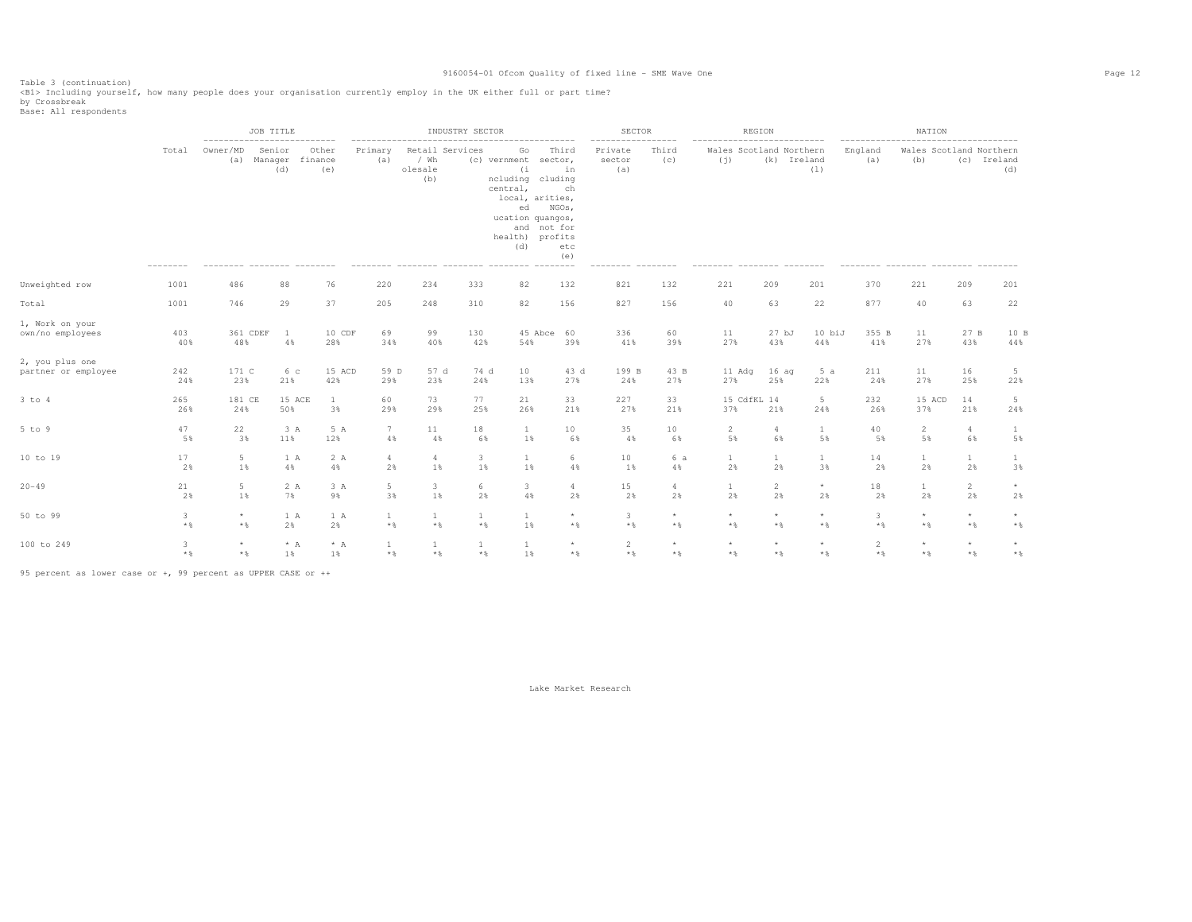Table 3 (continuation) <B1> Including yourself, how many people does your organisation currently employ in the UK either full or part time?

by Crossbreak<br>Base: All respondents

|                                        |                   | ---------------------------                  | JOB TITLE                |                         |                              |                                                                                  | INDUSTRY SECTOR       |                                                                                                                                  |                                                                    | SECTOR<br>----------------- |                                  | REGION<br>---------------------------       |                         |                         |                                                    | NATION                         |                         |                    |
|----------------------------------------|-------------------|----------------------------------------------|--------------------------|-------------------------|------------------------------|----------------------------------------------------------------------------------|-----------------------|----------------------------------------------------------------------------------------------------------------------------------|--------------------------------------------------------------------|-----------------------------|----------------------------------|---------------------------------------------|-------------------------|-------------------------|----------------------------------------------------|--------------------------------|-------------------------|--------------------|
|                                        | Total<br>-------- | Owner/MD<br>(a)<br>-------- -------- ------- | Senior<br>Manager<br>(d) | Other<br>finance<br>(e) | Primary<br>(a)               | Retail Services<br>/ Wh<br>olesale<br>(b)<br>-------- -------- -------- -------- |                       | Go<br>(c) vernment<br>(i)<br>ncluding cluding<br>central,<br>local, arities,<br>ed<br>ucation quangos,<br>health) profits<br>(d) | Third<br>sector,<br>in<br>ch<br>NGOs,<br>and not for<br>etc<br>(e) | Private<br>sector<br>(a)    | Third<br>(c)<br>$-- - - - - - -$ | Wales Scotland Northern<br>(i)<br>--------- | (k) Ireland             | (1)<br>$-- - - - - - -$ | England<br>(a)<br>-------- -------- ------- ------ | Wales Scotland Northern<br>(b) |                         | (c) Ireland<br>(d) |
| Unweighted row                         | 1001              | 486                                          | 88                       | 76                      | 220                          | 234                                                                              | 333                   | 82                                                                                                                               | 132                                                                | 821                         | 132                              | 221                                         | 209                     | 201                     | 370                                                | 221                            | 209                     | 201                |
| Total                                  | 1001              | 746                                          | 29                       | 37                      | 205                          | 248                                                                              | 310                   | 82                                                                                                                               | 156                                                                | 827                         | 156                              | 40                                          | 63                      | 22                      | 877                                                | 40                             | 63                      | 22                 |
| 1, Work on your<br>own/no emplovees    | 403<br>40%        | 361 CDEF<br>48%                              | $\overline{1}$<br>4%     | 10 CDF<br>28%           | 69<br>34%                    | 99<br>40%                                                                        | 130<br>42%            | 54%                                                                                                                              | 45 Abce 60<br>39%                                                  | 336<br>41%                  | 60<br>39%                        | 11<br>27%                                   | 27 <sub>bJ</sub><br>43% | 10 biJ<br>44%           | 355 B<br>41%                                       | 11<br>27%                      | 27 B<br>43%             | 10B<br>44%         |
| 2, you plus one<br>partner or employee | 242<br>24%        | 171 C<br>23%                                 | 6 с<br>21%               | 15 ACD<br>42%           | 59 D<br>29%                  | 57 d<br>23%                                                                      | 74 d<br>24%           | 10<br>13%                                                                                                                        | 43 d<br>27%                                                        | 199 B<br>24%                | 43 B<br>27%                      | 11 Adq<br>27%                               | 16 aq<br>25%            | 5a<br>22%               | 211<br>24%                                         | 11<br>27%                      | 16<br>25%               | -5<br>22%          |
| 3 to 4                                 | 265<br>26%        | 181 CE<br>24%                                | 15 ACE<br>50%            | 1<br>3%                 | 60<br>29%                    | 73<br>29%                                                                        | 77<br>25%             | 21<br>26%                                                                                                                        | 33<br>21%                                                          | 227<br>27%                  | 33<br>21%                        | 15 CdfKL 14<br>37%                          | 21%                     | 5<br>24%                | 232<br>26%                                         | 15 ACD<br>37%                  | 14<br>21%               | -5<br>24%          |
| 5 to 9                                 | 47<br>5%          | 22<br>3%                                     | 3 A<br>11%               | 5 A<br>12%              | 7<br>4%                      | 11<br>4%                                                                         | 18<br>6%              | $\mathbf{1}$<br>1%                                                                                                               | 10<br>6%                                                           | 35<br>4%                    | 10<br>6%                         | 2<br>5%                                     | 6%                      | $\mathbf{1}$<br>5%      | 40<br>5%                                           | $\overline{2}$<br>5%           | $\overline{4}$<br>6%    | 1<br>5%            |
| 10 to 19                               | 17<br>2%          | 5<br>1%                                      | 1 A<br>4%                | 2 A<br>4%               | $\overline{4}$<br>2%         | 4<br>1%                                                                          | 3<br>1%               | $\mathbf{1}$<br>1%                                                                                                               | 6<br>4%                                                            | 10<br>1%                    | 6 a<br>4%                        | 1<br>2%                                     | 1<br>2%                 | $\mathbf{1}$<br>3%      | 14<br>2%                                           | $\mathbf{1}$<br>2%             | $\mathbf{1}$<br>2%      | 3%                 |
| $20 - 49$                              | 21<br>2%          | 5<br>1%                                      | 2 A<br>7%                | 3A<br>9%                | 5<br>3%                      | 3<br>1%                                                                          | 6<br>2%               | 3.<br>4%                                                                                                                         | $\overline{a}$<br>2%                                               | 15<br>2%                    | $\overline{4}$<br>2%             | 1<br>2%                                     | 2<br>2%                 | $^{\star}$<br>2%        | 18<br>2%                                           | -1<br>2%                       | $\overline{2}$<br>2%    | $\star$<br>2%      |
| 50 to 99                               | 3<br>$*$ %        | $\star$<br>$*$ &                             | 1 A<br>2%                | 1 A<br>2%               | $\mathbf{1}$<br>$*$ &        | 1<br>$\star$ $\,$                                                                | 1<br>$*$ %            | 1<br>1%                                                                                                                          | $\star$<br>$*$                                                     | 3<br>$*$ &                  | $\star$<br>$*$ &                 | $\star$<br>$*$ &                            | $\star$<br>$*$          | $\star$<br>$*$ &        | 3<br>$*$ %                                         | $\star$<br>$*$ &               | $\star$<br>$*$          | $*$                |
| 100 to 249                             | 3<br>$*$ %        | $\star$<br>$*$ &                             | $* A$<br>1%              | $* A$<br>1%             | $\mathbf{1}$<br>$\star$ $\,$ | 1<br>$\star$ $\,$                                                                | $\mathbf{1}$<br>$*$ & | 1<br>1%                                                                                                                          | $\star$<br>$*$                                                     | 2<br>$\star$ $\,$           | $\star$<br>$*$ &                 | $\star$<br>$\star$ $\,$                     | $\star$<br>$*$          | $\star$<br>$*$ &        | $\overline{2}$<br>$*$ %                            | ${}^{\star}$<br>$\star$ $\,$   | $\star$<br>$\star$ $\,$ | $*$                |

95 percent as lower case or +, 99 percent as UPPER CASE or ++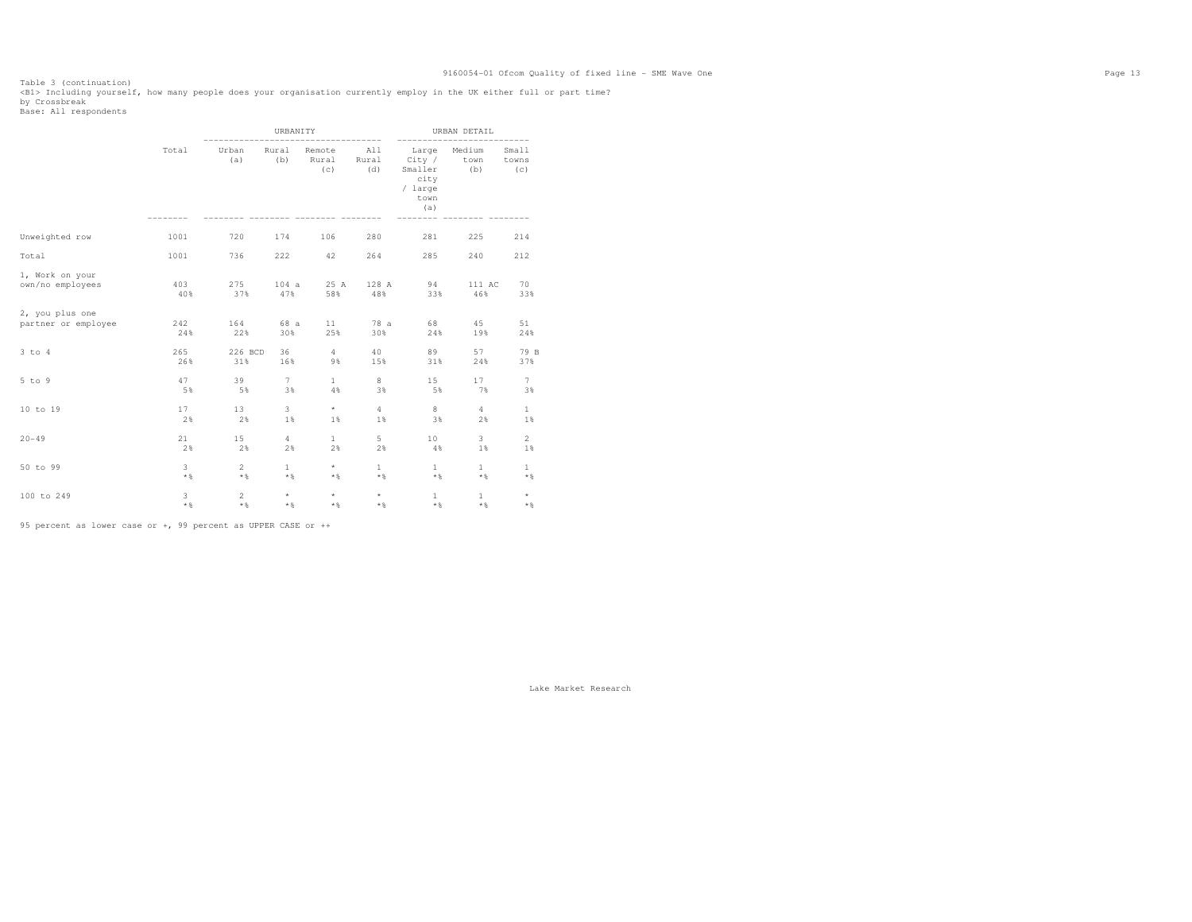Table 3 (continuation)<br><Bl> Including yourself, how many people does your organisation currently employ in the UK either full or part time?<br>by Crossbreak<br>Base: All respondents

|                     |       |                | URBANITY     |                        | ------------        | -------                                                      | URBAN DETAIL          | -----                 |
|---------------------|-------|----------------|--------------|------------------------|---------------------|--------------------------------------------------------------|-----------------------|-----------------------|
|                     | Total | Urban<br>(a)   | Rural<br>(b) | Remote<br>Rural<br>(C) | All<br>Rural<br>(d) | Large<br>City /<br>Smaller<br>city<br>/ large<br>town<br>(a) | Medium<br>town<br>(b) | Small<br>towns<br>(C) |
| Unweighted row      | 1001  | 720            | 174          | 106                    | 280                 | 281                                                          | 225                   | 214                   |
| Total               | 1001  | 736            | 222          | 42                     | 264                 | 285                                                          | 240                   | 212                   |
| 1, Work on your     | 403   | 275            | 104a         | 25 A                   | 128 A               | 94                                                           | 111 AC                | 70                    |
| own/no employees    | 40%   | 37%            | 47%          | 58%                    | 48%                 | 33%                                                          | 46%                   | 33%                   |
| 2, you plus one     | 242   | 164            | 68 a         | 11                     | 78 a                | 68                                                           | 45                    | 51                    |
| partner or employee | 24%   | 22%            | 30%          | 25%                    | 30%                 | 24%                                                          | 19%                   | 24%                   |
| 3 to 4              | 265   | 226 BCD        | 36           | $4\overline{ }$        | 40                  | 89                                                           | 57                    | 79 B                  |
|                     | 26%   | 31%            | 16%          | 9%                     | 15%                 | 31%                                                          | 24%                   | 37%                   |
| $5$ to $9$          | 47    | 39             | $7^{\circ}$  | $\mathbf{1}$           | 8                   | 15 <sub>1</sub>                                              | 17                    | $7\phantom{.}$        |
|                     | 5%    | 5%             | 3%           | 4%                     | 3%                  | 5%                                                           | 7%                    | 3%                    |
| 10 to 19            | 17    | 13             | 3            | $\star$                | $\overline{4}$      | 8                                                            | $\overline{4}$        | $\mathbf{1}$          |
|                     | 2%    | 2%             | 1%           | $1\%$                  | $1\%$               | 3%                                                           | 2%                    | $1\%$                 |
| $20 - 49$           | 21    | 15             | 4            | $\mathbf{1}$           | 5                   | 10 <sub>1</sub>                                              | $\overline{3}$        | $\overline{c}$        |
|                     | 2%    | 2%             | 2%           | 2%                     | 2%                  | 4%                                                           | 1%                    | 1%                    |
| 50 to 99            | 3     | $\overline{2}$ | $\mathbf{1}$ | $\star$                | $\mathbf{1}$        | $\mathbf{1}$                                                 | $\mathbf{1}$          | $\mathbf{1}$          |
|                     | $*$ % | $*$ %          | $*$ %        | $*$ %                  | $*$                 | $\star$ &                                                    | $*$                   | $*$ %                 |
| 100 to 249          | 3     | $\overline{2}$ | $\star$      | $\star$                | $\star$             | $\mathbf{1}$                                                 | $\mathbf{1}$          | $\star$               |
|                     | $*$ % | $*$ %          | $*$ %        | $*$ %                  | $*$                 | $*$ %                                                        | $*$ %                 | $\star$ $\,$          |

95 percent as lower case or +, 99 percent as UPPER CASE or ++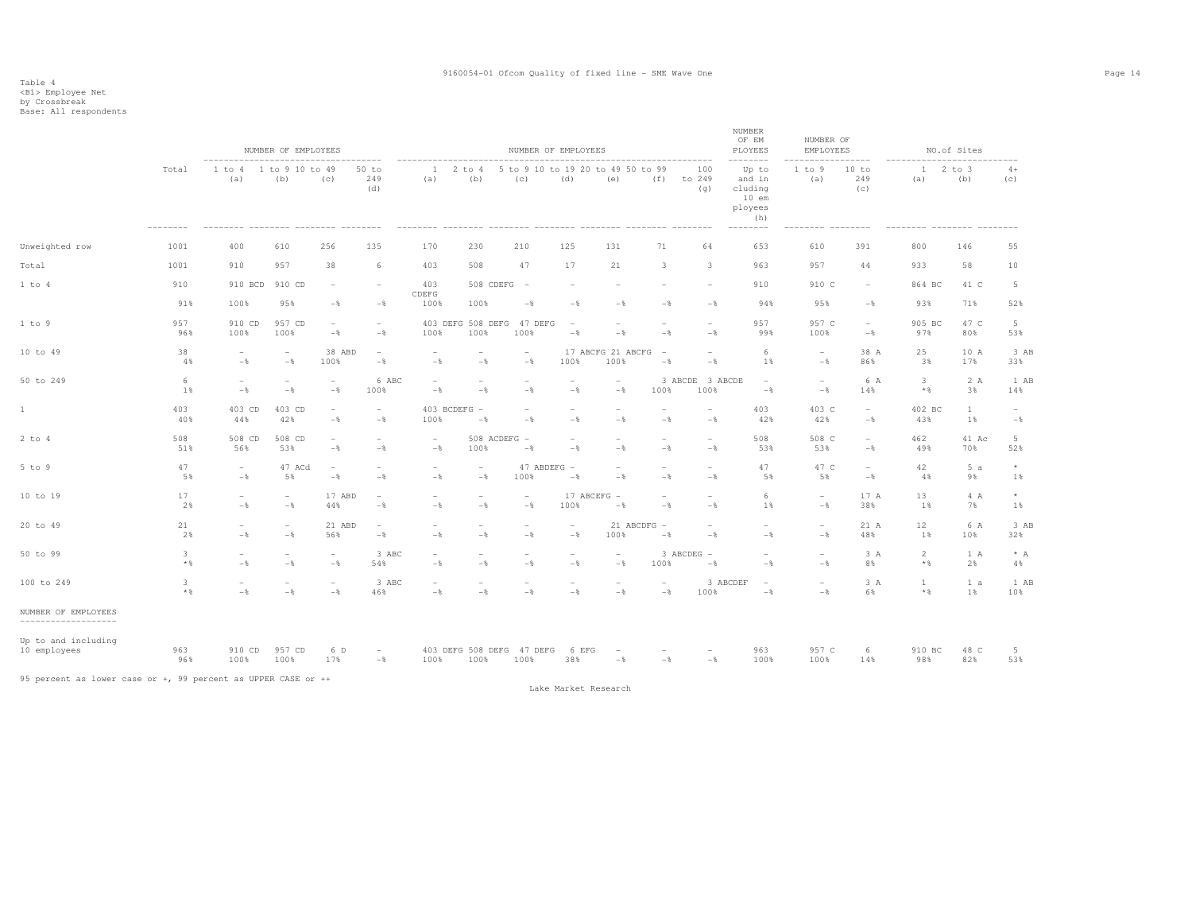|                                             |                   |                                            | NUMBER OF EMPLOYEES                        |                                            |                                            |                                            |                                                   |                                            | NUMBER OF EMPLOYEES                      |                                            |                                            |                                 | <b>NUMBER</b><br>OF EM<br>PLOYEES                                            | NUMBER OF<br>EMPLOYEES           |                                            |                                | NO.of Sites        |                        |
|---------------------------------------------|-------------------|--------------------------------------------|--------------------------------------------|--------------------------------------------|--------------------------------------------|--------------------------------------------|---------------------------------------------------|--------------------------------------------|------------------------------------------|--------------------------------------------|--------------------------------------------|---------------------------------|------------------------------------------------------------------------------|----------------------------------|--------------------------------------------|--------------------------------|--------------------|------------------------|
|                                             | Total             | (a)                                        | 1 to 4 1 to 9 10 to 49<br>(b)              | (C)                                        | $50$ to<br>249<br>(d)<br>$- - - - - - - -$ | (a)                                        | 1 2 to 4 5 to 9 10 to 19 20 to 49 50 to 99<br>(b) | (c)                                        | (d)                                      | (e)                                        |                                            | 100<br>$(f)$ to 249<br>(q)      | Up to<br>and in<br>cluding<br>$10$ em<br>ployees<br>(h)<br>$- - - - - - - -$ | 1 to 9<br>(a)<br>------ -------- | 10 to<br>249<br>(c)                        | (a)<br>--------- --------      | $12$ to $3$<br>(b) | $4+$<br>(C)            |
| Unweighted row                              | 1001              | 400                                        | 610                                        | 256                                        | 135                                        | 170                                        | 230                                               | 210                                        | 125                                      | 131                                        | 71                                         | 64                              | 653                                                                          | 610                              | 391                                        | 800                            | 146                | 55                     |
| Total                                       | 1001              | 910                                        | 957                                        | 38                                         | 6                                          | 403                                        | 508                                               | 47                                         | 17                                       | 21                                         | 3                                          | $\overline{\mathbf{3}}$         | 963                                                                          | 957                              | 44                                         | 933                            | 58                 | 10                     |
| 1 to 4                                      | 910               | 910 BCD                                    | 910 CD                                     |                                            | $\overline{\phantom{a}}$                   | 403<br>CDEFG                               | 508 CDEFG                                         | $\overline{\phantom{a}}$                   |                                          |                                            |                                            | $\overline{\phantom{a}}$        | 910                                                                          | 910 C                            | $\overline{\phantom{a}}$                   | 864 BC                         | 41 C               | 5                      |
|                                             | 91%               | 100%                                       | 95%                                        | $-$                                        | $-\frac{6}{6}$                             | 100%                                       | 100%                                              | $-\frac{6}{6}$                             | $-\frac{6}{5}$                           | $-$ % $\,$                                 | $-$                                        | $-$                             | 94%                                                                          | 95%                              | $-\,$ $\,$                                 | 93%                            | 71%                | 52%                    |
| 1 to 9                                      | 957<br>96%        | 910 CD<br>100%                             | 957 CD<br>100%                             | $\overline{\phantom{a}}$<br>$-\,$          | $\sim$<br>$-\,$                            | 100%                                       | 403 DEFG 508 DEFG 47 DEFG<br>100%                 | 100%                                       | $\hspace{0.1mm}-\hspace{0.1mm}$<br>$-\,$ | $\overline{\phantom{a}}$<br>$-$            | $\overline{\phantom{a}}$<br>$-$            | $\overline{\phantom{a}}$<br>$-$ | 957<br>99%                                                                   | 957 C<br>100%                    | $\overline{\phantom{a}}$<br>$-\,$ $\,$     | 905 BC<br>97%                  | 47 C<br>80%        | $5 -$<br>53%           |
| 10 to 49                                    | 38<br>4%          | $\overline{\phantom{a}}$<br>$-\frac{6}{6}$ | $\overline{\phantom{a}}$<br>$-\frac{6}{6}$ | 38 ABD<br>100%                             | $\sim$<br>$-\,$                            | $\overline{\phantom{a}}$<br>$-\,$          | $\sim$<br>$-\frac{6}{5}$                          | $\overline{\phantom{a}}$<br>$-\frac{6}{6}$ | 100%                                     | 17 ABCFG 21 ABCFG<br>100%                  | $\overline{\phantom{a}}$<br>$-$            | $\overline{\phantom{a}}$<br>$-$ | 6<br>1%                                                                      | $\sim$<br>$-$                    | 38 A<br>86%                                | 25<br>3%                       | 10 A<br>17%        | 3 AB<br>33%            |
| 50 to 249                                   | 6<br>1%           | $\overline{\phantom{a}}$<br>$-\frac{6}{6}$ | $\overline{\phantom{a}}$<br>$-\frac{6}{6}$ | $\overline{\phantom{a}}$<br>$-\frac{6}{6}$ | 6 ABC<br>100%                              | $\overline{\phantom{a}}$<br>$-\frac{6}{5}$ | $\sim$<br>$-\frac{6}{5}$                          | $\overline{\phantom{a}}$<br>$-\frac{6}{6}$ | $\overline{\phantom{a}}$<br>$-$          | $\overline{\phantom{a}}$<br>$-$            | 100%                                       | 3 ABCDE 3 ABCDE<br>100%         | $\overline{\phantom{a}}$<br>$-\frac{6}{6}$                                   | $\sim$<br>$-$                    | 6 A<br>14%                                 | 3<br>$*$ %                     | 2 A<br>3%          | 1 AB<br>14%            |
| 1                                           | 403<br>40%        | 403 CD<br>44%                              | 403 CD<br>42%                              | $\overline{\phantom{a}}$<br>$-\frac{6}{6}$ | $\overline{\phantom{a}}$<br>$-$            | 100%                                       | 403 BCDEFG -<br>$-$                               | $\sim$<br>$-$                              | $\sim$<br>$-$                            | $\overline{\phantom{0}}$<br>$-$            | $\sim$<br>$-$                              | $\overline{\phantom{a}}$<br>$-$ | 403<br>42%                                                                   | 403 C<br>42%                     | $\overline{\phantom{a}}$<br>$-\frac{6}{6}$ | 402 BC<br>43%                  | <b>1</b><br>1%     | $\sim$<br>$-$          |
| $2$ to $4$                                  | 508<br>51%        | 508 CD<br>56%                              | 508 CD<br>53%                              | $\overline{\phantom{a}}$<br>$-\frac{6}{6}$ | $\overline{\phantom{a}}$<br>$-\,$          | $\overline{\phantom{a}}$<br>$-\,$          | $508$ ACDEFG $-$<br>100%                          | $-$                                        | $\overline{\phantom{a}}$<br>$-$          | $\overline{\phantom{a}}$<br>$-\, \%$       | $\overline{\phantom{a}}$<br>$-$            | $\overline{\phantom{a}}$<br>$-$ | 508<br>53%                                                                   | 508 C<br>53%                     | $\sim$<br>$-\,$ $\,$                       | 462<br>49%                     | 41 Ac<br>70%       | 5 <sub>1</sub><br>52%  |
| 5 to 9                                      | 47<br>5%          | $\sim$<br>$-\frac{6}{6}$                   | 47 ACd<br>5%                               | $\overline{\phantom{a}}$<br>$-\frac{6}{6}$ | $\overline{\phantom{a}}$<br>$-$            | $\overline{\phantom{a}}$<br>$-\,$          | $\overline{\phantom{a}}$<br>$-\frac{6}{5}$        | 100%                                       | 47 ABDEFG -<br>$-$                       | $\overline{\phantom{a}}$<br>$-\frac{6}{5}$ | $\overline{\phantom{a}}$<br>$-$            | $\overline{\phantom{a}}$<br>$-$ | 47<br>5%                                                                     | 47 C<br>5%                       | $\overline{\phantom{a}}$<br>$-\frac{6}{6}$ | 42<br>4%                       | 5a<br>9%           | $^{\star}$<br>$1\%$    |
| 10 to 19                                    | 17<br>2%          | $\overline{\phantom{a}}$<br>$-$            | $\overline{\phantom{a}}$<br>$-\frac{6}{6}$ | 17 ABD<br>44%                              | $\sim$<br>$-$                              | $\overline{\phantom{a}}$<br>$-$            | $\overline{\phantom{a}}$<br>$-\frac{6}{5}$        | $\overline{\phantom{a}}$<br>$-$            | 100%                                     | 17 ABCEFG -<br>$-$                         | $\overline{\phantom{a}}$<br>$-$            | $\overline{\phantom{a}}$<br>$-$ | 6<br>1%                                                                      | $\sim$<br>$-$                    | 17 A<br>38%                                | 13<br>1%                       | 4 A<br>7%          | $^{\star}$<br>1%       |
| 20 to 49                                    | 21<br>2%          | $\overline{\phantom{a}}$<br>$-$            | $\overline{\phantom{a}}$<br>$-\frac{6}{6}$ | 21 ABD<br>56%                              | $\sim$<br>$-$                              | $\overline{\phantom{a}}$<br>$-\frac{6}{5}$ | $\sim$<br>$-\frac{6}{5}$                          | $\overline{\phantom{a}}$<br>$-\frac{6}{6}$ | $\sim$<br>$-$                            | 100%                                       | 21 ABCDFG -<br>$-$                         | $\overline{\phantom{a}}$<br>$-$ | $\sim$<br>$-\frac{6}{6}$                                                     | $\sim$<br>$-$                    | 21 A<br>48%                                | 12<br>1%                       | 6 A<br>10%         | 3 AB<br>32%            |
| 50 to 99                                    | 3<br>$\star$ $\,$ | $\overline{\phantom{a}}$<br>$-\frac{6}{5}$ | $\overline{\phantom{a}}$<br>$-\frac{6}{6}$ | $\sim$<br>$-\frac{6}{6}$                   | 3 ABC<br>54%                               | $\overline{\phantom{a}}$<br>$-\frac{6}{5}$ | $\overline{\phantom{a}}$<br>$-\frac{6}{5}$        | $\overline{\phantom{a}}$<br>$-\frac{6}{6}$ | $\overline{\phantom{a}}$<br>$-$          | $\overline{\phantom{a}}$<br>$-$            | 100%                                       | 3 ABCDEG -<br>$-\frac{6}{6}$    | $\overline{\phantom{a}}$<br>$-\frac{6}{5}$                                   | $\sim$<br>$-\frac{6}{6}$         | 3 A<br>8%                                  | $\overline{2}$<br>$\star$ $\,$ | 1 A<br>2%          | $* A$<br>4%            |
| 100 to 249                                  | 3<br>$\star$ &    | $\overline{\phantom{a}}$<br>$-\frac{6}{6}$ | $\overline{\phantom{a}}$<br>$-\frac{6}{6}$ | $\overline{\phantom{a}}$<br>$-\frac{6}{6}$ | 3 ABC<br>46%                               | $\overline{\phantom{a}}$<br>$-\frac{6}{5}$ | $\overline{\phantom{a}}$<br>$-\frac{6}{5}$        | $\overline{\phantom{a}}$<br>$-\frac{6}{6}$ | $\overline{\phantom{a}}$<br>$-$          | $\overline{\phantom{a}}$<br>$-$            | $\overline{\phantom{a}}$<br>$-\frac{6}{5}$ | 100%                            | 3 ABCDEF<br>$\overline{\phantom{a}}$<br>$-\frac{6}{6}$                       | $\overline{\phantom{a}}$<br>$-$  | 3 A<br>6%                                  | $\mathbf{1}$<br>$*$ &          | 1 a<br>1%          | 1 AB<br>10%            |
| NUMBER OF EMPLOYEES<br>-------------------- |                   |                                            |                                            |                                            |                                            |                                            |                                                   |                                            |                                          |                                            |                                            |                                 |                                                                              |                                  |                                            |                                |                    |                        |
| Up to and including<br>10 employees         | 963<br>96%        | 910 CD<br>100%                             | 957 CD<br>100%                             | 6 D<br>17%                                 | $\sim$<br>$-\frac{6}{9}$                   |                                            | 403 DEFG 508 DEFG 47 DEFG 6 EFG<br>100% 100% 100% |                                            | 38%                                      | $\sim$<br>$  -$                            | $\sim$<br>$-\frac{6}{9}$                   | $\sim$<br>$-$ %                 | 963<br>100%                                                                  | 957 C<br>100%                    | 6<br>14%                                   | 910 BC<br>98%                  | 48 C<br>82%        | $5\phantom{.0}$<br>53% |

95 percent as lower case or +, 99 percent as UPPER CASE or ++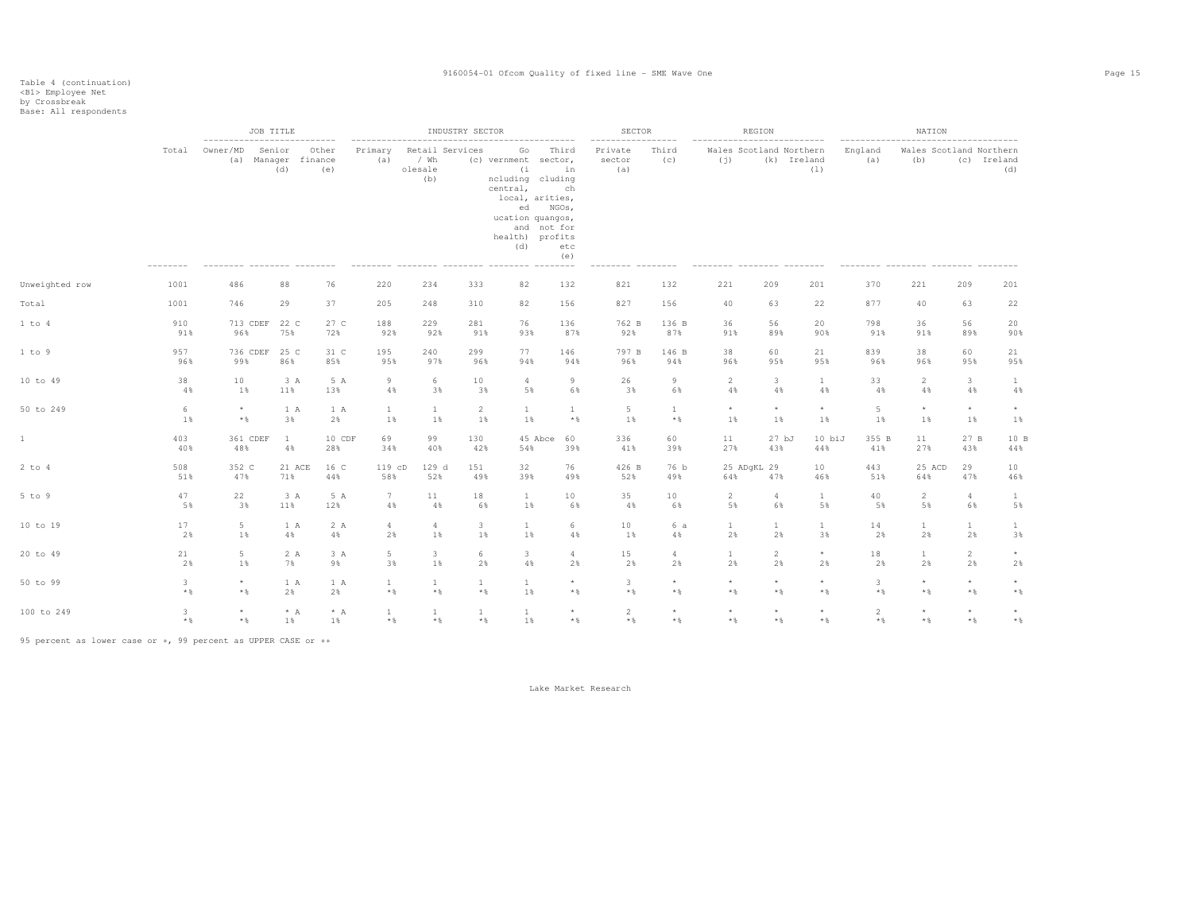|                |                   | ---------------------------            | JOB TITLE            |                                     |                |                              | INDUSTRY SECTOR                |                              |                                                                                                                                    |                                                            | SECTOR<br>----------------- |                              |                         | REGION<br>.                                           |                            | ------------------------------------- | NATION                  |                            |                                               |
|----------------|-------------------|----------------------------------------|----------------------|-------------------------------------|----------------|------------------------------|--------------------------------|------------------------------|------------------------------------------------------------------------------------------------------------------------------------|------------------------------------------------------------|-----------------------------|------------------------------|-------------------------|-------------------------------------------------------|----------------------------|---------------------------------------|-------------------------|----------------------------|-----------------------------------------------|
|                | Total             | Owner/MD<br>--------- -------- ------- | Senior<br>(d)        | Other<br>(a) Manager finance<br>(e) | Primary<br>(a) | olesale                      | Retail Services<br>/ Wh<br>(b) |                              | Go<br>(c) vernment sector,<br>(i)<br>ncluding cluding<br>central,<br>local, arities,<br>ucation quangos,<br>health) profits<br>(d) | Third<br>in<br>ch<br>ed NGOs,<br>and not for<br>etc<br>(e) | Private<br>sector<br>(a)    | Third<br>(c)<br>--------     | (i)                     | Wales Scotland Northern<br>--------- -------- ------- | (k) Ireland<br>(1)         | England<br>(a)                        | (b)                     |                            | Wales Scotland Northern<br>(c) Ireland<br>(d) |
| Unweighted row | 1001              | 486                                    | 88                   | 76                                  | 220            |                              | 234                            | 333                          | 82                                                                                                                                 | 132                                                        | 821                         | 132                          | 221                     | 209                                                   | 201                        | 370                                   | 221                     | 209                        | 201                                           |
| Total          | 1001              | 746                                    | 29                   | 37                                  | 205            |                              | 248                            | 310                          | 82                                                                                                                                 | 156                                                        | 827                         | 156                          | 40                      | 63                                                    | 22                         | 877                                   | 40                      | 63                         | 22                                            |
| 1 to 4         | 910<br>91%        | 96%                                    | 713 CDEF 22 C<br>75% | 72%                                 | 27 C<br>188    | 92%                          | 229<br>92%                     | 281<br>91%                   | 76<br>93%                                                                                                                          | 136<br>87%                                                 | 762 B<br>92%                | 136 B<br>87%                 | 36<br>91%               | 56<br>89%                                             | 20<br>90%                  | 798<br>91%                            | 36<br>91%               | 56<br>89%                  | 20<br>90%                                     |
| 1 to 9         | 957<br>96%        | 99%                                    | 736 CDEF 25 C<br>86% | 85%                                 | 31 C<br>195    | 95%                          | 240<br>97%                     | 299<br>96%                   | 77<br>94%                                                                                                                          | 146<br>94%                                                 | 797 B<br>96%                | 146 B<br>94%                 | 38<br>96%               | 60<br>95%                                             | 21<br>95%                  | 839<br>96%                            | 38<br>96%               | 60<br>95%                  | 21<br>95%                                     |
| 10 to 49       | 38<br>4%          | 10<br>1%                               | 3 A<br>11%           | 13%                                 | 5 A            | 9<br>4%                      | 6<br>3%                        | 10<br>3%                     | 4<br>5%                                                                                                                            | 9<br>6%                                                    | 26<br>3%                    | 9<br>6%                      | $\overline{2}$<br>4%    | 3<br>4%                                               | 1<br>4%                    | 33<br>4%                              | 2<br>4%                 | $\mathbf{3}$<br>4%         | 1<br>4%                                       |
| 50 to 249      | 6<br>1%           | $\star$<br>$\star$ $\,$                | 1 A<br>3%            |                                     | 1 A<br>2%      | $\mathbf{1}$<br>1%           | $\mathbf{1}$<br>1%             | $\overline{2}$<br>1%         | $\mathbf{1}$<br>$1\%$                                                                                                              | 1<br>$*$                                                   | 5<br>1%                     | $\mathbf{1}$<br>$\star$ $\,$ | $\star$<br>1%           | $\star$<br>1%                                         | $^{\star}$<br>1%           | 5<br>1%                               | $\star$<br>1%           | $\star$<br>$1\%$           | $^{\star}$<br>$1\%$                           |
|                | 403<br>40%        | 361 CDEF<br>48%                        | -1<br>4%             | 28%                                 | 10 CDF         | 69<br>34%                    | 99<br>40%                      | 130<br>42%                   | 54%                                                                                                                                | 45 Abce<br>60<br>39%                                       | 336<br>41%                  | 60<br>39%                    | 11<br>27%               | 27 <sub>bJ</sub><br>43%                               | 10 biJ<br>44%              | 355 B<br>41%                          | 11<br>27%               | 27 B<br>43%                | 10B<br>44%                                    |
| $2$ to $4$     | 508<br>51%        | 352 C<br>47%                           | 71%                  | 21 ACE<br>16 C<br>44%               |                | 119 cD<br>58%                | 129 d<br>52%                   | 151<br>49%                   | 32<br>39%                                                                                                                          | 76<br>49%                                                  | 426 B<br>52%                | 76 b<br>49%                  | 64%                     | 25 ADqKL 29<br>47%                                    | 10<br>46%                  | 443<br>51%                            | 25 ACD<br>64%           | 29<br>47%                  | 10<br>46%                                     |
| 5 to 9         | 47<br>5%          | 22<br>3%                               | 3 A<br>11%           | 12%                                 | 5 A            | $7\phantom{.0}$<br>4%        | 11<br>4%                       | 18<br>6%                     | $\mathbf{1}$<br>1%                                                                                                                 | 10<br>6%                                                   | 35<br>4%                    | 10<br>6%                     | $\overline{2}$<br>5%    | $\overline{4}$<br>6%                                  | 1<br>5%                    | 40<br>5%                              | $\overline{2}$<br>5%    | $4\phantom{.00}$<br>6%     | $\mathbf{1}$<br>5%                            |
| 10 to 19       | 17<br>2%          | $5 -$<br>1%                            | 4%                   | 1 A                                 | 2 A<br>4%      | $4\phantom{.00}$<br>2%       | $\overline{4}$<br>1%           | $\mathbf{3}$<br>1%           | $\mathbf{1}$<br>1%                                                                                                                 | 6<br>4%                                                    | 10<br>1%                    | 6 a<br>4%                    | $\mathbf{1}$<br>2%      | $\mathbf{1}$<br>2%                                    | $\mathbf{1}$<br>3%         | 14<br>2%                              | $\mathbf{1}$<br>2%      | $\mathbf{1}$<br>2%         | $\mathbf{1}$<br>3%                            |
| 20 to 49       | 21<br>2%          | 5<br>1%                                | 7%                   | 2A                                  | 3 A<br>9%      | 5 <sub>1</sub><br>3%         | 3<br>1%                        | 6<br>2%                      | 3<br>4%                                                                                                                            | $\overline{4}$<br>2%                                       | 15<br>2%                    | $\overline{4}$<br>2%         | $\mathbf{1}$<br>2%      | 2<br>2%                                               | $^{\star}$<br>2%           | 18<br>2%                              | $\mathbf{1}$<br>2%      | $\overline{2}$<br>2%       | $^{\star}$<br>2%                              |
| 50 to 99       | 3<br>$\star$ $\,$ | $\star$<br>$\star$ $\,$                | 2%                   | 1 A                                 | 1 A<br>2%      | $\mathbf{1}$<br>$\star$ $\,$ | $\mathbf{1}$<br>$\star$ $\,$   | $\mathbf{1}$<br>$\star$ $\,$ | $\mathbf{1}$<br>1%                                                                                                                 | $\star$<br>$*$                                             | 3<br>$\star$ $\,$           | $\star$<br>$\star$ $\S$      | $\star$<br>$\star$ $\,$ | $\star$<br>$\star$ $\,$                               | $^{\star}$<br>$\star$ $\,$ | 3<br>$\star$ $\,$                     | $\star$<br>$\star$ $\,$ | $^{\star}$<br>$\star$ $\,$ | $\star$<br>$\star$ $\,$                       |
| 100 to 249     | 3<br>$*$ &        | $\star$<br>$\star$ $\,$                | $1\%$                | $* A$                               | $* A$<br>$1\%$ | $\mathbf{1}$<br>$\star$ $\,$ | $\mathbf{1}$<br>$\star$ $\,$   | $\mathbf{1}$<br>* %          | $\mathbf{1}$<br>1%                                                                                                                 | $\star$<br>$\star$ $\,$                                    | 2<br>$*$ &                  | $\star$<br>$\star$ $\S$      | $\star$<br>$\star$ $\S$ | $\star$<br>$\star$ $\,$                               | $\star$<br>$*$ &           | $\overline{2}$<br>$*$ %               | $\star$<br>$\star$ $\,$ | $\star$<br>$\star$ $\,$    | $\star$<br>$\star$ $\,$                       |

95 percent as lower case or +, 99 percent as UPPER CASE or ++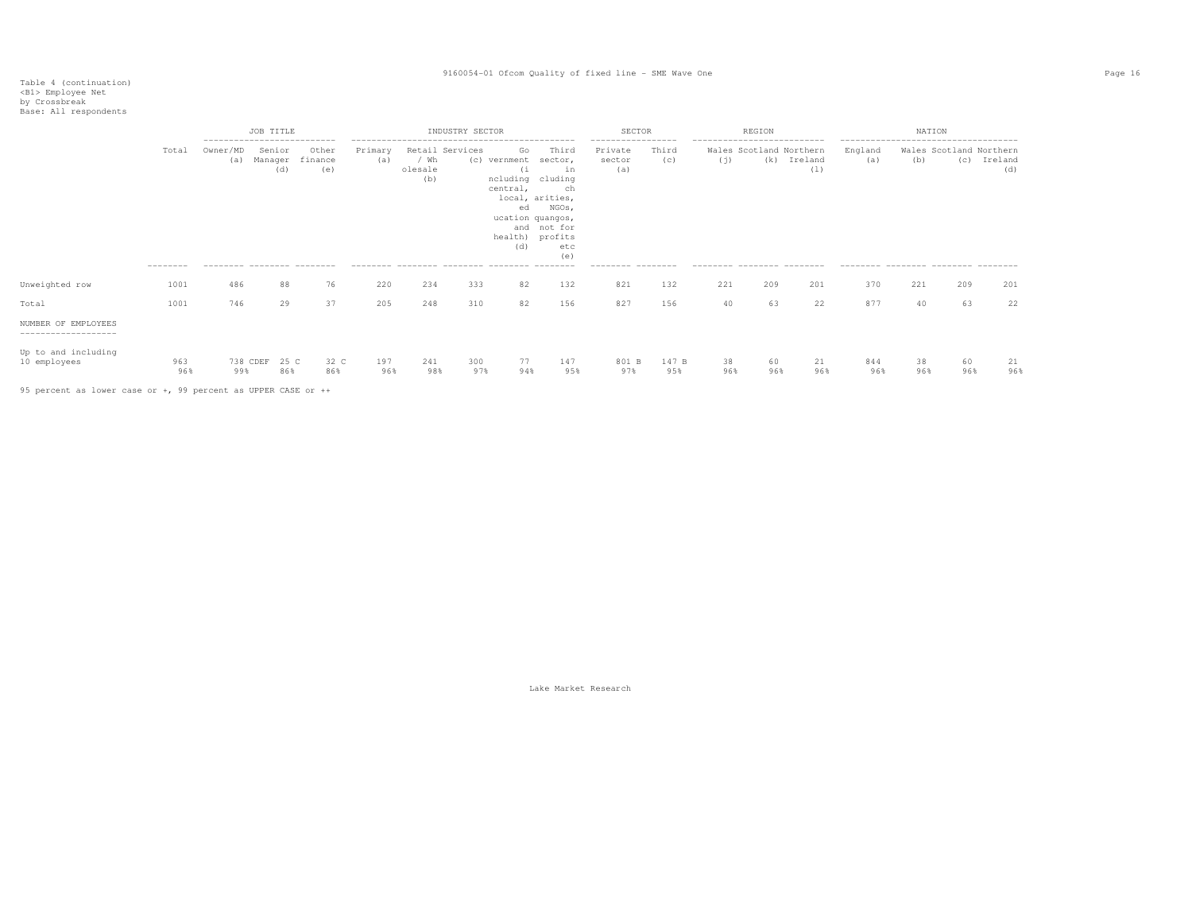|                                             |                    | ----------------------------                  | <b>JOB TITLE</b>         |                         |                |                        | INDUSTRY SECTOR |                                                           |                                                                                                                                              | SECTOR<br>------------------                   |              | ----------------------------                                 | REGION    |                    |                                                       | NATION    |                                |                |
|---------------------------------------------|--------------------|-----------------------------------------------|--------------------------|-------------------------|----------------|------------------------|-----------------|-----------------------------------------------------------|----------------------------------------------------------------------------------------------------------------------------------------------|------------------------------------------------|--------------|--------------------------------------------------------------|-----------|--------------------|-------------------------------------------------------|-----------|--------------------------------|----------------|
|                                             | Total<br>--------- | Owner/MD<br>(a)<br>--------- -------- ------- | Senior<br>Manager<br>(d) | Other<br>finance<br>(e) | Primary<br>(a) | / Wh<br>olesale<br>(b) | Retail Services | Go<br>(c) vernment<br>(i)<br>central,<br>ed<br>and<br>(d) | Third<br>sector,<br>in<br>ncluding cluding<br>ch<br>local, arities,<br>NGOs,<br>ucation quangos,<br>not for<br>health) profits<br>etc<br>(e) | Private<br>sector<br>(a)<br>--------- -------- | Third<br>(c) | Wales Scotland Northern<br>(i)<br>--------- -------- ------- |           | (k) Ireland<br>(1) | England<br>(a)<br>--------- -------- -------- ------- | (b)       | Wales Scotland Northern<br>(C) | Ireland<br>(d) |
| Unweighted row                              | 1001               | 486                                           | 88                       | 76                      | 220            | 234                    | 333             | 82                                                        | 132                                                                                                                                          | 821                                            | 132          | 221                                                          | 209       | 201                | 370                                                   | 221       | 209                            | 201            |
| Total                                       | 1001               | 746                                           | 29                       | 37                      | 205            | 248                    | 310             | 82                                                        | 156                                                                                                                                          | 827                                            | 156          | 40                                                           | 63        | 22                 | 877                                                   | 40        | 63                             | 22             |
| NUMBER OF EMPLOYEES<br>-------------------- |                    |                                               |                          |                         |                |                        |                 |                                                           |                                                                                                                                              |                                                |              |                                                              |           |                    |                                                       |           |                                |                |
| Up to and including<br>10 employees         | 963<br>96%         | 99%                                           | 738 CDEF 25 C<br>86%     | 32 C<br>86%             | 197<br>96%     | 241<br>98%             | 300<br>97%      | 77<br>94%                                                 | 147<br>95%                                                                                                                                   | 801 B<br>97%                                   | 147 B<br>95% | 38<br>96%                                                    | 60<br>96% | 21<br>96%          | 844<br>96%                                            | 38<br>96% | 60<br>96%                      | 21<br>96%      |

95 percent as lower case or +, 99 percent as UPPER CASE or ++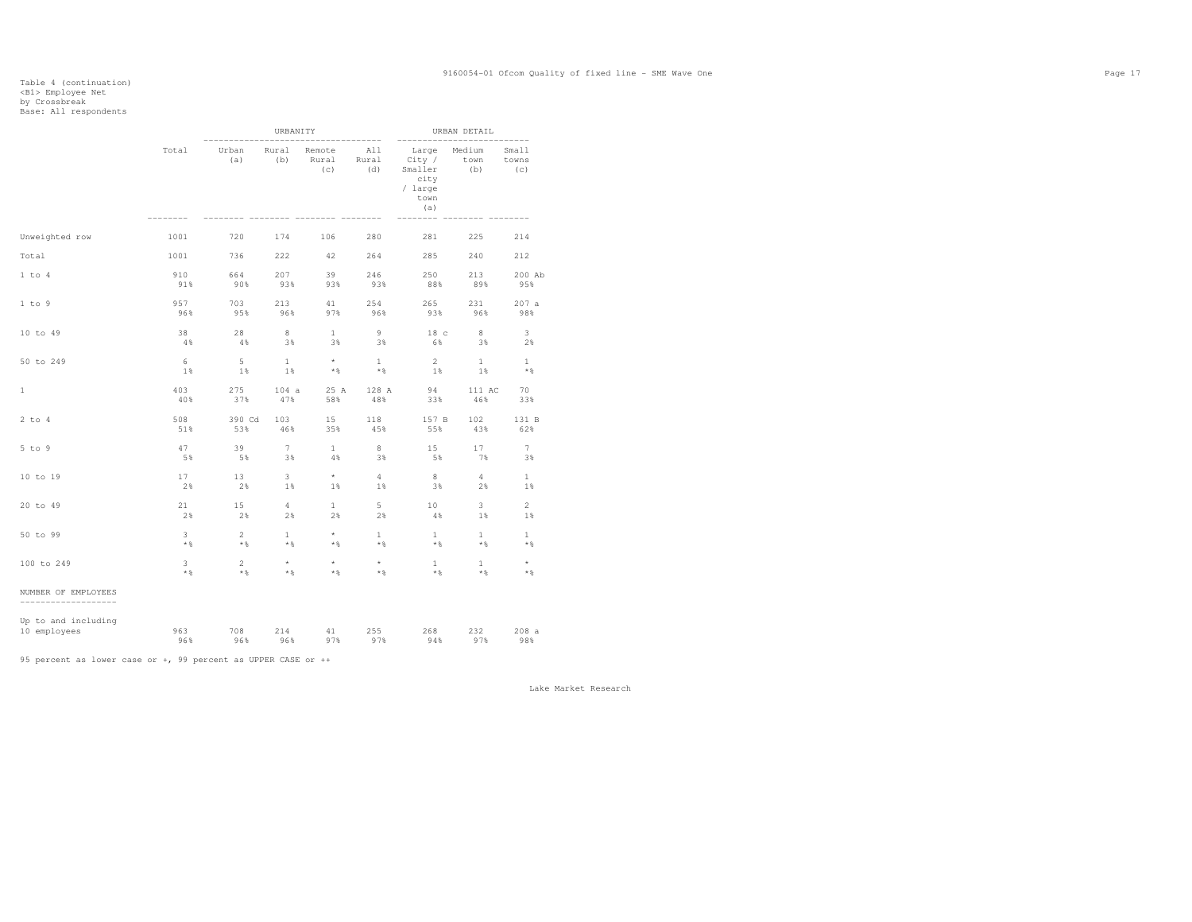|                                             |                |                | URBANITY     | ---------------        |                     | ---------------------------                                  | URBAN DETAIL                                |                       |
|---------------------------------------------|----------------|----------------|--------------|------------------------|---------------------|--------------------------------------------------------------|---------------------------------------------|-----------------------|
|                                             | Total          | Urban<br>(a)   | Rural<br>(b) | Remote<br>Rural<br>(c) | All<br>Rural<br>(d) | Large<br>City /<br>Smaller<br>city<br>/ large<br>town<br>(a) | Medium<br>town<br>(b)<br>----- -------- --- | Small<br>towns<br>(C) |
| Unweighted row                              | 1001           | 720            | 174          | 106                    | 280                 | 281                                                          | 225                                         | 214                   |
| Total                                       | 1001           | 736            | 222          | 42                     | 264                 | 285                                                          | 240                                         | 212                   |
| 1 to 4                                      | 910            | 664            | 207          | 39                     | 246                 | 250                                                          | 213                                         | 200 Ab                |
|                                             | 91%            | 90%            | 93%          | 93%                    | 93%                 | 88%                                                          | 89%                                         | 95%                   |
| 1 to 9                                      | 957            | 703            | 213          | 41                     | 254                 | 265                                                          | 231                                         | 207a                  |
|                                             | 96%            | 95%            | 96%          | 97%                    | 96%                 | 93%                                                          | 96%                                         | 98%                   |
| 10 to 49                                    | 38             | 28             | 8            | $\mathbf{1}$           | 9                   | 18 <sub>c</sub>                                              | 8                                           | $3 -$                 |
|                                             | 4%             | 4%             | 3%           | 3%                     | 3%                  | 6%                                                           | 3%                                          | 2%                    |
| 50 to 249                                   | 6              | - 5            | $\mathbf{1}$ | $\star$                | 1                   | $2^{\circ}$                                                  | $\mathbf{1}$                                | $\mathbf{1}$          |
|                                             | 1%             | 1%             | 1%           | $*$                    | $*$ %               | 1%                                                           | 1%                                          | $*$                   |
| $\mathbf{1}$                                | 403            | 275            | 104a         | 25 A                   | 128 A               | 94                                                           | 111 AC                                      | 70                    |
|                                             | 40%            | 37%            | 47%          | 58%                    | 48%                 | 33%                                                          | 46%                                         | 33%                   |
| $2$ to $4$                                  | 508            | 390 Cd         | 103          | 15                     | 118                 | 157 B                                                        | 102                                         | 131 B                 |
|                                             | 51%            | 53%            | 46%          | 35%                    | 45%                 | 55%                                                          | 43%                                         | 62%                   |
| $5$ to $9$                                  | 47             | 39             | $7^{\circ}$  | $\mathbf{1}$           | 8                   | 15                                                           | 17                                          | 7                     |
|                                             | 5%             | 5%             | 3%           | 4%                     | 3%                  | 5%                                                           | 7%                                          | 3%                    |
| 10 to 19                                    | 17             | 13             | 3            | $\star$                | 4                   | 8                                                            | $4\overline{ }$                             | $\mathbf{1}$          |
|                                             | 2%             | 2%             | 1%           | 1%                     | 1%                  | 3%                                                           | 2%                                          | 1%                    |
| 20 to 49                                    | 21             | 15             | 4            | $\mathbf{1}$           | $5 -$               | 10                                                           | $3 -$                                       | $\overline{2}$        |
|                                             | 2%             | 2%             | 2%           | 2%                     | 2%                  | 4%                                                           | 1%                                          | 1%                    |
| 50 to 99                                    | $\overline{3}$ | $\overline{a}$ | $\mathbf{1}$ | $\star$                | $\mathbf{1}$        | $\mathbf{1}$                                                 | $\mathbf{1}$                                | $\mathbf{1}$          |
|                                             | $*$ %          | $*$ &          | $*$ &        | $*$ &                  | $*$ &               | $*$ &                                                        | $*$                                         | $*$ %                 |
| 100 to 249                                  | $\mathbf{3}$   | $2^{\circ}$    | $\star$      | $\star$                | $^{\star}$          | $\mathbf{1}$                                                 | $\mathbf{1}$                                | $\star$               |
|                                             | $*$ &          | $*$ %          | $*$ %        | $*$ %                  | $*$ &               | $\star$ &                                                    | $*$ &                                       | $*$ %                 |
| NUMBER OF EMPLOYEES<br>-------------------- |                |                |              |                        |                     |                                                              |                                             |                       |
| Up to and including                         | 963            | 708            | 214          | 41                     | 255                 | 268                                                          | 232                                         | 208a                  |
| 10 employees                                | 96%            | 96%            | 96%          | 97%                    | 97%                 | 94%                                                          | 97%                                         | 98%                   |

95 percent as lower case or +, 99 percent as UPPER CASE or ++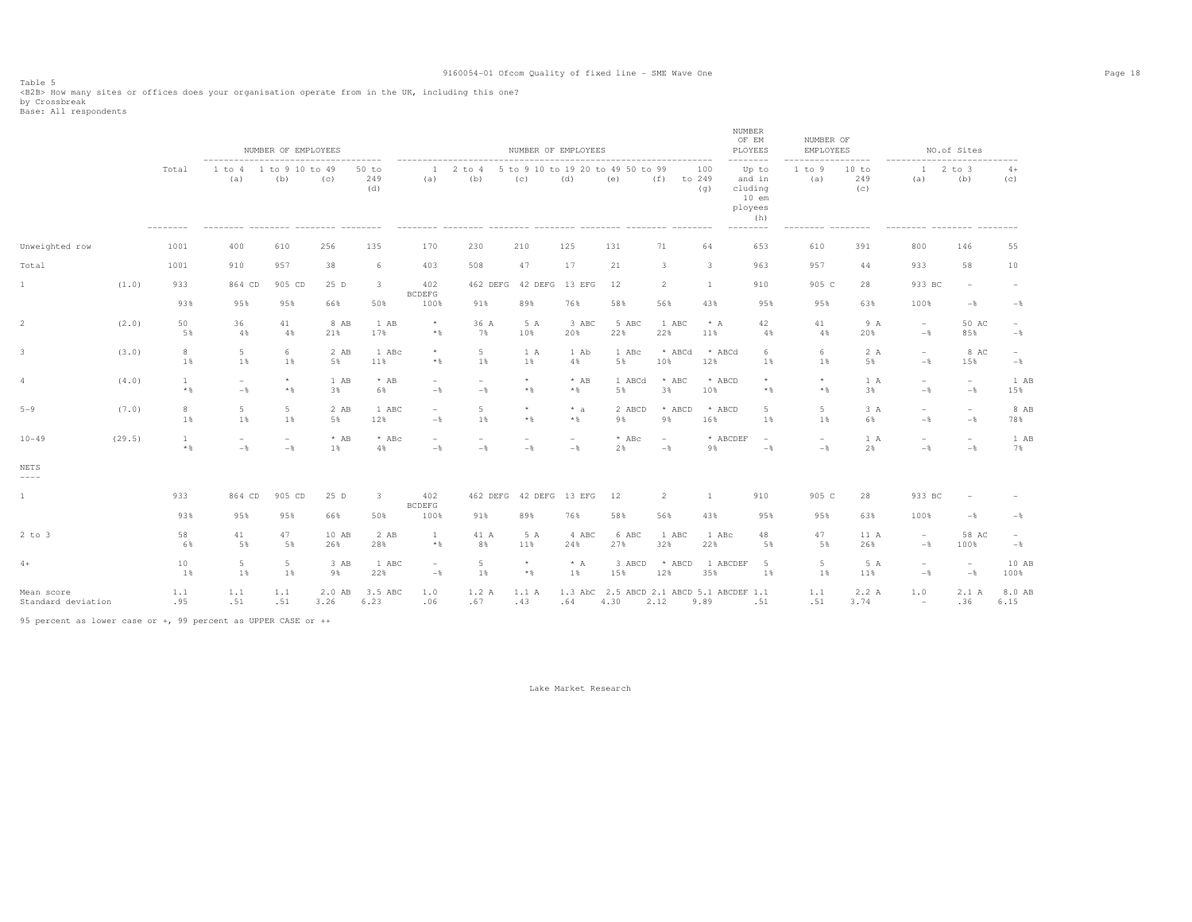Table 5<br><B2B> How many sites or offices does your organisation operate from in the UK, including this one?<br>by Crossbreak<br>Base: All respondents

|                                  |        |                       |                                                                                             | NUMBER OF EMPLOYEES                        |                |                         |                                            |                                 | NUMBER OF EMPLOYEES |                  |                                          |                                            |                      | NUMBER<br>OF EM<br>PLOYEES                                                       | NUMBER OF<br>EMPLOYEES              |                                |                                                                           | NO.of Sites                                |                |
|----------------------------------|--------|-----------------------|---------------------------------------------------------------------------------------------|--------------------------------------------|----------------|-------------------------|--------------------------------------------|---------------------------------|---------------------|------------------|------------------------------------------|--------------------------------------------|----------------------|----------------------------------------------------------------------------------|-------------------------------------|--------------------------------|---------------------------------------------------------------------------|--------------------------------------------|----------------|
|                                  |        | Total<br>--------     | -------------------------------------<br>1 to 4<br>(a)<br>-------- -------- ------- ------- | 1 to 9 10 to 49<br>(b)                     | (c)            | 50 to<br>249<br>(d)     | $\mathbf{1}$<br>(a)                        | 2 to 4<br>(b)                   | (C)                 | (d)              | 5 to 9 10 to 19 20 to 49 50 to 99<br>(e) | (f)                                        | 100<br>to 249<br>(q) | --------<br>Up to<br>and in<br>cluding<br>$10$ em<br>ployees<br>(h)<br>--------- | 1 to 9<br>(a)<br>--------- -------- | -------<br>10 to<br>249<br>(c) | ----------------------------<br>$\mathbf{1}$<br>(a)<br>--------- -------- | $2$ to $3$<br>(b)                          | $4+$<br>(C)    |
| Unweighted row                   |        | 1001                  | 400                                                                                         | 610                                        | 256            | 135                     | 170                                        | 230                             | 210                 | 125              | 131                                      | 71                                         | 64                   | 653                                                                              | 610                                 | 391                            | 800                                                                       | 146                                        | 55             |
| Total                            |        | 1001                  | 910                                                                                         | 957                                        | 38             | 6                       | 403                                        | 508                             | 47                  | 17               | 21                                       | 3                                          | 3                    | 963                                                                              | 957                                 | 44                             | 933                                                                       | 58                                         | 10             |
| $\mathbf{1}$                     | (1.0)  | 933                   | 864 CD                                                                                      | 905 CD                                     | 25 D           | $\overline{3}$          | 402<br><b>BCDEFG</b>                       | 462 DEFG                        | 42 DEFG             | 13 EFG           | 12                                       | 2                                          | <sup>1</sup>         | 910                                                                              | 905 C                               | 28                             | 933 BC                                                                    | $\overline{\phantom{a}}$                   |                |
|                                  |        | 93%                   | 95%                                                                                         | 95%                                        | 66%            | 50%                     | 100%                                       | 91%                             | 89%                 | 76%              | 58%                                      | 56%                                        | 43%                  | 95%                                                                              | 95%                                 | 63%                            | 100%                                                                      | $-$ %                                      | $-\frac{6}{5}$ |
| $\overline{2}$                   | (2.0)  | 50<br>5%              | 36<br>4%                                                                                    | 41<br>4%                                   | 8 AB<br>21%    | 1 AB<br>17%             | $^{\star}$<br>$*$ &                        | 36 A<br>7%                      | 5 A<br>10%          | 3 ABC<br>20%     | 5 ABC<br>22%                             | 1 ABC<br>22%                               | $* A$<br>11%         | 42<br>4%                                                                         | 41<br>4%                            | 9 A<br>20%                     | $\overline{\phantom{a}}$<br>$-$                                           | 50 AC<br>85%                               | $-$            |
| $\mathbf{3}$                     | (3.0)  | $_{\rm 8}$<br>1%      | 5<br>1%                                                                                     | 6<br>1%                                    | 2 AB<br>5%     | 1 ABc<br>11%            | $\star$<br>$*$ %                           | 5<br>1%                         | 1 A<br>1%           | 1 Ab<br>4%       | 1 ABc<br>5%                              | * ABCd<br>10%                              | * ABCd<br>12%        | -6<br>1%                                                                         | 6<br>1%                             | 2 A<br>5%                      | $\overline{\phantom{a}}$<br>$-\frac{6}{5}$                                | 8 AC<br>15%                                | $\sim$<br>$-$  |
| 4                                | (4.0)  | $\mathbf{1}$<br>$*$ % | $\sim$<br>$-$                                                                               | $\star$<br>$*$ &                           | 1 AB<br>3%     | $*$ AB<br>6%            | $\overline{\phantom{a}}$<br>$-\frac{6}{5}$ | $\overline{\phantom{a}}$<br>$-$ | $\star$<br>$*$ &    | $*$ AB<br>$*$    | 1 ABCd<br>5%                             | $*$ ABC<br>3%                              | * ABCD<br>10%        | $*$ &                                                                            | $\star$<br>$*$                      | 1A<br>3%                       | $\overline{\phantom{a}}$<br>$-$                                           | $\overline{\phantom{a}}$<br>$-\frac{6}{9}$ | 1 AB<br>15%    |
| $5 - 9$                          | (7.0)  | 8<br>1%               | $5\phantom{.0}$<br>1%                                                                       | 5<br>1%                                    | 2 AB<br>5%     | 1 ABC<br>12%            | $\overline{\phantom{a}}$<br>$-$            | 5<br>1 %                        | $\star$<br>$*$ &    | $* a$<br>$*$     | 2 ABCD<br>9%                             | * ABCD<br>9%                               | * ABCD<br>16%        | 5<br>1 %                                                                         | 5<br>1 %                            | 3 A<br>6%                      | $\overline{\phantom{m}}$<br>$-\frac{6}{6}$                                | $\overline{\phantom{a}}$<br>$-\frac{6}{6}$ | 8 AB<br>78%    |
| $10 - 49$                        | (29.5) | 1<br>$\star$ $\,$     | $\sim$<br>$-\frac{6}{5}$                                                                    | $\overline{\phantom{a}}$<br>$-\frac{6}{5}$ | $*$ AB<br>1%   | * ABc<br>4%             | $\overline{\phantom{a}}$<br>$-$            | $\overline{\phantom{a}}$<br>$-$ | $\sim$<br>$-$       | $\sim$<br>$-$    | $*$ ABc<br>2%                            | $\overline{\phantom{a}}$<br>$-\frac{6}{5}$ | * ABCDEF<br>9%       | $\overline{\phantom{a}}$<br>$-\frac{6}{5}$                                       | $\overline{\phantom{0}}$<br>$-$     | 1 A<br>2%                      | $\overline{\phantom{a}}$<br>$-$                                           | $\overline{\phantom{a}}$<br>$-\frac{6}{6}$ | 1 AB<br>7%     |
| NETS<br>$---$                    |        |                       |                                                                                             |                                            |                |                         |                                            |                                 |                     |                  |                                          |                                            |                      |                                                                                  |                                     |                                |                                                                           |                                            |                |
| $\mathbf{1}$                     |        | 933                   | 864 CD                                                                                      | 905 CD                                     | 25 D           | $\overline{\mathbf{3}}$ | 402<br><b>BCDEFG</b>                       | 462 DEFG                        | 42 DEFG             | 13 EFG           | 12                                       | 2                                          | -1                   | 910                                                                              | 905 C                               | 28                             | 933 BC                                                                    | $\sim$                                     |                |
|                                  |        | 93%                   | 95%                                                                                         | 95%                                        | 66%            | 50%                     | 100%                                       | 91%                             | 89%                 | 76%              | 58%                                      | 56%                                        | 43%                  | 95%                                                                              | 95%                                 | 63%                            | 100%                                                                      | $-\frac{6}{6}$                             | $-$            |
| $2$ to $3$                       |        | 58<br>6%              | 41<br>5%                                                                                    | 47<br>5%                                   | 10 AB<br>26%   | 2 AB<br>28%             | 1<br>$*$ %                                 | 41 A<br>8%                      | 5 A<br>11%          | 4 ABC<br>24%     | 6 ABC<br>27%                             | 1 ABC<br>32%                               | 1 ABc<br>22%         | 48<br>5%                                                                         | 47<br>5%                            | 11 A<br>26%                    | $\hspace{0.1mm}-\hspace{0.1mm}$<br>$-$                                    | 58 AC<br>100%                              | $\sim$<br>$-$  |
| $4+$                             |        | 10<br>1%              | 5<br>1%                                                                                     | 5<br>1%                                    | 3 AB<br>9%     | 1 ABC<br>22%            | $\overline{\phantom{a}}$<br>$-$            | 5<br>1%                         | $\star$<br>$*$ &    | $* A$<br>1%      | 3 ABCD<br>15%                            | * ABCD<br>12%                              | 1 ABCDEF<br>35%      | -5<br>1%                                                                         | 5<br>1%                             | 5 A<br>11%                     | $\overline{\phantom{a}}$<br>$-$                                           | $\overline{\phantom{a}}$<br>$-$ 8          | 10 AB<br>100%  |
| Mean score<br>Standard deviation |        | 1.1<br>.95            | 1.1<br>.51                                                                                  | 1.1<br>.51                                 | 2.0 AB<br>3.26 | 3.5 ABC<br>6.23         | 1.0<br>.06                                 | 1.2 A<br>.67                    | 1.1A<br>.43         | $1.3$ AbC<br>.64 | 2.5 ABCD 2.1 ABCD 5.1 ABCDEF 1.1<br>4.30 | 2.12                                       | 9.89                 | .51                                                                              | 1.1<br>.51                          | 2.2 A<br>3.74                  | 1.0<br>$\overline{\phantom{a}}$                                           | 2.1A<br>.36                                | 8.0 AB<br>6.15 |

95 percent as lower case or +, 99 percent as UPPER CASE or ++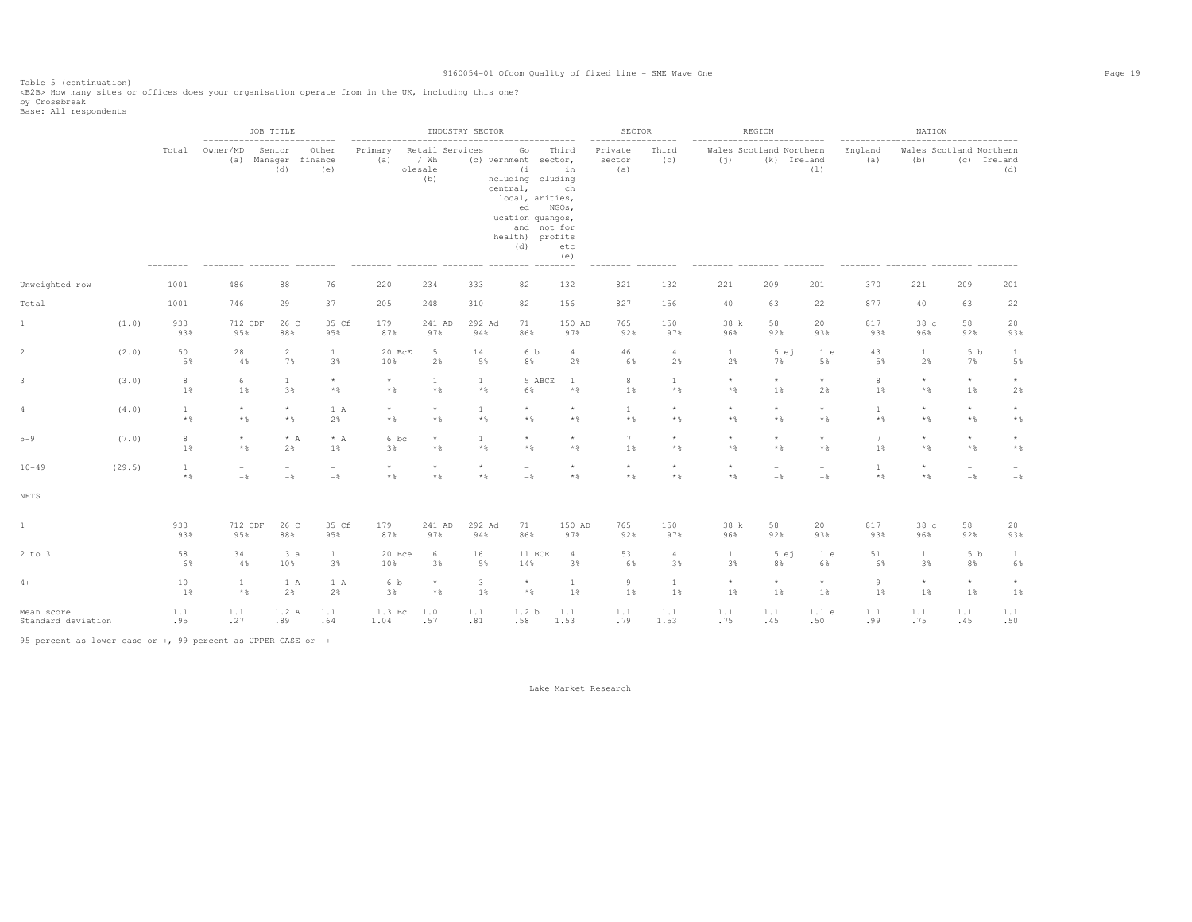Table 5 (continuation)<br><B2B> How many sites or offices does your organisation operate from in the UK, including this one?<br>by Crossbreak<br>Base: All respondents

|                                  |        |                       |                                   | JOB TITLE                         | -------                                | --------------------- |                                           | INDUSTRY SECTOR              |                                                                                                                                                                                                   |                                               | SECTOR<br>$- - - - - - -$ | ------                 |                                    | REGION                                 |                                            |                     | NATION                         |                                   |                            |
|----------------------------------|--------|-----------------------|-----------------------------------|-----------------------------------|----------------------------------------|-----------------------|-------------------------------------------|------------------------------|---------------------------------------------------------------------------------------------------------------------------------------------------------------------------------------------------|-----------------------------------------------|---------------------------|------------------------|------------------------------------|----------------------------------------|--------------------------------------------|---------------------|--------------------------------|-----------------------------------|----------------------------|
|                                  |        | Total                 | -------------------<br>Owner/MD   | Senior<br>(a) Manager<br>(d)      | Other<br>finance<br>(e)                | Primary<br>(a)        | Retail Services<br>/ Wh<br>olesale<br>(b) |                              | . _ _ _ _ _ _ _ _ _ _ _ _ _ _ _ _<br>Go<br>(c) vernment sector,<br>(i<br>ncluding cluding<br>central,<br>local, arities,<br>ed NGOs,<br>ucation quangos,<br>and not for<br>health) profits<br>(d) | Third<br>in<br>ch<br>etc<br>(e)<br>$-- - - -$ | Private<br>sector<br>(a)  | Third<br>(C)           | ---------------------------<br>(i) | Wales Scotland Northern<br>(k) Ireland | (1)                                        | England<br>(a)      | Wales Scotland Northern<br>(b) | (c) Ireland                       | (d)                        |
| Unweighted row                   |        | 1001                  | 486                               | 88                                | 76                                     | 220                   | 234                                       | 333                          | 82                                                                                                                                                                                                | 132                                           | 821                       | 132                    | 221                                | 209                                    | 201                                        | 370                 | 221                            | 209                               | 201                        |
| Total                            |        | 1001                  | 746                               | 29                                | 37                                     | 205                   | 248                                       | 310                          | 82                                                                                                                                                                                                | 156                                           | 827                       | 156                    | 40                                 | 63                                     | 22                                         | 877                 | 40                             | 63                                | 22                         |
| 1                                | (1.0)  | 933<br>93%            | 712 CDF<br>95%                    | 26 C<br>88%                       | 35 Cf<br>95%                           | 179<br>87%            | 241 AD<br>97%                             | 292 Ad<br>94%                | 71<br>86%                                                                                                                                                                                         | 150 AD<br>97%                                 | 765<br>92%                | 150<br>97%             | 38 k<br>96%                        | 58<br>92%                              | 20<br>93%                                  | 817<br>93%          | 38 c<br>96%                    | 58<br>92%                         | 20<br>93%                  |
| 2                                | (2.0)  | 50<br>5%              | 28<br>4%                          | 2<br>7%                           | $\mathbf{1}$<br>3%                     | 20 BcE<br>10%         | 5<br>2%                                   | 14<br>5%                     | 6 b<br>8%                                                                                                                                                                                         | $\overline{4}$<br>2%                          | 46<br>6%                  | $\overline{4}$<br>2%   | $\mathbf{1}$<br>2%                 | 5 e i<br>7%                            | 1 e<br>5%                                  | 43<br>5%            | $\mathbf{1}$<br>2%             | 5 <sub>b</sub><br>7%              | <sup>1</sup><br>5%         |
| 3                                | (3.0)  | 8<br>1%               | 6<br>1%                           | $\mathbf{1}$<br>3%                | $\star$<br>$*$ &                       | $^{\star}$<br>$*$ %   | $\mathbf{1}$<br>$*$ &                     | $\mathbf{1}$<br>$*$ &        | 5 ABCE<br>6%                                                                                                                                                                                      | 1<br>$*$                                      | 8<br>1%                   | $\mathbf{1}$<br>$*$ &  | $\star$<br>$*$ &                   | $^{\star}$<br>1%                       | $^\star$<br>2%                             | 8<br>1%             | $\star$<br>$*$ &               | $^{\star}$<br>1%                  | $\star$<br>2%              |
| 4                                | (4.0)  | $\mathbf{1}$<br>$*$   | $\star$<br>$*$                    | $\star$<br>$*$ &                  | 1 A<br>2%                              | $^{\star}$<br>$*$ &   | $^{\star}$<br>$*$ &                       | $\mathbf{1}$<br>$\star$ $\,$ | $\star$<br>$*$ &                                                                                                                                                                                  | $\star$<br>$*$ &                              | $\mathbf{1}$<br>$*$ %     | $\star$<br>$*$ &       | $\star$<br>$*$ %                   | $\star$<br>$*$ &                       | $\star$<br>$*$ &                           | $\mathbf{1}$<br>$*$ | $\star$<br>$*$ &               | $\star$<br>$*$ &                  | $^{\star}$<br>$\star$ $\,$ |
| $5 - 9$                          | (7.0)  | 8<br>1%               | $\star$<br>$*$                    | $* A$<br>2%                       | $* A$<br>1%                            | 6 bc<br>3%            | $\star$<br>$\star$ $\,$                   | $\mathbf{1}$<br>$\star$ $\,$ | $\star$<br>$*$ &                                                                                                                                                                                  | $\star$<br>$*$                                | 7<br>1%                   | $\star$<br>$*$ &       | $\star$<br>$*$ &                   | $^{\star}$<br>$*$ &                    | $\star$<br>$*$ &                           | 7<br>1%             | $\star$<br>$*$ &               | $\star$<br>$*$ &                  | $\star$<br>$\star$ $\,$    |
| $10 - 49$                        | (29.5) | $\mathbf{1}$<br>$*$ & | $\overline{\phantom{m}}$<br>$-\,$ | $\overline{\phantom{m}}$<br>$-\,$ | $\overline{\phantom{a}}$<br>$-\,$ $\,$ | $\star$<br>$*$ &      | $\star$<br>$*$ &                          | $\star$<br>$\star$ $\,$      | ÷<br>$-$                                                                                                                                                                                          | $\star$<br>$*$ &                              | $\star$<br>$\star$ $\,$   | $\star$<br>$*$ &       | $\star$<br>$*$ &                   | $\overline{\phantom{0}}$<br>$-\,$      | $\overline{\phantom{a}}$<br>$-\frac{6}{6}$ | 1<br>$*$            | $\star$<br>$*$ &               | $\overline{\phantom{a}}$<br>$-\,$ | $\sim$<br>$-\frac{6}{6}$   |
| NETS<br>$--- - -$                |        |                       |                                   |                                   |                                        |                       |                                           |                              |                                                                                                                                                                                                   |                                               |                           |                        |                                    |                                        |                                            |                     |                                |                                   |                            |
| 1.                               |        | 933<br>93%            | 712 CDF<br>95%                    | 26 C<br>88%                       | 35 Cf<br>95%                           | 179<br>87%            | 241 AD<br>97%                             | 292 Ad<br>94%                | 71<br>86%                                                                                                                                                                                         | 150 AD<br>97%                                 | 765<br>92%                | 150<br>97%             | 38 k<br>96%                        | 58<br>92%                              | 20<br>93%                                  | 817<br>93%          | 38 <sub>c</sub><br>96%         | 58<br>92%                         | 20<br>93%                  |
| 2 to 3                           |        | 58<br>6%              | 34<br>4%                          | 3a<br>10%                         | $\mathbf{1}$<br>3%                     | 20 Bce<br>10%         | 6<br>3%                                   | 16<br>5%                     | 11 BCE<br>14%                                                                                                                                                                                     | $\overline{4}$<br>3%                          | 53<br>6%                  | $4\phantom{.00}$<br>3% | $\mathbf{1}$<br>3%                 | 5 e i<br>8%                            | 1 e<br>6%                                  | 51<br>6%            | $\mathbf{1}$<br>3%             | 5 <sub>b</sub><br>8%              | $\mathbf{1}$<br>6%         |
| 4+                               |        | 10<br>1%              | <b>1</b><br>$\star$ $\,$          | 1 A<br>2%                         | 1 A<br>2%                              | 6 b<br>3%             | $^\star$<br>$\star$ $\,$                  | $\mathbf{3}$<br>1%           | $^{\star}$<br>$\star$ $\S$                                                                                                                                                                        | $\mathbf{1}$<br>1%                            | 9<br>1%                   | $\mathbf{1}$<br>1%     | $^{\star}$<br>1%                   | $^\star$<br>1%                         | $^\star$<br>1%                             | 9<br>1%             | $\star$<br>1%                  | $\star$<br>1%                     | $^{\star}$<br>1%           |
| Mean score<br>Standard deviation |        | 1.1<br>.95            | 1.1<br>.27                        | 1.2 A<br>.89                      | 1.1<br>.64                             | 1.3 Bc<br>1.04        | 1.0<br>.57                                | 1.1<br>.81                   | 1.2 <sub>b</sub><br>.58                                                                                                                                                                           | 1.1<br>1.53                                   | 1.1<br>.79                | 1.1<br>1.53            | 1.1<br>.75                         | 1.1<br>.45                             | $1.1$ e<br>.50                             | 1.1<br>.99          | 1.1<br>.75                     | 1.1<br>.45                        | 1.1<br>.50                 |

95 percent as lower case or +, 99 percent as UPPER CASE or ++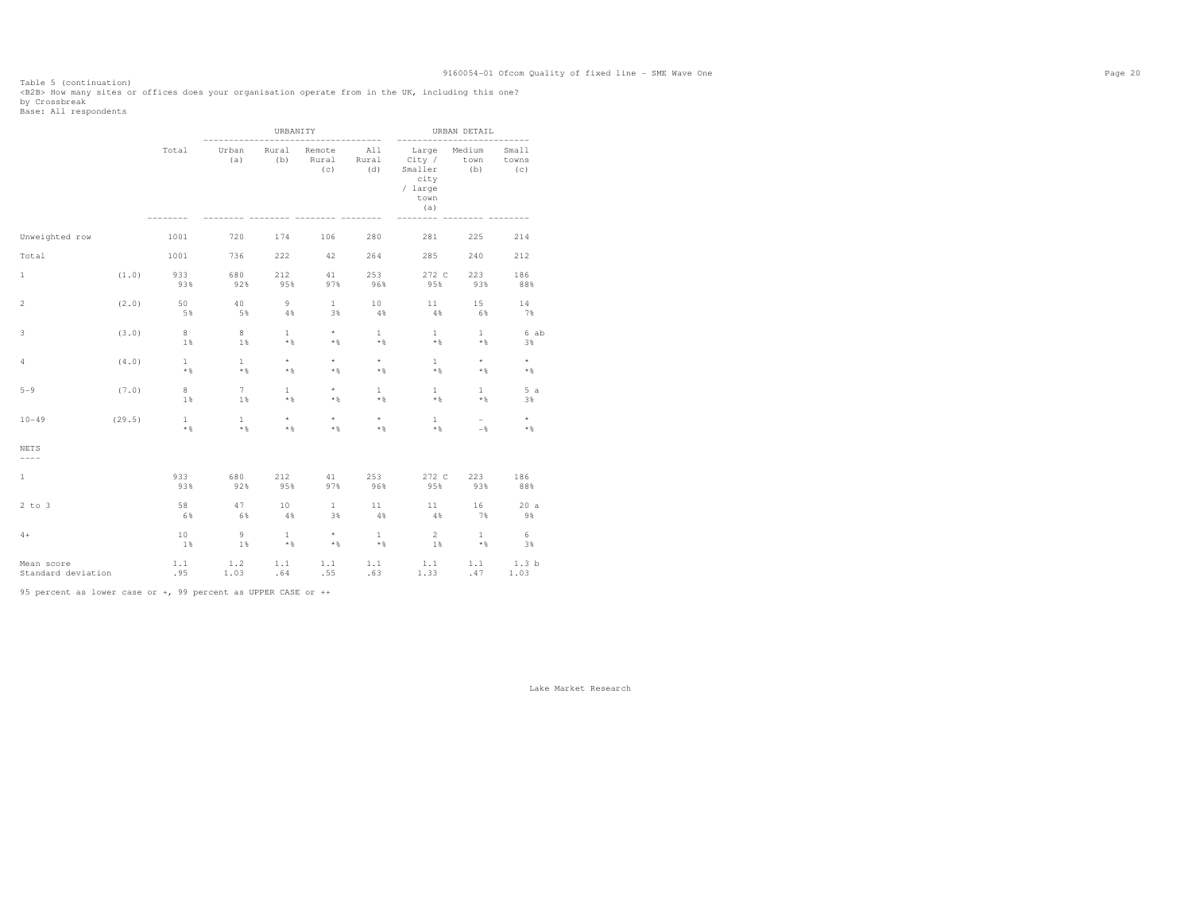Table 5 (continuation)<br><B2B> How many sites or offices does your organisation operate from in the UK, including this one?<br>by Crossbreak<br>Base: All respondents

|                                  |        |                       |                         | URBANITY                     |                                                    | -----------           | -----------                                                                        | URBAN DETAIL        | ----------            |
|----------------------------------|--------|-----------------------|-------------------------|------------------------------|----------------------------------------------------|-----------------------|------------------------------------------------------------------------------------|---------------------|-----------------------|
|                                  |        | Total                 | Urban<br>(a)            | Rural<br>(b)                 | Rural<br>(C)                                       | Remote All<br>(d)     | Large Medium<br>Rural City / town<br>Smaller (b)<br>city<br>/ large<br>town<br>(a) |                     | Small<br>towns<br>(C) |
| Unweighted row                   |        | 1001                  | 720                     | 174                          | 106                                                | 280                   | 281                                                                                | 225                 | 214                   |
| Total                            |        | 1001                  | 736                     | 222                          | 42                                                 | 264                   | 285                                                                                | 240                 | 212                   |
| $\mathbf{1}$                     | (1.0)  | 933<br>93%            | 680<br>92%              | 212<br>95%                   | 41 /<br>97%                                        | 253<br>96%            | 272 C<br>95%                                                                       | 223<br>93%          | 186<br>88%            |
| $\overline{2}$                   | (2.0)  | 50<br>5%              | 40<br>5%                | 9<br>4%                      | 1<br>3%                                            | $10-10$<br>4%         | 11<br>4%                                                                           | 15<br>6%            | 14<br>7%              |
| 3                                | (3.0)  | 8 <sup>1</sup><br>1%  | 8 <sup>1</sup><br>1%    | 1<br>$\star$ $\,$            | $\star$<br>$*$ &                                   | $\mathbf{1}$<br>$*$   | 1<br>$*$ %                                                                         | $\mathbf{1}$<br>$*$ | 6 ab<br>3%            |
| $\overline{4}$                   | (4.0)  | $\mathbf{1}$<br>$*$ & | $\mathbf{1}$<br>$*$ %   | $\star$<br>$*$ &             | $\star$<br>$*$ &                                   | $\star$<br>$*$ &      | 1<br>$\star$ &                                                                     | $\star$<br>$*$      | $\star$<br>$*$ &      |
| $5 - 9$                          | (7.0)  | 8<br>$1\,$            | 7<br>$1\%$              | $\mathbf{1}$<br>$\star$ $\,$ | $\star$<br>$*$ &                                   | $\mathbf{1}$<br>$*$ % | 1<br>$*$ %                                                                         | $\mathbf{1}$<br>$*$ | 5a<br>3%              |
| $10 - 49$                        | (29.5) | $\mathbf{1}$<br>$*$ & | $\overline{1}$<br>$*$ & | $\star$<br>$*$ &             | $\star$<br>$*$ &                                   | $\star$<br>$*$ &      | 1<br>$*$ &                                                                         | $\sim$<br>$-$       | $\star$<br>$*$ &      |
| <b>NETS</b><br>$--- - -$         |        |                       |                         |                              |                                                    |                       |                                                                                    |                     |                       |
| $\mathbf{1}$                     |        | 933<br>93%            | 680<br>92%              | 212<br>95%                   | 41<br>97%                                          | 253<br>96%            | 272 C<br>95%                                                                       | 223<br>93%          | 186<br>88%            |
| $2$ to $3$                       |        | 58<br>6%              | 47<br>6%                | 10<br>$4\%$                  | $\mathbf{1}$<br>3%                                 | 11<br>$4\%$           | 4%                                                                                 | 16<br>7%            | 20a<br>9%             |
| $4+$                             |        | 10<br>1%              | $-9$<br>1%              | $\mathbf{1}$<br>$*$          | $\star$<br>$*$                                     | 1<br>$*$              | $2^{\circ}$<br>1%                                                                  | $\mathbf{1}$<br>$*$ | 6<br>3%               |
| Mean score<br>Standard deviation |        | 1.1<br>.95            | 1.2                     |                              | $1.1 \t 1.1 \t 1.1$<br>$1.03 \t .64 \t .55 \t .63$ |                       |                                                                                    | $1.1$ $1.1$ $1.3$ b | $1.33$ $.47$ $1.03$   |

95 percent as lower case or +, 99 percent as UPPER CASE or ++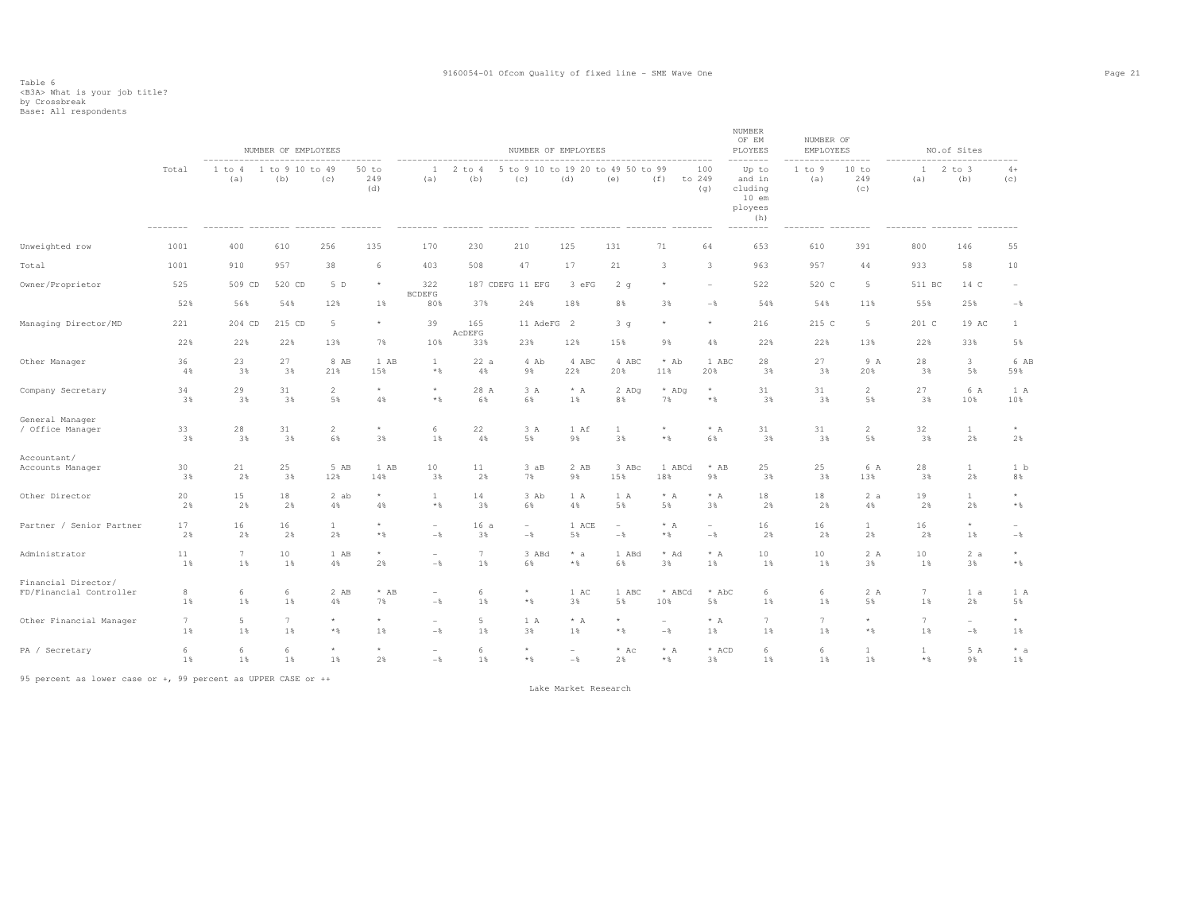|                          |                 |                 | NUMBER OF EMPLOYEES    |                |                       |                          |               |                                          | NUMBER OF EMPLOYEES      |                          |                          |                          | NUMBER<br>OF EM<br>PLOYEES<br>$- - - - - -$                         | NUMBER OF<br>EMPLOYEES |                     |                     | NO.of Sites              |                          |
|--------------------------|-----------------|-----------------|------------------------|----------------|-----------------------|--------------------------|---------------|------------------------------------------|--------------------------|--------------------------|--------------------------|--------------------------|---------------------------------------------------------------------|------------------------|---------------------|---------------------|--------------------------|--------------------------|
|                          | Total           | 1 to 4<br>(a)   | 1 to 9 10 to 49<br>(b) | (c)            | $50$ to<br>249<br>(d) | $\mathbb{1}$<br>(a)      | 2 to 4<br>(b) | 5 to 9 10 to 19 20 to 49 50 to 99<br>(C) | (d)                      | (e)                      | (f)                      | 100<br>to 249<br>(q)     | Up to<br>and in<br>cluding<br>$10$ em<br>ployees<br>(h)<br>-------- | 1 to 9<br>(a)          | 10 to<br>249<br>(c) | $\mathbf{1}$<br>(a) | $2$ to $3$<br>(b)        | $4+$<br>(C)              |
| Unweighted row           | 1001            | 400             | 610                    | 256            | 135                   | 170                      | 230           | 210                                      | 125                      | 131                      | 71                       | 64                       | 653                                                                 | 610                    | 391                 | 800                 | 146                      | 55                       |
| Total                    | 1001            | 910             | 957                    | 38             | 6                     | 403                      | 508           | 47                                       | 17                       | 21                       | 3                        | 3                        | 963                                                                 | 957                    | 44                  | 933                 | 58                       | 10                       |
| Owner/Proprietor         | 525             | 509 CD          | 520 CD                 | 5 D            | $\star$               | 322<br><b>BCDEFG</b>     |               | 187 CDEFG 11 EFG                         | 3 eFG                    | 2 <sub>g</sub>           | $\star$                  |                          | 522                                                                 | 520 C                  | 5                   | 511 BC              | 14 C                     | $\overline{\phantom{m}}$ |
|                          | 52%             | 56%             | 54%                    | 12%            | 1%                    | 80%                      | 37%           | 24%                                      | 18%                      | 8%                       | 3%                       | $-$                      | 54%                                                                 | 54%                    | 11%                 | 55%                 | 25%                      | $-\frac{6}{6}$           |
| Managing Director/MD     | 221             | 204 CD          | 215 CD                 | 5              | $^\star$              | 39                       | 165<br>ACDEFG | 11 AdeFG 2                               |                          | 3 <sub>g</sub>           | $\star$                  | $\star$                  | 216                                                                 | 215 C                  | 5                   | 201 C               | 19 AC                    | $\mathbf{1}$             |
|                          | 22%             | 22%             | 22%                    | 13%            | 7%                    | 10%                      | 33%           | 23%                                      | 12%                      | 15%                      | 9%                       | 4%                       | 22%                                                                 | 22%                    | 13%                 | 22%                 | 33%                      | 5%                       |
| Other Manager            | 36              | 23              | 27                     | 8 AB           | 1 AB                  | $\mathbf{1}$             | 22a           | 4 Ab                                     | 4 ABC                    | 4 ABC                    | * Ab                     | 1 ABC                    | 28                                                                  | 27                     | 9 A                 | 28                  | 3                        | 6 AB                     |
|                          | 4%              | 3%              | 3%                     | 21%            | 15%                   | $\star$ $\,$             | 4%            | 9%                                       | 22%                      | 20%                      | 11%                      | 20%                      | 3%                                                                  | 3%                     | 20%                 | 3%                  | 5%                       | 59%                      |
| Company Secretary        | 34              | 29              | 31                     | $\overline{2}$ | $^\star$              | $^\star$                 | 28 A          | 3A                                       | $* A$                    | 2 ADq                    | * ADq                    | $\star$                  | 31                                                                  | 31                     | 2                   | 27                  | 6 A                      | 1 A                      |
|                          | 3%              | 3%              | 3%                     | 5%             | $4\,$                 | $\star$ $\,$             | 6%            | 6%                                       | 1%                       | 8%                       | 7%                       | * %                      | 3%                                                                  | 3%                     | 5%                  | 3%                  | 10%                      | 10%                      |
| General Manager          | 33              | 28              | 31                     | $\overline{2}$ | $\star$               | 6                        | 22            | 3A                                       | 1 Af                     | $\mathbf{1}$             | $\star$ $\,$             | $* A$                    | 31                                                                  | 31                     | 2                   | 32                  | $\mathbf{1}$             | $\star$                  |
| / Office Manager         | 3%              | 3%              | 3%                     | 6%             | 3%                    | 1%                       | 4%            | 5%                                       | 9%                       | 3%                       |                          | 6%                       | 3%                                                                  | 3%                     | 5%                  | 3%                  | 2%                       | 2%                       |
| Accountant/              | 30              | 21              | 25                     | 5 AB           | 1 AB                  | 10                       | 11            | 3aB                                      | 2 AB                     | 3 ABc                    | 1 ABCd                   | * AB                     | 25                                                                  | 25                     | 6 A                 | 28                  | $\mathbf{1}$             | 1 <sub>b</sub>           |
| Accounts Manager         | 3%              | 2%              | 3%                     | 12%            | 14%                   | 3%                       | 2%            | 7%                                       | 9%                       | 15%                      | 18%                      | 9%                       | 3%                                                                  | 3%                     | 13%                 | 3%                  | 2%                       | 8%                       |
| Other Director           | 20              | 15              | $1\,8$                 | 2 ab           | $\star$               | $\mathbf{1}$             | 14            | 3 Ab                                     | 1 A                      | 1 A                      | $* A$                    | $\star$ $\,$ A           | $1\,8$                                                              | $1\,8$                 | 2a                  | 19                  | $\mathbf{1}$             | $^{\star}$               |
|                          | 2%              | 2%              | 2%                     | 4%             | 4%                    | $\star$ $\,$             | 3%            | 6%                                       | 4%                       | 5%                       | 5%                       | 3%                       | 2%                                                                  | 2%                     | 4%                  | 2%                  | 2%                       | $*$ &                    |
| Partner / Senior Partner | 17              | 16              | 16                     | $\mathbf{1}$   | $^\star$              | $\overline{\phantom{a}}$ | 16a           | $\sim$                                   | 1 ACE                    | $\overline{\phantom{a}}$ | $* A$                    | $\overline{\phantom{0}}$ | 16                                                                  | 16                     | $\mathbf{1}$        | 16                  | $\star$                  | $\sim$                   |
|                          | 2%              | 2%              | 2%                     | 2%             | $\star$ $\,$          | $-$                      | 3%            | $-\frac{6}{6}$                           | 5%                       | $-$                      | $*$ &                    | $-$                      | 2%                                                                  | 2%                     | 2%                  | 2%                  | 1%                       | $-\frac{6}{6}$           |
| Administrator            | 11              | $7\phantom{.0}$ | 10                     | 1 AB           | $\star$               | $\overline{\phantom{a}}$ | $\tau$        | 3 ABd                                    | $* a$                    | 1 ABd                    | * Ad                     | $* A$                    | 10                                                                  | 10                     | 2A                  | 10                  | 2a                       | $\star$                  |
|                          | 1%              | 1%              | 1%                     | 4%             | 2%                    | $-$                      | 1%            | 6%                                       | $\star$ &                | 6%                       | 3%                       | 1%                       | 1%                                                                  | 1%                     | 3%                  | 1%                  | 3%                       | $\star$ $\,$             |
| Financial Director/      | $_{\rm 8}$      | 6               | 6                      | 2 AB           | $*$ AB                | $\overline{\phantom{a}}$ | 6             | $\star$                                  | 1 AC                     | 1 ABC                    | * ABCd                   | * AbC                    | 6                                                                   | 6                      | 2A                  | $7\phantom{.0}$     | 1 a                      | 1 A                      |
| FD/Financial Controller  | 1%              | 1%              | 1%                     | 4%             | 7%                    | $-$                      | 1%            | $*$ &                                    | 3%                       | 5%                       | 10%                      | 5%                       | 1%                                                                  | 1%                     | 5%                  | 1%                  | 2%                       | 5%                       |
| Other Financial Manager  | $7\phantom{.0}$ | 5               | 7                      | $\star$        | $\star$               | $\sim$                   | 5             | 1 A                                      | $* A$                    | $\star$                  | $\overline{\phantom{a}}$ | $* A$                    | $\overline{7}$                                                      | 7                      | $\star$             | 7                   | $\overline{\phantom{a}}$ | $\star$                  |
|                          | 1%              | 1%              | 1%                     | $\star$ $\S$   | 1%                    | $-$                      | 1%            | 3%                                       | 1%                       | $*$ &                    | $-$                      | 1%                       | 1%                                                                  | 1%                     | $\star$ $\,$        | 1%                  | $-$                      | 1%                       |
| PA / Secretary           | 6               | 6               | 6                      | $\star$        | $\star$               | $\overline{a}$           | 6             | $\star$                                  | $\overline{\phantom{a}}$ | $*$ Ac                   | $* A$                    | * ACD                    | 6                                                                   | 6                      | $\mathbf{1}$        | $\mathbf{1}$        | 5 A                      | $* a$                    |
|                          | 1%              | 1%              | 1%                     | 1%             | 2%                    | $-$                      | 1%            | $*$ &                                    | $-$                      | 2%                       | $\star$ $\,$             | 3%                       | 1%                                                                  | 1%                     | 1%                  | $*$ %               | 9%                       | 1%                       |

95 percent as lower case or +, 99 percent as UPPER CASE or ++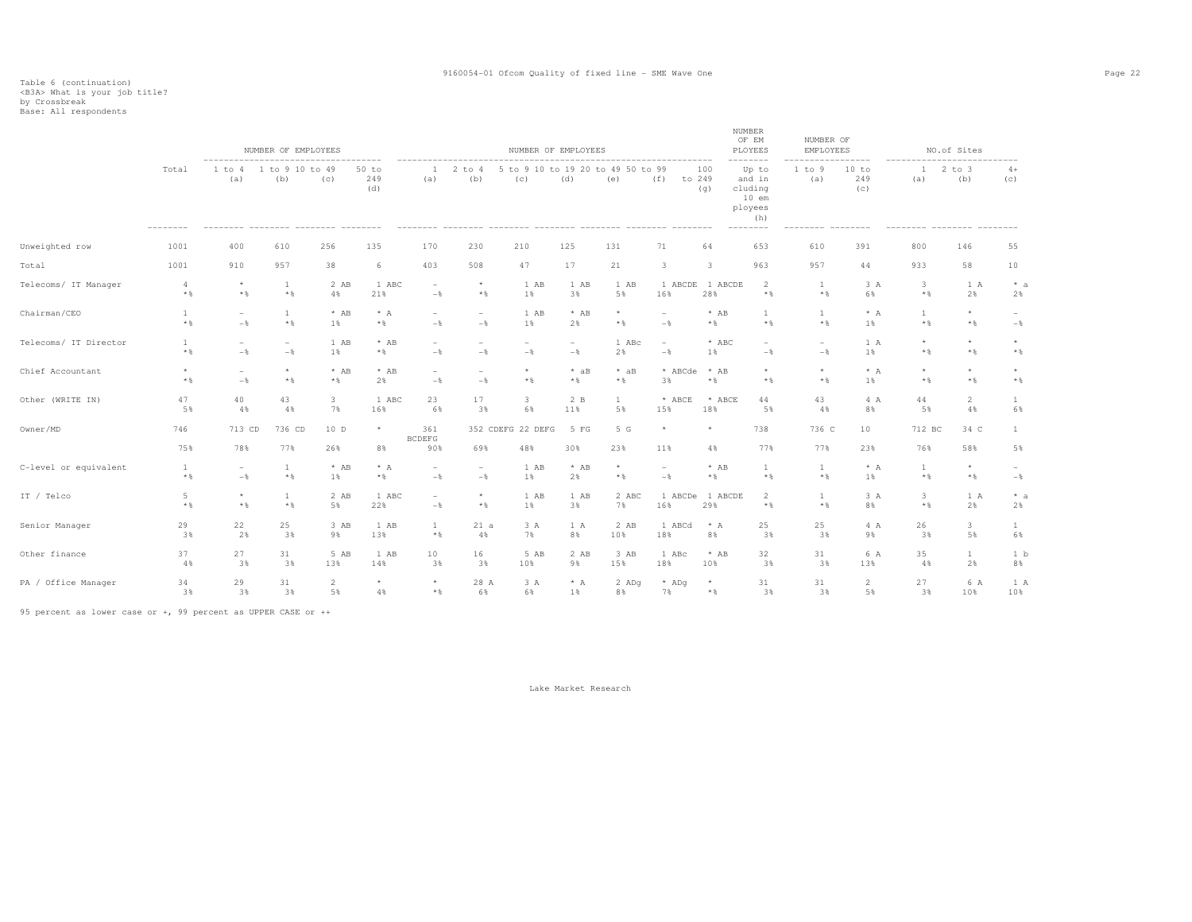### Table 6 (continuation) <B3A> What is your job title? by Crossbreak Base: All respondents

|                       |                              |                                   | NUMBER OF EMPLOYEES                        |              |                       |                             |                          |                          | NUMBER OF EMPLOYEES |                                        |                         |                      | <b>NUMBER</b><br>OF EM<br>PLOYEES                                               | NUMBER OF<br>EMPLOYEES |                                 |                         | NO.of Sites             |                         |
|-----------------------|------------------------------|-----------------------------------|--------------------------------------------|--------------|-----------------------|-----------------------------|--------------------------|--------------------------|---------------------|----------------------------------------|-------------------------|----------------------|---------------------------------------------------------------------------------|------------------------|---------------------------------|-------------------------|-------------------------|-------------------------|
|                       | Total                        | 1 to 4<br>(a)                     | 1 to 9 10 to 49<br>(b)                     | (C)          | $50$ to<br>249<br>(d) | 1<br>(a)                    | $2$ to $4$<br>(b)        | -5<br>(c)                | (d)                 | to 9 10 to 19 20 to 49 50 to 99<br>(e) | (f)                     | 100<br>to 249<br>(q) | --------<br>Up to<br>and in<br>cluding<br>$10$ em<br>ployees<br>(h)<br>-------- | 1 to 9<br>(a)          | 10 to<br>249<br>(c)<br>-------- | $\mathbf{1}$<br>(a)     | $2$ to $3$<br>(b)       | $4+$<br>(C)             |
| Unweighted row        | 1001                         | 400                               | 610                                        | 256          | 135                   | 170                         | 230                      | 210                      | 125                 | 131                                    | 71                      | 64                   | 653                                                                             | 610                    | 391                             | 800                     | 146                     | 55                      |
| Total                 | 1001                         | 910                               | 957                                        | 38           | 6                     | 403                         | 508                      | 47                       | 17                  | 21                                     | $\overline{\mathbf{3}}$ | 3                    | 963                                                                             | 957                    | 44                              | 933                     | 58                      | 10                      |
| Telecoms/ IT Manager  | 4                            | $\star$                           | 1                                          | 2 AB         | 1 ABC                 | $\overline{a}$              | $\star$                  | 1 AB                     | 1 AB                | 1 AB                                   | 1 ABCDE                 | 1 ABCDE              | 2                                                                               | <sup>1</sup>           | 3A                              | 3                       | 1 A                     | $*$ a                   |
|                       | $*$ %                        | $*$ %                             | $*$ &                                      | 4%           | 21%                   | $-\frac{6}{5}$              | $*$ %                    | 1%                       | 3%                  | 5%                                     | 16%                     | 28%                  | $*$ %                                                                           | $*$ &                  | 6%                              | $*$ &                   | 2%                      | 2%                      |
| Chairman/CEO          | $\mathbf{1}$<br>$\star$ $\,$ | $\overline{\phantom{a}}$<br>$-$   | $\mathbf{1}$<br>$*$ %                      | $*$ AB<br>1% | $* A$<br>$*$          | ۰<br>$-$                    | $\sim$<br>$-\frac{6}{5}$ | 1 AB<br>1%               | $*$ AB<br>2%        | $^{\star}$<br>$*$ &                    | $-\frac{6}{5}$          | $*$ AB<br>$*$ &      | $\mathbf{1}$<br>$*$ %                                                           | $\mathbf{1}$<br>$*$ &  | $* A$<br>1%                     | 1<br>$*$ %              | $\star$<br>$\star$ $\,$ | $-$                     |
| Telecoms/ IT Director | 1<br>$*$ %                   | $\overline{\phantom{a}}$<br>$-$ 8 | $\overline{\phantom{a}}$<br>$-\frac{6}{5}$ | 1 AB<br>1%   | $*$ AB<br>$*$         | $-$                         | $-\frac{6}{5}$           | $-\frac{6}{5}$           | $-$                 | 1 ABc<br>2%                            | $-$                     | $*$ ABC<br>1%        | $-\frac{6}{6}$                                                                  | $-\frac{6}{5}$         | 1 A<br>1%                       | $\star$<br>$\star$ $\S$ | $\star$<br>$*$ &        | $\star$<br>$\star$ $\,$ |
| Chief Accountant      | $\star$                      | $\overline{\phantom{a}}$          | $\star$                                    | $*$ AB       | $*$ AB                | ۰                           | $\overline{\phantom{a}}$ | $\star$                  | $*$ aB              | $*$ aB                                 | * ABCde                 | $*$ AB               | $\star$                                                                         | $\star$                | $* A$                           | $\star$                 | $\star$                 | $\star$                 |
|                       | $*$ %                        | $-\,$                             | $*$ &                                      | $*$ &        | 2%                    | $-\frac{6}{6}$              | $-$                      | $*$ %                    | $*$                 | $*$ &                                  | 3%                      | $*$ &                | $*$ &                                                                           | $*$ &                  | 1%                              | $*$ &                   | $*$ &                   | $\star$ $\,$            |
| Other (WRITE IN)      | 47                           | 40                                | 43                                         | $\mathbf{3}$ | 1 ABC                 | 23                          | 17                       | 3                        | 2 B                 | $\mathbf{1}$                           | * ABCE                  | * ABCE               | 44                                                                              | 43                     | 4 A                             | 44                      | $\overline{2}$          | $\mathbf{1}$            |
|                       | 5%                           | 4%                                | 4%                                         | 7%           | 16%                   | 6%                          | 3%                       | 6%                       | 11%                 | 5%                                     | 15%                     | 18%                  | 5%                                                                              | 4%                     | 8%                              | 5%                      | 4%                      | 6%                      |
| Owner/MD              | 746<br>75%                   | 713 CD<br>78%                     | 736 CD<br>77%                              | 10D<br>26%   | $\star$<br>8%         | 361<br><b>BCDEFG</b><br>90% | 69%                      | 352 CDEFG 22 DEFG<br>48% | 5 FG<br>30%         | 5 G<br>23%                             | $\star$<br>11%          | $\star$<br>4%        | 738<br>77%                                                                      | 736 C<br>77%           | 10<br>23%                       | 712 BC<br>76%           | 34 C<br>58%             | $\mathbf{1}$<br>5%      |
| C-level or equivalent | <sup>1</sup>                 | $\overline{\phantom{a}}$          | 1                                          | $*$ AB       | $* A$                 | $\overline{\phantom{a}}$    | $\sim$                   | 1 AB                     | $*$ AB              | $\star$                                | $\sim$                  | $*$ AB               | 1                                                                               | 1                      | $* A$                           | 1                       | $\star$                 | $\sim$                  |
|                       | $*$ %                        | $-$                               | $*$ %                                      | 1%           | $\star$ $\,$          | $-\frac{6}{6}$              | $-\frac{6}{5}$           | 1%                       | 2%                  | $*$ &                                  | $-$                     | $*$ %                | $*$ %                                                                           | $*$ %                  | 1%                              | $*$ %                   | $\star$ $\,$            | $-$                     |
| IT / Telco            | 5                            | $^{\star}$                        | $\mathbf{1}$                               | 2 AB         | 1 ABC                 | $\overline{\phantom{a}}$    | $\star$                  | 1 AB                     | 1 AB                | 2 ABC                                  | 1 ABCDe                 | 1 ABCDE              | 2                                                                               | $\mathbf{1}$           | 3 A                             | 3                       | 1 A                     | $*$ a                   |
|                       | $*$ %                        | $*$ %                             | $*$ &                                      | 5%           | 22%                   | $-$                         | $*$ %                    | 1%                       | 3%                  | 7%                                     | 16%                     | 29%                  | $*$ %                                                                           | $*$ %                  | 8%                              | $*$ %                   | 2%                      | 2%                      |
| Senior Manager        | 29                           | 22                                | 25                                         | 3 AB         | 1 AB                  | <sup>1</sup>                | 21a                      | 3A                       | 1 A                 | 2 AB                                   | 1 ABCd                  | $* A$                | 25                                                                              | 25                     | 4 A                             | 26                      | 3                       | $\mathbf{1}$            |
|                       | 3%                           | 2%                                | 3%                                         | 9%           | 13%                   | $\star$ $\,$                | 4%                       | 7%                       | 8%                  | 10%                                    | 18%                     | 8%                   | 3%                                                                              | 3%                     | 9%                              | 3%                      | 5%                      | 6%                      |
| Other finance         | 37                           | 27                                | 31                                         | 5 AB         | 1 AB                  | 10                          | 16                       | 5 AB                     | 2 AB                | 3 AB                                   | 1 ABc                   | $*$ AB               | 32                                                                              | 31                     | 6 A                             | 35                      | $\mathbf{1}$            | 1 b                     |
|                       | 4%                           | 3%                                | 3%                                         | 13%          | 14%                   | 3%                          | 3%                       | 10%                      | 9%                  | 15%                                    | 18%                     | 10%                  | 3%                                                                              | 3%                     | 13%                             | 4%                      | 2%                      | 8%                      |
| PA / Office Manager   | 34                           | 29                                | 31                                         | 2            | $\star$               | $\star$                     | 28 A                     | 3A                       | $* A$               | 2 ADq                                  | * ADq                   | $\star$              | 31                                                                              | 31                     | 2                               | 27                      | 6 A                     | 1 A                     |
|                       | 3%                           | 3%                                | 3%                                         | 5%           | 4%                    | $*$ &                       | 6%                       | 6%                       | 1%                  | 8%                                     | 7%                      | $*$ &                | 3%                                                                              | 3%                     | 5%                              | 3%                      | 10%                     | 10%                     |

95 percent as lower case or +, 99 percent as UPPER CASE or ++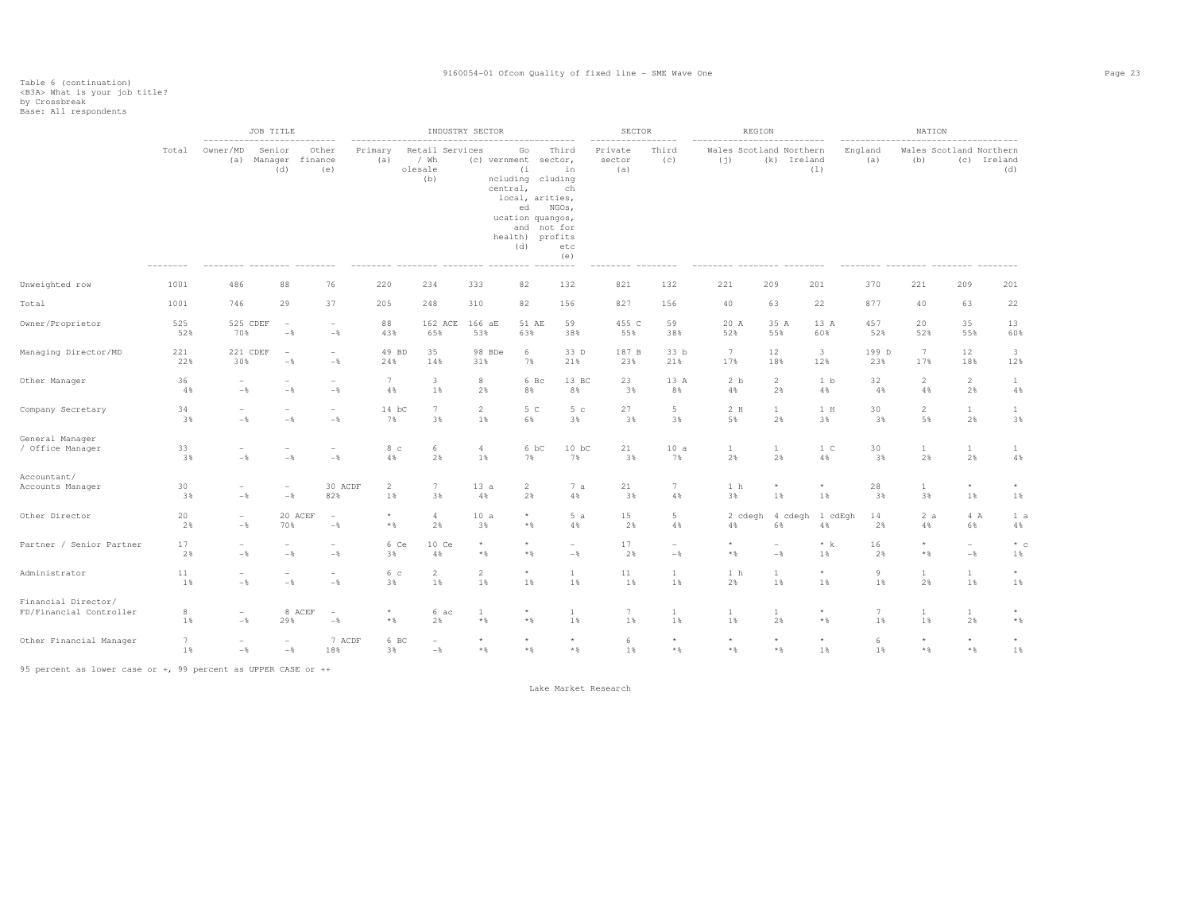|                                                |            | ---------------------------                | JOB TITLE                              |                                                      |                         |                                             | INDUSTRY SECTOR       |                                                                                                                                             |                                                               | SECTOR<br>----------------- |                                   | REGION                         |                                   |                                |                | NATION                  | ------------------------------------- |                                |
|------------------------------------------------|------------|--------------------------------------------|----------------------------------------|------------------------------------------------------|-------------------------|---------------------------------------------|-----------------------|---------------------------------------------------------------------------------------------------------------------------------------------|---------------------------------------------------------------|-----------------------------|-----------------------------------|--------------------------------|-----------------------------------|--------------------------------|----------------|-------------------------|---------------------------------------|--------------------------------|
|                                                | Total      | Owner/MD<br>(a)                            | Senior<br>Manager<br>(d)               | Other<br>finance<br>(e)                              | Primary<br>(a)          | Retail Services<br>$/$ Wh<br>olesale<br>(b) | (c) vernment          | Go<br>(i)<br>ncluding cluding<br>central,<br>local, arities,<br>ed<br>ucation quangos,<br>and not for<br>health) profits<br>(d)<br>-------- | Third<br>sector,<br>in<br>ch<br>NGOs,<br>etc<br>(e)<br>$-- -$ | Private<br>sector<br>(a)    | Third<br>(c)                      | Wales Scotland Northern<br>(i) | (k) Ireland                       | (1)                            | England<br>(a) | (b)                     | Wales Scotland Northern               | (c) Ireland<br>(d)             |
| Unweighted row                                 | 1001       | 486                                        | 88                                     | 76                                                   | 220                     | 234                                         | 333                   | 82                                                                                                                                          | 132                                                           | 821                         | 132                               | 221                            | 209                               | 201                            | 370            | 221                     | 209                                   | 201                            |
| Total                                          | 1001       | 746                                        | 29                                     | 37                                                   | 205                     | 248                                         | 310                   | 82                                                                                                                                          | 156                                                           | 827                         | 156                               | 40                             | 63                                | 22                             | 877            | 40                      | 63                                    | 22                             |
| Owner/Proprietor                               | 525<br>52% | 525 CDEF<br>70%                            | $\overline{a}$<br>$-$                  | $\overline{\phantom{a}}$<br>$-\,$                    | 88<br>43%               | 162 ACE<br>65%                              | 166 aE<br>53%         | 51 AE<br>63%                                                                                                                                | 59<br>38%                                                     | 455 C<br>55%                | 59<br>38%                         | 20 A<br>52%                    | 35 A<br>55%                       | 13 A<br>60%                    | 457<br>52%     | 20<br>52%               | 35<br>55%                             | 13<br>60%                      |
| Managing Director/MD                           | 221<br>22% | 221 CDEF<br>30%                            | $\hspace{0.1mm}-\hspace{0.1mm}$<br>$-$ | $\overline{\phantom{a}}$<br>$-\frac{6}{6}$           | 49 BD<br>24%            | 35<br>14%                                   | 98 BDe<br>31%         | 6<br>7%                                                                                                                                     | 33 D<br>21%                                                   | 187 B<br>23%                | 33 b<br>21%                       | 7<br>17%                       | 12<br>18%                         | $\overline{\mathbf{3}}$<br>12% | 199 D<br>23%   | $7\phantom{.0}$<br>17%  | 12<br>18%                             | $\overline{\mathbf{3}}$<br>12% |
| Other Manager                                  | 36<br>4%   | $\overline{\phantom{m}}$<br>$-$ 8          | $\overline{\phantom{a}}$<br>$-$        | $\overline{\phantom{0}}$<br>$-$                      | $7\overline{ }$<br>4%   | 3<br>1%                                     | 8<br>2%               | 6 Bc<br>8%                                                                                                                                  | 13 BC<br>8%                                                   | 23<br>3%                    | 13 A<br>8%                        | 2 <sub>b</sub><br>4%           | 2<br>2%                           | 1 <sub>b</sub><br>4%           | 32<br>4%       | 2<br>4%                 | 2<br>2%                               | $\mathbf{1}$<br>4%             |
| Company Secretary                              | 34<br>3%   | $\sim$<br>$-$ 8                            | $\overline{\phantom{a}}$<br>$-$        | $\overline{\phantom{0}}$<br>$-$                      | $14$ bC<br>7%           | 7<br>3%                                     | $\overline{2}$<br>1%  | 5 C<br>6%                                                                                                                                   | 5 <sub>c</sub><br>3%                                          | 27<br>3%                    | 5<br>3%                           | 2 H<br>5%                      | $\mathbf{1}$<br>2%                | $1$ H<br>3%                    | 30<br>3%       | $\overline{2}$<br>5%    | $\mathbf{1}$<br>2%                    | $\mathbf{1}$<br>3%             |
| General Manager<br>/ Office Manager            | 33<br>3%   | $\overline{\phantom{a}}$<br>$-\frac{6}{6}$ | $\overline{\phantom{a}}$<br>$-$        | $\overline{\phantom{0}}$<br>$-\,$                    | 8 <sub>c</sub><br>4%    | 6<br>2%                                     | $\overline{4}$<br>1%  | 6 bC<br>7%                                                                                                                                  | $10$ bC<br>7%                                                 | 21<br>3%                    | 10a<br>7%                         | $\mathbf{1}$<br>2%             | $1\,$<br>2%                       | 1 <sup>c</sup><br>4%           | 30<br>3%       | $1\,$<br>2%             | $\mathbf{1}$<br>2%                    | $\mathbf{1}$<br>$4\,$          |
| Accountant/<br>Accounts Manager                | 30<br>3%   | $\overline{\phantom{a}}$<br>$-\frac{6}{6}$ | $\overline{\phantom{a}}$<br>$-\,$ %    | 30 ACDF<br>82%                                       | $\overline{2}$<br>1%    | 7<br>3%                                     | 13a<br>4%             | $\overline{2}$<br>2%                                                                                                                        | 7a<br>4%                                                      | 21<br>3%                    | $7\phantom{.0}$<br>4%             | 1 <sub>h</sub><br>3%           | $^{\star}$<br>1%                  | $^{\star}$<br>1%               | 28<br>3%       | $\mathbf{1}$<br>3%      | $\star$<br>$1\%$                      | $^{\star}$<br>1%               |
| Other Director                                 | 20<br>2%   | $ \,$<br>$-\frac{6}{6}$                    | 70%                                    | 20 ACEF<br>$\sim$<br>$-\,$                           | $\star$<br>$\star$ $\,$ | $\overline{4}$<br>2%                        | 10a<br>3%             | $\star$<br>$*$ &                                                                                                                            | 5a<br>4%                                                      | 15<br>2%                    | $5 -$<br>4%                       | 2 cdegh<br>$4\%$               | 4 cdegh<br>6%                     | 1 cdEgh<br>4%                  | 14<br>2%       | 2a<br>4%                | 4 A<br>6%                             | 1 a<br>$4\,$                   |
| Partner / Senior Partner                       | 17<br>2%   | $\qquad \qquad -$<br>$-\frac{6}{5}$        | $-\frac{6}{5}$                         | $\overline{\phantom{a}}$<br>$-\frac{6}{6}$           | 6 Ce<br>3%              | 10 <sub>c</sub><br>4%                       | $\star$<br>$*$ &      | $\star$<br>$\star$ $\S$                                                                                                                     | $\overline{\phantom{a}}$<br>$-$                               | 17<br>2%                    | $\overline{\phantom{a}}$<br>$-\,$ | $\star$<br>$\star$ $\S$        | $\overline{\phantom{a}}$<br>$-\,$ | $*$ k<br>1%                    | 16<br>2%       | $\star$<br>$*$ &        | $\sim$<br>$-\,$ $\,$                  | $*$ c<br>1%                    |
| Administrator                                  | 11<br>1%   | $\overline{\phantom{a}}$<br>$-\frac{6}{6}$ | $-$                                    | $\qquad \qquad -$<br>$-\frac{6}{6}$                  | 6 с<br>3%               | $\overline{2}$<br>1%                        | $\overline{2}$<br>1%  | $\star$<br>1%                                                                                                                               | $\mathbf{1}$<br>1%                                            | 11<br>1%                    | $\mathbf{1}$<br>1%                | 1 h<br>2%                      | $\mathbf{1}$<br>1%                | $^{\star}$<br>1%               | 9<br>1%        | $\mathbf{1}$<br>2%      | $\mathbf{1}$<br>1%                    | $^{\star}$<br>1%               |
| Financial Director/<br>FD/Financial Controller | 8<br>1%    | $\overline{\phantom{a}}$<br>$-\frac{6}{6}$ | 29%                                    | 8 ACEF<br>$\overline{\phantom{a}}$<br>$-\frac{6}{6}$ | $\star$<br>* %          | 6 ac<br>2%                                  | $\mathbf{1}$<br>$*$ & | $\star$<br>$*$ &                                                                                                                            | 1<br>1%                                                       | $7\phantom{.0}$<br>1%       | $\mathbf{1}$<br>1%                | $\mathbf{1}$<br>1%             | $\mathbf{1}$<br>2%                | $^{\star}$<br>$*$ &            | 7<br>1%        | $\mathbf{1}$<br>1%      | $\mathbf{1}$<br>2%                    | $^{\star}$<br>$\star$ $\,$     |
| Other Financial Manager                        | 7<br>1%    | $\overline{\phantom{a}}$<br>$-\,$          | $\overline{\phantom{a}}$<br>$-\,$      | 7 ACDF<br>18%                                        | 6 BC<br>3%              | $\overline{\phantom{a}}$<br>$-$             | $\star$<br>$*$        | $\star$<br>$*$ &                                                                                                                            | $_{\star}$<br>$*$                                             | 6<br>1%                     | $\star$<br>$\star$ $\,$           | $\star$<br>$\star$ $\,$        | $\star$<br>$\star$ $\,$           | $^{\star}$<br>1%               | 6<br>1%        | $\star$<br>$\star$ $\,$ | $\star$<br>$*$                        | $^{\star}$<br>1%               |

95 percent as lower case or +, 99 percent as UPPER CASE or ++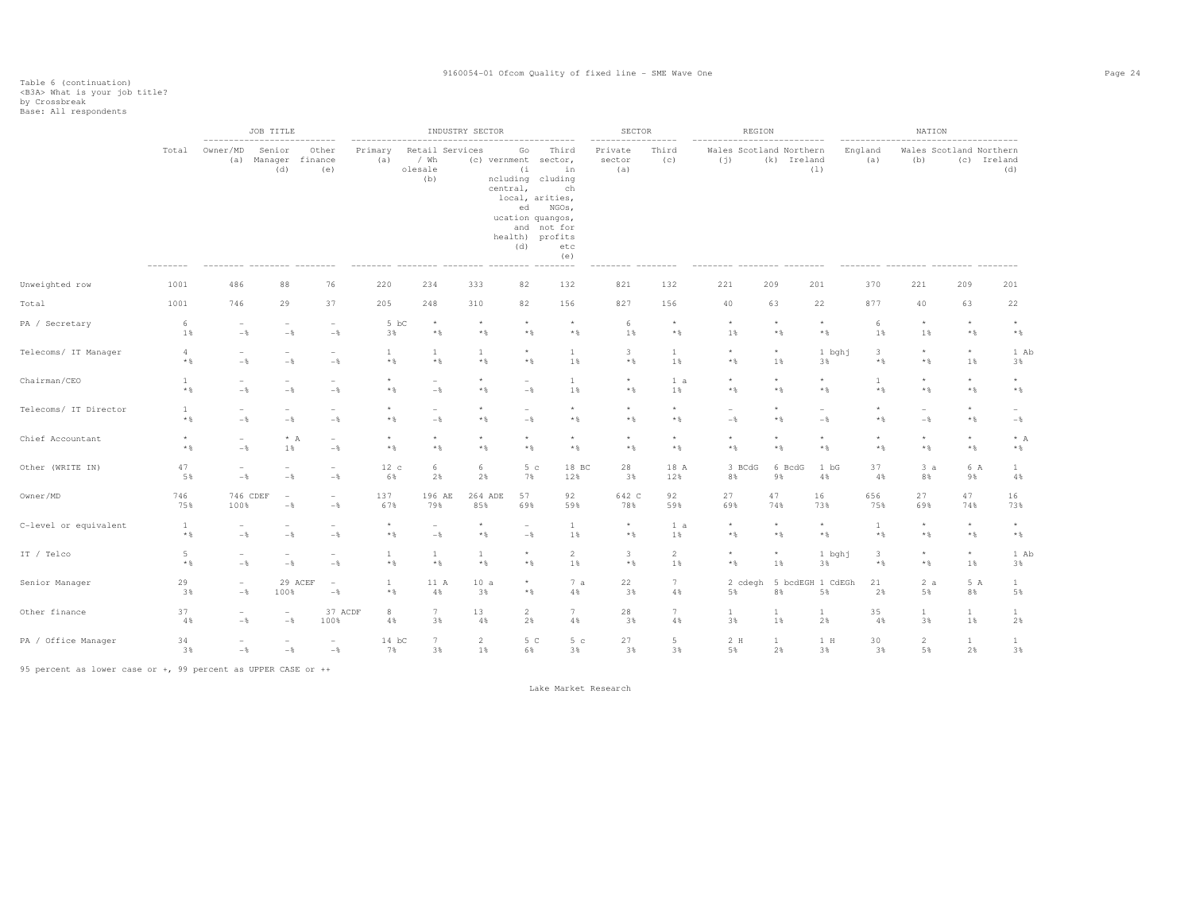|                       |                              |                                   | JOB TITLE<br>--------------------------- |                                   |                              |                                           | INDUSTRY SECTOR |                                                                                                    |                                                                                               | <b>SECTOR</b><br>----------------- |                | REGION                         |                                |                          |                   | NATION                   |                         |                            |
|-----------------------|------------------------------|-----------------------------------|------------------------------------------|-----------------------------------|------------------------------|-------------------------------------------|-----------------|----------------------------------------------------------------------------------------------------|-----------------------------------------------------------------------------------------------|------------------------------------|----------------|--------------------------------|--------------------------------|--------------------------|-------------------|--------------------------|-------------------------|----------------------------|
|                       | Total                        | Owner/MD<br>(a)                   | Senior<br>Manager<br>(d)                 | Other<br>finance<br>(e)           | Primary<br>(a)               | Retail Services<br>/ Wh<br>olesale<br>(b) |                 | Go<br>(c) vernment sector,<br>(i)<br>ncluding cluding<br>central,<br>ed<br>ucation quangos,<br>(d) | Third<br>in<br>ch<br>local, arities,<br>NGOs,<br>and not for<br>health) profits<br>etc<br>(e) | Private<br>sector<br>(a)           | Third<br>(C)   | Wales Scotland Northern<br>(j) | (k) Ireland                    | (1)                      | England<br>(a)    | (b)                      | Wales Scotland Northern | (c) Ireland<br>(d)         |
| Unweighted row        | 1001                         | 486                               | 88                                       | 76                                | 220                          | 234                                       | 333             | 82                                                                                                 | 132                                                                                           | 821                                | 132            | 221                            | 209                            | 201                      | 370               | 221                      | 209                     | 201                        |
| Total                 | 1001                         | 746                               | 29                                       | 37                                | 205                          | 248                                       | 310             | 82                                                                                                 | 156                                                                                           | 827                                | 156            | 40                             | 63                             | 22                       | 877               | 40                       | 63                      | 22                         |
| PA / Secretary        | 6                            | $\overline{\phantom{a}}$          | $\overline{\phantom{a}}$                 | $\overline{\phantom{a}}$          | 5 bC                         | $\star$                                   | $\star$         | $\star$                                                                                            | $\star$                                                                                       | 6                                  | $\star$        | $\star$                        | $\star$                        | $\star$                  | 6                 | $\star$                  | $\star$                 | $\star$                    |
|                       | 1%                           | $-\frac{6}{5}$                    | $-$                                      | $-\frac{6}{6}$                    | 3%                           | $*$                                       | $\star$ $\,$    | $\star$ $\,$                                                                                       | $\star$ $\,$                                                                                  | 1%                                 | $*$ &          | $1\%$                          | $*$                            | $\star$ $\,$             | 1%                | 1%                       | $*$ &                   | $*$ &                      |
| Telecoms/ IT Manager  | 4                            | $\overline{\phantom{a}}$          | $\overline{\phantom{a}}$                 | $\overline{\phantom{a}}$          | $\mathbf{1}$                 | $\mathbf{1}$                              | 1               | $\star$                                                                                            | $\mathbf{1}$                                                                                  | $\overline{\mathbf{3}}$            | $\mathbf{1}$   | $\star$                        | $^{\star}$                     | 1 bghj                   | 3                 | $\star$                  | $\star$                 | 1 Ab                       |
|                       | $*$ &                        | $-\frac{6}{5}$                    | $-$                                      | $-\frac{6}{6}$                    | $*$ %                        | $\star$ $\,$                              | $*$             | $*$ &                                                                                              | 1%                                                                                            | $\star$ $\,$                       | 1%             | $*$ &                          | 1%                             | 3%                       | $\star$ $\,$      | $\star$ $\,$             | 1%                      | 3%                         |
| Chairman/CEO          | $\mathbf{1}$<br>$\star$ $\,$ | $\overline{\phantom{a}}$<br>$-\,$ | $-\frac{6}{5}$                           | $-$                               | $\star$<br>$*$ &             | $\overline{\phantom{a}}$<br>$-\,$         | $\star$<br>$*$  | $\overline{\phantom{a}}$<br>$-$                                                                    | $\mathbf{1}$<br>1%                                                                            | $\star$<br>$*$ &                   | 1 a<br>$1\,$   | $\star$<br>* %                 | $\star$<br>$\star$ $\,$        | $\star$<br>* %           | 1<br>$\star$ $\,$ | $^\star$<br>$\star$ $\S$ | $\star$<br>$\star$ $\S$ | $^{\star}$<br>$\star$ $\,$ |
| Telecoms/ IT Director | 1                            | $\overline{\phantom{a}}$          | $\overline{\phantom{0}}$                 | $\overline{\phantom{a}}$          | $\star$                      | $\overline{\phantom{a}}$                  | $\star$         | $\overline{\phantom{a}}$                                                                           | $\star$                                                                                       | $\star$                            | $\star$        | $\sim$                         | $\star$                        | $\overline{\phantom{a}}$ | $\star$           | $\overline{\phantom{a}}$ | $\star$                 | $\sim$                     |
|                       | $*$ $\frac{6}{6}$            | $-\frac{6}{5}$                    | $-\frac{6}{9}$                           | $-\frac{6}{6}$                    | $*$ &                        | $-$                                       | $*$             | $-$ 8                                                                                              | $\star$ $\,$                                                                                  | $*$ &                              | $\star$ $\S$   | $-\frac{6}{5}$                 | $\star$ $\,$                   | $-$                      | $*$ &             | $-$                      | $\star$ $\S$            | $-\frac{6}{6}$             |
| Chief Accountant      | $\star$                      | $\overline{\phantom{a}}$          | $\star$ A                                | $\qquad \qquad -$                 | $\star$                      | $\star$                                   | $\star$         | $\star$                                                                                            | $\star$                                                                                       | $\star$                            | $\star$        | $\star$                        | $\star$                        | $\star$                  | $\star$           | $\star$                  | $\star$                 | $*$ A                      |
|                       | $*$ $\frac{6}{6}$            | $-\,$                             | 1%                                       | $-$                               | $*$ &                        | $\star$ $\,$                              | $*$             | $*$ &                                                                                              | $\star$ $\,$                                                                                  | $*$ %                              | $\star$ $\S$   | * %                            | $*$ %                          | $*$ %                    | $*$ %             | $\star$ $\,$             | $\star$ $\S$            | $\star$ $\,$               |
| Other (WRITE IN)      | 47                           | $\overline{\phantom{a}}$          | $\qquad \qquad -$                        | $\overline{\phantom{a}}$          | 12c                          | 6                                         | 6               | 5 <sub>c</sub>                                                                                     | 18 BC                                                                                         | 28                                 | 18 A           | 3 BCdG                         | 6 BcdG                         | 1 bG                     | 37                | 3a                       | 6 A                     | $\mathbf{1}$               |
|                       | 5%                           | $-$                               | $-$                                      | $-\,$                             | 6%                           | 2%                                        | 2%              | 7%                                                                                                 | 12%                                                                                           | 3%                                 | 12%            | 8%                             | 9%                             | 4%                       | 4%                | 8%                       | 9%                      | 4%                         |
| Owner/MD              | 746                          | 746 CDEF                          | $\overline{a}$                           | $\sim$                            | 137                          | 196 AE                                    | 264 ADE         | 57                                                                                                 | 92                                                                                            | 642 C                              | 92             | 27                             | 47                             | 16                       | 656               | 27                       | 47                      | 16                         |
|                       | 75%                          | 100%                              | $-$                                      | $-\frac{6}{6}$                    | 67%                          | 79%                                       | 85%             | 69%                                                                                                | 59%                                                                                           | 78%                                | 59%            | 69%                            | 74%                            | 73%                      | 75%               | 69%                      | 74%                     | 73%                        |
| C-level or equivalent | $\mathbf{1}$                 | $\overline{\phantom{0}}$          | $\overline{a}$                           | $\overline{\phantom{a}}$          | $\star$                      | $\hspace{0.1mm}-\hspace{0.1mm}$           | $\star$         | $\overline{\phantom{a}}$                                                                           | $\mathbf{1}$                                                                                  | $^{\star}$                         | 1 a            | $\star$                        | $\star$                        | $\star$                  | $\mathbf{1}$      | $\star$                  | $\star$                 | $\star$                    |
|                       | $\star$ $\,$                 | $-\frac{6}{6}$                    | $-$ 8                                    | $-$                               | $\star$ $\,$                 | $-\,$                                     | $\star$ $\,$    | $-$                                                                                                | 1%                                                                                            | $\star$ $\,$                       | $1\%$          | $*$ &                          | $\star$ $\,$                   | $\star$ $\,$             | $*$ %             | $\star$ $\S$             | $\star$ $\S$            | $\star$ $\,$               |
| IT / Telco            | 5                            | $\overline{\phantom{a}}$          | $\overline{\phantom{m}}$                 | $\overline{\phantom{a}}$          | $\mathbf{1}$                 | $\mathbf{1}$                              | $\mathbf{1}$    | $\star$                                                                                            | $\overline{c}$                                                                                | $\mathbf{3}$                       | $\overline{a}$ | $^\star$                       | $^\star$                       | 1 bghj                   | 3                 | $\star$                  | $^\star$                | 1 Ab                       |
|                       | $*$ %                        | $-$                               | $-$                                      | $-\frac{6}{6}$                    | $*$ %                        | $*$ &                                     | $*$             | $*$ &                                                                                              | 1%                                                                                            | $\star$ $\,$                       | 1%             | $*$ &                          | 1%                             | 3%                       | $*$ %             | $*$ &                    | 1%                      | 3%                         |
| Senior Manager        | 29<br>3%                     | $\overline{\phantom{a}}$<br>$-$   | 29 ACEF<br>100%                          | $\overline{\phantom{a}}$<br>$-\,$ | $\mathbf{1}$<br>$\star$ $\,$ | 11 A<br>4%                                | 10a<br>3%       | $\star$<br>$*$ &                                                                                   | 7a<br>4%                                                                                      | 22<br>3%                           | 7<br>4%        | 5%                             | 2 cdegh 5 bcdEGH 1 CdEGh<br>8% | 5%                       | 21<br>2%          | 2a<br>5%                 | 5 A<br>8%               | $\mathbf{1}$<br>5%         |
| Other finance         | 37                           | $\overline{\phantom{a}}$          | $\overline{\phantom{a}}$                 | 37 ACDF                           | 8                            | 7                                         | 13              | $\overline{2}$                                                                                     | $7\phantom{.0}$                                                                               | 28                                 | 7              | $\mathbf{1}$                   | $\mathbf{1}$                   | $\mathbf{1}$             | 35                | $1\,$                    | $\mathbf{1}$            | $\mathbf{1}$               |
|                       | 4%                           | $-\frac{6}{6}$                    | $-\frac{6}{6}$                           | 100%                              | 4%                           | 3%                                        | 4%              | 2%                                                                                                 | 4%                                                                                            | 3%                                 | 4%             | 3%                             | 1%                             | 2%                       | 4%                | 3%                       | 1%                      | 2%                         |
| PA / Office Manager   | 34                           | $\overline{\phantom{a}}$          | $\overline{\phantom{a}}$                 | $\overline{\phantom{a}}$          | $14$ bC                      | $7\phantom{.0}$                           | $\overline{2}$  | 5 C                                                                                                | 5 <sub>c</sub>                                                                                | 27                                 | 5              | 2 H                            | <b>1</b>                       | 1 H                      | 30                | $\overline{2}$           | $\mathbf{1}$            | $\mathbf{1}$               |
|                       | 3%                           | $-\frac{6}{6}$                    | $-\,$                                    | $-\,$                             | 7%                           | 3%                                        | 1%              | 6%                                                                                                 | 3%                                                                                            | 3%                                 | 3%             | 5%                             | 2%                             | 3%                       | 3%                | 5%                       | 2%                      | 3%                         |

95 percent as lower case or +, 99 percent as UPPER CASE or ++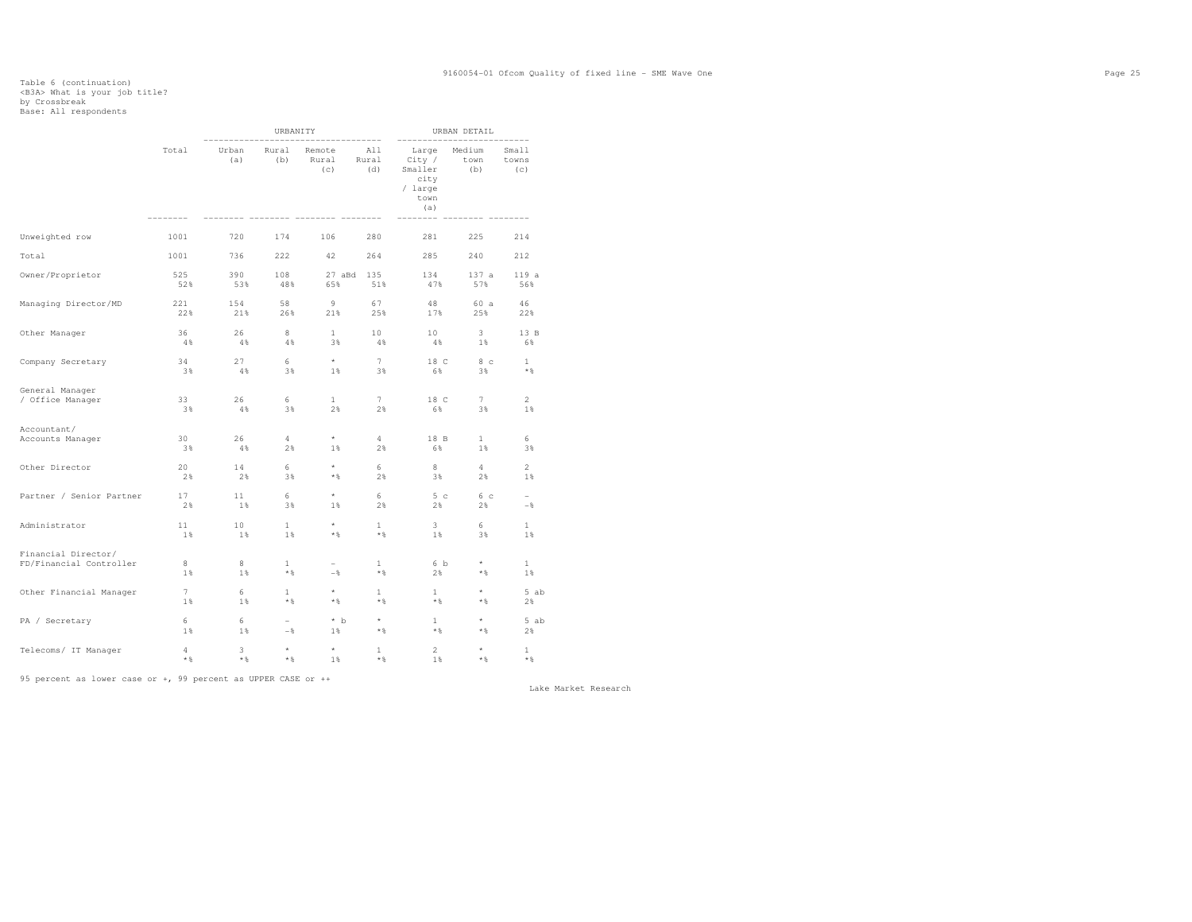### Table 6 (continuation) <B3A> What is your job title? by Crossbreak Base: All respondents

|                          |            |              | URBANITY                 |                                         |                     |                                                                                | URBAN DETAIL          |                                      |
|--------------------------|------------|--------------|--------------------------|-----------------------------------------|---------------------|--------------------------------------------------------------------------------|-----------------------|--------------------------------------|
|                          | Total      | Urban<br>(a) | Rural<br>(b)             | -------------<br>Remote<br>Rural<br>(c) | All<br>Rural<br>(d) | --------------<br>Large<br>City /<br>Smaller<br>city<br>/ large<br>town<br>(a) | Medium<br>town<br>(b) | -----------<br>Small<br>towns<br>(C) |
| Unweighted row           | 1001       | 720          | 174                      | 106                                     | 280                 | 281                                                                            | 225                   | 214                                  |
| Total                    | 1001       | 736          | 222                      | 42                                      | 264                 | 285                                                                            | 240                   | 212                                  |
| Owner/Proprietor         | 525<br>52% | 390<br>53%   | 108<br>48%               | 65%                                     | 27 aBd 135<br>51%   | 134<br>47%                                                                     | 137 a<br>57%          | 119a<br>56%                          |
| Managing Director/MD     | 221        | 154          | 58                       | 9                                       | 67                  | 48                                                                             | 60 a                  | 46                                   |
|                          | 22%        | 21%          | 26%                      | 21%                                     | 25%                 | 17%                                                                            | 25%                   | 22%                                  |
| Other Manager            | 36         | 26           | 8                        | 1                                       | 10                  | 10                                                                             | $3 -$                 | 13 B                                 |
|                          | 4%         | 4%           | 4%                       | 3%                                      | 4%                  | 48                                                                             | 1%                    | 6%                                   |
| Company Secretary        | 34         | 27           | 6                        | $\star$                                 | 7                   | 18 C                                                                           | 8 с                   | $\mathbf{1}$                         |
|                          | 3%         | $4\%$        | 3%                       | $1\%$                                   | 3%                  | 6%                                                                             | 3%                    | $*$ &                                |
| General Manager          | 33         | 26           | 6                        | $\mathbf{1}$                            | 7                   | 18 C                                                                           | 7                     | $\overline{2}$                       |
| / Office Manager         | 38         | 4%           | 3%                       | 2%                                      | 2%                  | 6%                                                                             | 3%                    | $1\%$                                |
| Accountant/              | 30         | 26           | 4                        | $\star$                                 | 4                   | 18 B                                                                           | $\mathbf{1}$          | 6                                    |
| Accounts Manager         | 3%         | 48           | 2%                       | $1\%$                                   | 2%                  | 6%                                                                             | 1%                    | 3%                                   |
| Other Director           | 20         | 14           | 6                        | $^\star$                                | 6                   | 8                                                                              | $\overline{4}$        | $\overline{2}$                       |
|                          | 2%         | 2%           | 3%                       | $*$ &                                   | 2%                  | 3%                                                                             | $2\%$                 | 1%                                   |
| Partner / Senior Partner | 17<br>2%   | 11<br>1%     | 6<br>3%                  | $^\star$<br>$1\%$                       | 6<br>2%             | 5 <sub>c</sub><br>2%                                                           | 6 с<br>2%             | $-$                                  |
| Administrator            | 11         | 10           | $\mathbf{1}$             | $\star$                                 | $\mathbf{1}$        | 3                                                                              | 6                     | $\mathbf{1}$                         |
|                          | 1          | 1%           | 1%                       | $*$ &                                   | $*$                 | $1\%$                                                                          | 3%                    | 1%                                   |
| Financial Director/      | 8          | 8            | $\mathbf{1}$             | $-$                                     | 1                   | 6 b                                                                            | $\star$               | $\mathbf{1}$                         |
| FD/Financial Controller  | 1          | 1%           | $\star$ $\,$             |                                         | $*$                 | 2%                                                                             | * %                   | 1%                                   |
| Other Financial Manager  | 7          | 6            | $\mathbf{1}$             | $\star$                                 | $\mathbf{1}$        | $\mathbf{1}$                                                                   | $\star$               | 5 ab                                 |
|                          | $1\%$      | $1\%$        | $*$ &                    | $*$ &                                   | $*$                 | $*$                                                                            | $*$                   | 2%                                   |
| PA / Secretary           | 6          | 6            | $\overline{\phantom{a}}$ | $*$ b                                   | $\star$             | $\mathbf{1}$                                                                   | $\star$               | 5 ab                                 |
|                          | $1\%$      | $1\%$        | $-\frac{6}{5}$           | $1\%$                                   | $*$ $\,$            | $\star$ &                                                                      | * %                   | 2%                                   |
| Telecoms/ IT Manager     | 4          | 3            | $\star$                  | $^\star$                                | 1                   | $\overline{2}$                                                                 | $\star$               | $\mathbf{1}$                         |
|                          | $\star$ &  | * %          | $\star$ &                | 1%                                      | $*$ $\frac{6}{3}$   | $1\%$                                                                          | $*$                   | $*$ $\frac{6}{3}$                    |

95 percent as lower case or +, 99 percent as UPPER CASE or ++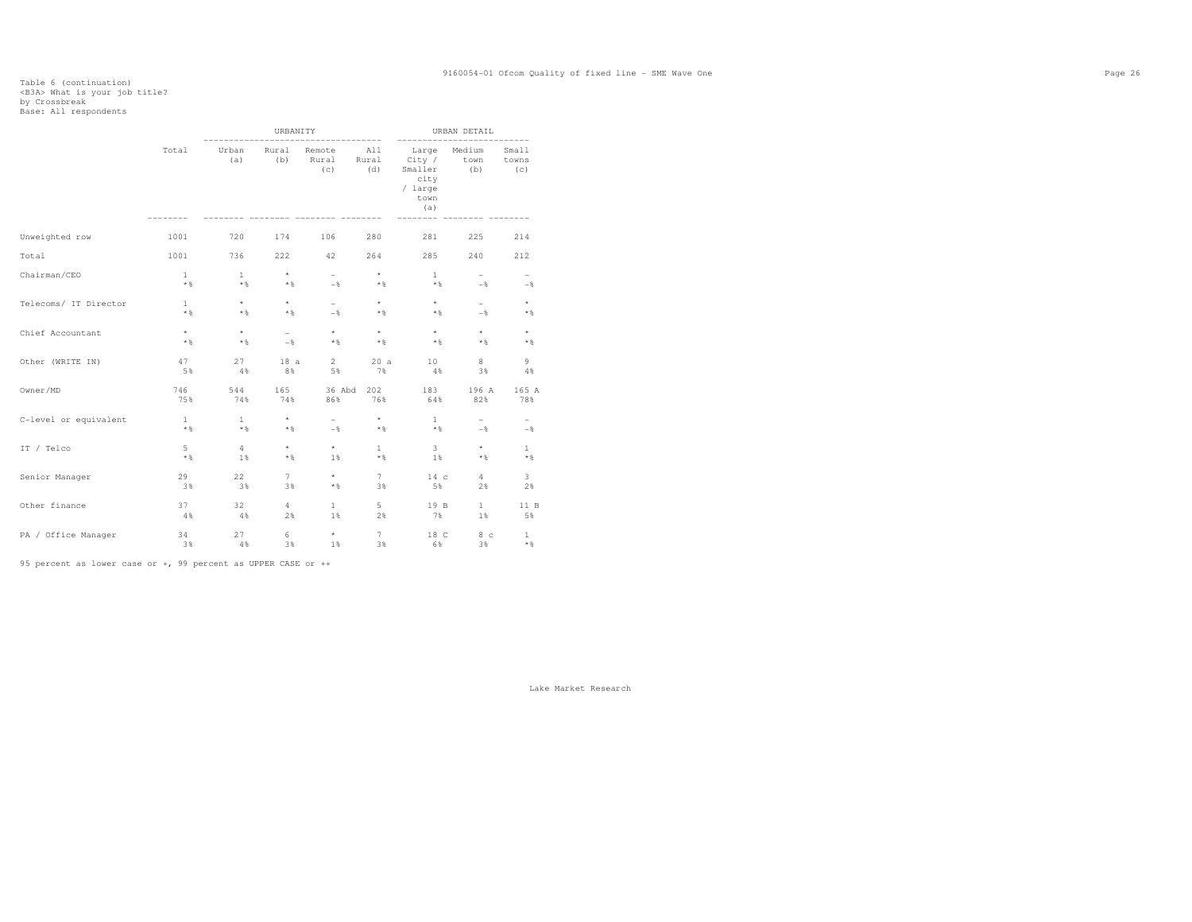### Table 6 (continuation) <B3A> What is your job title? by Crossbreak Base: All respondents

|                       |                       |                     | URBANITY         |                        |                     | ------                                                       | URBAN DETAIL             |                          |
|-----------------------|-----------------------|---------------------|------------------|------------------------|---------------------|--------------------------------------------------------------|--------------------------|--------------------------|
|                       | Total                 | Urban<br>(a)        | Rural<br>(b)     | Remote<br>Rural<br>(c) | All<br>Rural<br>(d) | Large<br>City /<br>Smaller<br>city<br>/ large<br>town<br>(a) | Medium<br>town<br>(b)    | Small<br>towns<br>(C)    |
| Unweighted row        | 1001                  | 720                 | 174              | 106                    | 280                 | 281                                                          | 225                      | 214                      |
| Total                 | 1001                  | 736                 | 222              | 42                     | 264                 | 285                                                          | 240                      | 212                      |
| Chairman/CEO          | $\mathbf{1}$<br>$*$ & | $\mathbf{1}$<br>$*$ | $\star$<br>$*$ & | $\overline{a}$<br>$-$  | $\star$<br>$*$      | $\mathbf{1}$<br>$*$ &                                        | $\overline{a}$<br>$-$    | $-$                      |
| Telecoms/ IT Director | $\mathbf{1}$          | $\star$             | $\star$          | $\sim$                 | $\star$             | $\star$                                                      | $\sim$                   | $\star$                  |
|                       | $*$ &                 | $*$                 | $*$ &            | $-$                    | $*$                 | $\star$ $\,$                                                 | $-$                      | $*$ &                    |
| Chief Accountant      | $\star$               | $\star$             | $-$              | $\star$                | $\star$             | $\star$                                                      | $\star$                  | $\star$                  |
|                       | $*$ &                 | $*$                 | $-$              | $*$ &                  | $*$                 | $\star$ &                                                    | $*$                      | $*$ &                    |
| Other (WRITE IN)      | 47                    | 27                  | 18a              | $2^{\circ}$            | 20a                 | 10                                                           | 8                        | 9                        |
|                       | 5%                    | 4%                  | 8%               | 5%                     | 7%                  | 4%                                                           | 3%                       | 4%                       |
| Owner/MD              | 746                   | 544                 | 165              | 36 Abd                 | 202                 | 183                                                          | 196 A                    | 165 A                    |
|                       | 75%                   | 74%                 | 74%              | 86%                    | 76%                 | 64%                                                          | 82%                      | 78%                      |
| C-level or equivalent | $\mathbf{1}$          | $\mathbf{1}$        | $\star$          | $\overline{a}$         | $\star$             | $\mathbf{1}$                                                 | $\overline{\phantom{0}}$ | $\overline{\phantom{0}}$ |
|                       | $*$ &                 | $*$                 | $*$ &            | $-\frac{6}{5}$         | $*$                 | $\star$ &                                                    | $-$                      | $-\frac{6}{5}$           |
| IT / Telco            | 5                     | $\overline{4}$      | $\star$          | $\star$                | $\mathbf{1}$        | 3                                                            | $\star$                  | $\mathbf{1}$             |
|                       | $*$ &                 | 1%                  | $*$ &            | $1\%$                  | $*$ &               | 1%                                                           | $*$                      | $*$ &                    |
| Senior Manager        | 29                    | 22                  | 7                | $\star$                | $\tau$              | 14c                                                          | $4\overline{ }$          | 3                        |
|                       | 3%                    | 3%                  | 3%               | $*$ &                  | 3%                  | 5%                                                           | 2%                       | 2%                       |
| Other finance         | 37                    | 32                  | $4 -$            | $\mathbf{1}$           | 5                   | 19 B                                                         | 1                        | 11 B                     |
|                       | 4%                    | 4%                  | 2%               | $1\%$                  | 2%                  | 7%                                                           | $1\%$                    | 5%                       |
| PA / Office Manager   | 34                    | 27                  | 6                | $\star$                | $7\overline{ }$     | 18 C                                                         | 8 <sub>c</sub>           | $\mathbf{1}$             |
|                       | 3%                    | 4%                  | 3%               | $1\%$                  | 3%                  | 6%                                                           | 3%                       | $*$ &                    |

95 percent as lower case or +, 99 percent as UPPER CASE or ++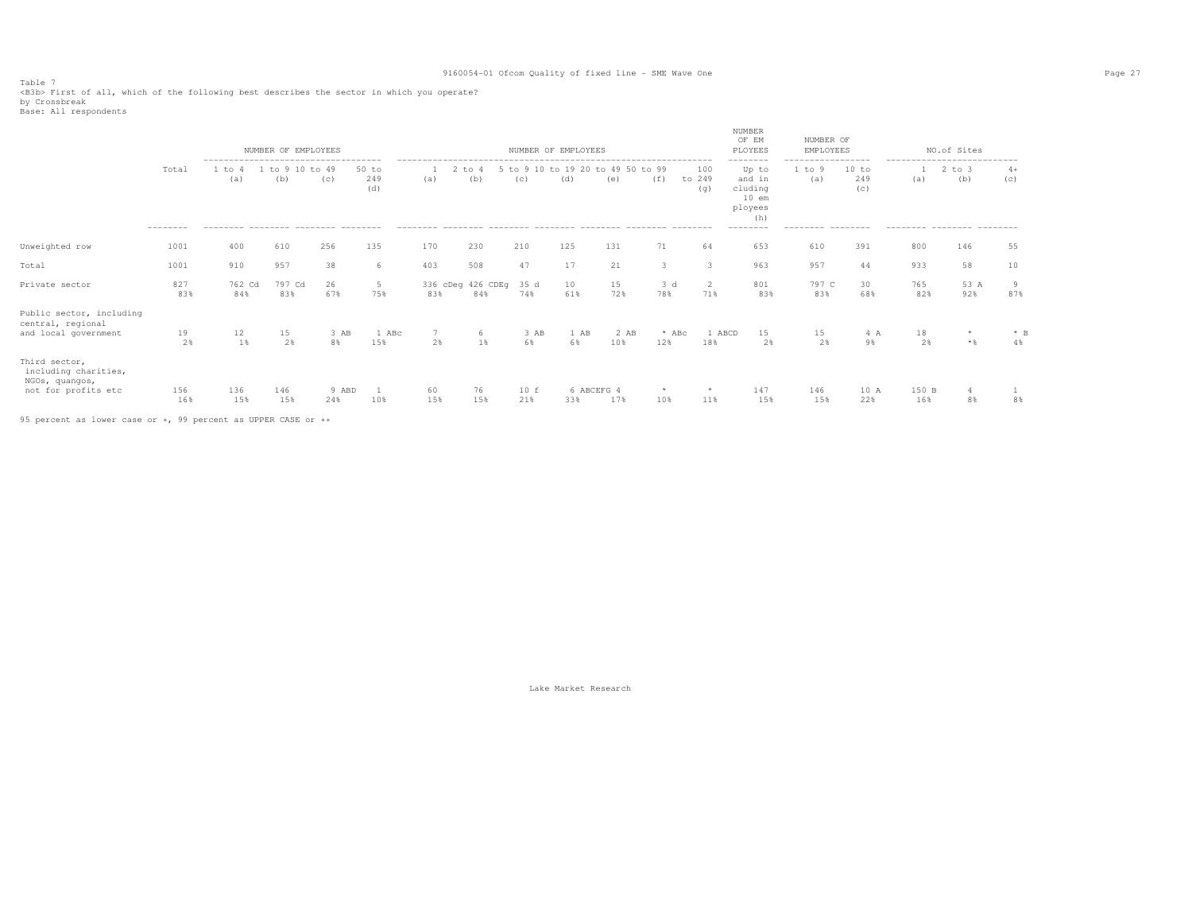Table 7<br><B3b> First of all, which of the following best describes the sector in which you operate?<br>by Crossbreak

|  | Base: All respondents |
|--|-----------------------|
|--|-----------------------|

|                                                                                |                   |               | NUMBER OF EMPLOYEES                                           |              |                       |           |                          |             | NUMBER OF EMPLOYEES                      |             |                |                       | NUMBER<br>OF EM<br>PLOYEES                                                      | NUMBER OF<br>EMPLOYEES              |                                          |              | NO.of Sites                                                            |             |
|--------------------------------------------------------------------------------|-------------------|---------------|---------------------------------------------------------------|--------------|-----------------------|-----------|--------------------------|-------------|------------------------------------------|-------------|----------------|-----------------------|---------------------------------------------------------------------------------|-------------------------------------|------------------------------------------|--------------|------------------------------------------------------------------------|-------------|
|                                                                                | Total<br>-------- | 1 to 4<br>(a) | -------------------------------------<br>to 9 10 to 49<br>(b) | (c)          | $50$ to<br>249<br>(d) | (a)       | $2$ to $4$<br>(b)        | (C)         | 5 to 9 10 to 19 20 to 49 50 to 99<br>(d) | (e)         | (f)            | 100<br>to 249<br>(q)  | --------<br>Up to<br>and in<br>cluding<br>$10$ em<br>ployees<br>(h)<br>-------- | ------------------<br>1 to 9<br>(a) | 10 to<br>249<br>(c)<br>$- - - - - - - -$ | (a)          | ----------------------------<br>$2$ to $3$<br>(b)<br>--------- ------- | $4+$<br>(c) |
| Unweighted row                                                                 | 1001              | 400           | 610                                                           | 256          | 135                   | 170       | 230                      | 210         | 125                                      | 131         | 71             | 64                    | 653                                                                             | 610                                 | 391                                      | 800          | 146                                                                    | 55          |
| Total                                                                          | 1001              | 910           | 957                                                           | 38           | 6                     | 403       | 508                      | 47          | 17                                       | 21          |                | 3                     | 963                                                                             | 957                                 | 44                                       | 933          | 58                                                                     | 10          |
| Private sector                                                                 | 827<br>83%        | 762 Cd<br>84% | 797 Cd<br>83%                                                 | 26<br>67%    | 5<br>75%              | 83%       | 336 cDeg 426 CDEg<br>84% | 35 d<br>74% | 10<br>61%                                | 15<br>72%   | 3 d<br>78%     | $\overline{2}$<br>71% | 801<br>83%                                                                      | 797 C<br>83%                        | 30<br>68%                                | 765<br>82%   | 53 A<br>92%                                                            | 9<br>87%    |
| Public sector, including<br>central, regional<br>and local government          | 19<br>2%          | 12<br>1%      | 15<br>2%                                                      | 3 AB<br>8%   | 1 ABc<br>15%          | 2%        | 6.<br>1%                 | 3 AB<br>6%  | 1 AB<br>6%                               | 2 AB<br>10% | $*$ ABc<br>12% | 1 ABCD<br>18%         | 15<br>2%                                                                        | 15<br>2%                            | 4 A<br>9%                                | 18<br>2%     | $*$<br>$*$ &                                                           | $*$ B<br>4% |
| Third sector,<br>including charities,<br>NGOs, quangos,<br>not for profits etc | 156<br>16%        | 136<br>15%    | 146<br>15%                                                    | 9 ABD<br>24% | 10%                   | 60<br>15% | 76<br>15%                | 10 f<br>21% | 6 ABCEFG 4<br>33%                        | 17%         | 10%            | $\star$<br>11%        | 147<br>15%                                                                      | 146<br>15%                          | 10 A<br>22%                              | 150 B<br>16% | $\overline{4}$<br>8%                                                   | 8%          |
| AF WILLIAM IN BUILD THAT THE LOO WILLIAM IN THEFT CROB IN IT                   |                   |               |                                                               |              |                       |           |                          |             |                                          |             |                |                       |                                                                                 |                                     |                                          |              |                                                                        |             |

95 percent as lower case or +, 99 percent as UPPER CASE or ++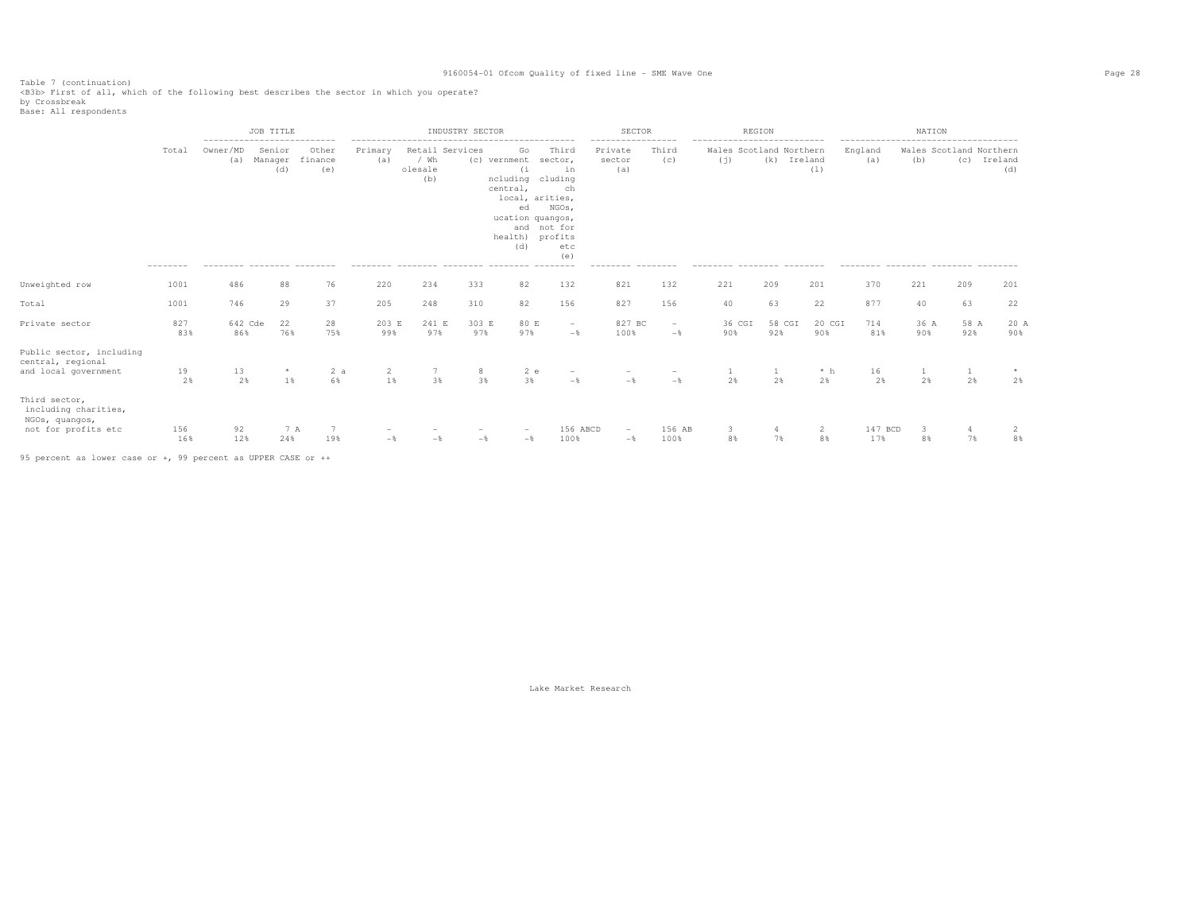Table 7 (continuation)<br><B3b> First of all, which of the following best describes the sector in which you operate?

by Crossbreak<br>Base: All respondents

|                                                                                |            | --------------------------- | JOB TITLE                      |                         |                |                        | INDUSTRY SECTOR       |                                                                           |                                                                                                                                             | SECTOR<br>----------------- |                | --------------------------- | REGION                         |                |                | NATION      |                      |                                               |
|--------------------------------------------------------------------------------|------------|-----------------------------|--------------------------------|-------------------------|----------------|------------------------|-----------------------|---------------------------------------------------------------------------|---------------------------------------------------------------------------------------------------------------------------------------------|-----------------------------|----------------|-----------------------------|--------------------------------|----------------|----------------|-------------|----------------------|-----------------------------------------------|
|                                                                                | Total      | Owner/MD<br>(a)             | Senior<br>Manager<br>(d)       | Other<br>finance<br>(e) | Primary<br>(a) | / Wh<br>olesale<br>(b) | Retail Services       | Go<br>(c) vernment<br>(i)<br>ncluding<br>central,<br>ed<br>health)<br>(d) | Third<br>sector,<br>in<br>cluding<br>ch<br>local, arities,<br>NGOs,<br>ucation quangos,<br>and not for<br>profits<br>etc<br>(e)<br>-------- | Private<br>sector<br>(a)    | Third<br>(C)   | (j)                         | Wales Scotland Northern<br>(k) | Ireland<br>(1) | England<br>(a) | (b)         |                      | Wales Scotland Northern<br>(c) Ireland<br>(d) |
| Unweighted row                                                                 | 1001       | 486                         | 88                             | 76                      | 220            | 234                    | 333                   | 82                                                                        | 132                                                                                                                                         | 821                         | 132            | 221                         | 209                            | 201            | 370            | 221         | 209                  | 201                                           |
| Total                                                                          | 1001       | 746                         | 29                             | 37                      | 205            | 248                    | 310                   | 82                                                                        | 156                                                                                                                                         | 827                         | 156            | 40                          | 63                             | 22             | 877            | 40          | 63                   | 22                                            |
| Private sector                                                                 | 827<br>83% | 642 Cde<br>86%              | 22<br>76%                      | 28<br>75%               | 203 E<br>99%   | 241 E<br>97%           | 303 E<br>97%          | 80 E<br>97%                                                               | $\sim$<br>$-$                                                                                                                               | 827 BC<br>100%              | $\sim$<br>$-$  | 36 CGI<br>90%               | 58 CGI<br>92%                  | 20 CGI<br>90%  | 714<br>81%     | 36 A<br>90% | 58 A<br>92%          | 20 A<br>90%                                   |
| Public sector, including<br>central, regional<br>and local government          | 19<br>2%   | 13<br>2%                    | 1%                             | 2a<br>6%                | 2<br>1%        | 7                      | 8<br>3%<br>3%         | 2 e<br>3%                                                                 | $-\frac{6}{5}$                                                                                                                              | $-$                         | $-$            | 2%                          | 2%                             | $*~h$<br>2%    | 16<br>2%       | 2%          | $\mathbf{1}$<br>2%   | 2%                                            |
| Third sector,<br>including charities,<br>NGOs, quangos,<br>not for profits etc | 156<br>16% | 92<br>12%                   | 7 A<br>24%<br>________________ | 7<br>19%                | $-\frac{6}{5}$ |                        | $-\frac{6}{5}$<br>$-$ | $-$                                                                       | 156 ABCD<br>100%                                                                                                                            | $\sim$<br>$-\frac{6}{5}$    | 156 AB<br>100% | 3<br>8%                     | 4<br>7%                        | 2<br>8%        | 147 BCD<br>17% | 3<br>8%     | $\overline{4}$<br>7% | 2<br>8%                                       |

95 percent as lower case or +, 99 percent as UPPER CASE or ++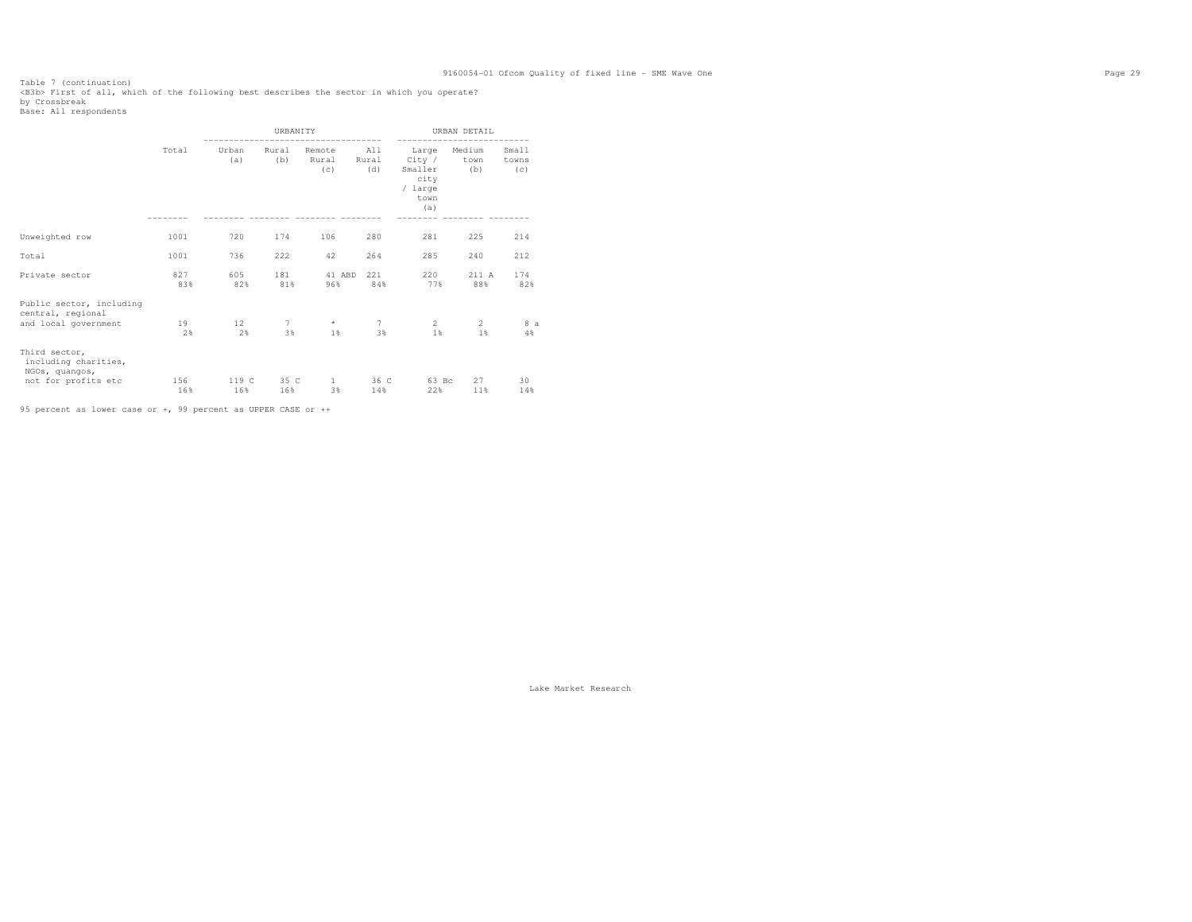Table 7 (continuation)<br><B3b> First of all, which of the following best describes the sector in which you operate?

by Crossbreak<br>Base: All respondents

|                                                                                |            |              | <b>URBANTTY</b> |                        |                     |                                                              | URBAN DETAIL          |                       |
|--------------------------------------------------------------------------------|------------|--------------|-----------------|------------------------|---------------------|--------------------------------------------------------------|-----------------------|-----------------------|
|                                                                                | Total      | Urban<br>(a) | Rural<br>(b)    | Remote<br>Rural<br>(c) | All<br>Rural<br>(d) | Large<br>City /<br>Smaller<br>city<br>/ large<br>town<br>(a) | Medium<br>town<br>(b) | Small<br>towns<br>(C) |
| Unweighted row                                                                 | 1001       | 720          | 174             | 106                    | 280                 | 281                                                          | 225                   | 214                   |
| Total                                                                          | 1001       | 736          | 222             | 42                     | 264                 | 285                                                          | 240                   | 212                   |
| Private sector                                                                 | 827<br>83% | 605<br>82%   | 181<br>81%      | 41 ABD<br>96%          | 221<br>84%          | 220<br>77%                                                   | 211 A<br>88%          | 174<br>82%            |
| Public sector, including<br>central, regional<br>and local government          | 19<br>2%   | 12<br>2%     | 7<br>3%         | $\star$<br>1%          | 7<br>3%             | 2<br>1%                                                      | $\mathfrak{D}$<br>1%  | 8 a<br>4%             |
| Third sector,<br>including charities,<br>NGOs, quangos,<br>not for profits etc | 156<br>16% | 119 C<br>16% | 35 C<br>16%     | $\mathbf{1}$<br>3%     | 36 C<br>14%         | 63 Bc<br>22%                                                 | 27<br>11%             | 30<br>14%             |

95 percent as lower case or +, 99 percent as UPPER CASE or ++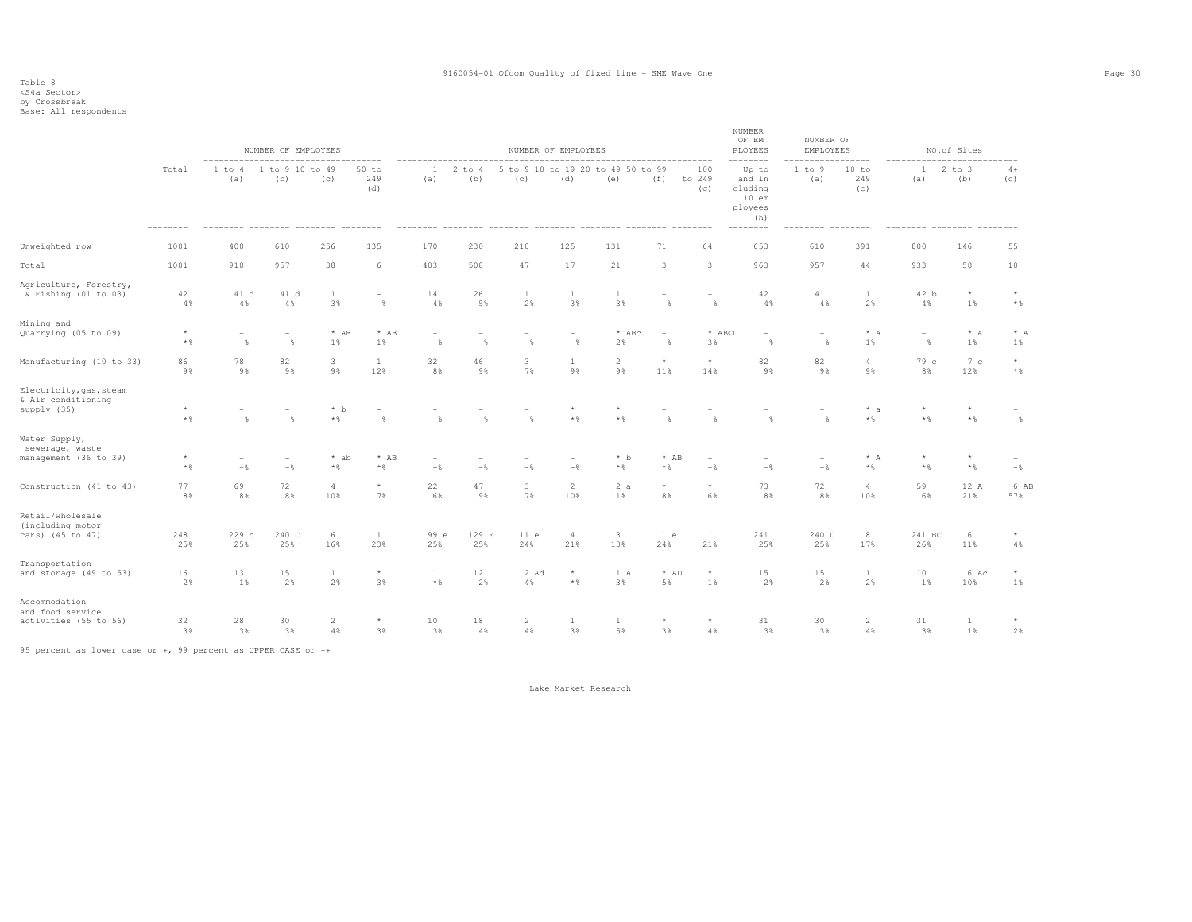### Table 8 <S4a Sector>

by Crossbreak<br>Base: All respondents

|                                                              |                         |                                            | NUMBER OF EMPLOYEES    |                       |                                            |                                   |                   |                      | NUMBER OF EMPLOYEES               |                       |                                   |                         | NUMBER<br>OF EM<br>PLOYEES                                                           | NUMBER OF<br>EMPLOYEES |                       |                                     | NO.of Sites             |                         |
|--------------------------------------------------------------|-------------------------|--------------------------------------------|------------------------|-----------------------|--------------------------------------------|-----------------------------------|-------------------|----------------------|-----------------------------------|-----------------------|-----------------------------------|-------------------------|--------------------------------------------------------------------------------------|------------------------|-----------------------|-------------------------------------|-------------------------|-------------------------|
|                                                              | Total                   | -------<br>1 to 4<br>(a)                   | 1 to 9 10 to 49<br>(b) | (c)                   | $50$ to<br>249<br>(d)<br>$- - - - - - - -$ | $\mathbf{1}$<br>(a)               | $2$ to $4$<br>(b) | to 9 10<br>5<br>(c)  | to 19<br>20<br>(d)                | to 49 50 to 99<br>(e) | (f)                               | 100<br>to 249<br>(q)    | $- - - - - -$<br>Up to<br>and in<br>cluding<br>$10$ em<br>ployees<br>(h)<br>-------- | 1 to 9<br>(a)          | 10 to<br>249<br>(c)   | $\mathbf{1}$<br>(a)                 | $2$ to $3$<br>(b)       | $4+$<br>(c)             |
| Unweighted row                                               | 1001                    | 400                                        | 610                    | 256                   | 135                                        | 170                               | 230               | 210                  | 125                               | 131                   | 71                                | 64                      | 653                                                                                  | 610                    | 391                   | 800                                 | 146                     | 55                      |
| Total                                                        | 1001                    | 910                                        | 957                    | 38                    | 6                                          | 403                               | 508               | 47                   | 17                                | 21                    | $\overline{\mathbf{3}}$           | $\overline{\mathbf{3}}$ | 963                                                                                  | 957                    | 44                    | 933                                 | 58                      | 10                      |
| Agriculture, Forestry,<br>& Fishing (01 to 03)               | 42<br>4%                | 41 d<br>$4\,$                              | 41 d<br>$4\,$ %        | $\mathbf{1}$<br>3%    | $\overline{\phantom{a}}$<br>$-\,$          | 14<br>$4\,$                       | 26<br>5%          | $\mathbf{1}$<br>2%   | $\mathbf{1}$<br>3%                | <b>1</b><br>3%        | $\overline{\phantom{a}}$<br>$-$   | $-$                     | 42<br>4%                                                                             | 41<br>4%               | $\mathbf{1}$<br>2%    | 42 b<br>4%                          | $^{\star}$<br>1%        | $\star$<br>$\star$ $\,$ |
| Mining and<br>Quarrying (05 to 09)                           | $\star$<br>$*$          | $\overline{\phantom{a}}$<br>$-\frac{6}{6}$ | $-$                    | $*$ AB<br>1%          | $*$ AB<br>1%                               | $\overline{\phantom{a}}$<br>$-\,$ | $-\,$             | $-\frac{6}{6}$       | $\overline{\phantom{a}}$<br>$-\,$ | $*$ ABc<br>2%         | $\overline{\phantom{a}}$<br>$-\,$ | * ABCD<br>3%            | $-\,$                                                                                | $-$                    | $\star$ $\,$ A<br>1%  | $\overline{\phantom{a}}$<br>$-\,$ % | $\star$ A<br>1%         | $* A$<br>1%             |
| Manufacturing (10 to 33)                                     | 86<br>9%                | 78<br>9%                                   | 82<br>9%               | 3<br>9%               | $\mathbf{1}$<br>12%                        | 32<br>$8\,$ $\,$                  | 46<br>9%          | 3<br>7%              | $\mathbf{1}$<br>9%                | $\overline{2}$<br>9%  | $\star$<br>11%                    | $\star$<br>14%          | 82<br>9%                                                                             | 82<br>9%               | $\overline{4}$<br>9%  | 79 c<br>8%                          | 7c<br>12%               | $^{\star}$<br>$*$ &     |
| Electricity, gas, steam<br>& Air conditioning<br>supply (35) | $\star$<br>$\star$ $\,$ | $-\frac{6}{6}$                             | $-$                    | $*$ b<br>$*$ %        | $-\,$                                      | $-\frac{6}{6}$                    | $-$ 8             | $-$                  | $\star$<br>$\star$ $\,$           | $^{\star}$<br>$*$ %   | $-$                               | $-$                     | $-\,$                                                                                | $-$                    | $* a$<br>$\star$ $\,$ | $\star$<br>$*$ %                    | $\star$<br>$\star$ $\,$ | $-$                     |
| Water Supply,<br>sewerage, waste<br>management (36 to 39)    | $\star$<br>$*$ %        | $\overline{\phantom{a}}$<br>$-$ 8          | $-$                    | * ab<br>$*$ %         | $*$ AB<br>$\star$ $\,$                     | ۰<br>$-$ 8                        | $-$               | $-$                  | $\overline{\phantom{a}}$<br>$-$   | $*$ b<br>$\star$ $\,$ | $*$ AB<br>$\star$ $\S$            | $-$                     | $-$                                                                                  | $-$                    | $* A$<br>$\star$ $\S$ | $\star$<br>$\star$ $\,$             | $\star$<br>$\star$ $\S$ | $-\frac{6}{6}$          |
| Construction (41 to 43)                                      | 77<br>8%                | 69<br>8%                                   | 72<br>8%               | $\overline{4}$<br>10% | $\star$<br>7%                              | 22<br>6%                          | 47<br>9%          | 3<br>7%              | $\overline{2}$<br>10%             | 2a<br>11%             | $\star$<br>8%                     | $\star$<br>6%           | 73<br>8%                                                                             | 72<br>8%               | $\overline{4}$<br>10% | 59<br>6%                            | 12 A<br>21%             | 6 AB<br>57%             |
| Retail/wholesale<br>(including motor<br>cars) (45 to 47)     | 248<br>25%              | 229c<br>25%                                | 240 C<br>25%           | 6<br>16%              | $\mathbf{1}$<br>23%                        | 99 e<br>25%                       | 129 E<br>25%      | 11e<br>24%           | $\overline{4}$<br>21%             | $\overline{3}$<br>13% | 1 e<br>24%                        | <sup>1</sup><br>21%     | 241<br>25%                                                                           | 240 C<br>25%           | 8<br>17%              | 241 BC<br>26%                       | 6<br>11%                | $^{\star}$<br>4%        |
| Transportation<br>and storage (49 to 53)                     | 16<br>2%                | 13<br>1%                                   | 15<br>2%               | $\mathbf{1}$<br>2%    | $^{\star}$<br>3%                           | $\mathbf{1}$<br>$\star$ $\,$      | 12<br>2%          | 2 Ad<br>4%           | $\star$<br>$\star$ $\,$           | 1 A<br>3%             | $*$ AD<br>5%                      | $\star$<br>1%           | 15<br>2%                                                                             | 15<br>2%               | 1<br>2%               | 10<br>1%                            | 6 Ac<br>10%             | $^{\star}$<br>1%        |
| Accommodation<br>and food service<br>activities (55 to 56)   | 32<br>3%                | 28<br>3%                                   | 30<br>3%               | $\overline{2}$<br>4 % | $\star$<br>3%                              | $10$<br>3%                        | 18<br>4%          | $\overline{2}$<br>4% | 1<br>3%                           | 1<br>5%               | $\star$<br>3%                     | $\star$<br>4%           | 31<br>3%                                                                             | 30<br>3%               | $\overline{2}$<br>4%  | 31<br>3%                            | $\mathbf{1}$<br>1%      | 2%                      |

95 percent as lower case or +, 99 percent as UPPER CASE or ++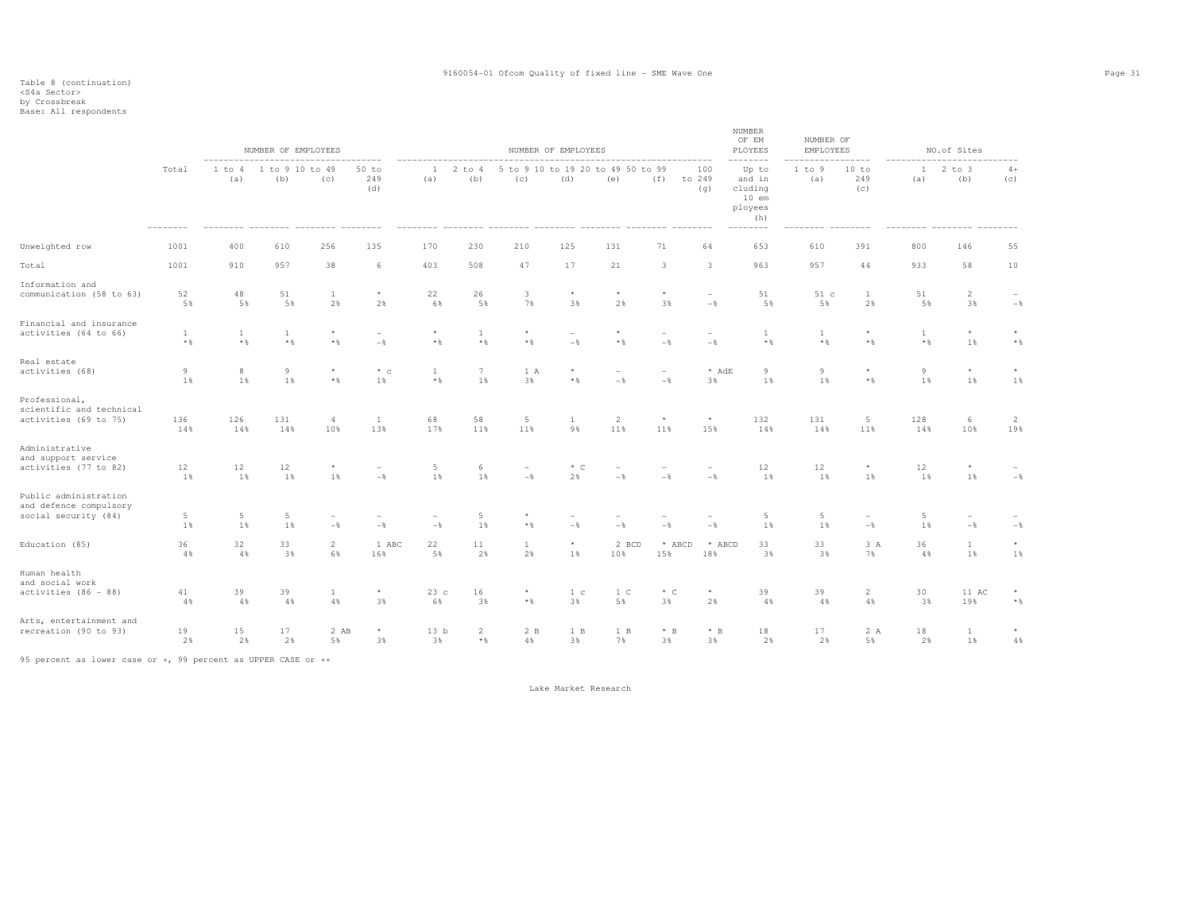## Table 8 (continuation) <S4a Sector> by Crossbreak Base: All respondents

|                                                                         |                              |                              | NUMBER OF EMPLOYEES          |                       |                       |                                 |                                |                    | NUMBER OF EMPLOYEES  |                                          |                                   |                                     | NUMBER<br>OF EM<br>PLOYEES                              | NUMBER OF<br>EMPLOYEES |                         |                              | NO.of Sites                     |                            |
|-------------------------------------------------------------------------|------------------------------|------------------------------|------------------------------|-----------------------|-----------------------|---------------------------------|--------------------------------|--------------------|----------------------|------------------------------------------|-----------------------------------|-------------------------------------|---------------------------------------------------------|------------------------|-------------------------|------------------------------|---------------------------------|----------------------------|
|                                                                         | Total                        | 1 to 4<br>(a)                | 1 to 9 10 to 49<br>(b)       | (c)                   | $50$ to<br>249<br>(d) | -1<br>(a)                       | $2$ to $4$<br>(b)              | (c)                | (d)                  | 5 to 9 10 to 19 20 to 49 50 to 99<br>(e) | (f)                               | 100<br>to 249<br>(q)                | Up to<br>and in<br>cluding<br>$10$ em<br>ployees<br>(h) | 1 to 9<br>(a)          | 10 to<br>249<br>(C)     | 1<br>(a)                     | $2$ to $3$<br>(b)               | $4+$<br>(c)                |
| Unweighted row                                                          | 1001                         | 400                          | 610                          | 256                   | 135                   | 170                             | 230                            | 210                | 125                  | 131                                      | 71                                | 64                                  | 653                                                     | 610                    | 391                     | 800                          | 146                             | 55                         |
| Total                                                                   | 1001                         | 910                          | 957                          | 38                    | 6                     | 403                             | 508                            | 47                 | 17                   | 21                                       | 3                                 | 3                                   | 963                                                     | 957                    | 44                      | 933                          | 58                              | 10                         |
| Information and<br>communication (58 to 63)                             | 52<br>5%                     | 48<br>5%                     | 51<br>5%                     | $\mathbf{1}$<br>2%    | $^{\star}$<br>2%      | 22<br>6%                        | 26<br>5%                       | 3<br>7%            | $\star$<br>3%        | $^{\star}$<br>2%                         | $\star$<br>3%                     | $\qquad \qquad -$<br>$-\frac{6}{5}$ | 51<br>5%                                                | 51 c<br>5%             | 1<br>2%                 | 51<br>5%                     | $\overline{c}$<br>3%            | $\sim$<br>$-\,$            |
| Financial and insurance<br>activities (64 to 66)                        | $\mathbf{1}$<br>$\star$ $\,$ | $\mathbf{1}$<br>$\star$ $\,$ | $\mathbf{1}$<br>$\star$ $\,$ | $\star$<br>$*$ %      | $-$                   | $\star$<br>$\star$ $\,$         | $\mathbf{1}$<br>$\star$ $\,$   | $\star$ $\,$       | $-$                  | ÷<br>$\star$ $\,$                        | $-$                               | $-\frac{6}{6}$                      | $\mathbf{1}$<br>$\star$ $\,$                            | 1<br>$*$ %             | $\star$<br>$*$ %        | $\mathbf{1}$<br>$\star$ $\,$ | $\star$<br>1%                   | $^{\star}$<br>$\star$ $\,$ |
| Real estate<br>activities (68)                                          | 9<br>1%                      | 8<br>1%                      | 9<br>1%                      | $\star$<br>$*$ %      | $*$ c<br>1%           | <sup>1</sup><br>$\star$ $\,$    | $7\phantom{.0}$<br>1%          | 1 A<br>3%          | $\star$<br>$*$ %     | $\sim$<br>$-$                            | $\overline{\phantom{a}}$<br>$-\,$ | * AdE<br>3%                         | 9<br>1%                                                 | 9<br>1%                | $\star$<br>$\star$ $\,$ | 9<br>1%                      | $\star$<br>1%                   | $\star$<br>1%              |
| Professional,<br>scientific and technical<br>activities (69 to 75)      | 136<br>14%                   | 126<br>14%                   | 131<br>14%                   | $\overline{4}$<br>10% | <sup>1</sup><br>13%   | 68<br>17%                       | 58<br>11%                      | 5<br>11%           | 1<br>9%              | $\overline{c}$<br>11%                    | $\star$<br>11%                    | $^{\star}$<br>15%                   | 132<br>14%                                              | 131<br>14%             | 5<br>11%                | 128<br>14%                   | 6<br>10%                        | 2<br>19%                   |
| Administrative<br>and support service<br>activities (77 to 82)          | 12<br>1%                     | 12<br>1%                     | 12<br>1%                     | 1 %                   | $-$                   | 5<br>1%                         | 6<br>1%                        | $-$                | $*$ C<br>2%          | $-$                                      | $-$                               | $-$                                 | 12<br>1%                                                | 12<br>1%               | ${}^{\star}$<br>1%      | 12<br>1 %                    | $^{\star}$<br>1%                | $-$                        |
| Public administration<br>and defence compulsory<br>social security (84) | $\overline{5}$<br>1%         | 5<br>1%                      | 5<br>1%                      | $-$                   | $-$                   | $\overline{\phantom{a}}$<br>$-$ | 5<br>1%                        | $*$ %              | $-$                  | $-$                                      | $-$                               | $-\frac{6}{6}$                      | 5<br>1%                                                 | 5<br>1%                | $-$                     | 5<br>1%                      | $\overline{\phantom{a}}$<br>$-$ | $-\,$                      |
| Education (85)                                                          | 36<br>4%                     | 32<br>4%                     | 33<br>3%                     | $\overline{2}$<br>6%  | 1 ABC<br>16%          | 22<br>5%                        | 11<br>2%                       | $\mathbf{1}$<br>2% | $\star$<br>1%        | 2 BCD<br>10%                             | * ABCD<br>15%                     | * ABCD<br>18%                       | 33<br>3%                                                | 33<br>3%               | 3 A<br>7%               | 36<br>4%                     | $\mathbf{1}$<br>1%              | $\star$<br>1%              |
| Human health<br>and social work<br>activities (86 - 88)                 | 41<br>4%                     | 39<br>4%                     | 39<br>4%                     | $\mathbf{1}$<br>4%    | $^{\star}$<br>3%      | 23c<br>6%                       | 16<br>3%                       | $\star$ $\S$       | 1 <sup>c</sup><br>3% | 1 <sup>c</sup><br>5%                     | $*$ C<br>3%                       | $\star$<br>2%                       | 39<br>4%                                                | 39<br>$4\,$ %          | $\overline{2}$<br>4%    | 30<br>3%                     | 11 AC<br>19%                    | $_{\star}$<br>$\star$ $\,$ |
| Arts, entertainment and<br>recreation (90 to 93)                        | 19<br>2%                     | 15<br>2%                     | 17<br>2%                     | 2 AB<br>5%            | $\star$<br>3%         | 13 <sub>b</sub><br>3%           | $\overline{2}$<br>$\star$ $\,$ | 2 B<br>4%          | 1 B<br>3%            | 1 B<br>7%                                | $*$ B<br>3%                       | $*$ B<br>3%                         | 18<br>2%                                                | 17<br>2%               | 2 A<br>5%               | 18<br>2%                     | $\mathbf{1}$<br>1%              | $\star$<br>$4\,$           |

95 percent as lower case or +, 99 percent as UPPER CASE or ++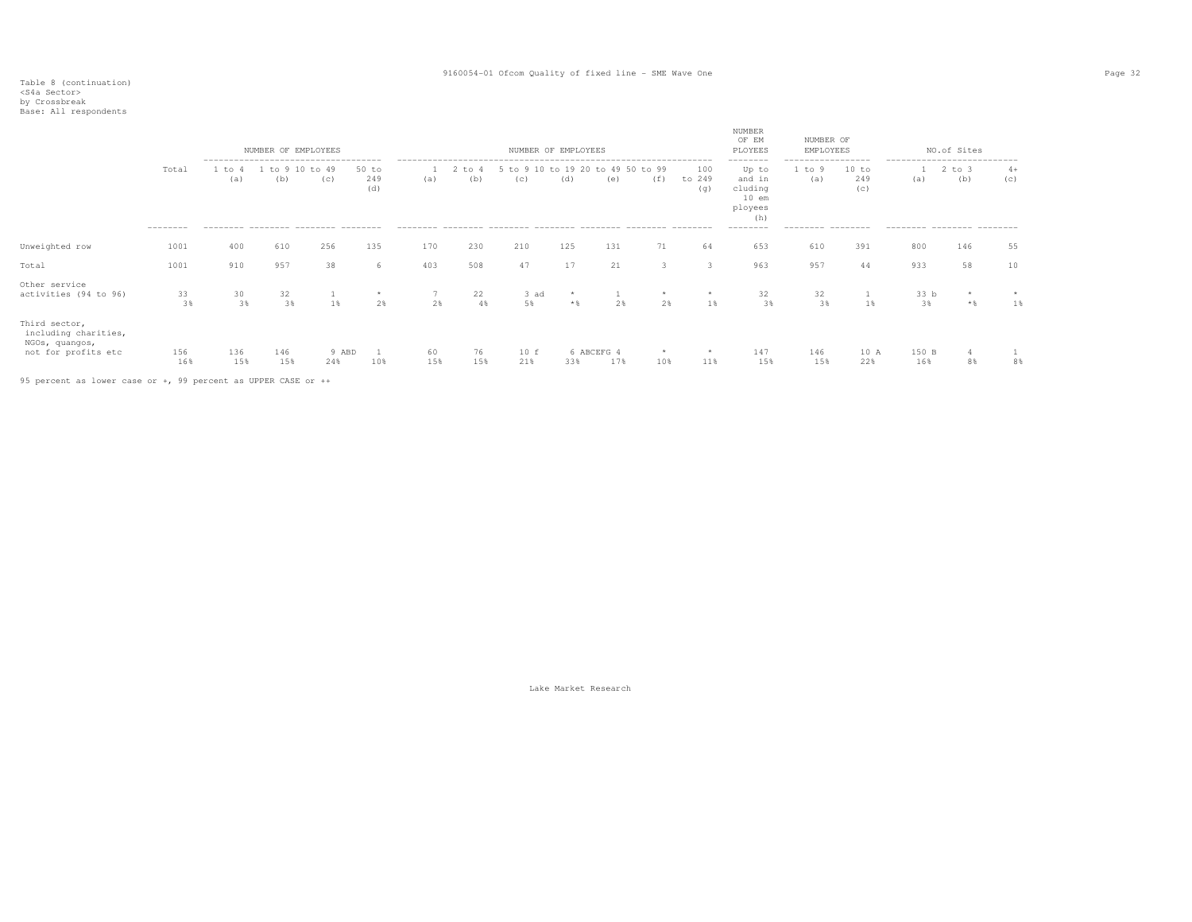# Table 8 (continuation) <S4a Sector> by Crossbreak Base: All respondents

|  | ----------- |                      |
|--|-------------|----------------------|
|  |             | ase: All respondents |

|                                                                                |                   |               | NUMBER OF EMPLOYEES<br>------------------------------------- |              |                     |           |           | NUMBER OF EMPLOYEES                               |                |                   |               | ------------------------ | NUMBER<br>OF EM<br>PLOYEES<br>--------                              | NUMBER OF<br>EMPLOYEES<br>----------------- |                     | ----------------------------      | NO.of Sites       |             |
|--------------------------------------------------------------------------------|-------------------|---------------|--------------------------------------------------------------|--------------|---------------------|-----------|-----------|---------------------------------------------------|----------------|-------------------|---------------|--------------------------|---------------------------------------------------------------------|---------------------------------------------|---------------------|-----------------------------------|-------------------|-------------|
|                                                                                | Total<br>-------- | 1 to 4<br>(a) | 1 to 9 10 to 49<br>(b)<br>--------- -------- ------- ------- | (C)          | 50 to<br>249<br>(d) | (a)       | (b)       | 1 2 to 4 5 to 9 10 to 19 20 to 49 50 to 99<br>(c) | (d)            | (e)               | (f)           | 100<br>to 249<br>(q)     | Up to<br>and in<br>cluding<br>$10$ em<br>ployees<br>(h)<br>-------- | 1 to 9<br>(a)<br>--------- --------         | 10 to<br>249<br>(c) | (a)<br>--------- -------- ------- | $2$ to $3$<br>(b) | $4+$<br>(C) |
| Unweighted row                                                                 | 1001              | 400           | 610                                                          | 256          | 135                 | 170       | 230       | 210                                               | 125            | 131               | 71            | 64                       | 653                                                                 | 610                                         | 391                 | 800                               | 146               | 55          |
| Total                                                                          | 1001              | 910           | 957                                                          | 38           | 6                   | 403       | 508       | 47                                                | 17             | 21                | 3             | 3                        | 963                                                                 | 957                                         | 44                  | 933                               | 58                | 10          |
| Other service<br>activities (94 to 96)                                         | 33<br>3%          | 30<br>3%      | 32<br>3%                                                     | 1%           | $\star$<br>2%       | 2%        | 22<br>4%  | 3 ad<br>5%                                        | $\star$<br>$*$ | 2%                | $\star$<br>2% | $\star$<br>1%            | 32<br>3%                                                            | 32<br>3%                                    | 1 %                 | 33 b<br>3%                        | $\star$<br>$*$ %  | 1%          |
| Third sector,<br>including charities,<br>NGOs, quangos,<br>not for profits etc | 156<br>16%        | 136<br>15%    | 146<br>15%                                                   | 9 ABD<br>24% | 10%                 | 60<br>15% | 76<br>15% | 10 f<br>21%                                       | 33%            | 6 ABCEFG 4<br>17% | 10%           | $\star$<br>11%           | 147<br>15%                                                          | 146<br>15%                                  | 10 A<br>22%         | 150 B<br>16%                      | 4<br>8%           | 8%          |
| the contract of the contract of the contract of                                |                   |               |                                                              |              |                     |           |           |                                                   |                |                   |               |                          |                                                                     |                                             |                     |                                   |                   |             |

95 percent as lower case or +, 99 percent as UPPER CASE or ++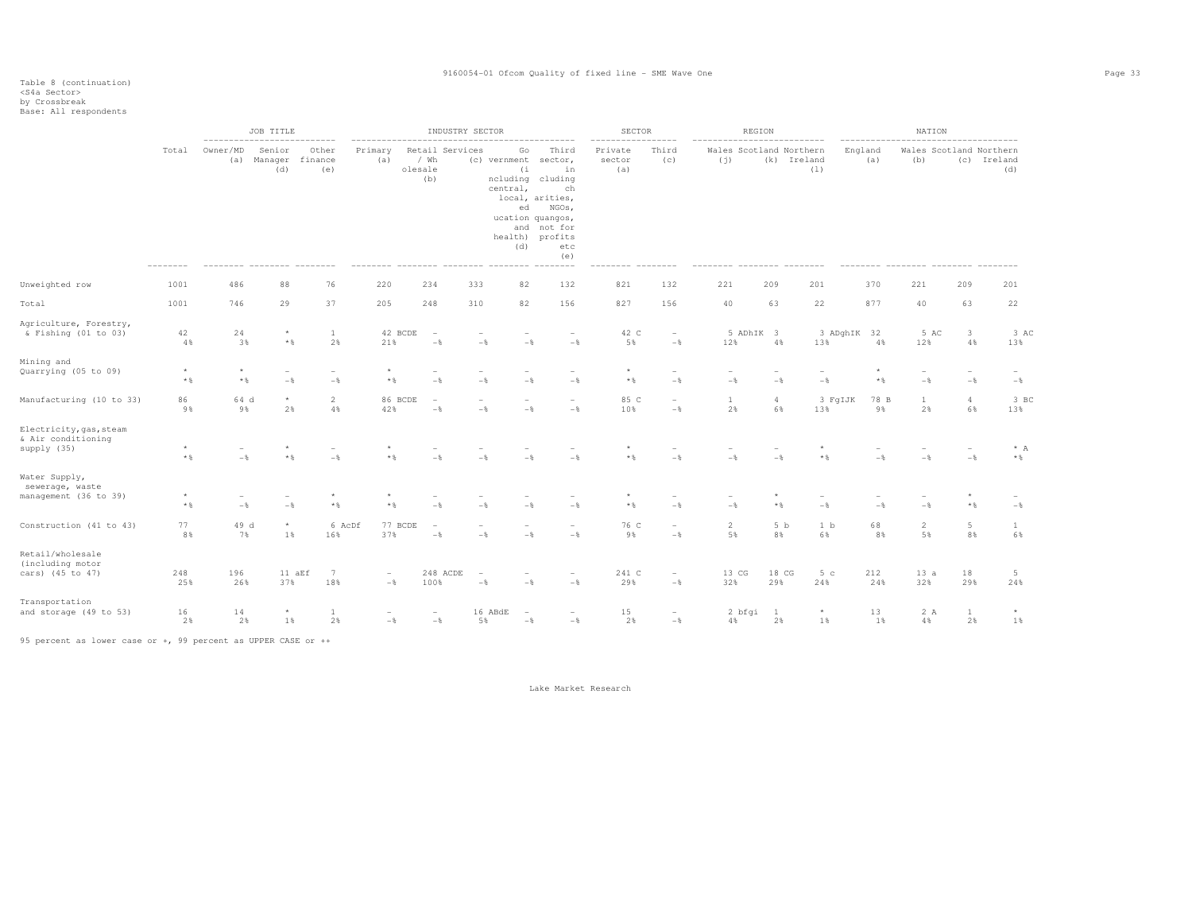|                                                              |                         |                 | JOB TITLE<br>-------------------- |                         |                   |                                           | INDUSTRY SECTOR                      |                         |                                                                                                                                                                       | <b>SECTOR</b><br>-------- |                                            | REGION                         |                      |                       |             |            | NATION               |                                   |                                               |
|--------------------------------------------------------------|-------------------------|-----------------|-----------------------------------|-------------------------|-------------------|-------------------------------------------|--------------------------------------|-------------------------|-----------------------------------------------------------------------------------------------------------------------------------------------------------------------|---------------------------|--------------------------------------------|--------------------------------|----------------------|-----------------------|-------------|------------|----------------------|-----------------------------------|-----------------------------------------------|
|                                                              | Total                   | Owner/MD<br>(a) | Senior<br>Manager<br>(d)          | Other<br>finance<br>(e) | Primary<br>(a)    | Retail Services<br>/ Wh<br>olesale<br>(b) | (c) vernment<br>central,<br>-------- | Go<br>(i)<br>ed<br>(d)  | Third<br>sector,<br>in<br>ncluding cluding<br>ch<br>local, arities,<br>NGOs,<br>ucation quangos,<br>and not for<br>health) profits<br>etc<br>(e)<br>$- - - - - - - -$ | Private<br>sector<br>(a)  | Third<br>(c)                               | Wales Scotland Northern<br>(j) |                      | (k) Ireland<br>(1)    | England     | (a)        | (b)                  |                                   | Wales Scotland Northern<br>(c) Ireland<br>(d) |
| Unweighted row                                               | 1001                    | 486             | 88                                | 76                      | 220               | 234                                       | 333                                  | 82                      | 132                                                                                                                                                                   | 821                       | 132                                        | 221                            | 209                  | 201                   |             | 370        | 221                  | 209                               | 201                                           |
| Total                                                        | 1001                    | 746             | 29                                | 37                      | 205               | 248                                       | 310                                  | 82                      | 156                                                                                                                                                                   | 827                       | 156                                        | 40                             | 63                   | 22                    |             | 877        | 40                   | 63                                | 22                                            |
| Agriculture, Forestry,<br>& Fishing (01 to 03)               | 42<br>4%                | 24<br>3%        | $\star$<br>$*$ &                  | $\mathbf{1}$<br>2%      | 42 BCDE<br>21%    | $\overline{\phantom{a}}$<br>$-\,$         | $-\,$                                | $-$                     | $-\frac{6}{6}$                                                                                                                                                        | 42 C<br>5%                | $\overline{\phantom{a}}$<br>$-\,$          | 5 ADhIK 3<br>12%               | 4%                   | 13%                   | 3 ADghIK 32 | 4%         | 5 AC<br>12%          | $\mathbf{3}$<br>$4\,$             | 3 AC<br>13%                                   |
| Mining and<br>Quarrying (05 to 09)                           | $\star$<br>$\star$ $\,$ | $\star$<br>$*$  | $-$                               | $-$                     | $\star$<br>$*$ &  | $-$                                       | $-\frac{6}{6}$                       | $-$                     | $-$                                                                                                                                                                   | $\star$<br>$\star$ $\,$   | $\overline{\phantom{a}}$<br>$-$            | $-$                            | $-$                  | $-$                   |             | $*$ %      | $-$                  | $\overline{\phantom{a}}$<br>$-\,$ | $-$                                           |
| Manufacturing (10 to 33)                                     | 86<br>9%                | 64 d<br>9%      | $\star$<br>2%                     | $\overline{a}$<br>4%    | 86 BCDE<br>42%    | $\overline{\phantom{a}}$<br>$-$ 8         | $-$ 8                                | $-$                     | $-$                                                                                                                                                                   | 85 C<br>10%               | $\overline{\phantom{a}}$<br>$-\,$          | $1\,$<br>2%                    | $\overline{4}$<br>6% | 3 FqIJK<br>13%        |             | 78 B<br>9% | $\mathbf{1}$<br>2%   | $\overline{4}$<br>6%              | 3 BC<br>13%                                   |
| Electricity, gas, steam<br>& Air conditioning<br>supply (35) | $\star$<br>$\star$ $\,$ | $-$             | $*$ %                             | $-$                     | $*$ &             | $-$                                       | $-$ %                                | $-$                     | $-\frac{6}{6}$                                                                                                                                                        | $\star$ &                 | $-$                                        | $-\frac{6}{5}$                 | $-$                  | $^{\star}$<br>$*$ &   |             | $-$        | $-$ %                | $-\frac{6}{6}$                    | $* A$<br>$\star$ $\,$                         |
| Water Supply,<br>sewerage, waste<br>management (36 to 39)    | $*$ &                   | $-$             | $-\frac{6}{5}$                    | $*$ &                   | $*$ $\frac{6}{6}$ | $-$ 8                                     | $-$ 8                                | $-\frac{6}{5}$          | $-\frac{6}{6}$                                                                                                                                                        | $\star$ $\,$              | $-\frac{6}{6}$                             | $-\frac{6}{6}$                 | $*$                  | $-$                   |             | $-$        | $-$                  | $*$ &                             | $-\frac{6}{6}$                                |
| Construction (41 to 43)                                      | 77<br>8%                | 49 d<br>7%      | $\star$<br>1%                     | 6 AcDf<br>16%           | 77 BCDE<br>37%    | $\overline{\phantom{a}}$<br>$-$           | $-\frac{6}{6}$                       | $-$                     | $-$                                                                                                                                                                   | 76 C<br>9%                | $\overline{\phantom{a}}$<br>$-\frac{6}{6}$ | $\overline{2}$<br>5%           | 5 <sub>b</sub><br>8% | 1 <sub>b</sub><br>6%  |             | 68<br>8%   | $\overline{2}$<br>5% | 5<br>8%                           | $\mathbf{1}$<br>6%                            |
| Retail/wholesale<br>(including motor<br>cars) (45 to 47)     | 248<br>25%              | 196<br>26%      | 11 aEf<br>37%                     | 7<br>18%                | $\sim$<br>$-\,$ % | 248 ACDE<br>100%                          | $-\,$                                | $-$                     | $-\,$                                                                                                                                                                 | 241 C<br>29%              | $\overline{\phantom{a}}$<br>$-\,$          | 13 CG<br>32%                   | 18 CG<br>29%         | 5 <sub>c</sub><br>24% |             | 212<br>24% | 13a<br>32%           | 18<br>29%                         | $5\phantom{.0}$<br>24%                        |
| Transportation<br>and storage (49 to 53)                     | 16<br>2%                | 14<br>2%        | $\star$<br>1%                     | 1<br>2%                 | $-\,$ %           | $-\frac{6}{6}$                            | 16 ABdE<br>5%                        | $\overline{a}$<br>$-\,$ | $-$                                                                                                                                                                   | 15<br>2%                  | $\overline{\phantom{a}}$<br>$-\frac{6}{6}$ | 2 bfgi<br>4%                   | $\mathbf{1}$<br>2%   | $\star$<br>1%         |             | 13<br>1%   | 2 A<br>4%            | $\mathbf{1}$<br>2%                | $\star$<br>1%                                 |

95 percent as lower case or +, 99 percent as UPPER CASE or ++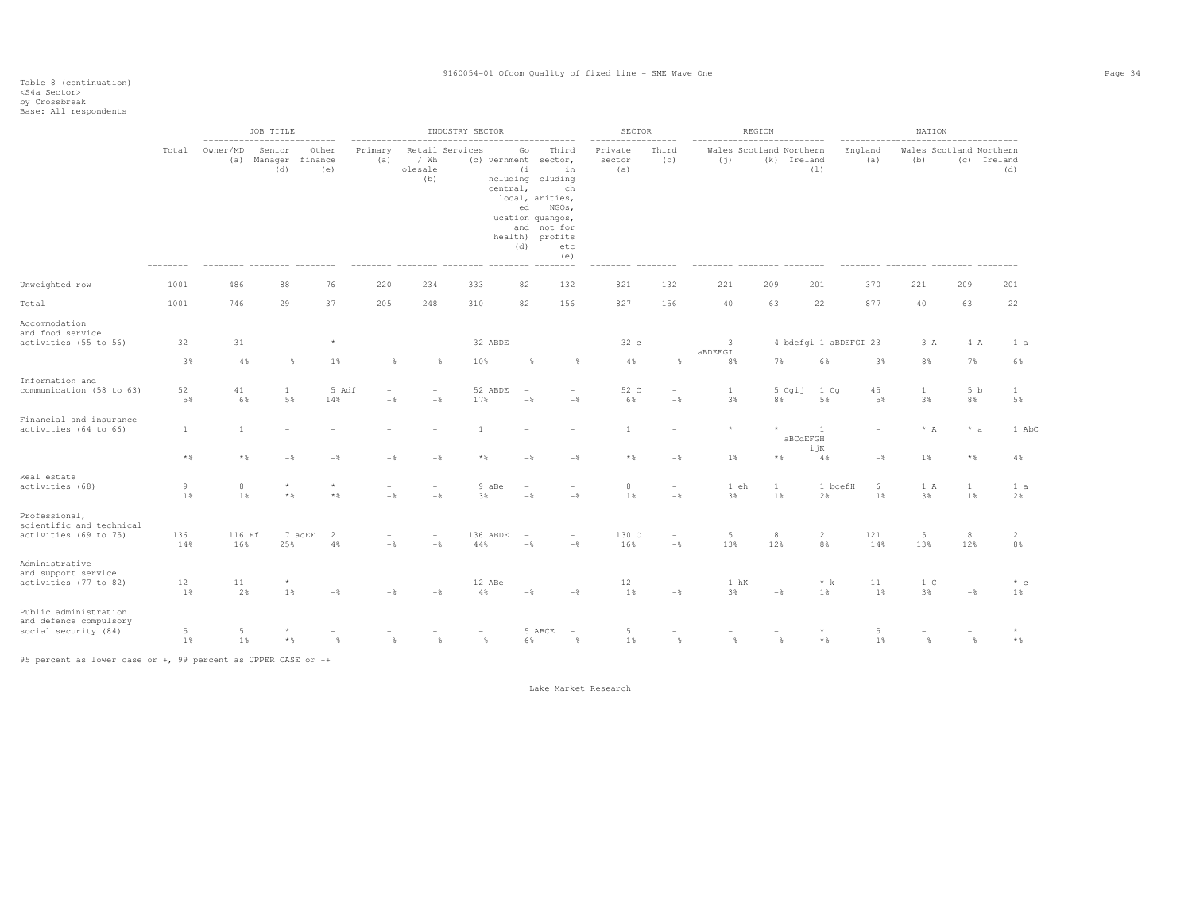|                                                                         |                      |               | JOB TITLE<br>_________________________________ |                         |                |                                           | INDUSTRY SECTOR |                                                                                                                                          |                                                         | SECTOR                   | ------------                               |                                | REGION                          |                                 |                | NATION                | -----------------------                    |                      |
|-------------------------------------------------------------------------|----------------------|---------------|------------------------------------------------|-------------------------|----------------|-------------------------------------------|-----------------|------------------------------------------------------------------------------------------------------------------------------------------|---------------------------------------------------------|--------------------------|--------------------------------------------|--------------------------------|---------------------------------|---------------------------------|----------------|-----------------------|--------------------------------------------|----------------------|
|                                                                         | Total                | Owner/MD      | Senior<br>(a) Manager<br>(d)                   | Other<br>finance<br>(e) | Primary<br>(a) | Retail Services<br>/ Wh<br>olesale<br>(b) |                 | Go<br>(c) vernment sector,<br>(i)<br>ncluding cluding<br>central,<br>local, arities,<br>ed<br>ucation quangos,<br>health) profits<br>(d) | Third<br>in<br>ch<br>NGOs,<br>and not for<br>etc<br>(e) | Private<br>sector<br>(a) | Third<br>(C)                               | Wales Scotland Northern<br>(j) |                                 | (k) Ireland<br>(1)              | England<br>(a) | (b)                   | Wales Scotland Northern                    | (c) Ireland<br>(d)   |
| Unweighted row                                                          | 1001                 | 486           | 88                                             | 76                      | 220            | 234                                       | 333             | 82                                                                                                                                       | 132                                                     | 821                      | 132                                        | 221                            | 209                             | 201                             | 370            | 221                   | 209                                        | 201                  |
| Total                                                                   | 1001                 | 746           | 29                                             | 37                      | 205            | 248                                       | 310             | 82                                                                                                                                       | 156                                                     | 827                      | 156                                        | 40                             | 63                              | 22                              | 877            | 40                    | 63                                         | 22                   |
| Accommodation<br>and food service<br>activities (55 to 56)              | 32<br>3%             | 31<br>4%      | $-\frac{6}{9}$                                 | 1%                      | $-$            | $-\,$                                     | 32 ABDE<br>10%  | $-\frac{6}{6}$                                                                                                                           | $-\frac{6}{6}$                                          | 32c<br>4%                | $-\,$                                      | 3<br>ABDEFGI<br>8%             | 7%                              | 4 bdefgi 1 aBDEFGI 23<br>6%     | 3%             | 3 A<br>8%             | 4 A<br>7%                                  | 1 a<br>6%            |
| Information and                                                         |                      |               |                                                |                         |                |                                           |                 |                                                                                                                                          |                                                         |                          |                                            |                                |                                 |                                 |                |                       |                                            |                      |
| communication (58 to 63)                                                | 52<br>5%             | 41<br>6%      | 1<br>5%                                        | 5 Adf<br>14%            | $-$            | $\overline{\phantom{a}}$<br>$-$           | 52 ABDE<br>17%  | $-$                                                                                                                                      | ÷<br>$-$                                                | 52 C<br>6%               | $\overline{\phantom{a}}$<br>$-\frac{6}{6}$ | $\mathbf{1}$<br>3%             | 5 Cgij<br>8%                    | 1 Cq<br>5%                      | 45<br>5%       | $\mathbf{1}$<br>3%    | 5 <sub>b</sub><br>8%                       | 1<br>5%              |
| Financial and insurance<br>activities (64 to 66)                        | $\mathbf{1}$         | $\mathbf{1}$  |                                                |                         |                |                                           | $\overline{1}$  |                                                                                                                                          |                                                         | $\mathbf{1}$             |                                            | $\star$                        |                                 | <sup>1</sup><br>aBCdEFGH<br>ijK |                | $* A$                 | $* a$                                      | 1 AbC                |
|                                                                         | $\star$ $\,$         | $*$           | $-$                                            | $-\frac{6}{9}$          | $-\frac{6}{5}$ | $-$                                       | $*$             | $-$                                                                                                                                      | $-\frac{6}{5}$                                          | $*$                      | $-\frac{6}{5}$                             | $1\%$                          | $\star$ $\,$                    | 4%                              | $-\frac{6}{5}$ | 1%                    | $*$ &                                      | 4%                   |
| Real estate<br>activities (68)                                          | $\,9$<br>1%          | 8<br>1%       | $\star$<br>$\star$ $\,$                        | $\star$<br>$*$ %        | $-$            | $\overline{\phantom{a}}$<br>$-$ 8         | 9 aBe<br>3%     | $\overline{\phantom{a}}$<br>$-$                                                                                                          | $\overline{a}$<br>$-$                                   | 8<br>1%                  | $\overline{\phantom{a}}$<br>$-\frac{6}{6}$ | 1 eh<br>3%                     | $\mathbf{1}$<br>1%              | 1 bcefH<br>2%                   | 6<br>1%        | 1 A<br>3%             | $\mathbf{1}$<br>1%                         | 1 a<br>2%            |
| Professional,<br>scientific and technical                               |                      |               |                                                |                         |                |                                           |                 |                                                                                                                                          |                                                         |                          |                                            |                                |                                 |                                 |                |                       |                                            |                      |
| activities (69 to 75)                                                   | 136<br>14%           | 116 Ef<br>16% | 25%                                            | 2<br>7 acEF<br>$4\,$ %  | $-\,$ %        | $-\,$                                     | 136 ABDE<br>44% | $-$                                                                                                                                      | $\overline{a}$<br>$-\,$                                 | 130 C<br>16%             | $\overline{\phantom{a}}$<br>$-\,$          | 5<br>13%                       | 8<br>12%                        | $\overline{c}$<br>8%            | 121<br>14%     | $\overline{5}$<br>13% | $^8$<br>12%                                | $\overline{2}$<br>8% |
| Administrative<br>and support service<br>activities (77 to 82)          | 12<br>1%             | 11<br>2%      | 1%                                             | ۰<br>$-\frac{6}{6}$     | $-$            | $\overline{\phantom{a}}$<br>$-$           | 12 ABe<br>4%    | $\overline{\phantom{a}}$<br>$-$                                                                                                          | $\overline{a}$<br>$-$                                   | 12<br>1%                 | $\qquad \qquad -$<br>$-\frac{6}{6}$        | 1 hK<br>3%                     | $\overline{\phantom{a}}$<br>$-$ | $\star$ $\,$ k<br>1%            | 11<br>1%       | 1 <sup>C</sup><br>3%  | $\overline{\phantom{a}}$<br>$-\frac{6}{6}$ | $*$ c<br>1%          |
| Public administration<br>and defence compulsory<br>social security (84) | $\overline{5}$<br>1% | 5<br>1%       | $\star$ $\,$                                   | $-\,$                   | $-\frac{6}{5}$ | $-\,$                                     | $-\frac{6}{6}$  | 6%                                                                                                                                       | 5 ABCE<br>$\overline{\phantom{a}}$<br>$-\,$             | 5<br>$1\,$               | $-\,$                                      | $-\,$                          | $-\,$                           | $*$ &                           | 5<br>1%        | $-\,$                 | $-$                                        | $\star$ $\,$         |

95 percent as lower case or +, 99 percent as UPPER CASE or ++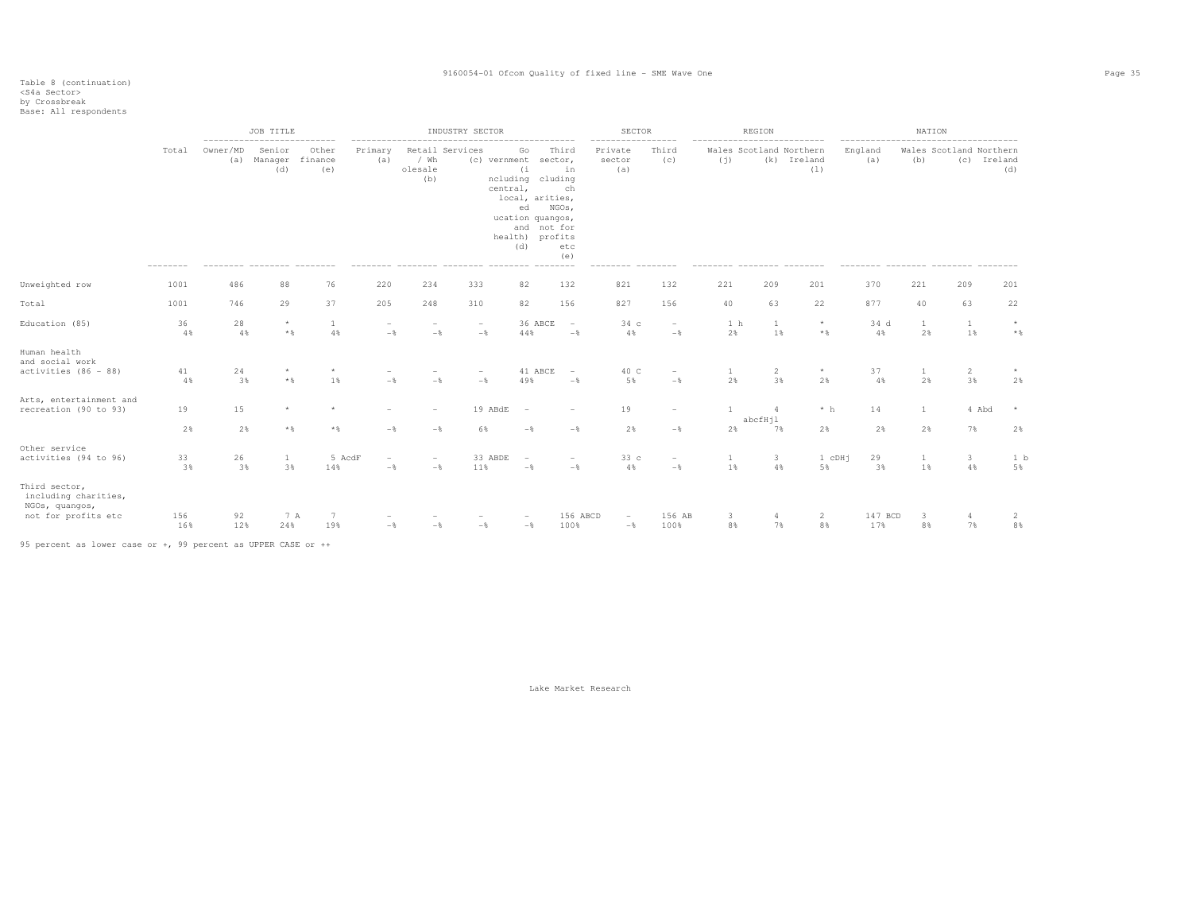|                                                                                |            |                 | JOB TITLE<br>--------------------------- |                         | ---------------------           |                                 | INDUSTRY SECTOR                     |                                                                                                                                  |                                                                    | SECTOR<br>-----------------     |                                            |                                | REGION        |                    |                | NATION   |                                        |                 |
|--------------------------------------------------------------------------------|------------|-----------------|------------------------------------------|-------------------------|---------------------------------|---------------------------------|-------------------------------------|----------------------------------------------------------------------------------------------------------------------------------|--------------------------------------------------------------------|---------------------------------|--------------------------------------------|--------------------------------|---------------|--------------------|----------------|----------|----------------------------------------|-----------------|
|                                                                                | Total      | Owner/MD<br>(a) | Senior<br>Manager<br>(d)                 | Other<br>finance<br>(e) | Primary<br>(a)                  | / Wh<br>olesale<br>(b)          | Retail Services                     | Go<br>(c) vernment<br>(i)<br>ncluding cluding<br>central,<br>local, arities,<br>ed<br>ucation quangos,<br>health) profits<br>(d) | Third<br>sector,<br>in<br>ch<br>NGOs,<br>and not for<br>etc<br>(e) | Private<br>sector<br>(a)        | Third<br>(C)                               | Wales Scotland Northern<br>(i) |               | (k) Ireland<br>(1) | England<br>(a) | (b)      | Wales Scotland Northern<br>(c) Ireland | (d)             |
| Unweighted row                                                                 | 1001       | 486             | 88                                       | 76                      | 220                             | 234                             | 333                                 | 82                                                                                                                               | 132                                                                | 821                             | 132                                        | 221                            | 209           | 201                | 370            | 221      | 209                                    | 201             |
| Total                                                                          | 1001       | 746             | 29                                       | 37                      | 205                             | 248                             | 310                                 | 82                                                                                                                               | 156                                                                | 827                             | 156                                        | 40                             | 63            | 22                 | 877            | 40       | 63                                     | 22              |
| Education (85)                                                                 | 36<br>4%   | 28<br>4%        | $\star$<br>$*$ &                         | 1<br>4%                 | $-$                             | $-\frac{6}{5}$                  | $\qquad \qquad -$<br>$-\frac{6}{5}$ | 36 ABCE<br>44%                                                                                                                   | $\overline{\phantom{a}}$<br>$-\frac{6}{6}$                         | 34 c<br>4%                      | $\overline{\phantom{a}}$<br>$-\frac{6}{5}$ | 1 <sub>h</sub><br>2%           | 1<br>1%       | $\star$<br>$*$ &   | 34 d<br>4%     | 1<br>2%  | 1<br>1%                                | $\star$<br>$*$  |
| Human health<br>and social work                                                |            |                 |                                          |                         |                                 |                                 |                                     |                                                                                                                                  |                                                                    |                                 |                                            |                                |               |                    |                |          |                                        |                 |
| activities (86 - 88)                                                           | 41<br>4%   | 24<br>3%        | $*$ &                                    | $\star$<br>1%           | $-$                             | $-$                             | $-\frac{6}{5}$                      | 41 ABCE<br>49%                                                                                                                   | $\sim$<br>$-$                                                      | 40 C<br>5%                      | $\overline{\phantom{a}}$<br>$-\frac{6}{6}$ | 1<br>2%                        | 2<br>3%       | $\star$<br>2%      | 37<br>4%       | 1<br>2%  | $\overline{2}$<br>3%                   | 2%              |
| Arts, entertainment and<br>recreation (90 to 93)                               | 19         | 15              |                                          |                         |                                 |                                 | 19 ABdE                             | $\overline{\phantom{a}}$                                                                                                         |                                                                    | 19                              | $\overline{\phantom{a}}$                   | 1                              |               | $*~h$              | 14             | 1        | 4 Abd                                  |                 |
|                                                                                | 2%         | 2%              | $*$                                      | $*$ %                   | $-$                             | $-\frac{6}{5}$                  | 6%                                  | $-$                                                                                                                              | $-$                                                                | 2%                              | $-\frac{6}{5}$                             | 2%                             | abcfHjl<br>7% | 2%                 | 2%             | 2%       | 7%                                     | 2%              |
| Other service<br>activities (94 to 96)                                         | 33<br>3%   | 26<br>3%        | 1<br>3%                                  | 5 AcdF<br>14%           | $\overline{\phantom{a}}$<br>$-$ | $\overline{\phantom{a}}$<br>$-$ | 33 ABDE<br>11%                      | $\overline{\phantom{a}}$<br>$-$                                                                                                  | $\overline{\phantom{0}}$<br>$-\frac{6}{5}$                         | 33c<br>4%                       | $\overline{\phantom{a}}$<br>$-\frac{6}{6}$ | 1<br>1%                        | 3<br>4%       | 1 cDHj<br>5%       | 29<br>3%       | -1<br>1% | $\overline{\mathbf{3}}$<br>4%          | 1 b<br>5%       |
| Third sector,<br>including charities,<br>NGOs, quangos,<br>not for profits etc | 156<br>16% | 92<br>12%       | 7 A<br>24%                               | 7<br>19%                | $-\frac{6}{5}$                  | $-\frac{6}{5}$                  | $-$                                 | $-\frac{6}{5}$                                                                                                                   | 156 ABCD<br>100%                                                   | $\overline{\phantom{a}}$<br>$-$ | 156 AB<br>100%                             | 3<br>8%                        | 7%            | 2<br>8%            | 147 BCD<br>17% | -3<br>8% | $\overline{4}$<br>7%                   | 2<br>$8\,$ $\,$ |

95 percent as lower case or +, 99 percent as UPPER CASE or ++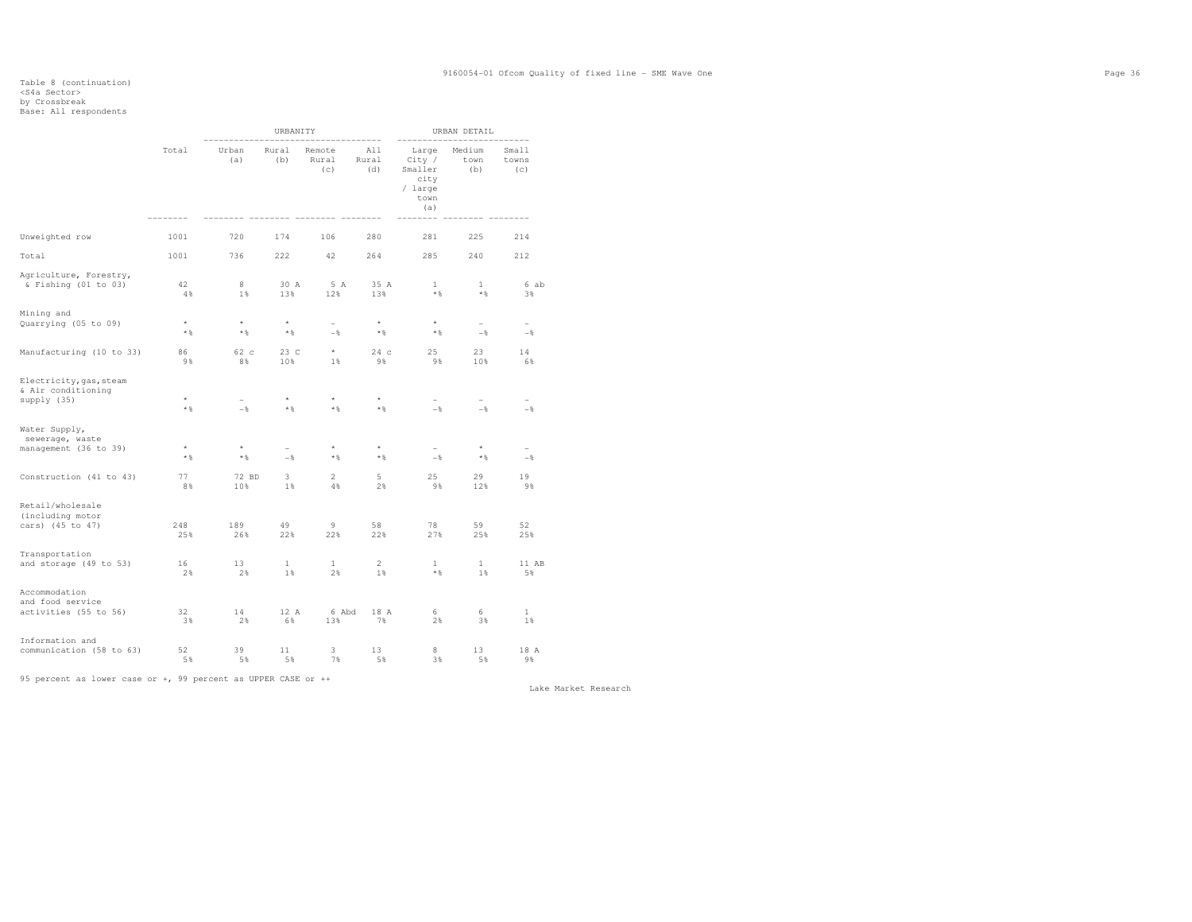### Table 8 (continuation) <S4a Sector> by Crossbreak Base: All respondents

|                                                              |                     | URBANITY                          |                         |                                 |                     | URBAN DETAIL                                                 |                                   |                                    |
|--------------------------------------------------------------|---------------------|-----------------------------------|-------------------------|---------------------------------|---------------------|--------------------------------------------------------------|-----------------------------------|------------------------------------|
|                                                              | Total               | Urban<br>(a)                      | Rural<br>(b)            | Remote<br>Rural<br>(c)          | All<br>Rural<br>(d) | Large<br>City /<br>Smaller<br>city<br>/ large<br>town<br>(a) | Medium<br>town<br>(b)             | Small<br>towns<br>(c)<br>$--- - -$ |
| Unweighted row                                               | 1001                | 720                               | 174                     | 106                             | 280                 | 281                                                          | 225                               | 214                                |
| Total                                                        | 1001                | 736                               | 222                     | 42                              | 264                 | 285                                                          | 240                               | 212                                |
| Agriculture, Forestry,<br>$\&$ Fishing (01 to 03)            | 42<br>4%            | 8<br>1%                           | 30 A<br>13%             | 5 A<br>12%                      | 35 A<br>13%         | $\mathbf{1}$<br>$\star$ $\,$                                 | $\mathbf{1}$<br>$\star$ $\,$      | 6 ab<br>3%                         |
| Mining and<br>Quarrying (05 to 09)                           | $^{\star}$<br>$*$ & | $^\star$<br>$\star$ $\,$          | $^\star$<br>$*$ %       | $\overline{\phantom{0}}$<br>$-$ | $^\star$<br>$*$     | $^\star$<br>$*$                                              | $\overline{\phantom{m}}$<br>$-$   | $\overline{\phantom{a}}$<br>$-$    |
| Manufacturing (10 to 33)                                     | 86<br>98            | 62 c<br>8%                        | 23 C<br>10%             | $\star$<br>$1\%$                | 24c<br>9%           | 25<br>98                                                     | 23<br>10%                         | 14<br>6%                           |
| Electricity, gas, steam<br>& Air conditioning<br>supply (35) | $\star$<br>$*$ &    | $\overline{\phantom{0}}$<br>$-$ 8 | $\star$<br>$\star$ $\S$ | $\star$<br>$\star$ $\S$         | $\star$<br>$*$ &    | $\overline{\phantom{0}}$<br>$-$                              | $\overline{\phantom{m}}$<br>$-$ 8 | $-\frac{6}{5}$                     |
| Water Supply,<br>sewerage, waste<br>management (36 to 39)    | $^\star$<br>$*$ %   | $\star$<br>$\star$ &              | $-$                     | $\star$<br>$*$ %                | $^\star$<br>$*$ %   | $-$                                                          | $\star$<br>$*$                    | $-$                                |
| Construction (41 to 43)                                      | 77<br>8%            | 72 BD<br>10%                      | 3<br>1%                 | $\overline{2}$<br>4%            | 5<br>2%             | 25<br>9%                                                     | 29<br>12%                         | 19<br>9%                           |
| Retail/wholesale<br>(including motor<br>cars) (45 to 47)     | 248<br>25%          | 189<br>26%                        | 49<br>22%               | 9<br>22%                        | 58<br>22%           | 78<br>27%                                                    | 59<br>25%                         | 52<br>25%                          |
| Transportation<br>and storage (49 to 53)                     | 16<br>2%            | 13<br>2%                          | $\mathbf{1}$<br>$1\%$   | $\mathbf{1}$<br>2%              | 2<br>$1\%$          | $\mathbf{1}$<br>$\star$ &                                    | $\mathbf{1}$<br>1%                | 11 AB<br>5%                        |
| Accommodation<br>and food service<br>activities (55 to 56)   | 32<br>3%            | 14<br>2%                          | 12 A<br>6%              | 6 Abd<br>13%                    | 18 A<br>7%          | 6<br>2%                                                      | 6<br>3%                           | $\mathbf{1}$<br>$1\%$              |
| Information and<br>communication (58 to 63)                  | 52<br>5 %           | 39<br>5%                          | 11<br>5%                | 3<br>7%                         | 13<br>5%            | 8<br>3%                                                      | 13<br>5%                          | 18 A<br>9%                         |

95 percent as lower case or +, 99 percent as UPPER CASE or ++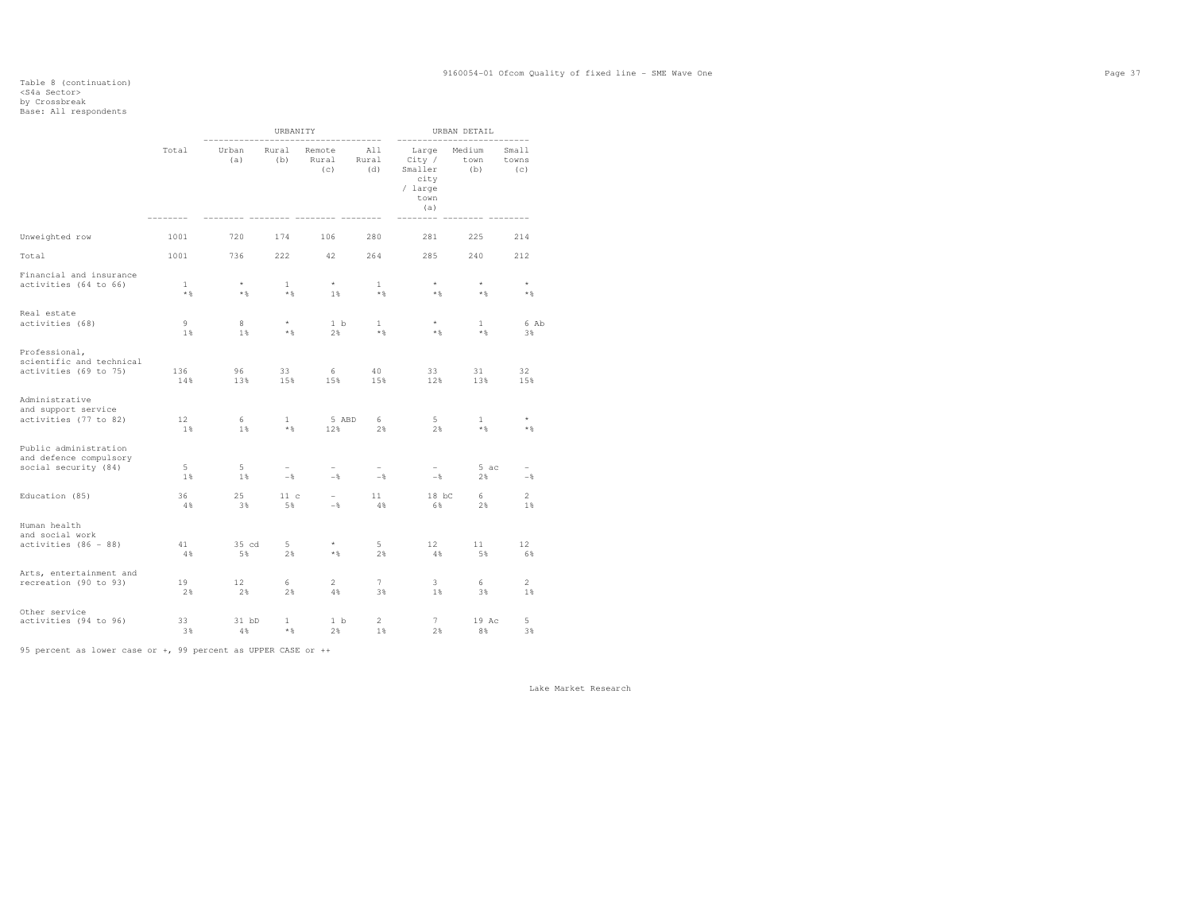# Table 8 (continuation) <S4a Sector> by Crossbreak Base: All respondents

|                                                                         |                       |                       | URBANITY                        |                                            |                       |                                                              | URBAN DETAIL          |                       |
|-------------------------------------------------------------------------|-----------------------|-----------------------|---------------------------------|--------------------------------------------|-----------------------|--------------------------------------------------------------|-----------------------|-----------------------|
|                                                                         | Total                 | Urban<br>(a)          | Rural<br>(b)                    | Remote<br>Rural<br>(c)                     | All<br>Rural<br>(d)   | Large<br>City /<br>Smaller<br>city<br>/ large<br>town<br>(a) | Medium<br>town<br>(b) | Small<br>towns<br>(C) |
| Unweighted row                                                          | 1001                  | 720                   | 174                             | 106                                        | 280                   | 281                                                          | 225                   | 214                   |
| Total                                                                   | 1001                  | 736                   | 222                             | 42                                         | 264                   | 285                                                          | 240                   | 212                   |
| Financial and insurance<br>activities (64 to 66)                        | $\mathbf{1}$<br>$*$ & | $\star$<br>$*$        | $\mathbf{1}$<br>$*$ &           | $\star$<br>1%                              | $\mathbf{1}$<br>$*$   | $\star$<br>$\star$ &                                         | $\star$<br>$*$        | $\star$<br>$*$ %      |
| Real estate<br>activities (68)                                          | 9<br>1%               | 8<br>1%               | $\star$<br>$*$ &                | 1 <sub>b</sub><br>2%                       | $\mathbf{1}$<br>$*$ & | $*$ %                                                        | $\mathbf{1}$<br>$*$ % | 6 Ab<br>3%            |
| Professional,<br>scientific and technical<br>activities (69 to 75)      | 136<br>14%            | 96<br>13%             | 33<br>15%                       | 6<br>15%                                   | 40<br>15%             | 33<br>12%                                                    | 31<br>13%             | 32<br>15%             |
| Administrative<br>and support service<br>activities (77 to 82)          | 12 <sup>2</sup><br>1% | 6<br>$1\%$            | $\mathbf{1}$<br>$*$ &           | 5 ABD<br>12%                               | 6<br>2%               | $5 -$<br>2%                                                  | $\mathbf{1}$<br>$*$ & | $\star$<br>$*$ %      |
| Public administration<br>and defence compulsory<br>social security (84) | $5 -$<br>1%           | $5 -$<br>1%           | $\overline{\phantom{0}}$<br>$-$ | $\overline{\phantom{0}}$<br>$-\frac{6}{6}$ | $\sim$<br>$-$         | $-$                                                          | 5 ac<br>2%            | $-\frac{6}{9}$        |
| Education (85)                                                          | 36<br>4%              | 25<br>3%              | 11c<br>5%                       | $-$<br>$-\frac{6}{6}$                      | 11<br>4%              | $18$ bC<br>6%                                                | 6<br>2%               | $\overline{2}$<br>1%  |
| Human health<br>and social work<br>activities (86 - 88)                 | 41<br>4%              | 35 cd<br>5%           | $5 -$<br>2%                     | $\star$<br>$*$ &                           | $5 -$<br>2%           | 12 <sup>7</sup><br>4%                                        | 11<br>5%              | 12<br>6%              |
| Arts, entertainment and<br>recreation (90 to 93)                        | 19<br>2%              | 12 <sup>°</sup><br>2% | 6<br>2%                         | $\overline{2}$<br>4%                       | 7<br>3%               | $\overline{\mathbf{3}}$<br>1%                                | 6<br>3%               | $\overline{c}$<br>1%  |
| Other service<br>activities (94 to 96)                                  | 33<br>3 %             | $31$ bD<br>4 %        | $\mathbf{1}$<br>$*$ %           | 1 <sub>b</sub><br>2%                       | $\overline{2}$<br>1%  | 7<br>2%                                                      | 19 Ac<br>8%           | 5<br>3%               |

95 percent as lower case or +, 99 percent as UPPER CASE or ++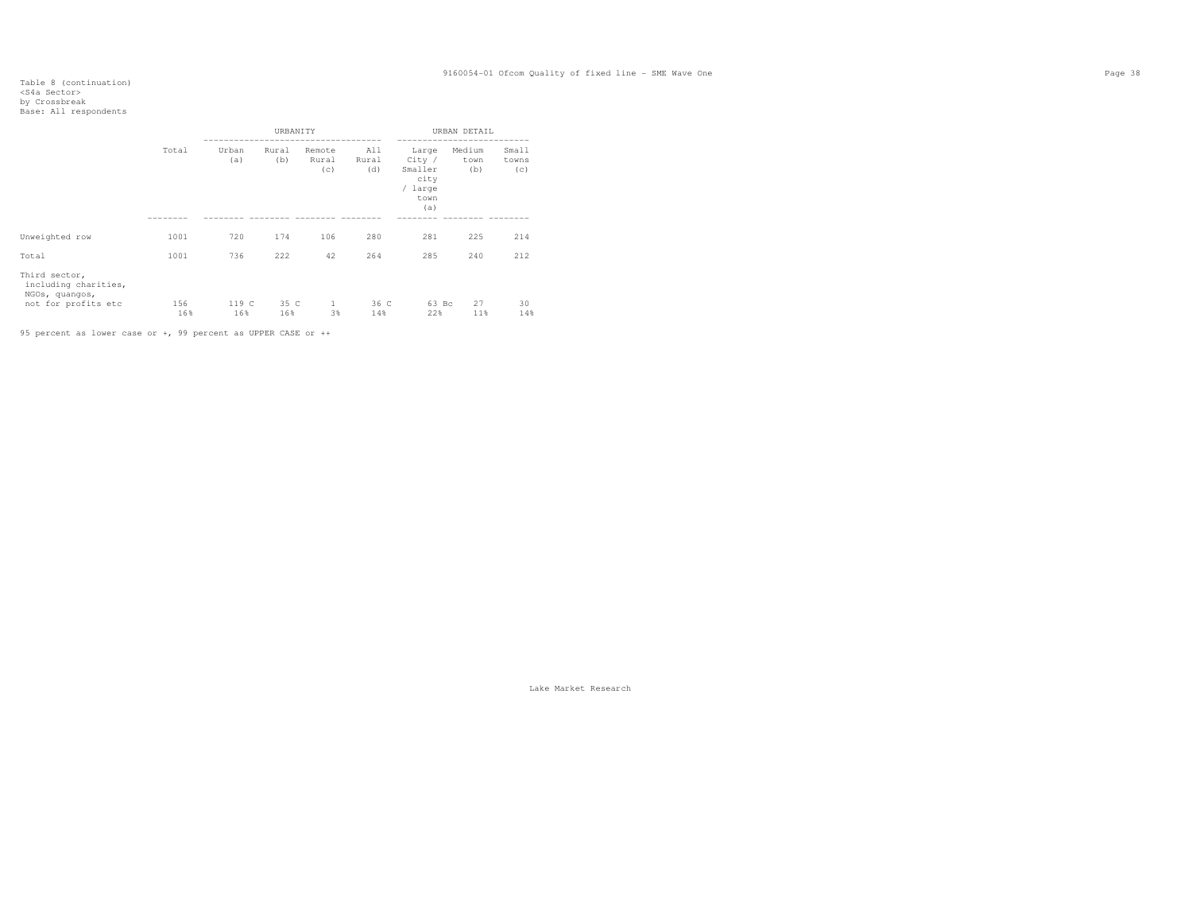# Table 8 (continuation) <S4a Sector> by Crossbreak Base: All respondents

|                                                                                |       |              | URBANITY     |                        |                     |                                                              | URBAN DETAIL          |                       |
|--------------------------------------------------------------------------------|-------|--------------|--------------|------------------------|---------------------|--------------------------------------------------------------|-----------------------|-----------------------|
|                                                                                | Total | Urban<br>(a) | Rural<br>(b) | Remote<br>Rural<br>(C) | All<br>Rural<br>(d) | Large<br>City /<br>Smaller<br>city<br>/ large<br>town<br>(a) | Medium<br>town<br>(b) | Small<br>towns<br>(c) |
|                                                                                |       |              |              |                        |                     |                                                              |                       |                       |
| Unweighted row                                                                 | 1001  | 720          | 174          | 106                    | 280                 | 281                                                          | 225                   | 214                   |
| Total                                                                          | 1001  | 736          | 222          | 42                     | 264                 | 285                                                          | 240                   | 212                   |
| Third sector,<br>including charities,<br>NGOs, quangos,<br>not for profits etc | 156   | 119 C        | 35 C         | 1                      | 36 C                | 63 Bc                                                        | 27                    | 30                    |
|                                                                                | 16%   | 16%          | 16%          | 3%                     | 14%                 | 22%                                                          | 11%                   | 14%                   |

95 percent as lower case or +, 99 percent as UPPER CASE or ++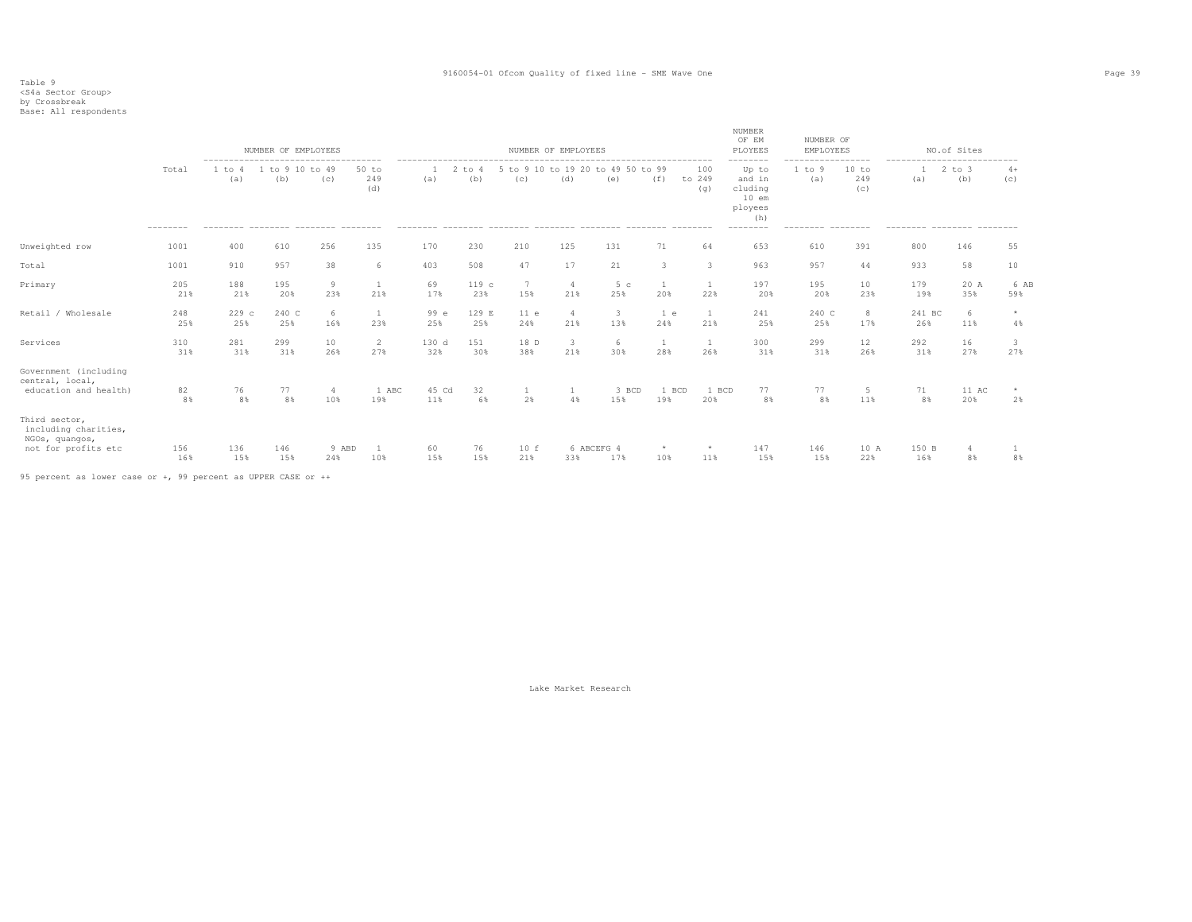|                                                                                |            |               | NUMBER OF EMPLOYEES    |                       |                       |              |               |                        | NUMBER OF EMPLOYEES            |                                          |                       |                         | <b>NUMBER</b><br>OF EM<br>PLOYEES                       | NUMBER OF<br>EMPLOYEES |                     |                     | NO.of Sites       |               |
|--------------------------------------------------------------------------------|------------|---------------|------------------------|-----------------------|-----------------------|--------------|---------------|------------------------|--------------------------------|------------------------------------------|-----------------------|-------------------------|---------------------------------------------------------|------------------------|---------------------|---------------------|-------------------|---------------|
|                                                                                | Total      | 1 to 4<br>(a) | 1 to 9 10 to 49<br>(b) | (C)                   | $50$ to<br>249<br>(d) | (a)          | 2 to 4<br>(b) | (c)                    | (d)                            | 5 to 9 10 to 19 20 to 49 50 to 99<br>(e) | (f)                   | 100<br>to 249<br>(q)    | Up to<br>and in<br>cluding<br>$10$ em<br>ployees<br>(h) | 1 to 9<br>(a)          | 10 to<br>249<br>(C) | ------<br>Ι.<br>(a) | $2$ to $3$<br>(b) | $4+$<br>(C)   |
| Unweighted row                                                                 | 1001       | 400           | 610                    | 256                   | 135                   | 170          | 230           | 210                    | 125                            | 131                                      | 71                    | 64                      | 653                                                     | 610                    | 391                 | 800                 | 146               | 55            |
| Total                                                                          | 1001       | 910           | 957                    | 38                    | 6                     | 403          | 508           | 47                     | 17                             | 21                                       | 3                     | $\overline{\mathbf{3}}$ | 963                                                     | 957                    | 44                  | 933                 | 58                | 10            |
| Primary                                                                        | 205<br>21% | 188<br>21%    | 195<br>20%             | 9<br>23%              | 1<br>21%              | 69<br>17%    | 119 c<br>23%  | $7\phantom{.0}$<br>15% | $\overline{4}$<br>21%          | 5 <sub>c</sub><br>25%                    | $\overline{1}$<br>20% | <sup>1</sup><br>22%     | 197<br>20%                                              | 195<br>20%             | 10<br>23%           | 179<br>19%          | 20 A<br>35%       | 6 AB<br>59%   |
| Retail / Wholesale                                                             | 248<br>25% | 229c<br>25%   | 240 C<br>25%           | 6<br>16%              | 1<br>23%              | 99 e<br>25%  | 129 E<br>25%  | 11 e<br>24%            | $\overline{4}$<br>21%          | $\overline{3}$<br>13%                    | 1 e<br>24%            | 1<br>21%                | 241<br>25%                                              | 240 C<br>25%           | 8<br>17%            | 241 BC<br>26%       | -6<br>11%         | $\star$<br>4% |
| Services                                                                       | 310<br>31% | 281<br>31%    | 299<br>31%             | 10<br>26%             | 2<br>27%              | 130 d<br>32% | 151<br>30%    | 18 D<br>38%            | $\overline{\mathbf{3}}$<br>21% | 6<br>30%                                 | -1<br>28%             | <sup>1</sup><br>26%     | 300<br>31%                                              | 299<br>31%             | 12<br>26%           | 292<br>31%          | 16<br>27%         | 3<br>27%      |
| Government (including<br>central, local,<br>education and health)              | 82<br>8%   | 76<br>8%      | 77<br>8%               | $\overline{4}$<br>10% | 1 ABC<br>19%          | 45 Cd<br>11% | 32<br>6%      | 2%                     | 4%                             | 3 BCD<br>15%                             | 1 BCD<br>19%          | 1 BCD<br>20%            | 77<br>8%                                                | 77<br>8%               | 5<br>11%            | 71<br>8%            | 11 AC<br>20%      | 2%            |
| Third sector,<br>including charities,<br>NGOs, quangos,<br>not for profits etc | 156<br>16% | 136<br>15%    | 146<br>15%             | 9 ABD<br>24%          | 1<br>10%              | 60<br>15%    | 76<br>15%     | 10 f<br>21%            | 33%                            | 6 ABCEFG 4<br>17%                        | $\star$<br>10%        | $\star$<br>11%          | 147<br>15%                                              | 146<br>15%             | 10 A<br>22%         | 150 B<br>16%        | 4<br>8%           | 8%            |

95 percent as lower case or +, 99 percent as UPPER CASE or ++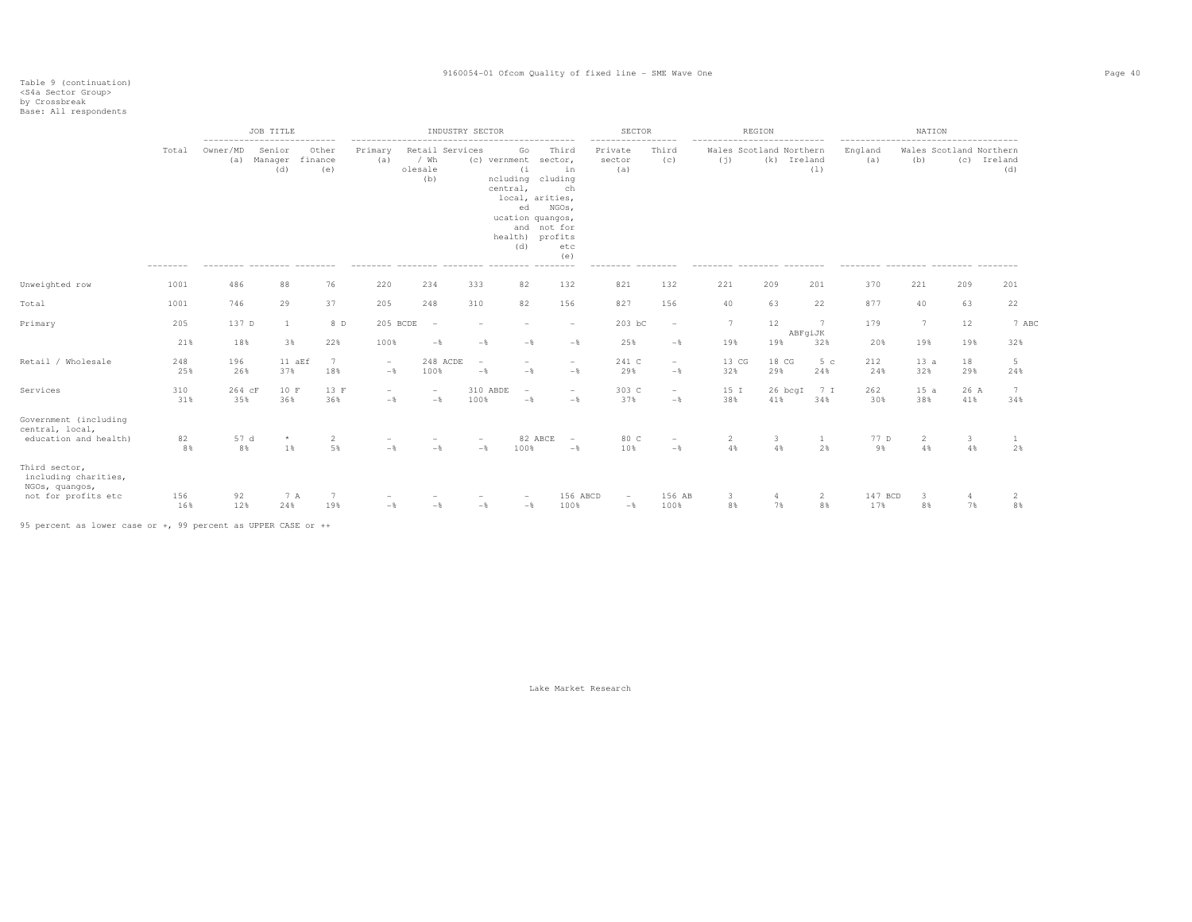|                                                                                |                            | --------                              | JOB TITLE                |                                      |                                 |                                                                                | INDUSTRY SECTOR                            |                                                                                                                                  |                                                                    | <b>SECTOR</b>                              |                                            |                      | REGION                                 |                          |                                                     | NATION                         |             |                    |
|--------------------------------------------------------------------------------|----------------------------|---------------------------------------|--------------------------|--------------------------------------|---------------------------------|--------------------------------------------------------------------------------|--------------------------------------------|----------------------------------------------------------------------------------------------------------------------------------|--------------------------------------------------------------------|--------------------------------------------|--------------------------------------------|----------------------|----------------------------------------|--------------------------|-----------------------------------------------------|--------------------------------|-------------|--------------------|
|                                                                                | Total<br>$- - - - - - - -$ | Owner/MD<br>(a)<br>--------- -------- | Senior<br>Manager<br>(d) | Other<br>finance<br>(e)<br>--------- | Primary<br>(a)<br>---------     | Retail Services<br>/ Wh<br>olesale<br>(b)<br>--------- -------- ------- ------ |                                            | Go<br>(c) vernment<br>(i)<br>ncluding cluding<br>central,<br>local, arities,<br>ed<br>ucation quangos,<br>health) profits<br>(d) | Third<br>sector,<br>in<br>ch<br>NGOs,<br>and not for<br>etc<br>(e) | Private<br>sector<br>(a)<br>--------       | Third<br>(C)<br>---------                  | (j)<br>--------      | Wales Scotland Northern<br>(k) Ireland | (1)<br>$- - - - - - - -$ | England<br>(a)<br>--------- -------- ------- ------ | Wales Scotland Northern<br>(b) |             | (c) Ireland<br>(d) |
| Unweighted row                                                                 | 1001                       | 486                                   | 88                       | 76                                   | 220                             | 234                                                                            | 333                                        | 82                                                                                                                               | 132                                                                | 821                                        | 132                                        | 221                  | 209                                    | 201                      | 370                                                 | 221                            | 209         | 201                |
| Total                                                                          | 1001                       | 746                                   | 29                       | 37                                   | 205                             | 248                                                                            | 310                                        | 82                                                                                                                               | 156                                                                | 827                                        | 156                                        | 40                   | 63                                     | 22                       | 877                                                 | 40                             | 63          | 22                 |
| Primary                                                                        | 205                        | 137 D                                 | 1                        | 8 D                                  | 205 BCDE                        | $\overline{\phantom{a}}$                                                       |                                            |                                                                                                                                  | $\overline{\phantom{a}}$                                           | 203 bC                                     | $\overline{\phantom{a}}$                   | 7                    | 12                                     | 7<br>ABFgiJK             | 179                                                 | $7\phantom{.0}$                | 12          | 7 ABC              |
|                                                                                | 21%                        | 18%                                   | 3%                       | 22%                                  | 100%                            | $-$                                                                            | $-$                                        | $-$                                                                                                                              | $-\frac{6}{6}$                                                     | 25%                                        | $-$                                        | 19%                  | 19%                                    | 32%                      | 20%                                                 | 19%                            | 19%         | 32%                |
| Retail / Wholesale                                                             | 248<br>25%                 | 196<br>26%                            | 11 aEf<br>37%            | $\overline{7}$<br>18%                | $\sim$<br>$-\frac{6}{6}$        | 248 ACDE<br>100%                                                               | $\overline{\phantom{a}}$<br>$-\frac{6}{5}$ | $-$                                                                                                                              | $\overline{\phantom{a}}$<br>$-$                                    | 241 C<br>29%                               | $\overline{\phantom{a}}$<br>$-\frac{6}{5}$ | 13 CG<br>32%         | 18 CG<br>29%                           | 5c<br>24%                | 212<br>24%                                          | 13a<br>32%                     | 18<br>29%   | 5<br>24%           |
| Services                                                                       | 310<br>31%                 | 264 cF<br>35%                         | 10 F<br>36%              | 13 F<br>36%                          | $\overline{\phantom{a}}$<br>$-$ | $\overline{\phantom{a}}$<br>$-\frac{6}{5}$                                     | 310 ABDE<br>100%                           | $\overline{\phantom{a}}$<br>$-\frac{6}{5}$                                                                                       | $\overline{\phantom{a}}$<br>$-$                                    | 303 C<br>37%                               | $\overline{\phantom{a}}$<br>$-\frac{6}{5}$ | 15 I<br>38%          | 26 bcgI<br>41%                         | 7 I<br>34%               | 262<br>30%                                          | 15a<br>38%                     | 26 A<br>41% | 7<br>34%           |
| Government (including<br>central, local,<br>education and health)              | 82<br>8%                   | 57 d<br>8%                            | $\star$<br>1%            | 2<br>5%                              | $-\frac{6}{5}$                  | $-$                                                                            | $-$ 8                                      | 82 ABCE<br>100%                                                                                                                  | $\overline{\phantom{a}}$<br>$-$                                    | 80 C<br>10%                                | $-$ 8                                      | $\overline{c}$<br>4% | 3<br>4%                                | -1<br>2%                 | 77 D<br>9%                                          | 2<br>4%                        | 3<br>4%     | 1<br>2%            |
| Third sector,<br>including charities,<br>NGOs, quangos,<br>not for profits etc | 156<br>16%                 | 92<br>12%                             | 7 A<br>24%               | 19%                                  | $-$                             | $-\frac{6}{5}$                                                                 | $-\frac{6}{5}$                             | $-\frac{6}{5}$                                                                                                                   | 156 ABCD<br>100%                                                   | $\overline{\phantom{a}}$<br>$-\frac{6}{5}$ | 156 AB<br>100%                             | 3<br>8%              | 7%                                     | 2<br>8%                  | 147 BCD<br>17%                                      | $\overline{\mathbf{3}}$<br>8%  | 7%          | 2<br>8%            |

95 percent as lower case or +, 99 percent as UPPER CASE or ++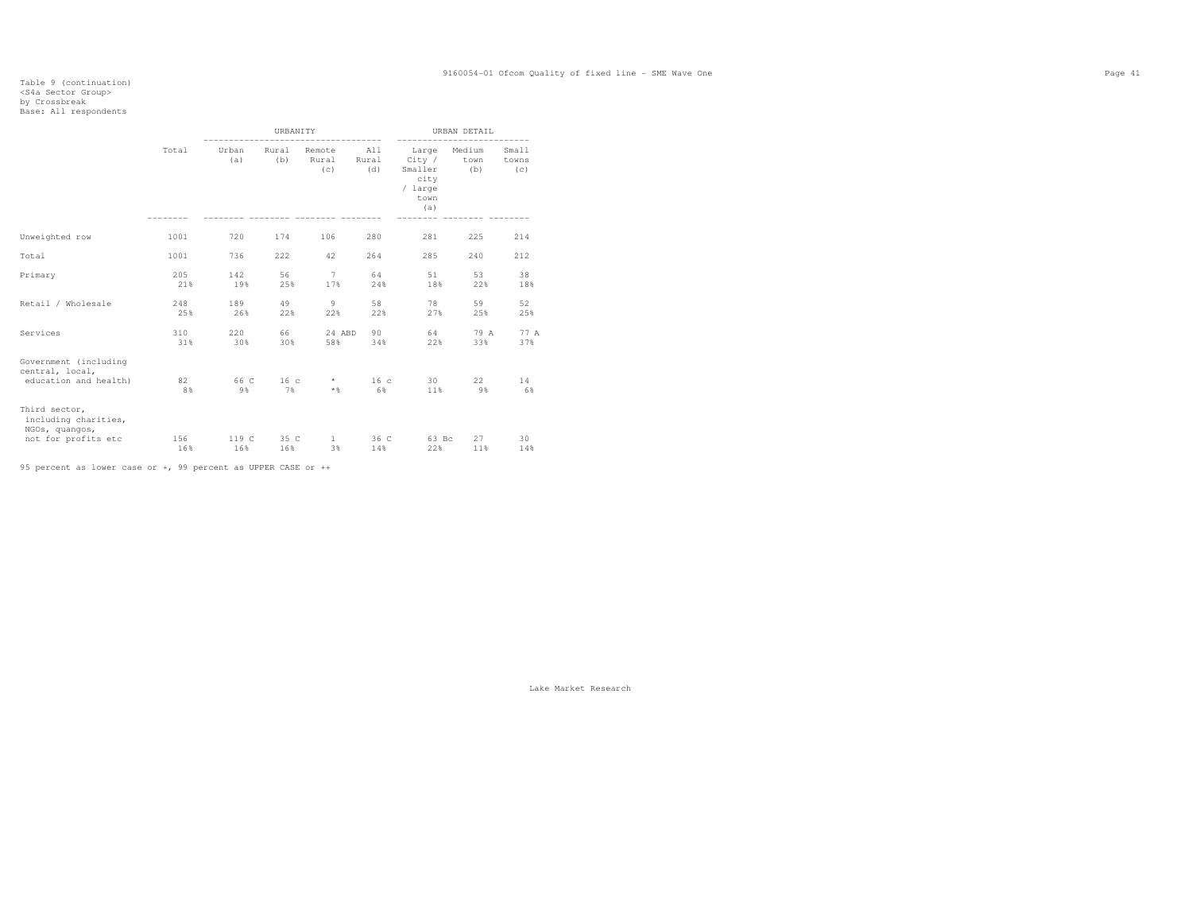# Table 9 (continuation) <S4a Sector Group> by Crossbreak Base: All respondents

|                                                                   |            |              | URBANITY        |                                                  |                       |                                                                  | URBAN DETAIL   |                       |
|-------------------------------------------------------------------|------------|--------------|-----------------|--------------------------------------------------|-----------------------|------------------------------------------------------------------|----------------|-----------------------|
|                                                                   | Total      | Urban<br>(a) | Rural<br>(b)    | Remote<br>Rural Rural<br>$\left( \infty \right)$ | All<br>(d)            | Large<br>City /<br>Smaller (b)<br>city<br>/ large<br>town<br>(a) | Medium<br>town | Small<br>towns<br>(C) |
| Unweighted row                                                    | 1001       | 720          | 174             | 106                                              | 280                   | 281                                                              | 225            | 214                   |
| Total                                                             | 1001       | 736          | 222             | 42                                               | 264                   | 285                                                              | 240            | 212                   |
| Primary                                                           | 205<br>21% | 142<br>19%   | 56<br>25%       | 7<br>17%                                         | 64<br>24%             | 51<br>18%                                                        | 53<br>22%      | 38<br>18%             |
| Retail / Wholesale                                                | 248<br>25% | 189<br>26%   | 49<br>22%       | 9<br>22%                                         | 58<br>22%             | 78<br>27%                                                        | 59<br>25%      | 52<br>25%             |
| Services                                                          | 310<br>31% | 220<br>30%   | 66<br>30%       | 24 ABD<br>58%                                    | 90<br>34%             | 64<br>22%                                                        | 79 A<br>33%    | 77 A<br>37%           |
| Government (including<br>central, local,<br>education and health) | 82<br>8%   | 9%           | 66 C 16 c<br>7% | $\star$<br>$*$ &                                 | 16 <sup>c</sup><br>6% | 30<br>11%                                                        | 22<br>9%       | 14<br>6%              |
| Third sector,<br>including charities,<br>NGOs, quangos,           |            |              |                 |                                                  |                       |                                                                  |                |                       |
| not for profits etc                                               | 156<br>16% | 119 C<br>16% | 35 C<br>16%     | $\mathbf{1}$<br>3%                               | 36 C<br>14%           | 63 Bc<br>22%                                                     | 27<br>11%      | 30<br>14%             |

95 percent as lower case or +, 99 percent as UPPER CASE or ++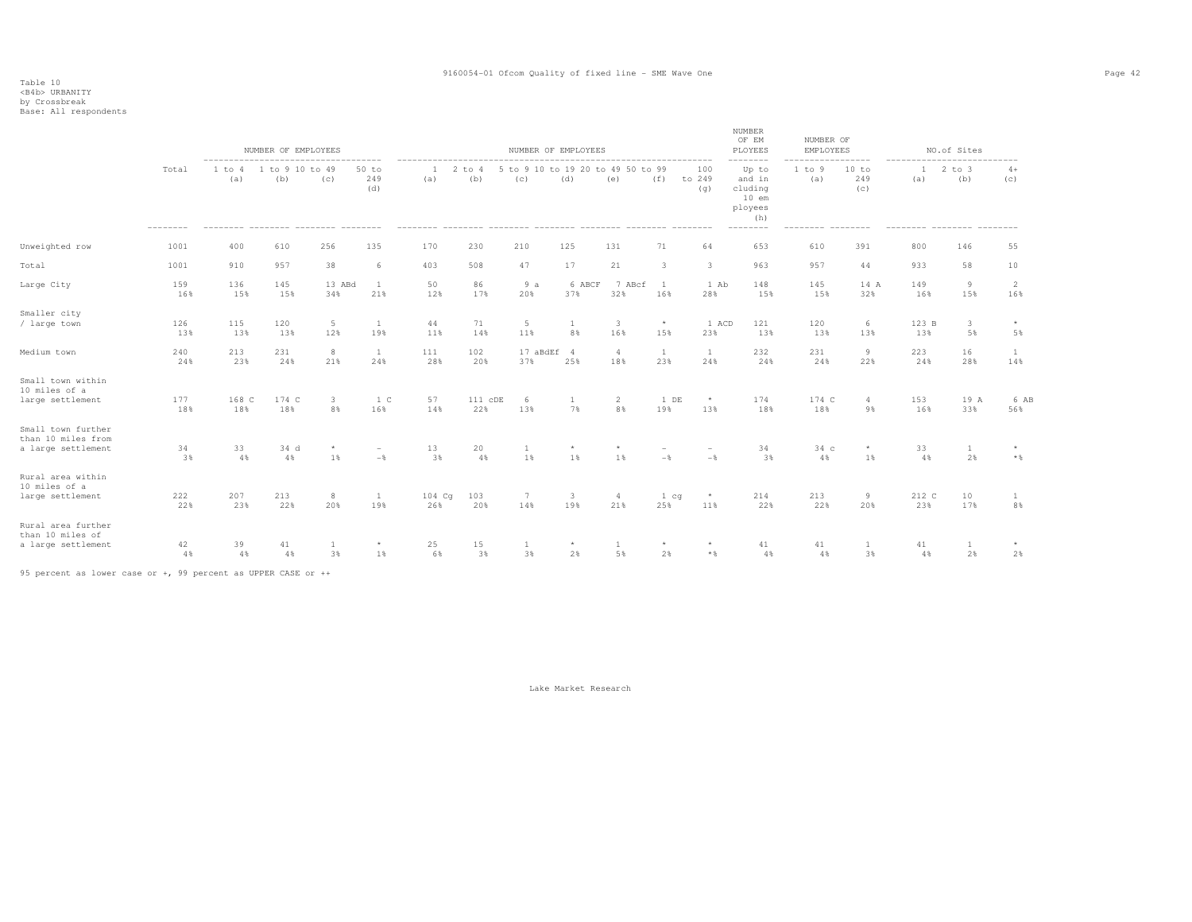by Crossbreak<br>Base: All respondents

| Base: All respondents                                                |            |               |                        |               |                                 |               |                    |                                          |                                   |                                |                                   |                                            |                                                                     |                               |                     |              |                    |                  |
|----------------------------------------------------------------------|------------|---------------|------------------------|---------------|---------------------------------|---------------|--------------------|------------------------------------------|-----------------------------------|--------------------------------|-----------------------------------|--------------------------------------------|---------------------------------------------------------------------|-------------------------------|---------------------|--------------|--------------------|------------------|
|                                                                      |            |               | NUMBER OF EMPLOYEES    |               |                                 |               |                    | NUMBER OF EMPLOYEES                      |                                   |                                |                                   |                                            | NUMBER<br>OF EM<br>PLOYEES<br>.                                     | NUMBER OF<br><b>EMPLOYEES</b> | -----               | -----        | NO.of Sites        |                  |
|                                                                      | Total      | 1 to 4<br>(a) | 1 to 9 10 to 49<br>(b) | (c)           | 50 to<br>249<br>(d)             | (a)           | 2<br>to $4$<br>(b) | 5 to 9 10 to 19 20 to 49 50 to 99<br>(c) | (d)                               | (e)                            | (f)                               | 100<br>to 249<br>(q)                       | Up to<br>and in<br>cluding<br>$10$ em<br>ployees<br>(h)<br>-------- | 1 to 9<br>(a)                 | 10 to<br>249<br>(C) | (a)          | $2$ to $3$<br>(b)  | $4+$<br>(C)      |
| Unweighted row                                                       | 1001       | 400           | 610                    | 256           | 135                             | 170           | 230                | 210                                      | 125                               | 131                            | 71                                | 64                                         | 653                                                                 | 610                           | 391                 | 800          | 146                | 55               |
| Total                                                                | 1001       | 910           | 957                    | 38            | 6                               | 403           | 508                | 47                                       | 17                                | 21                             | 3                                 | 3                                          | 963                                                                 | 957                           | 44                  | 933          | 58                 | 10               |
| Large City                                                           | 159<br>16% | 136<br>15%    | 145<br>15%             | 13 ABd<br>34% | <b>1</b><br>21%                 | 50<br>12%     | 86<br>17%          | 9a<br>20%                                | 6 ABCF<br>37%                     | 7 ABcf<br>32%                  | <sup>1</sup><br>16%               | 1 Ab<br>28%                                | 148<br>15%                                                          | 145<br>15%                    | 14 A<br>32%         | 149<br>16%   | 9<br>15%           | 2<br>16%         |
| Smaller city<br>/ large town                                         | 126<br>13% | 115<br>13%    | 120<br>13%             | $5 -$<br>12%  | <b>1</b><br>19%                 | 44<br>11%     | 71<br>14%          | $5\phantom{.0}$<br>11%                   | <b>1</b><br>8%                    | $\overline{\mathbf{3}}$<br>16% | $\star$<br>15%                    | 1 ACD<br>23%                               | 121<br>13%                                                          | 120<br>13%                    | 6<br>13%            | 123 B<br>13% | $\mathbf{3}$<br>5% | $\star$<br>5%    |
| Medium town                                                          | 240<br>24% | 213<br>23%    | 231<br>24%             | 8<br>21%      | $\mathbf{1}$<br>24%             | 111<br>28%    | 102<br>20%         | 17 aBdEf 4<br>37%                        | 25%                               | 4<br>18%                       | $\mathbf{1}$<br>23%               | -1<br>24%                                  | 232<br>24%                                                          | 231<br>24%                    | 9<br>22%            | 223<br>24%   | 16<br>28%          | 1<br>14%         |
| Small town within<br>10 miles of a<br>large settlement               | 177<br>18% | 168 C<br>18%  | 174 C<br>18%           | 3<br>8%       | 1 C<br>16%                      | 57<br>14%     | 111 cDE<br>22%     | 6<br>13%                                 | <b>1</b><br>7%                    | $\overline{2}$<br>8%           | 1 DE<br>19%                       | $\star$<br>13%                             | 174<br>18%                                                          | 174 C<br>18%                  | 4<br>9%             | 153<br>16%   | 19 A<br>33%        | 6 AB<br>56%      |
| Small town further<br>than 10 miles from<br>a large settlement       | 34<br>3%   | 33<br>4%      | 34 d<br>4%             | 1%            | $\overline{\phantom{a}}$<br>$-$ | 13<br>3%      | 20<br>4%           | 1<br>1%                                  | $\star$<br>1%                     | 1%                             | $\overline{\phantom{a}}$<br>$-$   | $-\frac{6}{6}$                             | 34<br>3%                                                            | 34 с<br>4%                    | $^{\star}$<br>1%    | 33<br>4%     | $\mathbf{1}$<br>2% | $\star$<br>$*$ & |
| Rural area within<br>10 miles of a<br>large settlement               | 222<br>22% | 207<br>23%    | 213<br>22%             | 8<br>20%      | $\mathbf{1}$<br>19%             | 104 Cg<br>26% | 103<br>20%         | $7\phantom{.0}$<br>14%                   | $\overline{\mathbf{3}}$<br>19%    | 4<br>21%                       | 1 <sub>cq</sub><br>25%            | $^{\star}$<br>11%                          | 214<br>22%                                                          | 213<br>22%                    | 9<br>20%            | 212 C<br>23% | 10<br>17%          | 1<br>8%          |
| Rural area further<br>than 10 miles of<br>a flammer and different to | $\sim$     | $\sim$ $\sim$ | A.7                    |               |                                 | $\sim$ $\sim$ | 2.5                | $\sim$ $\sim$                            | <b>Contract Contract Contract</b> | $-2$                           | <b>Contract Contract Contract</b> | <b>Contract Contract Contract Contract</b> | A.7                                                                 | A.7                           | $\sim$              | A.7          | $\sim$ $\sim$      |                  |

a large settlement 42 39 41 1 \* 25 15 1 \* 1 \* \* 41 41 1 41 1 \*

4% 4% 4% 3% 1% 6% 3% 3% 2% 5% 2% \*% 4% 4% 3% 4% 2% 2%

95 percent as lower case or +, 99 percent as UPPER CASE or ++

Lake Market Research

 $2%$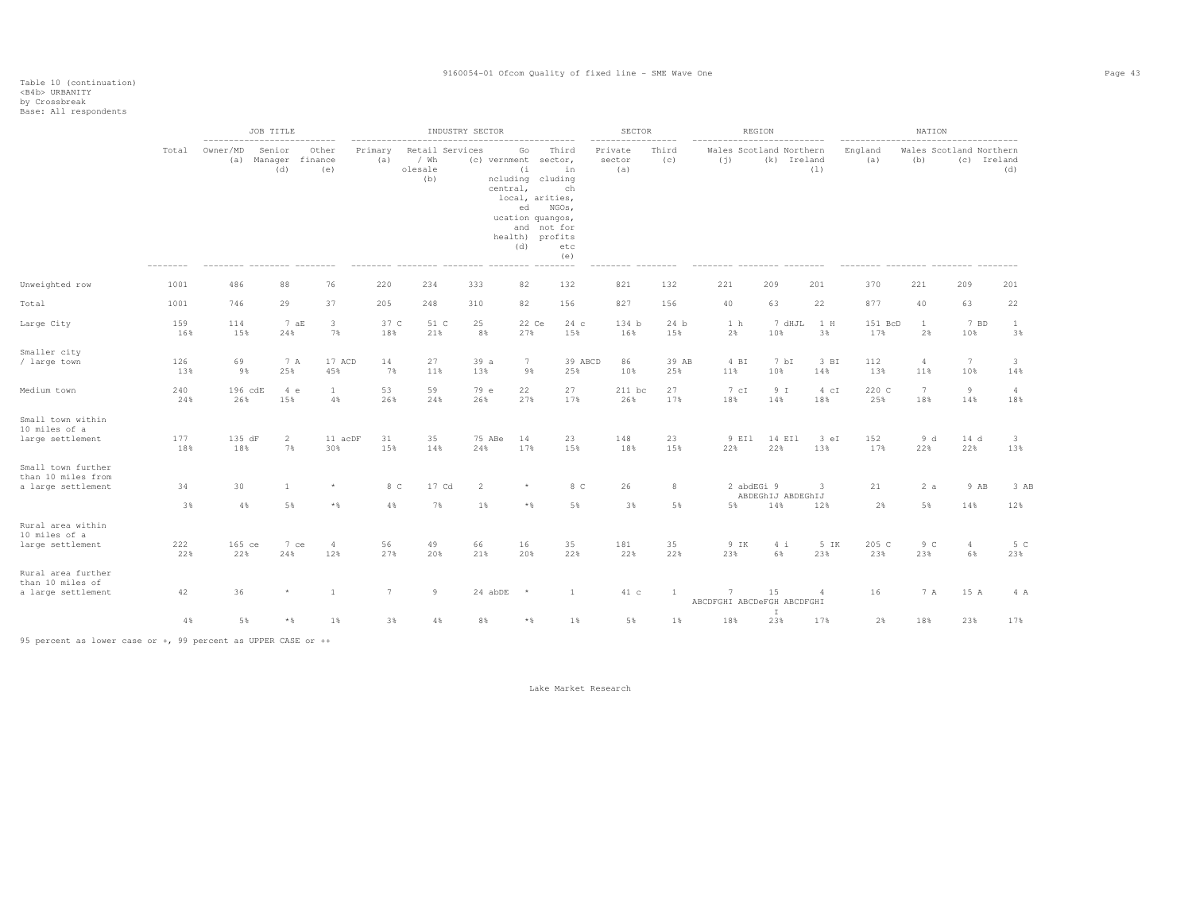|                                                                |            | ---------------------------- | JOB TITLE                            |                               |                 |                                           | INDUSTRY SECTOR |                                                                                                                                                         |                                          | SECTOR                   |              |                                 | REGION            |             |                | NATION                 |                      |                                               |
|----------------------------------------------------------------|------------|------------------------------|--------------------------------------|-------------------------------|-----------------|-------------------------------------------|-----------------|---------------------------------------------------------------------------------------------------------------------------------------------------------|------------------------------------------|--------------------------|--------------|---------------------------------|-------------------|-------------|----------------|------------------------|----------------------|-----------------------------------------------|
|                                                                | Total      | Owner/MD                     | Senior<br>(a) Manager finance<br>(d) | Other<br>(e)                  | Primary<br>(a)  | Retail Services<br>/ Wh<br>olesale<br>(b) |                 | Go<br>(c) vernment sector,<br>(i)<br>ncluding cluding<br>central,<br>local, arities,<br>ed<br>ucation quangos,<br>and not for<br>health) profits<br>(d) | Third<br>in<br>ch<br>NGOs,<br>etc<br>(e) | Private<br>sector<br>(a) | Third<br>(c) | Wales Scotland Northern<br>(i)  | (k) Ireland       | (1)         | England<br>(a) | (b)                    |                      | Wales Scotland Northern<br>(c) Ireland<br>(d) |
| Unweighted row                                                 | 1001       | 486                          | 88                                   | 76                            | 220             | 234                                       | 333             | 82                                                                                                                                                      | 132                                      | 821                      | 132          | 221                             | 209               | 201         | 370            | 221                    | 209                  | 201                                           |
| Total                                                          | 1001       | 746                          | 29                                   | 37                            | 205             | 248                                       | 310             | 82                                                                                                                                                      | 156                                      | 827                      | 156          | 40                              | 63                | 22          | 877            | 40                     | 63                   | 22                                            |
| Large City                                                     | 159<br>16% | 114<br>15%                   | 7aE<br>24%                           | $\overline{3}$<br>7%          | 37 C<br>18%     | 51 C<br>21%                               | 25<br>8%        | 22 Ce<br>27%                                                                                                                                            | 24c<br>15%                               | 134 b<br>16%             | 24 b<br>15%  | 1 <sub>h</sub><br>2%            | 7 dHJL<br>10%     | 1 H<br>3%   | 151 BcD<br>17% | $\mathbf{1}$<br>2%     | 10%                  | 7 BD<br><sup>1</sup><br>3%                    |
| Smaller city<br>/ large town                                   | 126<br>13% | 69<br>9%                     | 7 A<br>25%                           | 17 ACD<br>45%                 | 14<br>7%        | 27<br>11%                                 | 39a<br>13%      | $7\phantom{.0}$<br>9%                                                                                                                                   | 39 ABCD<br>25%                           | 86<br>10%                | 39 AB<br>25% | 4 BI<br>11%                     | 7 bI<br>10%       | 3 BI<br>14% | 112<br>13%     | $\overline{4}$<br>11%  | 7<br>10%             | 3<br>14%                                      |
| Medium town                                                    | 240<br>24% | 196 cdE<br>26%               | 4e<br>15%                            | $\mathbf{1}$<br>4%            | 53<br>26%       | 59<br>24%                                 | 79 e<br>26%     | 22<br>27%                                                                                                                                               | 27<br>17%                                | $211$ bc<br>26%          | 27<br>17%    | 7 cI<br>18%                     | 9 I<br>14%        | 4 cI<br>18% | 220 C<br>25%   | $7\phantom{.0}$<br>18% | 9<br>14%             | $\overline{4}$<br>18%                         |
| Small town within<br>10 miles of a<br>large settlement         | 177<br>18% | 135 dF<br>18%                | $\overline{2}$<br>7%                 | 11 acDF<br>30%                | 31<br>15%       | 35<br>14%                                 | 75 ABe<br>24%   | 14<br>17%                                                                                                                                               | 23<br>15%                                | 148<br>18%               | 23<br>15%    | 9 EI1<br>22%                    | 14 EI1<br>22%     | 3 eI<br>13% | 152<br>17%     | 9d<br>22%              | 14 d<br>22%          | 3<br>13%                                      |
| Small town further<br>than 10 miles from<br>a large settlement | 34         | 30                           | 1                                    |                               | 8 C             | 17 Cd                                     | $\overline{2}$  |                                                                                                                                                         | 8 C                                      | 26                       | 8            | 2 abdEGi 9                      | ABDEGhIJ ABDEGhIJ | 3           | 21             | 2a                     |                      | 9 AB<br>3 AB                                  |
|                                                                | 3%         | 4%                           | 5%                                   | $*$ &                         | 4%              | 7%                                        | 1%              | $*$ &                                                                                                                                                   | 5%                                       | 3%                       | 5%           | 5%                              | 14%               | 12%         | 2%             | 5%                     | 14%                  | 12%                                           |
| Rural area within<br>10 miles of a<br>large settlement         | 222<br>22% | 165 ce<br>22%                | 24%                                  | 7 ce<br>$\overline{4}$<br>12% | 56<br>27%       | 49<br>20%                                 | 66<br>21%       | 16<br>20%                                                                                                                                               | 35<br>22%                                | 181<br>22%               | 35<br>22%    | 9 IK<br>23%                     | 4i<br>6%          | 5 IK<br>23% | 205 C<br>23%   | 9 <sup>C</sup><br>23%  | $\overline{4}$<br>6% | 5 C<br>23%                                    |
| Rural area further<br>than 10 miles of<br>a large settlement   | 42         | 36                           |                                      | -1                            | $7\phantom{.0}$ | 9                                         | 24 abDE         | $\star$                                                                                                                                                 | 1                                        | 41 с                     | $\mathbf{1}$ | 7<br>ABCDFGHI ABCDeFGH ABCDFGHI | 15                | 4           | 16             | 7 A                    | 15 A                 | 4 A                                           |
|                                                                | $4\,$ %    | 5%                           | $\star$ $\,$                         | 1%                            | 3%              | 4%                                        | 8%              | $*$ &                                                                                                                                                   | 1%                                       | 5%                       | $1\%$        | 18%                             | I<br>23%          | 17%         | 2%             | 18%                    | 23%                  | 17%                                           |

95 percent as lower case or +, 99 percent as UPPER CASE or ++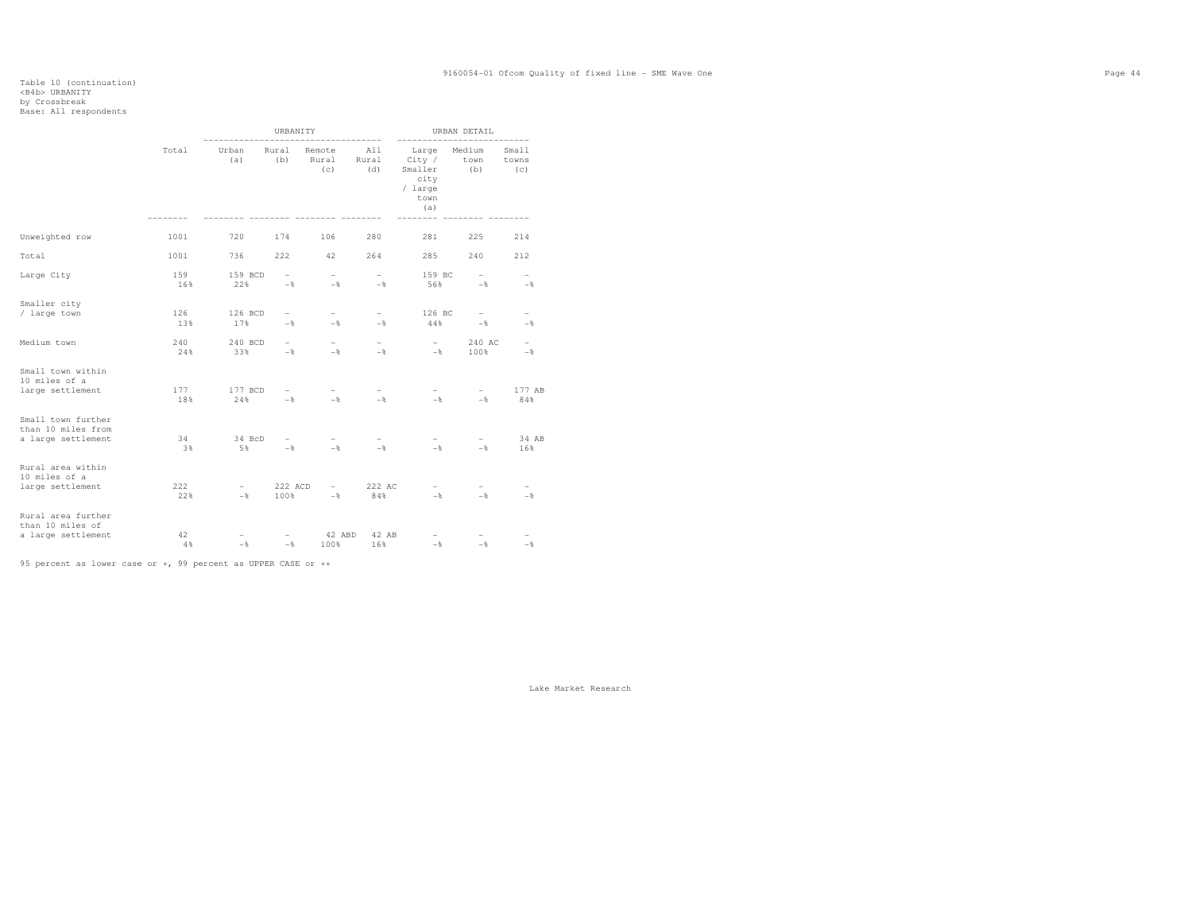# Table 10 (continuation) <B4b> URBANITY by Crossbreak<br>Base: All respondents

|                                                                |            |                                            | URBANITY                         |                                            | $- - - -$                                  |                                                              | URBAN DETAIL                               |                                 |
|----------------------------------------------------------------|------------|--------------------------------------------|----------------------------------|--------------------------------------------|--------------------------------------------|--------------------------------------------------------------|--------------------------------------------|---------------------------------|
|                                                                | Total      | Urban<br>(a)                               | Rural<br>(b)                     | Remote<br>Rural<br>(c)                     | A11<br>Rural<br>(d)                        | Large<br>City /<br>Smaller<br>city<br>/ large<br>town<br>(a) | Medium<br>town<br>(b)                      | Small<br>towns<br>(C)           |
| Unweighted row                                                 | 1001       | 720                                        | 174                              | 106                                        | 280                                        | 281                                                          | 225                                        | 214                             |
| Total                                                          | 1001       | 736                                        | 222                              | 42                                         | 264                                        | 285                                                          | 240                                        | 212                             |
| Large City                                                     | 159<br>16% | 159 BCD<br>22%                             | $\overline{a}$<br>$-\frac{6}{5}$ | $\overline{\phantom{0}}$<br>$-\frac{6}{5}$ | $\overline{\phantom{0}}$<br>$-\frac{6}{5}$ | 159 BC<br>56%                                                | $\overline{\phantom{0}}$<br>$-\frac{6}{5}$ | $\overline{\phantom{0}}$<br>$-$ |
| Smaller city<br>/ large town                                   | 126<br>13% | 126 BCD<br>17%                             | $\overline{\phantom{0}}$<br>$-$  | $\overline{\phantom{0}}$<br>$-$            | $\overline{\phantom{0}}$<br>$-$            | 126 BC<br>44%                                                | $\overline{a}$<br>$-\frac{6}{5}$           | $\overline{\phantom{0}}$<br>$-$ |
| Medium town                                                    | 240<br>24% | 240 BCD<br>33%                             | $\overline{\phantom{0}}$<br>$-$  | $\overline{\phantom{0}}$<br>$-$            | $\overline{\phantom{0}}$<br>$-$            | $-$<br>$-$                                                   | 240 AC<br>100%                             | $\overline{a}$<br>$-$           |
| Small town within<br>10 miles of a<br>large settlement         | 177<br>18% | 177 BCD<br>24%                             | $-$                              | $\overline{\phantom{0}}$<br>$-$            | $-$                                        | $-$                                                          | $\overline{a}$<br>$-$ 8                    | 177 AB<br>84%                   |
| Small town further<br>than 10 miles from<br>a large settlement | 34<br>3%   | 34 BcD<br>5%                               | $-$                              | $\overline{\phantom{0}}$<br>$-$            | $-$                                        | $-$                                                          | $\overline{\phantom{0}}$<br>$-$            | 34 AB<br>16%                    |
| Rural area within<br>10 miles of a<br>large settlement         | 222<br>22% | $\overline{\phantom{a}}$<br>$-\frac{6}{5}$ | 222 ACD<br>100%                  | $ \,$<br>$-\frac{6}{5}$                    | 222 AC<br>84%                              | $-$<br>$-$                                                   | $-$<br>$-\frac{6}{5}$                      | $\overline{\phantom{0}}$<br>$-$ |
| Rural area further<br>than 10 miles of<br>a large settlement   | 42<br>4%   | $-\frac{6}{5}$                             | $-\frac{6}{5}$                   | 42 ABD<br>100%                             | 42 AB<br>16%                               | $-\frac{6}{5}$                                               | $-\frac{6}{5}$                             | $-$                             |

95 percent as lower case or +, 99 percent as UPPER CASE or ++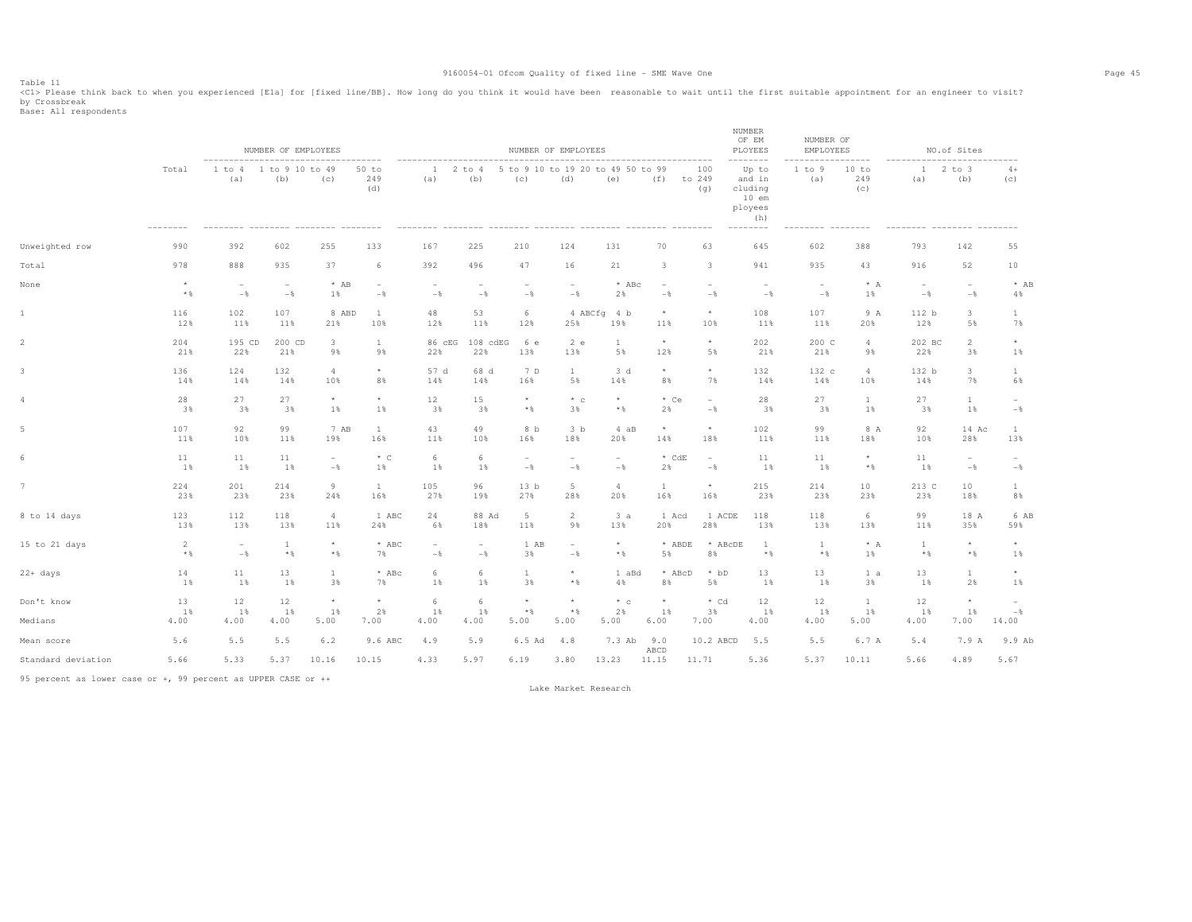Table 11<br><Cl> Please think back to when you experienced [Ela] for [fixed line/BB]. How long do you think it would have been reasonable to wait until the first suitable appointment for an engineer to visit? by Crossbreak<br>Base: All respondents

|                    |                |                          | NUMBER OF EMPLOYEES      |                 |                          |                          |                          |                                            | NUMBER OF EMPLOYEES                      |                                 |                          |                      | NUMBER<br>OF EM<br>PLOYEES                              | NUMBER OF<br>EMPLOYEES   |                          |                          | NO.of Sites                                |                          |
|--------------------|----------------|--------------------------|--------------------------|-----------------|--------------------------|--------------------------|--------------------------|--------------------------------------------|------------------------------------------|---------------------------------|--------------------------|----------------------|---------------------------------------------------------|--------------------------|--------------------------|--------------------------|--------------------------------------------|--------------------------|
|                    | Total          | 1 to 4<br>(a)            | 1 to 9 10 to 49<br>(b)   | (c)             | $50$ to<br>249<br>(d)    | 1<br>(a)                 | $2$ to $4$<br>(b)        | (C)                                        | 5 to 9 10 to 19 20 to 49 50 to 99<br>(d) | (e)                             | (f)                      | 100<br>to 249<br>(q) | Up to<br>and in<br>cluding<br>$10$ em<br>ployees<br>(h) | 1 to 9<br>(a)            | 10 to<br>249<br>(c)      | $12$ to $3$<br>(a)       | (b)                                        | $4+$<br>(C)              |
| Unweighted row     | 990            | 392                      | 602                      | 255             | 133                      | 167                      | 225                      | 210                                        | 124                                      | 131                             | 70                       | 63                   | 645                                                     | 602                      | 388                      | 793                      | 142                                        | 55                       |
| Total              | 978            | 888                      | 935                      | 37              | 6                        | 392                      | 496                      | 47                                         | 16                                       | 21                              | 3                        | 3                    | 941                                                     | 935                      | 43                       | 916                      | 52                                         | 10                       |
| None               | $^{\star}$     | $\overline{\phantom{a}}$ | $\overline{\phantom{a}}$ | $*$ AB          | $\overline{\phantom{a}}$ | $\overline{\phantom{a}}$ | $\overline{\phantom{a}}$ | $\overline{\phantom{a}}$                   | $\overline{\phantom{a}}$                 | $*$ ABc                         | $\overline{\phantom{a}}$ | $\overline{a}$       | $\overline{\phantom{a}}$                                | $\overline{\phantom{a}}$ | $* A$                    | $\overline{\phantom{a}}$ | $\overline{\phantom{a}}$                   | $*$ AB                   |
|                    | $\star$ $\,$   | $-\frac{6}{5}$           | $-$                      | 1%              | $-\,$                    | $-$                      | $-$                      | $-\frac{6}{6}$                             | $-$                                      | 2%                              | $-$                      | $-\frac{6}{6}$       | $-$                                                     | $-$                      | 1%                       | $-$                      | $-\frac{6}{6}$                             | 4%                       |
| $1\,$              | 116            | 102                      | 107                      | 8 ABD           | <sup>1</sup>             | 48                       | 53                       | 6                                          | 4 ABCfg                                  | 4 b                             | $^{\star}$               | $^{\star}$           | 108                                                     | 107                      | 9 A                      | 112 b                    | 3                                          | $\mathbf{1}$             |
|                    | 12%            | 11%                      | 11%                      | 21%             | 10%                      | 12%                      | 11%                      | 12%                                        | 25%                                      | 19%                             | 11%                      | 10%                  | 11%                                                     | 11%                      | 20%                      | 12%                      | 5%                                         | 7%                       |
| $\overline{c}$     | 204            | 195 CD                   | 200 CD                   | $\mathbf{3}$    | $\mathbf{1}$             | 86 cEG                   | 108 cdEG                 | 6е                                         | 2 e                                      | $\mathbf{1}$                    | $^{\star}$               | $^{\star}$           | 202                                                     | 200 C                    | $\overline{4}$           | 202 BC                   | $\overline{a}$                             | $\star$                  |
|                    | 21%            | 22%                      | 21%                      | 9%              | 9%                       | 22%                      | 22%                      | 13%                                        | 13%                                      | 5%                              | 12%                      | 5%                   | 21%                                                     | 21%                      | 9%                       | 22%                      | 3%                                         | $1\%$                    |
| 3                  | 136            | 124                      | 132                      | $\overline{4}$  | $^{\star}$               | 57 d                     | 68 d                     | 7 D                                        | $\mathbf{1}$                             | 3d                              | $\star$                  | $\star$              | 132                                                     | 132 c                    | $\overline{4}$           | 132 b                    | 3                                          | $\mathbf{1}$             |
|                    | 14%            | 14%                      | 14%                      | 10%             | 8%                       | 14%                      | 14%                      | 16%                                        | 5%                                       | 14%                             | 8%                       | 7%                   | 14%                                                     | 14%                      | 10%                      | 14%                      | 7%                                         | 6%                       |
| $\overline{4}$     | 28             | 27                       | 27                       | $\star$         | $^{\star}$               | 12                       | 15                       | $^\star$                                   | $*$ c                                    | $^\star$                        | * Ce                     | $\overline{a}$       | 28                                                      | 27                       | $\mathbf{1}$             | 27                       | $\mathbf{1}$                               | $\overline{\phantom{a}}$ |
|                    | 3%             | 3%                       | 3%                       | $1\%$           | 1%                       | 3%                       | 3%                       | $*$ &                                      | 3%                                       | $\star$ $\,$                    | 2%                       | $-\frac{6}{6}$       | 3%                                                      | 3%                       | 1%                       | 3%                       | 1%                                         | $-$                      |
| 5                  | 107            | 92                       | 99                       | 7 AB            | $\mathbf{1}$             | 43                       | 49                       | 8 b                                        | 3 <sub>b</sub>                           | 4 aB                            | $^{\star}$               | $\star$              | 102                                                     | 99                       | 8 A                      | 92                       | 14 Ac                                      | $\mathbf{1}$             |
|                    | 11%            | 10%                      | 11%                      | 19%             | 16%                      | 11%                      | 10%                      | 16%                                        | 18%                                      | 20%                             | 14%                      | 18%                  | 11%                                                     | 11%                      | 18%                      | 10%                      | 28%                                        | 13%                      |
| 6                  | 11<br>1%       | 11<br>1%                 | 11<br>1%                 | $ \,$<br>$-$    | $*$ C<br>1%              | 6<br>1%                  | 6<br>1%                  | $\overline{\phantom{a}}$<br>$-\frac{6}{6}$ | $\overline{\phantom{a}}$<br>$-$          | $\overline{\phantom{a}}$<br>$-$ | * CdE<br>2%              | $\sim$<br>$-$        | 11<br>1%                                                | 11<br>1%                 | $^\star$<br>$\star$ $\,$ | 11<br>1%                 | $\overline{\phantom{a}}$<br>$-\frac{6}{6}$ | $-$                      |
| $\overline{7}$     | 224            | 201                      | 214                      | 9               | $\mathbf{1}$             | 105                      | 96                       | 13 <sub>b</sub>                            | 5                                        | 4                               | $\mathbf{1}$             | $\star$              | 215                                                     | 214                      | 10                       | 213 C                    | 10                                         | $\mathbf{1}$             |
|                    | 23%            | 23%                      | 23%                      | 24%             | 16%                      | 27%                      | 19%                      | 27%                                        | 28%                                      | 20%                             | 16%                      | 16%                  | 23%                                                     | 23%                      | 23%                      | 23%                      | 18%                                        | 8%                       |
| 8 to 14 days       | 123            | 112                      | 118                      | $4\overline{ }$ | 1 ABC                    | 24                       | 88 Ad                    | 5                                          | $\overline{2}$                           | 3a                              | 1 Acd                    | 1 ACDE               | 118                                                     | 118                      | $6\,$                    | 99                       | 18 A                                       | 6 AB                     |
|                    | 13%            | 13%                      | 13%                      | 11%             | 24%                      | 6%                       | 18%                      | 11%                                        | 9%                                       | 13%                             | 20%                      | 28%                  | 13%                                                     | 13%                      | 13%                      | 11%                      | 35%                                        | 59%                      |
| 15 to 21 days      | $\overline{2}$ | $\overline{\phantom{a}}$ | $\mathbf{1}$             | $\star$         | * ABC                    | $\overline{\phantom{a}}$ | $\sim$                   | 1 AB                                       | $\overline{\phantom{a}}$                 | $^\star$                        | * ABDE                   | * ABCDE              | -1                                                      | 1                        | $* A$                    | $\mathbf{1}$             | $\star$                                    | $\star$                  |
|                    | $*$ &          | $-\,$                    | $\star$ $\,$             | $*$ &           | 7%                       | $-\,$                    | $-\,$                    | 3%                                         | $-\frac{6}{6}$                           | $\star$ $\,$                    | 5%                       | 8%                   | $*$ &                                                   | $*$ &                    | 1%                       | $*$ &                    | $\star$ $\,$                               | $1\%$                    |
| $22+$ days         | 14             | 11                       | 13                       | $\mathbf{1}$    | $*$ ABc                  | 6                        | 6                        | $\mathbf{1}$                               | $^{\star}$                               | 1 aBd                           | * ABcD                   | * bD                 | 13                                                      | 13                       | 1 a                      | 13                       | $\mathbf{1}$                               | $^{\star}$               |
|                    | 1%             | 1%                       | 1 %                      | 3%              | 7%                       | 1%                       | 1%                       | 3%                                         | $\star$ $\,$                             | 4%                              | 8%                       | 5%                   | 1%                                                      | 1%                       | 3%                       | 1%                       | 2%                                         | 1%                       |
| Don't know         | 13             | 12                       | 12                       | $^{\star}$      | $\star$                  | 6                        | 6                        | $^{\star}$                                 | $^{\star}$                               | $*$ c                           | $^{\star}$               | * Cd                 | 12                                                      | 12                       | <b>1</b>                 | 12                       | $\star$                                    | $\overline{\phantom{a}}$ |
|                    | 1%             | 1%                       | 1%                       | 1%              | 2%                       | 1%                       | 1%                       | $\star$ $\,$                               | $\star$ $\,$                             | 2%                              | 1%                       | 3%                   | 1%                                                      | 1%                       | 1%                       | 1%                       | 1%                                         | $-$                      |
| Medians            | 4.00           | 4.00                     | 4.00                     | 5.00            | 7.00                     | 4.00                     | 4.00                     | 5.00                                       | 5.00                                     | 5.00                            | 6.00                     | 7.00                 | 4.00                                                    | 4.00                     | 5.00                     | 4.00                     | 7.00                                       | 14.00                    |
| Mean score         | 5.6            | 5.5                      | 5.5                      | 6.2             | 9.6 ABC                  | 4.9                      | 5.9                      | 6.5 Ad                                     | 4.8                                      | 7.3 Ab                          | 9.0<br>ABCD              | 10.2 ABCD            | 5.5                                                     | 5.5                      | 6.7 A                    | 5.4                      | 7.9 A                                      | 9.9 Ab                   |
| Standard deviation | 5.66           | 5.33                     | 5.37                     | 10.16           | 10.15                    | 4.33                     | 5.97                     | 6.19                                       | 3.80                                     | 13.23                           | 11.15                    | 11.71                | 5.36                                                    | 5.37                     | 10.11                    | 5.66                     | 4.89                                       | 5.67                     |

95 percent as lower case or +, 99 percent as UPPER CASE or ++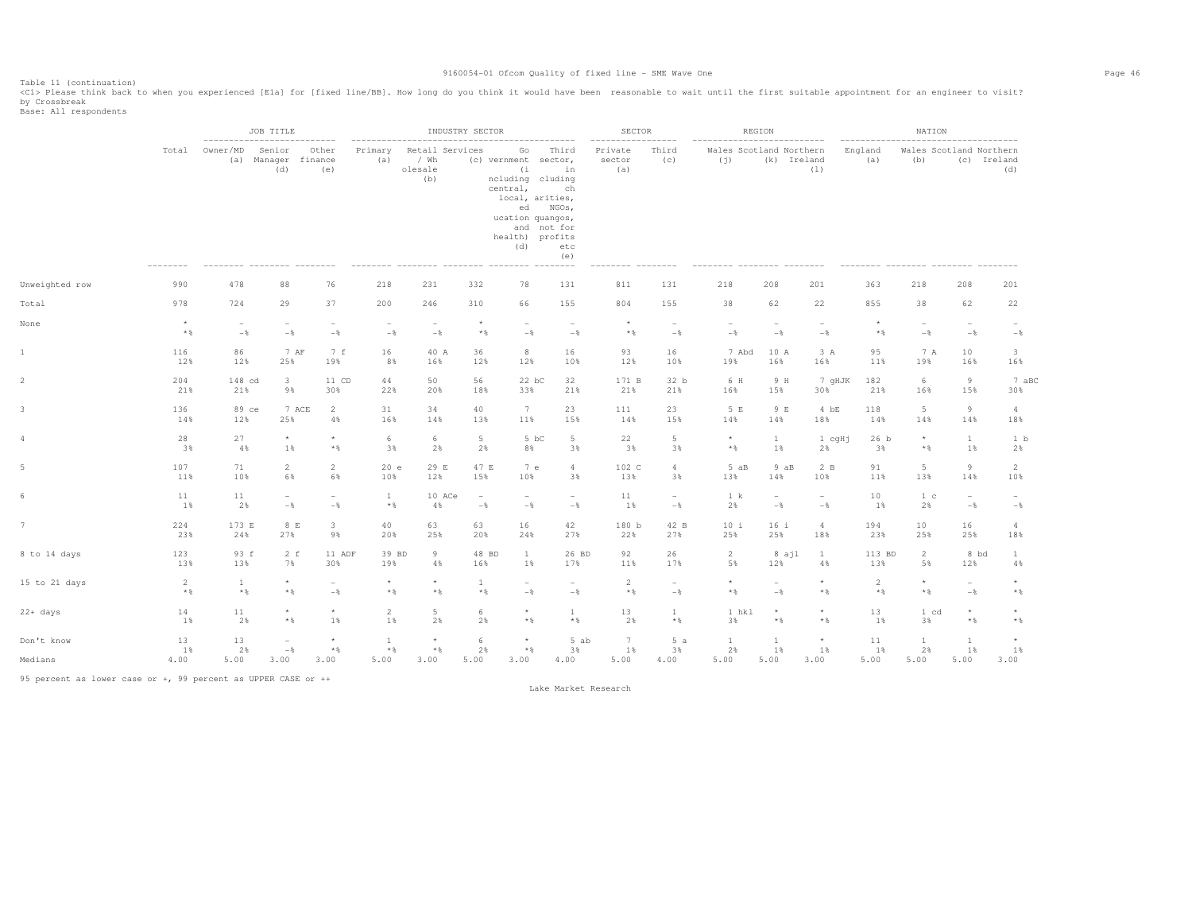Table 11 (continuation)<br><C1> Please think back to when you experienced [E1a] for [fixed line/BB]. How long do you think it would have been reasonable to wait until the first suitable appointment for an engineer to visit? by Crossbreak<br>Base: All respondents

|                |            |                       | JOB TITLE                                                   |                                            |                              |                                           | INDUSTRY SECTOR                 |                                                                                                                                    |                                                                           | SECTOR                                        |                                            |                                                               | REGION                          |                          |                | NATION                                                                 |                          |                          |
|----------------|------------|-----------------------|-------------------------------------------------------------|--------------------------------------------|------------------------------|-------------------------------------------|---------------------------------|------------------------------------------------------------------------------------------------------------------------------------|---------------------------------------------------------------------------|-----------------------------------------------|--------------------------------------------|---------------------------------------------------------------|---------------------------------|--------------------------|----------------|------------------------------------------------------------------------|--------------------------|--------------------------|
|                | Total      | Owner/MD              | -------------------<br>Senior<br>(a) Manager finance<br>(d) | $- - - - - -$<br>Other<br>(e)              | Primary<br>(a)               | Retail Services<br>/ Wh<br>olesale<br>(b) |                                 | Go<br>(c) vernment sector,<br>(i)<br>ncluding cluding<br>central,<br>local, arities,<br>ucation quangos,<br>health) profits<br>(d) | Third<br>in<br>ch<br>ed NGOs,<br>and not for<br>etc<br>(e)<br>$- - - - -$ | $- - - - - - - -$<br>Private<br>sector<br>(a) | --------<br>Third<br>(C)                   | ---------------------------<br>Wales Scotland Northern<br>(j) | (k) Ireland                     | (1)                      | England<br>(a) | ------------------------------------<br>Wales Scotland Northern<br>(b) |                          | (c) Ireland<br>(d)       |
| Unweighted row | 990        | 478                   | 88                                                          | 76                                         | 218                          | 231                                       | 332                             | 78                                                                                                                                 | 131                                                                       | 811                                           | 131                                        | 218                                                           | 208                             | 201                      | 363            | 218                                                                    | 208                      | 201                      |
| Total          | 978        | 724                   | 29                                                          | 37                                         | 200                          | 246                                       | 310                             | 66                                                                                                                                 | 155                                                                       | 804                                           | 155                                        | 38                                                            | 62                              | 22                       | 855            | 38                                                                     | 62                       | 22                       |
| None           | $^{\star}$ | $\sim$                | $\overline{\phantom{a}}$                                    | $\overline{\phantom{a}}$                   | $\sim$                       | $\overline{\phantom{a}}$                  | $\star$                         | $\overline{\phantom{a}}$                                                                                                           | $\overline{\phantom{0}}$                                                  | $\star$                                       | $\overline{\phantom{a}}$                   | $\overline{\phantom{0}}$                                      | $\overline{\phantom{a}}$        | $\sim$                   | $\star$        | $\overline{\phantom{a}}$                                               | $\overline{\phantom{0}}$ | $\sim$                   |
|                | $*$ &      | $-$                   | $-\,$                                                       | $-\frac{6}{6}$                             | $-\,$ %                      | $-$                                       | $*$ %                           | $-\,$                                                                                                                              | $-\frac{6}{6}$                                                            | $*$                                           | $-\,$                                      | $-\frac{6}{6}$                                                | $-$                             | $-\frac{6}{6}$           | $*$            | $-\,$ $\,$                                                             | $-$                      | $-$                      |
| $\mathbf{1}$   | 116        | 86                    | 7 AF                                                        | 7 f                                        | 16                           | 40 A                                      | 36                              | 8                                                                                                                                  | 16                                                                        | 93                                            | 16                                         | 7 Abd                                                         | 10 A                            | 3 A                      | 95             | 7 A                                                                    | 10                       | $\mathbf{3}$             |
|                | 12%        | 12%                   | 25%                                                         | 19%                                        | 8%                           | 16%                                       | 12%                             | 12%                                                                                                                                | 10%                                                                       | 12%                                           | 10%                                        | 19%                                                           | 16%                             | 16%                      | 11%            | 19%                                                                    | 16%                      | 16%                      |
|                | 204        | 148 cd                | $\overline{\mathbf{3}}$                                     | 11 CD                                      | 44                           | 50                                        | 56                              | 22 bC                                                                                                                              | 32                                                                        | 171 B                                         | 32 b                                       | 6 H                                                           | 9 H                             | 7 gHJK                   | 182            | 6                                                                      | 9                        | 7 aBC                    |
|                | 21%        | 21%                   | 9%                                                          | 30%                                        | 22%                          | 20%                                       | 18%                             | 33%                                                                                                                                | 21%                                                                       | 21%                                           | 21%                                        | 16%                                                           | 15%                             | 30%                      | 21%            | 16%                                                                    | 15%                      | 30%                      |
|                | 136        | 89 ce                 | 7 ACE                                                       | $\overline{2}$                             | 31                           | 34                                        | 40                              | 7                                                                                                                                  | 23                                                                        | 111                                           | 23                                         | 5 E                                                           | 9 E                             | $4$ bE                   | 118            | $5 -$                                                                  | 9                        | $\overline{4}$           |
|                | 14%        | 12%                   | 25%                                                         | 4%                                         | 16%                          | 14%                                       | 13%                             | 11%                                                                                                                                | 15%                                                                       | 14%                                           | 15%                                        | 14%                                                           | 14%                             | 18%                      | 14%            | 14%                                                                    | 14%                      | 18%                      |
|                | 28         | 27                    | $\star$                                                     | $\star$                                    | 6                            | 6                                         | $5\phantom{.0}$                 | 5 bC                                                                                                                               | $5\phantom{.}$                                                            | 22                                            | 5                                          | $\star$                                                       | $\mathbf{1}$                    | 1 cqHi                   | 26 b           | $\star$                                                                | $\mathbf{1}$             | 1 b                      |
|                | 3%         | 4%                    | $1\%$                                                       | $\star$ $\,$                               | 3%                           | 2%                                        | 2%                              | 8%                                                                                                                                 | 3%                                                                        | 3%                                            | 3%                                         | $\ast$ &                                                      | 1%                              | 2%                       | 3%             | $\star$ $\,$                                                           | 1%                       | 2%                       |
|                | 107        | 71                    | 2                                                           | $\overline{2}$                             | 20 e                         | 29 E                                      | 47 E                            | 7 e                                                                                                                                | $\overline{4}$                                                            | 102 C                                         | $\overline{a}$                             | 5aB                                                           | 9 aB                            | 2B                       | 91             | $5 -$                                                                  | $\overline{9}$           | 2                        |
|                | 11%        | 10%                   | 6%                                                          | 6%                                         | 10%                          | 12%                                       | 15%                             | 10%                                                                                                                                | 3%                                                                        | 13%                                           | 3%                                         | 13%                                                           | 14%                             | 10%                      | 11%            | 13%                                                                    | 14%                      | 10%                      |
|                | 11         | 11                    | $\overline{\phantom{a}}$                                    | $\overline{\phantom{a}}$                   | $\mathbf{1}$                 | 10 ACe                                    | $\hspace{0.1mm}-\hspace{0.1mm}$ | $\overline{\phantom{a}}$                                                                                                           | $\sim$                                                                    | 11                                            | $\overline{\phantom{a}}$                   | 1 k                                                           | $\overline{\phantom{a}}$        | $\overline{\phantom{a}}$ | 10             | 1 <sub>c</sub>                                                         | $\overline{\phantom{a}}$ | $\overline{\phantom{a}}$ |
|                | 1%         | 2%                    | $-$                                                         | $-\frac{6}{6}$                             | $*$ &                        | 4%                                        | $-\,$                           | $-$                                                                                                                                | $-$                                                                       | 1%                                            | $-$                                        | 2%                                                            | $-$                             | $-$                      | 1%             | 2%                                                                     | $-$                      | $-\frac{6}{6}$           |
|                | 224        | 173 E                 | 8 E                                                         | $\overline{3}$                             | 40                           | 63                                        | 63                              | 16                                                                                                                                 | 42                                                                        | 180 b                                         | 42 B                                       | 10 i                                                          | 16 i                            | $\overline{4}$           | 194            | 10                                                                     | 16                       | $\overline{4}$           |
|                | 23%        | 24%                   | 27%                                                         | 9%                                         | 20%                          | 25%                                       | 20%                             | 24%                                                                                                                                | 27%                                                                       | 22%                                           | 27%                                        | 25%                                                           | 25%                             | 18%                      | 23%            | 25%                                                                    | 25%                      | 18%                      |
| 8 to 14 days   | 123        | 93 f                  | $2-f$                                                       | 11 ADF                                     | 39 BD                        | 9                                         | 48 BD                           | $\mathbf{1}$                                                                                                                       | 26 BD                                                                     | 92                                            | 26                                         | $\overline{2}$                                                | 8 ajl                           | $\mathbf{1}$             | 113 BD         | $\overline{2}$                                                         | 8 bd                     | $\mathbf{1}$             |
|                | 13%        | 13%                   | 7%                                                          | 30%                                        | 19%                          | 4%                                        | 16%                             | 1%                                                                                                                                 | 17%                                                                       | 11%                                           | 17%                                        | 5%                                                            | 12%                             | 4%                       | 13%            | 5%                                                                     | 12%                      | 4%                       |
| 15 to 21 days  | 2<br>$*$ % | $\mathbf{1}$<br>$*$ % | $\star$<br>$*$ %                                            | $\overline{\phantom{a}}$<br>$-\frac{6}{6}$ | $\star$<br>$*$ %             | $\star$<br>$*$ %                          | -1<br>$*$ %                     | $\overline{\phantom{0}}$<br>$-$                                                                                                    | $\overline{\phantom{a}}$<br>$-$                                           | 2<br>$*$ %                                    | $\overline{\phantom{a}}$<br>$-\frac{6}{6}$ | $\star$<br>$\star$ $\,$                                       | $\overline{\phantom{a}}$<br>$-$ | $\star$<br>$*$ &         | 2<br>$*$ %     | $\star$<br>$\star$ $\,$                                                | $\sim$<br>$-\frac{6}{6}$ | $*$ %                    |
| 22+ days       | 14         | 11                    | $\star$                                                     | $\star$                                    | $\overline{2}$               | $5 -$                                     | 6                               | $\star$                                                                                                                            | $\mathbf{1}$                                                              | 13                                            | $\mathbf{1}$                               | 1 hkl                                                         | $^\star$                        | $\star$                  | 13             | 1 cd                                                                   | $\star$                  | $\star$                  |
|                | $1$ %      | 2%                    | $*$ &                                                       | 1%                                         | 1%                           | 2%                                        | 2%                              | $*$ &                                                                                                                              | $*$                                                                       | 2%                                            | $*$ &                                      | 3%                                                            | $*$                             | $*$ &                    | 1%             | 3%                                                                     | $\star$ $\,$             | $*$                      |
| Don't know     | 13<br>1%   | 13<br>2%              | $\overline{\phantom{a}}$<br>$-\,$ $\,$                      | $\star$<br>$\star$ $\,$                    | <sup>1</sup><br>$\star$ $\,$ | $^\star$<br>$\star$ $\,$                  | -6<br>2%                        | $\star$<br>$\star$ $\,$                                                                                                            | 5 ab<br>3%                                                                | 7<br>1%                                       | 5a<br>3%                                   | $\mathbf{1}$<br>2%                                            | $\mathbf{1}$<br>$1\%$           | $\star$<br>1%            | 11<br>$1\%$    | $\mathbf{1}$<br>2%                                                     | <sup>1</sup><br>1%       | 1%                       |
| Medians        | 4.00       | 5.00                  | 3.00                                                        | 3.00                                       | 5.00                         | 3.00                                      | 5.00                            | 3.00                                                                                                                               | 4.00                                                                      | 5.00                                          | 4.00                                       | 5.00                                                          | 5.00                            | 3.00                     | 5.00           | 5.00                                                                   | 5.00                     | 3.00                     |

95 percent as lower case or +, 99 percent as UPPER CASE or ++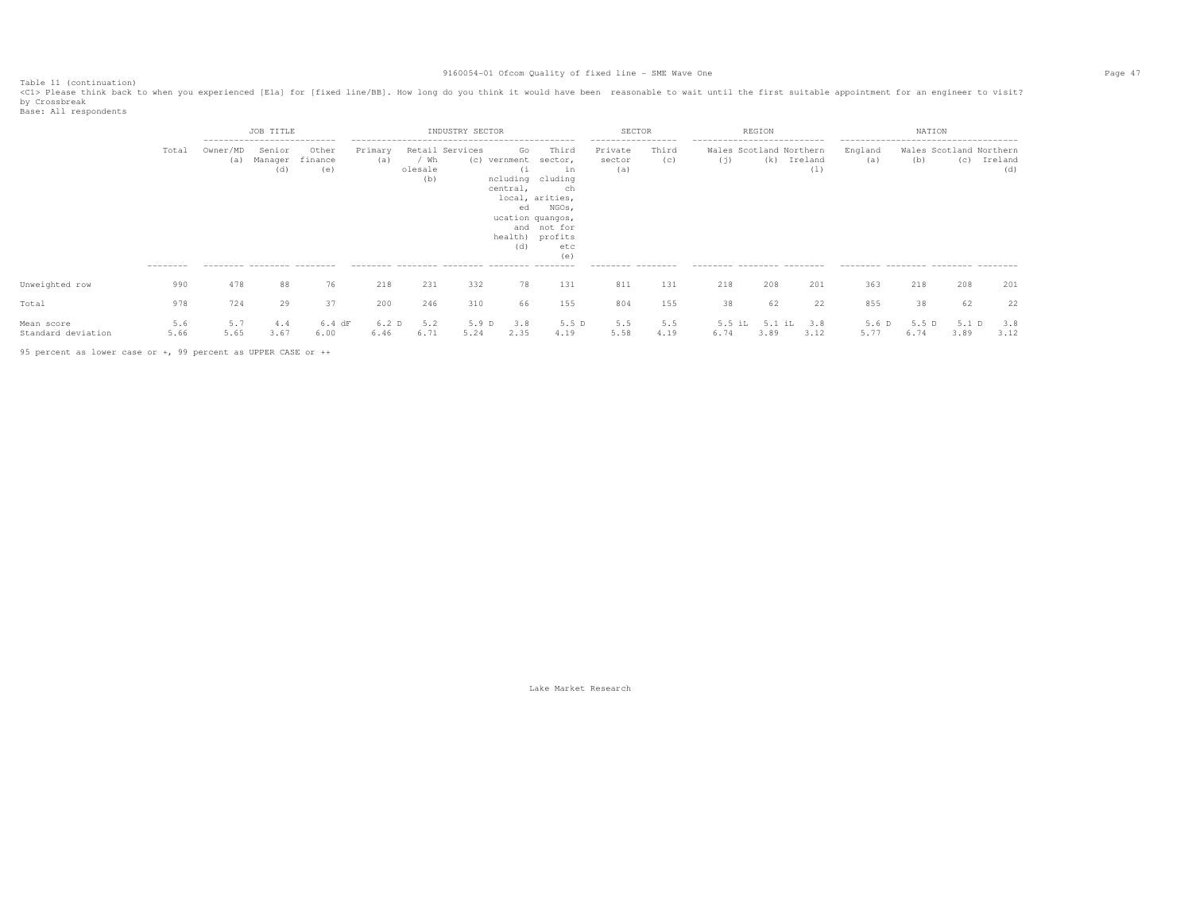Table 11 (continuation)<br><C1> Please think back to when you experienced [E1a] for [fixed line/BB]. How long do you think it would have been reasonable to wait until the first suitable appointment for an engineer to visit? by Crossbreak<br>Base: All respondents

|                                  |                  |                                   | <b>JOB TITLE</b>                                        |                         |                          |                        | INDUSTRY SECTOR |                                                    |                                                                                                                                                  | SECTOR                                        |              |                                    | REGION                         |                |                                                          | NATION                |             |                            |
|----------------------------------|------------------|-----------------------------------|---------------------------------------------------------|-------------------------|--------------------------|------------------------|-----------------|----------------------------------------------------|--------------------------------------------------------------------------------------------------------------------------------------------------|-----------------------------------------------|--------------|------------------------------------|--------------------------------|----------------|----------------------------------------------------------|-----------------------|-------------|----------------------------|
|                                  | Total            | Owner/MD<br>(a)                   | ---------------------------<br>Senior<br>Manager<br>(d) | Other<br>finance<br>(e) | Primary<br>(a)           | ′ Wh<br>olesale<br>(b) | Retail Services | Go<br>(c) vernment<br>(1)<br>central,<br>ed<br>(d) | Third<br>sector,<br>in<br>ncluding cluding<br>ch<br>local, arities,<br>NGOs,<br>ucation quangos,<br>and not for<br>health) profits<br>etc<br>(e) | -----------------<br>Private<br>sector<br>(a) | Third<br>(c) | ---------------------------<br>(j) | Wales Scotland Northern<br>(k) | Ireland<br>(1) | --------------------------------------<br>England<br>(a) | Wales Scotland<br>(b) | (C)         | Northern<br>Ireland<br>(d) |
| Unweighted row                   | ---------<br>990 | --------- -------- -------<br>478 | 88                                                      | 76                      | 218                      | 231                    | 332             | 78                                                 | 131                                                                                                                                              | --------- --------<br>811                     | 131          | --------- -------- -------<br>218  | 208                            | 201            | --------- -------- -------- -------<br>363               | 218                   | 208         | 201                        |
| Total                            | 978              | 724                               | 29                                                      | 37                      | 200                      | 246                    | 310             | 66                                                 | 155                                                                                                                                              | 804                                           | 155          | 38                                 | 62                             | 22             | 855                                                      | 38                    | 62          | 22                         |
| Mean score<br>Standard deviation | 5.6<br>5.66      | 5.7<br>5.65                       | 4.4<br>3.67                                             | $6.4$ dF<br>6.00        | 6.2 <sub>D</sub><br>6.46 | 5.2<br>6.71            | 5.9 D<br>5.24   | 3.8<br>2.35                                        | 5.5 D<br>4.19                                                                                                                                    | 5.5<br>5.58                                   | 5.5<br>4.19  | 6.74                               | 5.1 iL<br>3.89                 | 3.8<br>3.12    | 5.6 D<br>5.77                                            | 5.5 D<br>6.74         | 5.1<br>3.89 | 3.8<br>3.12                |

95 percent as lower case or +, 99 percent as UPPER CASE or ++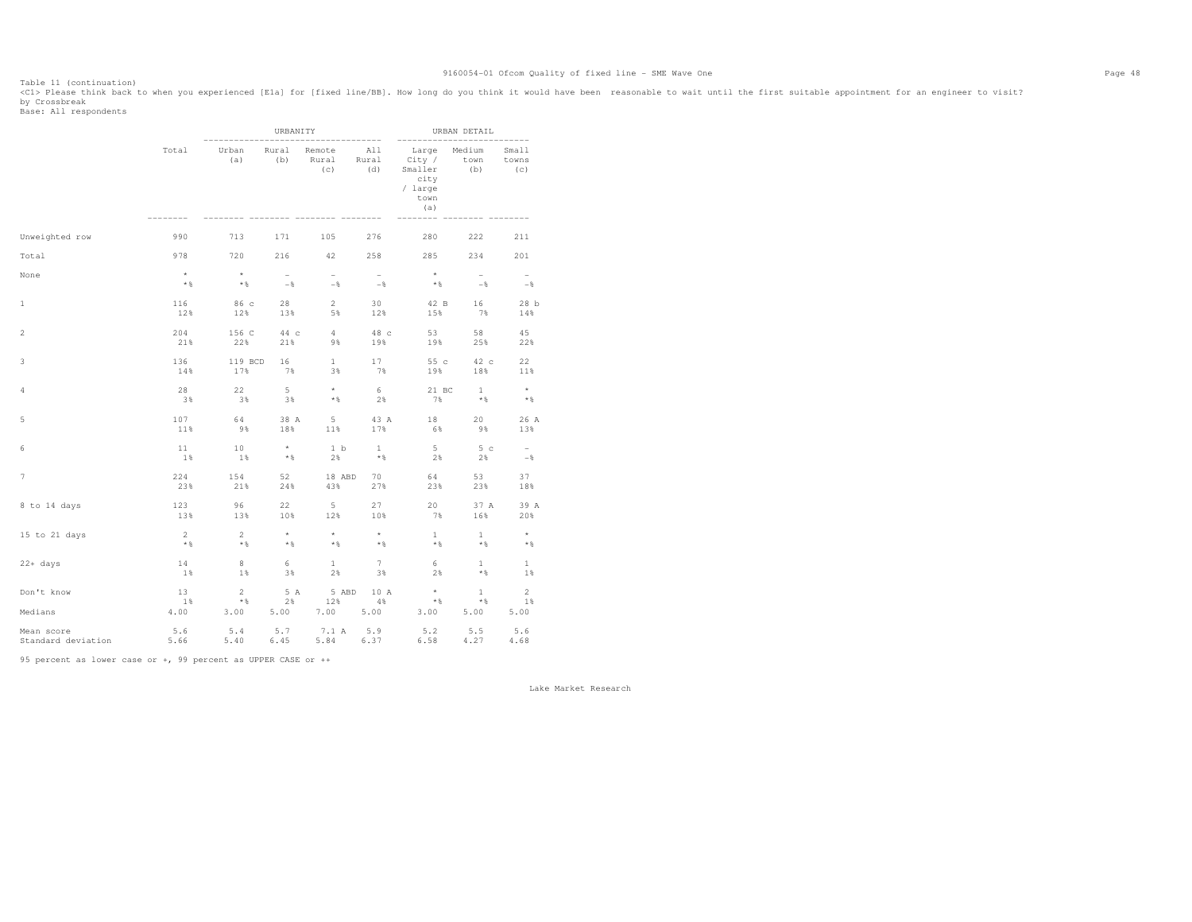Table 11 (continuation)<br><C1> Please think back to when you experienced [E1a] for [fixed line/BB]. How long do you think it would have been reasonable to wait until the first suitable appointment for an engineer to visit? by Crossbreak<br>Base: All respondents

|                                                                                                                    |                          |                      | URBANITY              |                            |                                   |                                                                           | URBAN DETAIL                    |                                 |
|--------------------------------------------------------------------------------------------------------------------|--------------------------|----------------------|-----------------------|----------------------------|-----------------------------------|---------------------------------------------------------------------------|---------------------------------|---------------------------------|
|                                                                                                                    | Total                    | Urban<br>(a)         | Rural<br>(b)          | Remote<br>Rural<br>(c)     | ----------<br>All<br>Rural<br>(d) | Large<br>City /<br>Smaller<br>city<br>/ large<br>town<br>(a)<br>$- - - -$ | Medium<br>town<br>(b)           | ------<br>Small<br>towns<br>(C) |
| Unweighted row                                                                                                     | 990                      | 713                  | 171                   | 105                        | 276                               | 280                                                                       | 222                             | 211                             |
| Total                                                                                                              | 978                      | 720                  | 216                   | 42                         | 258                               | 285                                                                       | 234                             | 201                             |
| None                                                                                                               | $\star$<br>$*$ &         | $\rightarrow$<br>$*$ | $\sim$<br>$-$ %       | $\sim$<br>$-$              | $\sim$<br>$-$ %                   | $\qquad \, \star$<br>$*$ %                                                | $\overline{\phantom{0}}$<br>$-$ | $-$                             |
| $\mathbf 1$                                                                                                        | 116                      | 86c                  | 28                    | $2^{\circ}$                | 30                                | 42 B                                                                      | 16                              | 28 b                            |
|                                                                                                                    | 12%                      | 12%                  | 13%                   | 5%                         | 12%                               | 15%                                                                       | 7%                              | 14%                             |
| $\mathfrak{2}% _{T}=\mathfrak{2}_{T}\!\left( a,b\right) ,\ \mathfrak{2}_{T}=\mathfrak{2}_{T}\!\left( a,b\right) ,$ | 204                      | 156 C                | 44 c                  | 4                          | 48 c                              | 53                                                                        | 58                              | 45                              |
|                                                                                                                    | 21%                      | 22%                  | 21%                   | 9%                         | 19%                               | 19%                                                                       | 25%                             | 22%                             |
| 3                                                                                                                  | 136                      | 119 BCD              | 16                    | $\mathbf{1}$               | 17                                | 55 c                                                                      | 42 c                            | 22                              |
|                                                                                                                    | 14%                      | 17%                  | 7%                    | 3%                         | 7%                                | 19%                                                                       | 18%                             | 11%                             |
| 4                                                                                                                  | 28                       | 22                   | $5 -$                 | $\star$                    | 6                                 | 21 BC                                                                     | $\mathbf{1}$                    | $\rightarrow$                   |
|                                                                                                                    | 38                       | 3%                   | 3%                    | $*$ &                      | 2%                                | 7%                                                                        | $*$                             | $*$                             |
| 5                                                                                                                  | 107                      | 64                   | 38 A                  | 5                          | 43 A                              | 18                                                                        | 20                              | 26 A                            |
|                                                                                                                    | 11%                      | 9%                   | 18%                   | 11%                        | 17%                               | 6%                                                                        | 9%                              | 13%                             |
| 6                                                                                                                  | 11                       | 10                   | $\rightarrow$ $\star$ | 1 b                        | $\mathbf{1}$                      | 5                                                                         | 5c                              | $\sim$                          |
|                                                                                                                    | 1%                       | 1%                   | $*$                   | 2%                         | $*$ %                             | 2%                                                                        | 2%                              | $-8$                            |
| $\overline{\phantom{a}}$                                                                                           | 224                      | 154                  | 52                    | 18 ABD                     | 70                                | 64                                                                        | 53                              | 37                              |
|                                                                                                                    | 23%                      | 21%                  | 24%                   | 43%                        | 27%                               | 23%                                                                       | 23%                             | 18%                             |
| 8 to 14 days                                                                                                       | 123                      | 96                   | 22                    | 5 <sup>5</sup>             | 27                                | 20                                                                        | 37 A                            | 39 A                            |
|                                                                                                                    | 13%                      | 13%                  | 10%                   | 12%                        | 10%                               | 7%                                                                        | 16%                             | 20%                             |
| 15 to 21 days                                                                                                      | $\overline{\phantom{0}}$ | $\overline{2}$       | $\star$               | $\star$                    | $\star$                           | $\mathbf{1}$                                                              | $\mathbf{1}$                    | $\rightarrow$                   |
|                                                                                                                    | $*$                      | $*$                  | $\star$ &             | $*$                        | $*$                               | $*$ %                                                                     | $*$                             | $*$                             |
| $22 + days$                                                                                                        | 14                       | 8                    | 6                     | $\mathbf{1}$               | 7                                 | 6                                                                         | $\mathbf{1}$                    | 1                               |
|                                                                                                                    | 1%                       | 1%                   | 3%                    | 2%                         | 3%                                | 2%                                                                        | $*$                             | 1%                              |
| Don't know                                                                                                         | 13                       | $2^{\circ}$          | 5 A                   | 5 ABD                      | 10 A                              | $\rightarrow$                                                             | $\mathbf{1}$                    | 2                               |
|                                                                                                                    | 1%                       | $*$                  | 2%                    | 12%                        | $4\%$                             | $\star$ $\,$ $\,$                                                         | $*$                             | 1%                              |
| Medians<br>Mean score<br>Standard deviation                                                                        | 4.00<br>5.6<br>5.66      | 3.00<br>5.4<br>5.40  | 5.00<br>5.7<br>6.45   | 7.00 5.00<br>7.1 A<br>5.84 | 5.9<br>6.37                       | 3.00<br>5.2<br>6.58                                                       | 5.00<br>5.5<br>4.27             | 5.00<br>5.6<br>4.68             |

95 percent as lower case or +, 99 percent as UPPER CASE or ++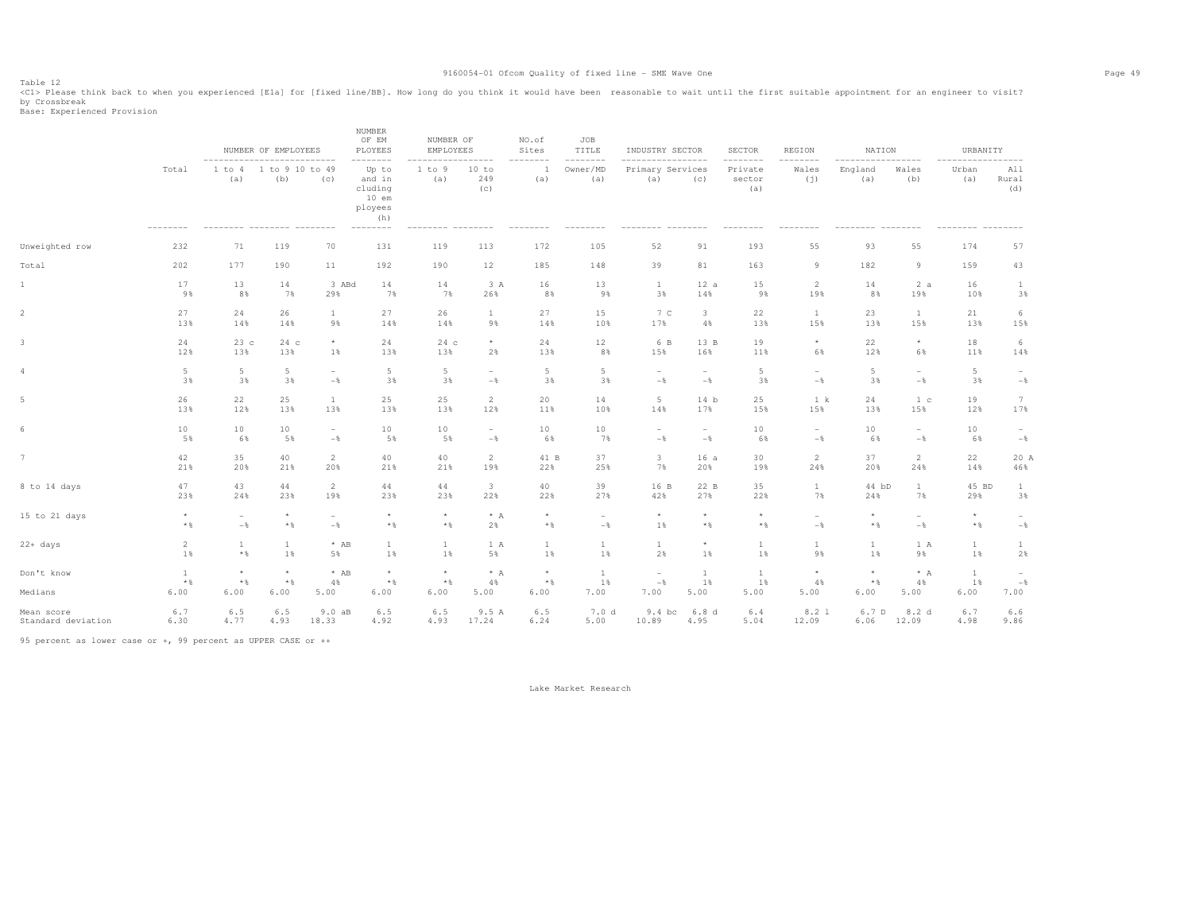Table 12<br><Cl> Please think back to when you experienced [Ela] for [fixed line/BB]. How long do you think it would have been reasonable to wait until the first suitable appointment for an engineer to visit? by Crossbreak<br>Base: Experienced Provision

|                       |                               | ----------------------------    | NUMBER OF EMPLOYEES             |                      | <b>NUMBER</b><br>OF EM<br>PLOYEES<br>--------                       | NUMBER OF<br><b>EMPLOYEES</b>      | ------                   | NO.of<br>Sites<br>-------- | JOB<br>TITLE<br>$- - - - - - - -$ | INDUSTRY SECTOR<br>-----                | ---------                  | <b>SECTOR</b><br>--------  | REGION<br>--------       | NATION<br>$---------$    | --------                 | URBANITY<br>$\cdots$       | $--- - - - -$            |
|-----------------------|-------------------------------|---------------------------------|---------------------------------|----------------------|---------------------------------------------------------------------|------------------------------------|--------------------------|----------------------------|-----------------------------------|-----------------------------------------|----------------------------|----------------------------|--------------------------|--------------------------|--------------------------|----------------------------|--------------------------|
|                       | Total<br>--------             | 1 to 4<br>(a)                   | 1 to 9 10 to 49<br>(b)          | (C)                  | Up to<br>and in<br>cluding<br>$10$ em<br>ployees<br>(h)<br>-------- | 1 to 9<br>(a)                      | 10 to<br>249<br>(c)      | $\mathbf{1}$<br>(a)        | Owner/MD<br>(a)                   | Primary Services<br>(a)                 | (c)                        | Private<br>sector<br>(a)   | Wales<br>(j)             | England<br>(a)           | Wales<br>(b)             | Urban<br>(a)               | All<br>Rural<br>(d)      |
| Unweighted row        | 232                           | 71                              | 119                             | 70                   | 131                                                                 | 119                                | 113                      | 172                        | 105                               | 52                                      | 91                         | 193                        | 55                       | 93                       | 55                       | 174                        | 57                       |
| Total                 | 202                           | 177                             | 190                             | 11                   | 192                                                                 | 190                                | 12                       | 185                        | 148                               | 39                                      | 81                         | 163                        | 9                        | 182                      | $\overline{9}$           | 159                        | 43                       |
| $\mathbf{1}$          | 17                            | 13                              | 14                              | 3 ABd                | 14                                                                  | 14                                 | 3 A                      | 16                         | 13                                | $\mathbf{1}$                            | 12a                        | 15                         | $\overline{2}$           | 14                       | 2a                       | 16                         | $\mathbf{1}$             |
|                       | 9%                            | 8%                              | 7%                              | 29%                  | 7%                                                                  | 7%                                 | 26%                      | 8%                         | 9%                                | 3%                                      | 14%                        | 9%                         | 19%                      | 8%                       | 19%                      | 10%                        | 3%                       |
| $\overline{c}$        | 27                            | 24                              | 26                              | $\mathbf{1}$         | 27                                                                  | 26                                 | $\mathbf{1}$             | 27                         | 15                                | 7 C                                     | 3                          | 22                         | $\mathbf{1}$             | 23                       | $\mathbf{1}$             | 21                         | 6                        |
|                       | 13%                           | 14%                             | 14%                             | 9%                   | 14%                                                                 | 14%                                | 9%                       | 14%                        | 10%                               | 17%                                     | 4%                         | 13%                        | 15%                      | 13%                      | 15%                      | 13%                        | 15%                      |
| 3                     | 24                            | 23c                             | $24\text{ c}$                   | $\star$              | 24                                                                  | 24c                                | $\star$                  | 24                         | 12                                | 6 B                                     | 13 B                       | 19                         | $^{\star}$               | 22                       | $^{\star}$               | 18                         | 6                        |
|                       | 12%                           | 13%                             | 13%                             | $1\%$                | 13%                                                                 | 13%                                | 2%                       | 13%                        | 8%                                | 15%                                     | 16%                        | 11%                        | 6%                       | 12%                      | 6%                       | 11%                        | 14%                      |
| 4                     | 5                             | 5                               | 5                               | $\sim$               | 5                                                                   | 5                                  | $\overline{\phantom{0}}$ | $5^{\circ}$                | 5                                 | $\sim$                                  | $\overline{\phantom{a}}$   | 5                          | $\overline{\phantom{a}}$ | 5                        | $\sim$                   | $5\phantom{.0}$            | $\sim$                   |
|                       | 3%                            | 3%                              | 3%                              | $-$                  | 3%                                                                  | 3%                                 | $-$                      | 3%                         | 3%                                | $-$                                     | $-\frac{6}{6}$             | 3%                         | $-$                      | 3%                       | $-\frac{6}{6}$           | 3%                         | $-\,$                    |
| 5                     | 26                            | 22                              | 25                              | $\mathbf{1}$         | 25                                                                  | 25                                 | $\overline{2}$           | 20                         | 14                                | 5                                       | 14 b                       | 25                         | 1 k                      | 24                       | 1 <sup>c</sup>           | 19                         | $7\overline{ }$          |
|                       | 13%                           | 12%                             | 13%                             | 13%                  | 13%                                                                 | 13%                                | 12%                      | 11%                        | 10%                               | 14%                                     | 17%                        | 15%                        | 15%                      | 13%                      | 15%                      | 12%                        | 17%                      |
| 6                     | 10                            | 10                              | 10                              | $\sim$               | 10                                                                  | 10                                 | $\overline{\phantom{a}}$ | 10                         | 10                                | $\sim$                                  | $\overline{\phantom{a}}$   | 10                         | $\sim$                   | 10                       | $\sim$                   | $10$                       | $\overline{\phantom{a}}$ |
|                       | 5%                            | 6%                              | 5%                              | $-$                  | 5%                                                                  | 5%                                 | $-$                      | 6%                         | 7%                                | $-$                                     | $-\,$                      | 6%                         | $-$                      | 6%                       | $-\frac{6}{6}$           | 6%                         | $-$                      |
| $7\phantom{.0}$       | 42                            | 35                              | 40                              | $\overline{2}$       | 40                                                                  | 40                                 | 2                        | 41 B                       | 37                                | $\mathbf{3}$                            | 16a                        | 30                         | 2                        | 37                       | $\overline{2}$           | 22                         | 20 A                     |
|                       | 21%                           | 20%                             | 21%                             | 20%                  | 21%                                                                 | 21%                                | 19%                      | 22%                        | 25%                               | 7%                                      | 20%                        | 19%                        | 24%                      | 20%                      | 24%                      | 14%                        | 46%                      |
| 8 to 14 days          | 47                            | 43                              | 44                              | $\overline{2}$       | 44                                                                  | 44                                 | $\overline{\mathbf{3}}$  | 40                         | 39                                | 16 B                                    | 22 B                       | 35                         | $\mathbf{1}$             | 44 bD                    | $\mathbf{1}$             | 45 BD                      | <b>1</b>                 |
|                       | 23%                           | 24%                             | 23%                             | 19%                  | 23%                                                                 | 23%                                | 22%                      | 22%                        | 27%                               | 42%                                     | 27%                        | 22%                        | 7%                       | 24%                      | 7%                       | 29%                        | 3%                       |
| 15 to 21 days         | $^{\star}$                    | $\overline{\phantom{a}}$        | $\star$                         | $\sim$               | $\star$                                                             | $^{\star}$                         | $\star$ $\,$ A           | $\star$                    | $\overline{\phantom{a}}$          | $\star$                                 | $\star$                    | $\star$                    | $\sim$                   | $\star$                  | $\overline{\phantom{a}}$ | $\star$                    | $\overline{\phantom{a}}$ |
|                       | $\star$ $\,$                  | $-$                             | $\star$ $\,$                    | $-$                  | $\star$ $\,$                                                        | $\star$ $\,$                       | 2%                       | $\star$ $\,$               | $-$                               | 1%                                      | $\star$ $\,$               | $\star$ $\S$               | $-$                      | $*$ %                    | $-\frac{6}{6}$           | $\star$ $\,$               | $-$                      |
| $22 + days$           | $\overline{2}$                | $\mathbf{1}$                    | $\mathbf{1}$                    | $*$ AB               | $\mathbf{1}$                                                        | $\mathbf{1}$                       | 1 A                      | $\mathbf{1}$               | $\mathbf{1}$                      | $\mathbf{1}$                            | $^{\star}$                 | $\mathbf{1}$               | $\mathbf{1}$             | $\mathbf{1}$             | 1 A                      | $\mathbf{1}$               | 1                        |
|                       | 1%                            | $\star$ $\,$                    | 1%                              | 5%                   | 1%                                                                  | 1%                                 | 5%                       | 1%                         | 1%                                | 2%                                      | 1%                         | 1%                         | 9%                       | 1%                       | 9%                       | 1%                         | 2%                       |
| Don't know<br>Medians | <sup>1</sup><br>$*$ %<br>6.00 | $\star$<br>$\star$ $\,$<br>6.00 | $\star$<br>$\star$ $\,$<br>6.00 | $*$ AB<br>4%<br>5.00 | $\star$<br>$*$ &<br>6.00                                            | $^{\star}$<br>$\star$ $\,$<br>6.00 | $* A$<br>4%<br>5.00      | $\star$<br>$*$ &<br>6.00   | $\mathbf{1}$<br>1%<br>7.00        | $\overline{\phantom{a}}$<br>$-$<br>7.00 | $\mathbf{1}$<br>1%<br>5.00 | $\mathbf{1}$<br>1%<br>5.00 | $\star$<br>4%<br>5.00    | $\star$<br>$*$ &<br>6.00 | $* A$<br>4%<br>5.00      | $\mathbf{1}$<br>1%<br>6.00 | $\sim$<br>$-$<br>7.00    |
| Mean score            | 6.7                           | 6.5                             | 6.5                             | 9.0aB                | 6.5                                                                 | 6.5                                | 9.5 A                    | 6.5                        | 7.0 d                             | $9.4$ bc                                | 6.8d                       | 6.4                        | 8.21                     | 6.7 D                    | 8.2 d                    | 6.7                        | 6.6                      |
| Standard deviation    | 6.30                          | 4.77                            | 4.93                            | 18.33                | 4.92                                                                | 4.93                               | 17.24                    | 6.24                       | 5.00                              | 10.89                                   | 4.95                       | 5.04                       | 12.09                    | 6.06                     | 12.09                    | 4.98                       | 9.86                     |

95 percent as lower case or +, 99 percent as UPPER CASE or ++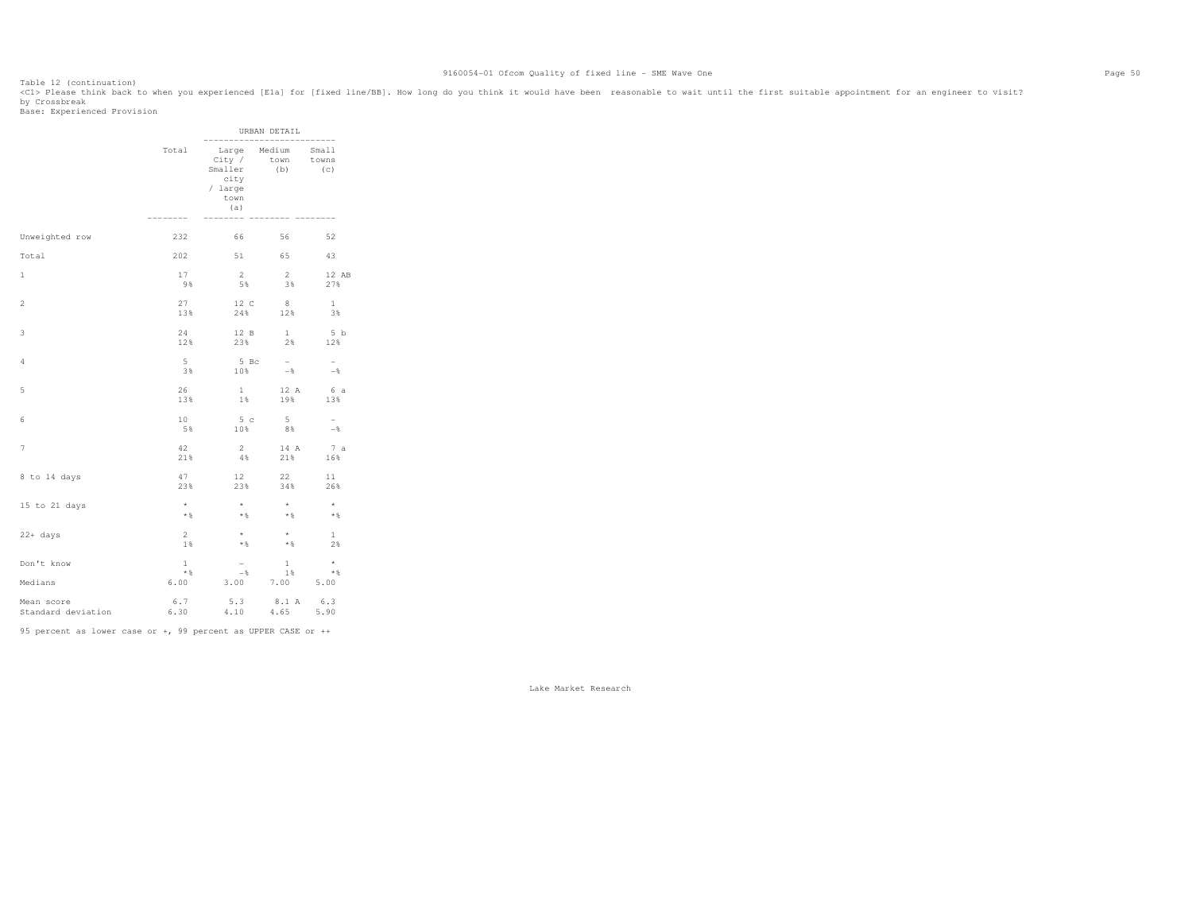Table 12 (continuation) <C1> Please think back to when you experienced [E1a] for [fixed line/BB]. How long do you think it would have been reasonable to wait until the first suitable appointment for an engineer to visit?

by Crossbreak

 Base: Experienced Provision URBAN DETAIL -------------------------- Small Total Large Medium<br>City / town towns City / town towns Smaller (b) (c)  $(c)$ .<br>city / large town the contract of the contract of the contract of the contract of the contract of the contract of the contract of the contract of the contract of the contract of the contract of the contract of the contract of the contr (a) -------- -------- -------- -------- Unweighted row 232 66 56 52 Total 202 51 65 43 1 17 2 2 12 AB 9% 5% 3% 27% 2 27 12 C 8 1  $3\,$   $\,$  13% 24% 12% 3% 3 24 12 B 1 5 b 12% 23% 2% 12% 4 5 5 Bc - -  $\!8$  $3\%$  10% -% -% -% 5 26 1 12 A 6 a 13% 1% 19% 13% 6 20 5 c 5 - 10 5 c 5 - 10 5 c 5 - 10 c 5 c 5 - 10 c 5 c 5 - 10 c 5 c 5 - 10 c 5 c 5 - 1  $5\%$  and  $5\%$  and  $10\%$  and  $8\%$  and  $-8$ 7 42 2 14 A 7 a  $21\%$   $4\%$   $21\%$   $16\%$ 8 to 14 days <br>  $\begin{array}{ccccccc}\n & 47 & & 12 & & 22 & & 11 \\
 & & 238 & & 238 & & 348 & & 268\n\end{array}$ 26% 23% 23% 34% 26% 15 to 21 days \* \* \* \*  $\star$   $\S$  \*% \*% \*% \*%  $\begin{array}{ccccccccccccc} 22+ \text{ days} & \text{ & & & & & & & & 2 & & * & & * & & 1 \\ & & & & & & & & & 2 & * & & * & * & & 24 \\ & & & & & & & 1 & * & & & * & & * & & 28 \\ & & & & & & & & & 1 & * & & & * & & 28 \\ \end{array}$  $2\,$  1% \*% \*% 2% Don't know 1 - 1 \*  $*$  $\rightarrow$  1% - 1%  $\rightarrow$  1%  $\rightarrow$  1%  $\rightarrow$  1%  $\rightarrow$  1%  $\rightarrow$  1%  $\rightarrow$  1%  $\rightarrow$  1%  $\rightarrow$  1%  $\rightarrow$  1%  $\rightarrow$  1%  $\rightarrow$  1%  $\rightarrow$  1%  $\rightarrow$  1%  $\rightarrow$  1%  $\rightarrow$  1%  $\rightarrow$  1%  $\rightarrow$  1%  $\rightarrow$  1%  $\rightarrow$  1%  $\rightarrow$  1%  $\rightarrow$  1%  $\rightarrow$  1%  $\rightarrow$  1%  $\rightarrow$  1%  $\rightarrow$  1%  $\rightarrow$  1% Medians 6.00 3.00 7.00 5.00 Mean score 6.7 5.3 8.1 A 6.3 5.90 Standard deviation 6.30 4.10 4.65

95 percent as lower case or +, 99 percent as UPPER CASE or ++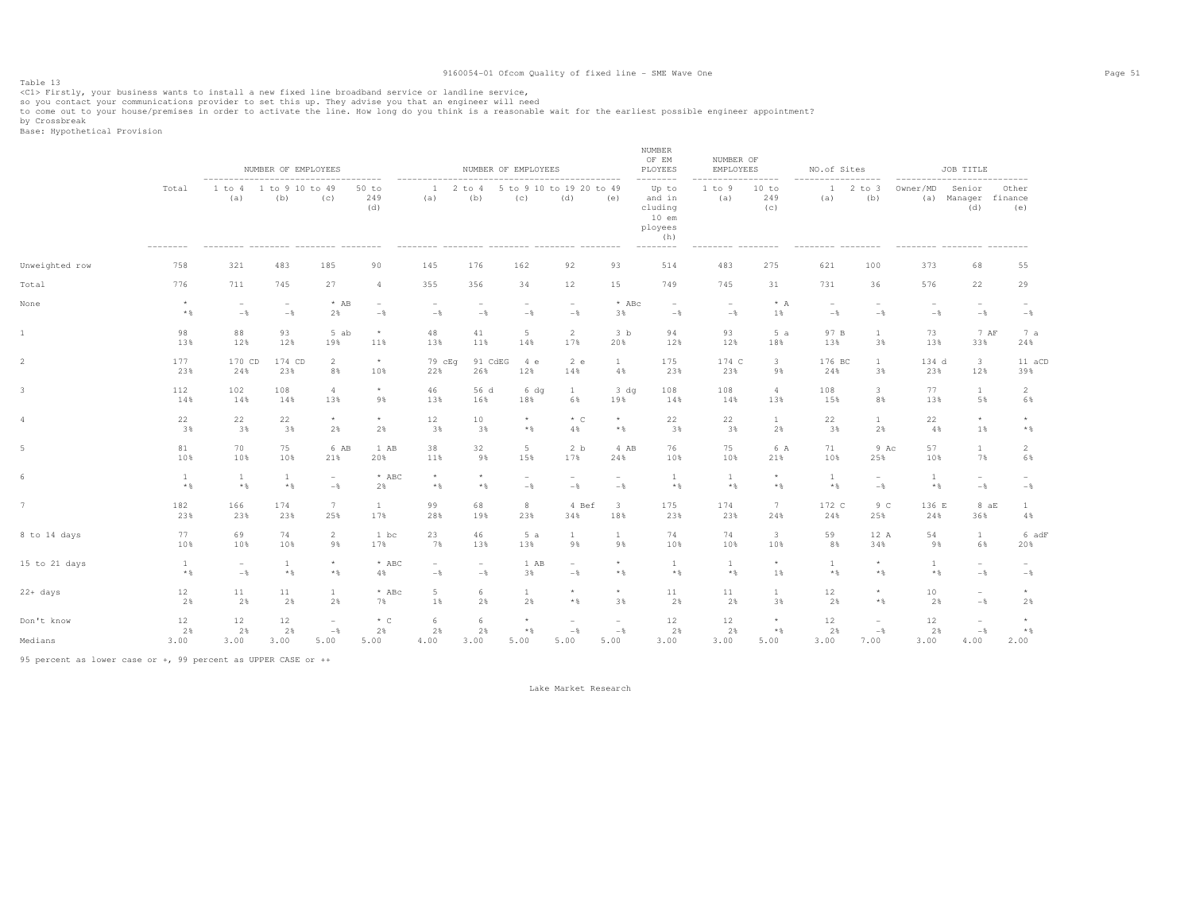Table 13<br><Cl> Firstly, your business wants to install a new fixed line broadband service or landline service,<br>-- The service of the contract of the contract of the contract of the contract of the contract of the contract

so you contact your communications provider to set this up. They advise you that an engineer will need<br>to come out to your house/premises in order to activate the line. How long do you think is a reasonable wait for the ea

by Crossbreak<br>Base: Hypothetical Provision

|                |                       |                                            | NUMBER OF EMPLOYEES                                          |                                            |                                 |                                 | NUMBER OF EMPLOYEES                        |                                            |                                            |                                 | NUMBER<br>OF EM<br>PLOYEES<br>--------                                       | NUMBER OF<br>EMPLOYEES<br>----------------- |                         | NO.of Sites                     | --------                                   | ------------------              | JOB TITLE                                                         |                   |
|----------------|-----------------------|--------------------------------------------|--------------------------------------------------------------|--------------------------------------------|---------------------------------|---------------------------------|--------------------------------------------|--------------------------------------------|--------------------------------------------|---------------------------------|------------------------------------------------------------------------------|---------------------------------------------|-------------------------|---------------------------------|--------------------------------------------|---------------------------------|-------------------------------------------------------------------|-------------------|
|                | Total                 | (a)                                        | 1 to 4 1 to 9 10 to 49<br>(b)<br>--------- --------- ------- | (c)                                        | $50$ to<br>249<br>(d)           | $\mathbf{1}$<br>(a)             | (b)                                        | (C)                                        | 2 to 4 5 to 9 10 to 19 20 to 49<br>(d)     | (e)                             | Up to<br>and in<br>cluding<br>$10$ em<br>ployees<br>(h)<br>$- - - - - - - -$ | 1 to 9<br>(a)<br>--------- --------         | 10 to<br>249<br>(C)     | (a)<br>--------- --------       | $12$ to $3$<br>(b)                         | Owner/MD                        | Senior<br>(a) Manager finance<br>(d)<br>--------- -------- ------ | Other<br>(e)      |
| Unweighted row | 758                   | 321                                        | 483                                                          | 185                                        | 90                              | 145                             | 176                                        | 162                                        | 92                                         | 93                              | 514                                                                          | 483                                         | 275                     | 621                             | 100                                        | 373                             | 68                                                                | 55                |
| Total          | 776                   | 711                                        | 745                                                          | 27                                         | $\overline{4}$                  | 355                             | 356                                        | 34                                         | 12                                         | 15                              | 749                                                                          | 745                                         | 31                      | 731                             | 36                                         | 576                             | 22                                                                | 29                |
| None           | $\star$<br>$*$        | $\overline{\phantom{a}}$<br>$-\frac{6}{6}$ | $\overline{\phantom{a}}$<br>$-$                              | $*$ AB<br>2%                               | $\overline{\phantom{a}}$<br>$-$ | $\overline{\phantom{0}}$<br>$-$ | $\overline{\phantom{a}}$<br>$-\frac{6}{6}$ | $\overline{\phantom{a}}$<br>$-\frac{6}{6}$ | $\overline{\phantom{a}}$<br>$-\frac{6}{6}$ | $*$ ABc<br>3%                   | $\overline{\phantom{a}}$<br>$-\frac{6}{6}$                                   | $\overline{\phantom{a}}$<br>$-\frac{6}{6}$  | $* A$<br>1%             | $\overline{\phantom{a}}$<br>$-$ | $\overline{\phantom{a}}$<br>$-\frac{6}{5}$ | $\overline{\phantom{a}}$<br>$-$ | $\overline{\phantom{a}}$<br>$-\frac{6}{6}$                        | $-\frac{6}{5}$    |
|                | 98                    | 88                                         | 93                                                           | 5 ab                                       | $\star$                         | 48                              | 41                                         | 5                                          | 2                                          | 3 <sub>b</sub>                  | 94                                                                           | 93                                          | 5a                      | 97 B                            | $\mathbf{1}$                               | 73                              | 7 AF                                                              | 7 a               |
|                | 13%                   | 12%                                        | 12%                                                          | 19%                                        | 11%                             | 13%                             | 11%                                        | 14%                                        | 17%                                        | 20%                             | 12%                                                                          | 12%                                         | 18%                     | 13%                             | 3%                                         | 13%                             | 33%                                                               | 24%               |
|                | 177                   | 170 CD                                     | 174 CD                                                       | $\overline{2}$                             | $\star$                         | 79 cEq                          | 91 CdEG                                    | 4 e                                        | 2 e                                        | $\mathbf{1}$                    | 175                                                                          | 174 C                                       | $\overline{\mathbf{3}}$ | 176 BC                          | $\mathbf{1}$                               | 134 d                           | $\overline{\mathbf{3}}$                                           | 11 aCD            |
|                | 23%                   | 24%                                        | 23%                                                          | 8%                                         | 10%                             | 22%                             | 26%                                        | 12%                                        | 14%                                        | 4%                              | 23%                                                                          | 23%                                         | 98                      | 24%                             | 3%                                         | 23%                             | 12%                                                               | 39%               |
|                | 112                   | 102                                        | 108                                                          | $\overline{4}$                             | $\star$                         | 46                              | 56 d                                       | $6\,$ dq                                   | $\mathbf{1}$                               | 3 dq                            | 108                                                                          | 108                                         | $\overline{4}$          | 108                             | 3                                          | 77                              | $\mathbf{1}$                                                      | 2                 |
|                | 14%                   | 14%                                        | 14%                                                          | 13%                                        | 98                              | 13%                             | 16%                                        | 18%                                        | 6%                                         | 19%                             | 14%                                                                          | 14%                                         | 13%                     | 15%                             | 8%                                         | 13%                             | 5%                                                                | 6%                |
|                | 22                    | 22                                         | 22                                                           | $\star$                                    | $^{\star}$                      | 12                              | 10                                         | $\star$                                    | $*$ C                                      | $^{\star}$                      | 22                                                                           | 22                                          | $\mathbf{1}$            | 22                              | $\mathbf{1}$                               | 22                              | $^{\star}$                                                        | $\star$           |
|                | 3%                    | 3%                                         | 3%                                                           | 2%                                         | 2%                              | 3%                              | 3%                                         | $\star$ $\,$                               | 4%                                         | $*$ &                           | 3%                                                                           | 3%                                          | 2%                      | 3%                              | 2%                                         | 4%                              | 1%                                                                | $*$ %             |
|                | 81                    | 70                                         | 75                                                           | 6 AB                                       | 1 AB                            | 38                              | 32                                         | 5                                          | 2 <sub>b</sub>                             | 4 AB                            | 76                                                                           | 75                                          | 6 A                     | 71                              | 9 Ac                                       | 57                              | <sup>1</sup>                                                      | 2                 |
|                | 10%                   | 10%                                        | 10%                                                          | 21%                                        | 20%                             | 11%                             | 9%                                         | 15%                                        | 17%                                        | 24%                             | 10%                                                                          | 10%                                         | 21%                     | 10%                             | 25%                                        | 10%                             | 7%                                                                | 6%                |
|                | $\mathbf{1}$<br>$*$ & | 1<br>$*$                                   | $\mathbf{1}$<br>$*$ &                                        | $\overline{\phantom{a}}$<br>$-\frac{6}{6}$ | $*$ ABC<br>2%                   | $\star$<br>$*$                  | $\star$<br>$*$                             | $\overline{\phantom{m}}$<br>$-\frac{6}{6}$ | $\sim$<br>$-\frac{6}{6}$                   | $\overline{\phantom{a}}$<br>$-$ | <sup>1</sup><br>$\star$ $\,$                                                 | $\mathbf{1}$<br>$*$ &                       | $\star$<br>$*$          | 1<br>$*$ %                      | $\sim$<br>$-\frac{6}{5}$                   | $\mathbf{1}$<br>$*$ &           | $\overline{\phantom{a}}$<br>$-\frac{6}{6}$                        | $-\frac{6}{5}$    |
|                | 182                   | 166                                        | 174                                                          | 7                                          | $\mathbf{1}$                    | 99                              | 68                                         | 8                                          | 4 Bef                                      | $\overline{\mathbf{3}}$         | 175                                                                          | 174                                         | 7                       | 172 C                           | 9 C                                        | 136 E                           | 8aE                                                               | <sup>1</sup>      |
|                | 23%                   | 23%                                        | 23%                                                          | 25%                                        | 17%                             | 28%                             | 19%                                        | 23%                                        | 34%                                        | 18%                             | 23%                                                                          | 23%                                         | 24%                     | 24%                             | 25%                                        | 24%                             | 36%                                                               | 4%                |
| 8 to 14 days   | 77                    | 69                                         | 74                                                           | $\overline{2}$                             | 1 bc                            | 23                              | 46                                         | 5a                                         | $\mathbf{1}$                               | <sup>1</sup>                    | 74                                                                           | 74                                          | $\overline{\mathbf{3}}$ | 59                              | 12 A                                       | 54                              | <sup>1</sup>                                                      | 6 adF             |
|                | 10%                   | 10%                                        | 10%                                                          | 9%                                         | 17%                             | 7%                              | 13%                                        | 13%                                        | 9%                                         | 9%                              | 10%                                                                          | 10%                                         | 10%                     | 8%                              | 34%                                        | 9%                              | 6%                                                                | 20%               |
| 15 to 21 days  | $\mathbf{1}$          | $\overline{\phantom{a}}$                   | $\mathbf{1}$                                                 | $^{\star}$                                 | $*$ ABC                         | $\sim$                          | $\sim$                                     | 1 AB                                       | $\sim$                                     | $^{\star}$                      | $\mathbf{1}$                                                                 | $\mathbf{1}$                                | $\star$                 | $\mathbf{1}$                    | $\star$                                    | $\mathbf{1}$                    | $\sim$                                                            | $\sim$            |
|                | $*$ %                 | $-\frac{6}{6}$                             | $*$ &                                                        | $\star$ $\,$                               | 4%                              | $-\frac{6}{5}$                  | $-$                                        | 3%                                         | $-\frac{6}{6}$                             | $*$ &                           | $*$ &                                                                        | $*$ &                                       | 1%                      | $\star$ $\,$                    | $*$                                        | $*$ &                           | $-$                                                               | $-\frac{6}{5}$    |
| 22+ days       | 12                    | 11                                         | 11                                                           | $\mathbf{1}$                               | $*$ ABc                         | $5 -$                           | 6                                          | 1                                          | $\star$                                    | $\star$                         | 11                                                                           | 11                                          | 1                       | 12                              | $\star$                                    | 10                              | $\overline{\phantom{a}}$                                          | $\star$           |
|                | 2%                    | 2%                                         | 2%                                                           | 2%                                         | 7%                              | 1%                              | 2%                                         | 2%                                         | $*$ &                                      | 3%                              | 2%                                                                           | 2%                                          | 3%                      | 2%                              | $*$ &                                      | 2%                              | $-\frac{6}{6}$                                                    | 2%                |
| Don't know     | 12                    | 12                                         | 12                                                           | $\overline{\phantom{a}}$                   | $*$ C                           | 6                               | 6                                          | $\star$                                    | $\overline{\phantom{a}}$                   | $\sim$                          | 12                                                                           | 12                                          | $\star$                 | 12                              | $\overline{\phantom{a}}$                   | 12                              | $\overline{\phantom{a}}$                                          | $\star$           |
|                | 2%                    | 2%                                         | 2%                                                           | $-\frac{6}{9}$                             | 2%                              | 2%                              | 2%                                         | $*$                                        | $-\frac{6}{6}$                             | $-$ 8                           | 2%                                                                           | 2%                                          | $*$                     | 2%                              | $-\frac{6}{9}$                             | 2%                              | $-\frac{6}{6}$                                                    | $*$ $\frac{6}{5}$ |
| Medians        | 3.00                  | 3.00                                       | 3.00                                                         | 5.00                                       | 5.00                            | 4.00                            | 3.00                                       | 5.00                                       | 5.00                                       | 5.00                            | 3.00                                                                         | 3.00                                        | 5.00                    | 3.00                            | 7.00                                       | 3.00                            | 4.00                                                              | 2.00              |

95 percent as lower case or +, 99 percent as UPPER CASE or ++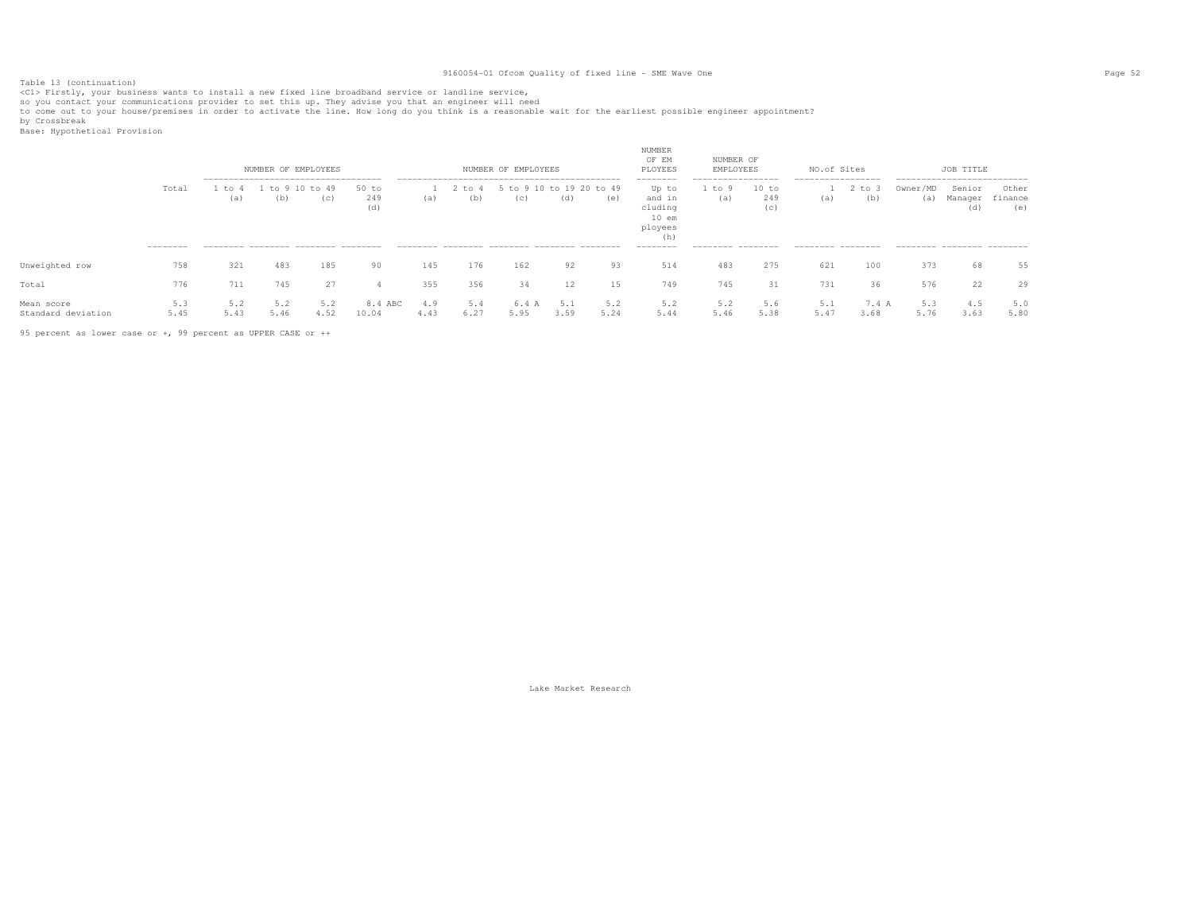Table 13 (continuation)<br><C1> Firstly, your business wants to install a new fixed line broadband service or landline service,

so you contact your communications provider to set this up. They advise you that an engineer will need<br>to come out to your house/premises in order to activate the line. How long do you think is a reasonable wait for the ea

by Crossbreak<br>Base: Hypothetical Provision

|                                  |                 | --------------------------------------     | NUMBER OF EMPLOYEES  |             |                     |             |                   | NUMBER OF EMPLOYEES             |             |             | NUMBER<br>OF EM<br>PLOYEES                                          | NUMBER OF<br>EMPLOYEES                           |                     | NO.of Sites<br>------------------ |                   |                 | JOB TITLE<br>---------------------------- |                         |
|----------------------------------|-----------------|--------------------------------------------|----------------------|-------------|---------------------|-------------|-------------------|---------------------------------|-------------|-------------|---------------------------------------------------------------------|--------------------------------------------------|---------------------|-----------------------------------|-------------------|-----------------|-------------------------------------------|-------------------------|
|                                  | Total           | to 4<br>(a)                                | to 9 10 to 49<br>(b) | (C)         | 50 to<br>249<br>(d) | (a)         | $2$ to $4$<br>(b) | 5 to 9 10 to 19 20 to 49<br>(C) | (d)         | (e)         | --------<br>Up to<br>and in<br>cluding<br>$10$ em<br>ployees<br>(h) | . _ _ _ _ _ _ _ _ _ _ _ _ _ _ _ _<br>to 9<br>(a) | 10 to<br>249<br>(c) | (a)                               | $2$ to $3$<br>(b) | Owner/MD<br>(a) | Senior<br>Manager<br>(d)                  | Other<br>finance<br>(e) |
| Unweighted row                   | --------<br>758 | --------- -------- -------- -------<br>321 | 483                  | 185         | 90                  | 145         | 176               | 162                             | 92          | 93          | --------<br>514                                                     | --------- -------<br>483                         | 275                 | --------- --------<br>621         | 100               | 373             | --------- -------- -------<br>68          | 55                      |
|                                  |                 |                                            |                      |             |                     |             |                   |                                 |             |             |                                                                     |                                                  |                     |                                   |                   |                 |                                           |                         |
| Total                            | 776             | 711                                        | 745                  | 27          | 4                   | 355         | 356               | 34                              | 12          | 15          | 749                                                                 | 745                                              | 31                  | 731                               | 36                | 576             | 22                                        | 29                      |
| Mean score<br>Standard deviation | 5.3<br>5.45     | 5.2<br>5.43                                | 5.2<br>5.46          | 5.2<br>4.52 | 8.4 ABC<br>10.04    | 4.9<br>4.43 | 5.4<br>6.27       | 6.4<br>5.95                     | 5.1<br>3.59 | 5.2<br>5.24 | 5.2<br>5.44                                                         | 5.2<br>5.46                                      | 5.6<br>5.38         | 5.1<br>5.47                       | 7.4 A<br>3.68     | 5.3<br>5.76     | 4.5<br>3.63                               | 5.0<br>5.80             |

95 percent as lower case or +, 99 percent as UPPER CASE or ++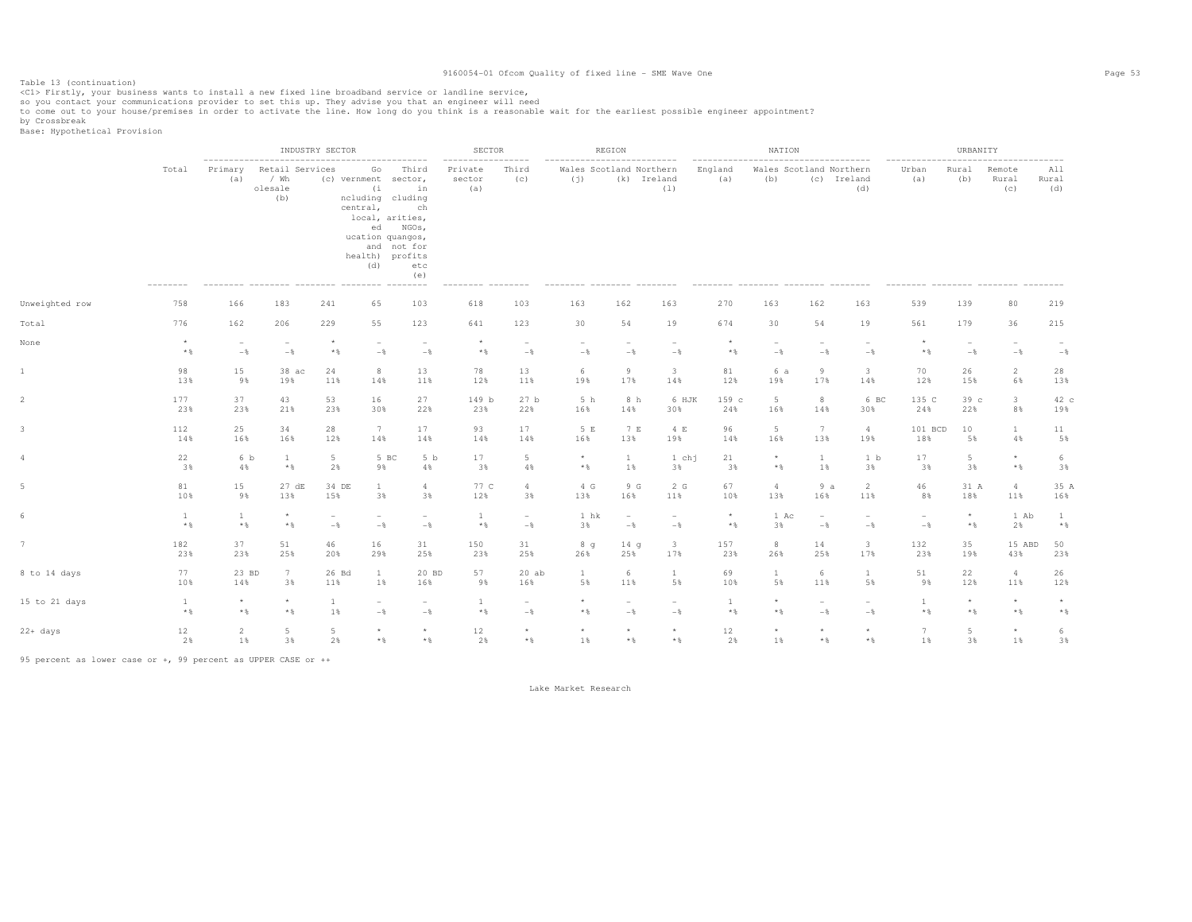Table 13 (continuation)<br><C1> Firstly, your business wants to install a new fixed line broadband service or landline service,

so you contact your communications provider to set this up. They advise you that an engineer will need<br>to come out to your house/premises in order to activate the line. How long do you think is a reasonable wait for the ea

by Crossbreak<br>Base: Hypothetical Provision

|                |                       |                                            |                                                                    | INDUSTRY SECTOR                 |                                                                                                                                                                                                   |                                   | SECTOR                                      |                                   |                                                | REGION                                     |                                          |                                      | NATION                                   |                                                        |                                            |                                  | URBANITY            |                                            |                     |
|----------------|-----------------------|--------------------------------------------|--------------------------------------------------------------------|---------------------------------|---------------------------------------------------------------------------------------------------------------------------------------------------------------------------------------------------|-----------------------------------|---------------------------------------------|-----------------------------------|------------------------------------------------|--------------------------------------------|------------------------------------------|--------------------------------------|------------------------------------------|--------------------------------------------------------|--------------------------------------------|----------------------------------|---------------------|--------------------------------------------|---------------------|
|                | Total<br>$----------$ | Primary<br>(a)                             | ---------------------<br>Retail Services<br>/ Wh<br>olesale<br>(b) |                                 | . <u>.</u><br>Go<br>(c) vernment sector,<br>(i)<br>ncluding cluding<br>central,<br>local, arities,<br>ed NGOs,<br>ucation quangos,<br>and not for<br>health) profits<br>(d)<br>--------- -------- | Third<br>in<br>ch<br>etc<br>(e)   | $- - - - - - -$<br>Private<br>sector<br>(a) | ------<br>Third<br>(C)            | ------------<br>Wales Scotland Northern<br>(j) | (k) Ireland                                | ------------<br>(1)<br>$- - - - - - - -$ | ------------------<br>England<br>(a) | (b)<br>_________ ________ _______ ______ | . <u>.</u> .<br>Wales Scotland Northern<br>(c) Ireland | (d)                                        | ----------------<br>Urban<br>(a) | Rural<br>(b)        | Remote<br>Rural<br>(C)                     | All<br>Rural<br>(d) |
| Unweighted row | 758                   | 166                                        | 183                                                                | 241                             | 65                                                                                                                                                                                                | 103                               | 618                                         | 103                               | 163                                            | 162                                        | 163                                      | 270                                  | 163                                      | 162                                                    | 163                                        | 539                              | 139                 | 80                                         | 219                 |
| Total          | 776                   | 162                                        | 206                                                                | 229                             | 55                                                                                                                                                                                                | 123                               | 641                                         | 123                               | 30                                             | 54                                         | 19                                       | 674                                  | 30                                       | 54                                                     | 19                                         | 561                              | 179                 | 36                                         | 215                 |
| None           | $\star$<br>$*$ &      | $\overline{\phantom{a}}$<br>$-\frac{6}{5}$ | $\overline{\phantom{a}}$<br>$-$                                    | $\star$<br>$*$ &                | $\overline{\phantom{a}}$<br>$-\frac{6}{6}$                                                                                                                                                        | $\overline{\phantom{a}}$<br>$-\,$ | $\star$<br>$*$ &                            | $\overline{\phantom{a}}$<br>$-$ 8 | $\overline{\phantom{a}}$<br>$-$                | $\overline{\phantom{a}}$<br>$-\frac{6}{5}$ | $\overline{\phantom{a}}$<br>$-\,$        | $\star$<br>$\star$ $\,$              | $\sim$<br>$-$                            | $\overline{\phantom{a}}$<br>$-$                        | $\overline{\phantom{a}}$<br>$-$            | $*$ &                            | $-\frac{6}{5}$      | $\overline{\phantom{a}}$<br>$-\frac{6}{6}$ | $-\frac{6}{9}$      |
|                | 98                    | 15                                         | $38$ ac                                                            | 24                              | 8                                                                                                                                                                                                 | 13                                | 78                                          | 13                                | 6                                              | 9                                          | $\overline{\mathbf{3}}$                  | 81                                   | 6 a                                      | -9                                                     | $\overline{\mathbf{3}}$                    | 70                               | 26                  | $\overline{2}$                             | 28                  |
|                | 13%                   | 98                                         | 19%                                                                | 11%                             | 14%                                                                                                                                                                                               | 11%                               | 12%                                         | 11%                               | 19%                                            | 17%                                        | 14%                                      | 12%                                  | 19%                                      | 17%                                                    | 14%                                        | 12%                              | 15%                 | 6%                                         | 13%                 |
|                | 177                   | 37                                         | 43                                                                 | 53                              | 16                                                                                                                                                                                                | 27                                | 149 b                                       | 27 <sub>b</sub>                   | 5 h                                            | 8 h                                        | 6 HJK                                    | 159 c                                | $5\phantom{.}$                           | 8                                                      | 6 BC                                       | 135 C                            | 39 c                | $\mathbf{3}$                               | 42 c                |
|                | 23%                   | 23%                                        | 21%                                                                | 23%                             | 30%                                                                                                                                                                                               | 22%                               | 23%                                         | 22%                               | 16%                                            | 14%                                        | 30%                                      | 24%                                  | 16%                                      | 14%                                                    | 30%                                        | 24%                              | 22%                 | 8%                                         | 19%                 |
|                | 112                   | 25                                         | 34                                                                 | 28                              | 7                                                                                                                                                                                                 | 17                                | 93                                          | 17                                | 5 E                                            | 7 E                                        | 4 E                                      | 96                                   | 5                                        | $7\phantom{.0}$                                        | 4                                          | 101 BCD                          | 10                  | $\mathbf{1}$                               | 11                  |
|                | 14%                   | 16%                                        | 16%                                                                | 12%                             | 14%                                                                                                                                                                                               | 14%                               | 14%                                         | 14%                               | 16%                                            | 13%                                        | 19%                                      | 14%                                  | 16%                                      | 13%                                                    | 19%                                        | 18%                              | 5%                  | 4%                                         | 5%                  |
|                | 22                    | 6 b                                        | $\mathbf{1}$                                                       | $5 -$                           | 5 BC                                                                                                                                                                                              | 5 b                               | 17                                          | -5                                | $\star$                                        | $\mathbf{1}$                               | 1 chj                                    | 21                                   | $\star$                                  | <sup>1</sup>                                           | 1 b                                        | 17                               | $5 -$               | $^\star$                                   | 6                   |
|                | 3%                    | 4%                                         | $\star$ $\,$                                                       | 2%                              | 9%                                                                                                                                                                                                | 4%                                | 3%                                          | 4%                                | $\star$ $\,$                                   | 1%                                         | 3%                                       | 3%                                   | $\star$ $\,$                             | 1%                                                     | 3%                                         | 3%                               | 3%                  | $\star$ $\,$                               | 3%                  |
|                | 81                    | 15                                         | $27$ dE                                                            | 34 DE                           | 1                                                                                                                                                                                                 | 4                                 | 77 C                                        | 4                                 | 4 G                                            | 9 G                                        | 2 G                                      | 67                                   | $\overline{4}$                           | 9a                                                     | 2                                          | 46                               | 31 A                | 4                                          | 35 A                |
|                | 10%                   | 9%                                         | 13%                                                                | 15%                             | 3%                                                                                                                                                                                                | 3%                                | 12%                                         | 3%                                | 13%                                            | 16%                                        | 11%                                      | 10%                                  | 13%                                      | 16%                                                    | 11%                                        | 8%                               | 18%                 | 11%                                        | 16%                 |
|                | $\mathbf{1}$<br>$*$ % | 1<br>$*$                                   | $\star$<br>$*$ &                                                   | $\overline{\phantom{a}}$<br>$-$ | $\overline{\phantom{a}}$<br>$-$                                                                                                                                                                   | $\overline{\phantom{a}}$<br>$-$   | $\mathbf{1}$<br>$*$ %                       | $\overline{\phantom{0}}$<br>$-$   | 1 hk<br>3%                                     | $\overline{\phantom{a}}$<br>$-$            | $\sim$<br>$-\frac{6}{6}$                 | $^{\star}$<br>$*$ &                  | 1 Ac<br>3%                               | $\overline{\phantom{a}}$<br>$-$ 8                      | $\overline{\phantom{a}}$<br>$-\frac{6}{6}$ | $-$ %                            | $^{\star}$<br>$*$ & | 1 Ab<br>2%                                 | 1<br>$\star$ $\,$   |
|                | 182                   | 37                                         | 51                                                                 | 46                              | 16                                                                                                                                                                                                | 31                                | 150                                         | 31                                | 8q                                             | 14q                                        | $\overline{\mathbf{3}}$                  | 157                                  | 8                                        | 14                                                     | $\mathbf{3}$                               | 132                              | 35                  | 15 ABD                                     | 50                  |
|                | 23%                   | 23%                                        | 25%                                                                | 20%                             | 29%                                                                                                                                                                                               | 25%                               | 23%                                         | 25%                               | 26%                                            | 25%                                        | 17%                                      | 23%                                  | 26%                                      | 25%                                                    | 17%                                        | 23%                              | 19%                 | 43%                                        | 23%                 |
| 8 to 14 days   | 77                    | 23 BD                                      | 7                                                                  | 26 Bd                           | <sup>1</sup>                                                                                                                                                                                      | 20 BD                             | 57                                          | $20$ ab                           | <sup>1</sup>                                   | 6                                          | $\mathbf{1}$                             | 69                                   | $\mathbf{1}$                             | 6                                                      | $\mathbf{1}$                               | 51                               | 22                  | $\overline{4}$                             | 26                  |
|                | 10%                   | 14%                                        | 3%                                                                 | 11%                             | 1%                                                                                                                                                                                                | 16%                               | 9%                                          | 16%                               | 5%                                             | 11%                                        | 5%                                       | 10%                                  | 5%                                       | 11%                                                    | 5%                                         | 9%                               | 12%                 | 11%                                        | 12%                 |
| 15 to 21 days  | $\mathbf{1}$          | $\star$                                    | $\star$                                                            | 1                               | $\overline{\phantom{0}}$                                                                                                                                                                          | $\overline{\phantom{a}}$          | 1                                           | $\overline{a}$                    | $\star$                                        | $\overline{\phantom{m}}$                   | $\overline{\phantom{a}}$                 | 1                                    | $\star$                                  | $\overline{\phantom{a}}$                               | $\overline{\phantom{a}}$                   | 1                                | $\star$             | $\star$                                    | $\star$             |
|                | $*$ %                 | $*$                                        | $\star$ $\,$                                                       | 1%                              | $-$                                                                                                                                                                                               | $-$                               | $\star$ $\,$                                | $-$                               | $*$                                            | $-\frac{6}{5}$                             | $-$                                      | $\star$ $\,$                         | $*$ &                                    | $-$ 8                                                  | $-\frac{6}{6}$                             | $*$ &                            | $*$ %               | $*$                                        | $\star$ $\,$        |
| 22+ days       | 12                    | $\overline{2}$                             | 5                                                                  | 5                               | $_{\star}$                                                                                                                                                                                        | $\star$                           | 12                                          | $\star$                           | $\star$                                        | $\star$                                    | $\star$                                  | 12                                   | $\star$                                  | $\star$                                                | $\star$                                    | 7                                | 5                   | $\star$                                    | 6                   |
|                | 2%                    | 1%                                         | 3%                                                                 | 2%                              | $*$ $\frac{6}{3}$                                                                                                                                                                                 | $\star$ $\,$                      | 2%                                          | $*$ &                             | 1%                                             | $*$ %                                      | $*$ &                                    | 2%                                   | 1%                                       | $*$ &                                                  | $\star$ $\,$                               | 1%                               | 3%                  | 1%                                         | 3%                  |

95 percent as lower case or +, 99 percent as UPPER CASE or ++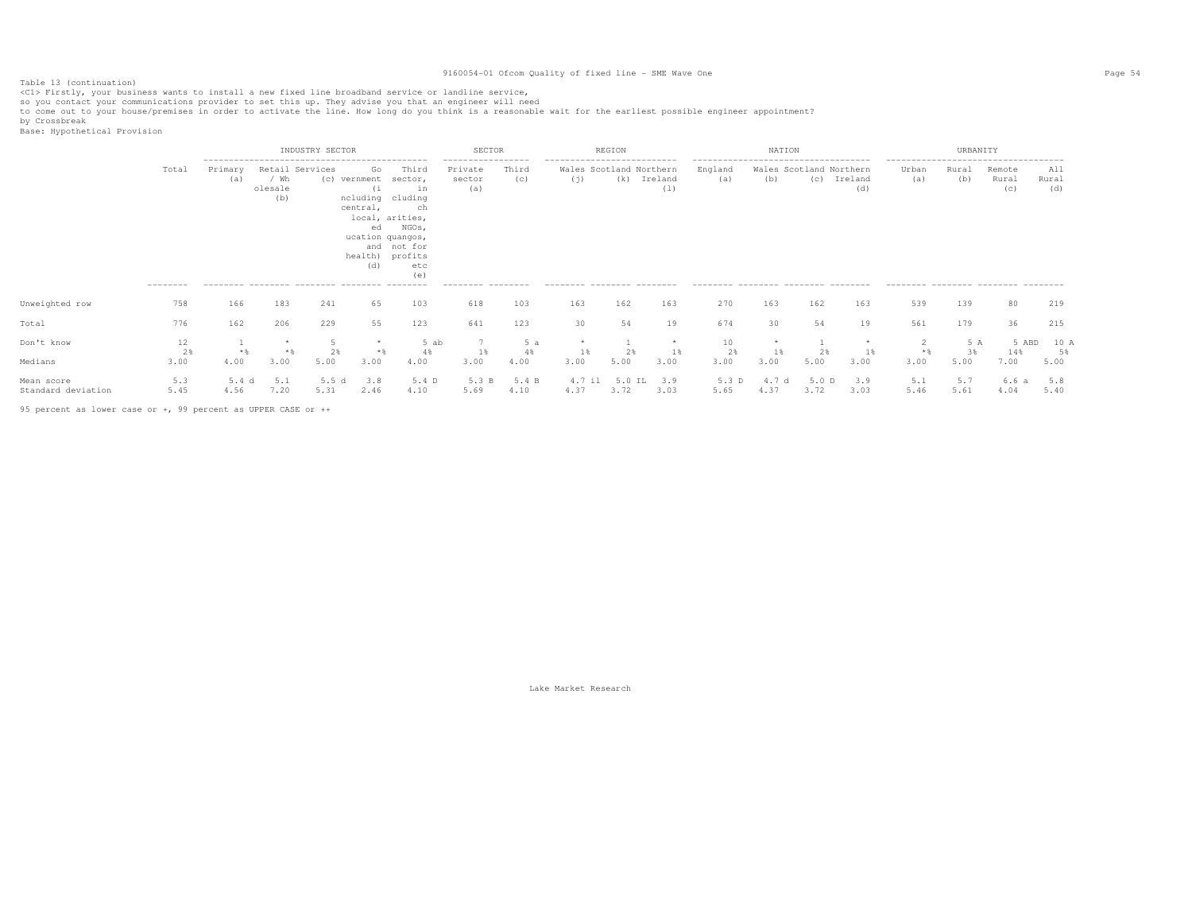Table 13 (continuation)<br><C1> Firstly, your business wants to install a new fixed line broadband service or landline service,

so you contact your communications provider to set this up. They advise you that an engineer will need<br>to come out to your house/premises in order to activate the line. How long do you think is a reasonable wait for the ea

by Crossbreak<br>Base: Hypothetical Provision

|                                  |                    | INDUSTRY SECTOR |                                           |               |                                                                                                                              |                                                                    | SECTOR                                                              |                  |                                                                                              | REGION         |                 |                                                        | NATION                         |               |                |                                                                                               | URBANITY          |                        |                     |  |
|----------------------------------|--------------------|-----------------|-------------------------------------------|---------------|------------------------------------------------------------------------------------------------------------------------------|--------------------------------------------------------------------|---------------------------------------------------------------------|------------------|----------------------------------------------------------------------------------------------|----------------|-----------------|--------------------------------------------------------|--------------------------------|---------------|----------------|-----------------------------------------------------------------------------------------------|-------------------|------------------------|---------------------|--|
|                                  | Total<br>--------- | Primary<br>(a)  | Retail Services<br>/ Wh<br>olesale<br>(b) | (c)           | Go<br>vernment<br>( i<br>ncluding cluding<br>central,<br>local, arities,<br>ed<br>ucation quangos,<br>health) profits<br>(d) | Third<br>sector,<br>in<br>ch<br>NGOs,<br>and not for<br>etc<br>(e) | -----------------<br>Private<br>sector<br>(a)<br>--------- -------- | Third<br>(c)     | ---------------------------<br>Wales Scotland Northern<br>(j)<br>--------- -------- -------- | (k)            | Ireland<br>(1)  | England<br>(a)<br>--------- -------- ------- --------- | Wales Scotland Northern<br>(b) | (C)           | Ireland<br>(d) | --------------------------------------<br>Urban<br>(a)<br>--------- -------- -------- ------- | Rural<br>(b)      | Remote<br>Rural<br>(C) | All<br>Rural<br>(d) |  |
| Unweighted row                   | 758                | 166             | 183                                       | 241           | 65                                                                                                                           | 103                                                                | 618                                                                 | 103              | 163                                                                                          | 162            | 163             | 270                                                    | 163                            | 162           | 163            | 539                                                                                           | 139               | 80                     | 219                 |  |
| Total                            | 776                | 162             | 206                                       | 229           | 55                                                                                                                           | 123                                                                | 641                                                                 | 123              | 30                                                                                           | 54             | 19              | 674                                                    | 30                             | 54            | 19             | 561                                                                                           | 179               | 36                     | 215                 |  |
| Don't know<br>Medians            | 12<br>2%<br>3.00   | $*$ &<br>4.00   | 3.00                                      | 5.00          | $*$<br>3.00                                                                                                                  | 5 ab<br>4%<br>4.00                                                 | 1%<br>3.00                                                          | 5a<br>4%<br>4.00 | 1%<br>3.00                                                                                   | 2%<br>5.00     | *<br>1%<br>3.00 | 10<br>2%<br>3.00                                       | 1%<br>3.00                     | 2%<br>5.00    | $1\%$<br>3.00  | $*$<br>3.00                                                                                   | 5 A<br>3%<br>5.00 | 5 ABD<br>14%<br>7.00   | 10 A<br>5%<br>5.00  |  |
| Mean score<br>Standard deviation | 5.3<br>5.45        | 5.4 d<br>4.56   | 5.1<br>7.20                               | 5.5 d<br>5.31 | 3.8<br>2.46                                                                                                                  | 5.4 D<br>4.10                                                      | 5.3 B<br>5.69                                                       | 5.4 B<br>4.10    | 4.7 il<br>4.37                                                                               | 5.0 IL<br>3.72 | 3.9<br>3.03     | 5.3 D<br>5.65                                          | 4.7 d<br>4.37                  | 5.0 D<br>3.72 | 3.9<br>3.03    | 5.1<br>5.46                                                                                   | 5.7<br>5.61       | 6.6 a<br>4.04          | 5.8<br>5.40         |  |

95 percent as lower case or +, 99 percent as UPPER CASE or ++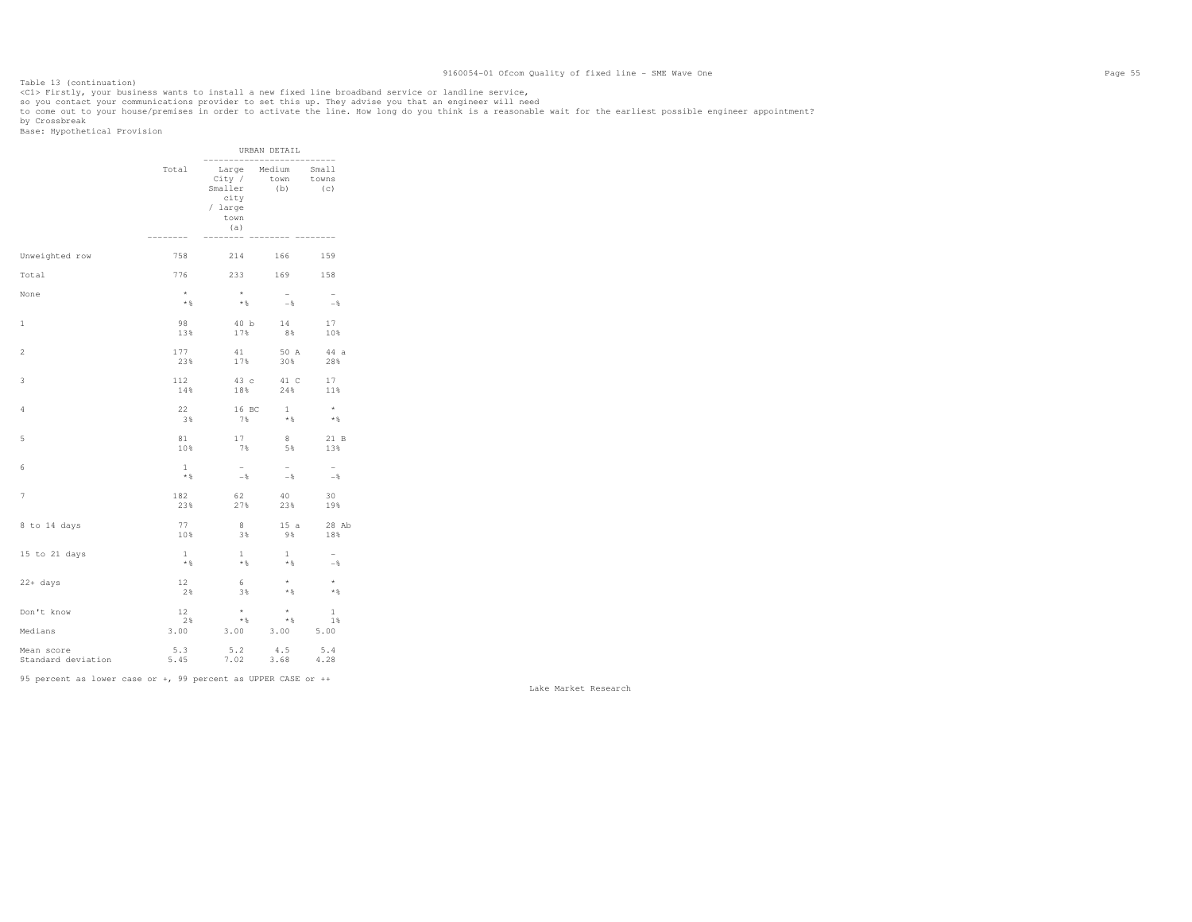Table 13 (continuation)<br><C1> Firstly, your business wants to install a new fixed line broadband service or landline service,

so you contact your communications provider to set this up. They advise you that an engineer will need<br>to come out to your house/premises in order to activate the line. How long do you think is a reasonable wait for the ea

by Crossbreak<br>Base: Hypothetical Provision

|                                             |                     |                                                                                                       | URBAN DETAIL          |                          |
|---------------------------------------------|---------------------|-------------------------------------------------------------------------------------------------------|-----------------------|--------------------------|
|                                             | Total<br>--------   | Large Medium Small<br>City / town towns<br>Smaller<br>city<br>/ large<br>town<br>(a)<br>$- - - - - -$ | (b)                   | -----------<br>(C)       |
| Unweighted row                              | 758                 | 214                                                                                                   | 166 7                 | 159                      |
| Total                                       | 776                 | 233 169 158                                                                                           |                       |                          |
| None                                        | $^{\star}$          | $\star$                                                                                               | $\sim$                | $\overline{a}$           |
|                                             | $\star$ $\,$ $\,$   | $*$ &                                                                                                 | $-8$                  | $-$ 8                    |
| 1                                           | 98                  | 40 b                                                                                                  | 14                    | 17                       |
|                                             | 13%                 | 17%                                                                                                   | 8%                    | 10%                      |
| $\overline{2}$                              | 177                 | 41                                                                                                    | 50 A                  | 44 a                     |
|                                             | 23%                 | 17%                                                                                                   | 30%                   | 28%                      |
| 3                                           | 112                 | 43 c                                                                                                  | 41 C                  | 17                       |
|                                             | 14%                 | 18%                                                                                                   | 24%                   | 11%                      |
| 4                                           | 22                  | 16 BC                                                                                                 | 1                     | $\star$                  |
|                                             | 38                  | 7%                                                                                                    | $*$ &                 | $*$                      |
| 5                                           | 81                  | 17                                                                                                    | 8                     | 21 B                     |
|                                             | 10%                 | 7%                                                                                                    | 5%                    | 13%                      |
| 6                                           | $\mathbf{1}$        | $\sim$                                                                                                | $-$                   | $ \,$                    |
|                                             | $*$                 | $-$ %                                                                                                 | $-$ %                 | $-$ %                    |
| 7                                           | 182                 | 62                                                                                                    | 40                    | 30                       |
|                                             | 23%                 | 27%                                                                                                   | 23%                   | 19%                      |
| 8 to 14 days                                | 77                  | 8                                                                                                     | 15a                   | 28 Ab                    |
|                                             | 10%                 | 3%                                                                                                    | 98                    | 18%                      |
| 15 to 21 days                               | $\mathbf{1}$        | $\mathbf{1}$                                                                                          | $\mathbf{1}$          | $\overline{\phantom{a}}$ |
|                                             | $*$ &               | $*$ &                                                                                                 | $*$ &                 | $-$                      |
| $22+$ days                                  | 12                  | 6                                                                                                     | $\star$               | $\star$                  |
|                                             | 2%                  | 3%                                                                                                    | $*$ &                 | $*$                      |
| Don't know                                  | 12                  | $\star$                                                                                               | $\star$               | $\mathbf{1}$             |
|                                             | 2%                  | $*$ $\frac{1}{6}$                                                                                     | $*$ &                 | 1%                       |
| Medians<br>Mean score<br>Standard deviation | 3.00<br>5.3<br>5.45 | 3.00<br>$5.2$<br>7.02                                                                                 | 3.00<br>$4.5$<br>3.68 | 5.00<br>5.4<br>4.28      |

95 percent as lower case or +, 99 percent as UPPER CASE or ++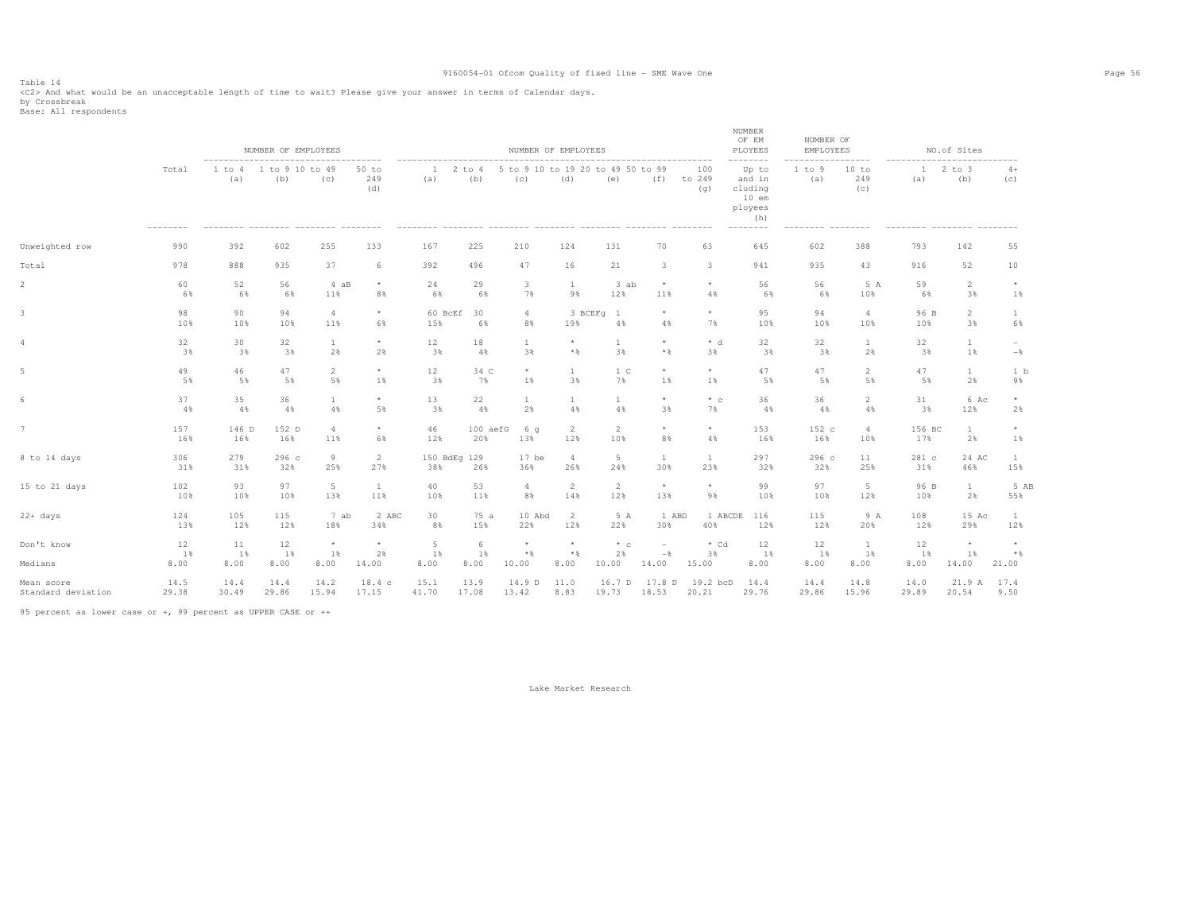Table 14<br><C2> And what would be an unacceptable length of time to wait? Please give your answer in terms of Calendar days.<br>by Crossbreak<br>Base: All respondents

|                    |            |               | NUMBER OF EMPLOYEES    |                       |                     |                     |                     | NUMBER OF EMPLOYEES                      |                       |                 |                          |                         | NUMBER<br>OF EM<br>PLOYEES<br>--------                               | NUMBER OF<br>EMPLOYEES | ------                |              | NO.of Sites          |                     |
|--------------------|------------|---------------|------------------------|-----------------------|---------------------|---------------------|---------------------|------------------------------------------|-----------------------|-----------------|--------------------------|-------------------------|----------------------------------------------------------------------|------------------------|-----------------------|--------------|----------------------|---------------------|
|                    | Total      | 1 to 4<br>(a) | 1 to 9 10 to 49<br>(b) | (c)                   | 50 to<br>249<br>(d) | $\mathbf{1}$<br>(a) | $2$ to $4$<br>(b)   | 5 to 9 10 to 19 20 to 49 50 to 99<br>(c) | (d)                   | (e)             | (f)                      | 100<br>to 249<br>(q)    | Up to<br>and in<br>cluding<br>$10$ em<br>ployees<br>(h)<br>--------- | 1 to 9<br>(a)          | 10 to<br>249<br>(c)   | -1<br>(a)    | $2$ to $3$<br>(b)    | $4+$<br>(c)         |
| Unweighted row     | 990        | 392           | 602                    | 255                   | 133                 | 167                 | 225                 | 210                                      | 124                   | 131             | 70                       | 63                      | 645                                                                  | 602                    | 388                   | 793          | 142                  | 55                  |
| Total              | 978        | 888           | 935                    | 37                    | 6                   | 392                 | 496                 | 47                                       | 16                    | 21              | $\overline{\mathbf{3}}$  | $\overline{\mathbf{3}}$ | 941                                                                  | 935                    | 43                    | 916          | 52                   | 10                  |
| $\overline{2}$     | 60         | 52            | 56                     | 4 aB                  | $\star$             | 24                  | 29                  | $\mathbf{3}$                             | <sup>1</sup>          | 3 ab            | $^{\star}$               | $\star$                 | 56                                                                   | 56                     | 5 A                   | 59           | $\overline{c}$       | $\star$             |
|                    | 6%         | 6%            | 6%                     | 11%                   | 8%                  | 6%                  | 6%                  | 7%                                       | 9%                    | 12%             | 11%                      | 4%                      | 6%                                                                   | 6%                     | 10%                   | 6%           | 3%                   | 1%                  |
| $\mathbf{3}$       | 98<br>10%  | 90<br>10%     | 94<br>10%              | $\overline{4}$<br>11% | $^\star$<br>6%      | 60 BcEf<br>15%      | 30<br>6%            | $\overline{4}$<br>8%                     | 19%                   | 3 BCEFq 1<br>4% | $^{\star}$<br>4%         | $\star$<br>7%           | 95<br>10%                                                            | 94<br>10%              | $\overline{4}$<br>10% | 96 B<br>10%  | $\overline{2}$<br>3% | $\mathbf{1}$<br>6%  |
| $\overline{4}$     | 32         | 30            | 32                     | $\mathbf{1}$          | $^\star$            | 12                  | 18                  | $\mathbf{1}$                             | $\star$               | $\mathbf{1}$    | $\star$                  | $* d$                   | 32                                                                   | 32                     | $\mathbf{1}$          | 32           | <sup>1</sup>         | $\sim$              |
|                    | 3%         | 3%            | 3%                     | 2%                    | 2%                  | 3%                  | 4%                  | 3%                                       | $\star$ $\,$          | 3%              | $\star$ $\,$             | 3%                      | 3%                                                                   | 3%                     | 2%                    | 3%           | 1%                   | $-$                 |
| 5                  | 49         | 46            | 47                     | $\overline{2}$        | $\star$             | 12                  | 34 C                | $\star$                                  | $\mathbf{1}$          | 1 <sup>C</sup>  | $\star$                  | $\star$                 | 47                                                                   | 47                     | $\overline{2}$        | 47           | $\mathbf{1}$         | 1 <sub>b</sub>      |
|                    | 5%         | 5%            | 5%                     | 5%                    | 1%                  | 3%                  | 7%                  | 1%                                       | 3%                    | 7%              | 1%                       | $1\%$                   | 5%                                                                   | 5%                     | 5%                    | 5%           | 2%                   | 9%                  |
| 6                  | 37         | 35            | 36                     | $\mathbf{1}$          | $\star$             | 13                  | 22                  | $\mathbf{1}$                             | <sup>1</sup>          | $\mathbf{1}$    | $^{\star}$               | $*$ c                   | 36                                                                   | 36                     | $\overline{2}$        | 31           | 6 Ac                 | $\star$             |
|                    | 4%         | 4%            | 4%                     | 4%                    | 5%                  | 3%                  | 4%                  | 2%                                       | 4%                    | 4%              | 3%                       | 7%                      | 4%                                                                   | 4%                     | 4%                    | 3%           | 12%                  | 2%                  |
| $7\phantom{.0}$    | 157        | 146 D         | 152 D                  | $\overline{4}$        | $\star$             | 46                  | 100 aefG            | 6 q                                      | $\overline{2}$        | $\overline{2}$  | $\star$                  | $\star$                 | 153                                                                  | 152 c                  | $\overline{4}$        | 156 BC       | <sup>1</sup>         | $\star$             |
|                    | 16%        | 16%           | 16%                    | 11%                   | 6%                  | 12%                 | 20%                 | 13%                                      | 12%                   | 10%             | 8%                       | $4\%$                   | 16%                                                                  | 16%                    | 10%                   | 17%          | 2%                   | 1%                  |
| 8 to 14 days       | 306<br>31% | 279<br>31%    | 296c<br>32%            | 9<br>25%              | 2<br>27%            | 38%                 | 150 BdEg 129<br>26% | $17$ be<br>36%                           | $\overline{4}$<br>26% | $5 -$<br>24%    | 1<br>30%                 | -1<br>23%               | 297<br>32%                                                           | 296 с<br>32%           | 11<br>25%             | 281 c<br>31% | 24 AC<br>46%         | $\mathbf{1}$<br>15% |
| 15 to 21 days      | 102        | 93            | 97                     | $5 -$                 | $\mathbf{1}$        | 40                  | 53                  | $\overline{4}$                           | $\overline{2}$        | 2               | $\star$                  | $\star$                 | 99                                                                   | 97                     | 5                     | 96 B         | $\mathbf{1}$         | 5 AB                |
|                    | 10%        | 10%           | 10%                    | 13%                   | 11%                 | 10%                 | 11%                 | 8%                                       | 14%                   | 12%             | 13%                      | 9%                      | 10%                                                                  | 10%                    | 12%                   | 10%          | 2%                   | 55%                 |
| $22+ days$         | 124        | 105           | 115                    | 7 ab                  | 2 ABC               | 30                  | 75 a                | 10 Abd                                   | 2                     | 5 A             | 1 ABD                    | 1 ABCDE                 | 116                                                                  | 115                    | 9 A                   | 108          | 15 Ac                | 1                   |
|                    | 13%        | 12%           | 12%                    | 18%                   | 34%                 | 8%                  | 15%                 | 22%                                      | 12%                   | 22%             | 30%                      | 40%                     | 12%                                                                  | 12%                    | 20%                   | 12%          | 29%                  | 12%                 |
| Don't know         | 12         | 11            | 12                     | $^{\star}$            | $\star$             | 5                   | 6                   | $\star$                                  | $\star$               | $*$ c           | $\overline{\phantom{a}}$ | $*$ Cd                  | 12                                                                   | 12                     | $\mathbf{1}$          | 12           | $\star$              | $^{\star}$          |
|                    | 1%         | $1$ %         | 1%                     | 1%                    | 2%                  | 1%                  | 1%                  | $\star$ $\,$                             | $*$                   | 2%              | $-$                      | 3%                      | 1%                                                                   | 1%                     | 1%                    | 1%           | $1\%$                | $*$                 |
| Medians            | 8.00       | 8.00          | 8.00                   | 8.00                  | 14.00               | 8.00                | 8.00                | 10.00                                    | 8.00                  | 10.00           | 14.00                    | 15.00                   | 8.00                                                                 | 8.00                   | 8.00                  | 8.00         | 14.00                | 21.00               |
| Mean score         | 14.5       | 14.4          | 14.4                   | 14.2                  | 18.4c               | 15.1                | 13.9                | 14.9 D                                   | 11.0                  | 16.7 D          | 17.8 D                   | 19.2 bcD                | 14.4                                                                 | 14.4                   | 14.8                  | 14.0         | 21.9 A               | 17.4                |
| Standard deviation | 29.38      | 30.49         | 29.86                  | 15.94                 | 17.15               | 41.70               | 17.08               | 13.42                                    | 8.83                  | 19.73           | 18.53                    | 20.21                   | 29.76                                                                | 29.86                  | 15.96                 | 29.89        | 20.54                | 9.50                |

95 percent as lower case or +, 99 percent as UPPER CASE or ++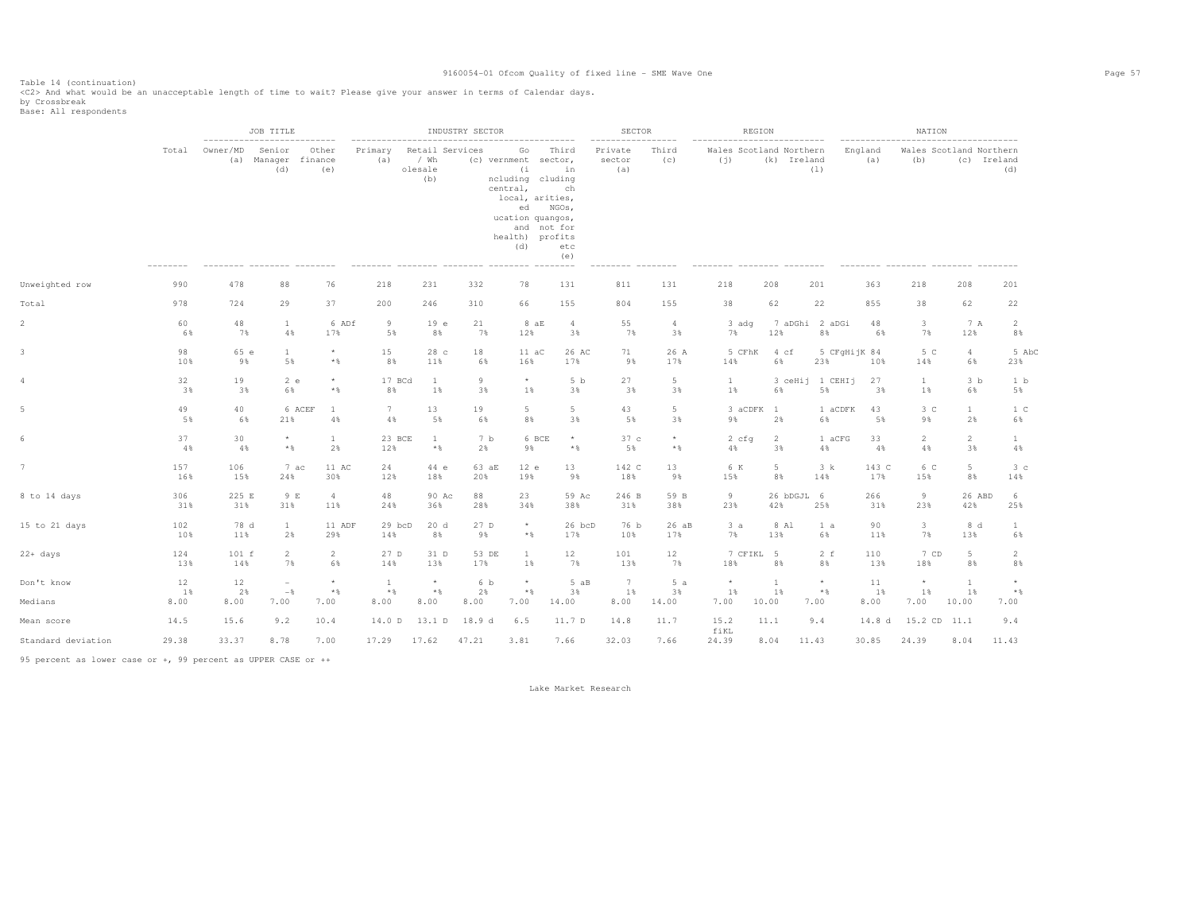Table 14 (continuation) <C2> And what would be an unacceptable length of time to wait? Please give your answer in terms of Calendar days.

by Crossbreak<br>Base: All respondents

|                    |                                   |              | JOB TITLE                            |                       |                       |                                           | INDUSTRY SECTOR |                                                                                                                                          |                                                         | <b>SECTOR</b>            |                       | REGION                         |                 |                       |                | NATION                         |                       |                       |
|--------------------|-----------------------------------|--------------|--------------------------------------|-----------------------|-----------------------|-------------------------------------------|-----------------|------------------------------------------------------------------------------------------------------------------------------------------|---------------------------------------------------------|--------------------------|-----------------------|--------------------------------|-----------------|-----------------------|----------------|--------------------------------|-----------------------|-----------------------|
|                    | Total                             | Owner/MD     | Senior<br>(a) Manager finance<br>(d) | Other<br>(e)          | Primary<br>(a)        | Retail Services<br>/ Wh<br>olesale<br>(b) |                 | Go<br>(c) vernment sector,<br>(i)<br>ncluding cluding<br>central,<br>local, arities,<br>ed<br>ucation quangos,<br>health) profits<br>(d) | Third<br>in<br>ch<br>NGOs,<br>and not for<br>etc<br>(e) | Private<br>sector<br>(a) | Third<br>(c)          | Wales Scotland Northern<br>(i) | (k) Ireland     | (1)                   | England<br>(a) | Wales Scotland Northern<br>(b) |                       | (c) Ireland<br>(d)    |
| Unweighted row     | 990                               | 478          | 88                                   | 76                    | 218                   | 231                                       | 332             | 78                                                                                                                                       | 131                                                     | 811                      | 131                   | 218                            | 208             | 201                   | 363            | 218                            | 208                   | 201                   |
| Total              | 978                               | 724          | 29                                   | 37                    | 200                   | 246                                       | 310             | 66                                                                                                                                       | 155                                                     | 804                      | 155                   | 38                             | 62              | 22                    | 855            | 38                             | 62                    | 22                    |
| $\overline{2}$     | 60<br>6%                          | 48<br>7%     | $\mathbf{1}$<br>4%                   | 6 ADf<br>17%          | 9<br>5%               | 19e<br>8%                                 | 21<br>7%        | 8aE<br>12%                                                                                                                               | $\overline{4}$<br>3%                                    | 55<br>7%                 | $\overline{4}$<br>3%  | 3 adg<br>7%                    | 12%             | 7 aDGhi 2 aDGi<br>8%  | 48<br>6%       | $\mathbf{3}$<br>7%             | 7 A<br>12%            | 2<br>8%               |
|                    | 98<br>10%                         | 65 e<br>9%   | $\mathbf{1}$<br>5%                   | $\star$<br>$*$ &      | 15<br>8%              | 28 <sub>c</sub><br>11%                    | 18<br>6%        | $11 \text{ aC}$<br>16%                                                                                                                   | 26 AC<br>17%                                            | 71<br>9%                 | 26 A<br>17%           | 5 CFhK<br>14%                  | 4 cf<br>6%      | 5 CFqHijK 84<br>23%   | 10%            | 5 C<br>14%                     | $\overline{4}$<br>6%  | 5 AbC<br>23%          |
| 4                  | 32<br>3%                          | 19<br>3%     | 2 e<br>6%                            | $\star$<br>$*$ &      | 17 BCd<br>8%          | $\mathbf{1}$<br>$1\%$                     | 9<br>3%         | $\star$<br>1%                                                                                                                            | 5 <sub>b</sub><br>3%                                    | 27<br>3%                 | $5\phantom{.0}$<br>3% | 1<br>$1\%$                     | 6%              | 3 ceHij 1 CEHIj<br>5% | 27<br>3%       | $\mathbf{1}$<br>$1\%$          | 3 <sub>b</sub><br>6%  | 1 b<br>5%             |
|                    | 49<br>5%                          | 40<br>6%     | 21%                                  | 6 ACEF<br>1<br>$4\,$  | $7\phantom{.0}$<br>4% | 13<br>5%                                  | 19<br>6%        | $5 -$<br>8%                                                                                                                              | 5<br>3%                                                 | 43<br>5%                 | 5<br>3%               | 3 aCDFK 1<br>9%                | 2%              | 1 aCDFK<br>6%         | 43<br>5%       | 3 <sup>c</sup><br>9%           | $\mathbf{1}$<br>2%    | 1 <sup>C</sup><br>6%  |
|                    | 37<br>4%                          | 30<br>4%     | $\star$<br>$\star$ $\,$              | 1<br>2%               | 23 BCE<br>12%         | <sup>1</sup><br>$\star$ $\,$              | 7 b<br>2%       | 9%                                                                                                                                       | 6 BCE<br>$^{\star}$<br>$\star$ $\,$                     | 37c<br>5%                | $\star$<br>$*$ &      | 2 cfq<br>4%                    | 2<br>3%         | 1 aCFG<br>4%          | 33<br>4%       | $\overline{2}$<br>4%           | $\overline{2}$<br>3%  | $\mathbf{1}$<br>$4\,$ |
|                    | 157<br>16%                        | 106<br>15%   | 7 ac<br>24%                          | 11 AC<br>30%          | 24<br>12%             | 44 e<br>18%                               | 63 aE<br>20%    | 12 e<br>19%                                                                                                                              | 13<br>9%                                                | 142 C<br>18%             | 13<br>9%              | 6 K<br>15%                     | 5<br>8%         | 3 k<br>14%            | 143 C<br>17%   | 6 C<br>15%                     | 5<br>8%               | 3 <sup>c</sup><br>14% |
| 8 to 14 days       | 306<br>31%                        | 225 E<br>31% | 9 E<br>31%                           | $\overline{4}$<br>11% | 48<br>24%             | 90 Ac<br>36%                              | 88<br>28%       | 23<br>34%                                                                                                                                | 59 Ac<br>38%                                            | 246 B<br>31%             | 59 B<br>38%           | 9<br>23%                       | 26 bDGJL<br>42% | - 6<br>25%            | 266<br>31%     | 9<br>23%                       | 26 ABD<br>42%         | 6<br>25%              |
| 15 to 21 days      | 102<br>10%                        | 78 d<br>11%  | $\mathbf{1}$<br>2%                   | 11 ADF<br>29%         | 29 bcD<br>14%         | 20d<br>8%                                 | 27 D<br>9%      | $\star$<br>$\star$ $\,$                                                                                                                  | 26 bcD<br>17%                                           | 76 b<br>10%              | 26 aB<br>17%          | 3a<br>7%                       | 8 Al<br>13%     | 1 a<br>6%             | 90<br>11%      | $\mathbf{3}$<br>7%             | 8 d<br>13%            | $\mathbf{1}$<br>6%    |
| 22+ days           | 124<br>13%                        | 101 f<br>14% | $\overline{2}$<br>7%                 | $\overline{2}$<br>6%  | 27 D<br>14%           | 31 D<br>13%                               | 53 DE<br>17%    | $\mathbf{1}$<br>1%                                                                                                                       | 12<br>7%                                                | 101<br>13%               | 12<br>7%              | 7 CFIKL 5<br>18%               | 8%              | $2-f$<br>8%           | 110<br>13%     | 7 CD<br>18%                    | $5\phantom{.0}$<br>8% | 2<br>8%               |
| Don't know         | 12                                | 12           | $\overline{\phantom{a}}$             | $\star$               | $\mathbf{1}$          | $^{\star}$                                | 6 b             | $\star$                                                                                                                                  | 5 aB                                                    | $7\phantom{.0}$          | 5a                    |                                | <sup>1</sup>    | $\star$               | 11             | $^{\star}$                     | $\mathbf{1}$          |                       |
| Medians            | 1%<br>8.00                        | 2%<br>8.00   | $-$<br>7.00                          | $\star$ $\,$<br>7.00  | $\star$ $\,$<br>8.00  | $\star$ $\,$<br>8.00                      | 2%<br>8.00      | $\star$ $\S$<br>7.00                                                                                                                     | 3%<br>14.00                                             | 1%<br>8.00               | 3%<br>14.00           | 1%<br>7.00                     | 1%<br>10.00     | $\star$ $\,$<br>7.00  | $1\%$<br>8.00  | 1%<br>7.00                     | 1%<br>10.00           | $\star$ $\,$<br>7.00  |
| Mean score         | 14.5                              | 15.6         | 9.2                                  | 10.4                  | 14.0 D                | 13.1 D                                    | 18.9 d          | 6.5                                                                                                                                      | 11.7 D                                                  | 14.8                     | 11.7                  | 15.2<br>fiKL                   | 11.1            | 9.4                   | 14.8d          | 15.2 CD 11.1                   |                       | 9.4                   |
| Standard deviation | 29.38                             | 33.37        | 8.78                                 | 7.00                  | 17.29                 | 17.62                                     | 47.21           | 3.81                                                                                                                                     | 7.66                                                    | 32.03                    | 7.66                  | 24.39                          | 8.04            | 11.43                 | 30.85          | 24.39                          | 8.04                  | 11.43                 |
|                    | <b>Contract Contract Contract</b> |              |                                      |                       |                       |                                           |                 |                                                                                                                                          |                                                         |                          |                       |                                |                 |                       |                |                                |                       |                       |

95 percent as lower case or +, 99 percent as UPPER CASE or ++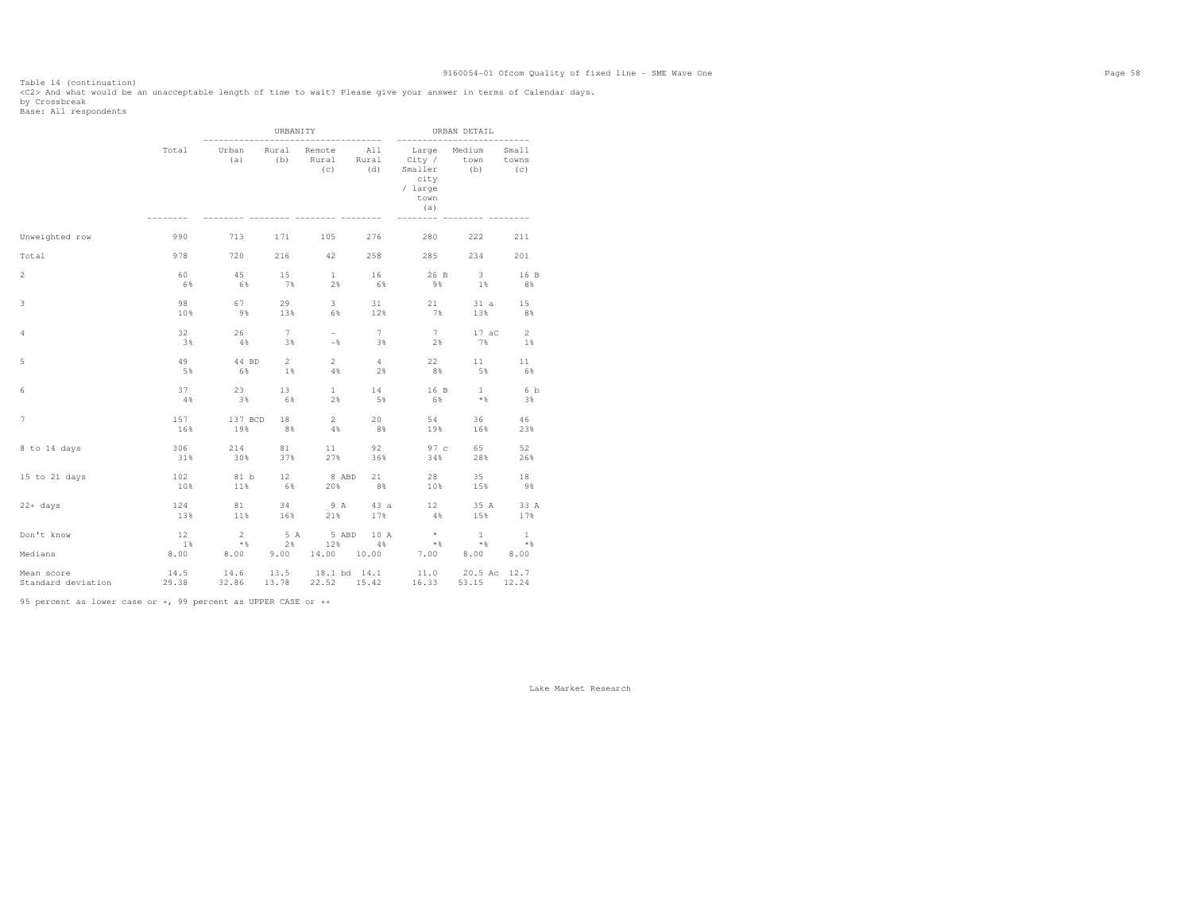Table 14 (continuation) <C2> And what would be an unacceptable length of time to wait? Please give your answer in terms of Calendar days.

by Crossbreak<br>Base: All respondents

|                       |                  |                                 | URBANITY          |                        |                | --------                                                                       | URBAN DETAIL                      |                             |
|-----------------------|------------------|---------------------------------|-------------------|------------------------|----------------|--------------------------------------------------------------------------------|-----------------------------------|-----------------------------|
|                       | Total            | Urban<br>(a)                    | Rural<br>(b)      | Remote<br>Rural<br>(C) | All<br>(d)     | Large<br>Rural City /<br>Smaller<br>city<br>/ large<br>town<br>(a)             | Medium<br>town<br>(b)             | Small<br>towns<br>(C)       |
| Unweighted row        | 990              | 713                             | 171               | 105                    | 276            | 280                                                                            | 222                               | 211                         |
| Total                 | 978              | 720                             | 216               | 42                     | 258            | 285                                                                            | 234                               | 201                         |
| $\overline{2}$        | 60               | 45                              | 15                | 1                      | 16             | 26 B                                                                           | $\overline{\phantom{a}}$ 3        | 16 B                        |
|                       | 6%               | 6%                              | 7%                | 2%                     | 6%             | 9%                                                                             | 1%                                | 8%                          |
| 3                     | 98               | 67                              | 29                | $3 -$                  | 31             | 21                                                                             | 31a                               | 15                          |
|                       | 10%              | $9\%$                           | 13%               | 6%                     | 12%            | 7%                                                                             | 13%                               | 8%                          |
| 4                     | 32               | 26                              | 7                 | $\sim$                 | 7              | 7                                                                              | $17 \text{ aC}$                   | $\overline{2}$              |
|                       | 3%               | $4\%$                           | 3%                | $-$ 8                  | 38             | $2\frac{8}{3}$                                                                 | 7%                                | 1%                          |
| 5                     | 49               | 44 BD                           | $2^{\circ}$       | $\overline{2}$         | 4              | 22                                                                             | 11                                | 11                          |
|                       | 5%               | 6%                              | $1\%$             | 4%                     | 2%             | 8%                                                                             | 5%                                | 6%                          |
| 6                     | 37               | 23                              | 13                | 1                      | 14             | 16 B                                                                           | 1                                 | 6 b                         |
|                       | 4%               | 3%                              | 6%                | 2%                     | 5%             | 6%                                                                             | $*$                               | 3%                          |
| 7                     | 157<br>16%       | 137 BCD 18<br>19%               | 8%                | $\sim$ 2<br>4%         | 20<br>8%       | 54<br>19%                                                                      | 36<br>16%                         | 46<br>23%                   |
| 8 to 14 days          | 306              | 214                             | 81                | 11                     | 92             | 97c                                                                            | 65                                | 52                          |
|                       | 31%              | 30%                             | 37%               | 27%                    | 36%            | 34%                                                                            | 28%                               | 26%                         |
| 15 to 21 days         | 102              | 81 b                            | 12                | 8 ABD                  | 21             | 28                                                                             | 35                                | 18                          |
|                       | 10%              | 11%                             | 6%                | 20%                    | 8%             | 10%                                                                            | 15%                               | 9%                          |
| $22+ days$            | 124              | 81                              | 34                | 9 A                    | 43 a           | 12                                                                             | 35 A                              | 33 A                        |
|                       | 13%              | 11%                             | 16%               | 21%                    | 17%            | $4\%$                                                                          | 15%                               | 17%                         |
| Don't know<br>Medians | 12<br>1%<br>8.00 | $\overline{2}$<br>$*$ &<br>8.00 | 5 A<br>2%<br>9.00 | 5 ABD                  | 10 A<br>12% 4% | $\begin{array}{c}\n\star \\ \star \\ \star \\ \end{array}$<br>14.00 10.00 7.00 | $\mathbf{1}$<br>$\star$ &<br>8.00 | $\mathbf{1}$<br>$*$<br>8.00 |
| Mean score            | 14.5             | $14.6$ 13.5 18.1 bd 14.1        |                   |                        |                | 11.0 20.5 Ac 12.7                                                              |                                   |                             |
| Standard deviation    | 29.38            | 32.86 13.78                     |                   | 22.52 15.42            |                | 16.33                                                                          | 53.15 12.24                       |                             |

95 percent as lower case or +, 99 percent as UPPER CASE or ++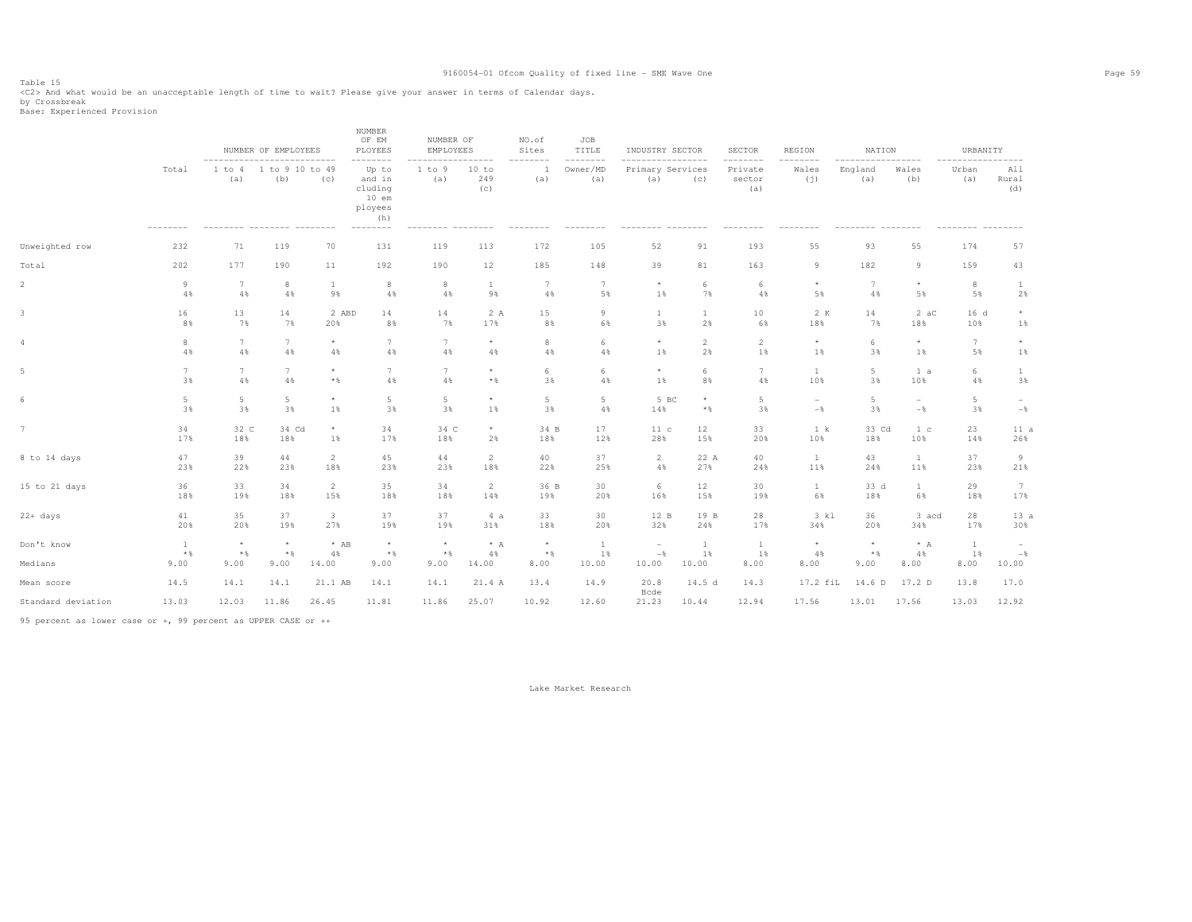Table 15<br><C2> And what would be an unacceptable length of time to wait? Please give your answer in terms of Calendar days.<br>by Crossbreak<br>Base: Experienced Provision

|                   | NUMBER OF EMPLOYEES |                 |                         |                                                                                    |                                                                                 |                                                              | NO.of<br>Sites                                        | JOB<br>TITLE         |                          |                | <b>SECTOR</b>                                    | REGION                   |          |                                            | URBANITY                                        |                                |
|-------------------|---------------------|-----------------|-------------------------|------------------------------------------------------------------------------------|---------------------------------------------------------------------------------|--------------------------------------------------------------|-------------------------------------------------------|----------------------|--------------------------|----------------|--------------------------------------------------|--------------------------|----------|--------------------------------------------|-------------------------------------------------|--------------------------------|
| Total<br>-------- | 1 to 4<br>(a)       | (b)             | (c)                     | Up to<br>and in<br>$10$ em<br>(h)                                                  | 1 to 9<br>(a)                                                                   | 10 to<br>249<br>(c)                                          | (a)                                                   | Owner/MD<br>(a)      | (a)                      | (C)            | Private<br>sector<br>(a)                         | Wales<br>(j)             | (a)      | Wales<br>(b)                               | Urban<br>(a)                                    | -------<br>All<br>Rural<br>(d) |
| 232               | 71                  | 119             | 70                      | 131                                                                                | 119                                                                             | 113                                                          | 172                                                   | 105                  | 52                       | 91             | 193                                              | 55                       | 93       | 55                                         | 174                                             | 57                             |
| 202               | 177                 | 190             | 11                      | 192                                                                                | 190                                                                             | 12                                                           | 185                                                   | 148                  | 39                       | 81             | 163                                              | $\overline{9}$           | 182      | 9                                          | 159                                             | 43                             |
| -9                | 7                   | 8               | $\mathbf{1}$            | 8                                                                                  | 8                                                                               | <sup>1</sup>                                                 | 7                                                     | $7\phantom{.0}$      | $\star$                  | 6              | 6                                                | $\star$                  | 7        | $\star$                                    | 8                                               | <b>1</b>                       |
| 4%                | 4%                  | 4%              | 9%                      | 4%                                                                                 | 4%                                                                              | 9%                                                           | 4%                                                    | 5%                   | 1%                       | 7%             | 4%                                               | 5%                       | 4%       | 5%                                         | 5%                                              | 2%                             |
| 16                | 13                  | 14              | 2 ABD                   | 14                                                                                 | 14                                                                              | 2A                                                           | $1\,5$                                                | $\circ$              | $\mathbf{1}$             | $\,1\,$        | 10                                               | 2 K                      | 14       | 2ac                                        | 16 <sub>d</sub>                                 | $^{\star}$                     |
| 8%                | 7%                  | 7%              | 20%                     | 8%                                                                                 | 7%                                                                              | 17%                                                          | 8%                                                    | 6%                   | 3%                       | 2%             | 6%                                               | 18%                      | 7%       | 18%                                        | 10%                                             | 1%                             |
| 8                 | 7                   | $7\phantom{.0}$ | $\star$                 | $7\phantom{.0}$                                                                    | 7                                                                               | $\star$                                                      | 8                                                     | 6                    | $\star$                  | $\overline{2}$ | $\overline{2}$                                   | $^{\star}$               | 6        | $\star$                                    | 7                                               | $\star$                        |
| $4\,$ %           | $4\,$               | $4\,$ %         | $4\%$                   | 4%                                                                                 | $4\,$                                                                           | 4%                                                           | 4%                                                    | 4%                   | 1%                       | 2%             | 1%                                               | 1%                       | 3%       | 1%                                         | 5%                                              | 1%                             |
| $7\phantom{.0}$   | $\overline{7}$      | $7\phantom{.0}$ | $\star$                 | $7\phantom{.0}$                                                                    | $7\phantom{.0}$                                                                 | $\star$                                                      | 6                                                     | 6                    | $^{\star}$               | 6              | 7                                                | <sup>1</sup>             | 5        | 1 a                                        | 6                                               | $\mathbf{1}$                   |
| 3%                | $4\,$               | $4\,$ %         | $*$ &                   | 4%                                                                                 | $4\,$                                                                           | $*$ %                                                        | 3%                                                    | 4%                   | 1%                       | 8%             | $4\,$ %                                          | 10%                      | 3%       | 10%                                        | 4%                                              | 3%                             |
| 5                 | 5                   | 5               | $\star$                 | 5                                                                                  | 5                                                                               | $\star$                                                      | 5                                                     | 5                    | 14%                      | $\star$        | 5                                                | $\overline{\phantom{a}}$ | 5        | $\overline{\phantom{a}}$                   | 5                                               | $\overline{\phantom{a}}$       |
| 3%                | 3%                  | 3%              | 1%                      | 3%                                                                                 | 3%                                                                              | 1%                                                           | 3%                                                    | $4\%$                |                          | $*$ &          | 3%                                               | $-$                      | 3%       | $-\frac{6}{6}$                             | 3%                                              | $-\,$                          |
| 34<br>17%         | 18%                 | 18%             | $\star$<br>$1\%$        | 34<br>17%                                                                          | 34 C<br>18%                                                                     | $\star$<br>2%                                                | 34 B<br>18%                                           | 17<br>12%            | 11c<br>28%               | 12<br>15%      | 33<br>20%                                        | 1 k<br>10%               | 18%      | 1 <sub>c</sub><br>10%                      | 23<br>14%                                       | 11a<br>26%                     |
| 47                | 39                  | 44              | 2                       | 45                                                                                 | 44                                                                              | 2                                                            | 40                                                    | 37                   | 2                        | 22 A           | 40                                               | $\mathbf{1}$             | 43       | $\mathbf{1}$                               | 37                                              | 9                              |
| 23%               | 22%                 | 23%             | 18%                     | 23%                                                                                | 23%                                                                             | 18%                                                          | 22%                                                   | 25%                  | 4%                       | 27%            | 24%                                              | 11%                      | 24%      | 11%                                        | 23%                                             | 21%                            |
| 36                | 33                  | 34              | 2                       | 35                                                                                 | 34                                                                              | $\overline{2}$                                               | 36 B                                                  | 30                   | 6                        | 12             | 30                                               | $\mathbf{1}$             | 33 d     | $\mathbf{1}$                               | 29                                              | 7                              |
| 18%               | 19%                 | 18%             | 15%                     | 18%                                                                                | 18%                                                                             | 14%                                                          | 19%                                                   | 20%                  | 16%                      | 15%            | 19%                                              | 6%                       | 18%      | 6%                                         | 18%                                             | 17%                            |
| 41                | 35                  | 37              | $\overline{\mathbf{3}}$ | 37                                                                                 | 37                                                                              | 4a                                                           | 33                                                    | 30                   | 12 B                     | 19 B           | 28                                               | 3 kl                     | 36       | 3 acd                                      | 28                                              | 13a                            |
| 20%               | 20%                 | 19%             | 27%                     | 19%                                                                                | 19%                                                                             | 31%                                                          | 18%                                                   | 20%                  | 32%                      | 24%            | 17%                                              | 34%                      | 20%      | 34%                                        | 17%                                             | 30%                            |
| $\mathbf{1}$      | $\star$             | $\star$         | $*$ AB                  | $^{\star}$                                                                         | $^{\star}$                                                                      | $* A$                                                        | $^{\star}$                                            | $\mathbf{1}$         | $\overline{\phantom{a}}$ | <sup>1</sup>   | $\mathbf{1}$                                     | $^{\star}$               | $\star$  | $* A$                                      | $\mathbf{1}$                                    | $\overline{\phantom{a}}$       |
| $*$               | $*$ &               | $*$ &           | 4%                      | $*$ %                                                                              | $*$ %                                                                           | 4%                                                           | $*$                                                   | 1%                   | $-$                      | 1%             | 1%                                               | 4%                       | $*$ &    | 4%                                         | 1%                                              | $-$ %                          |
| 9.00              | 9.00                | 9.00            | 14.00                   | 9.00                                                                               | 9.00                                                                            | 14.00                                                        | 8.00                                                  | 10.00                | 10.00                    | 10.00          | 8.00                                             | 8.00                     | 9.00     | 8.00                                       | 8.00                                            | 10.00                          |
| 14.5              | 14.1                | 14.1            | 21.1 AB                 | 14.1                                                                               | 14.1                                                                            | 21.4 A                                                       | 13.4                                                  | 14.9                 | 20.8<br>Bcde             | 14.5d          | 14.3                                             |                          | 14.6 D   | 17.2 D                                     | 13.8                                            | 17.0                           |
| 13.03             |                     | 11.86           | 26.45                   | 11.81                                                                              | 11.86                                                                           | 25.07                                                        | 10.92                                                 | 12.60                | 21.23                    | 10.44          | 12.94                                            | 17.56                    | 13.01    | 17.56                                      | 13.03                                           | 12.92                          |
|                   |                     | 12.03           | 32 C                    | ---------------------------<br>1 to 9 10 to 49<br>_________ _______ _____<br>34 Cd | <b>NUMBER</b><br>OF EM<br>PLOYEES<br>--------<br>cluding<br>ployees<br>-------- | A5 percent on lover gase or + 88 percent as UDDER CASE or ++ | NUMBER OF<br>EMPLOYEES<br>-----<br>--------- -------- | --------<br>-------- | --------                 | -----          | INDUSTRY SECTOR<br>.<br>Primary Services<br>5 BC | ---------                | -------- | ------<br>England<br>---------<br>17.2 fil | NATION<br>-------<br>$- - - - - - - -$<br>33 Cd |                                |

95 percent as lower case or +, 99 percent as UPPER CASE or ++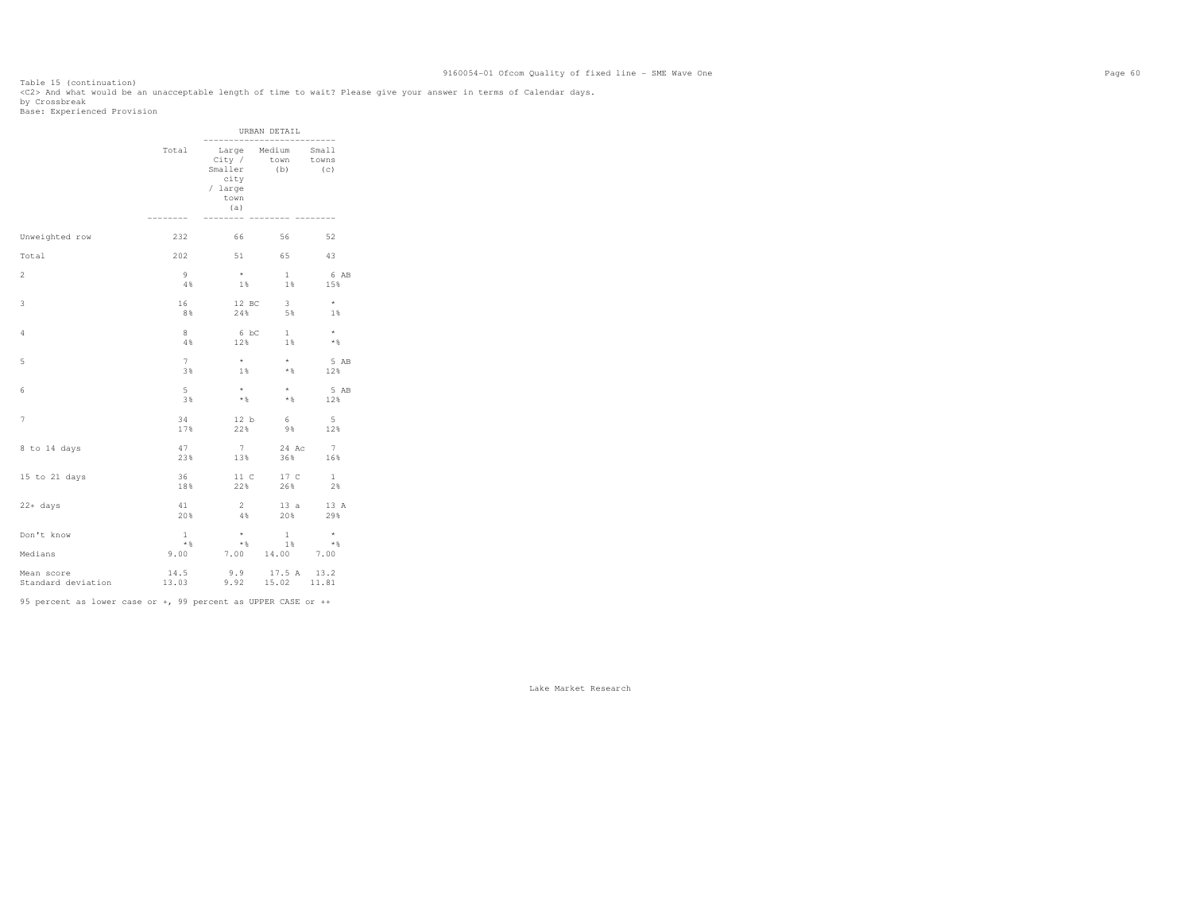Table 15 (continuation) <C2> And what would be an unacceptable length of time to wait? Please give your answer in terms of Calendar days. by Crossbreak<br>Base: Experienced Provision

|                                  |                               |                                                                                          | URBAN DETAIL                             |                                     |  |
|----------------------------------|-------------------------------|------------------------------------------------------------------------------------------|------------------------------------------|-------------------------------------|--|
|                                  | Total                         | Large Medium Small<br>City / town towns<br>Smaller (b)<br>city<br>/ large<br>town<br>(a) |                                          | (C)                                 |  |
| Unweighted row                   | 232                           | 66 — 1                                                                                   | 56                                       | 52                                  |  |
| Total                            | 202                           |                                                                                          | 51 65                                    | 43                                  |  |
| 2                                | 9<br>4%                       | $\star$<br>$1\%$                                                                         | $\mathbf{1}$<br>$1\%$                    | 6 AB<br>15%                         |  |
| 3                                | 16<br>8%                      | 12 BC<br>24%                                                                             | $\overline{\phantom{a}}$                 | $\star$<br>5% 1%                    |  |
| 4                                | 8<br>4%                       | 12%                                                                                      | 6 bC 1<br>1%                             | $\star$<br>$*$ &                    |  |
| 5                                | $7^{\circ}$<br>3%             | $\star$<br>1%                                                                            | $\star$<br>$\star$ &                     | 5 AB<br>12%                         |  |
| 6                                | $5 -$<br>3%                   | $\star$<br>$*$ $\frac{6}{5}$                                                             | $\star$<br>$*$ &                         | 5 AB<br>12%                         |  |
| 7                                | 34<br>17%                     | 12 b<br>22%                                                                              | $6\overline{6}$<br>98                    | $-5$<br>12%                         |  |
| 8 to 14 days                     | 47<br>23%                     | $7 -$<br>13%                                                                             | 24 Ac<br>36%                             | $7\phantom{.0}\phantom{.0}7$<br>16% |  |
| 15 to 21 days                    | 36<br>18%                     | 11 C<br>22%                                                                              | 17 C<br>26%                              | $\mathbf{1}$<br>2%                  |  |
| $22 + days$                      | 41<br>20%                     | 2<br>4%                                                                                  | 13a<br>20%                               | 13 A<br>29%                         |  |
| Don't know<br>Medians            | $\mathbf{1}$<br>$*$ &<br>9.00 | $\star$<br>$*$ &                                                                         | $\mathbf{1}$<br>$1\%$<br>7.00 14.00 7.00 | $\star$<br>$*$ &                    |  |
| Mean score<br>Standard deviation | 14.5<br>13.03                 | $9.9$ $17.5$ A $13.2$<br>$9.92$ $15.02$ $11.81$                                          |                                          |                                     |  |

95 percent as lower case or +, 99 percent as UPPER CASE or ++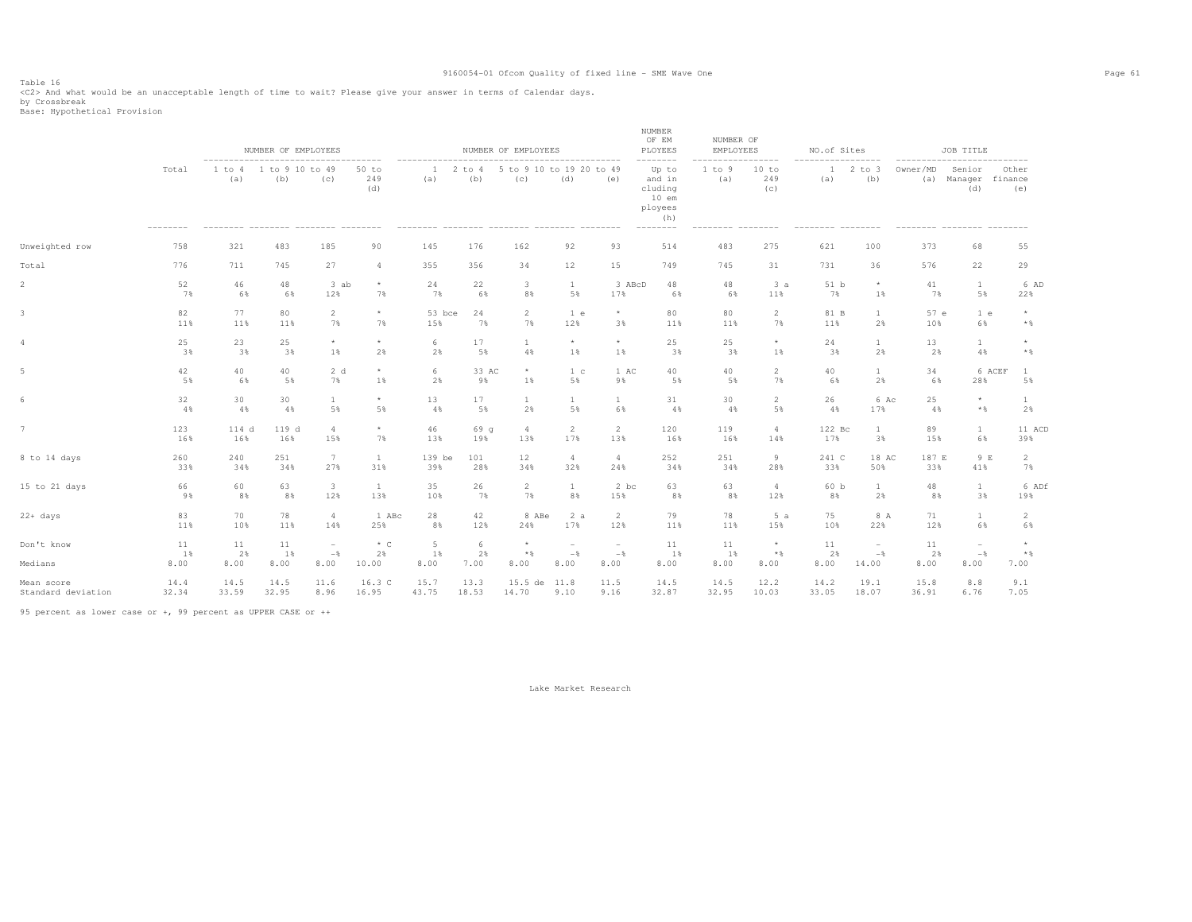Table 16<br><C2> And what would be an unacceptable length of time to wait? Please give your answer in terms of Calendar days.<br>by Crossbreak<br>Base: Hypothetical Provision

|                    |           |               | NUMBER OF EMPLOYEES    |                                 |                       |               |                   | NUMBER OF EMPLOYEES             |                                 |                                 | NUMBER<br>OF EM<br>PLOYEES                                          | NUMBER OF<br>EMPLOYEES |                               | NO.of Sites     |                                            |             | JOB TITLE                                      |                         |
|--------------------|-----------|---------------|------------------------|---------------------------------|-----------------------|---------------|-------------------|---------------------------------|---------------------------------|---------------------------------|---------------------------------------------------------------------|------------------------|-------------------------------|-----------------|--------------------------------------------|-------------|------------------------------------------------|-------------------------|
|                    | Total     | 1 to 4<br>(a) | 1 to 9 10 to 49<br>(b) | ------------------------<br>(C) | $50$ to<br>249<br>(d) | 1<br>(a)      | $2$ to $4$<br>(b) | 5 to 9 10 to 19 20 to 49<br>(C) | (d)                             | (e)                             | --------<br>Up to<br>and in<br>cluding<br>$10$ em<br>ployees<br>(h) | 1 to 9<br>(a)          | ------<br>10 to<br>249<br>(C) | 1<br>(a)        | $2$ to $3$<br>(b)                          | Owner/MD    | --------------<br>Senior<br>(a) Manager<br>(d) | Other<br>finance<br>(e) |
| Unweighted row     | 758       | 321           | 483                    | 185                             | 90                    | 145           | 176               | 162                             | 92                              | 93                              | 514                                                                 | 483                    | 275                           | 621             | 100                                        | 373         | 68                                             | 55                      |
| Total              | 776       | 711           | 745                    | 27                              | $\overline{4}$        | 355           | 356               | 34                              | 12                              | 15                              | 749                                                                 | 745                    | 31                            | 731             | 36                                         | 576         | 22                                             | 29                      |
| $\overline{2}$     | 52        | 46            | 48                     | 3 ab                            | $\star$               | 24            | 22                | 3                               | $\mathbf{1}$                    | 3 ABcD                          | 48                                                                  | 48                     | 3a                            | 51 <sub>b</sub> | $\star$                                    | 41          | $\mathbf{1}$                                   | 6 AD                    |
|                    | 7%        | 6%            | 6%                     | 12%                             | 7%                    | 7%            | 6%                | 8%                              | 5%                              | 17%                             | 6%                                                                  | 6%                     | 11%                           | 7%              | $1\%$                                      | 7%          | 5%                                             | 22%                     |
| 3                  | 82<br>11% | 77<br>11%     | 80<br>11%              | $\overline{c}$<br>7%            | $^{\star}$<br>7%      | 53 bce<br>15% | 24<br>7%          | $\overline{c}$<br>7%            | 1 e<br>12%                      | $^{\star}$<br>3%                | 80<br>11%                                                           | 80<br>11%              | 2<br>7%                       | 81 B<br>11%     | $\mathbf{1}$<br>2%                         | 57 e<br>10% | 1 e<br>6%                                      | $*$                     |
| 4                  | 25        | 23            | 25                     | $\star$                         | $\star$               | 6             | 17                | -1                              | $\star$                         | $\star$                         | 25                                                                  | 25                     | $\star$                       | 24              | 1                                          | 13          | $\mathbf{1}$                                   | $\star$                 |
|                    | 3%        | 3%            | 3%                     | 1%                              | 2%                    | 2%            | 5%                | 4%                              | 1%                              | 1%                              | 3%                                                                  | 3%                     | 1%                            | 3%              | 2%                                         | 2%          | 4%                                             | $*$ &                   |
| 5                  | 42        | 40            | 40                     | 2 d                             | $^{\star}$            | 6             | 33 AC             | $\star$                         | 1 <sup>c</sup>                  | 1 AC                            | 40                                                                  | 40                     | $\mathfrak{D}$                | 40              | $\mathbf{1}$                               | 34          | 6 ACEF                                         | $\overline{1}$          |
|                    | 5%        | 6%            | 5%                     | 7%                              | 1%                    | 2%            | 9%                | 1%                              | 5%                              | 9%                              | 5%                                                                  | 5%                     | 7%                            | 6%              | 2%                                         | 6%          | 28%                                            | 5%                      |
| 6                  | 32        | 30            | 30                     | 1                               | $\star$               | 13            | 17                | $\mathbf{1}$                    | 1                               | $\mathbf{1}$                    | 31                                                                  | 30                     | 2                             | 26              | 6 Ac                                       | 25          | $\star$                                        | 1                       |
|                    | 4%        | 4%            | 4%                     | 5%                              | 5%                    | 4%            | 5%                | 2%                              | 5%                              | 6%                              | 4%                                                                  | 4%                     | 5%                            | 4%              | 17%                                        | 4%          | $*$                                            | 2%                      |
| $\overline{7}$     | 123       | 114 d         | 119 d                  | $\overline{4}$                  | $\star$               | 46            | 69q               | $\overline{4}$                  | 2                               | 2                               | 120                                                                 | 119                    | $\overline{4}$                | 122 Bc          | $\mathbf{1}$                               | 89          | $\mathbf{1}$                                   | 11 ACD                  |
|                    | 16%       | 16%           | 16%                    | 15%                             | 7%                    | 13%           | 19%               | 13%                             | 17%                             | 13%                             | 16%                                                                 | 16%                    | 14%                           | 17%             | 3%                                         | 15%         | 6%                                             | 39%                     |
| 8 to 14 days       | 260       | 240           | 251                    | 7                               | $\mathbf{1}$          | 139 be        | 101               | 12                              | $\overline{4}$                  | $\overline{4}$                  | 252                                                                 | 251                    | 9                             | 241 C           | 18 AC                                      | 187 E       | 9 E                                            | $\overline{2}$          |
|                    | 33%       | 34%           | 34%                    | 27%                             | 31%                   | 39%           | 28%               | 34%                             | 32%                             | 24%                             | 34%                                                                 | 34%                    | 28%                           | 33%             | 50%                                        | 33%         | 41%                                            | 7%                      |
| 15 to 21 days      | 66        | 60            | 63                     | $\overline{\mathbf{3}}$         | $\mathbf{1}$          | 35            | 26                | $\overline{2}$                  | $\mathbf{1}$                    | 2 bc                            | 63                                                                  | 63                     | $\overline{4}$                | 60 b            | $\mathbf{1}$                               | 48          | $\mathbf{1}$                                   | 6 ADf                   |
|                    | 9%        | 8%            | 8%                     | 12%                             | 13%                   | 10%           | 7%                | 7%                              | 8%                              | 15%                             | 8%                                                                  | 8%                     | 12%                           | 8%              | 2%                                         | 8%          | 3%                                             | 19%                     |
| $22+ days$         | 83        | 70            | 78                     | $\overline{4}$                  | 1 ABc                 | 28            | 42                | 8 ABe                           | 2a                              | 2                               | 79                                                                  | 78                     | 5a                            | 75              | 8 A                                        | 71          | $\mathbf{1}$                                   | 2                       |
|                    | 11%       | 10%           | 11%                    | 14%                             | 25%                   | 8%            | 12%               | 24%                             | 17%                             | 12%                             | 11%                                                                 | 11%                    | 15%                           | 10%             | 22%                                        | 12%         | 6%                                             | 6%                      |
| Don't know         | 11<br>1%  | 11<br>2%      | 11<br>1%               | $\sim$<br>$-$ 8                 | $*$ C<br>2%           | 5<br>1%       | 6<br>2%           | $\star$<br>$*$ &                | $\overline{\phantom{a}}$<br>$-$ | $\overline{\phantom{a}}$<br>$-$ | 11<br>1%                                                            | 11<br>1%               | $^\star$<br>$*$               | 11<br>2%        | $\overline{\phantom{a}}$<br>$-\frac{6}{6}$ | 11<br>2%    | $\overline{\phantom{a}}$<br>$-$                | $*$                     |
| Medians            | 8.00      | 8.00          | 8.00                   | 8.00                            | 10.00                 | 8.00          | 7.00              | 8.00                            | 8.00                            | 8.00                            | 8.00                                                                | 8.00                   | 8.00                          | 8.00            | 14.00                                      | 8.00        | 8.00                                           | 7.00                    |
| Mean score         | 14.4      | 14.5          | 14.5                   | 11.6                            | 16.3 C                | 15.7          | 13.3              | 15.5 de                         | 11.8                            | 11.5                            | 14.5                                                                | 14.5                   | 12.2                          | 14.2            | 19.1                                       | 15.8        | 8.8                                            | 9.1                     |
| Standard deviation | 32.34     | 33.59         | 32.95                  | 8.96                            | 16.95                 | 43.75         | 18.53             | 14.70                           | 9.10                            | 9.16                            | 32.87                                                               | 32.95                  | 10.03                         | 33.05           | 18.07                                      | 36.91       | 6.76                                           | 7.05                    |

95 percent as lower case or +, 99 percent as UPPER CASE or ++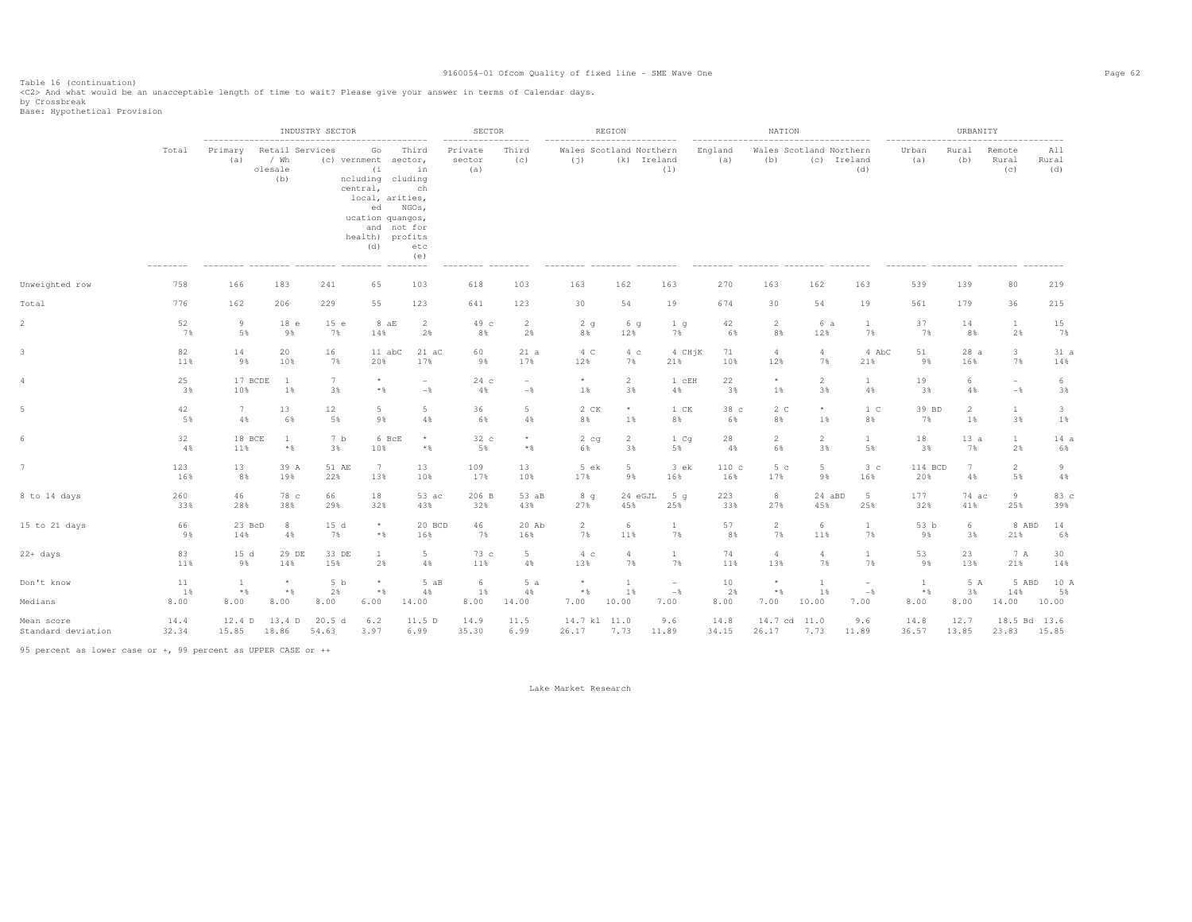Table 16 (continuation) <C2> And what would be an unacceptable length of time to wait? Please give your answer in terms of Calendar days.

by Crossbreak<br>Base: Hypothetical Provision

|                                  |                  |                                        |                                           | INDUSTRY SECTOR              |                                                                                                                                                                                  |                                 | SECTOR                                        |                               |                                                               | REGION            |                         |                  | NATION                             |                                        |                                         |                                   | URBANITY          |                          |                         |
|----------------------------------|------------------|----------------------------------------|-------------------------------------------|------------------------------|----------------------------------------------------------------------------------------------------------------------------------------------------------------------------------|---------------------------------|-----------------------------------------------|-------------------------------|---------------------------------------------------------------|-------------------|-------------------------|------------------|------------------------------------|----------------------------------------|-----------------------------------------|-----------------------------------|-------------------|--------------------------|-------------------------|
|                                  | Total<br>758     | --------------------<br>Primary<br>(a) | Retail Services<br>/ Wh<br>olesale<br>(b) |                              | ---------------<br>Go<br>(c) vernment sector,<br>(i)<br>ncluding cluding<br>central,<br>local, arities,<br>ed NGOs,<br>ucation quangos,<br>and not for<br>health) profits<br>(d) | Third<br>in<br>ch<br>etc<br>(e) | $- - - - - - - -$<br>Private<br>sector<br>(a) | $- - - - - -$<br>Third<br>(c) | ---------------------------<br>Wales Scotland Northern<br>(j) | (k) Ireland       | (1)                     | England<br>(a)   | (b)                                | Wales Scotland Northern<br>(c) Ireland | (d)                                     | -----------------<br>Urban<br>(a) | Rural<br>(b)      | Remote<br>Rural<br>(C)   | All<br>Rural<br>(d)     |
| Unweighted row                   |                  | 166                                    | 183                                       | 241                          | 65                                                                                                                                                                               | 103                             | 618                                           | 103                           | 163                                                           | 162               | 163                     | 270              | 163                                | 162                                    | 163                                     | 539                               | 139               | 80                       | 219                     |
| Total                            | 776              | 162                                    | 206                                       | 229                          | 55                                                                                                                                                                               | 123                             | 641                                           | 123                           | 30                                                            | 54                | 19                      | 674              | 30                                 | 54                                     | 19                                      | 561                               | 179               | 36                       | 215                     |
| 2                                | 52               | 9                                      | 18 e                                      | 15 e                         | 8aE                                                                                                                                                                              | 2                               | 49 c                                          | -2                            | 2q                                                            | 6q                | 1 <sub>q</sub>          | 42               | 2                                  | 6 a                                    | $\mathbf{1}$                            | 37                                | 14                | $\mathbf{1}$             | 15                      |
|                                  | 7%               | 5%                                     | 98                                        | 7%                           | 14%                                                                                                                                                                              | 2%                              | 8%                                            | 2%                            | 8%                                                            | 12%               | 7%                      | 6%               | 8%                                 | 12%                                    | 7%                                      | 7%                                | 8%                | 2%                       | 7%                      |
| 3.                               | 82               | 14                                     | 20                                        | 16                           | 11 abC                                                                                                                                                                           | $21 \text{ aC}$                 | 60                                            | 21a                           | 4 C                                                           | $4\degree$ c      | 4 CHjK                  | 71               | $\overline{4}$                     | $\overline{4}$                         | 4 AbC                                   | 51                                | 28a               | $\overline{3}$           | 31a                     |
|                                  | 11%              | 9%                                     | 10%                                       | 7%                           | 20%                                                                                                                                                                              | 17%                             | 9%                                            | 17%                           | 12%                                                           | 7%                | 21%                     | 10%              | 12%                                | 7%                                     | 21%                                     | 9%                                | 16%               | 7%                       | 14%                     |
| 4                                | 25               | 17 BCDE                                | $\mathbf{1}$                              | 7                            | $\star$                                                                                                                                                                          | $\overline{\phantom{a}}$        | 24c                                           | $\overline{\phantom{0}}$      | $^\star$                                                      | $2^{\circ}$       | 1 cEH                   | 22               | $^{\star}$                         | $\overline{2}$                         | $\mathbf{1}$                            | 19                                | 6                 | $\overline{\phantom{a}}$ | 6                       |
|                                  | 3%               | 10%                                    | 1%                                        | 3%                           | $*$ &                                                                                                                                                                            | $-$                             | 4%                                            | $-$                           | $1\%$                                                         | 3%                | 4%                      | 3%               | 1%                                 | 3%                                     | 4%                                      | 3%                                | 4%                | $-$                      | 3%                      |
|                                  | 42               | $7\phantom{.0}$                        | 13                                        | 12                           | $5 -$                                                                                                                                                                            | 5                               | 36                                            | $5 -$                         | 2 CK                                                          | $^{\star}$        | 1 CK                    | 38 c             | 2 <sub>c</sub>                     | $^\star$                               | 1 <sup>C</sup>                          | 39 BD                             | $\overline{2}$    | $\mathbf{1}$             | $\overline{\mathbf{3}}$ |
|                                  | 5%               | 4%                                     | 6%                                        | 5%                           | 9%                                                                                                                                                                               | 4%                              | 6%                                            | 4%                            | 8%                                                            | 1%                | 8%                      | 6%               | 8%                                 | 1%                                     | 8%                                      | 7%                                | 1%                | 3%                       | $1\%$                   |
|                                  | 32               | 18 BCE                                 | 1                                         | 7 b                          | 6 BcE                                                                                                                                                                            | $\star$                         | 32 c                                          | $\star$                       | 2 <sub>cg</sub>                                               | $\overline{2}$    | 1 Cq                    | 28               | $\overline{2}$                     | $\overline{2}$                         | $\mathbf{1}$                            | 18                                | 13a               | $\mathbf{1}$             | 14a                     |
|                                  | 4%               | 11%                                    | $\star$ $\,$                              | 3%                           | 10%                                                                                                                                                                              | $\star$ $\,$                    | 5%                                            | $*$ %                         | 6%                                                            | 3%                | 5%                      | 4%               | 6%                                 | 3%                                     | 5%                                      | 3%                                | 7%                | 2%                       | 6%                      |
|                                  | 123              | 13                                     | 39 A                                      | 51 AE                        | 7                                                                                                                                                                                | 13                              | 109                                           | 13                            | 5 ek                                                          | $5 -$             | 3 ek                    | 110c             | 5 <sub>c</sub>                     | $5\phantom{.0}$                        | 3 <sub>c</sub>                          | 114 BCD                           | 7                 | $\overline{2}$           | 9                       |
|                                  | 16%              | 8%                                     | 19%                                       | 22%                          | 13%                                                                                                                                                                              | 10%                             | 17%                                           | 10%                           | 17%                                                           | 9%                | 16%                     | 16%              | 17%                                | 9%                                     | 16%                                     | 20%                               | 4%                | 5%                       | 4%                      |
| 8 to 14 days                     | 260              | 46                                     | 78 c                                      | 66                           | 18                                                                                                                                                                               | 53 ac                           | 206 B                                         | 53 aB                         | 8q                                                            | 24 eGJL           | 5 <sub>q</sub>          | 223              | 8                                  | 24 aBD                                 | 5                                       | 177                               | 74 ac             | 9                        | 83 c                    |
|                                  | 33%              | 28%                                    | 38%                                       | 29%                          | 32%                                                                                                                                                                              | 43%                             | 32%                                           | 43%                           | 27%                                                           | 45%               | 25%                     | 33%              | 27%                                | 45%                                    | 25%                                     | 32%                               | 41%               | 25%                      | 39%                     |
| 15 to 21 days                    | 66               | 23 BcD                                 | 8                                         | 15 d                         | $^{\star}$                                                                                                                                                                       | 20 BCD                          | 46                                            | 20 Ab                         | 2                                                             | 6                 | $\mathbf{1}$            | 57               | $\overline{2}$                     | 6                                      | $\mathbf{1}$                            | 53 b                              | 6                 | 8 ABD                    | 14                      |
|                                  | 9%               | 14%                                    | 4%                                        | 7%                           | $*$ &                                                                                                                                                                            | 16%                             | 7%                                            | 16%                           | 7%                                                            | 11%               | 7%                      | 8%               | 7%                                 | 11%                                    | 7%                                      | 9%                                | 3%                | 21%                      | 6%                      |
| 22+ days                         | 83               | 15d                                    | 29 DE                                     | 33 DE                        | $\mathbf{1}$                                                                                                                                                                     | $5 -$                           | 73 с                                          | $5 -$                         | 4 c                                                           | $\overline{4}$    | 1                       | 74               | $\overline{4}$                     | $\overline{4}$                         | $\mathbf{1}$                            | 53                                | 23                | 7 A                      | 30                      |
|                                  | 11%              | 9%                                     | 14%                                       | 15%                          | 2%                                                                                                                                                                               | 4%                              | 11%                                           | $4\%$                         | 13%                                                           | 7%                | 7%                      | 11%              | 13%                                | 7%                                     | 7%                                      | 98                                | 13%               | 21%                      | 14%                     |
| Don't know<br>Medians            | 11<br>1%<br>8.00 | <sup>1</sup><br>$\star$ $\,$<br>8.00   | $^{\star}$<br>$*$ &<br>8.00               | 5 <sub>b</sub><br>2%<br>8.00 | $\star$<br>$*$ &<br>6.00                                                                                                                                                         | 5 aB<br>4%<br>14.00             | 6<br>1%<br>8.00                               | 5a<br>4%<br>14.00             | $\star$<br>$\star$ $\,$<br>7.00                               | -1<br>1%<br>10.00 | $\sim$<br>$-\,$<br>7.00 | 10<br>2%<br>8.00 | $^{\star}$<br>$\star$ $\,$<br>7.00 | <b>1</b><br>1%<br>10.00                | $\overline{\phantom{a}}$<br>$-$<br>7.00 | 1<br>$*$ %<br>8.00                | 5 A<br>3%<br>8.00 | 5 ABD<br>14%<br>14.00    | 10 A<br>5%<br>10.00     |
| Mean score<br>Standard deviation | 14.4<br>32.34    | 12.4 D<br>15.85                        | 13.4 D<br>18.86                           | 20.5 d<br>54.63              | 6.2<br>3.97                                                                                                                                                                      | 11.5 D<br>6.99                  | 14.9<br>35.30                                 | 11.5<br>6.99                  | 14.7 kl 11.0<br>26.17                                         | 7.73              | 9.6<br>11.89            | 14.8<br>34.15    | 14.7 cd 11.0<br>26.17              | 7.73                                   | 9.6<br>11.89                            | 14.8<br>36.57                     | 12.7<br>13.85     | 18.5 Bd 13.6<br>23.83    | 15.85                   |

95 percent as lower case or +, 99 percent as UPPER CASE or ++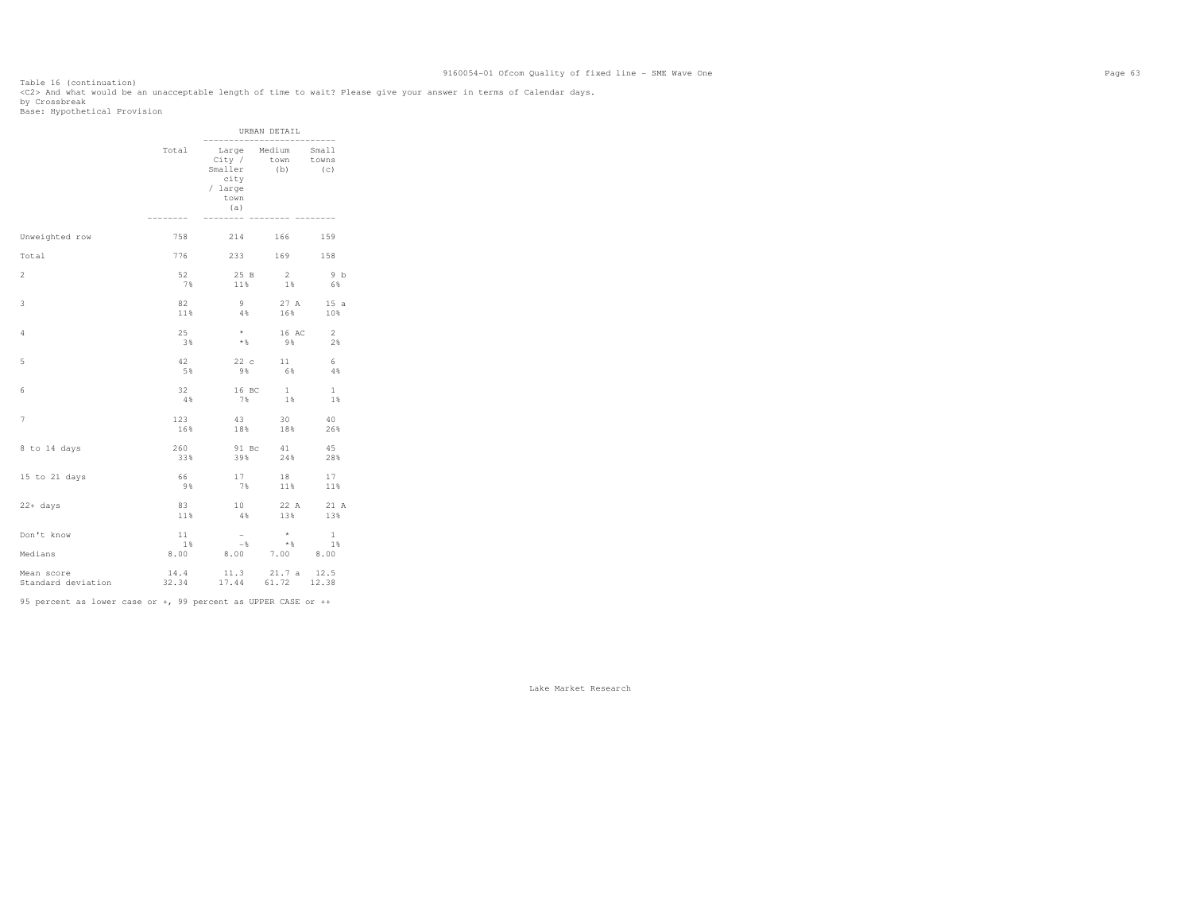Table 16 (continuation) <C2> And what would be an unacceptable length of time to wait? Please give your answer in terms of Calendar days.

by Crossbreak<br>Base: Hypothetical Provision

|                                  |                  |                                                                                                                                                | URBAN DETAIL                                    |                |
|----------------------------------|------------------|------------------------------------------------------------------------------------------------------------------------------------------------|-------------------------------------------------|----------------|
|                                  | Total            | City /<br>Smaller<br>city<br>/ large<br>town<br>(a)                                                                                            | Large Medium Small<br>town towns<br>$(b)$ $(c)$ |                |
| Unweighted row                   | 758              |                                                                                                                                                | 214 166 159                                     |                |
| Total                            | 776              |                                                                                                                                                | 233 169 158                                     |                |
| $\overline{2}$                   | 52               | 25 B                                                                                                                                           | 2                                               | 9 <sub>b</sub> |
|                                  | 7%               | 11%                                                                                                                                            | $1\%$                                           | 6%             |
| 3                                | 82               | 9                                                                                                                                              | 27 A                                            | 15a            |
|                                  | 11%              | $4\%$                                                                                                                                          | 16%                                             | 10%            |
| 4                                | 25<br>3%         | $\star$<br>$*$ &                                                                                                                               | 16 AC 2<br>9%                                   | 2%             |
| 5                                | 42               | 22c                                                                                                                                            | 11                                              | 6              |
|                                  | 5%               | 9%                                                                                                                                             | 6%                                              | $-4.8$         |
| 6                                | 32               | 16 BC                                                                                                                                          | $\mathbf{1}$                                    | <sup>1</sup>   |
|                                  | 4%               | 7%                                                                                                                                             | 1%                                              | $1\%$          |
| 7                                | 123              | 43                                                                                                                                             | 30                                              | 40             |
|                                  | 16%              | 18%                                                                                                                                            | 18%                                             | 26%            |
| 8 to 14 days                     | 260              | 91 Bc                                                                                                                                          | 41                                              | 45             |
|                                  | 33%              | 39%                                                                                                                                            | 24%                                             | 28%            |
| 15 to 21 days                    | 66               | 17                                                                                                                                             | 18                                              | 17             |
|                                  | 98               | 7%                                                                                                                                             | 11%                                             | 11%            |
| 22+ days                         | 83               | 10                                                                                                                                             | 22 A                                            | 21 A           |
|                                  | 11%              | 4%                                                                                                                                             | 13%                                             | 13%            |
| Don't know<br>Medians            | 11<br>18<br>8.00 | $\sim$<br>$-$ %<br>8.00 7.00 8.00                                                                                                              | $\star$<br>$\star$ &                            | 1<br>1%        |
| Mean score<br>Standard deviation |                  | $\begin{array}{cccc} 14.4 & \quad & 11.3 & \quad 21.7 \text{ a} & \quad 12.5 \\ 32.34 & \quad & 17.44 & \quad 61.72 & \quad 12.38 \end{array}$ |                                                 |                |

95 percent as lower case or +, 99 percent as UPPER CASE or ++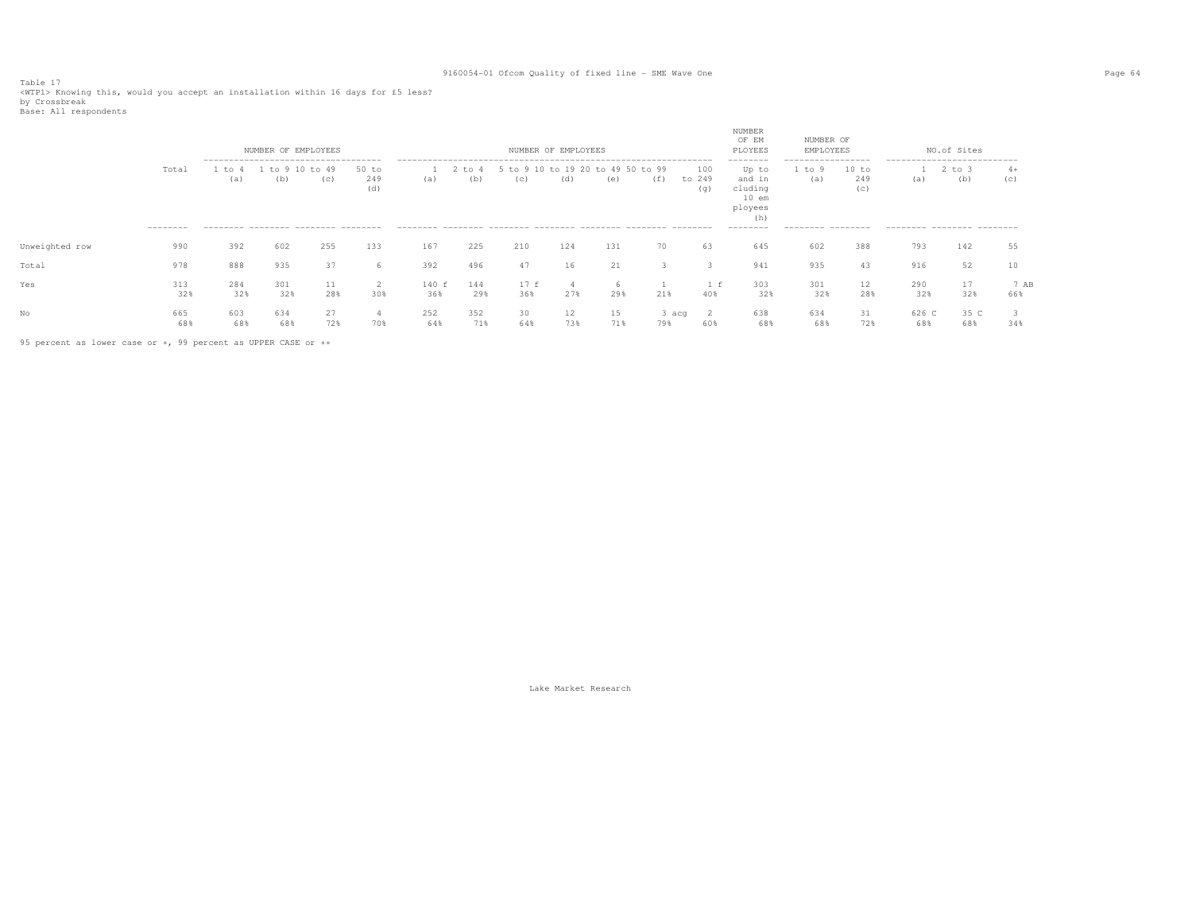Table 17<br><WTP1> Knowing this, would you accept an installation within 16 days for £5 less?<br>by Crossbreak<br>Base: All respondents

|                |                    |            | NUMBER OF EMPLOYEES                                 |              |                     |              |                 |                       | NUMBER OF EMPLOYEES |                     |                |                      | NUMBER<br>OF EM<br>PLOYEES                                          | NUMBER OF<br>EMPLOYEES           |                     |                                    | NO.of Sites |             |
|----------------|--------------------|------------|-----------------------------------------------------|--------------|---------------------|--------------|-----------------|-----------------------|---------------------|---------------------|----------------|----------------------|---------------------------------------------------------------------|----------------------------------|---------------------|------------------------------------|-------------|-------------|
|                | Total<br>--------- | to<br>(a)  | --------------------------------------<br>tο<br>(b) | to 49<br>(C) | 50 to<br>249<br>(d) | (a)          | $+\circ$<br>(b) | 10<br>$+\circ$<br>(C) | to 19 20<br>(d)     | 49 50<br>tο.<br>(e) | to 99<br>( f ) | 100<br>to 249<br>(q) | --------<br>Up to<br>and in<br>cluding<br>$10$ em<br>ployees<br>(h) | -----------------<br>to 9<br>(a) | 10 to<br>249<br>(C) | ---------------------------<br>(a) | to 3<br>(b) | $4+$<br>(C) |
|                |                    |            | --------- -------- ------- -------                  |              |                     |              |                 |                       |                     |                     |                |                      | ---------                                                           | --------- --------               |                     | --------- -------- -------         |             |             |
| Unweighted row | 990                | 392        | 602                                                 | 255          | 133                 | 167          | 225             | 210                   | 124                 | 131                 | 70             | 63                   | 645                                                                 | 602                              | 388                 | 793                                | 142         | 55          |
| Total          | 978                | 888        | 935                                                 | 37           | 6                   | 392          | 496             | 47                    | 16                  | 21                  |                |                      | 941                                                                 | 935                              | 43                  | 916                                | 52          | 10          |
| Yes            | 313<br>32%         | 284<br>32% | 301<br>32%                                          | 11<br>28%    | 2<br>30%            | 140 f<br>36% | 144<br>29%      | 17f<br>36%            | 27%                 | h.<br>29%           | 21%            | 40%                  | 303<br>32%                                                          | 301<br>32%                       | $12 \,$<br>28%      | 290<br>32%                         | 17<br>32%   | 7 AB<br>66% |
| No             | 665<br>68%         | 603<br>68% | 634<br>68%                                          | 27<br>72%    | 4<br>70%            | 252<br>64%   | 352<br>71%      | 30<br>64%             | 12<br>73%           | 15<br>71%           | 3 acq<br>79%   | - 2<br>60%           | 638<br>68%                                                          | 634<br>68%                       | 31<br>72%           | 626 C<br>68%                       | 35 C<br>68% | 34%         |

95 percent as lower case or +, 99 percent as UPPER CASE or ++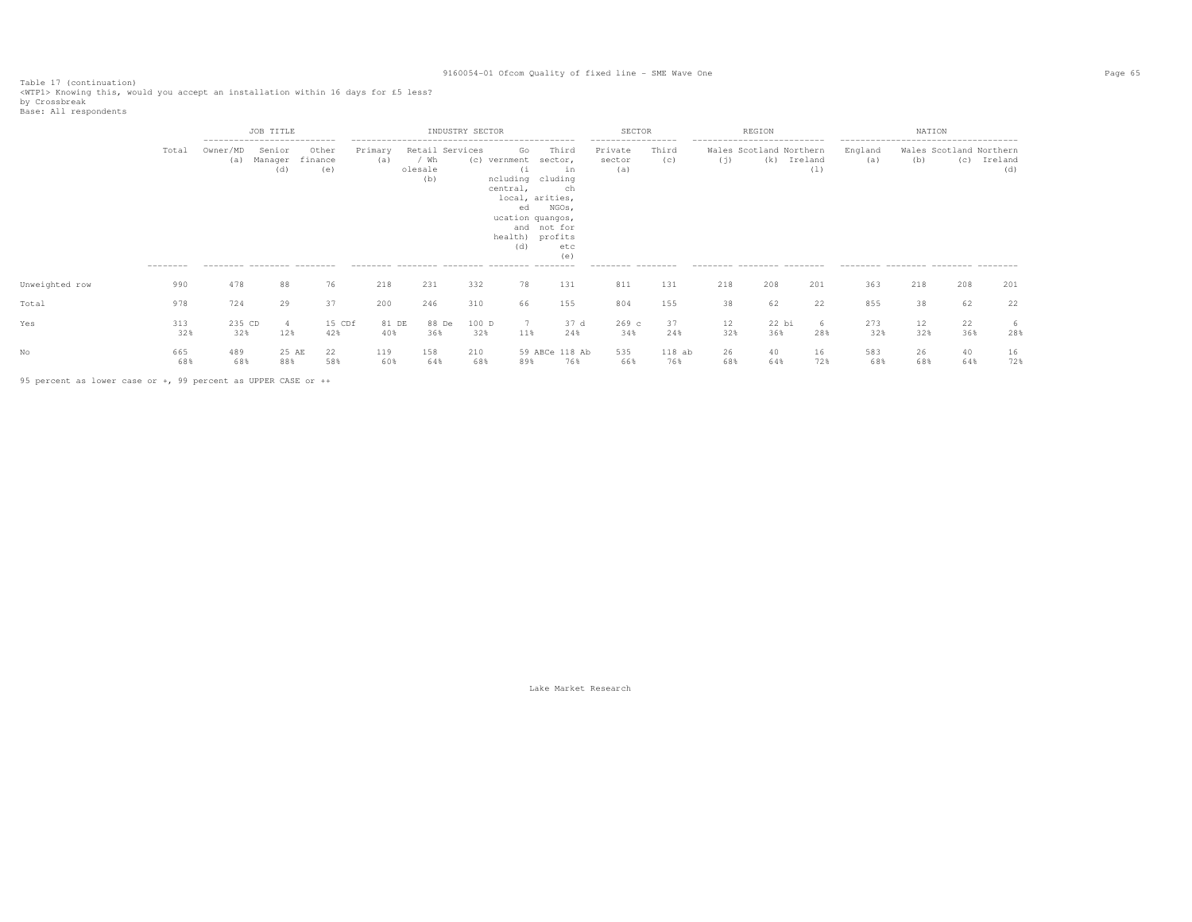Table 17 (continuation)<br><WTP1> Knowing this, would you accept an installation within 16 days for £5 less?<br>by Crossbreak<br>Base: All respondents

|                |                   |                                                                               | JOB TITLE                |                         |                        |                                           | INDUSTRY SECTOR |                                                                                                              |                                                                                       |             | SECTOR                                                              |                 |                                                                                              | REGION         |                |                                                                                                 | NATION    |                                |                |
|----------------|-------------------|-------------------------------------------------------------------------------|--------------------------|-------------------------|------------------------|-------------------------------------------|-----------------|--------------------------------------------------------------------------------------------------------------|---------------------------------------------------------------------------------------|-------------|---------------------------------------------------------------------|-----------------|----------------------------------------------------------------------------------------------|----------------|----------------|-------------------------------------------------------------------------------------------------|-----------|--------------------------------|----------------|
|                | Total<br>-------- | ---------------------------<br>Owner/MD<br>(a)<br>--------- -------- -------- | Senior<br>Manager<br>(d) | Other<br>finance<br>(e) | Primary<br>(a)         | Retail Services<br>/ Wh<br>olesale<br>(b) |                 | Go<br>(c) vernment<br>(i<br>ncluding cluding<br>central,<br>ed<br>ucation quangos,<br>health) profits<br>(d) | Third<br>sector,<br>in<br>ch<br>local, arities,<br>NGOs,<br>and not for<br>etc<br>(e) |             | -----------------<br>Private<br>sector<br>(a)<br>--------- -------- | Third<br>(c)    | ---------------------------<br>Wales Scotland Northern<br>(j)<br>--------- -------- -------- | (k)            | Ireland<br>(1) | --------------------------------------<br>England<br>(a)<br>--------- -------- ------- -------- | (b)       | Wales Scotland Northern<br>(C) | Ireland<br>(d) |
| Unweighted row | 990               | 478                                                                           | 88                       | 76                      | 218                    | 231                                       | 332             | 78                                                                                                           | 131                                                                                   |             | 811                                                                 | 131             | 218                                                                                          | 208            | 201            | 363                                                                                             | 218       | 208                            | 201            |
| Total          | 978               | 724                                                                           | 29                       | 37                      | 200                    | 246                                       | 310             | 66                                                                                                           | 155                                                                                   |             | 804                                                                 | 155             | 38                                                                                           | 62             | 22             | 855                                                                                             | 38        | 62                             | 22             |
| Yes            | 313<br>32%        | 235 CD<br>32%                                                                 | 12%                      | 42%                     | 15 CDf<br>81 DE<br>40% | 88 De<br>36%                              |                 | 100 D<br>32%<br>11%                                                                                          |                                                                                       | 37 d<br>24% | $269$ c<br>34%                                                      | 37<br>24%       | 12<br>32%                                                                                    | $22$ bi<br>36% | 6<br>28%       | 273<br>32%                                                                                      | 12<br>32% | 22<br>36%                      | -6<br>28%      |
|                | 665<br>68%        | 489<br>68%                                                                    | 25 AE<br>88%             | 22<br>58%               | 119<br>60%             | 158<br>64%                                | 210             | 68%<br>89%                                                                                                   | 59 ABCe 118 Ab                                                                        | 76%         | 535<br>66%                                                          | $118$ ab<br>76% | 26<br>68%                                                                                    | 40<br>64%      | 16<br>72%      | 583<br>68%                                                                                      | 26<br>68% | 40<br>64%                      | 16<br>72%      |

95 percent as lower case or +, 99 percent as UPPER CASE or ++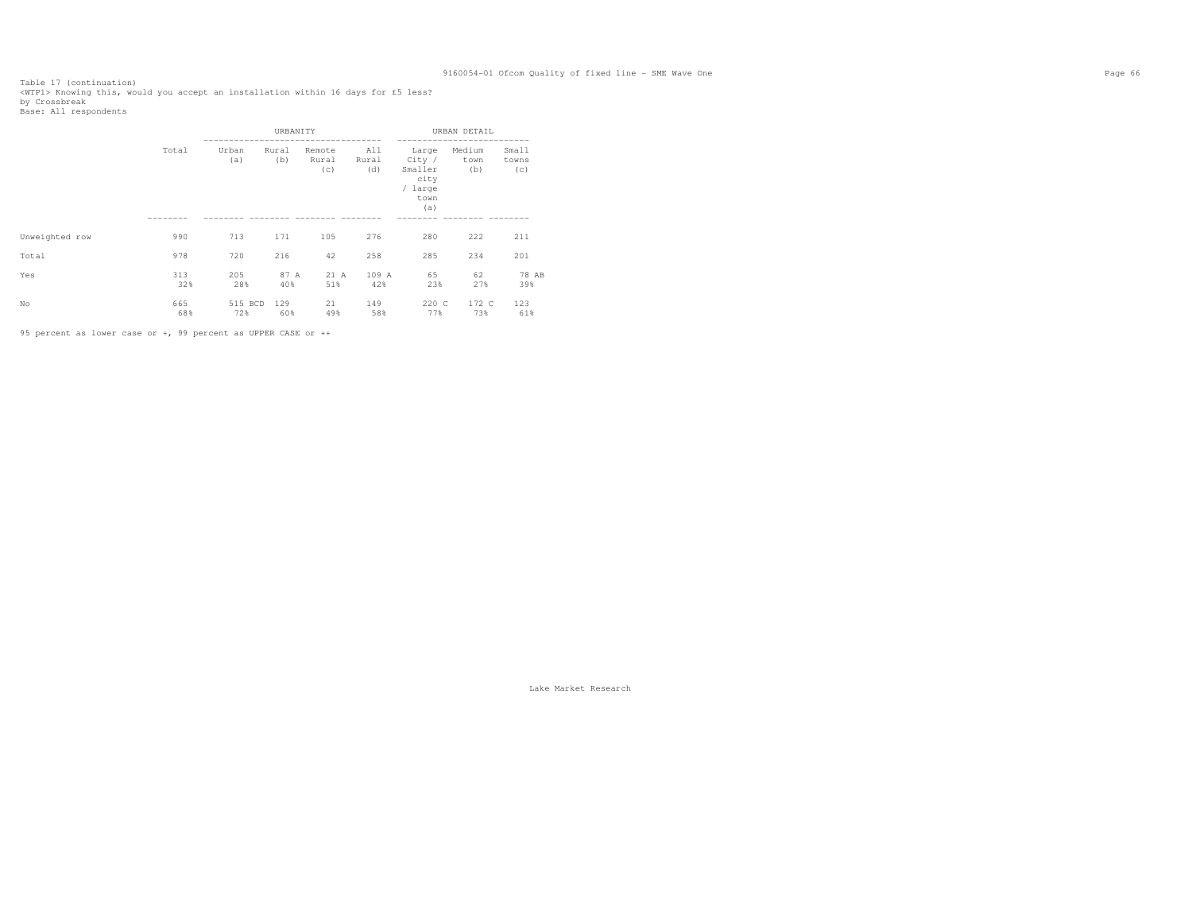Table 17 (continuation)<br><WTP1> Knowing this, would you accept an installation within 16 days for £5 less?<br>by Crossbreak<br>Base: All respondents

|                |            |                | URBANITY     |                        |                     |                                                              | URBAN DETAIL          |                       |
|----------------|------------|----------------|--------------|------------------------|---------------------|--------------------------------------------------------------|-----------------------|-----------------------|
|                | Total      | Urban<br>(a)   | Rural<br>(b) | Remote<br>Rural<br>(c) | All<br>Rural<br>(d) | Large<br>City /<br>Smaller<br>city<br>/ large<br>town<br>(a) | Medium<br>town<br>(b) | Small<br>towns<br>(c) |
|                |            |                |              |                        |                     |                                                              |                       |                       |
| Unweighted row | 990        | 713            | 171          | 105                    | 276                 | 280                                                          | 222                   | 211                   |
| Total          | 978        | 720            | 216          | 42                     | 258                 | 285                                                          | 234                   | 201                   |
| Yes            | 313<br>32% | 205<br>28%     | 87 A<br>40%  | 21 A<br>51%            | 109 A<br>42%        | 65<br>23%                                                    | 62<br>27%             | 78 AB<br>39%          |
| No             | 665<br>68% | 515 BCD<br>72% | 129<br>60%   | 21<br>49%              | 149<br>58%          | 220C<br>77%                                                  | 172 C<br>73%          | 123<br>61%            |

95 percent as lower case or +, 99 percent as UPPER CASE or ++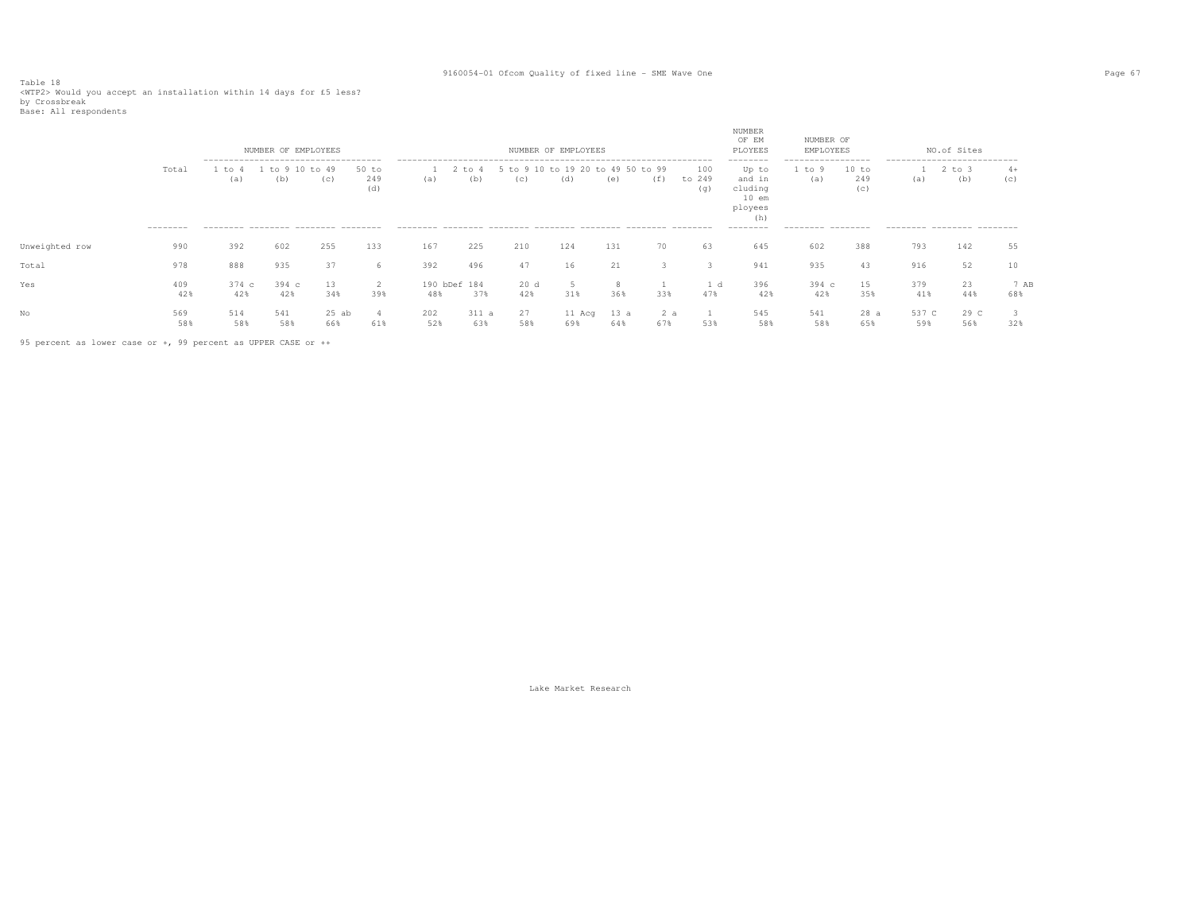Table 18<br><WTP2> Would you accept an installation within 14 days for £5 less?<br>by Crossbreak<br>Base: All respondents

|                |                    |                                                                                            | NUMBER OF EMPLOYEES |              |                     |              |                 |                 | NUMBER OF EMPLOYEES |                                |     |                      | NUMBER<br>OF EM<br>PLOYEES                                                       | NUMBER OF<br>EMPLOYEES                                 |                     |                                                                  | NO.of Sites       |             |
|----------------|--------------------|--------------------------------------------------------------------------------------------|---------------------|--------------|---------------------|--------------|-----------------|-----------------|---------------------|--------------------------------|-----|----------------------|----------------------------------------------------------------------------------|--------------------------------------------------------|---------------------|------------------------------------------------------------------|-------------------|-------------|
|                | Total<br>--------- | --------------------------------------<br>to<br>(a)<br>--------- -------- ------- -------- | $\pm 0.9$<br>(b)    | to 49<br>(c) | 50 to<br>249<br>(d) | (a)          | $+\circ$<br>(b) | $+\circ$<br>(C) | to 19 20<br>(d)     | 49 50 to 99<br>$+\circ$<br>(e) | (f) | 100<br>to 249<br>(q) | --------<br>Up to<br>and in<br>cluding<br>$10$ em<br>ployees<br>(h)<br>--------- | -----------------<br>to 9<br>(a)<br>--------- -------- | 10 to<br>249<br>(C) | ---------------------------<br>(a)<br>--------- -------- ------- | $2$ to $3$<br>(b) | $4+$<br>(C) |
|                |                    |                                                                                            |                     |              |                     |              |                 |                 |                     |                                |     |                      |                                                                                  |                                                        |                     |                                                                  |                   |             |
| Unweighted row | 990                | 392                                                                                        | 602                 | 255          | 133                 | 167          | 225             | 210             | 124                 | 131                            | 70  | 63                   | 645                                                                              | 602                                                    | 388                 | 793                                                              | 142               | 55          |
| Total          | 978                | 888                                                                                        | 935                 | 37           | 6                   | 392          | 496             | 47              | 16                  | 21                             |     |                      | 941                                                                              | 935                                                    | 43                  | 916                                                              | 52                | 10          |
| Yes            | 409                | 374 с                                                                                      | $394\text{ c}$      | 13           | 2                   | 190 bDef 184 |                 | 20d             |                     |                                |     | 1 d                  | 396                                                                              | $394\text{ c}$                                         | 15                  | 379                                                              | 23                | 7 AB        |
|                | 42%                | 42%                                                                                        | 42%                 | 34%          | 39%                 | 48%          | 37%             | 42%             | 31%                 | 36%                            | 33% | 47%                  | 42%                                                                              | 42%                                                    | 35%                 | 41%                                                              | 44%               | 68%         |
| No             | 569                | 514                                                                                        | 541                 | $25$ ab      | 4                   | 202          | 311a            | 27              | 11 Acq              | 13 a                           | 2a  |                      | 545                                                                              | 541                                                    | 28a                 | 537 C                                                            | 29 C              |             |
|                | 58%                | 58%                                                                                        | 58%                 | 66%          | 61%                 | 52%          | 63%             | 58%             | 69%                 | 64%                            | 67% | 53%                  | 58%                                                                              | 58%                                                    | 65%                 | 59%                                                              | 56%               | 32%         |

95 percent as lower case or +, 99 percent as UPPER CASE or ++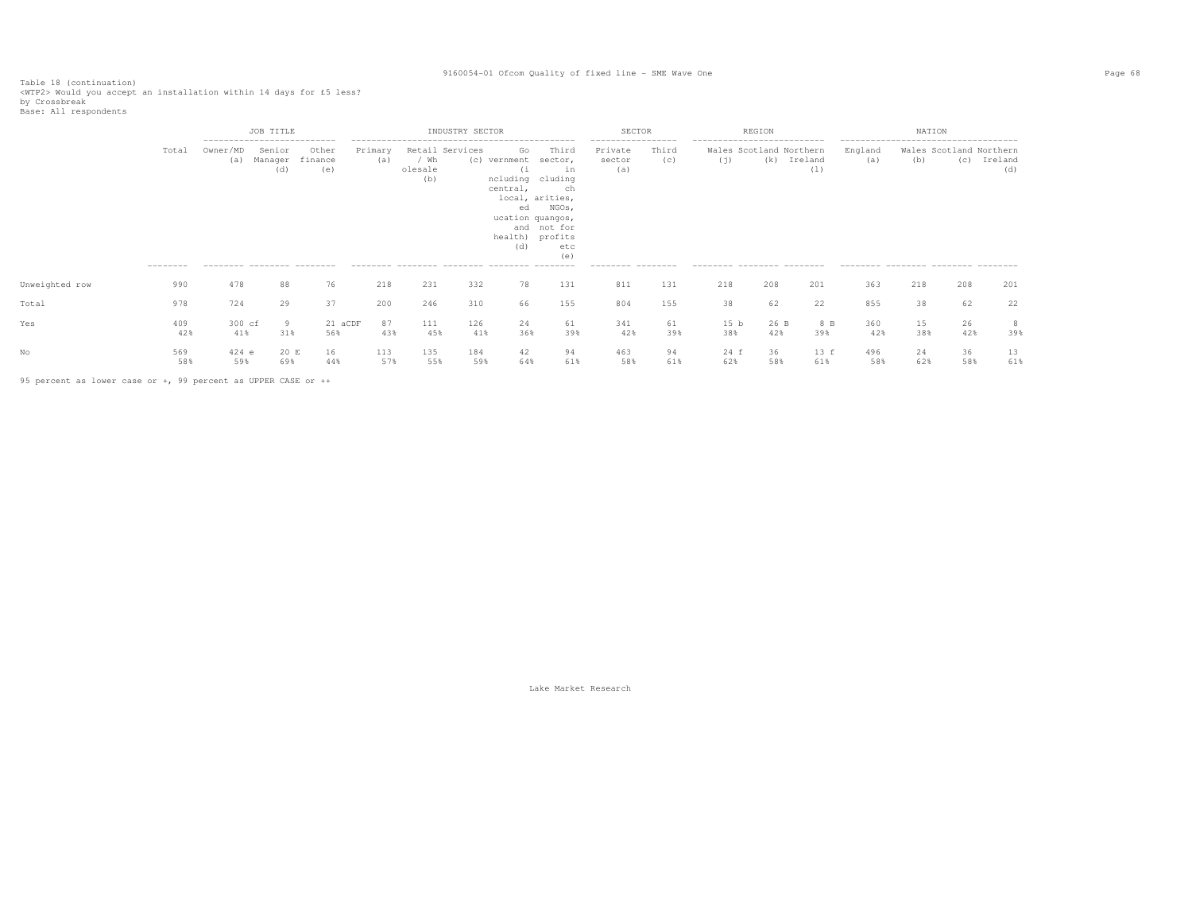Table 18 (continuation)<br><WTP2> Would you accept an installation within 14 days for £5 less?<br>by Crossbreak<br>Base: All respondents

|                |                   | JOB TITLE<br>----------------------------      |                          |                         |                |                                           | INDUSTRY SECTOR |                                                   |                                                                                                                                                  | SECTOR                                                              |              |                                                                                              | REGION      |                |                                                       | NATION    |                                |                |
|----------------|-------------------|------------------------------------------------|--------------------------|-------------------------|----------------|-------------------------------------------|-----------------|---------------------------------------------------|--------------------------------------------------------------------------------------------------------------------------------------------------|---------------------------------------------------------------------|--------------|----------------------------------------------------------------------------------------------|-------------|----------------|-------------------------------------------------------|-----------|--------------------------------|----------------|
|                | Total<br>-------- | Owner/MD<br>(a)<br>--------- -------- -------- | Senior<br>Manager<br>(d) | Other<br>finance<br>(e) | Primary<br>(a) | Retail Services<br>/ Wh<br>olesale<br>(b) |                 | Go<br>(c) vernment<br>(i<br>central,<br>ed<br>(d) | Third<br>sector,<br>in<br>ncluding cluding<br>ch<br>local, arities,<br>NGOs,<br>ucation quangos,<br>and not for<br>health) profits<br>etc<br>(e) | -----------------<br>Private<br>sector<br>(a)<br>--------- -------- | Third<br>(c) | ---------------------------<br>Wales Scotland Northern<br>(i)<br>--------- -------- -------- | (k)         | Ireland<br>(1) | England<br>(a)<br>--------- -------- -------- ------- | (b)       | Wales Scotland Northern<br>(C) | Ireland<br>(d) |
| Unweighted row | 990               | 478                                            | 88                       | 76                      | 218            | 231                                       | 332             | 78                                                | 131                                                                                                                                              | 811                                                                 | 131          | 218                                                                                          | 208         | 201            | 363                                                   | 218       | 208                            | 201            |
| Total          | 978               | 724                                            | 29                       | 37                      | 200            | 246                                       | 310             | 66                                                | 155                                                                                                                                              | 804                                                                 | 155          | 38                                                                                           | 62          | 22             | 855                                                   | 38        | 62                             | 22             |
| Yes            | 409<br>42%        | 300 cf<br>41%                                  | 9<br>31%                 | 21 aCDF<br>56%          | 87<br>43%      | 111<br>45%                                | 126<br>41%      | 24<br>36%                                         | 61<br>39%                                                                                                                                        | 341<br>42%                                                          | 61<br>39%    | 15 <sub>b</sub><br>38%                                                                       | 26 B<br>42% | 8 B<br>39%     | 360<br>42%                                            | 15<br>38% | 26<br>42%                      | 8<br>39%       |
|                | 569<br>58%        | $424$ e<br>59%                                 | 20 E<br>69%              | 16<br>44%               | 113<br>57%     | 135<br>55%                                | 184<br>59%      | 42<br>64%                                         | 94<br>61%                                                                                                                                        | 463<br>58%                                                          | 94<br>61%    | 24 f<br>62%                                                                                  | 36<br>58%   | 13 f<br>61%    | 496<br>58%                                            | 24<br>62% | 36<br>58%                      | 13<br>61%      |

95 percent as lower case or +, 99 percent as UPPER CASE or ++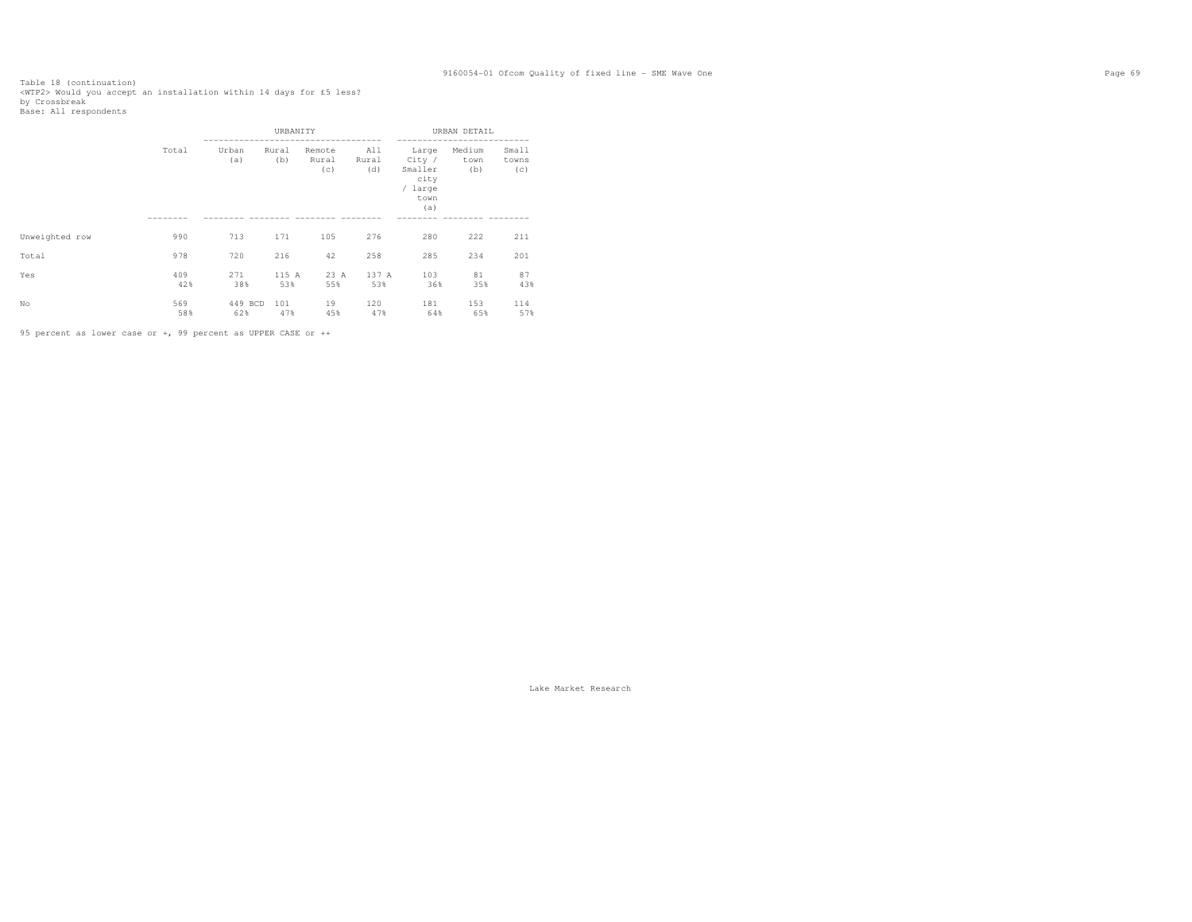Table 18 (continuation)<br><WTP2> Would you accept an installation within 14 days for £5 less?<br>by Crossbreak<br>Base: All respondents

|                |                                   |                | URBANITY     |                        |                     |                                                              | URBAN DETAIL          |                       |
|----------------|-----------------------------------|----------------|--------------|------------------------|---------------------|--------------------------------------------------------------|-----------------------|-----------------------|
|                | Total<br>990<br>978<br>409<br>42% | Urban<br>(a)   | Rural<br>(b) | Remote<br>Rural<br>(c) | All<br>Rural<br>(d) | Large<br>City /<br>Smaller<br>city<br>/ large<br>town<br>(a) | Medium<br>town<br>(b) | Small<br>towns<br>(c) |
|                |                                   |                |              |                        |                     |                                                              |                       |                       |
| Unweighted row |                                   | 713            | 171          | 105                    | 276                 | 280                                                          | 222                   | 211                   |
| Total          |                                   | 720            | 216          | 42                     | 258                 | 285                                                          | 234                   | 201                   |
| Yes            |                                   | 271<br>38%     | 115 A<br>53% | 23 A<br>55%            | 137 A<br>53%        | 103<br>36%                                                   | 81<br>35%             | 87<br>43%             |
| No             | 569<br>58%                        | 449 BCD<br>62% | 101<br>47%   | 19<br>45%              | 120<br>47%          | 181<br>64%                                                   | 153<br>65%            | 114<br>57%            |

95 percent as lower case or +, 99 percent as UPPER CASE or ++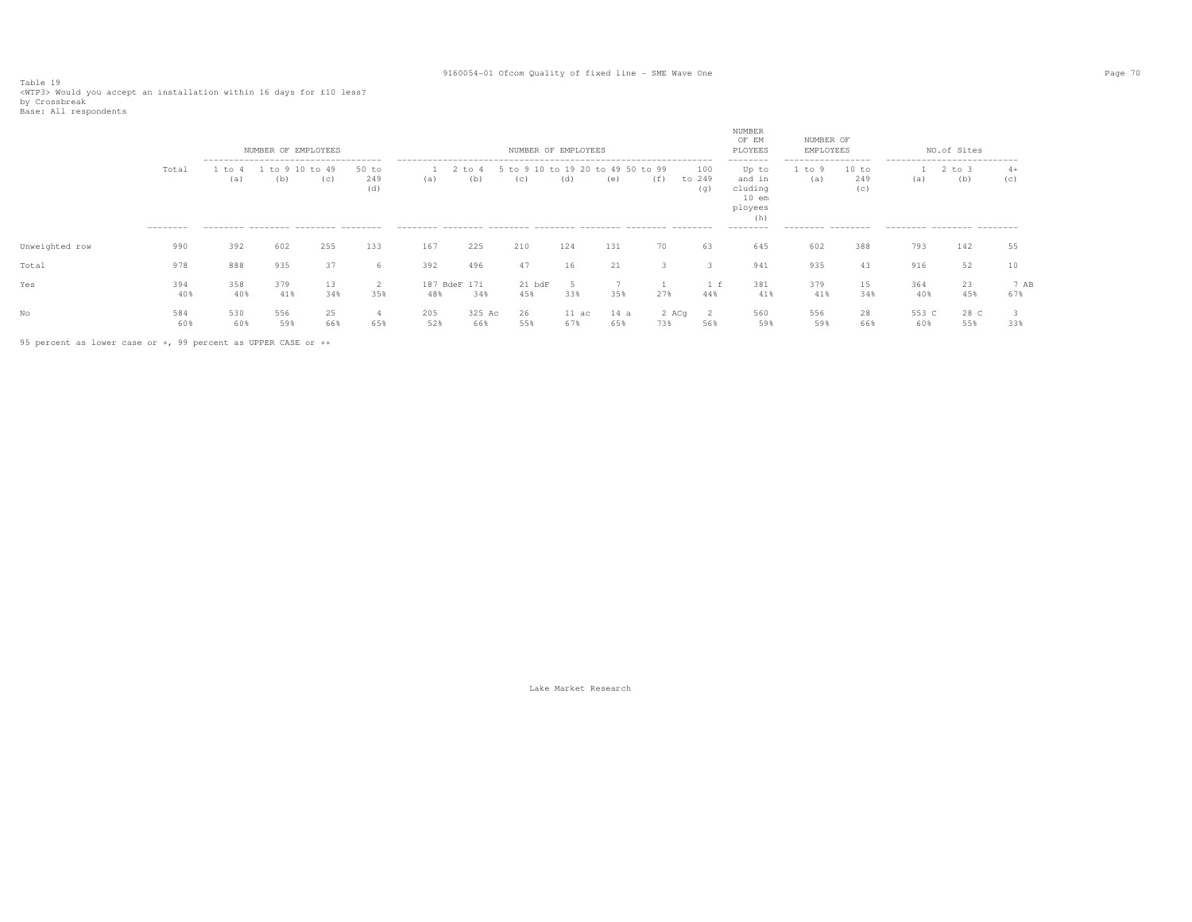Table 19<br><WTP3> Would you accept an installation within 16 days for £10 less?<br>by Crossbreak<br>Base: All respondents

|                |                    |             | NUMBER OF EMPLOYEES<br>-------------------------------------- |                      |                       |                     |                   | NUMBER OF EMPLOYEES                      |                        |             |              |                      | NUMBER<br>OF EM<br>PLOYEES<br>--------                  | NUMBER OF<br>EMPLOYEES<br>------------------- |                     | ---------------------------- | NO.of Sites       |             |
|----------------|--------------------|-------------|---------------------------------------------------------------|----------------------|-----------------------|---------------------|-------------------|------------------------------------------|------------------------|-------------|--------------|----------------------|---------------------------------------------------------|-----------------------------------------------|---------------------|------------------------------|-------------------|-------------|
|                | Total<br>--------- | to 4<br>(a) | (b)                                                           | to 9 10 to 49<br>(c) | $50$ to<br>249<br>(d) | (a)                 | $2$ to $4$<br>(b) | 5 to 9 10 to 19 20 to 49 50 to 99<br>(C) | (d)                    | (e)         | (f)          | 100<br>to 249<br>(q) | Up to<br>and in<br>cluding<br>$10$ em<br>ployees<br>(h) | to 9<br>(a)                                   | 10 to<br>249<br>(C) | (a)                          | $2$ to $3$<br>(b) | $4+$<br>(C) |
|                |                    |             | --------- -------- -------- --------                          |                      |                       |                     |                   |                                          |                        |             |              |                      | ---------                                               | --------- --------                            |                     | --------- -------- -------   |                   |             |
| Unweighted row | 990                | 392         | 602                                                           | 255                  | 133                   | 167                 | 225               | 210                                      | 124                    | 131         | 70           | 63                   | 645                                                     | 602                                           | 388                 | 793                          | 142               | 55          |
| Total          | 978                | 888         | 935                                                           | 37                   | 6                     | 392                 | 496               | 47                                       | 16                     | 21          |              |                      | 941                                                     | 935                                           | 43                  | 916                          | 52                |             |
| Yes            | 394<br>40%         | 358<br>40%  | 379<br>41%                                                    | 13<br>34%            | 35%                   | 187 BdeF 171<br>48% | 34%               | $21$ $bdF$<br>45%                        | 33%                    | 35%         | 27%          | 44%                  | 381<br>41%                                              | 379<br>41%                                    | 15<br>34%           | 364<br>40%                   | 23<br>45%         | 7 AB<br>67% |
| No             | 584<br>60%         | 530<br>60%  | 556<br>59%                                                    | 25<br>66%            | 65%                   | 205<br>52%          | 325 Ac<br>66%     | 26<br>55%                                | $11 \text{ ac}$<br>67% | 14 a<br>65% | 2 ACq<br>73% | 568                  | 560<br>59%                                              | 556<br>59%                                    | 28<br>66%           | 553 C<br>60%                 | 28 C<br>55%       | 33%         |

95 percent as lower case or +, 99 percent as UPPER CASE or ++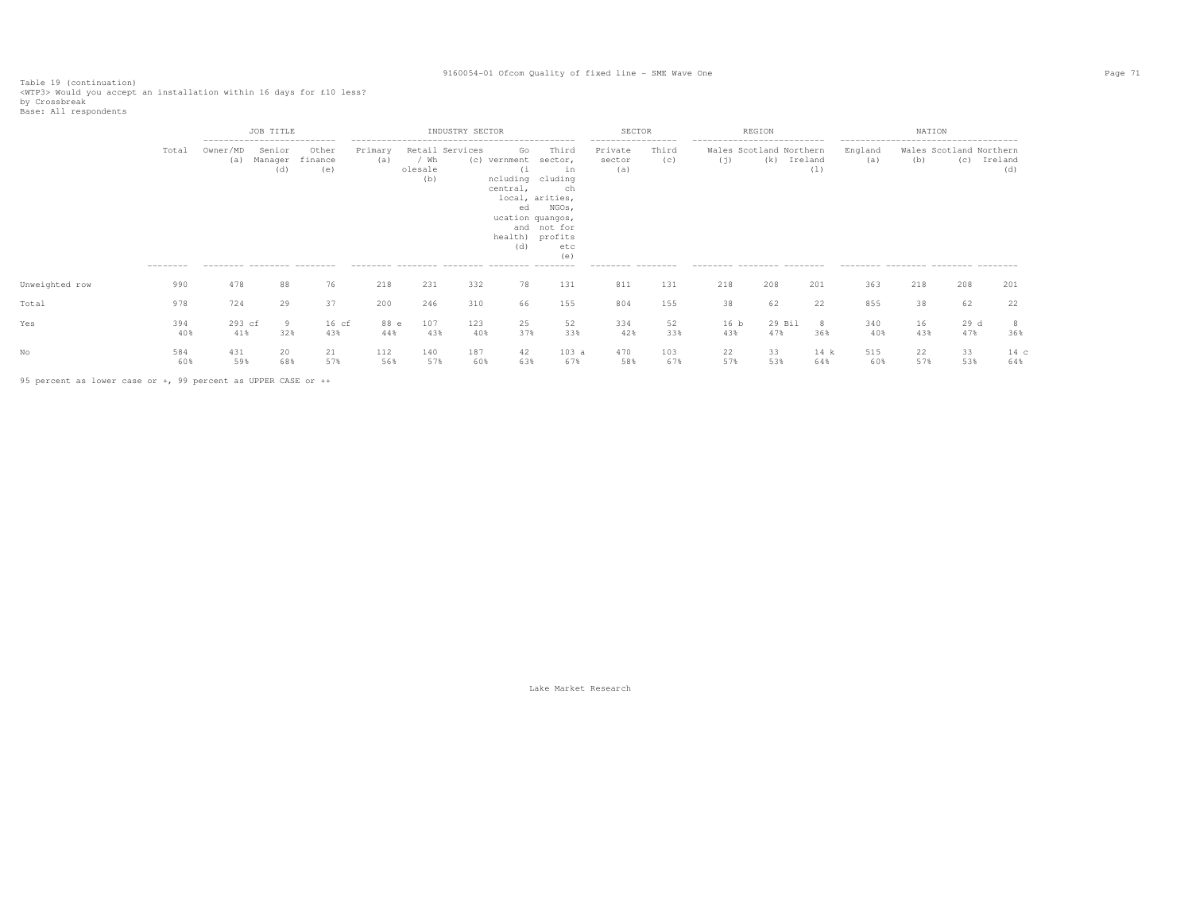Table 19 (continuation) <WTP3> Would you accept an installation within 16 days for £10 less?

by Crossbreak Base: All respondents

 JOB TITLE INDUSTRY SECTOR SECTOR REGION NATION -------------------------- -------------------------------------------- ----------------- -------------------------- ----------------------------------- Total Owner/MD Senior Other Primary Retail Services Go Third Private Third Wales Scotland Northern England Wales Scotland Northern (c) Ireland (a) Manager finance (a) / Wh (c) vernment sector, sector (c) (j) (k) Ireland (a) (b) (c) Ireland (d) (e) olesale (i in (a) (d) (e) olesale (i in (a) (l) (d) (b) ncluding cluding  $ch$ central. local, arities, ed NGOs, ucation quangos, and not for the control of the control of the control of the control of the control of the control of the control of the control of the control of the control of the control of the control of the control of the control of health) profits etc (d) etc (e)  $--- - -$  -------- -------- -------- -------- -------- -------- -------- -------- -------- -------- -------- -------- -------- -------- -------- -------- -------- -------- Unweighted row 990 478 88 76 218 231 332 78 131 811 131 218 208 201 363 218 208 201 Total 978 724 29 37 200 246 310 66 155 804 155 38 62 22 855 38 62 22 Yes 394 293 cf 9 16 cf 88 e 107 123 25 52 334 52 16 b 29 Bil 8 340 16 29 d 8 36% 40% 41% 32% 43% 44% 43% 40% 37% 33% 42% 33% 43% 47% 36% 40% 43% 47% 36% No 584 431 20 21 112 140 187 42 103 a 470 103 22 33 14 k 515 22 33 14 c 60% 59% 68% 57% 56% 57% 60% 63% 67% 58% 67% 57% 53% 64% 60% 57% 53% 64%

95 percent as lower case or +, 99 percent as UPPER CASE or ++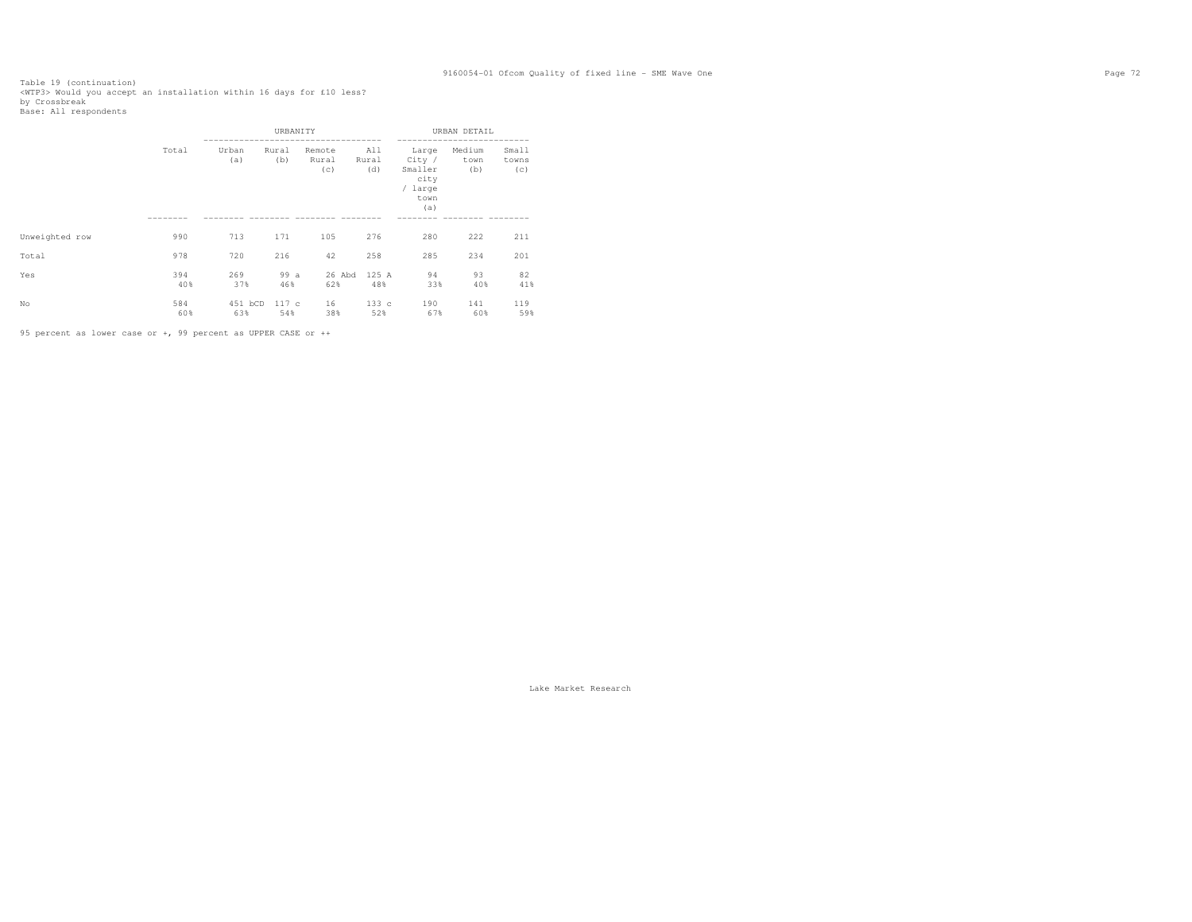Table 19 (continuation)<br><WTP3> Would you accept an installation within 16 days for £10 less?<br>by Crossbreak<br>Base: All respondents

|                |                                          |                | URBANITY     |                        |                     |                                                              | URBAN DETAIL          |                       |
|----------------|------------------------------------------|----------------|--------------|------------------------|---------------------|--------------------------------------------------------------|-----------------------|-----------------------|
|                | Total<br>990<br>978<br>394<br>40%<br>584 | Urban<br>(a)   | Rural<br>(b) | Remote<br>Rural<br>(c) | All<br>Rural<br>(d) | Large<br>City /<br>Smaller<br>city<br>/ large<br>town<br>(a) | Medium<br>town<br>(b) | Small<br>towns<br>(c) |
| Unweighted row |                                          | 713            | 171          | 105                    | 276                 | 280                                                          | 222                   | 211                   |
| Total          |                                          | 720            | 216          | 42                     | 258                 | 285                                                          | 234                   | 201                   |
| Yes            |                                          | 269<br>37%     | 99 a<br>46%  | 26 Abd<br>62%          | 125 A<br>48%        | 94<br>33%                                                    | 93<br>40%             | 82<br>41%             |
| No             | 60%                                      | 451 bCD<br>63% | 117c<br>54%  | 16<br>38%              | 133c<br>52%         | 190<br>67%                                                   | 141<br>60%            | 119<br>59%            |

95 percent as lower case or +, 99 percent as UPPER CASE or ++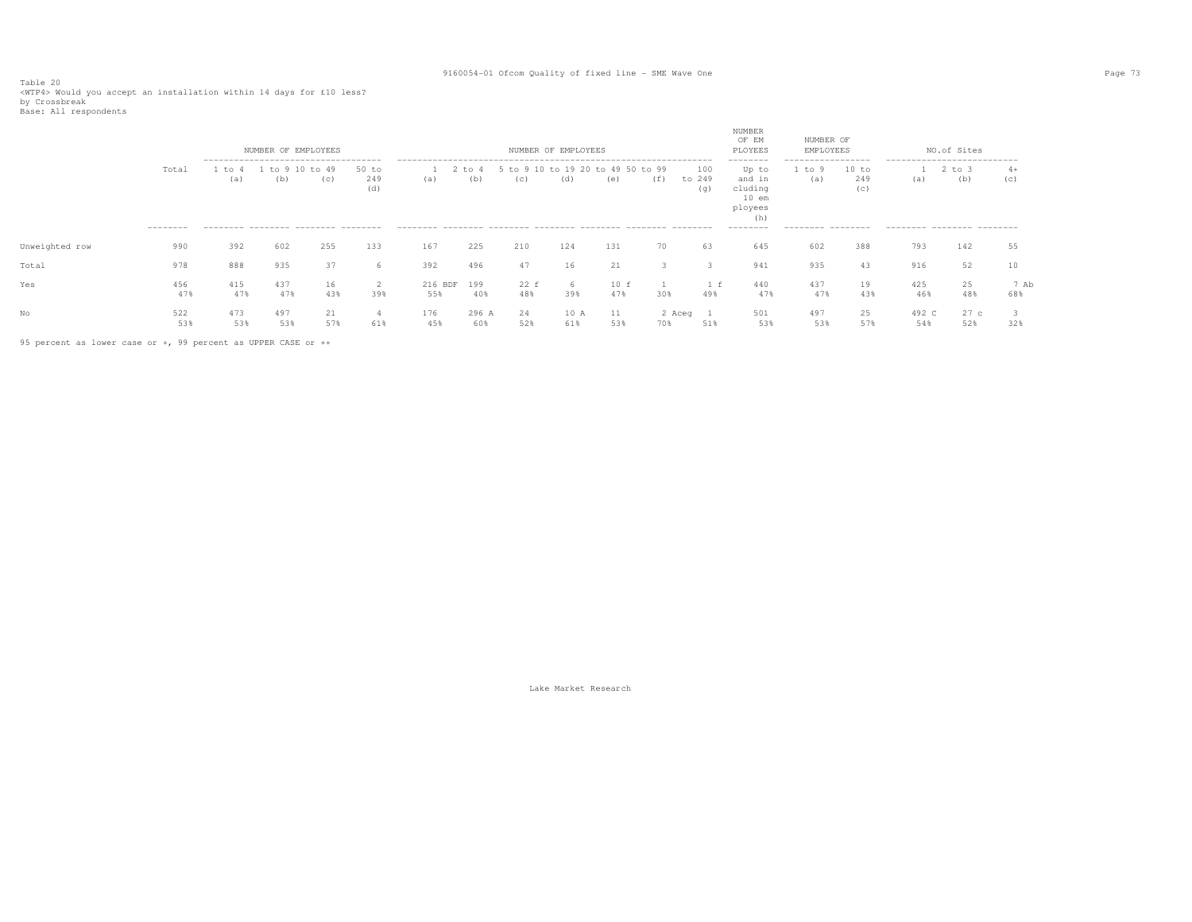Table 20<br><WTP4> Would you accept an installation within 14 days for £10 less?<br>by Crossbreak<br>Base: All respondents

|                |            |            | NUMBER OF EMPLOYEES                 |                |                       |                |                   |                           | NUMBER OF EMPLOYEES |                                |               |                      | NUMBER<br>OF EM<br>PLOYEES                                          | NUMBER OF<br>EMPLOYEES            |                     |                                     | NO.of Sites       |             |
|----------------|------------|------------|-------------------------------------|----------------|-----------------------|----------------|-------------------|---------------------------|---------------------|--------------------------------|---------------|----------------------|---------------------------------------------------------------------|-----------------------------------|---------------------|-------------------------------------|-------------------|-------------|
|                | Total      | to<br>(a)  | $+\circ$<br>(b)                     | $+0.49$<br>(c) | $50$ to<br>249<br>(d) | (a)            | $'$ to $4$<br>(b) | 5 to 9 10 to 19 20<br>(C) | (d)                 | 49 50 to 99<br>$+\circ$<br>(e) | ( ± )         | 100<br>to 249<br>(q) | --------<br>Up to<br>and in<br>cluding<br>$10$ em<br>ployees<br>(h) | ------------------<br>to 9<br>(a) | 10 to<br>249<br>(C) | ----------------------------<br>(a) | $2$ to $3$<br>(b) | $4+$<br>(c) |
|                | --------   |            | --------- -------- ------- -------- |                |                       |                |                   |                           |                     |                                |               |                      | ---------                                                           | --------- --------                |                     | --------- -------- -------          |                   |             |
| Unweighted row | 990        | 392        | 602                                 | 255            | 133                   | 167            | 225               | 210                       | 124                 | 131                            | 70            | 63                   | 645                                                                 | 602                               | 388                 | 793                                 | 142               | 55          |
| Total          | 978        | 888        | 935                                 | 37             | h                     | 392            | 496               | 47                        | 16                  | 21                             |               | - 3                  | 941                                                                 | 935                               | 43                  | 916                                 | 52                | 10          |
| Yes            | 456<br>47% | 415<br>47% | 437<br>47%                          | 16<br>43%      | $\epsilon$<br>39%     | 216 BDF<br>55% | 199<br>40%        | 22 f<br>48%               | h<br>39%            | 10 f<br>47%                    | 30%           | 49%                  | 440<br>47%                                                          | 437<br>47%                        | 19<br>43%           | 425<br>46%                          | 25<br>48%         | 7 Ab<br>68% |
| No             | 522<br>53% | 473<br>53% | 497<br>53%                          | 21<br>57%      | 61%                   | 176<br>45%     | 296 A<br>60%      | 24<br>52%                 | 10 A<br>61%         | 11<br>53%                      | 2 Aceg<br>70% | 51%                  | 501<br>53%                                                          | 497<br>53%                        | 25<br>57%           | 492 C<br>54%                        | 27c<br>52%        | 32%         |

95 percent as lower case or +, 99 percent as UPPER CASE or ++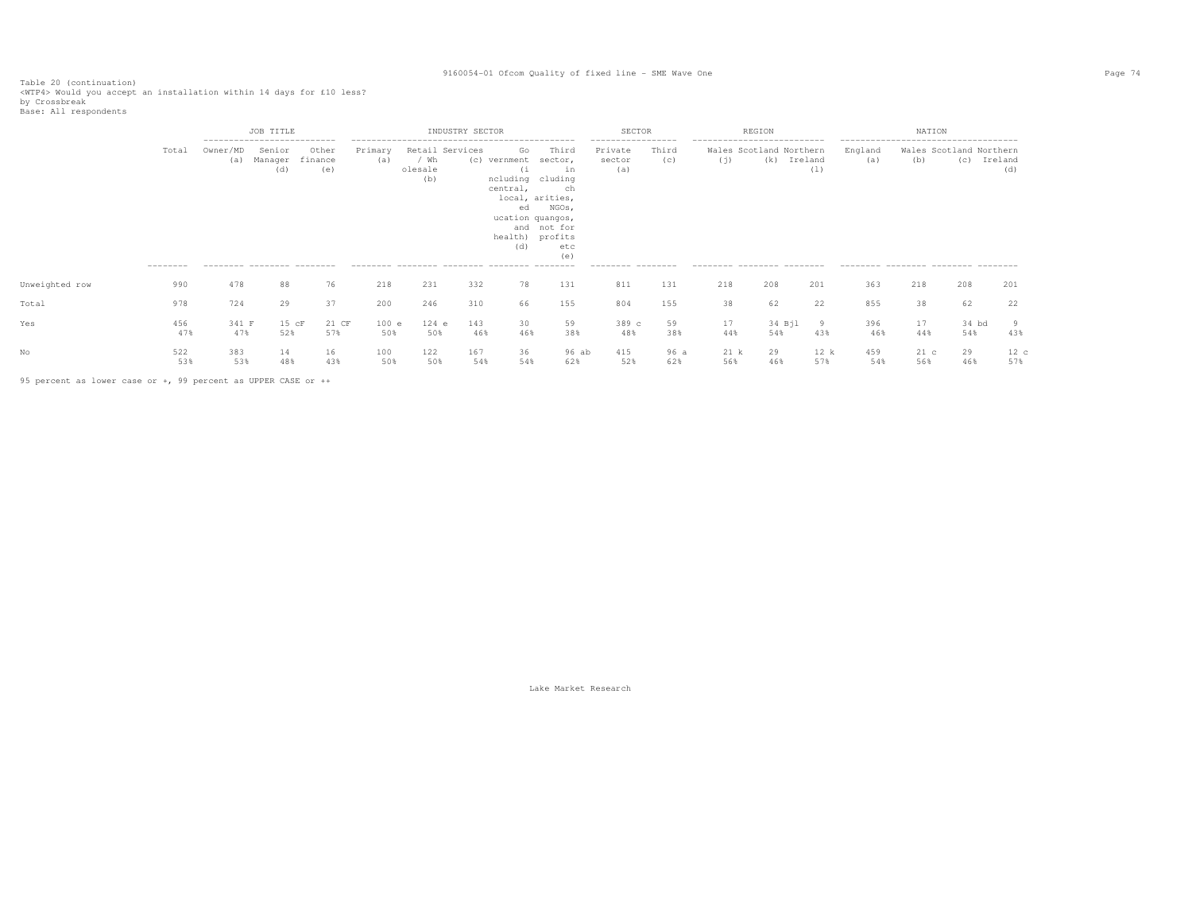Table 20 (continuation)<br><WTP4> Would you accept an installation within 14 days for £10 less?<br>by Crossbreak<br>Base: All respondents

|                |                    |                 | JOB TITLE<br>---------------------------               |                         |                |                        | INDUSTRY SECTOR |                                                    |                                                                                                                                                  | SECTOR                                                              |              |                                                                  | REGION                                 |             |                                                                                                 | NATION                 |                                |                |
|----------------|--------------------|-----------------|--------------------------------------------------------|-------------------------|----------------|------------------------|-----------------|----------------------------------------------------|--------------------------------------------------------------------------------------------------------------------------------------------------|---------------------------------------------------------------------|--------------|------------------------------------------------------------------|----------------------------------------|-------------|-------------------------------------------------------------------------------------------------|------------------------|--------------------------------|----------------|
|                | Total<br>--------- | Owner/MD<br>(a) | Senior<br>Manager<br>(d)<br>--------- -------- ------- | Other<br>finance<br>(e) | Primary<br>(a) | / Wh<br>olesale<br>(b) | Retail Services | Go<br>(c) vernment<br>(i)<br>central,<br>ed<br>(d) | Third<br>sector,<br>in<br>ncluding cluding<br>ch<br>local, arities,<br>NGOs,<br>ucation quangos,<br>and not for<br>health) profits<br>etc<br>(e) | -----------------<br>Private<br>sector<br>(a)<br>--------- -------- | Third<br>(c) | ---------------------------<br>(i)<br>--------- -------- ------- | Wales Scotland Northern<br>(k) Ireland | (1)         | --------------------------------------<br>England<br>(a)<br>--------- -------- -------- ------- | (b)                    | Wales Scotland Northern<br>(C) | Ireland<br>(d) |
| Unweighted row | 990                | 478             | 88                                                     | 76                      | 218            | 231                    | 332             | 78                                                 | 131                                                                                                                                              | 811                                                                 | 131          | 218                                                              | 208                                    | 201         | 363                                                                                             | 218                    | 208                            | 201            |
| Total          | 978                | 724             | 29                                                     | 37                      | 200            | 246                    | 310             | 66                                                 | 155                                                                                                                                              | 804                                                                 | 155          | 38                                                               | 62                                     | 22          | 855                                                                                             | 38                     | 62                             | 22             |
| Yes            | 456<br>47%         | 341 F<br>47%    | $15$ $cF$<br>52%                                       | 21 CF<br>57%            | 100 e<br>50%   | $124$ e<br>50%         | 143<br>46%      | 30<br>46%                                          | 59<br>38%                                                                                                                                        | 389 c<br>48%                                                        | 59<br>38%    | 17<br>44%                                                        | 34 Bjl<br>54%                          | - 9<br>43%  | 396<br>46%                                                                                      | 17<br>44%              | 34 bd<br>54%                   | 43%            |
|                | 522<br>53%         | 383<br>53%      | 14<br>48%                                              | 16<br>43%               | 100<br>50%     | 122<br>50%             | 167<br>54%      | 36<br>54%                                          | 96 ab<br>62%                                                                                                                                     | 415<br>52%                                                          | 96 a<br>62%  | 21 k<br>56%                                                      | 29<br>46%                              | 12 k<br>57% | 459<br>54%                                                                                      | 21 <sub>c</sub><br>56% | 29<br>46%                      | 12c<br>57%     |

95 percent as lower case or +, 99 percent as UPPER CASE or ++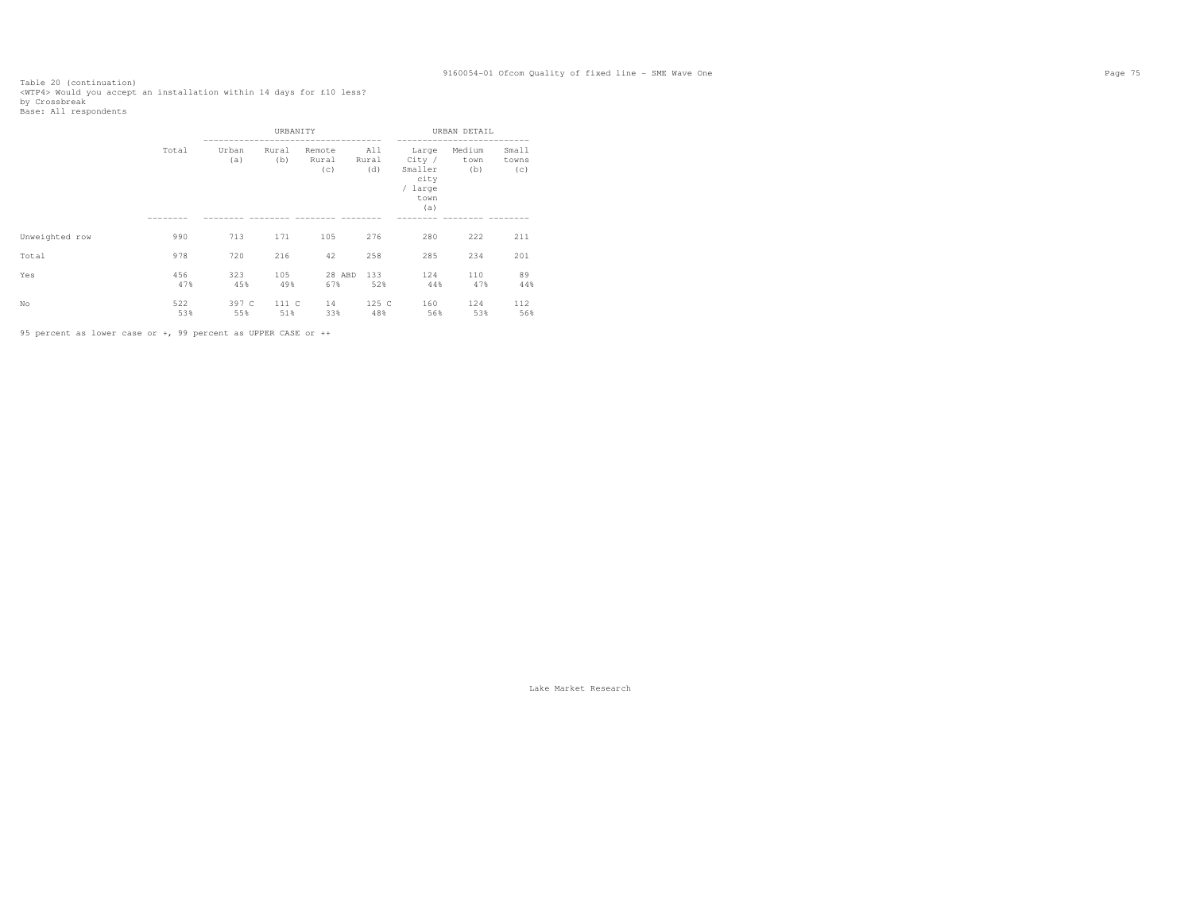Table 20 (continuation)<br><WTP4> Would you accept an installation within 14 days for £10 less?<br>by Crossbreak<br>Base: All respondents

|                |            |              | URBANITY     |                        |                     |                                                              | URBAN DETAIL          |                       |
|----------------|------------|--------------|--------------|------------------------|---------------------|--------------------------------------------------------------|-----------------------|-----------------------|
|                | Total      | Urban<br>(a) | Rural<br>(b) | Remote<br>Rural<br>(c) | All<br>Rural<br>(d) | Large<br>City /<br>Smaller<br>city<br>/ large<br>town<br>(a) | Medium<br>town<br>(b) | Small<br>towns<br>(c) |
|                |            |              |              |                        |                     |                                                              |                       |                       |
| Unweighted row | 990        | 713          | 171          | 105                    | 276                 | 280                                                          | 222                   | 211                   |
| Total          | 978        | 720          | 216          | 42                     | 258                 | 285                                                          | 234                   | 201                   |
| Yes            | 456<br>47% | 323<br>45%   | 105<br>49%   | 28 ABD<br>67%          | 133<br>52%          | 124<br>44%                                                   | 110<br>47%            | 89<br>44%             |
| No             | 522<br>53% | 397 C<br>55% | 111 C<br>51% | 14<br>33%              | 125 C<br>48%        | 160<br>56%                                                   | 124<br>53%            | 112<br>56%            |

95 percent as lower case or +, 99 percent as UPPER CASE or ++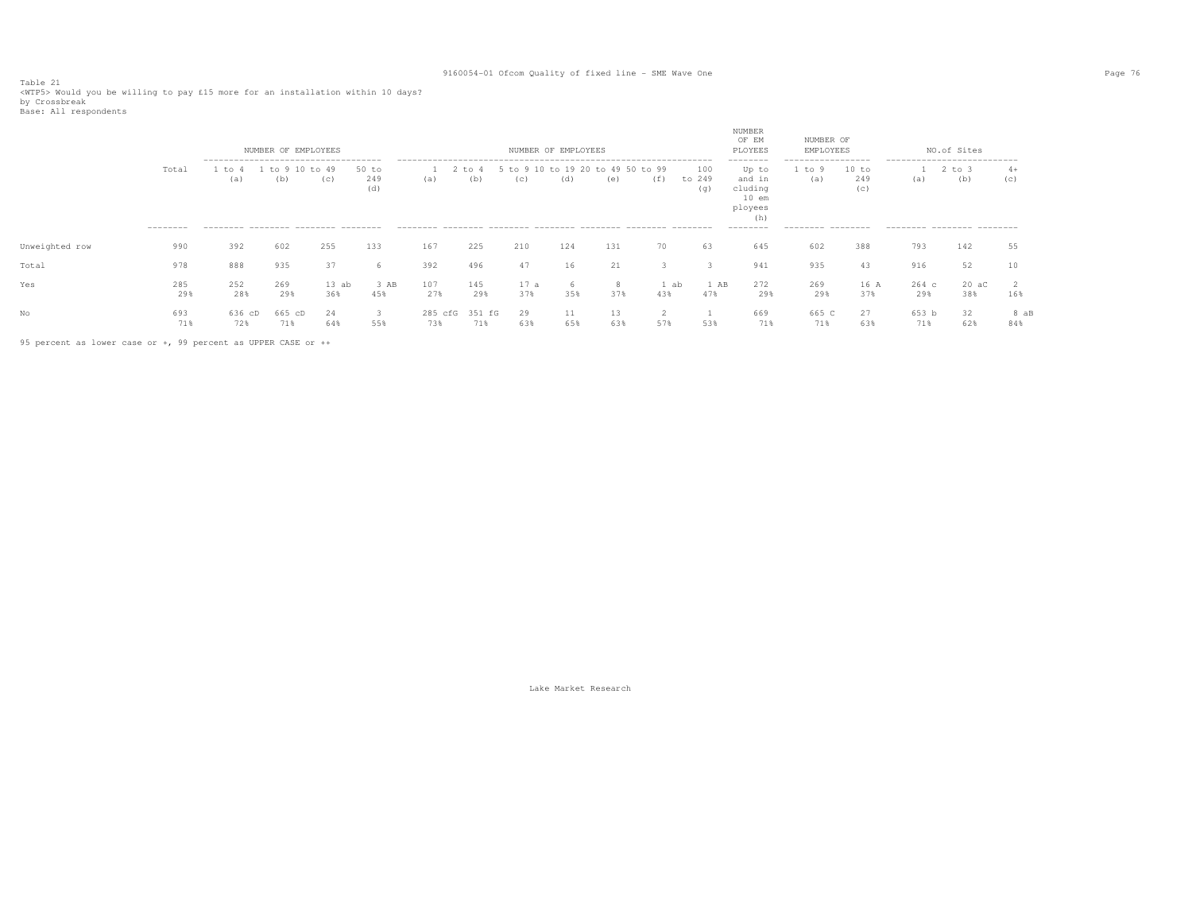Table 21 <WTP5> Would you be willing to pay £15 more for an installation within 10 days? by Crossbreak

|  | Base: All respondents |
|--|-----------------------|
|--|-----------------------|

|                |                    |                                                                                            | NUMBER OF EMPLOYEES |                |                     |                |                 |                 | NUMBER OF EMPLOYEES |                                |             |                      | NUMBER<br>OF EM<br>PLOYEES                                                       | NUMBER OF<br>EMPLOYEES                                 |                     |                | NO.of Sites                                                                |             |
|----------------|--------------------|--------------------------------------------------------------------------------------------|---------------------|----------------|---------------------|----------------|-----------------|-----------------|---------------------|--------------------------------|-------------|----------------------|----------------------------------------------------------------------------------|--------------------------------------------------------|---------------------|----------------|----------------------------------------------------------------------------|-------------|
|                | Total<br>--------- | --------------------------------------<br>to<br>(a)<br>--------- -------- ------- -------- | $+\circ$<br>(b)     | $+0.49$<br>(c) | 50 to<br>249<br>(d) | (a)            | $+\circ$<br>(b) | $+\circ$<br>(C) | to 19 20<br>(d)     | 49 50 to 99<br>$+\circ$<br>(e) | (f)         | 100<br>to 249<br>(q) | --------<br>Up to<br>and in<br>cluding<br>$10$ em<br>ployees<br>(h)<br>--------- | -----------------<br>to 9<br>(a)<br>--------- -------- | 10 to<br>249<br>(C) | (a)            | ---------------------------<br>2 to 3<br>(b)<br>--------- -------- ------- | $4+$<br>(C) |
| Unweighted row | 990                | 392                                                                                        | 602                 | 255            | 133                 | 167            | 225             | 210             | 124                 | 131                            | 70          | 63                   | 645                                                                              | 602                                                    | 388                 | 793            | 142                                                                        | 55          |
| Total          | 978                | 888                                                                                        | 935                 | 37             | 6                   | 392            | 496             | 47              | 16                  | 21                             |             |                      | 941                                                                              | 935                                                    | 43                  | 916            | 52                                                                         |             |
| Yes            | 285<br>29%         | 252<br>28%                                                                                 | 269<br>29%          | 13ab<br>36%    | 3 AB<br>45%         | 107<br>27%     | 145<br>29%      | 17a<br>37%      | h<br>35%            | 8<br>37%                       | 1 ab<br>43% | 1 AB<br>47%          | 272<br>29%                                                                       | 269<br>29%                                             | 16 A<br>37%         | $264$ c<br>29% | $20 \text{ ac}$<br>38%                                                     | 16%         |
| No             | 693<br>71%         | 636 cD<br>72%                                                                              | 665 cD<br>71%       | 24<br>64%      | 3<br>55%            | 285 cfG<br>73% | 351 fG<br>71%   | 29<br>63%       | 11<br>65%           | 63%                            | 57%         | 53%                  | 669<br>71%                                                                       | 665 C<br>71%                                           | 27<br>63%           | 653 b<br>71%   | 32<br>62%                                                                  | 8 aB<br>84% |

95 percent as lower case or +, 99 percent as UPPER CASE or ++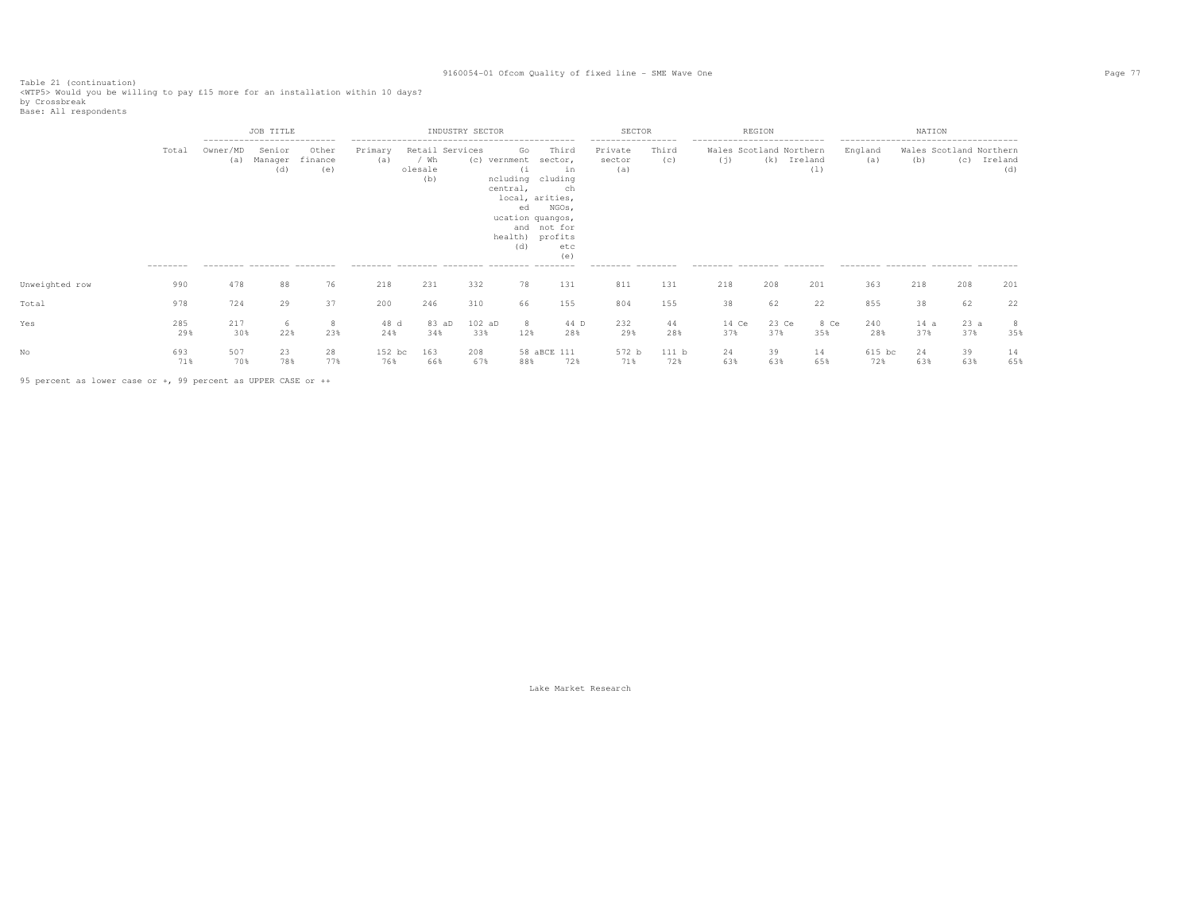Table 21 (continuation)<br><WTP5> Would you be willing to pay £15 more for an installation within 10 days?<br>by Crossbreak<br>Base: All respondents

|                |                   |                 | JOB TITLE<br>----------------------------              |                         |                |                                           | INDUSTRY SECTOR |                                                                      |                                                                                                                               | SECTOR                                                              |              |                                                                                             | REGION       |                |                                                       | NATION      |                                |                |
|----------------|-------------------|-----------------|--------------------------------------------------------|-------------------------|----------------|-------------------------------------------|-----------------|----------------------------------------------------------------------|-------------------------------------------------------------------------------------------------------------------------------|---------------------------------------------------------------------|--------------|---------------------------------------------------------------------------------------------|--------------|----------------|-------------------------------------------------------|-------------|--------------------------------|----------------|
|                | Total<br>-------- | Owner/MD<br>(a) | Senior<br>Manager<br>(d)<br>--------- -------- ------- | Other<br>finance<br>(e) | Primary<br>(a) | Retail Services<br>/ Wh<br>olesale<br>(b) |                 | Go<br>(c) vernment<br>(i<br>central,<br>local, arities,<br>ed<br>(d) | Third<br>sector,<br>in<br>ncluding cluding<br>ch<br>NGOs,<br>ucation quangos,<br>and not for<br>health) profits<br>etc<br>(e) | -----------------<br>Private<br>sector<br>(a)<br>--------- -------- | Third<br>(c) | ---------------------------<br>Wales Scotland Northern<br>(j)<br>--------- -------- ------- | (k)          | Ireland<br>(1) | England<br>(a)<br>--------- -------- -------- ------- | (b)         | Wales Scotland Northern<br>(C) | Ireland<br>(d) |
| Unweighted row | 990               | 478             | 88                                                     | 76                      | 218            | 231                                       | 332             | 78                                                                   | 131                                                                                                                           | 811                                                                 | 131          | 218                                                                                         | 208          | 201            | 363                                                   | 218         | 208                            | 201            |
| Total          | 978               | 724             | 29                                                     | 37                      | 200            | 246                                       | 310             | 66                                                                   | 155                                                                                                                           | 804                                                                 | 155          | 38                                                                                          | 62           | 22             | 855                                                   | 38          | 62                             | 22             |
| Yes            | 285<br>29%        | 217<br>30%      | -6<br>22%                                              | 23%                     | 48 d<br>24%    | 83 aD<br>34%                              | $102$ aD<br>33% | 8<br>12%                                                             | 44 D<br>28%                                                                                                                   | 232<br>29%                                                          | 44<br>28%    | 14 Ce<br>37%                                                                                | 23 Ce<br>37% | 8 Ce<br>35%    | 240<br>28%                                            | 14 a<br>37% | 23a<br>37%                     | 8<br>35%       |
|                | 693<br>71%        | 507<br>70%      | 23<br>78%                                              | 28<br>77%               | 152 bc<br>76%  | 163<br>66%                                | 208<br>67%      | 88%                                                                  | 58 aBCE 111<br>72%                                                                                                            | 572 b<br>71%                                                        | 111 b<br>72% | 24<br>63%                                                                                   | 39<br>63%    | 14<br>65%      | 615 bc<br>72%                                         | 24<br>63%   | 39<br>63%                      | 14<br>65%      |

95 percent as lower case or +, 99 percent as UPPER CASE or ++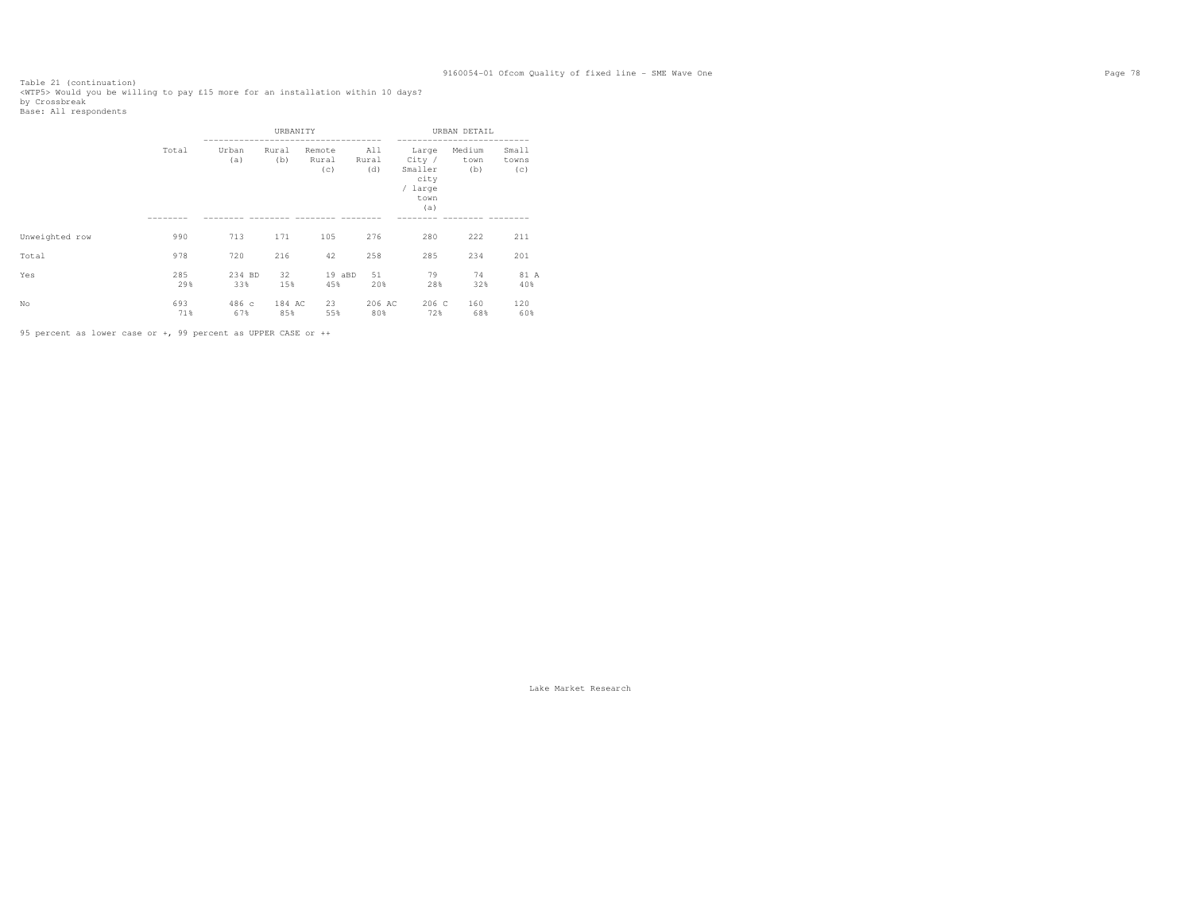Table 21 (continuation)<br><WTP5> Would you be willing to pay £15 more for an installation within 10 days?<br>by Crossbreak<br>Base: All respondents

|                |            |               | URBANITY      |                        |                     |                                                              | URBAN DETAIL          |                       |
|----------------|------------|---------------|---------------|------------------------|---------------------|--------------------------------------------------------------|-----------------------|-----------------------|
|                | Total      | Urban<br>(a)  | Rural<br>(b)  | Remote<br>Rural<br>(c) | All<br>Rural<br>(d) | Large<br>City /<br>Smaller<br>city<br>/ large<br>town<br>(a) | Medium<br>town<br>(b) | Small<br>towns<br>(c) |
| Unweighted row | 990        | 713           | 171           | 105                    | 276                 | 280                                                          | 222                   | 211                   |
| Total          | 978        | 720           | 216           | 42                     | 258                 | 285                                                          | 234                   | 201                   |
| Yes            | 285<br>29% | 234 BD<br>33% | 32<br>15%     | 19 aBD<br>45%          | 51<br>20%           | 79<br>28%                                                    | 74<br>32%             | 81 A<br>40%           |
| No             | 693<br>71% | 486c<br>67%   | 184 AC<br>85% | 23<br>55%              | 206 AC<br>80%       | 206 C<br>72%                                                 | 160<br>68%            | 120<br>60%            |

95 percent as lower case or +, 99 percent as UPPER CASE or ++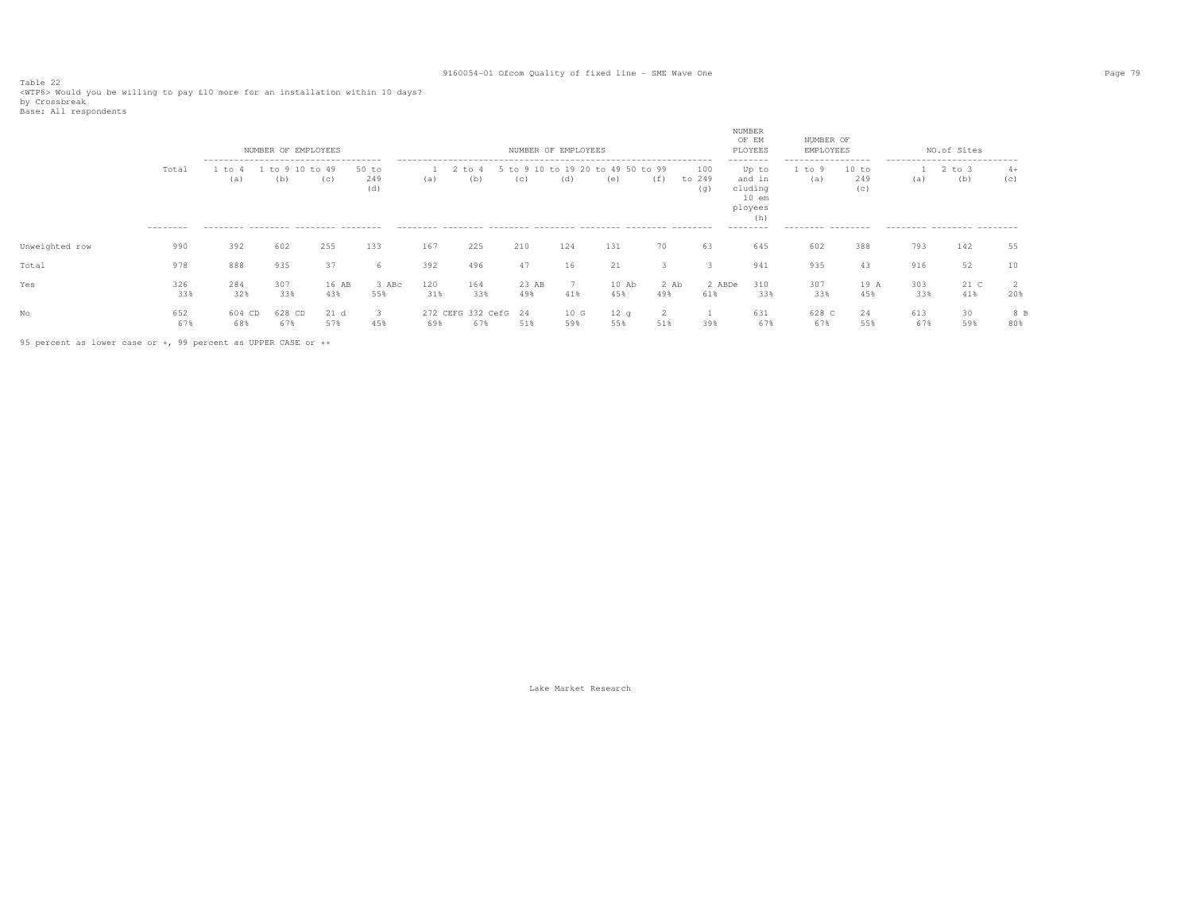Table 22<br><WTP6> Would you be willing to pay £10 more for an installation within 10 days?<br>by Crossbreak

| Base: All respondents |  |
|-----------------------|--|
|-----------------------|--|

|                |                    |                                                                                            | NUMBER OF EMPLOYEES      |              |                       |            |                             |              | NUMBER OF EMPLOYEES |                                          |               |                      | NUMBER<br>OF EM<br>PLOYEES<br>--------                               | NUMBER OF<br>EMPLOYEES<br>------------------ |                     |            | NO.of Sites<br>---------------------------- |             |
|----------------|--------------------|--------------------------------------------------------------------------------------------|--------------------------|--------------|-----------------------|------------|-----------------------------|--------------|---------------------|------------------------------------------|---------------|----------------------|----------------------------------------------------------------------|----------------------------------------------|---------------------|------------|---------------------------------------------|-------------|
|                | Total<br>--------- | --------------------------------------<br>to<br>(a)<br>--------- -------- -------- ------- | -10<br>$+\circ$ 9<br>(b) | to 49<br>(c) | $50$ to<br>249<br>(d) | (a)        | to 4<br>(b)                 | (C)          | (d)                 | 5 to 9 10 to 19 20 to 49 50 to 99<br>(e) | (f)           | 100<br>to 249<br>(q) | Up to<br>and in<br>cluding<br>$10$ em<br>ployees<br>(h)<br>--------- | to 9<br>(a)<br>--------- --------            | 10 to<br>249<br>(C) | (a)        | to 3<br>(b)<br>--------- -------- -------   | $4+$<br>(C) |
| Unweighted row | 990                | 392                                                                                        | 602                      | 255          | 133                   | 167        | 225                         | 210          | 124                 | 131                                      | 70            | 63                   | 645                                                                  | 602                                          | 388                 | 793        | 142                                         | 55          |
| Total          | 978                | 888                                                                                        | 935                      | 37           | 6                     | 392        | 496                         | 47           | 16                  | 21                                       |               |                      | 941                                                                  | 935                                          | 43                  | 916        | 52                                          | 10          |
| Yes            | 326<br>33%         | 284<br>32%                                                                                 | 307<br>33%               | 16 AB<br>43% | 3 ABc<br>55%          | 120<br>31% | 164<br>33%                  | 23 AB<br>49% | 41%                 | $10$ Ab<br>45%                           | $2$ Ab<br>49% | 2 ABDe<br>61%        | 310<br>33%                                                           | 307<br>33%                                   | 19 A<br>45%         | 303<br>33% | 21 C<br>41%                                 | 20%         |
|                | 652<br>67%         | 604 CD<br>68%                                                                              | 628 CD<br>67%            | 21 d<br>57%  | 45%                   | 69%        | 272 CEFG 332 CefG 24<br>678 | 51%          | 10 G<br>59%         | 12q<br>55%                               | 51%           | 39%                  | 631<br>67%                                                           | 628 C<br>67%                                 | 24<br>55%           | 613<br>67% | 30<br>59%                                   | 8 B<br>80%  |

95 percent as lower case or +, 99 percent as UPPER CASE or ++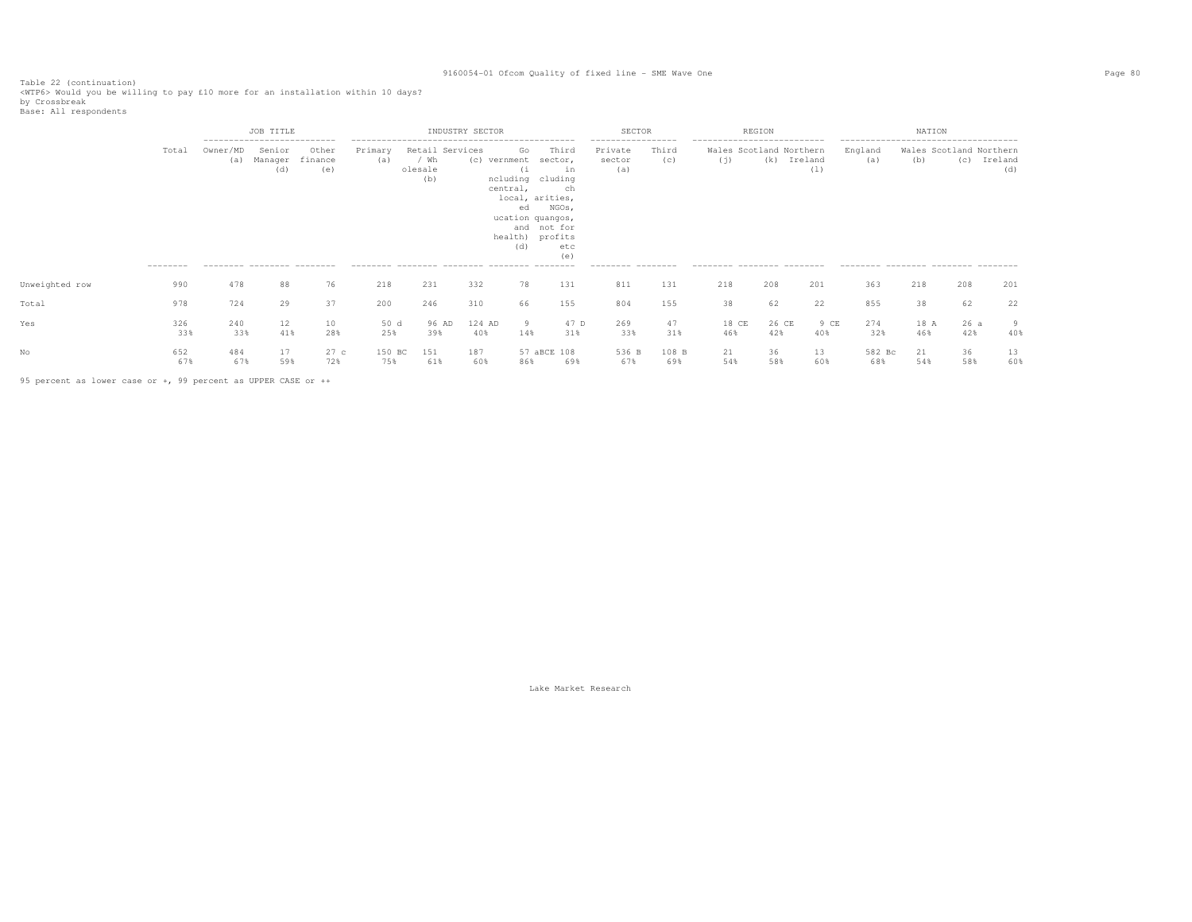Table 22 (continuation)<br><WTP6> Would you be willing to pay £10 more for an installation within 10 days?<br>by Crossbreak<br>Base: All respondents

|                |                          |                                               | JOB TITLE<br>--------------------------- |                         |                |                                           | INDUSTRY SECTOR |                                                                                                                                  |                                                                    | SECTOR                                                              |              |                                                                                              | REGION       |                |                                                       | NATION      |                                |                |
|----------------|--------------------------|-----------------------------------------------|------------------------------------------|-------------------------|----------------|-------------------------------------------|-----------------|----------------------------------------------------------------------------------------------------------------------------------|--------------------------------------------------------------------|---------------------------------------------------------------------|--------------|----------------------------------------------------------------------------------------------|--------------|----------------|-------------------------------------------------------|-------------|--------------------------------|----------------|
|                | Total<br>--------<br>990 | Owner/MD<br>(a)<br>--------- -------- ------- | Senior<br>Manager<br>(d)                 | Other<br>finance<br>(e) | Primary<br>(a) | Retail Services<br>/ Wh<br>olesale<br>(b) |                 | Go<br>(c) vernment<br>(i)<br>ncluding cluding<br>central,<br>local, arities,<br>ed<br>ucation quangos,<br>health) profits<br>(d) | Third<br>sector,<br>in<br>ch<br>NGOs,<br>and not for<br>etc<br>(e) | -----------------<br>Private<br>sector<br>(a)<br>--------- -------- | Third<br>(c) | ---------------------------<br>Wales Scotland Northern<br>(i)<br>--------- -------- -------- | (k)          | Ireland<br>(1) | England<br>(a)<br>--------- -------- -------- ------- | (b)         | Wales Scotland Northern<br>(C) | Ireland<br>(d) |
| Unweighted row |                          | 478                                           | 88                                       | 76                      | 218            | 231                                       | 332             | 78                                                                                                                               | 131                                                                | 811                                                                 | 131          | 218                                                                                          | 208          | 201            | 363                                                   | 218         | 208                            | 201            |
| Total          | 978                      | 724                                           | 29                                       | 37                      | 200            | 246                                       | 310             | 66                                                                                                                               | 155                                                                | 804                                                                 | 155          | 38                                                                                           | 62           | 22             | 855                                                   | 38          | 62                             | 22             |
| Yes            | 326<br>33%               | 240<br>33%                                    | 12<br>41%                                | 10<br>28%               | 50 d<br>25%    | 96 AD<br>39%                              | 124 AD<br>40%   | 9<br>14%                                                                                                                         | 47 D<br>31%                                                        | 269<br>33%                                                          | 47<br>31%    | 18 CE<br>46%                                                                                 | 26 CE<br>42% | 9 CE<br>40%    | 274<br>32%                                            | 18 A<br>46% | 26a<br>42%                     | 9<br>40%       |
|                | 652<br>67%               | 484<br>67%                                    | 17<br>59%                                | 27 с<br>72%             | 150 BC<br>75%  | 151<br>61%                                | 187<br>60%      | 86%                                                                                                                              | 57 aBCE 108<br>69%                                                 | 536 B<br>67%                                                        | 108 B<br>69% | 21<br>54%                                                                                    | 36<br>58%    | 13<br>60%      | 582 Bc<br>68%                                         | 21<br>54%   | 36<br>58%                      | 13<br>60%      |

95 percent as lower case or +, 99 percent as UPPER CASE or ++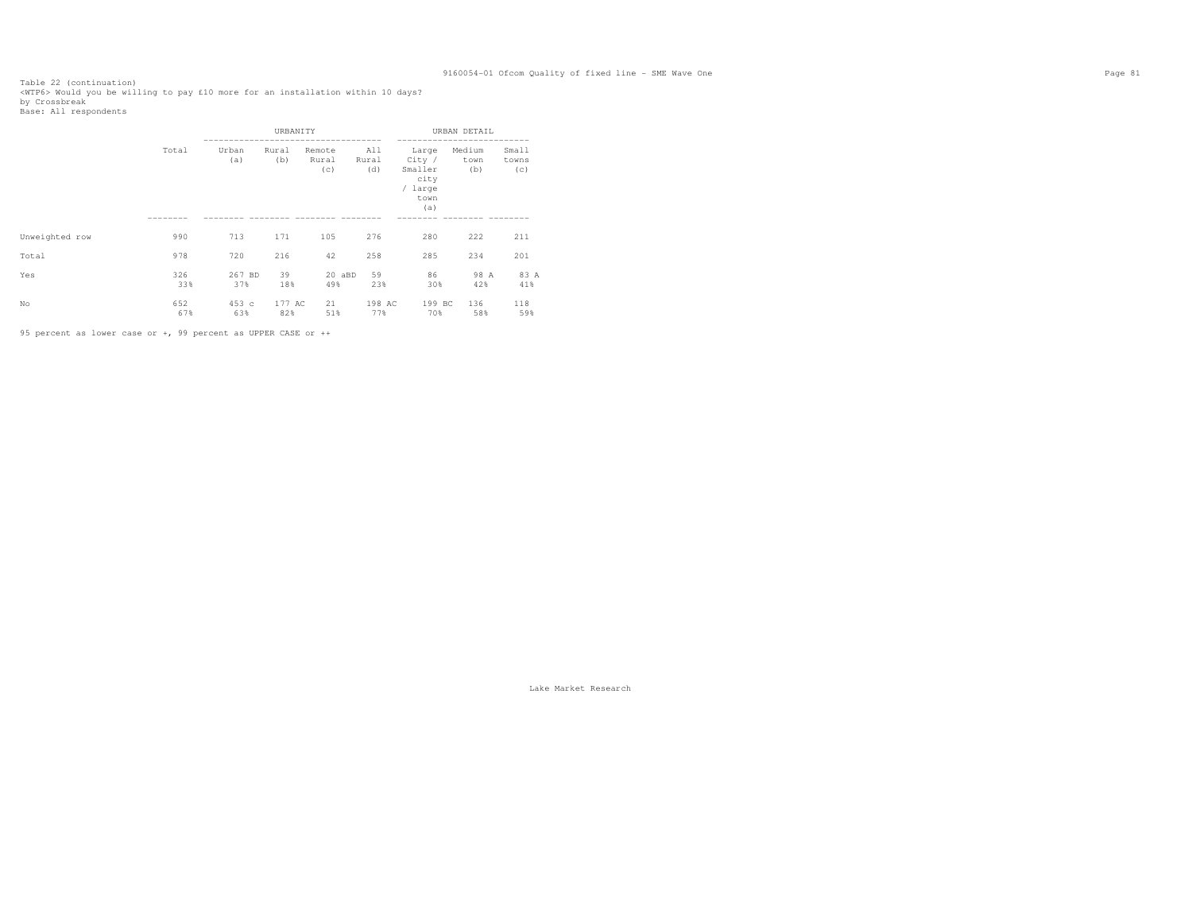Table 22 (continuation)<br><WTP6> Would you be willing to pay £10 more for an installation within 10 days?<br>by Crossbreak<br>Base: All respondents

|                |            |               | URBANITY      |                        |                     |                                                              | URBAN DETAIL          |                       |
|----------------|------------|---------------|---------------|------------------------|---------------------|--------------------------------------------------------------|-----------------------|-----------------------|
|                | Total      | Urban<br>(a)  | Rural<br>(b)  | Remote<br>Rural<br>(c) | All<br>Rural<br>(d) | Large<br>City /<br>Smaller<br>city<br>/ large<br>town<br>(a) | Medium<br>town<br>(b) | Small<br>towns<br>(c) |
|                |            |               |               |                        |                     |                                                              |                       |                       |
| Unweighted row | 990        | 713           | 171           | 105                    | 276                 | 280                                                          | 222                   | 211                   |
| Total          | 978        | 720           | 216           | 42                     | 258                 | 285                                                          | 234                   | 201                   |
| Yes            | 326<br>33% | 267 BD<br>37% | 39<br>18%     | 20 aBD<br>49%          | 59<br>23%           | 86<br>30%                                                    | 98 A<br>42%           | 83 A<br>41%           |
| No             | 652<br>67% | 453c<br>63%   | 177 AC<br>82% | 21<br>51%              | 198 AC<br>77%       | 199 BC<br>70%                                                | 136<br>58%            | 118<br>59%            |

95 percent as lower case or +, 99 percent as UPPER CASE or ++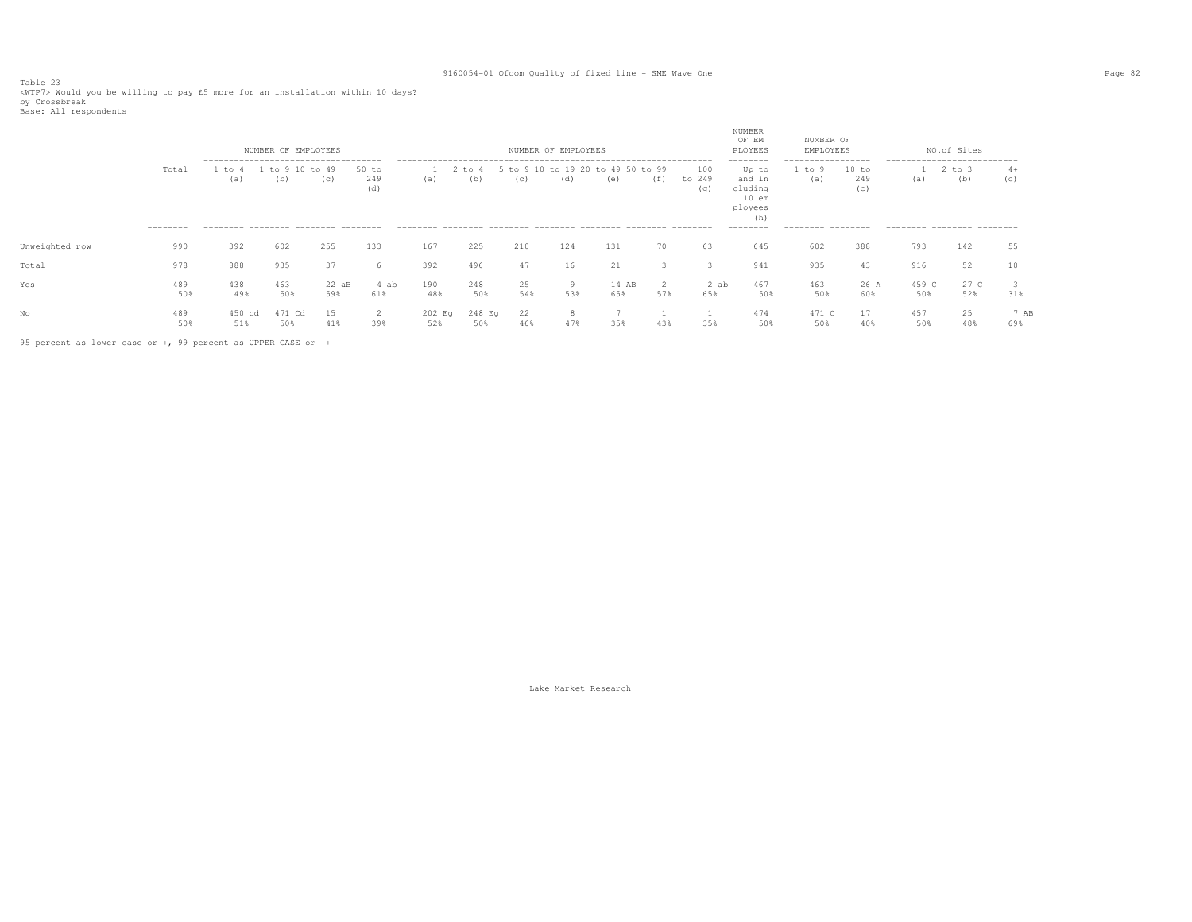Table 23<br><WTP7> Would you be willing to pay £5 more for an installation within 10 days?<br>by Crossbreak<br>Base: All respondents

|                |                    |                                                                                             | NUMBER OF EMPLOYEES |                |                       |               |               |               | NUMBER OF EMPLOYEES |              |              |                      | NUMBER<br>OF EM<br>PLOYEES                                                       | NUMBER OF<br>EMPLOYEES                                 |                     |                                                                  | NO.of Sites   |             |
|----------------|--------------------|---------------------------------------------------------------------------------------------|---------------------|----------------|-----------------------|---------------|---------------|---------------|---------------------|--------------|--------------|----------------------|----------------------------------------------------------------------------------|--------------------------------------------------------|---------------------|------------------------------------------------------------------|---------------|-------------|
|                | Total<br>--------- | --------------------------------------<br>to<br>(a)<br>--------- -------- -------- -------- | $+\circ$<br>(b)     | $+0.49$<br>(c) | $50$ to<br>249<br>(d) | (a)           | to 4<br>(d)   | $+0.9$<br>(C) | to 19 20<br>(d)     | (e)          | to 99<br>(1) | 100<br>to 249<br>(q) | --------<br>Up to<br>and in<br>cluding<br>$10$ em<br>ployees<br>(h)<br>--------- | -----------------<br>to 9<br>(a)<br>--------- -------- | 10 to<br>249<br>(C) | ---------------------------<br>(a)<br>--------- -------- ------- | 2 to 3<br>(b) | $4+$<br>(c) |
| Unweighted row | 990                | 392                                                                                         | 602                 | 255            | 133                   | 167           | 225           | 210           | 124                 | 131          | 70           | 63                   | 645                                                                              | 602                                                    | 388                 | 793                                                              | 142           | 55          |
| Total          | 978                | 888                                                                                         | 935                 | 37             | 6                     | 392           | 496           | 47            | 16                  | 21           |              |                      | 941                                                                              | 935                                                    | 43                  | 916                                                              | 52            |             |
| Yes            | 489<br>50%         | 438<br>49%                                                                                  | 463<br>50%          | $22$ aB<br>59% | 4 ab<br>61%           | 190<br>48%    | 248<br>50%    | 25<br>54%     | 9<br>53%            | 14 AB<br>65% | 57%          | 2 ab<br>65%          | 467<br>50%                                                                       | 463<br>50%                                             | 26 A<br>60%         | 459 C<br>50%                                                     | 27 C<br>52%   | 31%         |
| No             | 489<br>50%         | 450 cd<br>51%                                                                               | 471<br>ം ന<br>50%   | 15<br>41%      | 2<br>39%              | 202 Eq<br>52% | 248 Eq<br>50% | 22<br>46%     | 47%                 | 35%          | 43%          | 35%                  | 474<br>50%                                                                       | 471 C<br>50%                                           | 17<br>40%           | 457<br>50%                                                       | 25<br>48%     | 7 AB<br>69% |

95 percent as lower case or +, 99 percent as UPPER CASE or ++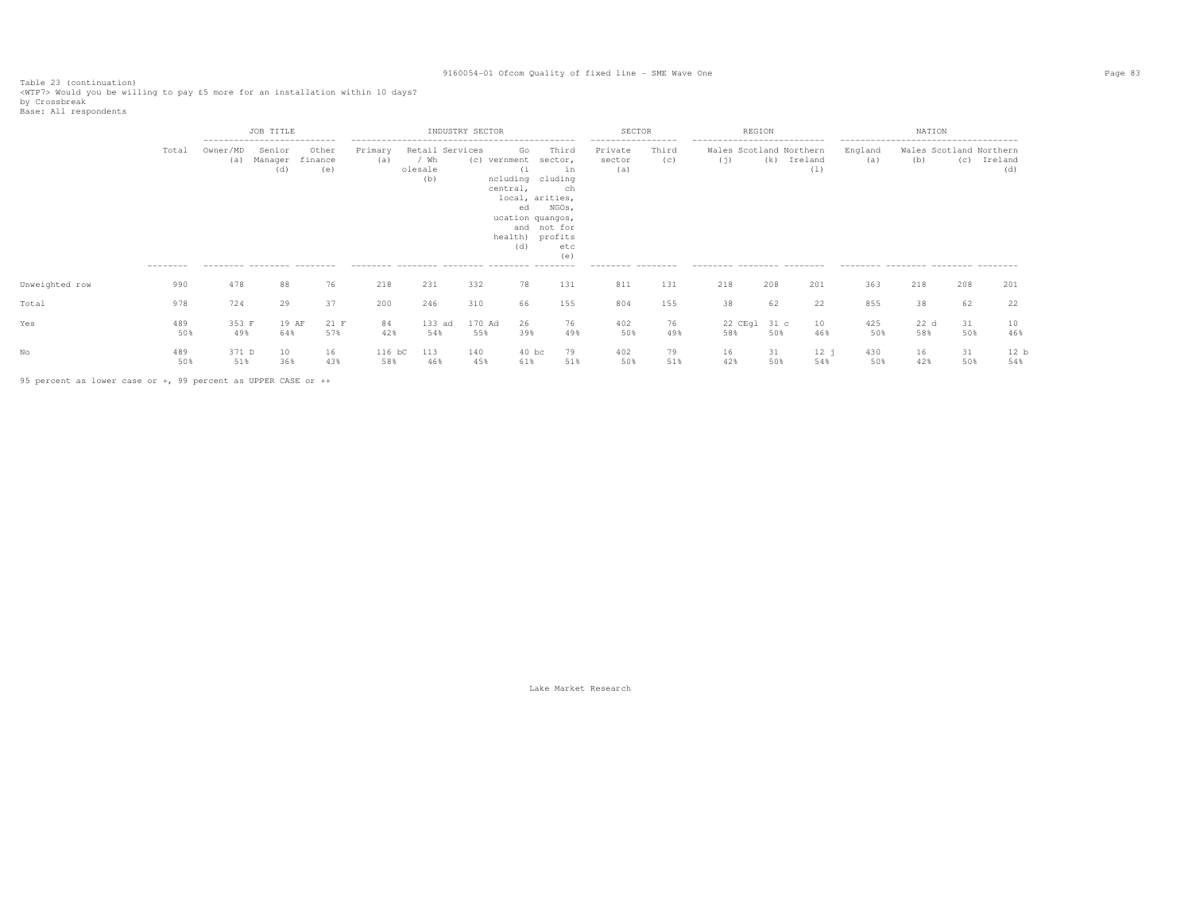Table 23 (continuation)<br><WTP7> Would you be willing to pay £5 more for an installation within 10 days?<br>by Crossbreak<br>Base: All respondents

|                |                    |                                                | JOB TITLE<br>--------------------------- |                         |                |                                           | INDUSTRY SECTOR |                                                                                                                                 |                                                     | SECTOR                                                              |              | REGION                                                                                       |           |                    |                                                          | NATION                         |           |                |
|----------------|--------------------|------------------------------------------------|------------------------------------------|-------------------------|----------------|-------------------------------------------|-----------------|---------------------------------------------------------------------------------------------------------------------------------|-----------------------------------------------------|---------------------------------------------------------------------|--------------|----------------------------------------------------------------------------------------------|-----------|--------------------|----------------------------------------------------------|--------------------------------|-----------|----------------|
|                | Total<br>--------- | Owner/MD<br>(a)<br>--------- -------- -------- | Senior<br>Manager<br>(d)                 | Other<br>finance<br>(e) | Primary<br>(a) | Retail Services<br>/ Wh<br>olesale<br>(b) | (c) vernment    | Go<br>(i)<br>ncluding cluding<br>central,<br>local, arities,<br>ed<br>ucation quangos,<br>and not for<br>health) profits<br>(d) | Third<br>sector,<br>in<br>ch<br>NGOs,<br>etc<br>(e) | -----------------<br>Private<br>sector<br>(a)<br>--------- -------- | Third<br>(C) | ---------------------------<br>Wales Scotland Northern<br>(i)<br>--------- -------- -------- |           | (k) Ireland<br>(1) | --------------------------------------<br>England<br>(a) | Wales Scotland Northern<br>(b) | (c)       | Ireland<br>(d) |
| Unweighted row | 990                | 478                                            | 88                                       | 76                      | 218            | 231                                       | 332             | 78                                                                                                                              | 131                                                 | 811                                                                 | 131          | 218                                                                                          | 208       | 201                | 363                                                      | 218                            | 208       | 201            |
| Total          | 978                | 724                                            | 29                                       | 37                      | 200            | 246                                       | 310             | 66                                                                                                                              | 155                                                 | 804                                                                 | 155          | 38                                                                                           | 62        | 22                 | 855                                                      | 38                             | 62        | 22             |
| Yes            | 489<br>50%         | 353 F<br>49%                                   | 19 AF<br>64%                             | 21 F<br>57%             | 84<br>42%      | 133 ad<br>54%                             | 170 Ad<br>55%   | 26<br>39%                                                                                                                       | 76<br>49%                                           | 402<br>50%                                                          | 76<br>49%    | 22 CEgl 31 c<br>58%                                                                          | 50%       | 10<br>46%          | 425<br>50%                                               | 22 d<br>58%                    | 31<br>50% | 10<br>46%      |
|                | 489<br>50%         | 371 D<br>51%                                   | 10<br>36%                                | 16<br>43%               | 116 bC<br>58%  | 113<br>46%                                | 140<br>45%      | $40$ bc<br>61%                                                                                                                  | 79<br>51%                                           | 402<br>50%                                                          | 79<br>51%    | 16<br>42%                                                                                    | 31<br>50% | 12j<br>54%         | 430<br>50%                                               | 16<br>42%                      | 31<br>50% | 12 b<br>54%    |

95 percent as lower case or +, 99 percent as UPPER CASE or ++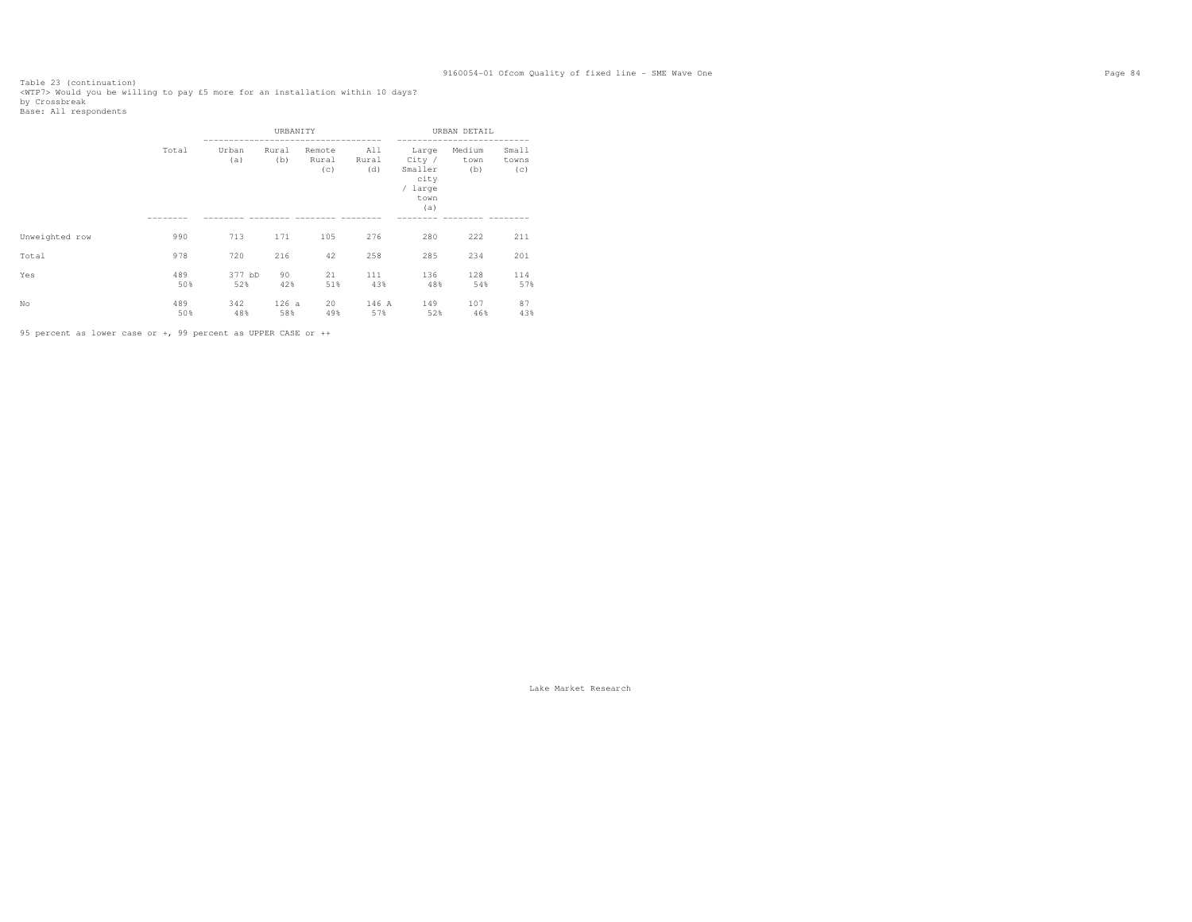Table 23 (continuation)<br><WTP7> Would you be willing to pay £5 more for an installation within 10 days?<br>by Crossbreak<br>Base: All respondents

|                |            |               | URBANITY     |                        |                     |                                                              | URBAN DETAIL          |                       |
|----------------|------------|---------------|--------------|------------------------|---------------------|--------------------------------------------------------------|-----------------------|-----------------------|
|                | Total      | Urban<br>(a)  | Rural<br>(b) | Remote<br>Rural<br>(c) | All<br>Rural<br>(d) | Large<br>City /<br>Smaller<br>city<br>/ large<br>town<br>(a) | Medium<br>town<br>(b) | Small<br>towns<br>(c) |
| Unweighted row | 990        | 713           | 171          | 105                    | 276                 | 280                                                          | 222                   | 211                   |
| Total          | 978        | 720           | 216          | 42                     | 258                 | 285                                                          | 234                   | 201                   |
| Yes            | 489<br>50% | 377 bD<br>52% | 90<br>42%    | 21<br>51%              | 111<br>43%          | 136<br>48%                                                   | 128<br>54%            | 114<br>57%            |
| No             | 489<br>50% | 342<br>48%    | 126a<br>58%  | 20<br>49%              | 146 A<br>57%        | 149<br>52%                                                   | 107<br>46%            | 87<br>43%             |

95 percent as lower case or +, 99 percent as UPPER CASE or ++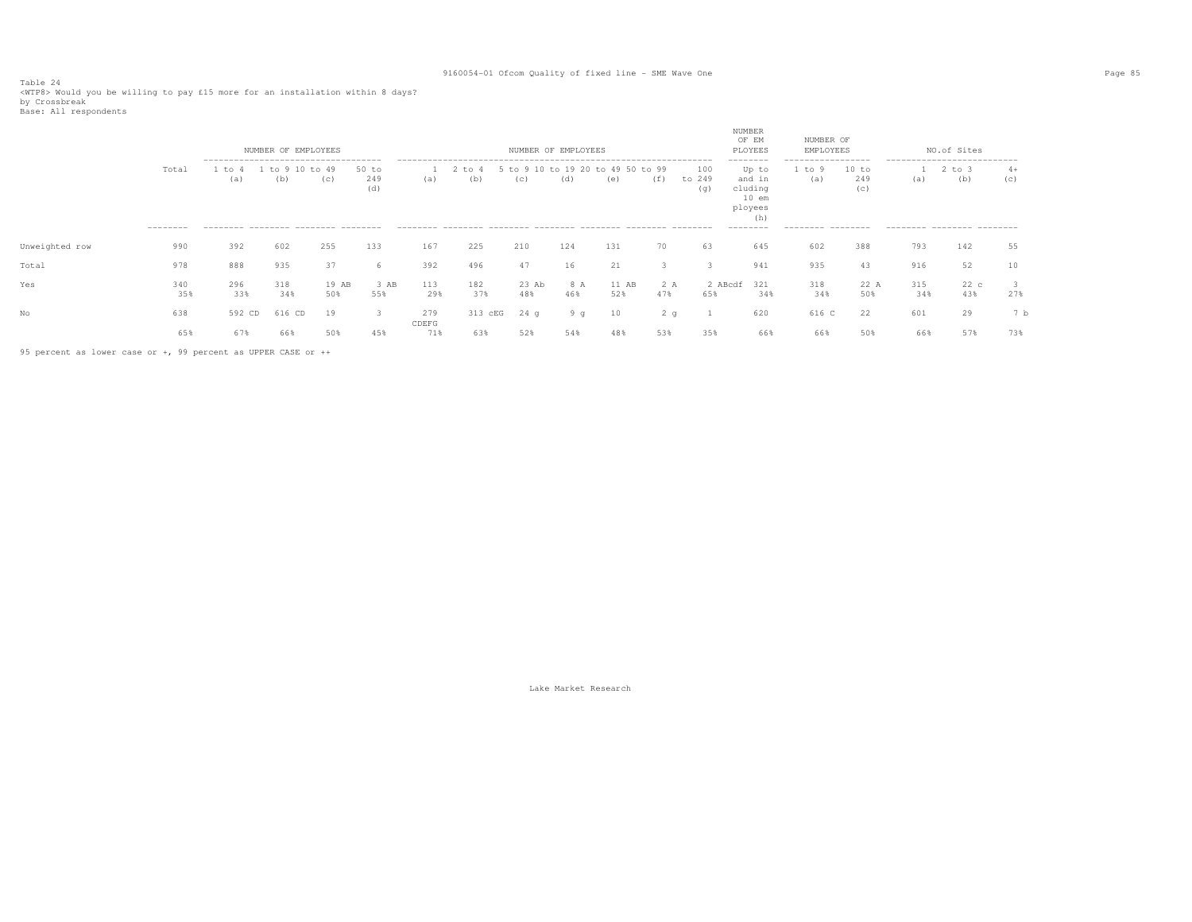Table 24<br><WTP8> Would you be willing to pay £15 more for an installation within 8 days?<br>ku Osseekusek by Crossbreak<br>Base: All respondents

| base: hit respondence |                    |                                                                                              |                      |              |                       |              |                   |              |                     |                                          |            |                      |                                                                                  |                                                          |                     |            |                                                                                |             |
|-----------------------|--------------------|----------------------------------------------------------------------------------------------|----------------------|--------------|-----------------------|--------------|-------------------|--------------|---------------------|------------------------------------------|------------|----------------------|----------------------------------------------------------------------------------|----------------------------------------------------------|---------------------|------------|--------------------------------------------------------------------------------|-------------|
|                       |                    |                                                                                              | NUMBER OF EMPLOYEES  |              |                       |              |                   |              | NUMBER OF EMPLOYEES |                                          |            |                      | <b>NUMBER</b><br>OF EM<br>PLOYEES                                                | NUMBER OF<br>EMPLOYEES                                   |                     |            | NO.of Sites                                                                    |             |
|                       | Total<br>--------- | --------------------------------------<br>to 4<br>(a)<br>--------- -------- -------- ------- | to 9 10 to 49<br>(b) | (C)          | $50$ to<br>249<br>(d) | (a)          | $2$ to $4$<br>(b) | (C)          | (d)                 | 5 to 9 10 to 19 20 to 49 50 to 99<br>(e) | (f)        | 100<br>to 249<br>(q) | --------<br>Up to<br>and in<br>cluding<br>$10$ em<br>ployees<br>(h)<br>--------- | -----------------<br>1 to 9<br>(a)<br>--------- -------- | 10 to<br>249<br>(c) | (a)        | ---------------------------<br>$2$ to $3$<br>(b)<br>--------- -------- ------- | $4+$<br>(c) |
| Unweighted row        | 990                | 392                                                                                          | 602                  | 255          | 133                   | 167          | 225               | 210          | 124                 | 131                                      | 70         | 63                   | 645                                                                              | 602                                                      | 388                 | 793        | 142                                                                            | 55          |
| Total                 | 978                | 888                                                                                          | 935                  | 37           | -6                    | 392          | 496               | 47           | 16                  | 21                                       | 3          | 3                    | 941                                                                              | 935                                                      | 43                  | 916        | 52                                                                             | 10          |
| Yes                   | 340<br>35%         | 296<br>33%                                                                                   | 318<br>34%           | 19 AB<br>50% | 3 AB<br>55%           | 113<br>29%   | 182<br>37%        | 23 Ab<br>48% | 8 A<br>46%          | 11 AB<br>52%                             | 2 A<br>47% | 65%                  | 2 ABcdf 321<br>34%                                                               | 318<br>34%                                               | 22 A<br>50%         | 315<br>34% | 22c<br>43%                                                                     | 27%         |
|                       | 638                | 592 CD                                                                                       | 616 CD               | 19           | 3                     | 279<br>CDEFG | 313 cEG           | $24$ q       | 9q                  | 10                                       | 2q         |                      | 620                                                                              | 616 C                                                    | 22                  | 601        | 29                                                                             | 7 b         |
|                       | 65%                | 67%                                                                                          | 66%                  | 50%          | 45%                   | 71%          | 63%               | 52%          | 54%                 | 48%                                      | 53%        | 35%                  | 66%                                                                              | 66%                                                      | 50%                 | 66%        | 57%                                                                            | 73%         |

95 percent as lower case or +, 99 percent as UPPER CASE or ++

Lake Market Research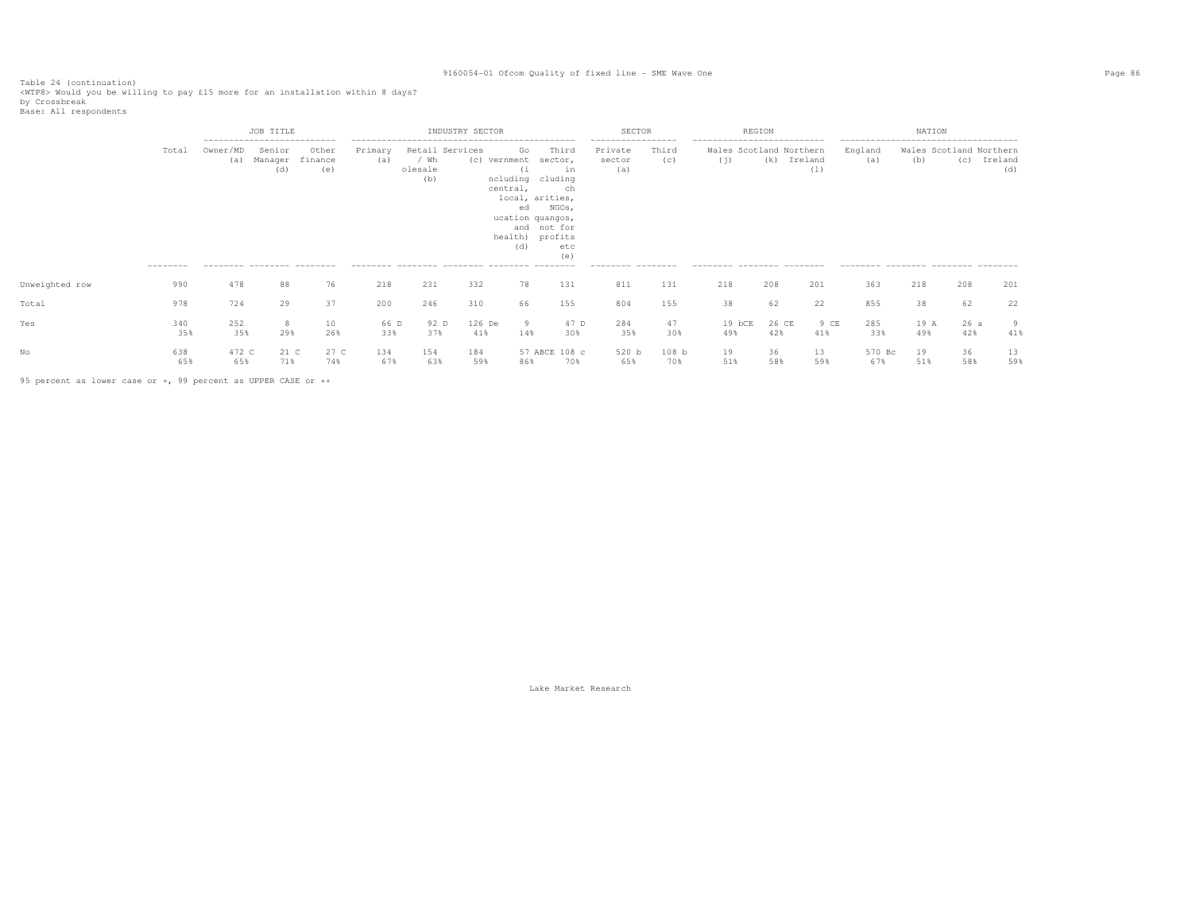Table 24 (continuation)<br><WTP8> Would you be willing to pay £15 more for an installation within 8 days?<br>by Crossbreak<br>Base: All respondents

|                |                   |                 | JOB TITLE<br>---------------------------                |                         |                |                                           | INDUSTRY SECTOR |                                                                                                                                 |                                                                    | SECTOR                                                              |                         |                                                                                             | REGION       |                |                                                                                                 | NATION      |                                |                |
|----------------|-------------------|-----------------|---------------------------------------------------------|-------------------------|----------------|-------------------------------------------|-----------------|---------------------------------------------------------------------------------------------------------------------------------|--------------------------------------------------------------------|---------------------------------------------------------------------|-------------------------|---------------------------------------------------------------------------------------------|--------------|----------------|-------------------------------------------------------------------------------------------------|-------------|--------------------------------|----------------|
|                | Total<br>-------- | Owner/MD<br>(a) | Senior<br>Manager<br>(d)<br>--------- -------- -------- | Other<br>finance<br>(e) | Primary<br>(a) | Retail Services<br>/ Wh<br>olesale<br>(b) |                 | Go<br>(c) vernment<br>(i<br>ncluding cluding<br>central,<br>local, arities,<br>ed<br>ucation quangos,<br>health) profits<br>(d) | Third<br>sector,<br>in<br>ch<br>NGOs,<br>and not for<br>etc<br>(e) | -----------------<br>Private<br>sector<br>(a)<br>--------- -------- | Third<br>(c)            | ---------------------------<br>Wales Scotland Northern<br>(j)<br>--------- -------- ------- | (k)          | Ireland<br>(1) | --------------------------------------<br>England<br>(a)<br>--------- -------- ------- -------- | (b)         | Wales Scotland Northern<br>(C) | Ireland<br>(d) |
| Unweighted row | 990               | 478             | 88                                                      | 76                      | 218            | 231                                       | 332             | 78                                                                                                                              | 131                                                                | 811                                                                 | 131                     | 218                                                                                         | 208          | 201            | 363                                                                                             | 218         | 208                            | 201            |
| Total          | 978               | 724             | 29                                                      | 37                      | 200            | 246                                       | 310             | 66                                                                                                                              | 155                                                                | 804                                                                 | 155                     | 38                                                                                          | 62           | 22             | 855                                                                                             | 38          | 62                             | 22             |
| Yes            | 340<br>35%        | 252<br>35%      | 8<br>29%                                                | 10<br>26%               | 66 D<br>33%    | 92 D<br>37%                               | 126 De<br>41%   | 9<br>14%                                                                                                                        | 47 D<br>30%                                                        | 284<br>35%                                                          | 47<br>30%               | $19$ bCE<br>49%                                                                             | 26 CE<br>42% | 9 CE<br>41%    | 285<br>33%                                                                                      | 19 A<br>49% | 26a<br>42%                     | 9<br>41%       |
|                | 638<br>65%        | 472 C<br>65%    | 21 C<br>71%                                             | 27 C<br>74%             | 134<br>67%     | 154<br>63%                                | 184<br>59%      | 86%                                                                                                                             | 57 ABCE 108 c<br>70%                                               | 520 b<br>65%                                                        | 108 <sub>b</sub><br>70% | 19<br>51%                                                                                   | 36<br>58%    | 13<br>59%      | 570 Bc<br>67%                                                                                   | 19<br>51%   | 36<br>58%                      | 13<br>59%      |

95 percent as lower case or +, 99 percent as UPPER CASE or ++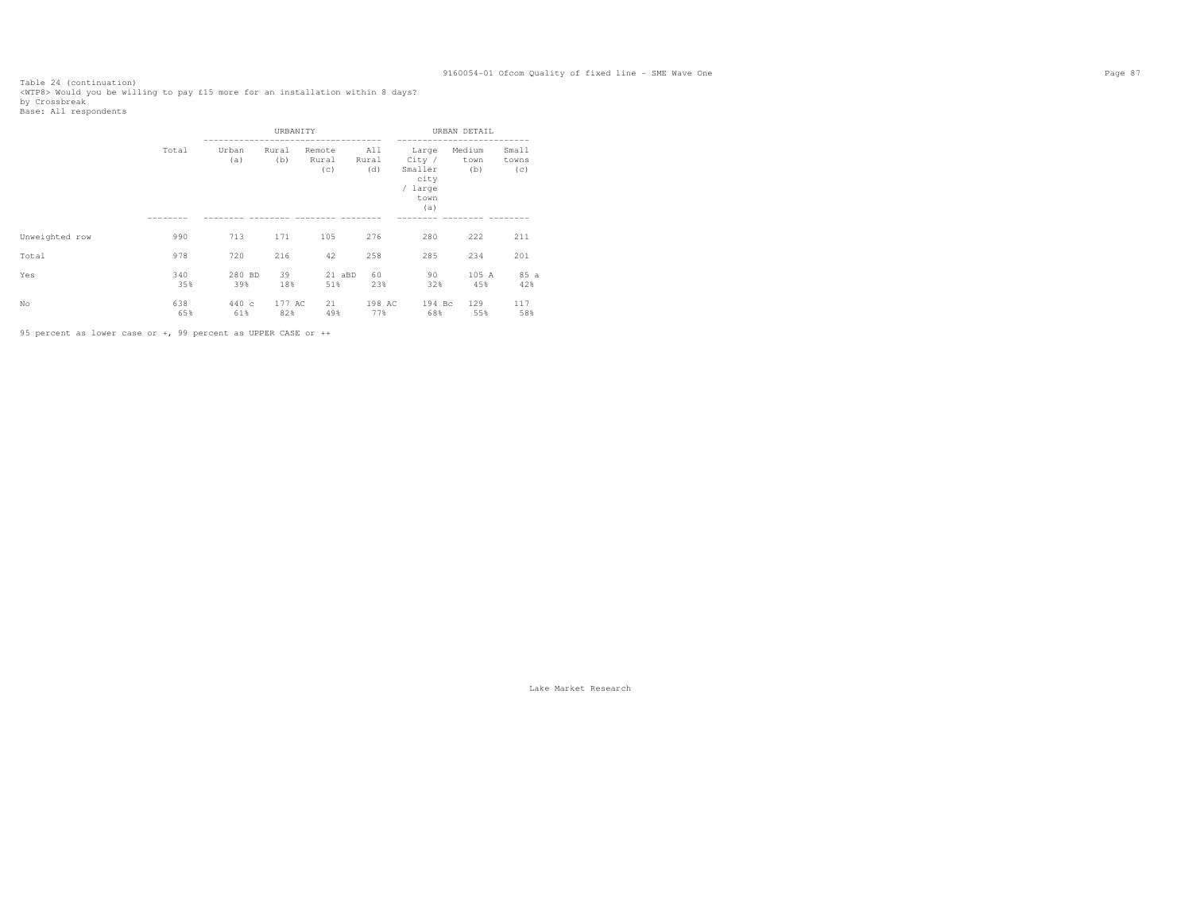Table 24 (continuation)<br><WTP8> Would you be willing to pay £15 more for an installation within 8 days?<br>by Crossbreak<br>Base: All respondents

|                |            |               | URBANITY      |                        |                     |                                                              | URBAN DETAIL          |                       |
|----------------|------------|---------------|---------------|------------------------|---------------------|--------------------------------------------------------------|-----------------------|-----------------------|
|                | Total      | Urban<br>(a)  | Rural<br>(b)  | Remote<br>Rural<br>(c) | All<br>Rural<br>(d) | Large<br>City /<br>Smaller<br>city<br>/ large<br>town<br>(a) | Medium<br>town<br>(b) | Small<br>towns<br>(c) |
|                |            |               |               |                        |                     |                                                              |                       |                       |
| Unweighted row | 990        | 713           | 171           | 105                    | 276                 | 280                                                          | 222                   | 211                   |
| Total          | 978        | 720           | 216           | 42                     | 258                 | 285                                                          | 234                   | 201                   |
| Yes            | 340<br>35% | 280 BD<br>39% | 39<br>18%     | 21 aBD<br>51%          | 60<br>23%           | 90<br>32%                                                    | 105 A<br>45%          | 85 a<br>42%           |
| No             | 638<br>65% | 440c<br>61%   | 177 AC<br>82% | 21<br>49%              | 198 AC<br>77%       | 194 Bc<br>68%                                                | 129<br>55%            | 117<br>58%            |

95 percent as lower case or +, 99 percent as UPPER CASE or ++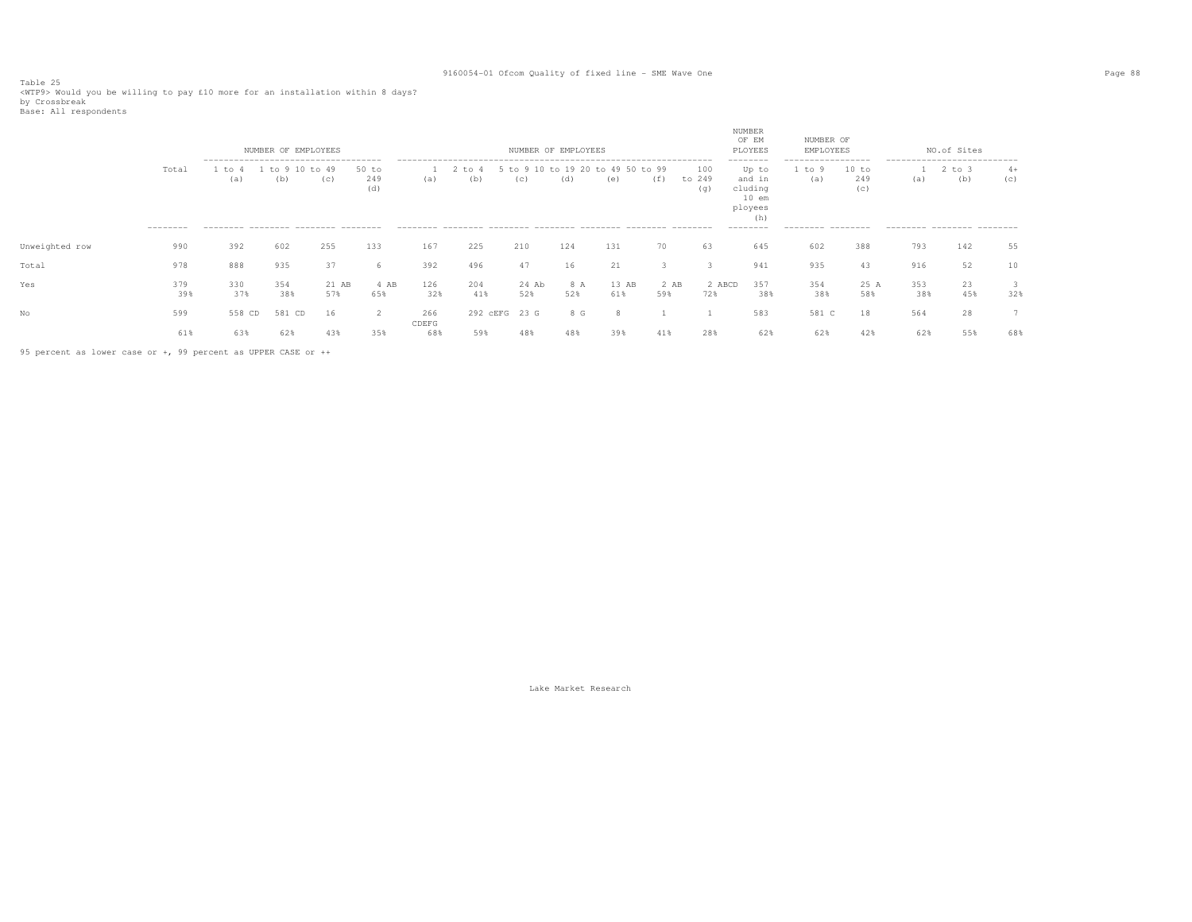Table 25<br><WTP9> Would you be willing to pay £10 more for an installation within 8 days?<br>by Crossbreak

| ny crossniear |                       |  |
|---------------|-----------------------|--|
|               | Base: All respondents |  |

|                |                   |                                                 | NUMBER OF EMPLOYEES  |              |                       |              |               |              | NUMBER OF EMPLOYEES |                                          |               |                      | NUMBER<br>OF EM<br>PLOYEES                                                       | NUMBER OF<br>EMPLOYEES                                 |                     |                                                                  | NO.of Sites       |             |
|----------------|-------------------|-------------------------------------------------|----------------------|--------------|-----------------------|--------------|---------------|--------------|---------------------|------------------------------------------|---------------|----------------------|----------------------------------------------------------------------------------|--------------------------------------------------------|---------------------|------------------------------------------------------------------|-------------------|-------------|
|                | Total<br>-------- | to<br>(a)<br>--------- -------- ------- ------- | to 9 10 to 49<br>(b) | (c)          | $50$ to<br>249<br>(d) | (a)          | to 4<br>(b)   | (c)          | (d)                 | 5 to 9 10 to 19 20 to 49 50 to 99<br>(e) | (f)           | 100<br>to 249<br>(q) | --------<br>Up to<br>and in<br>cluding<br>$10$ em<br>ployees<br>(h)<br>--------- | -----------------<br>to 9<br>(a)<br>--------- -------- | 10 to<br>249<br>(c) | ---------------------------<br>(a)<br>--------- -------- ------- | $2$ to $3$<br>(b) | $4+$<br>(c) |
| Unweighted row | 990               | 392                                             | 602                  | 255          | 133                   | 167          | 225           | 210          | 124                 | 131                                      | 70            | 63                   | 645                                                                              | 602                                                    | 388                 | 793                                                              | 142               | 55          |
| Total          | 978               | 888                                             | 935                  | 37           | 6                     | 392          | 496           | 47           | 16                  | 21                                       | 3             | ٩                    | 941                                                                              | 935                                                    | 43                  | 916                                                              | 52                | 10          |
| Yes            | 379<br>39%        | 330<br>37%                                      | 354<br>38%           | 21 AB<br>57% | 4 AB<br>65%           | 126<br>32%   | 204<br>41%    | 24 Ab<br>52% | 8 A<br>52%          | 13 AB<br>61%                             | $2$ AB<br>59% | 2 ABCD<br>72%        | 357<br>38%                                                                       | 354<br>38%                                             | 25 A<br>58%         | 353<br>38%                                                       | 23<br>45%         | 3<br>32%    |
|                | 599               | 558 CD                                          | 581 CD               | 16           | 2                     | 266          | 292 CEFG 23 G |              | 8 G                 |                                          |               |                      | 583                                                                              | 581 C                                                  | 18                  | 564                                                              | 28                |             |
|                | 61%               | 63%                                             | 62%                  | 43%          | 35%                   | CDEFG<br>68% | 59%           | 48%          | 48%                 | 39%                                      | 41%           | 28%                  | 62%                                                                              | 62%                                                    | 42%                 | 62%                                                              | 55%               | 68%         |

95 percent as lower case or +, 99 percent as UPPER CASE or ++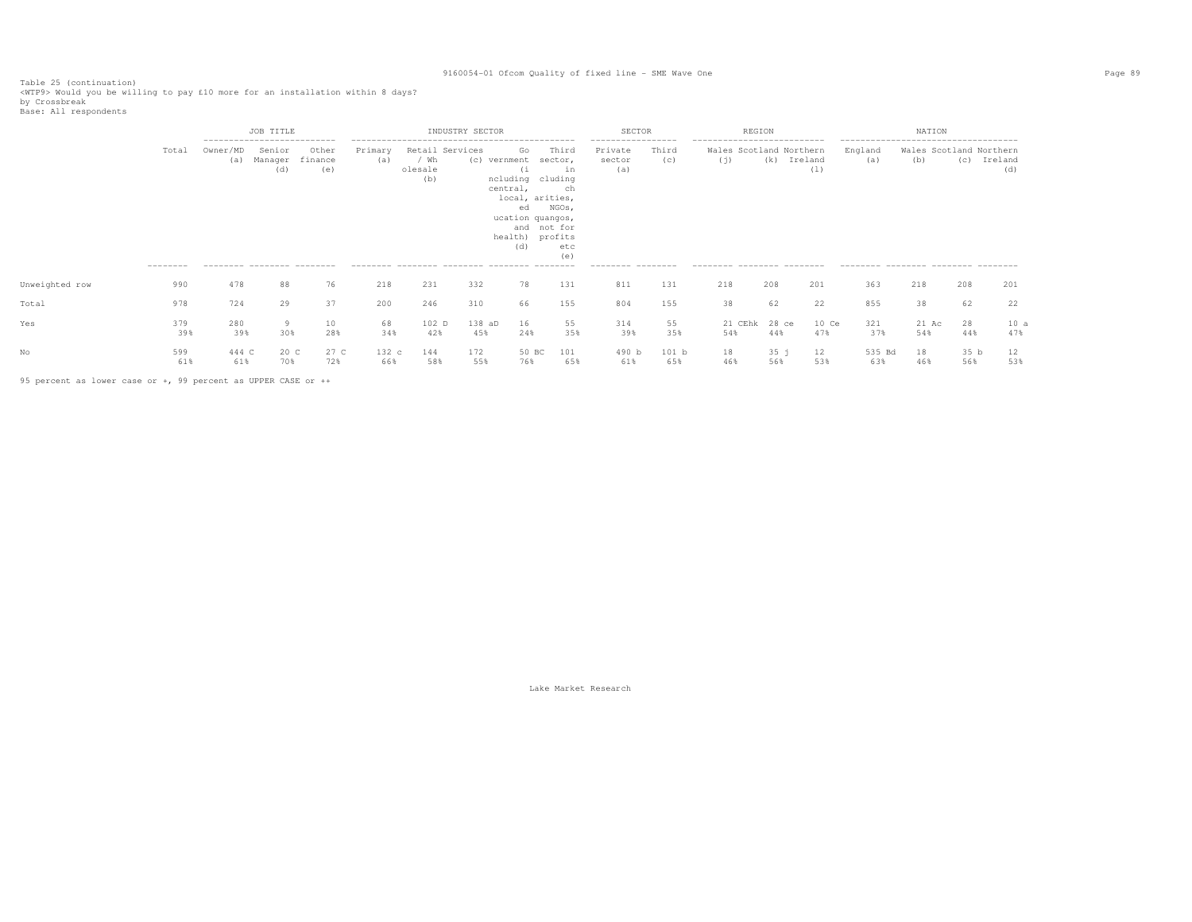Table 25 (continuation)<br><WTP9> Would you be willing to pay £10 more for an installation within 8 days?<br>by Crossbreak<br>Base: All respondents

|                |                   |                                                                              | JOB TITLE                |                         |                |                        | INDUSTRY SECTOR |                                                                                                               |                                                                                       | SECTOR                                                              |              |                                                                                             | REGION                 |                    |                                                                                               | NATION                         |                        |         |             |
|----------------|-------------------|------------------------------------------------------------------------------|--------------------------|-------------------------|----------------|------------------------|-----------------|---------------------------------------------------------------------------------------------------------------|---------------------------------------------------------------------------------------|---------------------------------------------------------------------|--------------|---------------------------------------------------------------------------------------------|------------------------|--------------------|-----------------------------------------------------------------------------------------------|--------------------------------|------------------------|---------|-------------|
|                | Total<br>-------- | ---------------------------<br>Owner/MD<br>(a)<br>--------- -------- ------- | Senior<br>Manager<br>(d) | Other<br>finance<br>(e) | Primary<br>(a) | / Wh<br>olesale<br>(b) | Retail Services | Go<br>(c) vernment<br>(i)<br>ncluding cluding<br>central,<br>ed<br>ucation quangos,<br>health) profits<br>(d) | Third<br>sector,<br>in<br>ch<br>local, arities,<br>NGOs,<br>and not for<br>etc<br>(e) | -----------------<br>Private<br>sector<br>(a)<br>--------- -------- | Third<br>(C) | ---------------------------<br>Wales Scotland Northern<br>(j)<br>--------- -------- ------- |                        | (k) Ireland<br>(1) | --------------------------------------<br>England<br>(a)<br>-------- -------- -------- ------ | Wales Scotland Northern<br>(b) | (C)                    | Ireland | (d)         |
| Unweighted row | 990               | 478                                                                          | 88                       | 76                      | 218            | 231                    | 332             | 78                                                                                                            | 131                                                                                   | 811                                                                 | 131          | 218                                                                                         | 208                    | 201                | 363                                                                                           | 218                            | 208                    |         | 201         |
| Total          | 978               | 724                                                                          | 29                       | 37                      | 200            | 246                    | 310             | 66                                                                                                            | 155                                                                                   | 804                                                                 | 155          | 38                                                                                          | 62                     | 22                 | 855                                                                                           | 38                             | 62                     |         | 22          |
| Yes            | 379<br>39%        | 280<br>39%                                                                   | 30%                      | 10<br>28%               | 68<br>34%      | 102 D<br>42%           | 138 aD<br>45%   | 16<br>24%                                                                                                     | 55<br>35%                                                                             | 314<br>39%                                                          | 55<br>35%    | 54%                                                                                         | 21 CEhk 28 ce<br>44%   | 10 Ce<br>47%       | 321<br>37%                                                                                    | 21 Ac<br>54%                   | 28<br>44%              |         | 10 a<br>47% |
|                | 599<br>61%        | 444 C<br>61%                                                                 | 20 C<br>70%              | 27 C<br>72%             | 132 c<br>66%   | 144<br>58%             | 172<br>55%      | 50 BC<br>76%                                                                                                  | 101<br>65%                                                                            | 490 b<br>61%                                                        | 101 b<br>65% | 18<br>46%                                                                                   | 35 <sup>1</sup><br>56% | 12<br>53%          | 535 Bd<br>63%                                                                                 | 18<br>46%                      | 35 <sub>b</sub><br>56% |         | 12<br>53%   |

95 percent as lower case or +, 99 percent as UPPER CASE or ++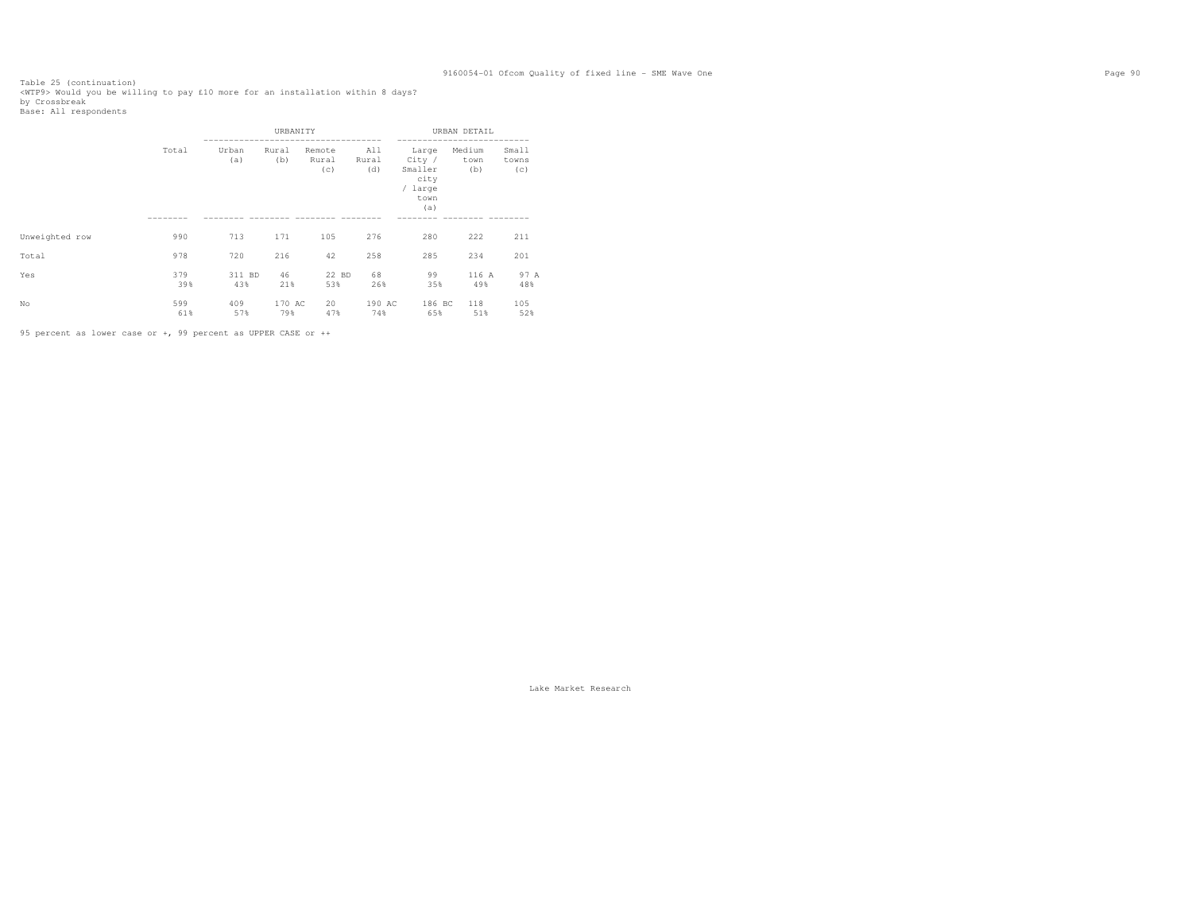Table 25 (continuation)<br><WTP9> Would you be willing to pay £10 more for an installation within 8 days?<br>by Crossbreak<br>Base: All respondents

|                |            |               | URBANITY      |                        |                     |                                                              | URBAN DETAIL          |                       |
|----------------|------------|---------------|---------------|------------------------|---------------------|--------------------------------------------------------------|-----------------------|-----------------------|
|                | Total      | Urban<br>(a)  | Rural<br>(b)  | Remote<br>Rural<br>(c) | All<br>Rural<br>(d) | Large<br>City /<br>Smaller<br>city<br>/ large<br>town<br>(a) | Medium<br>town<br>(b) | Small<br>towns<br>(c) |
|                |            |               |               |                        |                     |                                                              |                       |                       |
| Unweighted row | 990        | 713           | 171           | 105                    | 276                 | 280                                                          | 222                   | 211                   |
| Total          | 978        | 720           | 216           | 42                     | 258                 | 285                                                          | 234                   | 201                   |
| Yes            | 379<br>39% | 311 BD<br>43% | 46<br>21%     | 22 BD<br>53%           | 68<br>26%           | 99<br>35%                                                    | 116 A<br>49%          | 97 A<br>48%           |
| No             | 599<br>61% | 409<br>57%    | 170 AC<br>79% | 20<br>47%              | 190 AC<br>74%       | 186 BC<br>65%                                                | 118<br>51%            | 105<br>52%            |

95 percent as lower case or +, 99 percent as UPPER CASE or ++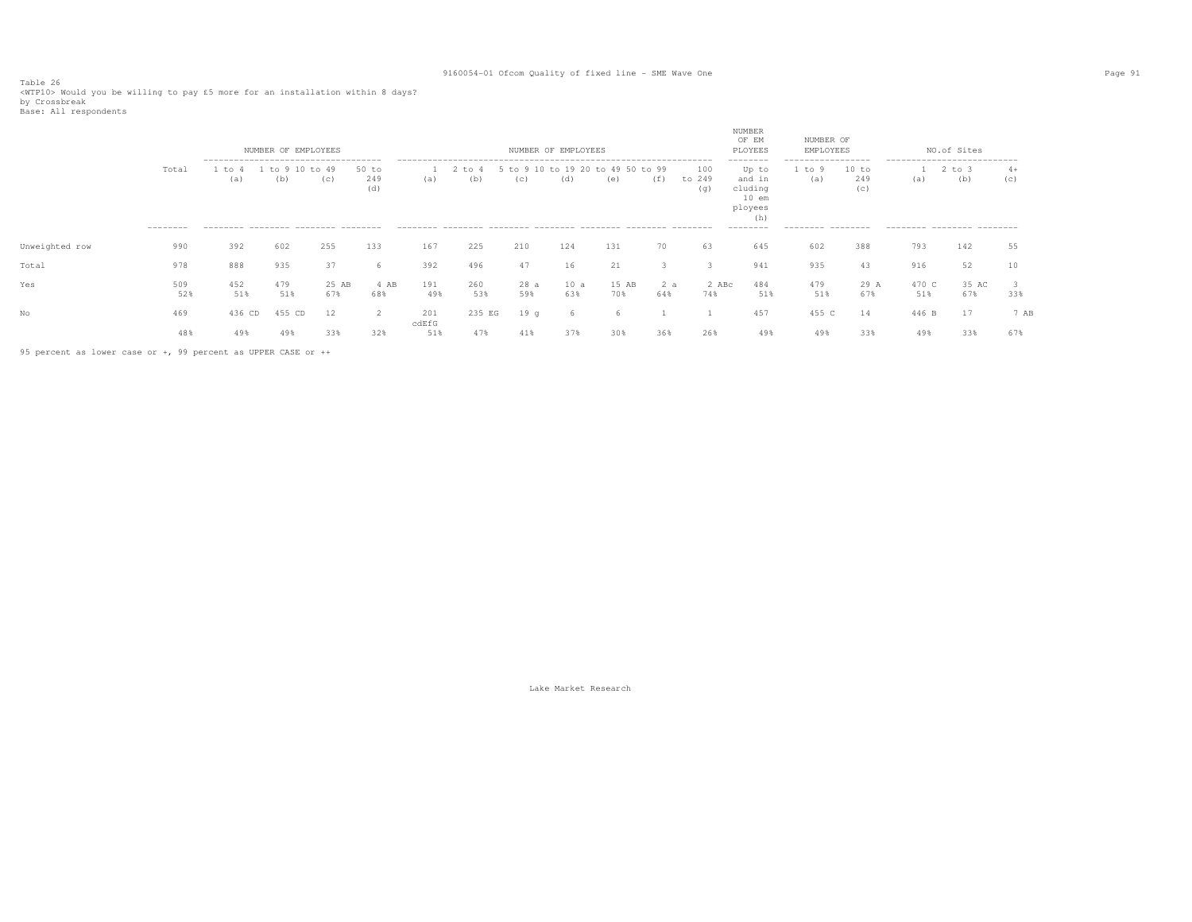Table 26 <WTP10> Would you be willing to pay £5 more for an installation within 8 days? by Crossbreak

|  | Base: All respondents |
|--|-----------------------|
|--|-----------------------|

|                |                    |               | NUMBER OF EMPLOYEES                                       |              |                     |              |                   |             | NUMBER OF EMPLOYEES                      |              |            |                      | NUMBER<br>OF EM<br>PLOYEES                                                       | NUMBER OF<br>EMPLOYEES                                     |                     |              | NO.of Sites                                                                     |             |
|----------------|--------------------|---------------|-----------------------------------------------------------|--------------|---------------------|--------------|-------------------|-------------|------------------------------------------|--------------|------------|----------------------|----------------------------------------------------------------------------------|------------------------------------------------------------|---------------------|--------------|---------------------------------------------------------------------------------|-------------|
|                | Total<br>--------- | . to 4<br>(a) | -------------------------------------<br>1 to 9 10<br>(b) | to 49<br>(c) | 50 to<br>249<br>(d) | (a)          | $2$ to $4$<br>(b) | (C)         | 5 to 9 10 to 19 20 to 49 50 to 99<br>(d) | (e)          | (f)        | 100<br>to 249<br>(q) | --------<br>Up to<br>and in<br>cluding<br>$10$ em<br>ployees<br>(h)<br>--------- | -------------------<br>1 to 9<br>(a)<br>--------- -------- | 10 to<br>249<br>(c) | (a)          | ----------------------------<br>$2$ to $3$<br>(b)<br>--------- -------- ------- | $4+$<br>(C) |
| Unweighted row | 990                | 392           | 602                                                       | 255          | 133                 | 167          | 225               | 210         | 124                                      | 131          | 70         | 63                   | 645                                                                              | 602                                                        | 388                 | 793          | 142                                                                             | 55          |
| Total          | 978                | 888           | 935                                                       | 37           | -6                  | 392          | 496               | 47          | 16                                       | 21           |            | 3                    | 941                                                                              | 935                                                        | 43                  | 916          | 52                                                                              |             |
| Yes            | 509<br>52%         | 452<br>51%    | 479<br>51%                                                | 25 AB<br>67% | 4 AB<br>68%         | 191<br>49%   | 260<br>53%        | 28 a<br>59% | 10a<br>63%                               | 15 AB<br>70% | 2 a<br>64% | 2 ABc<br>74%         | 484<br>51%                                                                       | 479<br>51%                                                 | 29 A<br>67%         | 470 C<br>51% | 35 AC<br>67%                                                                    | 33%         |
| No             | 469                | 436 CD        | 455 CD                                                    | 12           | 2                   | 201<br>cdEfG | 235 EG            | 19q         | 6                                        |              |            |                      | 457                                                                              | 455 C                                                      | 14                  | 446 B        | 17                                                                              | 7 AB        |
|                | 48%                | 49%           | 49%                                                       | 33%          | 32%                 | 51%          | 47%               | 41%         | 37%                                      | 30%          | 36%        | 26%                  | 49%                                                                              | 49%                                                        | 33%                 | 49%          | 33%                                                                             | 67%         |

95 percent as lower case or +, 99 percent as UPPER CASE or ++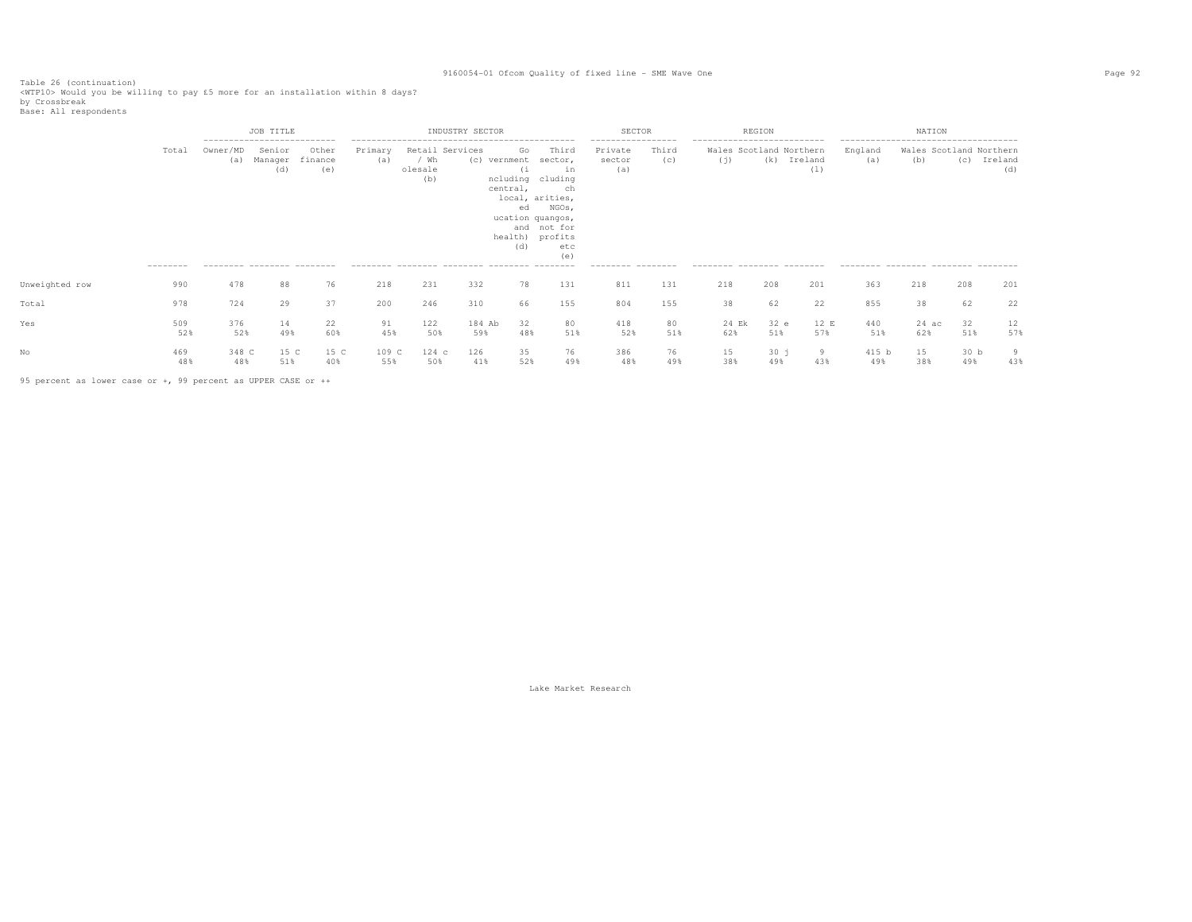Table 26 (continuation)<br><WTP10> Would you be willing to pay £5 more for an installation within 8 days?<br>by Crossbreak<br>Base: All respondents

|                |                   |                                                | JOB TITLE<br>---------------------------- |                         |                |                                           | INDUSTRY SECTOR |                                                   |                                                                                                                                                  | SECTOR                                                              |              |                                                                                             | REGION      |                    |                                                       | NATION         |                                |                |
|----------------|-------------------|------------------------------------------------|-------------------------------------------|-------------------------|----------------|-------------------------------------------|-----------------|---------------------------------------------------|--------------------------------------------------------------------------------------------------------------------------------------------------|---------------------------------------------------------------------|--------------|---------------------------------------------------------------------------------------------|-------------|--------------------|-------------------------------------------------------|----------------|--------------------------------|----------------|
|                | Total<br>-------- | Owner/MD<br>(a)<br>--------- -------- -------- | Senior<br>Manager<br>(d)                  | Other<br>finance<br>(e) | Primary<br>(a) | Retail Services<br>/ Wh<br>olesale<br>(b) |                 | Go<br>(c) vernment<br>(i<br>central,<br>ed<br>(d) | Third<br>sector,<br>in<br>ncluding cluding<br>ch<br>local, arities,<br>NGOs,<br>ucation quangos,<br>and not for<br>health) profits<br>etc<br>(e) | -----------------<br>Private<br>sector<br>(a)<br>--------- -------- | Third<br>(c) | --------------------------<br>Wales Scotland Northern<br>(i)<br>--------- -------- -------- |             | (k) Ireland<br>(1) | England<br>(a)<br>--------- -------- -------- ------- | (b)            | Wales Scotland Northern<br>(C) | Ireland<br>(d) |
| Unweighted row | 990               | 478                                            | 88                                        | 76                      | 218            | 231                                       | 332             | 78                                                | 131                                                                                                                                              | 811                                                                 | 131          | 218                                                                                         | 208         | 201                | 363                                                   | 218            | 208                            | 201            |
| Total          | 978               | 724                                            | 29                                        | 37                      | 200            | 246                                       | 310             | 66                                                | 155                                                                                                                                              | 804                                                                 | 155          | 38                                                                                          | 62          | 22                 | 855                                                   | 38             | 62                             | 22             |
| Yes            | 509<br>52%        | 376<br>52%                                     | 14<br>49%                                 | 22<br>60%               | 91<br>45%      | 122<br>50%                                | 184 Ab<br>59%   | 32<br>48%                                         | 80<br>51%                                                                                                                                        | 418<br>52%                                                          | 80<br>51%    | 24 Ek<br>62%                                                                                | 32 e<br>51% | 12 E<br>57%        | 440<br>51%                                            | $24$ ac<br>62% | 32<br>51%                      | 12<br>57%      |
|                | 469<br>48%        | 348 C<br>48%                                   | 15 C<br>51%                               | 15 C<br>40%             | 109 C<br>55%   | $124$ c<br>50%                            | 126<br>41%      | 35<br>52%                                         | 76<br>49%                                                                                                                                        | 386<br>48%                                                          | 76<br>49%    | 15<br>38%                                                                                   | 30j<br>49%  | 9<br>43%           | 415 b<br>49%                                          | 15<br>38%      | 30 <sub>b</sub><br>49%         | 9<br>43%       |

95 percent as lower case or +, 99 percent as UPPER CASE or ++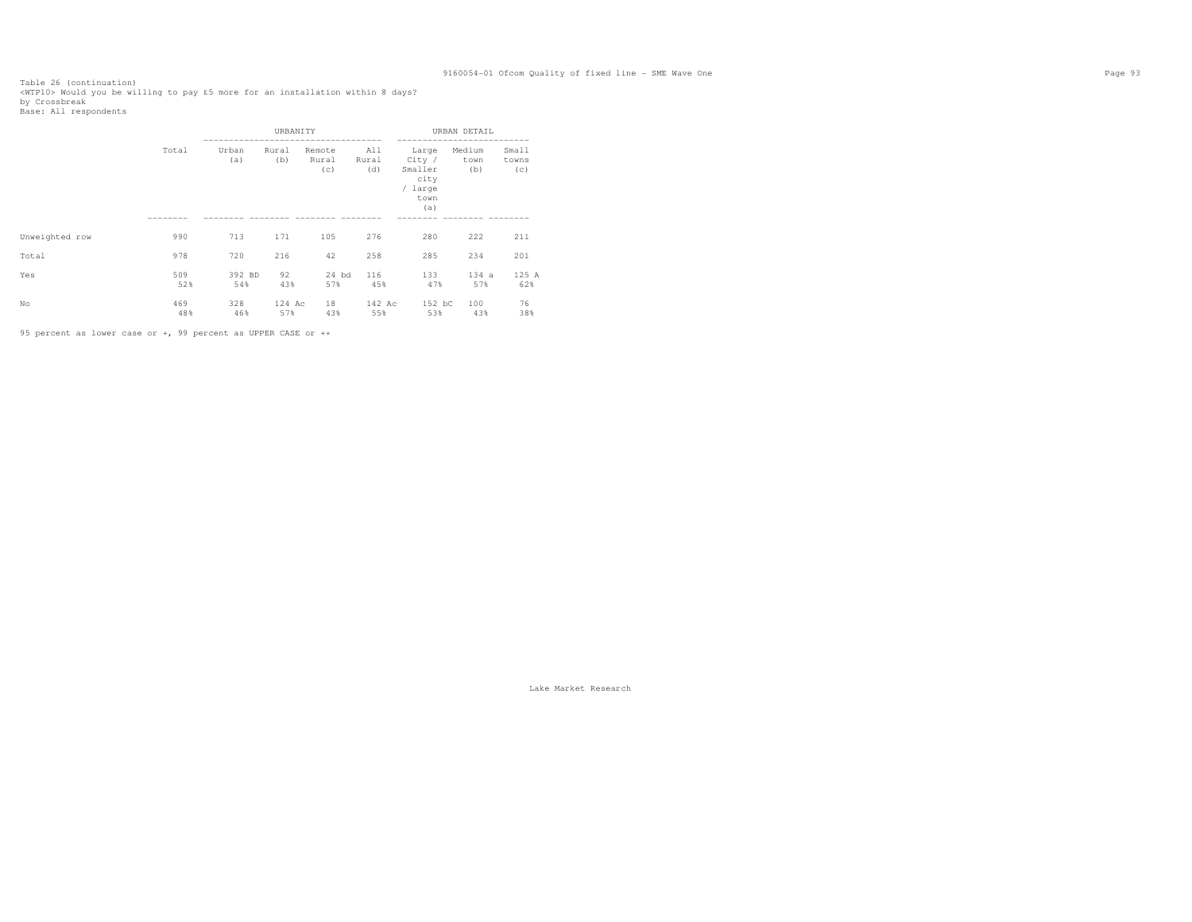Table 26 (continuation)<br><WTP10> Would you be willing to pay £5 more for an installation within 8 days?<br>by Crossbreak<br>Base: All respondents

|                |            |               | URBANITY      |                        |                     |                                                              | URBAN DETAIL          |                       |
|----------------|------------|---------------|---------------|------------------------|---------------------|--------------------------------------------------------------|-----------------------|-----------------------|
|                | Total      | Urban<br>(a)  | Rural<br>(b)  | Remote<br>Rural<br>(c) | All<br>Rural<br>(d) | Large<br>City /<br>Smaller<br>city<br>/ large<br>town<br>(a) | Medium<br>town<br>(b) | Small<br>towns<br>(c) |
| Unweighted row | 990        | 713           | 171           | 105                    | 276                 | 280                                                          | 222                   | 211                   |
| Total          | 978        | 720           | 216           | 42                     | 258                 | 285                                                          | 234                   | 201                   |
| Yes            | 509<br>52% | 392 BD<br>54% | 92<br>43%     | $24$ bd<br>57%         | 116<br>45%          | 133<br>47%                                                   | 134a<br>57%           | 125 A<br>62%          |
| No             | 469<br>48% | 328<br>46%    | 124 Ac<br>57% | 18<br>43%              | 142 Ac<br>55%       | 152 bC<br>53%                                                | 100<br>43%            | 76<br>38%             |

95 percent as lower case or +, 99 percent as UPPER CASE or ++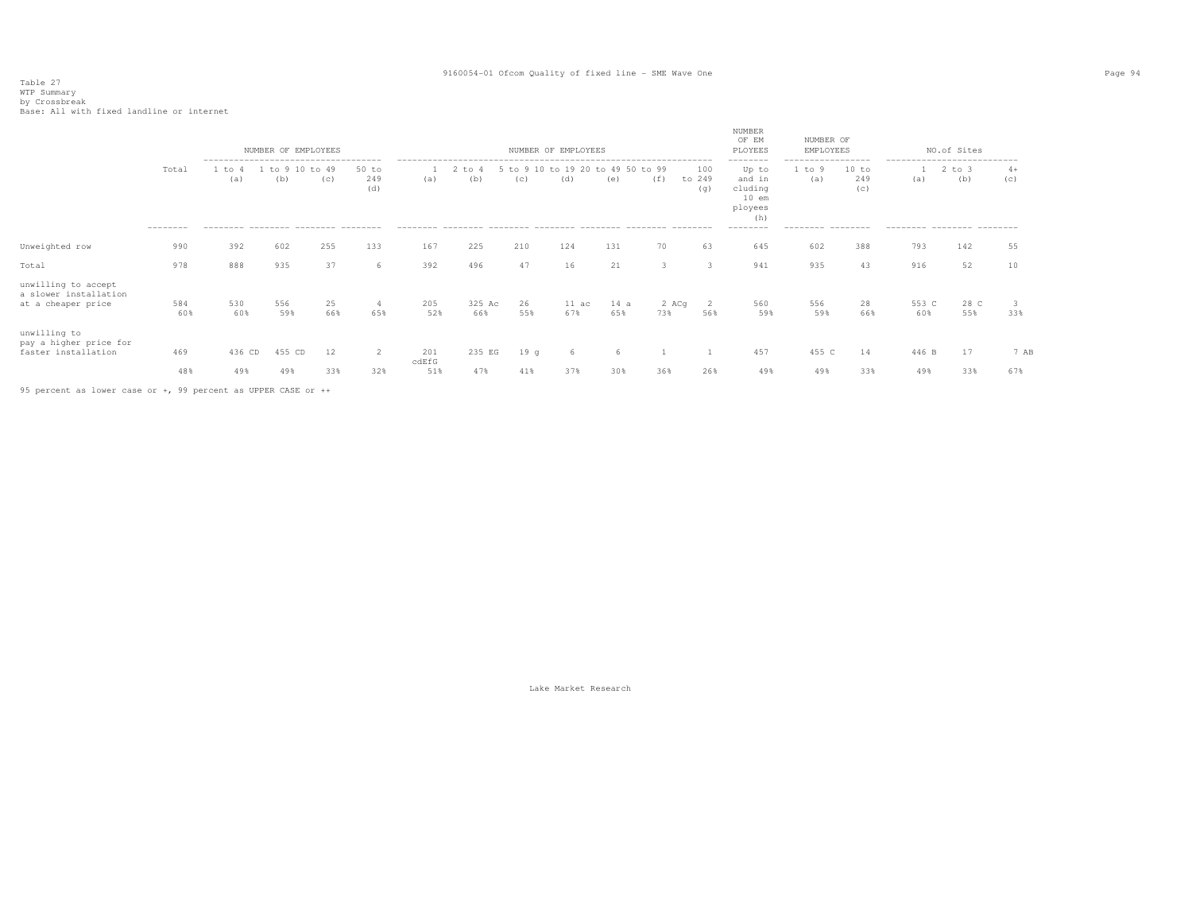# Table 27 WTP Summary by Crossbreak Base: All with fixed landline or internet

|                                                                    |                   |                                                                                              |            | NUMBER OF EMPLOYEES    |                       |              |                   |           | NUMBER OF EMPLOYEES                      |             |              |                      | NUMBER<br>OF EM<br>PLOYEES<br>--------                                      | NUMBER OF<br>EMPLOYEES                                   |                     |              | NO.of Sites                                                                    |             |
|--------------------------------------------------------------------|-------------------|----------------------------------------------------------------------------------------------|------------|------------------------|-----------------------|--------------|-------------------|-----------|------------------------------------------|-------------|--------------|----------------------|-----------------------------------------------------------------------------|----------------------------------------------------------|---------------------|--------------|--------------------------------------------------------------------------------|-------------|
|                                                                    | Total<br>-------- | --------------------------------------<br>1 to 4<br>(a)<br>-------- -------- -------- ------ | (b)        | 1 to 9 10 to 49<br>(C) | $50$ to<br>249<br>(d) | (a)          | $2$ to $4$<br>(b) | (C)       | 5 to 9 10 to 19 20 to 49 50 to 99<br>(d) | (e)         | (f)          | 100<br>to 249<br>(q) | Up to<br>and in<br>cluding<br>$10$ em<br>ployees<br>(h)<br>$-- - - - - - -$ | -----------------<br>. to 9<br>(a)<br>--------- -------- | 10 to<br>249<br>(C) | (a)          | ---------------------------<br>$2$ to $3$<br>(b)<br>--------- -------- ------- | $4+$<br>(c) |
| Unweighted row                                                     | 990               | 392                                                                                          | 602        | 255                    | 133                   | 167          | 225               | 210       | 124                                      | 131         | 70           | 63                   | 645                                                                         | 602                                                      | 388                 | 793          | 142                                                                            | 55          |
| Total                                                              | 978               | 888                                                                                          | 935        | 37                     | 6                     | 392          | 496               | 47        | 16                                       | 21          | 3            | -3                   | 941                                                                         | 935                                                      | 43                  | 916          | 52                                                                             | 10          |
| unwilling to accept<br>a slower installation<br>at a cheaper price | 584<br>60%        | 530<br>60%                                                                                   | 556<br>59% | 25<br>66%              | 65%                   | 205<br>52%   | 325 Ac<br>66%     | 26<br>55% | $11 \text{ ac}$<br>67%                   | 14 a<br>65% | 2 ACq<br>73% | 56%                  | 560<br>59%                                                                  | 556<br>59%                                               | 28<br>66%           | 553 C<br>60% | 28 C<br>55%                                                                    | 33%         |
| unwilling to<br>pay a higher price for<br>faster installation      | 469               | 436 CD                                                                                       | 455 CD     | 12                     | 2                     | 201<br>cdEfG | 235 EG            | 19q       | 6                                        | h           |              |                      | 457                                                                         | 455 C                                                    | 14                  | 446 B        | 17                                                                             | 7 AB        |
|                                                                    | 48%               | 49%                                                                                          | 49%        | 33%                    | 32%                   | 51%          | 47%               | 41%       | 37%                                      | 30%         | 36%          | 26%                  | 49%                                                                         | 49%                                                      | 33%                 | 49%          | 33%                                                                            | 67%         |
|                                                                    |                   |                                                                                              |            |                        |                       |              |                   |           |                                          |             |              |                      |                                                                             |                                                          |                     |              |                                                                                |             |

95 percent as lower case or +, 99 percent as UPPER CASE or ++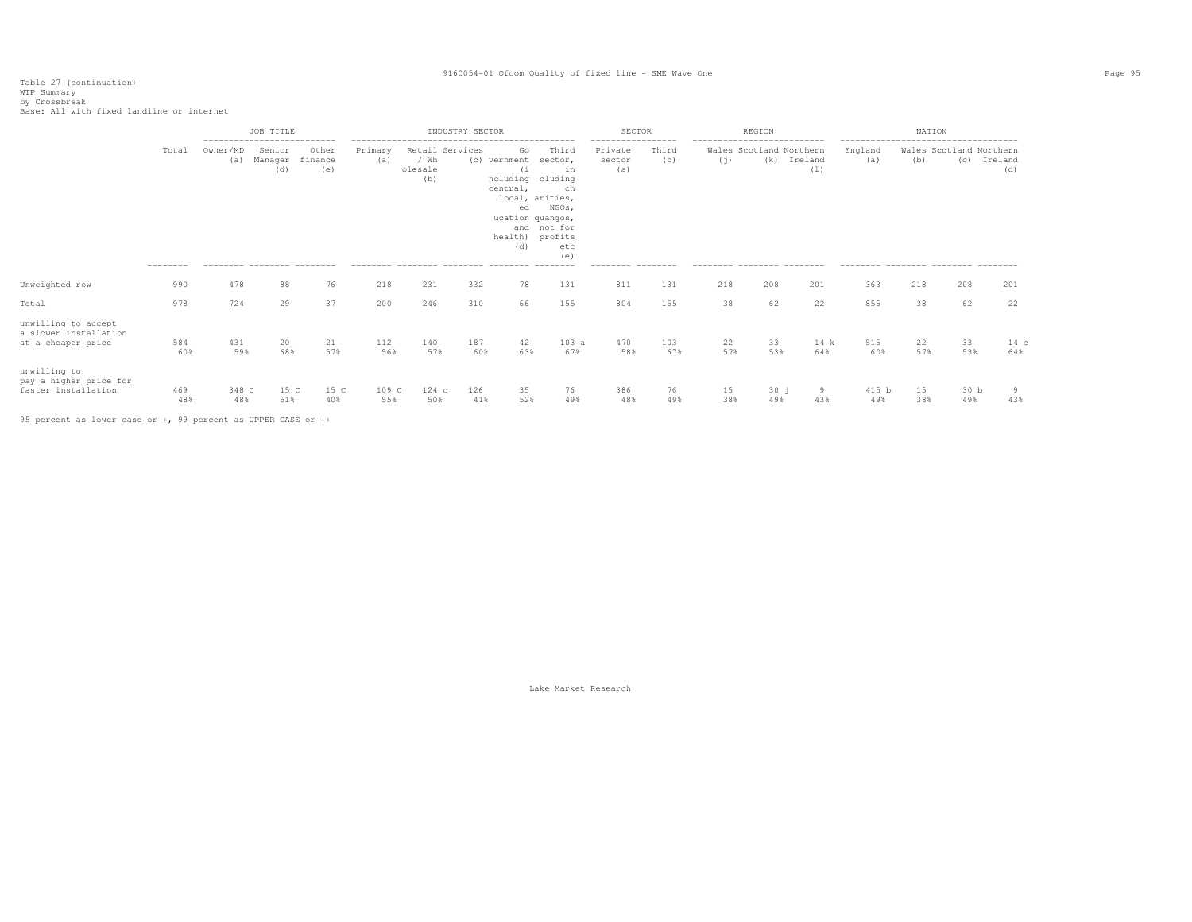Table 27 (continuation) WTP Summary by Crossbreak Base: All with fixed landline or internet

|                                                                    |                   |                 | JOB TITLE<br>----------------------------              |                         |                |                        | INDUSTRY SECTOR |                                                                                                               |                                                                                       | SECTOR<br>------------------                   |              | ----------------------------      | REGION                         |                | ------------------------------------                 | NATION    |                         |                       |
|--------------------------------------------------------------------|-------------------|-----------------|--------------------------------------------------------|-------------------------|----------------|------------------------|-----------------|---------------------------------------------------------------------------------------------------------------|---------------------------------------------------------------------------------------|------------------------------------------------|--------------|-----------------------------------|--------------------------------|----------------|------------------------------------------------------|-----------|-------------------------|-----------------------|
|                                                                    | Total<br>-------- | Owner/MD<br>(a) | Senior<br>Manager<br>(d)<br>--------- -------- ------- | Other<br>finance<br>(e) | Primary<br>(a) | / Wh<br>olesale<br>(b) | Retail Services | Go<br>(c) vernment<br>(i)<br>ncluding cluding<br>central,<br>ed<br>ucation quangos,<br>health) profits<br>(d) | Third<br>sector,<br>in<br>ch<br>local, arities,<br>NGOs,<br>and not for<br>etc<br>(e) | Private<br>sector<br>(a)<br>--------- -------- | Third<br>(C) | (i)<br>--------- -------- ------- | Wales Scotland Northern<br>(k) | Ireland<br>(1) | England<br>(a)<br>--------- -------- -------- ------ | (b)       | Wales Scotland Northern | (c) Ireland<br>(d)    |
| Unweighted row                                                     | 990               | 478             | 88                                                     | 76                      | 218            | 231                    | 332             | 78                                                                                                            | 131                                                                                   | 811                                            | 131          | 218                               | 208                            | 201            | 363                                                  | 218       | 208                     | 201                   |
| Total                                                              | 978               | 724             | 29                                                     | 37                      | 200            | 246                    | 310             | 66                                                                                                            | 155                                                                                   | 804                                            | 155          | 38                                | 62                             | 22             | 855                                                  | 38        | 62                      | 22                    |
| unwilling to accept<br>a slower installation<br>at a cheaper price | 584<br>60%        | 431<br>59%      | 20<br>68%                                              | 21<br>57%               | 112<br>56%     | 140<br>57%             | 187<br>60%      | 42<br>63%                                                                                                     | 103a<br>67%                                                                           | 470<br>58%                                     | 103<br>67%   | 22<br>57%                         | 33<br>53%                      | 14 k<br>64%    | 515<br>60%                                           | 22<br>57% | 33<br>53%               | 14 c<br>64%           |
| unwilling to<br>pay a higher price for<br>faster installation      | 469<br>48%        | 348 C<br>48%    | 15 C<br>51%                                            | 15 C<br>40%             | 109 C<br>55%   | $124$ c<br>50%         | 126<br>41%      | 35<br>52%                                                                                                     | 76<br>49%                                                                             | 386<br>48%                                     | 76<br>49%    | 15<br>38%                         | 30j<br>49%                     | 9<br>43%       | 415 b<br>49%                                         | 15<br>38% | 30 <sub>b</sub><br>49%  | $\overline{9}$<br>43% |

95 percent as lower case or +, 99 percent as UPPER CASE or ++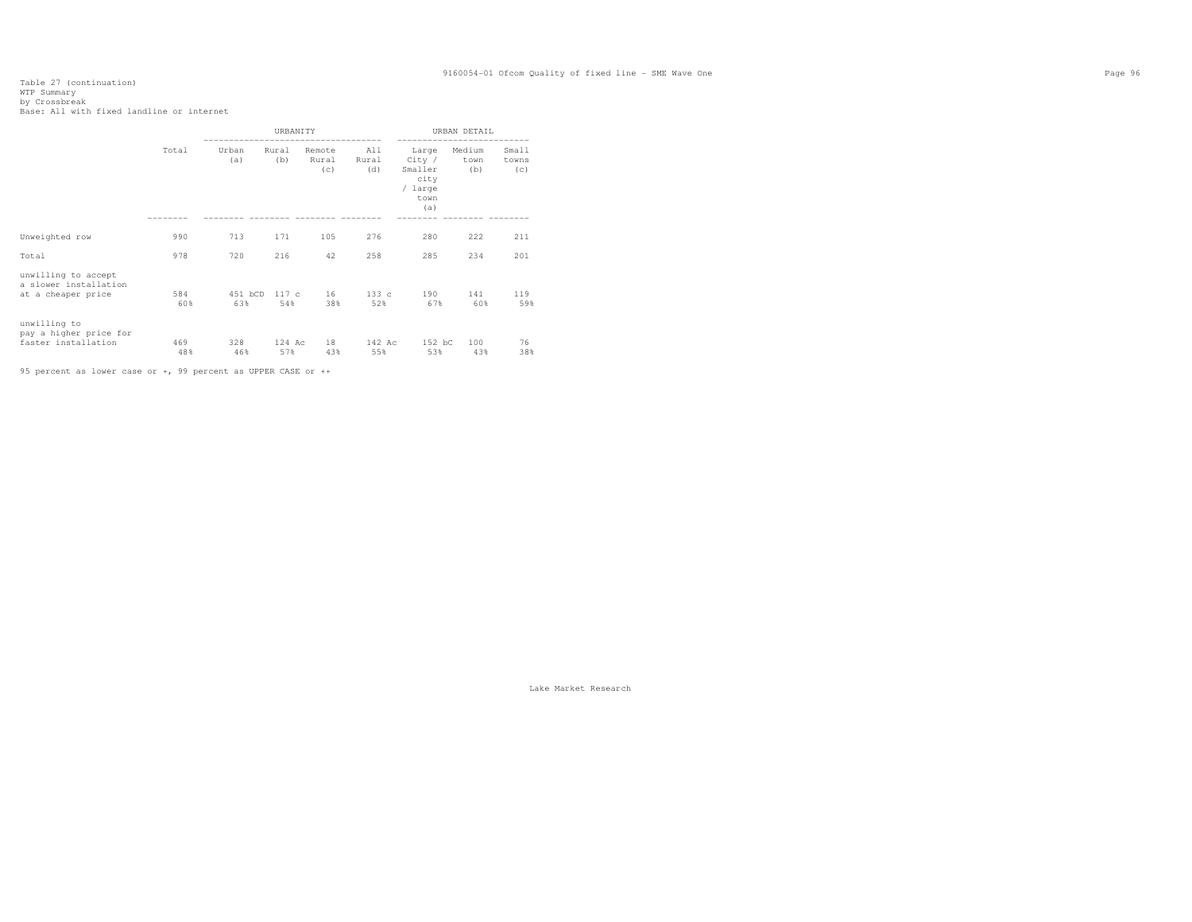# Table 27 (continuation) WTP Summary by Crossbreak Base: All with fixed landline or internet

|                                                                    |            |                | URBANITY      |                        |                     |                                                                                           | URBAN DETAIL   |                       |
|--------------------------------------------------------------------|------------|----------------|---------------|------------------------|---------------------|-------------------------------------------------------------------------------------------|----------------|-----------------------|
|                                                                    | Total      | Urban<br>(a)   | Rural<br>(b)  | Remote<br>Rural<br>(c) | All<br>Rural<br>(d) | . _ _ _ _ _ _ _ _ _ _<br>Large<br>City /<br>Smaller (b)<br>city<br>/ large<br>town<br>(a) | Medium<br>town | Small<br>towns<br>(c) |
| Unweighted row                                                     | 990        | 713            | 171           | 105                    | 276                 | 280                                                                                       | 222            | 211                   |
| Total                                                              | 978        | 720            | 216           | 42                     | 258                 | 285                                                                                       | 234            | 201                   |
| unwilling to accept<br>a slower installation<br>at a cheaper price | 584<br>60% | 451 bCD<br>63% | 117c<br>54%   | 16<br>38%              | 133c<br>52%         | 190<br>67%                                                                                | 141<br>60%     | 119<br>59%            |
| unwilling to<br>pay a higher price for<br>faster installation      | 469<br>48% | 328<br>46%     | 124 Ac<br>57% | 18<br>43%              | 142 Ac<br>55%       | 152 bC<br>53%                                                                             | 100<br>43%     | 76<br>38%             |

95 percent as lower case or +, 99 percent as UPPER CASE or ++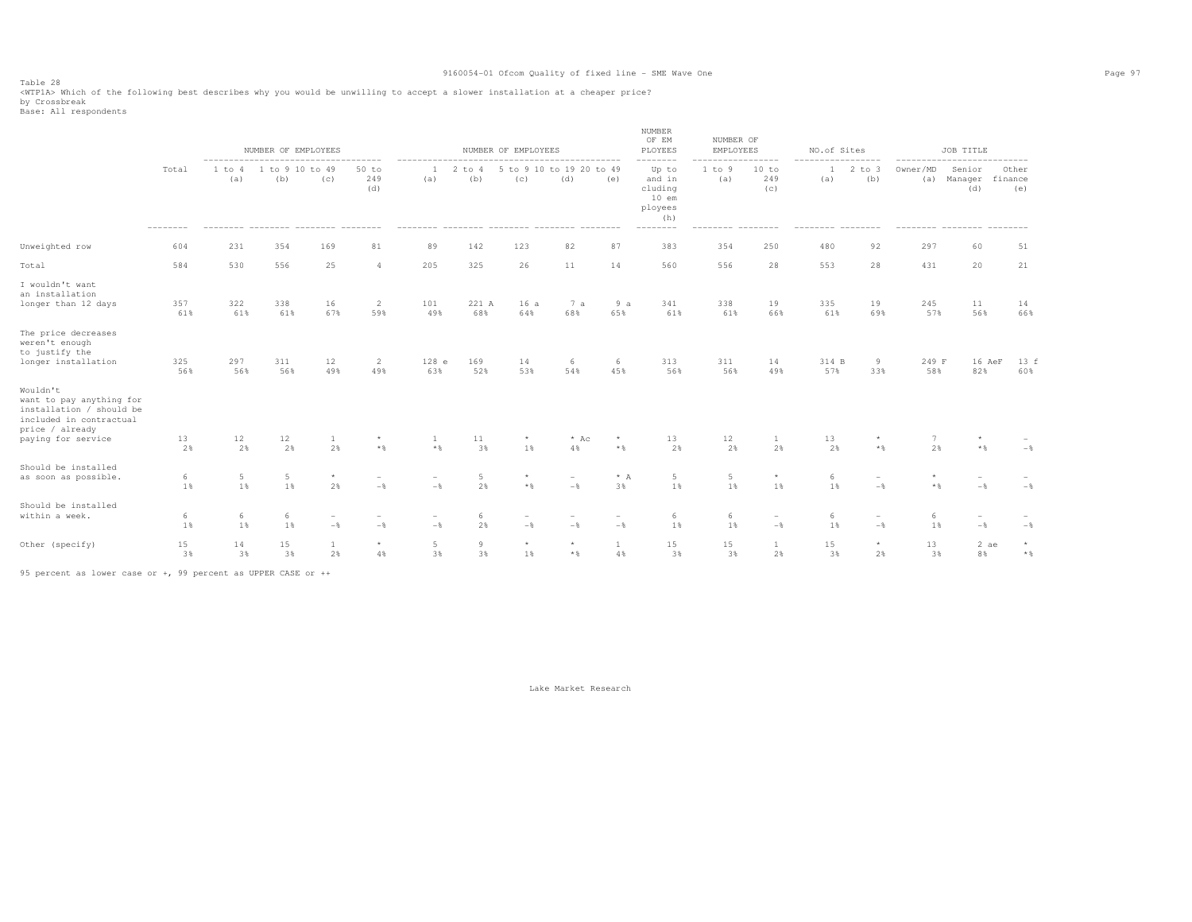Table 28 <WTP1A> Which of the following best describes why you would be unwilling to accept a slower installation at a cheaper price? by Crossbreak<br>Base: All respondents

|                                                                                                                                      |            |               | NUMBER OF EMPLOYEES    |                                     |                                   | ------------                        |                   | NUMBER OF EMPLOYEES                                                 |                                   |                                 | NUMBER<br>OF EM<br>PLOYEES                                          | NUMBER OF<br>EMPLOYEES |                          | NO.of Sites         |                                            |              | JOB TITLE                                                  |                         |
|--------------------------------------------------------------------------------------------------------------------------------------|------------|---------------|------------------------|-------------------------------------|-----------------------------------|-------------------------------------|-------------------|---------------------------------------------------------------------|-----------------------------------|---------------------------------|---------------------------------------------------------------------|------------------------|--------------------------|---------------------|--------------------------------------------|--------------|------------------------------------------------------------|-------------------------|
|                                                                                                                                      | Total      | 1 to 4<br>(a) | 1 to 9 10 to 49<br>(b) | (C)                                 | $50$ to<br>249<br>(d)             | (a)                                 | $2$ to $4$<br>(b) | --------------------------------<br>5 to 9 10 to 19 20 to 49<br>(c) | (d)                               | (e)                             | --------<br>Up to<br>and in<br>cluding<br>$10$ em<br>ployees<br>(h) | 1 to 9<br>(a)          | .<br>10 to<br>249<br>(c) | $\mathbf{1}$<br>(a) | ---------<br>$2$ to $3$<br>(b)             | Owner/MD     | --------------------------<br>Senior<br>(a) Manager<br>(d) | Other<br>finance<br>(e) |
| Unweighted row                                                                                                                       | 604        | 231           | 354                    | 169                                 | 81                                | 89                                  | 142               | 123                                                                 | 82                                | 87                              | 383                                                                 | 354                    | 250                      | 480                 | 92                                         | 297          | 60                                                         | 51                      |
| Total                                                                                                                                | 584        | 530           | 556                    | 25                                  | $\overline{4}$                    | 205                                 | 325               | 26                                                                  | 11                                | 14                              | 560                                                                 | 556                    | 28                       | 553                 | 28                                         | 431          | 20                                                         | 21                      |
| I wouldn't want<br>an installation<br>longer than 12 days                                                                            | 357<br>61% | 322<br>61%    | 338<br>61%             | 16<br>67%                           | $\overline{c}$<br>59%             | 101<br>49%                          | 221 A<br>68%      | 16a<br>64%                                                          | 7a<br>68%                         | 9a<br>65%                       | 341<br>61%                                                          | 338<br>61%             | 19<br>66%                | 335<br>61%          | 19<br>69%                                  | 245<br>57%   | 11<br>56%                                                  | 14<br>66%               |
| The price decreases<br>weren't enough<br>to justify the<br>longer installation                                                       | 325<br>56% | 297<br>56%    | 311<br>56%             | 12<br>49%                           | 2<br>49%                          | 128 e<br>63%                        | 169<br>52%        | 14<br>53%                                                           | 6<br>54%                          | -6<br>45%                       | 313<br>56%                                                          | 311<br>56%             | 14<br>49%                | 314 B<br>57%        | 9<br>33%                                   | 249 F<br>58% | 16 AeF<br>82%                                              | 13 f<br>60%             |
| Wouldn't<br>want to pay anything for<br>installation / should be<br>included in contractual<br>price / already<br>paying for service | 13<br>2%   | 12<br>2%      | 12<br>2%               | 1<br>2%                             | $\star$<br>$\star$ $\,$           | 1<br>$\star$ $\,$                   | 11<br>3%          | $^{\star}$<br>1%                                                    | $*$ Ac<br>$4\,$                   | $\star$<br>$\star$ $\,$         | 13<br>2%                                                            | 12<br>2%               | 1<br>2%                  | 13<br>2%            | $\star$<br>$*$ %                           | 2%           | $\star$<br>$*$ &                                           | $-$                     |
| Should be installed<br>as soon as possible.                                                                                          | 6<br>1%    | 5<br>1%       | 5<br>1%                | $\star$<br>2%                       | $\overline{\phantom{a}}$<br>$-$   | $\overline{\phantom{a}}$<br>$-$     | 5<br>2%           | $\star$<br>$*$ %                                                    | $\overline{\phantom{a}}$<br>$-\,$ | $^\star$ A<br>3%                | 5<br>1%                                                             | 5<br>1%                | $\star$<br>1%            | $\epsilon$<br>1%    | $\overline{\phantom{a}}$<br>$-$            | $*$ %        | $\overline{\phantom{a}}$<br>$-$                            | $-\,$ %                 |
| Should be installed<br>within a week.                                                                                                | 6<br>1%    | 6<br>1%       | 6<br>1%                | $\qquad \qquad -$<br>$-\frac{6}{5}$ | $\overline{\phantom{m}}$<br>$-\,$ | $\overline{\phantom{a}}$<br>$-\,$ % | 6<br>2%           | $-$                                                                 | $\overline{\phantom{0}}$<br>$-$   | $\overline{\phantom{a}}$<br>$-$ | 6<br>1%                                                             | 6<br>$1\,$             | $\sim$<br>$-$            | 6<br>1%             | $\overline{\phantom{0}}$<br>$-\frac{6}{6}$ | -6<br>1%     | $\overline{\phantom{a}}$<br>$-$                            | $-$ %                   |
| Other (specify)                                                                                                                      | 15<br>3%   | 14<br>3%      | 15<br>3%               | $\mathbf{1}$<br>2%                  | $^{\star}$<br>$4\,$               | $\overline{5}$<br>3%                | 9<br>3%           | $\star$<br>1%                                                       | $\star$<br>$*$ %                  | $\mathbf{1}$<br>4%              | 15<br>3%                                                            | 15<br>3%               | $\mathbf{1}$<br>2%       | 15<br>3%            | $\star$<br>2%                              | 13<br>3%     | 2 ae<br>8%                                                 | $\star$<br>$\star$ $\,$ |

95 percent as lower case or +, 99 percent as UPPER CASE or ++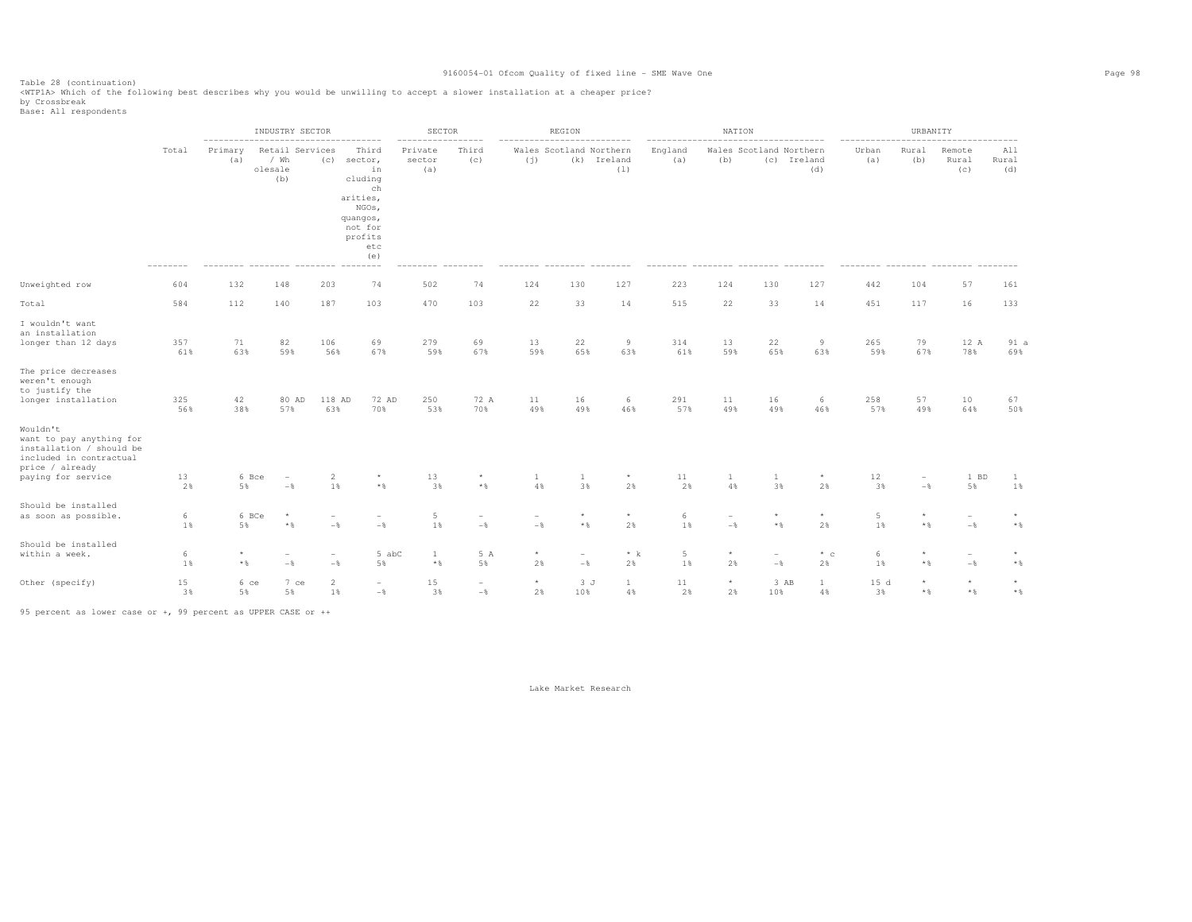Table 28 (continuation) <WTP1A> Which of the following best describes why you would be unwilling to accept a slower installation at a cheaper price?

by Crossbreak<br>Base: All respondents

|                                                                                                                                             |                          |                         | INDUSTRY SECTOR                                 |                                 |                                                                                                              | SECTOR                   |                                            |                                 | <b>REGION</b>                              |                                   |                          | NATION                          |                                            |                                           |                          | URBANITY                            |                                            |                         |
|---------------------------------------------------------------------------------------------------------------------------------------------|--------------------------|-------------------------|-------------------------------------------------|---------------------------------|--------------------------------------------------------------------------------------------------------------|--------------------------|--------------------------------------------|---------------------------------|--------------------------------------------|-----------------------------------|--------------------------|---------------------------------|--------------------------------------------|-------------------------------------------|--------------------------|-------------------------------------|--------------------------------------------|-------------------------|
|                                                                                                                                             | Total                    | Primary<br>(a)          | / Wh<br>olesale<br>(b)                          | Retail Services<br>(C)          | Third<br>sector,<br>in<br>cluding<br>ch<br>arities,<br>NGOs,<br>quangos,<br>not for<br>profits<br>etc<br>(e) | Private<br>sector<br>(a) | Third<br>(c)                               | (j)                             | Wales Scotland Northern<br>(k)             | Ireland<br>(1)                    | England<br>(a)           | (b)                             | (c)                                        | Wales Scotland Northern<br>Ireland<br>(d) | Urban<br>(a)             | Rural<br>(b)                        | Remote<br>Rural<br>(C)                     | All<br>Rural<br>(d)     |
| Unweighted row                                                                                                                              | 604                      | 132                     | 148                                             | 203                             | 74                                                                                                           | 502                      | 74                                         | 124                             | 130                                        | 127                               | 223                      | 124                             | 130                                        | 127                                       | 442                      | 104                                 | 57                                         | 161                     |
| Total                                                                                                                                       | 584                      | 112                     | 140                                             | 187                             | 103                                                                                                          | 470                      | 103                                        | 22                              | 33                                         | 14                                | 515                      | 22                              | 33                                         | 14                                        | 451                      | 117                                 | 16                                         | 133                     |
| I wouldn't want<br>an installation<br>longer than 12 days<br>The price decreases<br>weren't enough<br>to justify the<br>longer installation | 357<br>61%<br>325<br>56% | 71<br>63%<br>42<br>38%  | 82<br>59%<br>80 AD<br>57%                       | 106<br>56%<br>118 AD<br>63%     | 69<br>67%<br>72 AD<br>70%                                                                                    | 279<br>59%<br>250<br>53% | 69<br>67%<br>72 A<br>70%                   | 13<br>59%<br>11<br>49%          | 22<br>65%<br>16<br>49%                     | $\overline{9}$<br>63%<br>6<br>46% | 314<br>61%<br>291<br>57% | 13<br>59%<br>11<br>49%          | 22<br>65%<br>16<br>49%                     | 9<br>63%<br>6<br>46%                      | 265<br>59%<br>258<br>57% | 79<br>67%<br>57<br>49%              | 12 A<br>78%<br>10<br>64%                   | 91a<br>69%<br>67<br>50% |
| Wouldn't<br>want to pay anything for<br>installation / should be<br>included in contractual<br>price / already<br>paying for service        | 13<br>2%                 | $5\,$                   | 6 Bce<br>$\overline{\phantom{a}}$<br>$-$ % $\,$ | $\overline{2}$<br>$1\,$         | $^\star$<br>$\star$ $\,$                                                                                     | 13<br>3%                 | $^{\star}$<br>$\star$ $\,$                 | $\mathbf{1}$<br>$4\,$           | 1<br>3%                                    | $^{\star}$<br>2%                  | 11<br>2%                 | $\mathbf{1}$<br>$4\,$           | 1<br>3%                                    | $\star$<br>2%                             | 12<br>3%                 | $\overline{\phantom{m}}$<br>$-\,$ % | 1 BD<br>5%                                 | 1<br>1%                 |
| Should be installed<br>as soon as possible.                                                                                                 | 6<br>1%                  | 5%                      | 6 BCe<br>$\star$<br>$\star$ $\,$                | $\overline{\phantom{a}}$<br>$-$ | $\overline{\phantom{a}}$<br>$-$                                                                              | 5<br>1%                  | $\overline{\phantom{a}}$<br>$-\frac{6}{6}$ | $\overline{\phantom{a}}$<br>$-$ | $\star$<br>$\star$ $\,$                    | $\star$<br>2%                     | 6<br>1%                  | $\overline{\phantom{a}}$<br>$-$ | $\star$<br>$\star$ $\,$                    | $\star$<br>2%                             | 5<br>1%                  | $\star$ $\,$                        | $\overline{\phantom{a}}$<br>$-\frac{6}{6}$ | $\star$ $\,$            |
| Should be installed<br>within a week.                                                                                                       | 6<br>1%                  | $\star$<br>$\star$ $\,$ | $\overline{\phantom{a}}$<br>$-\,$               | $\overline{\phantom{a}}$<br>$-$ | 5 abC<br>5%                                                                                                  | 1<br>$\star$ $\,$        | 5 A<br>$5\,$                               | $\star$<br>2%                   | $\overline{\phantom{m}}$<br>$-\frac{6}{6}$ | $* k$<br>2%                       | 5<br>1%                  | $\star$<br>2%                   | $\overline{\phantom{m}}$<br>$-\frac{6}{6}$ | $*$ c<br>2%                               | 6<br>1%                  | $\star$ $\,$                        | $\overline{\phantom{a}}$<br>$-\frac{6}{6}$ | $\star$<br>$\star$ $\,$ |
| Other (specify)                                                                                                                             | 15<br>3%                 | $5\,$                   | 7 ce<br>6 ce<br>5%                              | $\overline{2}$<br>1%            | $\overline{\phantom{a}}$<br>$-\frac{6}{6}$                                                                   | 15<br>3%                 | $\sim$<br>$-\,$                            | $^{\star}$<br>2%                | 3J<br>10%                                  | $\mathbf{1}$<br>4%                | 11<br>2%                 | $^{\star}$<br>2%                | 10%                                        | 3 AB<br>$\mathbf{1}$<br>4%                | 15d<br>3%                | $\star$ $\,$                        | $\star$<br>$\star$ $\,$                    | $\star$<br>$\star$ $\,$ |

95 percent as lower case or +, 99 percent as UPPER CASE or ++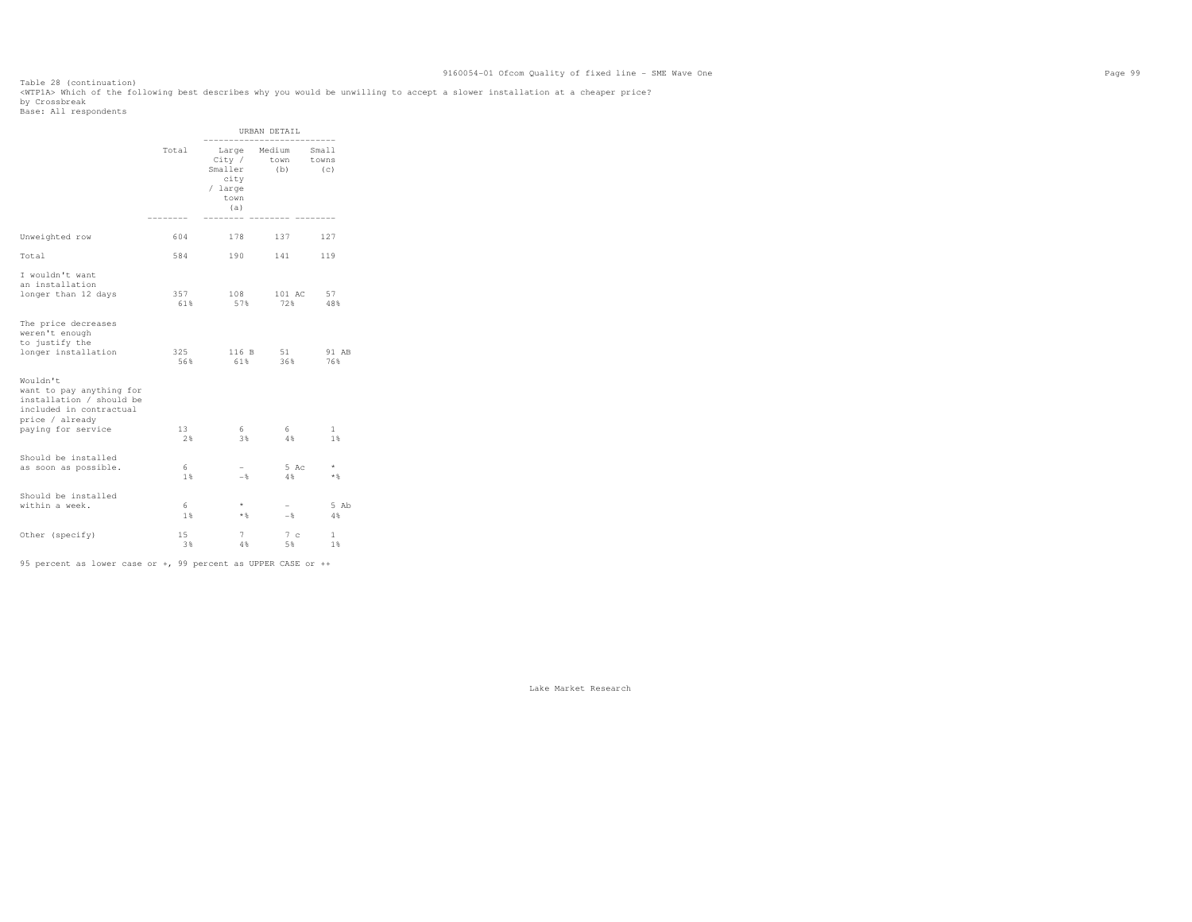Table 28 (continuation) <WTP1A> Which of the following best describes why you would be unwilling to accept a slower installation at a cheaper price? by Crossbreak<br>Base: All respondents

|                                                                                                                |            |                                                     | URBAN DETAIL                |                       |
|----------------------------------------------------------------------------------------------------------------|------------|-----------------------------------------------------|-----------------------------|-----------------------|
|                                                                                                                | Total      | City /<br>Smaller<br>city<br>/ large<br>town<br>(a) | Large Medium<br>town<br>(b) | Small<br>towns<br>(C) |
| Unweighted row                                                                                                 | 604        | 178                                                 | 137                         | 127                   |
| Total                                                                                                          | 584        | 190                                                 | 141                         | 119                   |
| I wouldn't want<br>an installation<br>longer than 12 days                                                      | 357<br>61% | 108<br>57%                                          | 101 AC<br>72%               | 57<br>48%             |
| The price decreases<br>weren't enough<br>to justify the<br>longer installation                                 | 325<br>56% | 116 B<br>61%                                        | 51<br>36%                   | 91 AB<br>76%          |
| Wouldn't<br>want to pay anything for<br>installation / should be<br>included in contractual<br>price / already |            |                                                     |                             |                       |
| paying for service                                                                                             | 13<br>2%   | 6<br>3%                                             | 6<br>4%                     | $\mathbf{1}$<br>1%    |
| Should be installed<br>as soon as possible.                                                                    | 6<br>1%    | $-$                                                 | 5 Ac<br>4 %                 | $\star$<br>$*$ &      |
| Should be installed<br>within a week.                                                                          | 6<br>1%    | $\star$<br>**                                       | $-$                         | 5 Ab<br>$4\%$         |
| Other (specify)                                                                                                | 15<br>3%   | 7<br>4%                                             | 7c<br>5%                    | $\mathbf{1}$<br>1%    |

95 percent as lower case or +, 99 percent as UPPER CASE or ++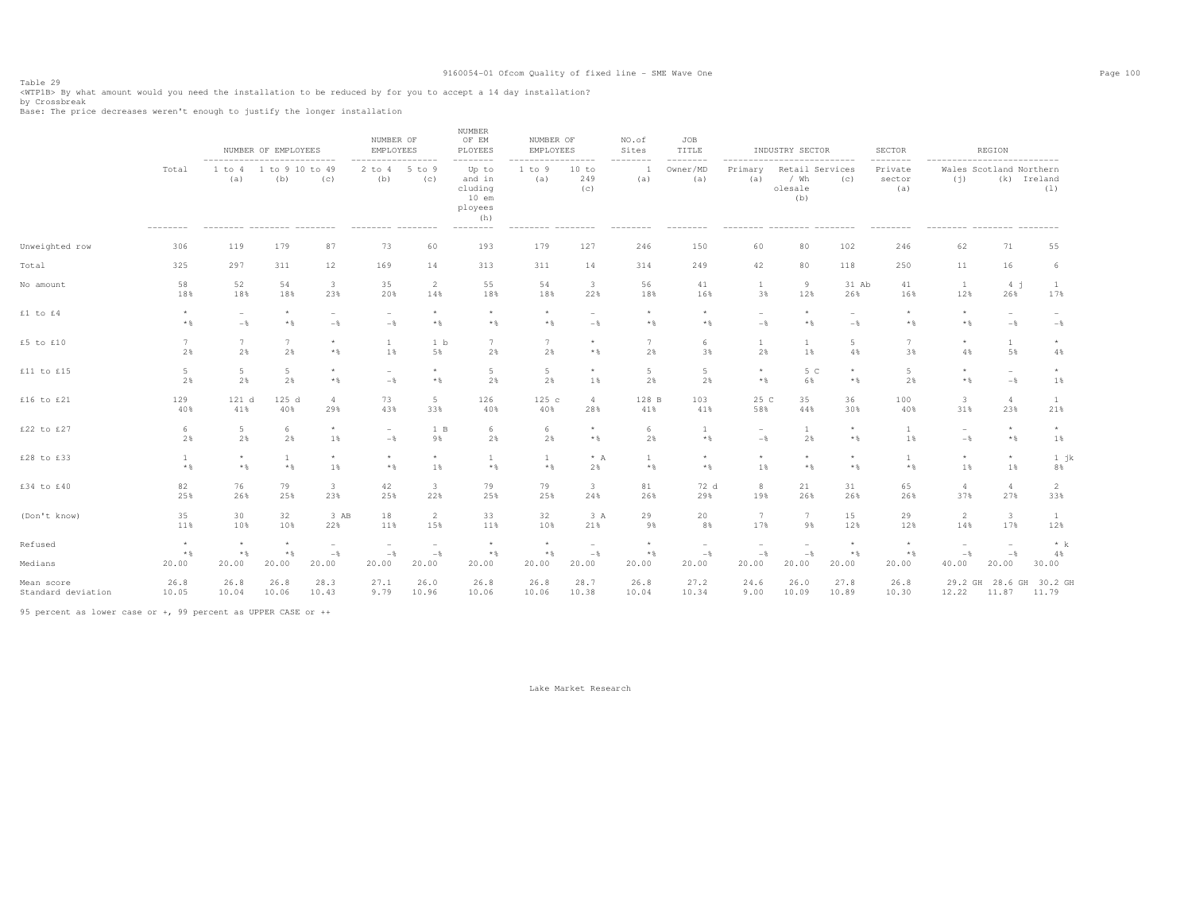Table 29<br><WTPlB> By what amount would you need the installation to be reduced by for you to accept a 14 day installation?<br>by Crossbreak

Base: The price decreases weren't enough to justify the longer installation

|                    |                            | ---------------------------                 | NUMBER OF EMPLOYEES        |                                            | NUMBER OF<br><b>EMPLOYEES</b><br>-------- |                                            | <b>NUMBER</b><br>OF EM<br>PLOYEES<br>--------                       | NUMBER OF<br>EMPLOYEES<br>-------   | -------                         | NO.of<br>Sites<br>-------- | JOB<br>TITLE<br>--------        | -------                                      | INDUSTRY SECTOR<br>----------------       |                  | <b>SECTOR</b><br>--------            | ---------------------------                | REGION                                     |                                 |
|--------------------|----------------------------|---------------------------------------------|----------------------------|--------------------------------------------|-------------------------------------------|--------------------------------------------|---------------------------------------------------------------------|-------------------------------------|---------------------------------|----------------------------|---------------------------------|----------------------------------------------|-------------------------------------------|------------------|--------------------------------------|--------------------------------------------|--------------------------------------------|---------------------------------|
|                    | Total<br>$- - - - - - - -$ | 1 to 4<br>(a)<br>--------- -------- ------- | 1 to 9 10 to 49<br>(b)     | (C)                                        | $2$ to $4$<br>(b)<br>--------- --------   | --------<br>$5$ to $9$<br>(c)              | Up to<br>and in<br>cluding<br>$10$ em<br>ployees<br>(h)<br>-------- | 1 to 9<br>(a)<br>--------- -------- | 10 to<br>249<br>(c)             | (a)<br>--------            | Owner/MD<br>(a)<br>--------     | Primary<br>(a)<br>--------- -------- ------- | Retail Services<br>/ Wh<br>olesale<br>(b) | (C)              | Private<br>sector<br>(a)<br>-------- | (i)<br>--------- -------- -------          | Wales Scotland Northern<br>(k) Ireland     | (1)                             |
| Unweighted row     | 306                        | 119                                         | 179                        | 87                                         | 73                                        | 60                                         | 193                                                                 | 179                                 | 127                             | 246                        | 150                             | 60                                           | 80                                        | 102              | 246                                  | 62                                         | 71                                         | 55                              |
| Total              | 325                        | 297                                         | 311                        | 12                                         | 169                                       | 14                                         | 313                                                                 | 311                                 | 14                              | 314                        | 249                             | 42                                           | 80                                        | 118              | 250                                  | 11                                         | 16                                         | 6                               |
| No amount          | 58                         | 52                                          | 54                         | $\overline{\mathbf{3}}$                    | 35                                        | 2                                          | 55                                                                  | 54                                  | $\overline{\mathbf{3}}$         | 56                         | 41                              | $\mathbf{1}$                                 | 9                                         | 31 Ab            | 41                                   | $\mathbf{1}$                               | 4j                                         | $\mathbf{1}$                    |
|                    | 18%                        | 18%                                         | 18%                        | 23%                                        | 20%                                       | 14%                                        | 18%                                                                 | 18%                                 | 22%                             | 18%                        | 16%                             | 3%                                           | 12%                                       | 26%              | 16%                                  | 12%                                        | 26%                                        | 17%                             |
| £1 to £4           | $\star$<br>$*$             | $-$                                         | $\star$<br>$*$ &           | $\overline{\phantom{a}}$<br>$-\frac{6}{5}$ | $\overline{\phantom{a}}$<br>$-$           | $\star$<br>$*$                             | $\star$<br>$*$ %                                                    | $\star$<br>$*$                      | $\sim$<br>$-$                   | $\star$<br>$*$             | $\star$<br>$*$ &                | $\overline{\phantom{a}}$<br>$-\frac{6}{5}$   | $\star$<br>$*$ &                          | $-$              | $*$                                  | $\star$<br>$*$                             | $\overline{\phantom{a}}$<br>$-$            | $\overline{\phantom{a}}$<br>$-$ |
| £5 to £10          | $7\phantom{.0}$            | 7                                           | 7                          | $\star$                                    | 1                                         | 1 b                                        | 7                                                                   | 7                                   | $\star$                         | 7                          | 6                               | 1                                            | 1                                         | 5                | 7                                    | $\star$                                    | $\mathbf{1}$                               | $\star$                         |
|                    | 2%                         | 2%                                          | 2%                         | $\star$ $\,$                               | 1%                                        | 5%                                         | 2%                                                                  | 2%                                  | $*$ %                           | 2%                         | 3%                              | 2%                                           | 1%                                        | 4%               | 3%                                   | 4%                                         | 5%                                         | 4%                              |
| £11 to £15         | 5                          | 5                                           | $5 -$                      | $\star$                                    | $\sim$                                    | $\star$                                    | 5                                                                   | 5                                   | $\star$                         | $5\phantom{.0}$            | 5                               | $\star$                                      | 5 C                                       | $\star$          | 5                                    | $\star$                                    | $\sim$                                     | $\star$                         |
|                    | 2%                         | 2%                                          | 2%                         | $\star$ $\,$                               | $-$                                       | $*$                                        | 2%                                                                  | 2%                                  | 1%                              | 2%                         | 2%                              | $*$ &                                        | 6%                                        | $*$ &            | 2%                                   | $*$ &                                      | $-\,$                                      | 1%                              |
| £16 to $£21$       | 129                        | 121 d                                       | 125 d                      | $4\phantom{.00}$                           | 73                                        | 5                                          | 126                                                                 | 125c                                | $\overline{4}$                  | 128 B                      | 103                             | 25 C                                         | 35                                        | 36               | 100                                  | $\overline{\mathbf{3}}$                    | $\overline{4}$                             | $\mathbf{1}$                    |
|                    | 40%                        | 41%                                         | 40%                        | 29%                                        | 43%                                       | 33%                                        | 40%                                                                 | 40%                                 | 28%                             | 41%                        | 41%                             | 58%                                          | 44%                                       | 30%              | 40%                                  | 31%                                        | 23%                                        | 21%                             |
| £22 to £27         | 6                          | 5                                           | 6                          | $\star$                                    | $\sim$                                    | 1 B                                        | 6                                                                   | 6                                   | $\star$                         | 6                          | $\mathbf{1}$                    | $\overline{\phantom{a}}$                     | 1                                         | $\star$          | $\mathbf{1}$                         | $\overline{\phantom{a}}$                   | $^{\star}$                                 | $\star$                         |
|                    | 2%                         | 2%                                          | 2%                         | 1%                                         | $-$                                       | 9%                                         | 2%                                                                  | 2%                                  | $*$ %                           | 2%                         | $*$ &                           | $-\frac{6}{6}$                               | 2%                                        | $\star$ &        | 1%                                   | $-\frac{6}{5}$                             | $*$ &                                      | 1%                              |
| £28 to £33         | $*$ %                      | $\star$<br>$*$                              | 1<br>$\star$ $\,$          | $\star$<br>1%                              | $\star$<br>$*$ %                          | $\star$<br>1%                              | <sup>1</sup><br>$*$ %                                               | $\overline{1}$<br>$*$               | $* A$<br>2%                     | $\mathbf{1}$<br>$*$ %      | $\star$<br>$*$ &                | $\star$<br>1%                                | $\star$<br>$*$                            | $\star$<br>$*$ % | $*$ %                                | $\star$<br>1%                              | $^{\star}$<br>1%                           | $1$ jk<br>8%                    |
| £34 to £40         | 82                         | 76                                          | 79                         | $\overline{\mathbf{3}}$                    | 42                                        | $\overline{\mathbf{3}}$                    | 79                                                                  | 79                                  | 3                               | 81                         | 72 d                            | 8                                            | 21                                        | 31               | 65                                   | $\overline{4}$                             | $\overline{4}$                             | $\overline{2}$                  |
|                    | 25%                        | 26%                                         | 25%                        | 23%                                        | 25%                                       | 22%                                        | 25%                                                                 | 25%                                 | 24%                             | 26%                        | 29%                             | 19%                                          | 26%                                       | 26%              | 26%                                  | 37%                                        | 27%                                        | 33%                             |
| (Don't know)       | 35                         | 30                                          | 32                         | 3 AB                                       | 18                                        | 2                                          | 33                                                                  | 32                                  | 3 A                             | 29                         | 20                              | 7                                            | 7                                         | 15               | 29                                   | $\overline{2}$                             | $\mathbf{3}$                               | $\mathbf{1}$                    |
|                    | 11%                        | 10%                                         | 10%                        | 22%                                        | 11%                                       | 15%                                        | 11%                                                                 | 10%                                 | 21%                             | 9%                         | 8%                              | 17%                                          | 9%                                        | 12%              | 12%                                  | 14%                                        | 17%                                        | 12%                             |
| Refused            | $\star$<br>$*$ &           | $\star$<br>$*$ %                            | $^{\star}$<br>$\star$ $\,$ | $\overline{\phantom{a}}$<br>$-$            | $\overline{\phantom{a}}$<br>$-$           | $\overline{\phantom{a}}$<br>$-\frac{6}{5}$ | $\star$<br>$*$ &                                                    | $\star$<br>$*$ &                    | $\overline{\phantom{a}}$<br>$-$ | $\star$<br>$\star$ $\,$    | $\overline{\phantom{a}}$<br>$-$ | $\overline{\phantom{a}}$<br>$-$              | $-$                                       | $\star$<br>$*$   | $\star$<br>$*$ %                     | $\overline{\phantom{a}}$<br>$-\frac{6}{5}$ | $\overline{\phantom{a}}$<br>$-\frac{6}{5}$ | $*$ k<br>4%                     |
| Medians            | 20.00                      | 20.00                                       | 20.00                      | 20.00                                      | 20.00                                     | 20.00                                      | 20.00                                                               | 20.00                               | 20.00                           | 20.00                      | 20.00                           | 20.00                                        | 20.00                                     | 20.00            | 20.00                                | 40.00                                      | 20.00                                      | 30.00                           |
| Mean score         | 26.8                       | 26.8                                        | 26.8                       | 28.3                                       | 27.1                                      | 26.0                                       | 26.8                                                                | 26.8                                | 28.7                            | 26.8                       | 27.2                            | 24.6                                         | 26.0                                      | 27.8             | 26.8                                 | 29.2 GH                                    | 28.6 GH                                    | 30.2 GH                         |
| Standard deviation | 10.05                      | 10.04                                       | 10.06                      | 10.43                                      | 9.79                                      | 10.96                                      | 10.06                                                               | 10.06                               | 10.38                           | 10.04                      | 10.34                           | 9.00                                         | 10.09                                     | 10.89            | 10.30                                | 12.22                                      | 11.87                                      | 11.79                           |

95 percent as lower case or +, 99 percent as UPPER CASE or ++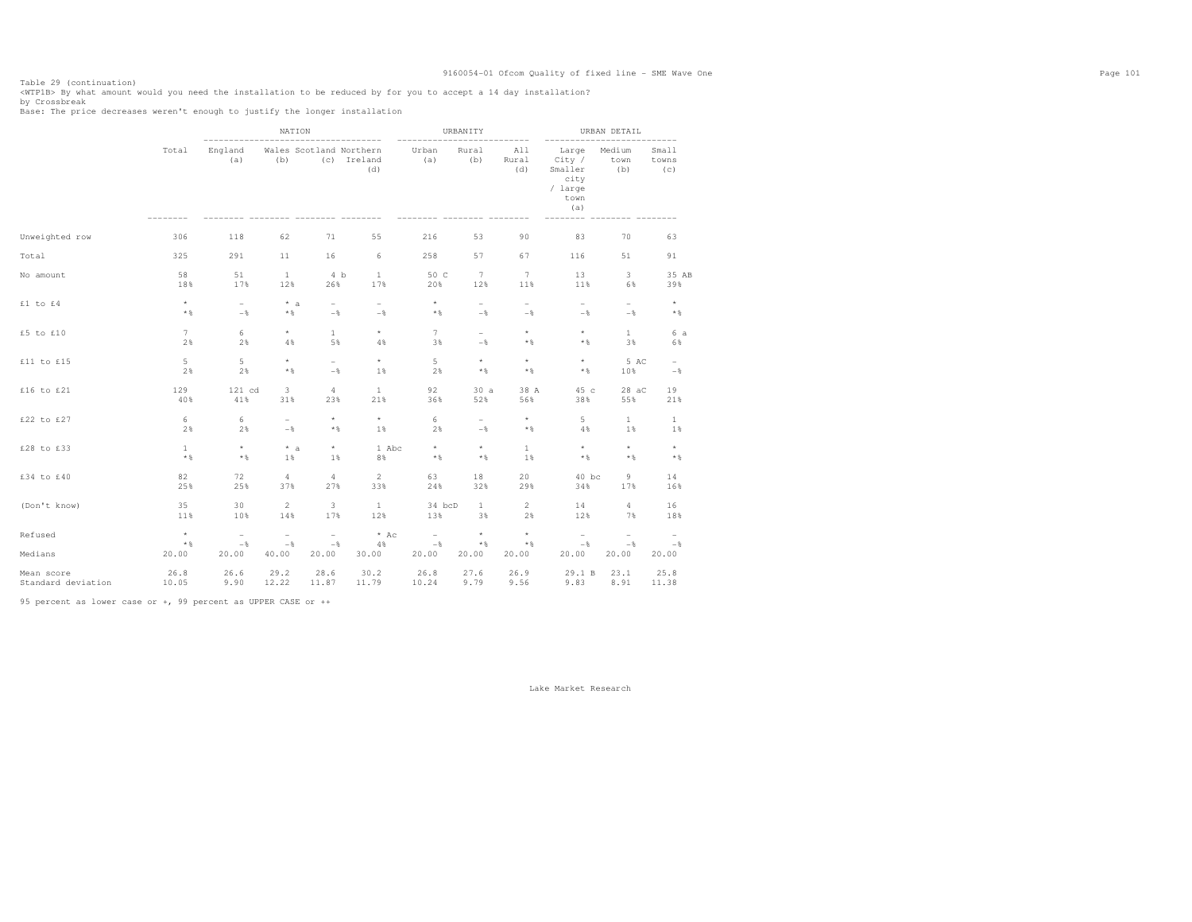Table 29 (continuation)<br><WTPlB> By what amount would you need the installation to be reduced by for you to accept a 14 day installation?<br>by Crossbreak<br>Base: The price decreases weren't enough to justify the longer installa

|                    |                 |                          | NATION                   |                          |                                               | -----------                     | URBANITY                 |                          |                                                              | URBAN DETAIL             |                          |
|--------------------|-----------------|--------------------------|--------------------------|--------------------------|-----------------------------------------------|---------------------------------|--------------------------|--------------------------|--------------------------------------------------------------|--------------------------|--------------------------|
|                    | Total           | England<br>(a)           | (b)                      |                          | Wales Scotland Northern<br>(c) Ireland<br>(d) | Urban<br>(a)                    | Rural<br>(b)             | All<br>Rural<br>(d)      | Large<br>City /<br>Smaller<br>city<br>/ large<br>town<br>(a) | Medium<br>town<br>(b)    | Small<br>towns<br>(c)    |
| Unweighted row     | 306             | 118                      | 62                       | 71                       | 55                                            | 216                             | 53                       | 90                       | 83                                                           | 70                       | 63                       |
| Total              | 325             | 291                      | 11                       | 16                       | 6                                             | 258                             | 57                       | 67                       | 116                                                          | 51                       | 91                       |
| No amount          | 58              | 51                       | $\mathbf{1}$             | 4 <sub>b</sub>           | $\mathbf{1}$                                  | 50 C                            | 7                        | $7\phantom{.0}$          | 13                                                           | 3                        | 35 AB                    |
|                    | 18%             | 17%                      | 12%                      | 26%                      | 17%                                           | 20%                             | 12%                      | 11%                      | 11%                                                          | 6%                       | 39%                      |
| £1 to £4           | $^\star$        | $\overline{\phantom{0}}$ | $* a$                    | $\overline{\phantom{0}}$ | $\overline{\phantom{a}}$                      | $\star$                         | $\overline{\phantom{a}}$ | $\overline{\phantom{0}}$ | $\sim$                                                       | $\sim$                   | $\star$                  |
|                    | $\star$ &       | $-$                      | $*$ &                    | $-$                      | $-$                                           | $*$ &                           | $-$ 8                    | $-$                      | $-$                                                          | $-$                      | $\star$ $\S$             |
| £5 to £10          | $7\overline{ }$ | 6                        | $\star$                  | $\mathbf{1}$             | $^{\star}$                                    | 7                               | $\overline{\phantom{0}}$ | $\star$                  | $^\star$                                                     | $\mathbf{1}$             | 6a                       |
|                    | 2%              | 2%                       | 4%                       | 5%                       | 4%                                            | 3%                              | $-\frac{6}{5}$           | $*$ %                    | $*$ %                                                        | 3%                       | 6%                       |
| £11 to £15         | 5               | 5                        | $\star$                  | $\overline{a}$           | $\star$                                       | 5                               | $\star$                  | $\star$                  | $^\star$                                                     | 5 AC                     | $\overline{\phantom{0}}$ |
|                    | 2%              | 2%                       | $\star$ $\S$             | $-\frac{6}{6}$           | 1%                                            | 2%                              | $*$ &                    | $*$ %                    | $*$ &                                                        | 10%                      | $-\frac{6}{6}$           |
| £16 to £21         | 129             | 121 cd                   | 3                        | 4                        | 1                                             | 92                              | 30a                      | 38 A                     | 45 c                                                         | 28 aC                    | 19                       |
|                    | 40%             | 41%                      | 31%                      | 23%                      | 21%                                           | 36%                             | 52%                      | 56%                      | 38%                                                          | 55%                      | 21%                      |
| £22 to £27         | 6               | 6                        | $\overline{\phantom{0}}$ | $\star$                  | $^{\star}$                                    | 6                               | $\overline{\phantom{a}}$ | $\star$                  | 5                                                            | 1                        | $\mathbf{1}$             |
|                    | 2%              | 2%                       | $-$                      | $*$ %                    | 1%                                            | 2%                              | $-$                      | $*$ %                    | 4%                                                           | 1%                       | 1%                       |
| £28 to £33         | $\mathbf{1}$    | $^\star$                 | $* a$                    | $\star$                  | 1 Abc                                         | $^\star$                        | $\star$                  | $\mathbf{1}$             | $^\star$                                                     | $\star$                  | $\star$                  |
|                    | $*$ %           | $*$ &                    | $1\%$                    | 1%                       | 8%                                            | $*$ %                           | $*$ %                    | 1%                       | $*$                                                          | $\star$ $\S$             | $*$ %                    |
| £34 to £40         | 82              | 72                       | $\overline{4}$           | 4                        | $\overline{2}$                                | 63                              | 18                       | 20                       | $40$ bc                                                      | 9                        | 14                       |
|                    | 25%             | 25%                      | 37%                      | 27%                      | 33%                                           | 24%                             | 32%                      | 29%                      | 34%                                                          | 17%                      | 16%                      |
| (Don't know)       | 35              | 30                       | $\overline{2}$           | 3                        | <b>1</b>                                      | 34 bcD                          | $\mathbf{1}$             | $\overline{c}$           | 14                                                           | 4                        | 16                       |
|                    | 11%             | 10%                      | 14%                      | 17%                      | 12%                                           | 13%                             | 3%                       | 2%                       | 12%                                                          | 7%                       | 18%                      |
| Refused            | $^\star$        | $\overline{\phantom{a}}$ | $\overline{\phantom{m}}$ | $\overline{\phantom{0}}$ | $*$ Ac                                        | $\hspace{0.1mm}-\hspace{0.1mm}$ | $\star$                  | $^\star$                 | $\overline{\phantom{a}}$                                     | $\overline{\phantom{a}}$ | $\overline{\phantom{a}}$ |
|                    | $*$ %           | $-\frac{6}{6}$           | $-$                      | $-\frac{6}{6}$           | 4%                                            | $-$                             | $*$ &                    | $\star$ $\S$             | $-$                                                          | $-$                      | $-\frac{6}{6}$           |
| Medians            | 20.00           | 20.00                    | 40.00                    | 20.00                    | 30.00                                         | 20.00                           | 20.00                    | 20.00                    | 20.00                                                        | 20.00                    | 20.00                    |
| Mean score         | 26.8            | 26.6                     | 29.2                     | 28.6                     | 30.2                                          | 26.8                            | 27.6                     | 26.9                     | 29.1 B                                                       | 23.1                     | 25.8                     |
| Standard deviation | 10.05           | 9.90                     | 12.22                    | 11.87                    | 11.79                                         | 10.24                           | 9.79                     | 9.56                     | 9.83                                                         | 8.91                     | 11.38                    |

95 percent as lower case or +, 99 percent as UPPER CASE or ++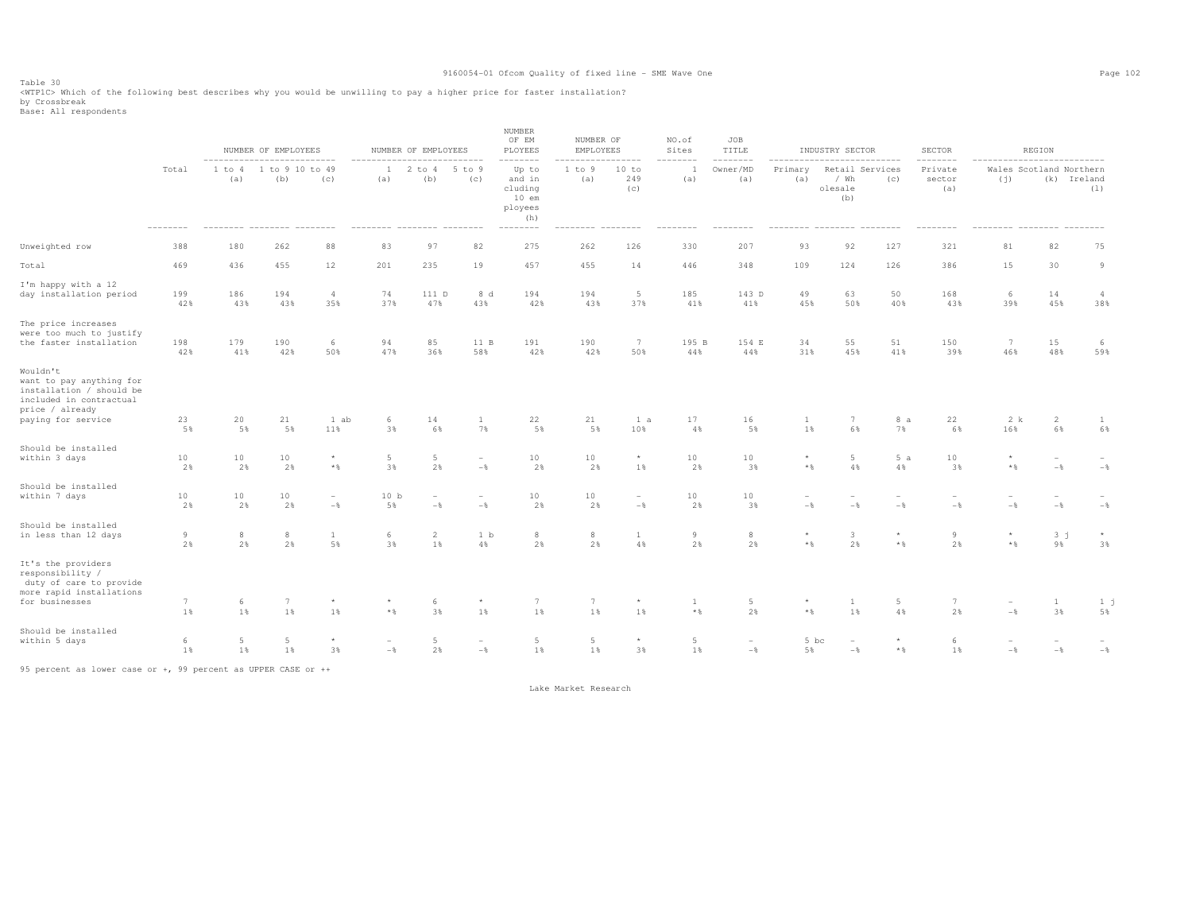Table 30<br><WTPlC> Which of the following best describes why you would be unwilling to pay a higher price for faster installation?<br>by Crossbreak<br>Base: All respondents

|                                                                                                                                      |                       |                          | NUMBER OF EMPLOYEES    |                                 |                       | NUMBER OF EMPLOYEES                        |                                   | NUMBER<br>OF EM<br>PLOYEES                            | NUMBER OF<br>EMPLOYEES |                                   | NO.of<br>Sites    | JOB<br>TITLE                      |                         | INDUSTRY SECTOR                           |                         | SECTOR                   |                         | REGION                          |                       |
|--------------------------------------------------------------------------------------------------------------------------------------|-----------------------|--------------------------|------------------------|---------------------------------|-----------------------|--------------------------------------------|-----------------------------------|-------------------------------------------------------|------------------------|-----------------------------------|-------------------|-----------------------------------|-------------------------|-------------------------------------------|-------------------------|--------------------------|-------------------------|---------------------------------|-----------------------|
|                                                                                                                                      | Total                 | 1 to 4<br>(a)            | 1 to 9 10 to 49<br>(b) | (c)                             | 1<br>(a)              | $2$ to $4$<br>(b)                          | 5 to 9<br>(c)                     | Up to<br>and in<br>cluding<br>10 em<br>ployees<br>(h) | 1 to 9<br>(a)          | 10 to<br>249<br>(c)               | (a)               | Owner/MD<br>(a)                   | Primary<br>(a)          | Retail Services<br>/ Wh<br>olesale<br>(b) | (C)                     | Private<br>sector<br>(a) | (j)                     | Wales Scotland Northern         | (k) Ireland<br>(1)    |
| Unweighted row                                                                                                                       | 388                   | 180                      | 262                    | 88                              | 83                    | 97                                         | 82                                | 275                                                   | 262                    | 126                               | 330               | 207                               | 93                      | 92                                        | 127                     | 321                      | 81                      | 82                              | 75                    |
| Total                                                                                                                                | 469                   | 436                      | 455                    | 12                              | 201                   | 235                                        | 19                                | 457                                                   | 455                    | 14                                | 446               | 348                               | 109                     | 124                                       | 126                     | 386                      | 15                      | 30                              | 9                     |
| I'm happy with a 12<br>day installation period                                                                                       | 199<br>42%            | 186<br>43%               | 194<br>43%             | $\overline{4}$<br>35%           | 74<br>37%             | 111 D<br>47%                               | 8 d<br>43%                        | 194<br>42%                                            | 194<br>43%             | $5\phantom{.0}$<br>37%            | 185<br>41%        | 143 D<br>41%                      | 49<br>45%               | 63<br>50%                                 | 50<br>40%               | 168<br>43%               | 6<br>39%                | 14<br>45%                       | $\overline{4}$<br>38% |
| The price increases<br>were too much to justify<br>the faster installation                                                           | 198<br>42%            | 179<br>41%               | 190<br>42%             | 6<br>50%                        | 94<br>47%             | 85<br>36%                                  | 11 B<br>58%                       | 191<br>42%                                            | 190<br>42%             | $7\overline{ }$<br>50%            | 195 B<br>44%      | 154 E<br>44%                      | 34<br>31%               | 55<br>45%                                 | 51<br>41%               | 150<br>39%               | 7<br>46%                | 15<br>48%                       | 6<br>59%              |
| Wouldn't<br>want to pay anything for<br>installation / should be<br>included in contractual<br>price / already<br>paying for service | 23                    | 20                       | 21                     | 1 ab                            | 6                     | 14                                         | $\mathbf{1}$                      | 22                                                    | 21                     | 1 a                               | 17                | 16                                | $\mathbf{1}$            | 7                                         | 8 a                     | 22                       | 2 k                     | 2                               | 1                     |
|                                                                                                                                      | 5%                    | 5%                       | 5%                     | 11%                             | 3%                    | 6%                                         | 7%                                | 5%                                                    | $5\,$ %                | 10%                               | 4%                | 5%                                | 1%                      | 6%                                        | 7%                      | 6%                       | 16%                     | 6%                              | 6%                    |
| Should be installed<br>within 3 days                                                                                                 | 10<br>2%              | 10<br>2%                 | 10<br>2%               | $\star$<br>$\star$ $\S$         | $5\phantom{.0}$<br>3% | $\overline{5}$<br>2%                       | $\overline{\phantom{a}}$<br>$-\,$ | 10<br>2%                                              | 10<br>2%               | $\star$<br>$1\,$                  | 10<br>2%          | $10$<br>3%                        | $\star$<br>$\star$ $\,$ | $\overline{5}$<br>4%                      | 5a<br>4%                | 10<br>3%                 | $^{\star}$<br>$\star$ & | $\overline{\phantom{a}}$<br>$-$ | $-\,$ $\,$            |
| Should be installed<br>within 7 days                                                                                                 | 10<br>2%              | 10<br>2%                 | $10$<br>2%             | $\overline{\phantom{a}}$<br>$-$ | 10 <sub>b</sub><br>5% | $\overline{\phantom{m}}$<br>$-\frac{6}{6}$ | $\overline{\phantom{a}}$<br>$-\,$ | 10<br>2%                                              | 10<br>2%               | $\overline{\phantom{a}}$<br>$-\,$ | $10$<br>2%        | 10<br>3%                          | $-$                     | $-$                                       | $-\frac{6}{6}$          | $-\frac{6}{6}$           | $-\frac{6}{6}$          | $-$                             | $-$                   |
| Should be installed<br>in less than 12 days                                                                                          | $\overline{9}$<br>2%  | $_{\rm 8}$<br>2%         | $^{\rm 8}$<br>2%       | $\mathbf{1}$<br>5%              | 6<br>3%               | 2<br>1%                                    | 1 b<br>4%                         | $^{\circ}$<br>2%                                      | $^{\rm 8}$<br>2%       | $\mathbf{1}$<br>4%                | 9<br>2%           | $_{\rm 8}$<br>2%                  | $\star$<br>$\star$ $\,$ | $\overline{\mathbf{3}}$<br>2%             | $\star$<br>$\star$ $\,$ | 9<br>2%                  | $\star$<br>$\star$ $\,$ | 3 <sub>1</sub><br>9%            | $\star$<br>3%         |
| It's the providers<br>responsibility /<br>duty of care to provide<br>more rapid installations<br>for businesses                      | $7\phantom{.0}$<br>1% | 6<br>1%                  | $7\phantom{.0}$<br>1%  | $\star$<br>1%                   | $^\star$<br>$*$ %     | 6<br>3%                                    | ${}^{\star}$<br>1%                | 7<br>$1\%$                                            | $7\phantom{.0}$<br>1%  | $\star$<br>1%                     | 1<br>$\star$ $\,$ | $5\phantom{.0}$<br>2%             | $\star$<br>$\star$ $\,$ | $\mathbf{1}$<br>1%                        | 5<br>4%                 | 7<br>2%                  | $-\,$                   | $\mathbf{1}$<br>3%              | 1 <sub>j</sub><br>5%  |
| Should be installed<br>within 5 days                                                                                                 | 6<br>1%               | $5\phantom{.0}$<br>$1\%$ | $5\phantom{.0}$<br>1%  | $\star$<br>3%                   | ÷<br>$-\frac{6}{6}$   | $5\phantom{.0}$<br>2%                      | $\overline{\phantom{a}}$<br>$-\,$ | $5\phantom{.0}$<br>$1\%$                              | $5\phantom{.0}$<br>1%  | $\star$<br>3%                     | 5<br>1%           | $\overline{\phantom{m}}$<br>$-\,$ | 5 bc<br>5%              | $\overline{\phantom{a}}$<br>$-$           | $\star$ $\,$            | 6<br>$1\%$               | -%                      | $-\,$                           | $-$ %                 |

95 percent as lower case or +, 99 percent as UPPER CASE or ++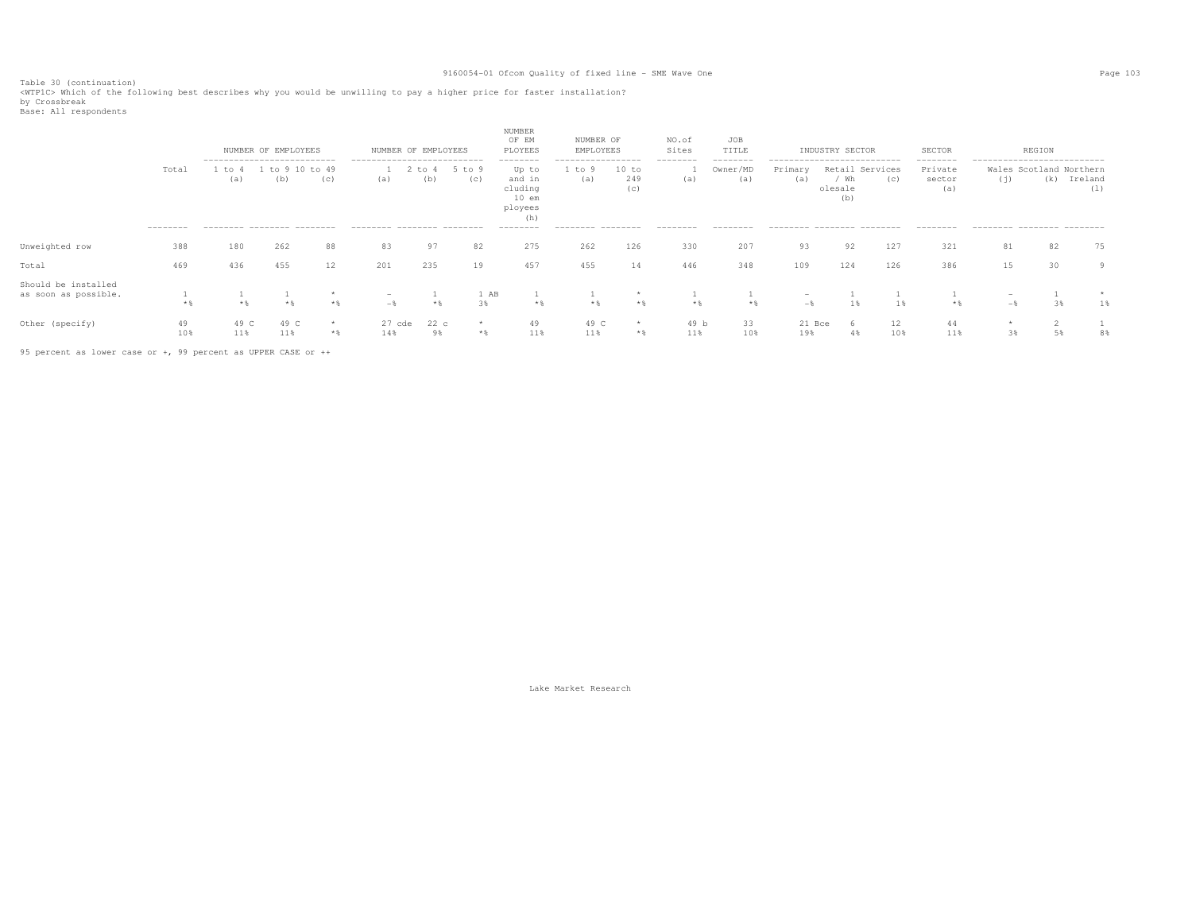Table 30 (continuation)<br><WTP1C> Which of the following best describes why you would be unwilling to pay a higher price for faster installation?<br>by Crossbreak<br>Base: All respondents

|                                             |           | --------------------------- | NUMBER OF EMPLOYEES |                      | NUMBER OF EMPLOYEES<br>--------------------------- |             |               | NUMBER<br>OF EM<br>PLOYEES<br>--------                  | NUMBER OF<br>EMPLOYEES<br>----------------- |                     | NO.of<br>Sites<br>-------- | JOB<br>TITLE<br>-------- | --------------------------- | INDUSTRY SECTOR                           |           | SECTOR<br>--------       | --------------------------- | REGION                         |                |  |
|---------------------------------------------|-----------|-----------------------------|---------------------|----------------------|----------------------------------------------------|-------------|---------------|---------------------------------------------------------|---------------------------------------------|---------------------|----------------------------|--------------------------|-----------------------------|-------------------------------------------|-----------|--------------------------|-----------------------------|--------------------------------|----------------|--|
|                                             | Total     | to 4<br>(a)                 | (b)                 | to 9 10 to 49<br>(C) | (a)                                                | to 4<br>(b) | 5 to 9<br>(c) | Up to<br>and in<br>cluding<br>$10$ em<br>ployees<br>(h) | 1 to 9<br>(a)                               | 10 to<br>249<br>(c) | (a)                        | Owner/MD<br>(a)          | Primary<br>(a)              | Retail Services<br>/ Wh<br>olesale<br>(b) | (C)       | Private<br>sector<br>(a) | (j)                         | Wales Scotland Northern<br>(k) | Ireland<br>(1) |  |
|                                             | --------- | --------- -------- -------  |                     |                      | --------- -------- --------                        |             |               | ---------                                               | --------- --------                          |                     | --------                   | --------                 | --------- -------- -------- |                                           |           | --------                 | --------- -------- -------  |                                |                |  |
| Unweighted row                              | 388       | 180                         | 262                 | 88                   | 83                                                 | 97          | 82            | 275                                                     | 262                                         | 126                 | 330                        | 207                      | 93                          | 92                                        | 127       | 321                      | 81                          | 82                             | 75             |  |
| Total                                       | 469       | 436                         | 455                 | 12                   | 201                                                | 235         | 19            | 457                                                     | 455                                         | 14                  | 446                        | 348                      | 109                         | 124                                       | 126       | 386                      | 15                          | 30                             | 9              |  |
| Should be installed<br>as soon as possible. | $*$ &     |                             | $*2$                | $\star$<br>$*$ &     | $-$                                                | $*$ &       | 1 AB<br>3%    | $*$ &                                                   | $*$ 2                                       | $*$ &               | $*$ &                      | $*$ &                    | $-$                         |                                           | 1%        | $*$ &                    | $ \mathbf{\mathbf{x}}$      |                                | $1\%$          |  |
| Other (specify)                             | 49<br>10% | 49 C<br>11%                 | 49 C<br>11%         | $*$ &                | $27$ cde<br>14%                                    | 22c<br>98   | $*$           | 49<br>11%                                               | 49 C<br>11%                                 | $\star$<br>$*$      | 49 b<br>11%                | 33<br>10%                | 21 Bce<br>19%               | 4%                                        | 12<br>10% | 44<br>11%                | 3%                          | 5%                             | 8%             |  |

95 percent as lower case or +, 99 percent as UPPER CASE or ++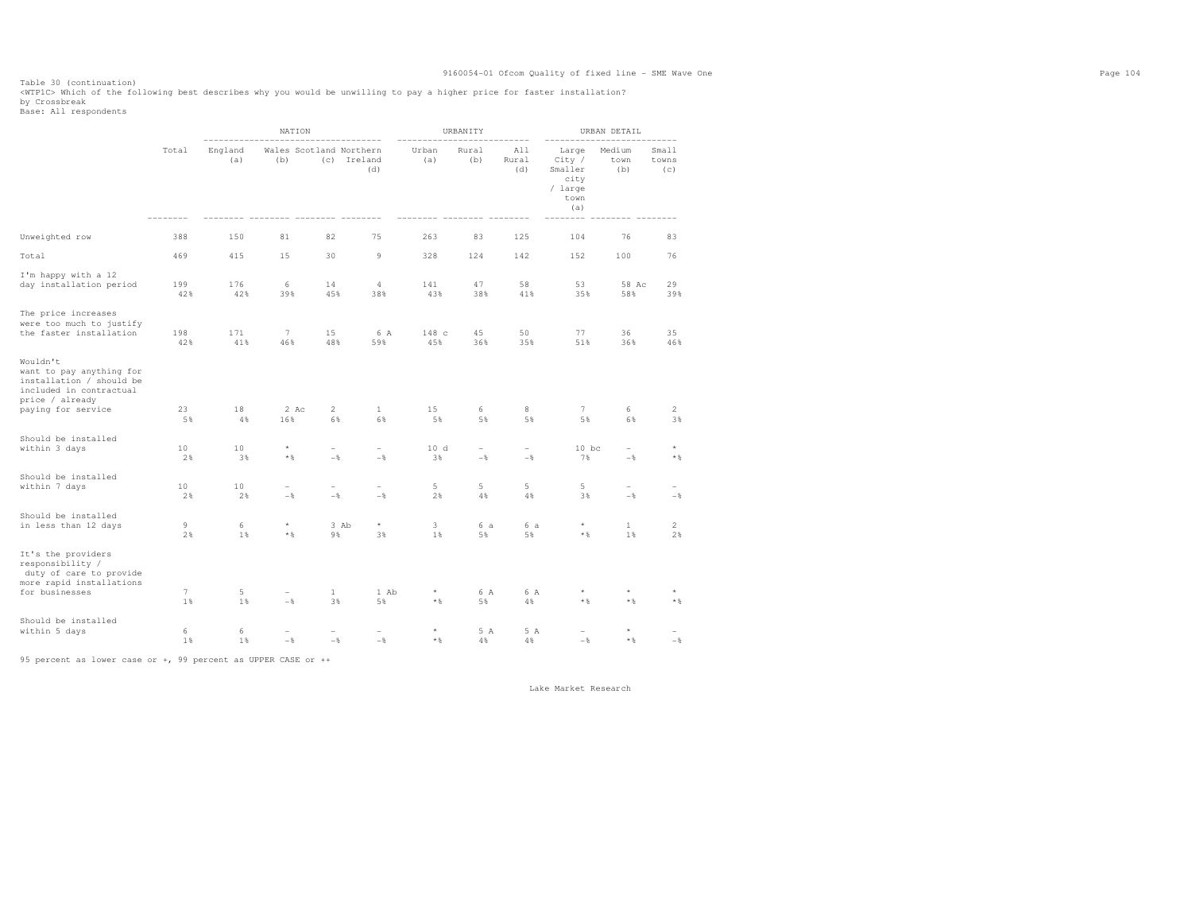Table 30 (continuation)<br><WTP1C> Which of the following best describes why you would be unwilling to pay a higher price for faster installation?<br>by Crossbreak<br>Base: All respondents

|                                                                                                                                      |                |                | NATION                          |                                              |                             |                     | URBANITY         |                                    |                                                              | URBAN DETAIL                  |                                 |
|--------------------------------------------------------------------------------------------------------------------------------------|----------------|----------------|---------------------------------|----------------------------------------------|-----------------------------|---------------------|------------------|------------------------------------|--------------------------------------------------------------|-------------------------------|---------------------------------|
|                                                                                                                                      | Total          | England<br>(a) | Wales Scotland Northern<br>(b)  |                                              | (c) Ireland<br>(d)          | Urban<br>(a)        | Rural<br>(b)     | All<br>Rural<br>(d)                | Large<br>City /<br>Smaller<br>city<br>/ large<br>town<br>(a) | Medium<br>town<br>(b)         | Small<br>towns<br>(c)           |
| Unweighted row                                                                                                                       | 388            | 150            | 81                              | 82                                           | 75                          | 263                 | 83               | 125                                | 104                                                          | 76                            | 83                              |
| Total                                                                                                                                | 469            | 415            | 15                              | 30                                           | 9                           | 328                 | 124              | 142                                | 152                                                          | 100                           | 76                              |
| I'm happy with a 12<br>day installation period                                                                                       | 199<br>42%     | 176<br>42%     | 6<br>39%                        | 14<br>45%                                    | $\overline{4}$<br>38%       | 141<br>43%          | 47<br>38%        | 58<br>41%                          | 53<br>35%                                                    | 58 Ac<br>58%                  | 29<br>39%                       |
| The price increases<br>were too much to justify<br>the faster installation                                                           | 198<br>42%     | 171<br>41%     | 7<br>46%                        | 15<br>48%                                    | 6 A<br>59%                  | 148 c<br>45%        | 45<br>36%        | 50<br>35%                          | 77<br>51%                                                    | 36<br>36%                     | 35<br>46%                       |
| Wouldn't<br>want to pay anything for<br>installation / should be<br>included in contractual<br>price / already<br>paying for service | 23             | 18             | 2 Ac                            | $\overline{2}$                               | 1                           | 15                  | 6                | 8                                  | 7                                                            | 6                             | 2                               |
| Should be installed<br>within 3 days                                                                                                 | 5%<br>10<br>2% | 4%<br>10<br>3% | 16%<br>$^\star$<br>$\star$ $\S$ | 6%<br>$\overline{\phantom{0}}$<br>$-\,$ $\,$ | 6%<br>$\overline{a}$<br>$-$ | 5%<br>10d<br>3%     | 5%<br>-<br>$-\,$ | 5%<br>$\overline{a}$<br>$-\,$ $\,$ | 5%<br>$10$ bc<br>7%                                          | 6%<br>$\overline{a}$<br>$-\,$ | 3%<br>$\star$<br>$\star$ $\S$   |
| Should be installed<br>within 7 days                                                                                                 | 10<br>2%       | 10<br>2%       | $\overline{\phantom{a}}$<br>$-$ | $\overline{\phantom{0}}$<br>$-$              | $\overline{a}$<br>$-$       | 5<br>2%             | 5<br>4%          | 5<br>4%                            | 5<br>3%                                                      | $\overline{a}$<br>$-$         | $\overline{\phantom{a}}$<br>$-$ |
| Should be installed<br>in less than 12 days                                                                                          | 9<br>2%        | 6<br>1%        | $\star$<br>$*$ &                | 9%                                           | $^{\star}$<br>3 Ab<br>3%    | 3<br>$1\%$          | 6 a<br>5%        | 6 a<br>5%                          | $^\star$<br>$*$ &                                            | $\mathbf{1}$<br>1%            | $\overline{2}$<br>2%            |
| It's the providers<br>responsibility /<br>duty of care to provide<br>more rapid installations<br>for businesses                      | 7<br>1         | 5<br>1%        | ۰<br>$-\frac{6}{5}$             | $\mathbf{1}$<br>3%                           | 1 Ab<br>5%                  | $^{\star}$<br>$*$ & | 6 A<br>5%        | 6 A<br>4%                          | $^{\star}$<br>$*$ &                                          | $^\star$<br>$\star$ $\,$      | $*$ %                           |
| Should be installed<br>within 5 days                                                                                                 | 6<br>1%        | 6<br>1%        | $-$                             | $\overline{\phantom{0}}$<br>$-\frac{6}{6}$   | $-$                         | $^\star$<br>$*$ &   | 5 A<br>4%        | 5 A<br>4%                          | $\overline{\phantom{0}}$<br>$-$                              | $\star$<br>$*$ %              | $-$                             |

95 percent as lower case or +, 99 percent as UPPER CASE or ++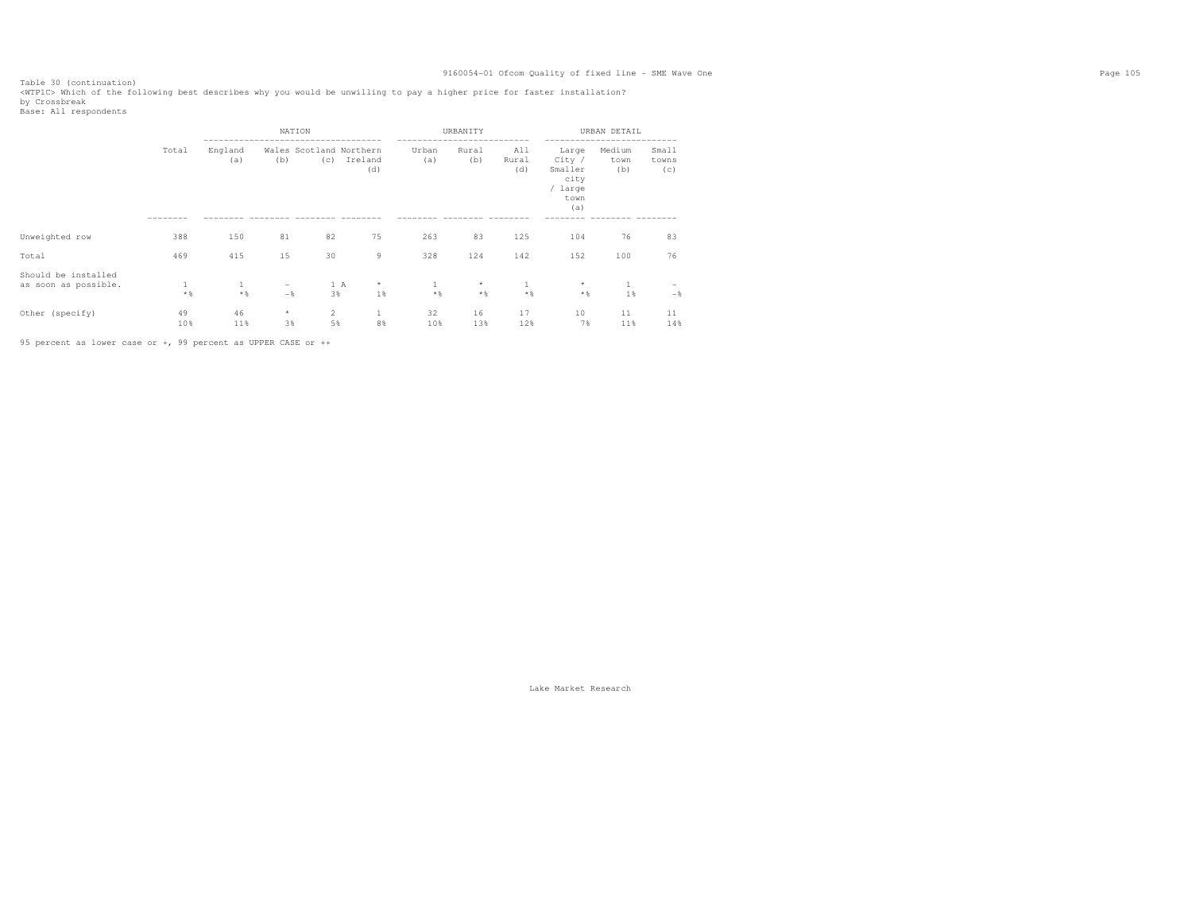Table 30 (continuation) <WTP1C> Which of the following best describes why you would be unwilling to pay a higher price for faster installation? by Crossbreak

NATION URBANITY URBAN DETAIL ----------------------------------- -------------------------- -------------------------- Small Total England Wales Scotland Northern Urban Rural All Large Medium<br>(a) (b) (c) Ireland (a) (b) Rural City / town towns (c) Ireland (a) (b) Rural City / town<br>
(d) (d) Smaller (b)  $(c)$ (d) City<br>Smaller city / large town (a) -------- -------- -------- -------- -------- -------- -------- -------- -------- -------- -------- Unweighted row 388 150 81 82 75 263 83 125 104 76 83 Total 469 415 15 30 9 328 124 142 152 100 76 Should be installed as soon as possible.  $\qquad \qquad 1 \qquad \qquad 1 \qquad \qquad - \qquad \qquad 1 \hskip 1cm A \qquad \star \qquad \qquad 1 \qquad \qquad \star \qquad \qquad 1 \qquad \qquad \star \qquad \qquad 1 \qquad \qquad - \qquad \phantom{1}$  $-\, \%$  \*% \*% -% 3% 1% \*% \*% \*% \*% 1% -% Other (specify) 49 46 \* 2 1 32 16 17 10 11 11  $1\;4\;8$ 10% 11% 3% 5% 8% 10% 13% 12% 7% 11% 14%

95 percent as lower case or +, 99 percent as UPPER CASE or ++

Base: All respondents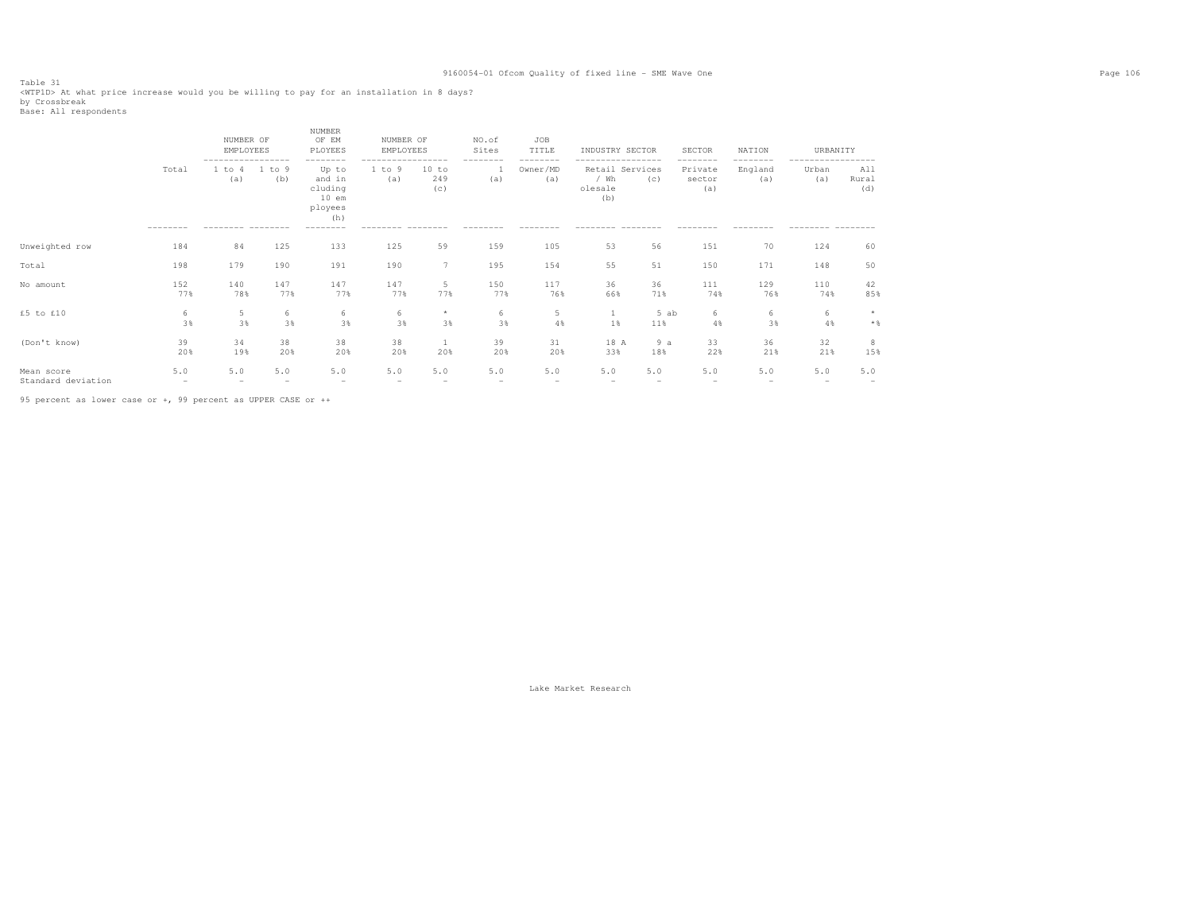Table 31<br><WTPlD> At what price increase would you be willing to pay for an installation in 8 days?<br>by Crossbreak<br>Base: All respondents

|                                  |                                 | NUMBER OF<br>EMPLOYEES             |               | <b>NUMBER</b><br>OF EM<br>PLOYEES                                        | NUMBER OF<br>EMPLOYEES |                                   | NO.of<br>Sites  | JOB<br>TITLE                | INDUSTRY SECTOR          |                                   | <b>SECTOR</b>                        | NATION              | URBANITY     |                         |
|----------------------------------|---------------------------------|------------------------------------|---------------|--------------------------------------------------------------------------|------------------------|-----------------------------------|-----------------|-----------------------------|--------------------------|-----------------------------------|--------------------------------------|---------------------|--------------|-------------------------|
|                                  | Total                           | -----------------<br>1 to 4<br>(a) | 1 to 9<br>(b) | -----<br>----<br>Up to<br>and in<br>cluding<br>$10$ em<br>ployees<br>(h) | 1 to 9<br>(a)          | ----------<br>10 to<br>249<br>(c) | --------<br>(a) | --------<br>Owner/MD<br>(a) | $/$ Wh<br>olesale<br>(b) | -------<br>Retail Services<br>(c) | --------<br>Private<br>sector<br>(a) | .<br>England<br>(a) | Urban<br>(a) | All<br>Rural<br>(d)     |
|                                  |                                 |                                    |               | --------                                                                 |                        |                                   |                 |                             |                          |                                   |                                      |                     |              |                         |
| Unweighted row                   | 184                             | 84                                 | 125           | 133                                                                      | 125                    | 59                                | 159             | 105                         | 53                       | 56                                | 151                                  | 70                  | 124          | 60                      |
| Total                            | 198                             | 179                                | 190           | 191                                                                      | 190                    | 7                                 | 195             | 154                         | 55                       | 51                                | 150                                  | 171                 | 148          | 50                      |
| No amount                        | 152<br>77%                      | 140<br>78%                         | 147<br>77%    | 147<br>77%                                                               | 147<br>77%             | 5<br>77%                          | 150<br>77%      | 117<br>76%                  | 36<br>66%                | 36<br>71%                         | 111<br>74%                           | 129<br>76%          | 110<br>74%   | 42<br>85%               |
| £5 to £10                        | 6<br>3%                         | 5<br>3%                            | 6<br>3%       | 6<br>3%                                                                  | 6<br>3%                | $\star$<br>3%                     | 6<br>3%         | 5<br>4%                     | $\mathbf{1}$<br>1%       | 5 ab<br>11%                       | 6<br>4%                              | 6<br>3%             | 6<br>4%      | $\star$<br>$\star$ $\,$ |
| (Don't know)                     | 39<br>20%                       | 34<br>19%                          | 38<br>20%     | 38<br>20%                                                                | 38<br>20%              | -1<br>20%                         | 39<br>20%       | 31<br>20%                   | 18 A<br>33%              | 9a<br>18%                         | 33<br>22%                            | 36<br>21%           | 32<br>21%    | 8<br>15%                |
| Mean score<br>Standard deviation | 5.0<br>$\overline{\phantom{a}}$ | 5.0                                | 5.0           | 5.0                                                                      | 5.0<br>-               | 5.0                               | 5.0             | 5.0                         | 5.0                      | 5.0                               | 5.0                                  | 5.0                 | 5.0          | 5.0                     |

95 percent as lower case or +, 99 percent as UPPER CASE or ++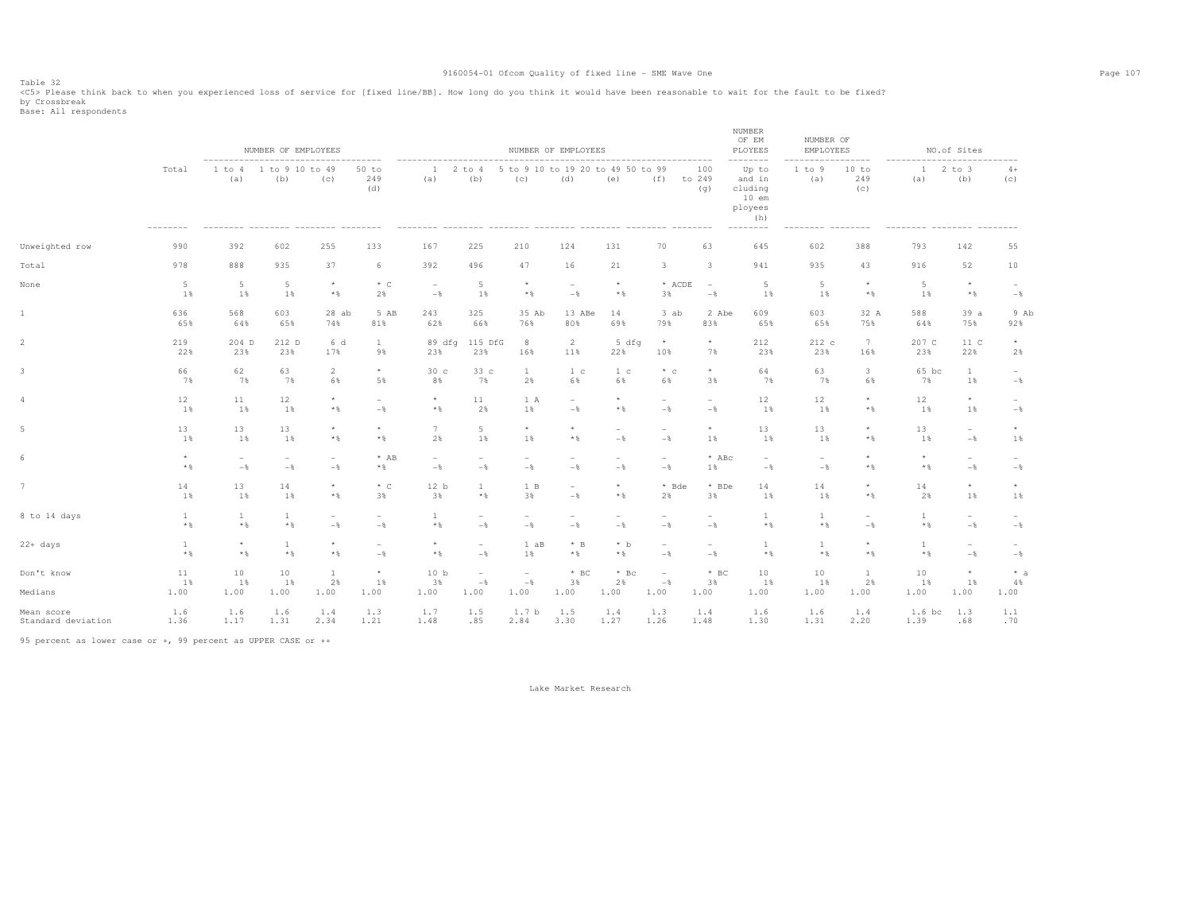Table 32<br><C5> Please think back to when you experienced loss of service for [fixed line/BB]. How long do you think it would have been reasonable to wait for the fault to be fixed? by Crossbreak<br>Base: All respondents

|                       |                  |                       | NUMBER OF EMPLOYEES<br>--------------------------- |                                 |                                 | ----------------------------    |                                         |                                                    | NUMBER OF EMPLOYEES<br>---------------------------------- |                                 |                                         |                                 | NUMBER<br>OF EM<br>PLOYEES<br>---------                                     | NUMBER OF<br>EMPLOYEES              | -------                         |                      | NO.of Sites              |                          |
|-----------------------|------------------|-----------------------|----------------------------------------------------|---------------------------------|---------------------------------|---------------------------------|-----------------------------------------|----------------------------------------------------|-----------------------------------------------------------|---------------------------------|-----------------------------------------|---------------------------------|-----------------------------------------------------------------------------|-------------------------------------|---------------------------------|----------------------|--------------------------|--------------------------|
|                       | Total            | 1 to 4<br>(a)         | 1 to 9 10 to 49<br>(b)                             | (c)                             | 50 to<br>249<br>(d)             | 1<br>(a)                        | 2 to 4<br>(b)                           | (c)                                                | 5 to 9 10 to 19 20 to 49 50 to 99<br>(d)                  | (e)                             | (f)<br>--------- --------               | 100<br>to 249<br>(q)            | Up to<br>and in<br>cluding<br>$10$ em<br>ployees<br>(h)<br>$-- - - - - - -$ | 1 to 9<br>(a)<br>--------- -------- | 10 to<br>249<br>(c)             | $\mathbf{1}$<br>(a)  | $2$ to $3$<br>(b)        | $4+$<br>(c)              |
| Unweighted row        | 990              | 392                   | 602                                                | 255                             | 133                             | 167                             | 225                                     | 210                                                | 124                                                       | 131                             | 70                                      | 63                              | 645                                                                         | 602                                 | 388                             | 793                  | 142                      | 55                       |
| Total                 | 978              | 888                   | 935                                                | 37                              | 6                               | 392                             | 496                                     | 47                                                 | 16                                                        | 21                              | 3                                       | $\overline{\mathbf{3}}$         | 941                                                                         | 935                                 | 43                              | 916                  | 52                       | 10                       |
| None                  | 5<br>1%          | 5<br>1%               | $\overline{5}$<br>1%                               | $\star$<br>$*$ &                | $*$ C<br>2%                     | $\overline{\phantom{a}}$<br>$-$ | 5<br>1%                                 | $\star$<br>$\star$ $\,$                            | $\overline{\phantom{a}}$<br>$-$                           | $\star$<br>$\star$ $\,$         | * ACDE<br>3%                            | $\overline{\phantom{a}}$<br>$-$ | -5<br>1%                                                                    | 5<br>1%                             | $\star$<br>$\star$ $\,$         | $\overline{5}$<br>1% | $\star$<br>$\star$ $\,$  | $-$                      |
| $1\,$                 | 636              | 568                   | 603                                                | $28$ ab                         | 5 AB                            | 243                             | 325                                     | 35 Ab                                              | 13 ABe                                                    | 14                              | 3 ab                                    | 2 Abe                           | 609                                                                         | 603                                 | 32 A                            | 588                  | 39a                      | 9 Ab                     |
|                       | 65%              | 64%                   | 65%                                                | 74%                             | 81%                             | 62%                             | 66%                                     | 76%                                                | 80%                                                       | 69%                             | 79%                                     | 83%                             | 65%                                                                         | 65%                                 | 75%                             | 64%                  | 75%                      | 92%                      |
| $\overline{c}$        | 219              | 204 D                 | 212 D                                              | 6 d                             | $\mathbf{1}$                    | 89 dfg                          | 115 DfG                                 | 8                                                  | 2                                                         | 5 dfg                           | $\star$                                 | $\star$                         | 212                                                                         | 212 c                               | 7                               | 207 C                | 11 C                     | $\star$                  |
|                       | 22%              | 23%                   | 23%                                                | 17%                             | 9%                              | 23%                             | 23%                                     | 16%                                                | 11%                                                       | 22%                             | 10%                                     | 7%                              | 23%                                                                         | 23%                                 | 16%                             | 23%                  | 22%                      | 2%                       |
| 3                     | 66               | 62                    | 63                                                 | $\overline{2}$                  | $\star$                         | 30 <sub>c</sub>                 | 33c                                     | -1                                                 | 1 <sup>c</sup>                                            | 1 c                             | $*$ c                                   | $\star$                         | 64                                                                          | 63                                  | $\mathbf{3}$                    | 65 bc                | -1                       | $\overline{\phantom{a}}$ |
|                       | 7%               | 7%                    | 7%                                                 | 6%                              | 5%                              | 8%                              | 7%                                      | 2%                                                 | 6%                                                        | 6%                              | 6%                                      | 3%                              | 7%                                                                          | 7%                                  | 6%                              | 7%                   | 1%                       | $-\frac{6}{6}$           |
| 4                     | 12               | 11                    | 12                                                 | $\star$                         | $\overline{a}$                  | $\star$                         | 11                                      | 1 A                                                | $\overline{\phantom{a}}$                                  | $\star$                         | $\overline{\phantom{m}}$                | ÷                               | 12                                                                          | 12                                  | $\star$                         | 12                   | $\star$                  | $\overline{\phantom{a}}$ |
|                       | 1%               | 1%                    | 1%                                                 | $*$ &                           | $-$                             | $*$ %                           | 2%                                      | 1%                                                 | $-\frac{6}{6}$                                            | $*$ &                           | $-$                                     | $-\frac{6}{6}$                  | 1%                                                                          | 1%                                  | $*$ %                           | 1%                   | 1%                       | $-$                      |
| 5                     | 13               | 13                    | 13                                                 | $\star$                         | $\star$                         | $\overline{7}$                  | 5                                       | $\star$                                            | $\star$                                                   | $\sim$                          | $\overline{\phantom{a}}$                | $\star$                         | 13                                                                          | 13                                  | $^{\star}$                      | 13                   | $\overline{\phantom{a}}$ | $^{\star}$               |
|                       | 1%               | 1%                    | 1%                                                 | $*$ &                           | $*$                             | 2%                              | 1%                                      | 1%                                                 | $*$                                                       | $-$                             | $-$                                     | 1%                              | 1%                                                                          | 1%                                  | $*$                             | 1%                   | $-$                      | 1%                       |
| 6                     | $\star$          | $\sim$                | $\overline{\phantom{0}}$                           | $\overline{\phantom{a}}$        | $*$ AB                          | $\overline{\phantom{a}}$        | $\overline{\phantom{a}}$                | $\overline{\phantom{0}}$                           | $\overline{\phantom{a}}$                                  | $\overline{\phantom{0}}$        | $\overline{\phantom{a}}$                | $*$ ABc                         | $\overline{\phantom{a}}$                                                    | $\overline{\phantom{a}}$            | $\star$                         | $^{\star}$           | $\sim$                   | $\sim$                   |
|                       | $\star$ $\,$     | $-$                   | $-\frac{6}{6}$                                     | $-\frac{6}{5}$                  | $*$ &                           | $-$                             | $-$                                     | $-\frac{6}{6}$                                     | $-$                                                       | $-$                             | $-$                                     | 1%                              | $-$                                                                         | $-$                                 | $\star$ $\,$                    | $\star$ $\,$         | $-\frac{6}{6}$           | $-$                      |
| $7\phantom{.0}$       | 14               | 13                    | 14                                                 | $\star$                         | $*$ C                           | 12 b                            | $\mathbf{1}$                            | 1 B                                                | $\overline{\phantom{a}}$                                  | $\star$                         | * Bde                                   | * BDe                           | 14                                                                          | 14                                  | $\star$                         | 14                   | $\star$                  | $^{\star}$               |
|                       | 1%               | 1%                    | 1%                                                 | $*$ &                           | 3%                              | 3%                              | $\star$ $\,$                            | 3%                                                 | $-$                                                       | $*$ %                           | 2%                                      | 3%                              | 1%                                                                          | 1%                                  | $*$                             | 2%                   | 1%                       | 1%                       |
| 8 to 14 days          | 1<br>$*$ &       | $\overline{1}$<br>$*$ | 1<br>$*$ &                                         | $\overline{\phantom{a}}$<br>$-$ | $\overline{\phantom{a}}$<br>$-$ | $\mathbf{1}$<br>$*$ %           | $\overline{\phantom{a}}$<br>$-$         | $\overline{\phantom{0}}$<br>$-\frac{6}{6}$         | $\overline{\phantom{a}}$<br>$-$                           | $\overline{\phantom{0}}$<br>$-$ | $\overline{\phantom{a}}$<br>$-$         | $\equiv$<br>$-$                 | $*$ %                                                                       | $\mathbf{1}$<br>$*$ %               | $\overline{\phantom{a}}$<br>$-$ | 1<br>$*$ %           | $\sim$<br>$-\frac{6}{6}$ | $\qquad \qquad$<br>$-$   |
| $22+ days$            | $\mathbf{1}$     | $\star$               | 1                                                  | $\star$                         | $\overline{\phantom{a}}$        | $\star$                         | $\overline{\phantom{a}}$                | 1 aB                                               | $*$ B                                                     | $*$ b                           | $\overline{\phantom{a}}$                | $\overline{\phantom{a}}$        | $\overline{1}$                                                              | $\mathbf{1}$                        | $\star$                         | $\mathbf{1}$         | $\sim$                   | $\overline{\phantom{0}}$ |
|                       | $*$ %            | $*$ &                 | $*$ &                                              | $\star$ $\S$                    | $-$                             | $*$ %                           | $-\frac{6}{5}$                          | 1%                                                 | $*$                                                       | $*$ &                           | $-$                                     | $-\frac{6}{6}$                  | $*$ &                                                                       | $*$ &                               | $*$                             | $*$ &                | $-\frac{6}{6}$           | $-\frac{6}{6}$           |
| Don't know<br>Medians | 11<br>1%<br>1.00 | 10<br>1%<br>1.00      | 10<br>1%<br>1.00                                   | $\mathbf{1}$<br>2%<br>1.00      | $^{\star}$<br>1%<br>1.00        | 10 <sub>b</sub><br>3%<br>1.00   | $\overline{\phantom{0}}$<br>$-$<br>1.00 | $\overline{\phantom{a}}$<br>$-\frac{6}{6}$<br>1.00 | $*$ BC<br>3%<br>1.00                                      | $*$ Bc<br>2%<br>1.00            | $\overline{\phantom{a}}$<br>$-$<br>1.00 | $*$ BC<br>3%<br>1.00            | 10<br>1%<br>1.00                                                            | 10<br>1%<br>1.00                    | $\mathbf{1}$<br>2%<br>1.00      | 10<br>1%<br>1.00     | $\star$<br>1%<br>1.00    | $* a$<br>4%<br>1.00      |
| Mean score            | 1.6              | 1.6                   | 1.6                                                | 1.4                             | 1.3                             | 1.7                             | 1.5                                     | 1.7 <sub>b</sub>                                   | 1.5                                                       | 1.4                             | 1.3                                     | 1.4                             | 1.6                                                                         | 1.6                                 | 1.4                             | 1.6 bc               | 1.3                      | 1.1                      |
| Standard deviation    | 1.36             | 1.17                  | 1.31                                               | 2.34                            | 1.21                            | 1.48                            | .85                                     | 2.84                                               | 3.30                                                      | 1.27                            | 1.26                                    | 1.48                            | 1.30                                                                        | 1.31                                | 2.20                            | 1.39                 | .68                      | .70                      |

95 percent as lower case or +, 99 percent as UPPER CASE or ++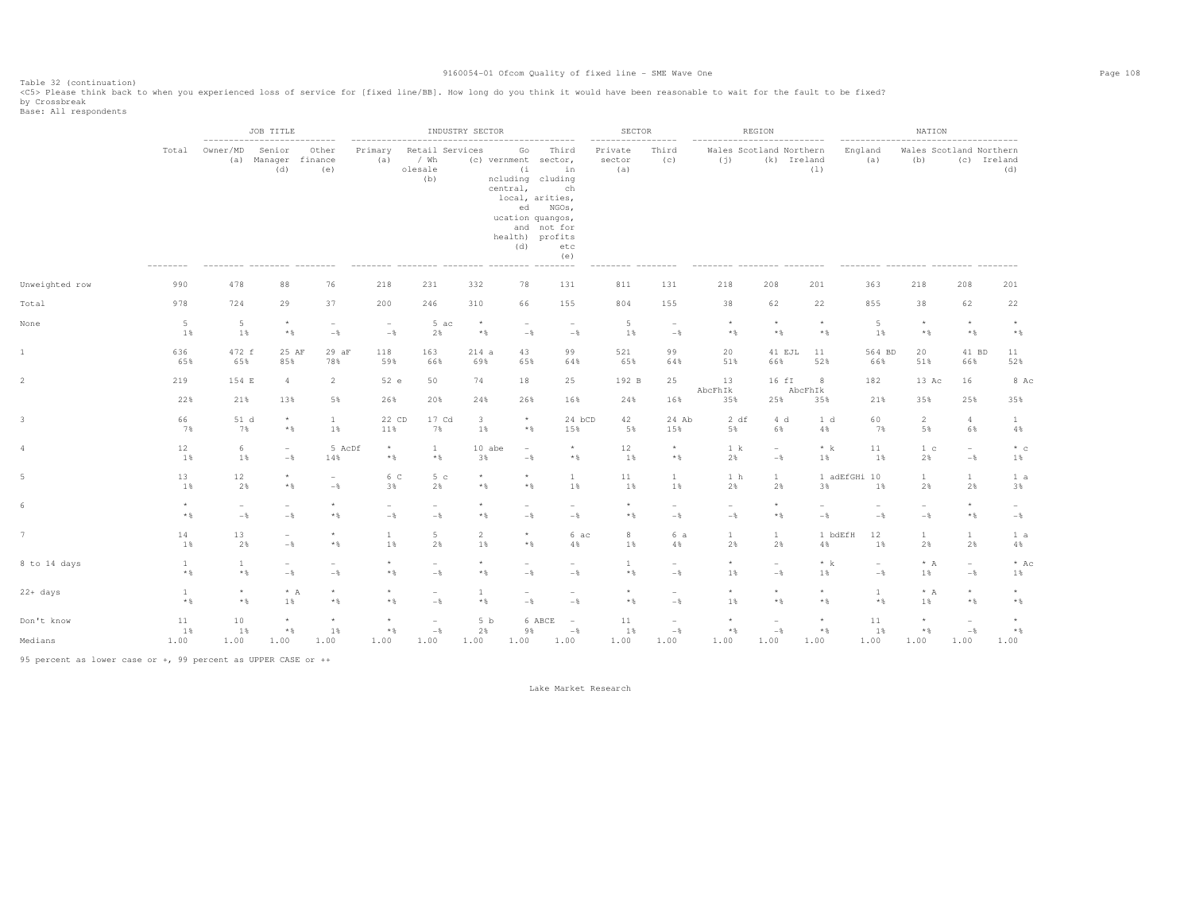Table 32 (continuation)<br><C5> Please think back to when you experienced loss of service for [fixed line/BB]. How long do you think it would have been reasonable to wait for the fault to be fixed?

by Crossbreak<br>Base: All respondents

|                |                              |                                            | JOB TITLE<br>--------------------------- |                                            |                                 |                                            | INDUSTRY SECTOR         |                                    |                                                                                                                                                               | <b>SECTOR</b>            |                                            |                                   | REGION                                     | ---------        | NATION                |                                 |                                            |                          |  |
|----------------|------------------------------|--------------------------------------------|------------------------------------------|--------------------------------------------|---------------------------------|--------------------------------------------|-------------------------|------------------------------------|---------------------------------------------------------------------------------------------------------------------------------------------------------------|--------------------------|--------------------------------------------|-----------------------------------|--------------------------------------------|------------------|-----------------------|---------------------------------|--------------------------------------------|--------------------------|--|
|                | Total                        | Owner/MD<br>(a)                            | Senior<br>Manager finance<br>(d)         | Other<br>(e)                               | Primary<br>(a)                  | Retail Services<br>/ Wh<br>olesale<br>(b)  |                         | Go<br>(i)<br>central,<br>ed<br>(d) | Third<br>(c) vernment sector,<br>in<br>ncluding cluding<br>ch<br>local, arities,<br>NGOs,<br>ucation quangos,<br>and not for<br>health) profits<br>etc<br>(e) | Private<br>sector<br>(a) | Third<br>(c)                               | (i)                               | Wales Scotland Northern<br>(k) Ireland     | (1)              | England<br>(a)        | (b)                             | Wales Scotland Northern                    | (c) Ireland<br>(d)       |  |
| Unweighted row | 990                          | 478                                        | 88                                       | 76                                         | 218                             | 231                                        | 332                     | 78                                 | 131                                                                                                                                                           | 811                      | 131                                        | 218                               | 208                                        | 201              | 363                   | 218                             | 208                                        | 201                      |  |
| Total          | 978                          | 724                                        | 29                                       | 37                                         | 200                             | 246                                        | 310                     | 66                                 | 155                                                                                                                                                           | 804                      | 155                                        | 38                                | 62                                         | 22               | 855                   | 38                              | 62                                         | 22                       |  |
| None           | $5\phantom{.}$<br>1%         | 5<br>1%                                    | $\star$<br>$\star$ $\,$                  | $\sim$<br>$-$                              | $\sim$<br>$-$                   | 5 ac<br>2%                                 | $\star$<br>$\star$ $\,$ | $\overline{\phantom{m}}$<br>$-$    | $\overline{\phantom{a}}$<br>$-$                                                                                                                               | 5<br>1%                  | $\overline{\phantom{a}}$<br>$-$            | $\star$<br>$*$ &                  | $\star$<br>$\star$ $\,$                    | $\star$<br>$*$ & | 5<br>1%               | $\star$<br>$\star$ $\,$         | $\star$<br>$\star$ $\,$                    | $\star$<br>$*$ &         |  |
| $\mathbf{1}$   | 636<br>65%                   | 472 f<br>65%                               | 25 AF<br>85%                             | 29 aF<br>78%                               | 118<br>59%                      | 163<br>66%                                 | 214a<br>69%             | 43<br>65%                          | 99<br>64%                                                                                                                                                     | 521<br>65%               | 99<br>64%                                  | 20<br>51%                         | 41 EJL<br>66%                              | 11<br>52%        | 564 BD<br>66%         | 20<br>51%                       | 41 BD<br>66%                               | 11<br>52%                |  |
| $\overline{2}$ | 219                          | 154 E                                      | $\overline{4}$                           | $\overline{2}$                             | 52 e                            | 50                                         | 74                      | 18                                 | 25                                                                                                                                                            | 192 B                    | 25                                         | 13<br>AbcFhIk                     | 16 fI                                      | 8<br>AbcFhIk     | 182                   | 13 Ac                           | 16                                         | 8 Ac                     |  |
|                | 22%                          | 21%                                        | 13%                                      | 5%                                         | 26%                             | 20%                                        | 24%                     | 26%                                | 16%                                                                                                                                                           | 24%                      | 16%                                        | 35%                               | 25%                                        | 35%              | 21%                   | 35%                             | 25%                                        | 35%                      |  |
| 3              | 66<br>7%                     | 51 d<br>7%                                 | $\star$<br>$\star$ $\,$                  | $\mathbf{1}$<br>1%                         | 22 CD<br>11%                    | 17 Cd<br>7%                                | 3<br>1%                 | $\star$<br>$*$ &                   | 24 bCD<br>15%                                                                                                                                                 | 42<br>5%                 | 24 Ab<br>15%                               | 2 df<br>5%                        | 4 d<br>6%                                  | 1 d<br>4%        | 60<br>7%              | 2<br>5%                         | $\overline{4}$<br>6%                       | $\mathbf{1}$<br>4%       |  |
| 4              | 12<br>1%                     | 6<br>1%                                    | $-\frac{6}{5}$                           | 5 AcDf<br>14%                              | $^{\star}$<br>$\star$ $\,$      | $\mathbf{1}$<br>$\star$ $\,$               | 10 abe<br>3%            | $\overline{\phantom{a}}$<br>$-$ 8  | $^{\star}$<br>$\star$ $\,$                                                                                                                                    | 12<br>$1\%$              | $\star$<br>$\star$ $\,$                    | 1 k<br>2%                         | $\overline{\phantom{a}}$<br>$-\frac{6}{6}$ | $*$ k<br>1%      | 11<br>1%              | 1 <sup>c</sup><br>2%            | $\overline{\phantom{0}}$<br>$-\frac{6}{6}$ | $*$ c<br>1%              |  |
| 5              | 13<br>1%                     | 12<br>2%                                   | $\star$<br>$*$ &                         | $\overline{\phantom{0}}$<br>$-\frac{6}{5}$ | 6 C<br>3%                       | 5c<br>2%                                   | $\star$<br>$*$          | $\star$<br>$*$ &                   | $\mathbf{1}$<br>1%                                                                                                                                            | $1\,1$<br>1%             | $\mathbf{1}$<br>1%                         | 1 h<br>2%                         | $\mathbf{1}$<br>2%                         | 3%               | 1 adEfGHi 10<br>$1\%$ | $\mathbf{1}$<br>2%              | $\mathbf{1}$<br>2%                         | 1 a<br>3%                |  |
| 6              | $\star$<br>$*$ &             | $\overline{\phantom{a}}$<br>$-\frac{6}{6}$ | $-$                                      | $\star$<br>$*$ &                           | $\overline{\phantom{a}}$<br>$-$ | $\overline{\phantom{a}}$<br>$-$            | * %                     | $\overline{\phantom{m}}$<br>$-$    | $\overline{\phantom{a}}$<br>$-$                                                                                                                               | $\star$<br>$\star$ &     | $\overline{\phantom{a}}$<br>$-\frac{6}{6}$ | $\overline{\phantom{a}}$<br>$-\,$ | $\star$<br>$\star$ $\,$                    | $-$              | $-$                   | $\overline{\phantom{a}}$<br>$-$ | $\star$<br>$\star$ $\S$                    | $\sim$<br>$-\frac{6}{6}$ |  |
| 7              | 14<br>1%                     | 13<br>2%                                   | $\overline{\phantom{a}}$<br>$-\,$ %      | $\star$<br>* %                             | $\mathbf{1}$<br>1%              | $\mathbbm{5}$<br>2%                        | $\overline{c}$<br>1%    | $\star$<br>$*$ &                   | 6 ac<br>4%                                                                                                                                                    | $_{\rm 8}$<br>1%         | 6 a<br>4%                                  | $1\,$<br>2%                       | $1\,$<br>2%                                | 1 bdEfH<br>4%    | 12<br>1%              | $1\,$<br>2%                     | $1\,$<br>2%                                | 1 a<br>4%                |  |
| 8 to 14 days   | $\mathbf{1}$<br>$\star$ $\,$ | <sup>1</sup><br>$\star$ $\,$               | $-$                                      | $-$                                        | $*$ &                           | $-$                                        | $\star$ $\,$            | $-$                                | $-$                                                                                                                                                           | 1<br>$\star$ &           | $-$                                        | $\star$<br>1%                     | $\overline{\phantom{a}}$<br>$-$            | $* k$<br>1%      | $-$                   | $* A$<br>1%                     | $ \,$<br>$-\,$                             | $*$ Ac<br>$1\%$          |  |
| $22+ days$     | $\mathbf{1}$<br>$\star$ $\,$ | $\star$<br>$*$ &                           | $* A$<br>1%                              | $*$ &                                      | $*$ %                           | $\overline{\phantom{0}}$<br>$-\frac{6}{6}$ | 1<br>$*$                | $-$                                | $-$                                                                                                                                                           | $\star$<br>$*$           | $\overline{\phantom{a}}$<br>$-$            | $\star$<br>1%                     | $\star$<br>$*$                             | $\star$<br>$*$ & | $\mathbf{1}$<br>$*$ % | $* A$<br>1%                     | $\star$<br>$*$ &                           | $*$                      |  |
| Don't know     | 11<br>1%                     | 10<br>$1\%$                                | $\star$ $\,$                             | 1%                                         | $\star$ $\,$                    | $-\,$                                      | 5 b<br>2%               | 9%                                 | 6 ABCE<br>$\overline{\phantom{a}}$<br>$-\,$                                                                                                                   | 11<br>1%                 | $-\,$                                      | $\star$ $\,$                      | $-\,$                                      | $\star$ $\,$     | 11<br>1%              | $\star$ $\,$                    | $-\,$                                      | $\star$ $\,$             |  |
| Medians        | 1.00                         | 1.00                                       | 1.00                                     | 1.00                                       | 1.00                            | 1.00                                       | 1.00                    | 1.00                               | 1.00                                                                                                                                                          | 1.00                     | 1.00                                       | 1.00                              | 1.00                                       | 1.00             | 1.00                  | 1.00                            | 1.00                                       | 1.00                     |  |

95 percent as lower case or +, 99 percent as UPPER CASE or ++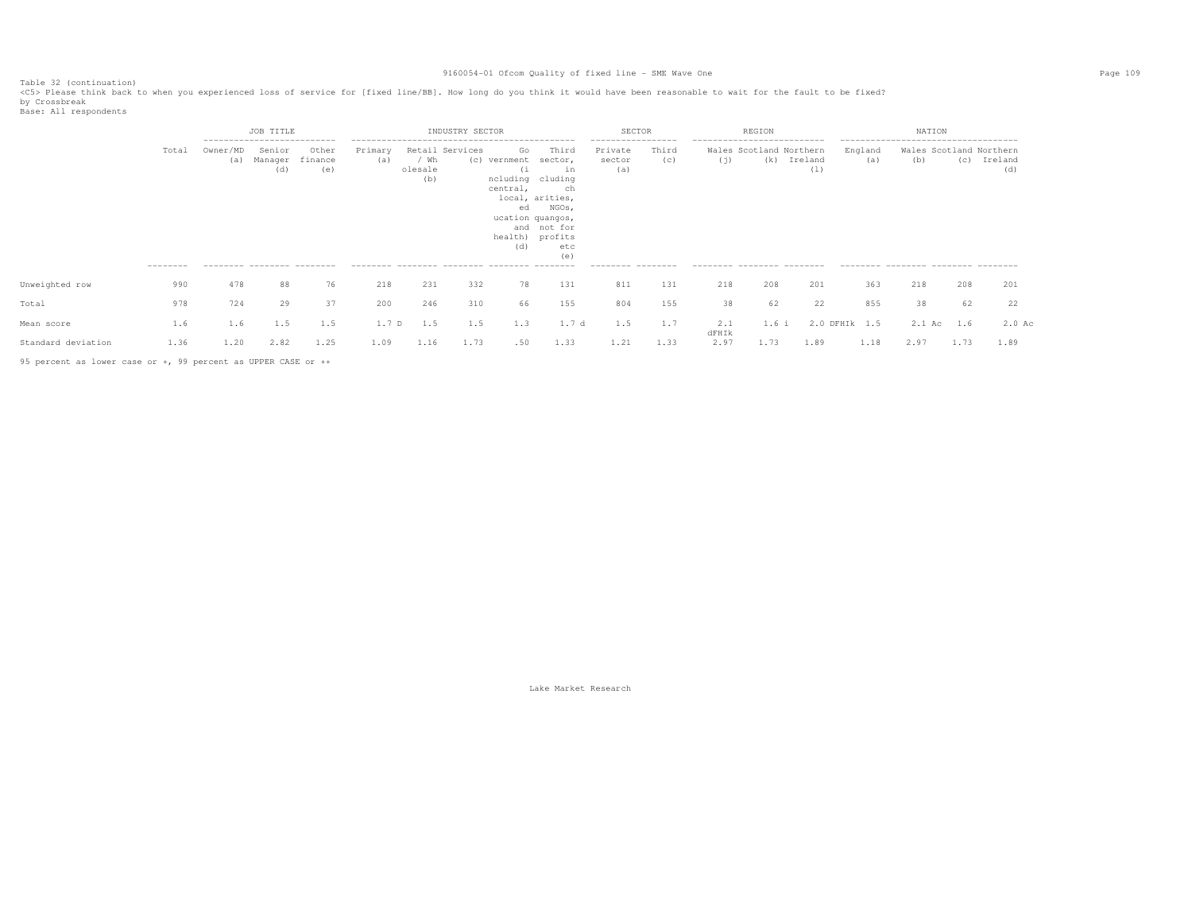Table 32 (continuation)<br><C5> Please think back to when you experienced loss of service for [fixed line/BB]. How long do you think it would have been reasonable to wait for the fault to be fixed?

by Crossbreak<br>Base: All respondents

|                    |                   |      | JOB TITLE                                                                                      |              |                  |                                           | INDUSTRY SECTOR |                                   |                                                                                                                                                               | SECTOR                                                               |              |                                                                   | REGION                         |                |                | NATION                                                                                                        |      |                |
|--------------------|-------------------|------|------------------------------------------------------------------------------------------------|--------------|------------------|-------------------------------------------|-----------------|-----------------------------------|---------------------------------------------------------------------------------------------------------------------------------------------------------------|----------------------------------------------------------------------|--------------|-------------------------------------------------------------------|--------------------------------|----------------|----------------|---------------------------------------------------------------------------------------------------------------|------|----------------|
|                    | Total<br>-------- |      | ----------------------------<br>Senior<br>Manager finance<br>(d)<br>--------- -------- ------- | Other<br>(e) | Primary<br>(a)   | Retail Services<br>/ Wh<br>olesale<br>(b) |                 | Go<br>(1<br>central,<br>ed<br>(d) | Third<br>(c) vernment sector,<br>in<br>ncluding cluding<br>ch<br>local, arities,<br>NGOs,<br>ucation quangos,<br>and not for<br>health) profits<br>etc<br>(e) | ------------------<br>Private<br>sector<br>(a)<br>--------- -------- | Third<br>(c) | ----------------------------<br>(i)<br>--------- -------- ------- | Wales Scotland Northern<br>(k) | Ireland<br>(1) | England<br>(a) | --------------------------------------<br>Wales Scotland Northern<br>(b)<br>-------- -------- ------- ------- | (C)  | Ireland<br>(d) |
| Unweighted row     | 990               | 478  | 88                                                                                             | 76           | 218              | 231                                       | 332             | 78                                | 131                                                                                                                                                           | 811                                                                  | 131          | 218                                                               | 208                            | 201            | 363            | 218                                                                                                           | 208  | 201            |
| Total              | 978               | 724  | 29                                                                                             | 37           | 200              | 246                                       | 310             | 66                                | 155                                                                                                                                                           | 804                                                                  | 155          | 38                                                                | 62                             | 22             | 855            | 38                                                                                                            | 62   | 22             |
| Mean score         | 1.6               | 1.6  | 1.5                                                                                            | 1.5          | 1.7 <sub>D</sub> | 1.5                                       | 1.5             | 1.3                               | 1.7 d                                                                                                                                                         | 1.5                                                                  | 1.7          | 2.1<br>dFHIk                                                      | $1.6$ i                        |                | 2.0 DFHIR 1.5  | 2.1 Ac                                                                                                        | 1.6  | $2.0$ Ac       |
| Standard deviation | 1.36              | 1.20 | 2.82                                                                                           | 1.25         | 1.09             | 1.16                                      | 1.73            | .50                               | 1.33                                                                                                                                                          | 1.21                                                                 | 1.33         | 2.97                                                              | 1.73                           | 1.89           | 1.18           | 2.97                                                                                                          | 1.73 | 1.89           |

95 percent as lower case or +, 99 percent as UPPER CASE or ++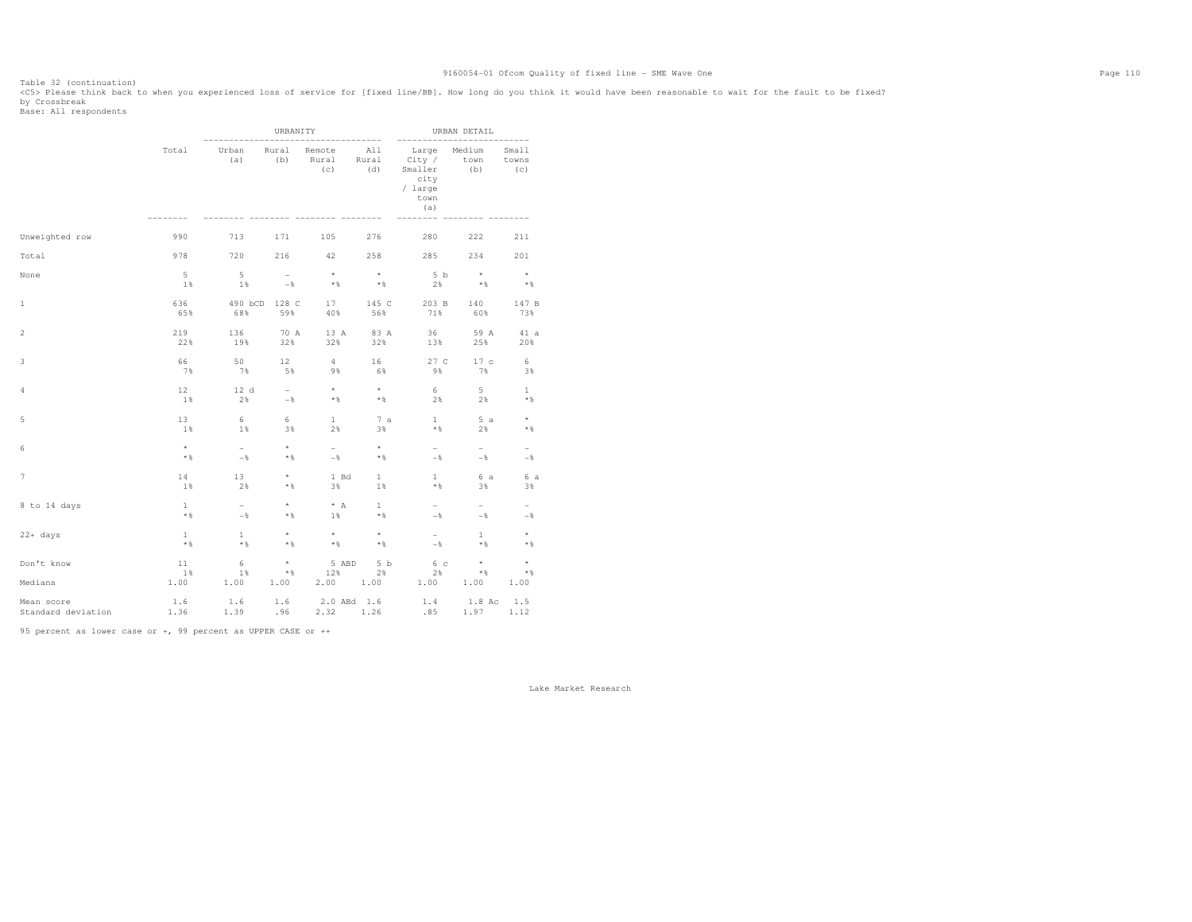Table 32 (continuation)<br><C5> Please think back to when you experienced loss of service for [fixed line/BB]. How long do you think it would have been reasonable to wait for the fault to be fixed? by Crossbreak<br>Base: All respondents

|                                             |                     |                | URBANITY             |                               |                       |                                                                             | URBAN DETAIL          |                          |
|---------------------------------------------|---------------------|----------------|----------------------|-------------------------------|-----------------------|-----------------------------------------------------------------------------|-----------------------|--------------------------|
|                                             | Total               | Urban<br>(a)   | Rural<br>(b)         | Remote<br>Rural<br>(C)        | All<br>Rural<br>(d)   | $- - - - -$<br>Large<br>City /<br>Smaller<br>city<br>/ large<br>town<br>(a) | Medium<br>town<br>(b) | Small<br>towns<br>(C)    |
| Unweighted row                              | 990                 | 713            | 171                  | 105                           | 276                   | 280                                                                         | 222                   | 211                      |
| Total                                       | 978                 | 720            | 216                  | 42                            | 258                   | 285                                                                         | 234                   | 201                      |
| None                                        | 5                   | $-5$           | $\sim$               | $\rightarrow$                 | $\rightarrow$ $\star$ | 5 b                                                                         | $\rightarrow$         | $\rightarrow$            |
|                                             | 1%                  | 1%             | $-$ %                | $*$                           | $*$                   | 2%                                                                          | $*$                   | $*$                      |
| 1                                           | 636<br>65%          | 68%            | 490 bCD 128 C<br>59% | 17<br>40%                     | 145 C<br>56%          | 203 B<br>71%                                                                | 140<br>60%            | 147 B<br>73%             |
| $\overline{2}$                              | 219                 | 136            | 70 A                 | 13 A                          | 83 A                  | 36                                                                          | 59 A                  | 41 a                     |
|                                             | 22%                 | 19%            | 32%                  | 32%                           | 32%                   | 13%                                                                         | 25%                   | 20%                      |
| 3                                           | 66                  | 50             | 12                   | $4\overline{ }$               | 16                    | 27 C                                                                        | 17c                   | 6                        |
|                                             | 7%                  | 7%             | 5%                   | 9%                            | 6%                    | 9%                                                                          | 7%                    | 3%                       |
| 4                                           | 12                  | 12 d           | $\sim$               | $\star$                       | $\star$               | 6                                                                           | $5 -$                 | $\mathbf{1}$             |
|                                             | $1\%$               | 2%             | $-$                  | $*$ &                         | $*$ &                 | 2%                                                                          | 2%                    | $*$ $\frac{6}{3}$        |
| 5                                           | 13                  | 6              | 6                    | $\mathbf{1}$                  | 7a                    | 1                                                                           | 5a                    | $\star$                  |
|                                             | 1%                  | 1%             | 3%                   | 2%                            | 3%                    | * %                                                                         | 2%                    | $*$                      |
| 6                                           | $\star$             | $\sim$         | $\star$              | $\sim$                        | $^{\star}$            | $\sim$                                                                      | $-$                   | $\overline{\phantom{a}}$ |
|                                             | $\star$ $\,$        | $-$            | $*$ %                | $-$                           | $*$ &                 | $-$                                                                         | $-$                   | $-$                      |
| $\overline{\phantom{a}}$                    | 14                  | 13             | $\star$              | 1 Bd                          | $\mathbf{1}$          | $\mathbf{1}$                                                                | 6 a                   | 6 a                      |
|                                             | 1%                  | 2%             | $*$ &                | 3%                            | 1%                    | $*$                                                                         | 3%                    | 3%                       |
| 8 to 14 days                                | <sup>1</sup>        | $ \,$          | $\star$              | $* A$                         | $\mathbf{1}$          | $ \,$                                                                       | $ \,$                 | $\overline{\phantom{a}}$ |
|                                             | $*$ %               | $-\frac{6}{5}$ | $*$ &                | $1\%$                         | $*$                   | $-\frac{6}{5}$                                                              | $-\frac{6}{5}$        | $-\frac{6}{5}$           |
| $22+ days$                                  | $\mathbf{1}$        | $\mathbf{1}$   | $\star$              | $\star$                       | $\star$               | $\sim$                                                                      | $\mathbf{1}$          | $\star$                  |
|                                             | $*$ %               | $*$ %          | $*$ &                | $*$ &                         | $*$                   | $-$                                                                         | $*$ &                 | $*$ %                    |
| Don't know                                  | 11                  | 6              | $\star$              | 5 ABD                         | 5 b                   | 6 <sup>c</sup>                                                              | $\star$               | $\star$                  |
|                                             | 1%                  | 1%             | $*$ &                | 12%                           | 2%                    | $2\%$                                                                       | $*$                   | $*$ %                    |
| Medians<br>Mean score<br>Standard deviation | 1.00<br>1.6<br>1.36 | 1.00<br>1.6    | 1.00<br>1.6          | $2.00 \t 1.00$<br>2.0 ABd 1.6 |                       | 1.00<br>1.4<br>$1.39$ $.96$ $2.32$ $1.26$ $.85$ $1.97$ $1.12$               | 1.00<br>$1.8$ Ac      | 1.00<br>1.5              |

95 percent as lower case or +, 99 percent as UPPER CASE or ++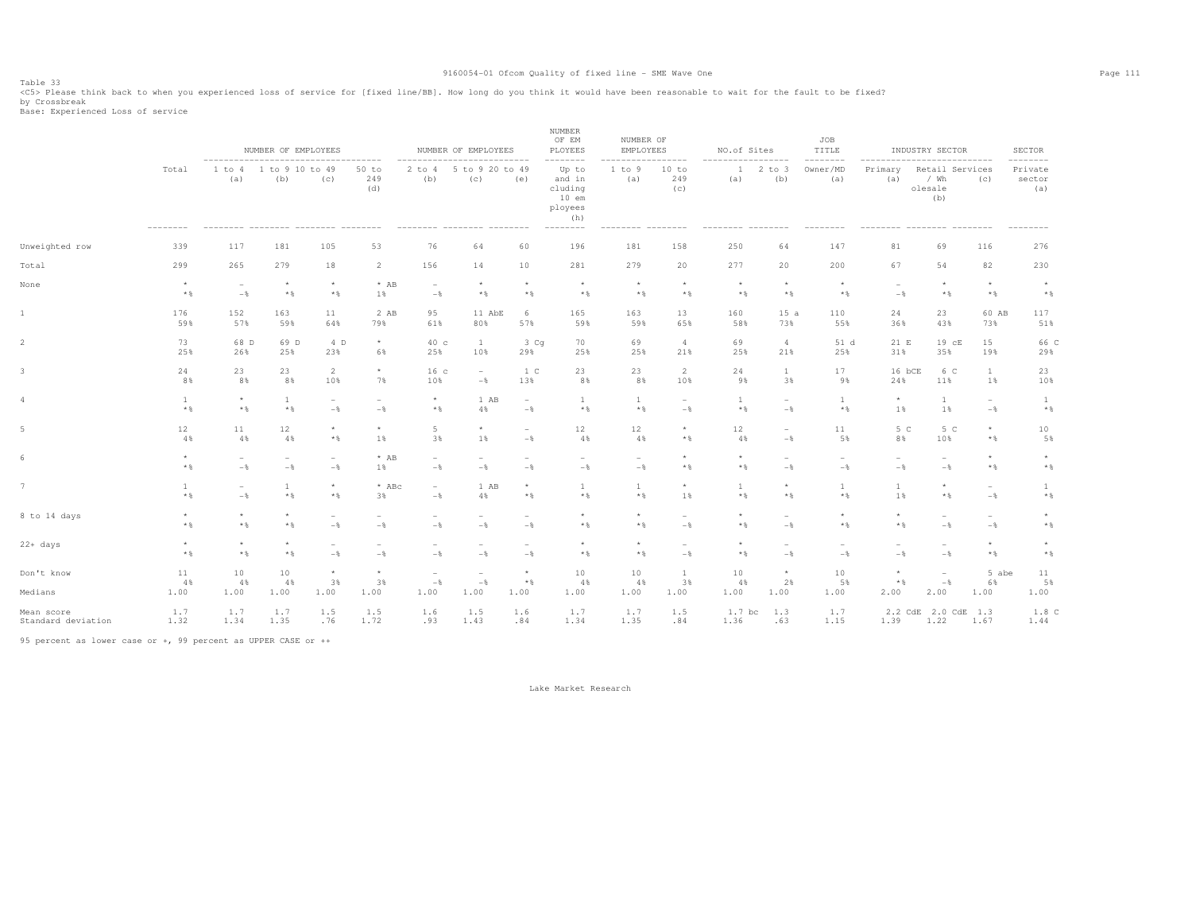Table 33<br><C5> Please think back to when you experienced loss of service for [fixed line/BB]. How long do you think it would have been reasonable to wait for the fault to be fixed?

by Crossbreak<br>Base: Experienced Loss of service

|                                  |                  |                             | NUMBER OF EMPLOYEES             |                                 | ------------                    |                          | NUMBER OF EMPLOYEES                       |                                 | NUMBER<br>OF EM<br>PLOYEES<br>--------                              | NUMBER OF<br>EMPLOYEES   |                                 | NO.of Sites           | $- - - - -$                     | JOB<br>TITLE<br>-------- |                                 | INDUSTRY SECTOR                           | -----------         | SECTOR<br>$- - - - - -$    |
|----------------------------------|------------------|-----------------------------|---------------------------------|---------------------------------|---------------------------------|--------------------------|-------------------------------------------|---------------------------------|---------------------------------------------------------------------|--------------------------|---------------------------------|-----------------------|---------------------------------|--------------------------|---------------------------------|-------------------------------------------|---------------------|----------------------------|
|                                  | Total            | ----------<br>1 to 4<br>(a) | 1 to 9 10 to 49<br>(b)          | (c)                             | 50 to<br>249<br>(d)             | $2$ to $4$<br>(b)        | 5 to 9 20 to 49<br>(c)                    | ------<br>(e)                   | Up to<br>and in<br>cluding<br>$10$ em<br>ployees<br>(h)<br>-------- | 1 to 9<br>(a)            | -----<br>10 to<br>249<br>(C)    | 1<br>(a)              | $2$ to $3$<br>(b)               | Owner/MD<br>(a)          | Primary<br>(a)                  | Retail Services<br>/ Wh<br>olesale<br>(b) | (C)                 | Private<br>sector<br>(a)   |
| Unweighted row                   | 339              | 117                         | 181                             | 105                             | 53                              | 76                       | 64                                        | 60                              | 196                                                                 | 181                      | 158                             | 250                   | 64                              | 147                      | 81                              | 69                                        | 116                 | 276                        |
| Total                            | 299              | 265                         | 279                             | 18                              | 2                               | 156                      | 14                                        | 10                              | 281                                                                 | 279                      | 20                              | 277                   | 20                              | 200                      | 67                              | 54                                        | 82                  | 230                        |
| None                             | $\star$          | $\overline{\phantom{a}}$    | $\star$                         | $\star$                         | $*$ AB                          | $\overline{\phantom{a}}$ | $\star$                                   | $\star$                         | $\star$                                                             | $\star$                  | $\star$                         | $\star$               | $\star$                         | $\star$                  | $\overline{\phantom{a}}$        | $\star$                                   | $\star$             | $^{\star}$                 |
|                                  | $*$ %            | $-\frac{6}{5}$              | $*$ %                           | $\star$ $\,$                    | 1%                              | $-$                      | $*$                                       | $\star$ $\,$                    | $\star$ $\,$                                                        | $\star$ $\,$             | $\star$ $\,$                    | $\star$ $\,$          | $*$                             | $*$ &                    | $-$                             | $\star$ $\,$                              | $\star$ $\,$        | $\star$ $\,$               |
| $\mathbf{1}$                     | 176              | 152                         | 163                             | 11                              | 2 AB                            | 95                       | 11 AbE                                    | 6                               | 165                                                                 | 163                      | 13                              | 160                   | 15a                             | 110                      | 24                              | 23                                        | 60 AB               | 117                        |
|                                  | 59%              | 57%                         | 59%                             | 64%                             | 79%                             | 61%                      | 80%                                       | 57%                             | 59%                                                                 | 59%                      | 65%                             | 58%                   | 73%                             | 55%                      | 36%                             | 43%                                       | 73%                 | 51%                        |
| $\overline{2}$                   | 73               | 68 D                        | 69 D                            | 4 D                             | $^{\star}$                      | 40 с                     | $\mathbf{1}$                              | 3 <sub>cq</sub>                 | 70                                                                  | 69                       | $\overline{4}$                  | 69                    | $\overline{4}$                  | 51 d                     | 21 E                            | 19 cE                                     | 15                  | 66 C                       |
|                                  | 25%              | 26%                         | 25%                             | 23%                             | 6%                              | 25%                      | 10%                                       | 29%                             | 25%                                                                 | 25%                      | 21%                             | 25%                   | 21%                             | 25%                      | 31%                             | 35%                                       | 19%                 | 29%                        |
| 3                                | 24               | 23                          | 23                              | $\overline{2}$                  | $\star$                         | 16 <sub>c</sub>          | $\sim$                                    | 1 C                             | 23                                                                  | 23                       | 2                               | 24                    | $\mathbf{1}$                    | 17                       | 16 bCE                          | 6 C                                       | $\mathbf{1}$        | 23                         |
|                                  | 8%               | 8%                          | 8%                              | 10%                             | 7%                              | 10%                      | $-\frac{6}{6}$                            | 13%                             | 8%                                                                  | 8%                       | 10%                             | 98                    | 3%                              | 9%                       | 24%                             | 11%                                       | 1%                  | 10%                        |
| $\overline{4}$                   | $\mathbf{1}$     | $\star$                     | $\mathbf{1}$                    | $\hspace{0.1mm}-\hspace{0.1mm}$ | $\overline{\phantom{a}}$        | $\star$                  | 1 AB                                      | $\sim$                          | 1                                                                   | 1                        | $\overline{\phantom{a}}$        | $\mathbf{1}$          | $\overline{\phantom{a}}$        | $\mathbf{1}$             | $^{\star}$                      | $\mathbf{1}$                              | $\sim$              | $\mathbf{1}$               |
|                                  | $\star$ $\,$     | $\star$ $\,$                | $\star$ $\,$                    | $-$                             | $-$                             | $\star$ $\S$             | 4%                                        | $-\frac{6}{6}$                  | $\star$ $\,$                                                        | $\star$ $\,$             | $-$                             | $\star$ $\S$          | $-$                             | $\star$ $\,$             | 1%                              | 1%                                        | $-\frac{6}{6}$      | $\star$ $\,$               |
| 5                                | 12               | 11                          | 12                              | $\star$                         | $_{\star}$                      | 5                        | $\star$                                   | $\overline{\phantom{a}}$        | 12                                                                  | 12                       | $\star$                         | 12                    | $\overline{\phantom{a}}$        | 11                       | 5 <sup>C</sup>                  | 5 C                                       | $^{\star}$          | $10$                       |
|                                  | $4\,$ %          | 4%                          | 4%                              | $\star$ $\,$                    | 1%                              | 3%                       | 1%                                        | $-\frac{6}{6}$                  | 4%                                                                  | 4%                       | $\star$ $\S$                    | 4%                    | $-$                             | 5%                       | 8%                              | 10%                                       | $\star$ $\,$        | 5%                         |
| 6                                | $_{\star}$       | $\overline{\phantom{a}}$    | $\hspace{0.1mm}-\hspace{0.1mm}$ | $\hspace{0.1mm}-\hspace{0.1mm}$ | $*$ AB                          | $\overline{\phantom{0}}$ | $\overline{\phantom{a}}$                  | $\overline{\phantom{a}}$        | $\hspace{0.1mm}-\hspace{0.1mm}$                                     | $\overline{\phantom{a}}$ | $^{\star}$                      | ${}^{\star}$          | $\overline{\phantom{a}}$        | $\overline{\phantom{a}}$ | $\overline{\phantom{a}}$        | $\overline{\phantom{a}}$                  | $\star$             | $\star$                    |
|                                  | $\star$ $\,$     | $-$ 8                       | $-$                             | $-$                             | $1\%$                           | $-$                      | $-$                                       | $-$                             | $-$                                                                 | $-$                      | $\star$ $\S$                    | $\star$ $\,$          | $-$                             | $-$                      | $-\frac{6}{6}$                  | $-$                                       | $\star$ $\,$        | $\star$ $\,$               |
| 7                                | $\mathbf{1}$     | $\overline{\phantom{a}}$    | 1                               | $\star$                         | $*$ ABc                         | $\overline{\phantom{0}}$ | 1 AB                                      | $\star$                         | $\mathbf{1}$                                                        | -1                       | $\star$                         | 1                     | $\star$                         | <sup>1</sup>             | <sup>1</sup>                    | $\star$                                   | $\sim$              | $\mathbf{1}$               |
|                                  | $*$ %            | $-$ 8                       | $*$ %                           | $\star$ $\S$                    | 3%                              | $-$                      | 4%                                        | $\star$ $\,$                    | $\star$ $\,$                                                        | $*$ %                    | 1%                              | $*$ %                 | $*$                             | $\star$ $\,$             | 1%                              | $\star$ $\S$                              | $-$                 | $\star$ $\,$               |
| 8 to 14 days                     | $\star$          | $\star$                     | $\star$                         | $\overline{\phantom{a}}$        | $\overline{\phantom{0}}$        | $\overline{\phantom{a}}$ | $\sim$                                    | $\overline{\phantom{a}}$        | $\star$                                                             | $\star$                  | $\overline{\phantom{a}}$        | $\star$               | $\overline{\phantom{a}}$        | $_{\star}$               | $\star$                         | $\overline{\phantom{a}}$                  | $\sim$              | $\star$                    |
|                                  | $*$ &            | $*$ &                       | $*$ %                           | $-$                             | $-$                             | $-$ 8                    | $-$                                       | $-$                             | $*$ &                                                               | $*$                      | $-$                             | * %                   | $-$                             | $*$                      | $\star$ $\,$                    | $-$                                       | $-$                 | $\star$ $\,$               |
| $22+ days$                       | $\star$<br>$*$   | $\star$<br>$*$ &            | $\star$<br>$*$ %                | $\overline{\phantom{a}}$<br>$-$ | $\overline{\phantom{0}}$<br>$-$ | $-$                      | $\overline{\phantom{a}}$<br>$-$           | $\overline{\phantom{a}}$<br>$-$ | $\star$<br>$*$                                                      | $\star$<br>$\star$ $\,$  | $\overline{\phantom{a}}$<br>$-$ | ${}^{\star}$<br>$*$ & | $\overline{\phantom{0}}$<br>$-$ | ۰<br>$-$                 | $\sim$<br>$-\frac{6}{6}$        | $\overline{\phantom{a}}$<br>$-$           | $\star$<br>$*$      | $^{\star}$<br>$\star$ $\,$ |
| Don't know<br>Medians            | 11<br>4%<br>1.00 | 10<br>4%<br>1.00            | 10 <sup>°</sup><br>4%<br>1.00   | $\star$<br>3%<br>1.00           | $\star$<br>3%<br>1.00           | ÷<br>$-$<br>1.00         | $\overline{\phantom{a}}$<br>$-$ 8<br>1.00 | $\star$<br>$\star$ $\,$<br>1.00 | 10<br>4%<br>1.00                                                    | 10<br>4%<br>1.00         | 1<br>3%<br>1.00                 | 10<br>4%<br>1.00      | $^{\star}$<br>2%<br>1.00        | 10<br>5%<br>1.00         | $\star$<br>$\star$ $\,$<br>2.00 | $\overline{\phantom{a}}$<br>$-$<br>2.00   | 5 abe<br>6%<br>1.00 | 11<br>5%<br>1.00           |
| Mean score<br>Standard deviation | 1.7<br>1.32      | 1.7<br>1.34                 | 1.7<br>1.35                     | 1.5<br>.76                      | 1.5<br>1.72                     | 1.6<br>.93               | 1.5<br>1.43                               | 1.6<br>.84                      | 1.7<br>1.34                                                         | 1.7<br>1.35              | 1.5<br>.84                      | $1.7$ bc<br>1.36      | 1.3<br>.63                      | 1.7<br>1.15              | 1.39                            | 2.2 CdE 2.0<br>CdE<br>1.22                | 1.3<br>1.67         | 1.8 <sup>c</sup><br>1.44   |

95 percent as lower case or +, 99 percent as UPPER CASE or ++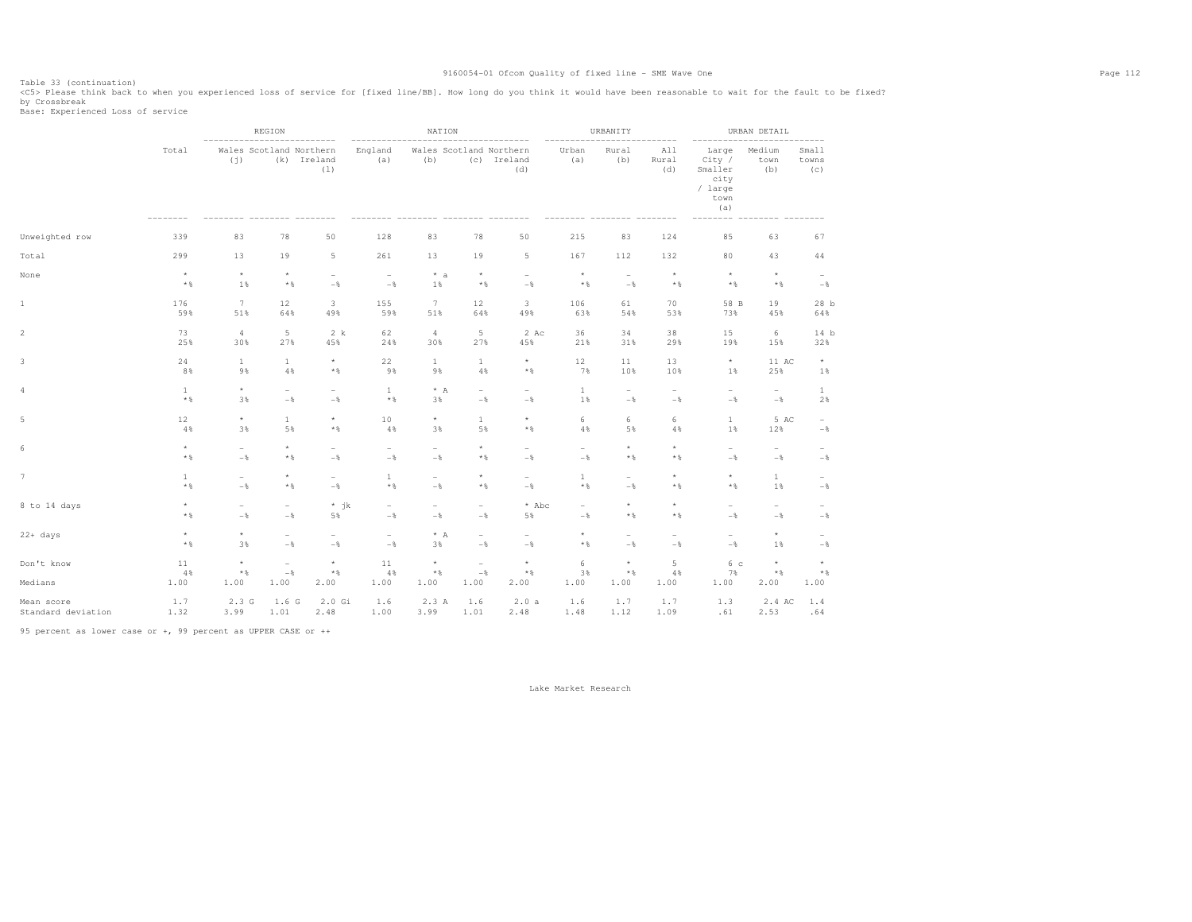Table 33 (continuation)<br><C5> Please think back to when you experienced loss of service for [fixed line/BB]. How long do you think it would have been reasonable to wait for the fault to be fixed?

by Crossbreak<br>Base: Experienced Loss of service

|                    |                          |                                | REGION                          |                                 |                                 | NATION                         |                                 |                                 |                          | URBANITY                        |                                 |                                                              | URBAN DETAIL             |                          |
|--------------------|--------------------------|--------------------------------|---------------------------------|---------------------------------|---------------------------------|--------------------------------|---------------------------------|---------------------------------|--------------------------|---------------------------------|---------------------------------|--------------------------------------------------------------|--------------------------|--------------------------|
|                    | Total                    | Wales Scotland Northern<br>(i) | (k)                             | Ireland<br>(1)                  | England<br>(a)                  | Wales Scotland Northern<br>(b) |                                 | (c) Ireland<br>(d)              | Urban<br>(a)             | Rural<br>(b)                    | All<br>Rural<br>(d)             | Large<br>City /<br>Smaller<br>city<br>/ large<br>town<br>(a) | Medium<br>town<br>(b)    | Small<br>towns<br>(c)    |
| Unweighted row     | 339                      | 83                             | 78                              | 50                              | 128                             | 83                             | 78                              | 50                              | 215                      | 83                              | 124                             | 85                                                           | 63                       | 67                       |
| Total              | 299                      | 13                             | 19                              | 5                               | 261                             | 13                             | 19                              | 5                               | 167                      | 112                             | 132                             | 80                                                           | 43                       | 44                       |
| None               | $\star$                  | $\star$                        | $\star$                         | $\overline{\phantom{a}}$        | $\overline{\phantom{a}}$        | $* a$                          | $\star$                         | $\overline{\phantom{a}}$        | $\star$                  | $\overline{\phantom{a}}$        | $\star$                         | $\star$                                                      | $\star$                  | $\overline{\phantom{a}}$ |
|                    | $\star$ $\,$             | 1%                             | $\star$ $\,$                    | $-$                             | $-$                             | 1%                             | $*$                             | $-$                             | $*$                      | $-$                             | $*$ &                           | $*$ &                                                        | $*$ &                    | $-$                      |
| $1\,$              | 176                      | $7\phantom{.0}$                | 12                              | 3                               | 155                             | 7                              | 12                              | 3                               | 106                      | 61                              | 70                              | 58 B                                                         | 19                       | 28 <sub>b</sub>          |
|                    | 59%                      | 51%                            | 64%                             | 49%                             | 59%                             | 51%                            | 64%                             | 49%                             | 63%                      | 54%                             | 53%                             | 73%                                                          | 45%                      | 64%                      |
| $\,2$              | 73                       | $\overline{4}$                 | $\overline{5}$                  | 2 k                             | 62                              | $\overline{4}$                 | $\,$ 5                          | 2 Ac                            | 36                       | 34                              | 38                              | 15                                                           | 6                        | 14 b                     |
|                    | 25%                      | 30%                            | 27%                             | 45%                             | 24%                             | 30%                            | 27%                             | 45%                             | 21%                      | 31%                             | 29%                             | 19%                                                          | 15%                      | 32%                      |
| 3                  | 24                       | $\mathbf{1}$                   | $\mathbf{1}$                    | $^{\star}$                      | 22                              | $\mathbf{1}$                   | $\mathbf{1}$                    | $^\star$                        | 12                       | 11                              | 13                              | $\star$                                                      | 11 AC                    | $^{\star}$               |
|                    | 8%                       | 9%                             | 4%                              | $*$ &                           | 9%                              | 9%                             | 4%                              | * %                             | 7%                       | 10%                             | 10%                             | 1%                                                           | 25%                      | 1%                       |
| $\overline{4}$     | $\mathbf{1}$             | $\star$                        | $\overline{a}$                  | $\overline{\phantom{a}}$        | 1                               | $* A$                          | $\overline{\phantom{a}}$        | $\overline{\phantom{a}}$        | $\mathbf{1}$             | $\overline{\phantom{a}}$        | ۰                               | $\overline{\phantom{a}}$                                     | $\overline{\phantom{0}}$ | $\mathbf{1}$             |
|                    | $\star$ $\,$             | 3%                             | $-$                             | $-$                             | $*$ %                           | 3%                             | $-$                             | $-$                             | 1%                       | $-$                             | $-$                             | $-$                                                          | $-$                      | 2%                       |
| 5                  | 12                       | $\star$                        | $\,1\,$                         | $\star$                         | 10                              | $^\star$                       | $1\,$                           | $^\star$                        | 6                        | 6                               | 6                               | $\mathbf{1}$                                                 | 5 AC                     | $\overline{\phantom{a}}$ |
|                    | 4%                       | 3%                             | 5%                              | $\star$ $\S$                    | 4%                              | 3%                             | 5%                              | $\star$ $\,$                    | $4\,$                    | 5%                              | 4%                              | 1%                                                           | 12%                      | $-$                      |
| 6                  | $^\star$                 | $\overline{\phantom{a}}$       | $\star$                         | $\overline{\phantom{a}}$        | $\overline{\phantom{0}}$        | $\overline{\phantom{0}}$       | $\star$                         | $\overline{\phantom{0}}$        | $\sim$                   | $\star$                         | $\star$                         | $\overline{\phantom{a}}$                                     | $\overline{\phantom{m}}$ | $\overline{\phantom{a}}$ |
|                    | $*$ $\frac{6}{6}$        | $-\frac{6}{6}$                 | $*$ &                           | $-$                             | $-$                             | $-\,$                          | $*$ %                           | $-$                             | $-$                      | $*$ &                           | $*$ $\frac{6}{3}$               | $-\frac{6}{5}$                                               | $-$                      | $-$                      |
| $\overline{7}$     | $\mathbf{1}$             | $\overline{\phantom{a}}$       | $\star$                         | $\overline{\phantom{a}}$        | 1                               | $\overline{\phantom{a}}$       | $\star$                         | $\overline{\phantom{a}}$        | $\mathbf{1}$             | $\overline{\phantom{a}}$        | $\star$                         | $\star$                                                      | $\mathbf{1}$             | $\overline{\phantom{a}}$ |
|                    | $\star$ &                | $-$                            | $*$ &                           | $-$                             | $\star$ &                       | $-$                            | $*$ &                           | $-$                             | $\star$ $\,$             | $-$                             | * %                             | $*$ %                                                        | 1%                       | $-$                      |
| 8 to 14 days       | $^\star$                 | $-$                            | $\overline{\phantom{a}}$        | * jk                            | $-$                             | $-$                            | $\overline{\phantom{a}}$        | * Abc                           | $\overline{\phantom{a}}$ | $\star$                         | $\star$                         | $\overline{\phantom{a}}$                                     | $\overline{\phantom{0}}$ | $\overline{\phantom{0}}$ |
|                    | $\star$ $\,$             | $-\,$                          | $-\,$                           | 5%                              | $-\,$ $\,$                      | $-\,$                          | $-\,$ $\,$                      | 5%                              | $-\,$                    | $*$ &                           | $*$ &                           | $-$                                                          | $-$                      | $-\,$ $\,$               |
| $22+ days$         | $^\star$<br>$\star$ $\,$ | $\star$<br>3%                  | $\overline{\phantom{a}}$<br>$-$ | $\overline{\phantom{a}}$<br>$-$ | $\overline{\phantom{0}}$<br>$-$ | $* A$<br>3%                    | $\overline{\phantom{a}}$<br>$-$ | $\overline{\phantom{0}}$<br>$-$ | $^\star$<br>$*$ &        | $\overline{\phantom{a}}$<br>$-$ | $\overline{\phantom{0}}$<br>$-$ | $\overline{\phantom{0}}$<br>$-$                              | $^\star$<br>$1\%$        | $-$                      |
| Don't know         | 11                       | $\star$                        | ۰                               | $\star$                         | 11                              | $\star$                        | $\overline{\phantom{a}}$        | $\star$                         | 6                        | $\star$                         | 5                               | 6 с                                                          | $^\star$                 | $^{\star}$               |
|                    | 4%                       | $\star$ $\,$                   | $-$                             | $\star$ $\,$                    | 4%                              | $\star$ $\,$                   | $-$                             | $\star$ $\,$                    | 3%                       | $\star$ $\,$                    | 4%                              | 7%                                                           | $\star$ $\,$             | $\star$ $\,$             |
| Medians            | 1.00                     | 1.00                           | 1.00                            | 2.00                            | 1.00                            | 1.00                           | 1.00                            | 2.00                            | 1.00                     | 1.00                            | 1.00                            | 1.00                                                         | 2.00                     | 1.00                     |
| Mean score         | 1.7                      | 2.3G                           | 1.6 G                           | 2.0 <sub>Gi</sub>               | 1.6                             | 2.3A                           | 1.6                             | 2.0a                            | 1.6                      | 1.7                             | 1.7                             | 1.3                                                          | 2.4 AC                   | 1.4                      |
| Standard deviation | 1.32                     | 3.99                           | 1.01                            | 2.48                            | 1.00                            | 3.99                           | 1.01                            | 2.48                            | 1.48                     | 1.12                            | 1.09                            | .61                                                          | 2.53                     | .64                      |

95 percent as lower case or +, 99 percent as UPPER CASE or ++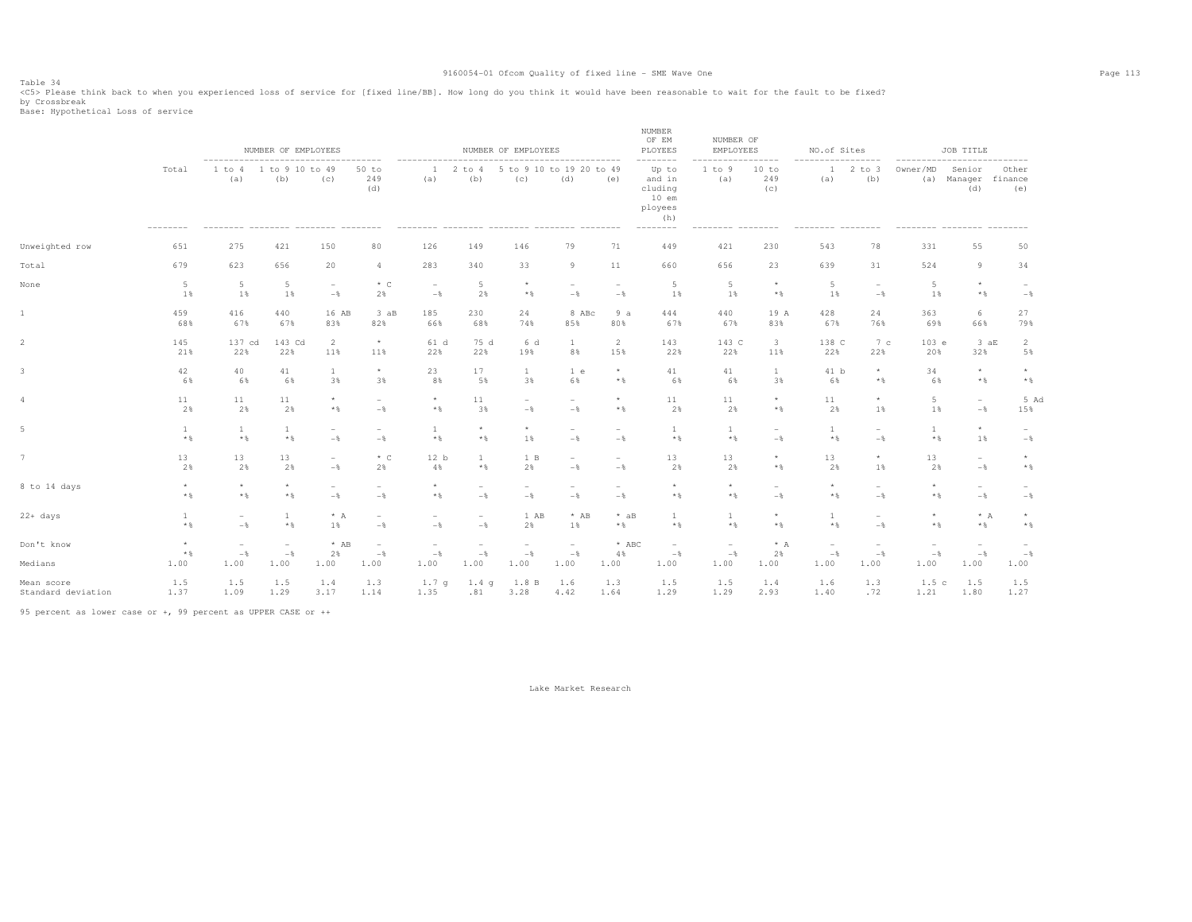Table 34<br><C5> Please think back to when you experienced loss of service for [fixed line/BB]. How long do you think it would have been reasonable to wait for the fault to be fixed?

by Crossbreak<br>Base: Hypothetical Loss of service

|                                  |                            |                                                                                | NUMBER OF EMPLOYEES             |                                            |                                 |                                            |                         | NUMBER OF EMPLOYEES                                           |                                            |                                            | NUMBER<br>OF EM<br>PLOYEES                                                      | NUMBER OF<br>EMPLOYEES              |                                   | NO.of Sites                     |                                                     |                                                 | JOB TITLE                       |                                 |
|----------------------------------|----------------------------|--------------------------------------------------------------------------------|---------------------------------|--------------------------------------------|---------------------------------|--------------------------------------------|-------------------------|---------------------------------------------------------------|--------------------------------------------|--------------------------------------------|---------------------------------------------------------------------------------|-------------------------------------|-----------------------------------|---------------------------------|-----------------------------------------------------|-------------------------------------------------|---------------------------------|---------------------------------|
|                                  | Total<br>$- - - - - - - -$ | --------------------------------------<br>1 to 4<br>(a)<br>--------- --------- | 1 to 9 10 to 49<br>(b)          | (C)                                        | 50 to<br>249<br>(d)             | ---------<br>$\mathbf{1}$<br>(a)           | $2$ to $4$<br>(b)       | 5 to 9 10 to 19 20 to 49<br>(c)<br>--------- -------- ------- | (d)                                        | (e)                                        | --------<br>Up to<br>and in<br>cluding<br>$10$ em<br>ployees<br>(h)<br>-------- | 1 to 9<br>(a)<br>--------- -------- | $-- - - -$<br>10 to<br>249<br>(c) | $\mathbf{1}$<br>(a)             | -------<br>$2$ to $3$<br>(b)<br>$- - - - - - - - -$ | ----------------------------<br>Owner/MD<br>(a) | Senior<br>Manager<br>(d)        | Other<br>finance<br>(e)         |
| Unweighted row                   | 651                        | 275                                                                            | 421                             | 150                                        | 80                              | 126                                        | 149                     | 146                                                           | 79                                         | 71                                         | 449                                                                             | 421                                 | 230                               | 543                             | 78                                                  | 331                                             | 55                              | 50                              |
| Total                            | 679                        | 623                                                                            | 656                             | 20                                         | 4                               | 283                                        | 340                     | 33                                                            | 9                                          | 11                                         | 660                                                                             | 656                                 | 23                                | 639                             | 31                                                  | 524                                             | 9                               | 34                              |
| None                             | $5\phantom{.0}$<br>1%      | $5 -$<br>1%                                                                    | 5<br>1%                         | $\overline{\phantom{a}}$<br>$-\frac{6}{6}$ | $*$ C<br>2%                     | $\overline{\phantom{a}}$<br>$-\,$          | 5<br>2%                 | $\star$<br>$*$ &                                              | $\overline{\phantom{a}}$<br>$-$            | $\overline{\phantom{a}}$<br>$-$            | 5<br>1%                                                                         | 5<br>1%                             | $^{\star}$<br>$*$                 | 5<br>1%                         | $\overline{\phantom{a}}$<br>$-$                     | 5<br>1%                                         | $\star$<br>$*$                  | $-$                             |
| $\mathbf{1}$                     | 459<br>68%                 | 416<br>67%                                                                     | 440<br>67%                      | 16 AB<br>83%                               | $3$ $aB$<br>82%                 | 185<br>66%                                 | 230<br>68%              | 24<br>74%                                                     | 8 ABc<br>85%                               | 9a<br>80%                                  | 444<br>67%                                                                      | 440<br>67%                          | 19 A<br>83%                       | 428<br>67%                      | 24<br>76%                                           | 363<br>69%                                      | 6<br>66%                        | 27<br>79%                       |
| $\overline{2}$                   | 145<br>21%                 | 137 cd<br>22%                                                                  | 143 Cd<br>22%                   | 2<br>11%                                   | $\star$<br>11%                  | 61 d<br>22%                                | 75 d<br>22%             | 6 d<br>19%                                                    | <sup>1</sup><br>8%                         | 2<br>15%                                   | 143<br>22%                                                                      | 143 C<br>22%                        | 3<br>11%                          | 138 C<br>22%                    | 7 <sup>c</sup><br>22%                               | 103 e<br>20%                                    | 3aE<br>32%                      | 2<br>5%                         |
| 3                                | 42<br>6%                   | 40<br>6%                                                                       | 41<br>6%                        | $\mathbf{1}$<br>3%                         | $\star$<br>3%                   | 23<br>8%                                   | 17<br>5%                | $\mathbf{1}$<br>3%                                            | 1 e<br>6%                                  | $^{\star}$<br>$*$ &                        | 41<br>6%                                                                        | 41<br>6%                            | $\mathbf{1}$<br>3%                | 41 b<br>6%                      | $^{\star}$<br>$*$                                   | 34<br>6%                                        | $\star$<br>$*$                  | $\star$<br>$*$ &                |
| $\overline{4}$                   | 11<br>2%                   | 11<br>2%                                                                       | 11<br>2%                        | $*$ &                                      | $\overline{\phantom{a}}$<br>$-$ | $^{\star}$<br>$\star$ $\,$                 | 11<br>3%                | $\overline{\phantom{0}}$<br>$-$ %                             | $\sim$<br>$-$                              | $\star$<br>$*$ %                           | 11<br>2%                                                                        | 11<br>2%                            | $^{\star}$<br>$*$ &               | 11<br>2%                        | $\star$<br>1%                                       | $5\phantom{.0}$<br>1%                           | $\sim$<br>$-$                   | 5 Ad<br>15%                     |
| 5                                | $\mathbf{1}$<br>$*$ &      | $\mathbf{1}$<br>$*$ %                                                          | 1<br>$*$ %                      | $\sim$<br>$-$                              | $\sim$<br>$-$                   | $\mathbf{1}$<br>$\star$ $\,$               | $\star$<br>$*$          | $\star$<br>1%                                                 | $\sim$<br>$-$                              | $\hspace{0.1mm}-\hspace{0.1mm}$<br>$-$     | -1<br>$*$ &                                                                     | -1<br>$*$ &                         | $\sim$<br>$-$                     | 1<br>$*$                        | $\overline{\phantom{0}}$<br>$-$                     | $\mathbf{1}$<br>$*$ %                           | $\star$<br>1%                   | $\overline{\phantom{a}}$<br>$-$ |
| 7                                | 13<br>2%                   | 13<br>2%                                                                       | 13<br>2%                        | $\overline{\phantom{a}}$<br>$-\frac{6}{5}$ | $*$ C<br>2%                     | 12 b<br>4%                                 | $\overline{1}$<br>$*$ & | 1 B<br>2%                                                     | $\sim$<br>$-\frac{6}{5}$                   | $\overline{\phantom{a}}$<br>$-\frac{6}{5}$ | 13<br>2%                                                                        | 13<br>2%                            | $^{\star}$<br>$*$                 | 13<br>2%                        | $^\star$<br>1%                                      | 13<br>2%                                        | $\overline{\phantom{a}}$<br>$-$ | $\star$<br>$*$ &                |
| 8 to 14 days                     | $^{\star}$<br>$*$ &        | $\star$<br>$*$ &                                                               | $\star$<br>$\star$ $\,$         | $-$                                        | $\overline{\phantom{0}}$<br>$-$ | $\star$<br>$*$ &                           | $-\frac{6}{5}$          | $-\frac{6}{6}$                                                | $\overline{\phantom{a}}$<br>$-\,$          | $-$                                        | $\star$<br>$*$ &                                                                | $\star$<br>$*$ &                    | $-$                               | $\star$<br>$\star$ $\,$         | ÷<br>$-$                                            | $\star$<br>$\star$ $\,$                         | $\sim$<br>$-\frac{6}{6}$        | $-$                             |
| $22+ days$                       | $\mathbf{1}$<br>$*$ &      | $\overline{\phantom{m}}$<br>$-$                                                | 1<br>$\star$ $\,$               | $* A$<br>1%                                | $\overline{\phantom{a}}$<br>$-$ | $\overline{\phantom{0}}$<br>$-\frac{6}{6}$ | $-$                     | 1 AB<br>2%                                                    | $*$ AB<br>1%                               | $*$ aB<br>$*$ &                            | 1<br>$*$ &                                                                      | 1<br>$*$ &                          | $\star$<br>$*$ &                  | 1<br>$*$ &                      | $\overline{a}$<br>$-$                               | $\star$<br>$*$                                  | $* A$<br>$*$                    | $\star$<br>$*$ &                |
| Don't know                       | $\star$<br>$\star$ $\,$    | $\overline{\phantom{a}}$<br>$-\frac{6}{6}$                                     | $\overline{\phantom{a}}$<br>$-$ | $*$ AB<br>2%                               | $\overline{\phantom{a}}$<br>$-$ | ÷,<br>$-\frac{6}{6}$                       | $-$                     | $\overline{\phantom{a}}$<br>$-$                               | $\overline{\phantom{a}}$<br>$-\frac{6}{6}$ | $*$ ABC<br>4%                              | $\overline{\phantom{a}}$<br>$-$                                                 | $\overline{\phantom{a}}$<br>$-$ 8   | $* A$<br>2%                       | $\overline{\phantom{a}}$<br>$-$ | $\overline{\phantom{a}}$<br>$-\frac{6}{6}$          | $\overline{\phantom{a}}$<br>$-$                 | $-$                             | $-$ 8                           |
| Medians                          | 1.00                       | 1.00                                                                           | 1.00                            | 1.00                                       | 1.00                            | 1.00                                       | 1.00                    | 1.00                                                          | 1.00                                       | 1.00                                       | 1.00                                                                            | 1.00                                | 1.00                              | 1.00                            | 1.00                                                | 1.00                                            | 1.00                            | 1.00                            |
| Mean score<br>Standard deviation | 1.5<br>1.37                | 1.5<br>1.09                                                                    | 1.5<br>1.29                     | 1.4<br>3.17                                | 1.3<br>1.14                     | 1.7 <sub>q</sub><br>1.35                   | 1.4q<br>.81             | 1.8 B<br>3.28                                                 | 1.6<br>4.42                                | 1.3<br>1.64                                | 1.5<br>1.29                                                                     | 1.5<br>1.29                         | 1.4<br>2.93                       | 1.6<br>1.40                     | 1.3<br>.72                                          | 1.5c<br>1.21                                    | 1.5<br>1.80                     | 1.5<br>1.27                     |

95 percent as lower case or +, 99 percent as UPPER CASE or ++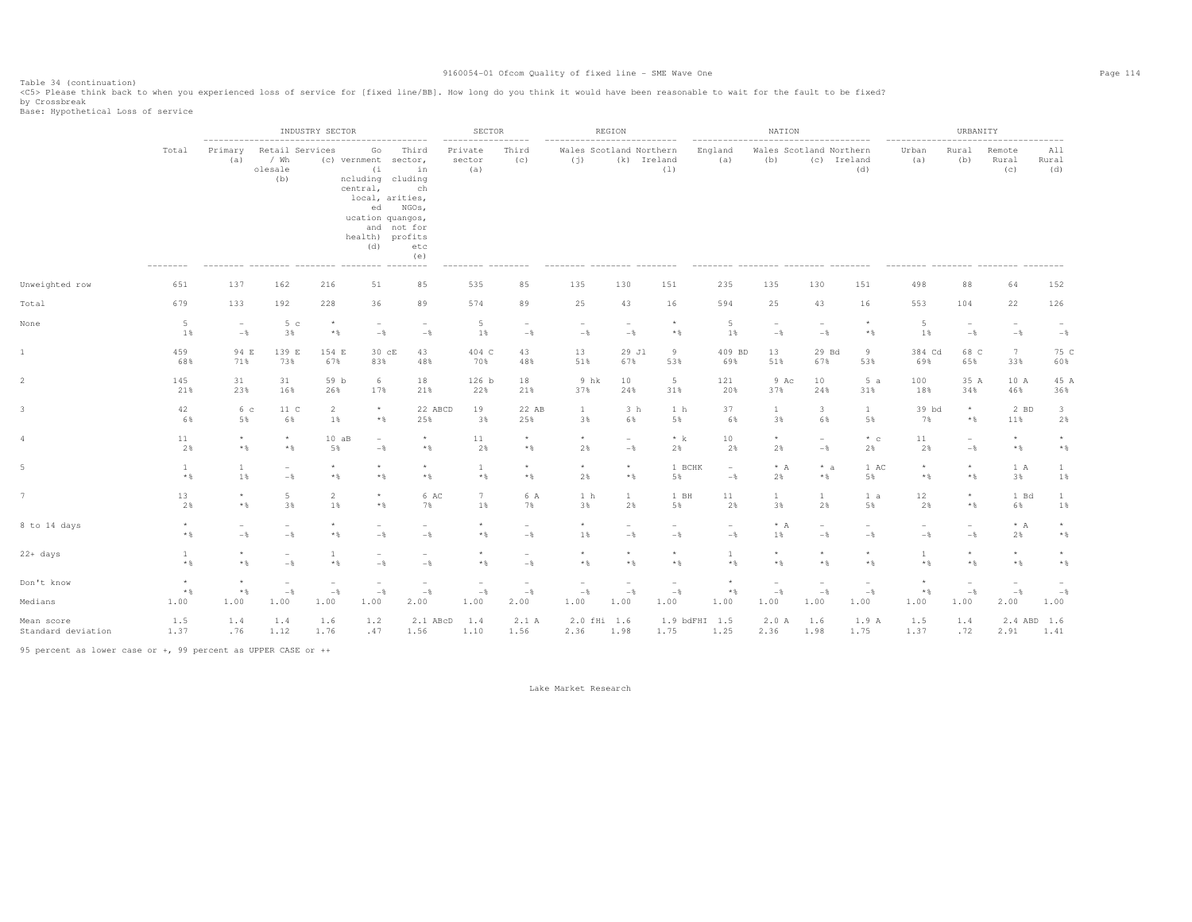Table 34 (continuation)<br><C5> Please think back to when you experienced loss of service for [fixed line/BB]. How long do you think it would have been reasonable to wait for the fault to be fixed?

by Crossbreak<br>Base: Hypothetical Loss of service

|                                  |                                 |                                         | INDUSTRY SECTOR                            |                                           |                                                                                                                                                                                     | SECTOR                                     |                                           |                                            | REGION                                                        |                                                    |                                 | NATION                          |                                         |                                        |                                            | URBANITY                          |                                         |                                                    |                                         |
|----------------------------------|---------------------------------|-----------------------------------------|--------------------------------------------|-------------------------------------------|-------------------------------------------------------------------------------------------------------------------------------------------------------------------------------------|--------------------------------------------|-------------------------------------------|--------------------------------------------|---------------------------------------------------------------|----------------------------------------------------|---------------------------------|---------------------------------|-----------------------------------------|----------------------------------------|--------------------------------------------|-----------------------------------|-----------------------------------------|----------------------------------------------------|-----------------------------------------|
|                                  | Total                           | ---------------------<br>Primary<br>(a) | Retail Services<br>/ Wh<br>olesale<br>(b)  |                                           | ------------------<br>Go<br>(c) vernment sector,<br>(i)<br>ncluding cluding<br>central,<br>local, arities,<br>ed NGOs,<br>ucation quangos,<br>and not for<br>health) profits<br>(d) | Third<br>in<br>ch<br>etc<br>(e)            | --------<br>Private<br>sector<br>(a)      | ------<br>Third<br>(c)                     | ---------------------------<br>Wales Scotland Northern<br>(j) | (k) Ireland                                        | (1)                             | England<br>(a)                  | Wales Scotland Northern<br>(b)          | (c) Ireland                            | (d)                                        | -----------------<br>Urban<br>(a) | Rural<br>(b)                            | Remote<br>Rural<br>(C)                             | All<br>Rural<br>(d)                     |
| Unweighted row                   | 651                             | 137                                     | 162                                        | 216                                       | 51                                                                                                                                                                                  | 85                                         | 535                                       | 85                                         | 135                                                           | 130                                                | 151                             | 235                             | 135                                     | 130                                    | 151                                        | 498                               | 88                                      | 64                                                 | 152                                     |
| Total                            | 679                             | 133                                     | 192                                        | 228                                       | 36                                                                                                                                                                                  | 89                                         | 574                                       | 89                                         | 25                                                            | 43                                                 | 16                              | 594                             | 25                                      | 43                                     | 16                                         | 553                               | 104                                     | 22                                                 | 126                                     |
| None                             | 5<br>1%                         | $\overline{\phantom{a}}$<br>$-$         | 5 <sub>c</sub><br>3%                       | $\star$<br>$*$ &                          | $\overline{\phantom{a}}$<br>$-$                                                                                                                                                     | $\overline{\phantom{a}}$<br>$-$            | 5<br>1%                                   | $\overline{\phantom{a}}$<br>$-$ 8          | $\overline{\phantom{a}}$<br>$-$                               | $\overline{\phantom{a}}$<br>$-\frac{6}{6}$         | $^{\star}$<br>$*$ &             | 5<br>1%                         | $\overline{\phantom{a}}$<br>$-$         | $\overline{\phantom{a}}$<br>$-$        | $^{\star}$<br>$*$ %                        | 5<br>$1\%$                        | $-$ 8                                   | $\overline{\phantom{0}}$<br>$-$                    | $\hspace{0.1mm}-\hspace{0.1mm}$<br>$-$  |
| 1                                | 459<br>68%                      | 94 E<br>71%                             | 139 E<br>73%                               | 154 E<br>67%                              | 30 cE<br>83%                                                                                                                                                                        | 43<br>48%                                  | 404 C<br>70%                              | 43<br>48%                                  | 13<br>51%                                                     | 29 Jl<br>67%                                       | 9<br>53%                        | 409 BD<br>69%                   | 13<br>51%                               | 29 Bd<br>67%                           | 9<br>53%                                   | 384 Cd<br>69%                     | 68 C<br>65%                             | $7\phantom{.0}$<br>33%                             | 75 C<br>60%                             |
|                                  | 145<br>21%                      | 31<br>23%                               | 31<br>16%                                  | 59 b<br>26%                               | 6<br>17%                                                                                                                                                                            | 18<br>21%                                  | 126 b<br>22%                              | 18<br>21%                                  | 9 hk<br>37%                                                   | 10<br>24%                                          | 5<br>31%                        | 121<br>20%                      | 9 Ac<br>37%                             | 10<br>24%                              | 5a<br>31%                                  | 100<br>18%                        | 35 A<br>34%                             | 10 A<br>46%                                        | 45 A<br>36%                             |
|                                  | 42<br>6%                        | 6 с<br>5%                               | 11 C<br>6%                                 | $\overline{a}$<br>$1\%$                   | $^\star$<br>$*$ $\frac{6}{3}$                                                                                                                                                       | 22 ABCD<br>25%                             | 19<br>3%                                  | 22 AB<br>25%                               | $\mathbf{1}$<br>3%                                            | 3 <sub>h</sub><br>6%                               | 1 h<br>5%                       | 37<br>6%                        | $\mathbf{1}$<br>3%                      | 3<br>6%                                | $\mathbf{1}$<br>5%                         | 39 bd<br>7%                       | $^{\star}$<br>$\star$ $\,$              | 2 BD<br>11%                                        | $\overline{\mathbf{3}}$<br>2%           |
|                                  | 11<br>2%                        | $\star$<br>$*$                          | $\star$<br>$\star$ $\,$                    | 10aB<br>5%                                | $\overline{\phantom{a}}$<br>$-$                                                                                                                                                     | $^{\star}$<br>$\star$ $\,$                 | 11<br>2%                                  | $\star$<br>$*$ &                           | $\star$<br>2%                                                 | $-$<br>$-$                                         | $*$ k<br>2%                     | 10<br>2%                        | $\star$<br>2%                           | $\overline{\phantom{a}}$<br>$-$        | $*$ c<br>2%                                | 11<br>2%                          | $\overline{\phantom{a}}$<br>$-$ 8       | $\star$<br>$*$                                     | $\star$<br>$*$ &                        |
|                                  | $\mathbf{1}$<br>$*$ %           | $\mathbf{1}$<br>1%                      | $\overline{\phantom{a}}$<br>$-$            | $\star$<br>$*$ &                          | $\star$<br>$*$                                                                                                                                                                      | $\star$<br>$\star$ &                       | $\mathbf{1}$<br>$*$ &                     | $\star$<br>$*$ &                           | $\star$<br>2%                                                 | $\star$<br>$\star$ $\,$                            | 1 BCHK<br>5%                    | $\sim$<br>$-$                   | $* A$<br>2%                             | $* a$<br>$*$ &                         | 1 AC<br>5%                                 | $\star$<br>$\star$ $\,$           | $\star$<br>$\star$ $\,$                 | 1 A<br>3%                                          | $\mathbf{1}$<br>$1\%$                   |
|                                  | 13<br>2%                        | $\star$<br>$*$                          | $5\phantom{.0}$<br>3%                      | $\overline{2}$<br>1%                      | $\star$<br>$*$                                                                                                                                                                      | 6 AC<br>7%                                 | $7\phantom{.0}$<br>1%                     | 6 A<br>7%                                  | 1 <sub>h</sub><br>3%                                          | $\mathbf{1}$<br>2%                                 | 1 BH<br>5%                      | 11<br>2%                        | $\mathbf{1}$<br>3%                      | $\mathbf{1}$<br>2%                     | 1 a<br>5%                                  | 12<br>2%                          | $\star$<br>$*$ &                        | 1 Bd<br>6%                                         | $\mathbf{1}$<br>1%                      |
| 8 to 14 days                     | $\star$<br>$\star$ $\,$         | $\sim$<br>$-\frac{6}{5}$                | $\overline{\phantom{a}}$<br>$-\frac{6}{5}$ | $\star$<br>$*$ &                          | $\equiv$<br>$-$                                                                                                                                                                     | $\overline{\phantom{0}}$<br>$-\frac{6}{5}$ | $\star$<br>$*$ &                          | $\overline{\phantom{0}}$<br>$-\frac{6}{6}$ | $\star$<br>1%                                                 | $\sim$<br>$-\frac{6}{5}$                           | $\overline{\phantom{0}}$<br>$-$ | $\overline{\phantom{a}}$<br>$-$ | $* A$<br>1%                             | $\hspace{0.1mm}-\hspace{0.1mm}$<br>$-$ | $\overline{\phantom{0}}$<br>$-\frac{6}{6}$ | $\overline{\phantom{a}}$<br>$-$ % | $-$ 8                                   | $* A$<br>2%                                        | $\star$<br>$\star$ $\,$                 |
| 22+ days                         | $\mathbf{1}$<br>$\star$ $\,$    | $\star$<br>$*$                          | $\overline{\phantom{a}}$<br>$-$            | $\mathbf{1}$<br>$\star$ $\S$              | $-$                                                                                                                                                                                 | $\overline{a}$<br>$-$                      | $\star$<br>$\star$ $\,$                   | $\overline{a}$<br>$-$                      | $^{\star}$<br>$*$ &                                           | $\star$<br>$\star$ $\S$                            | $\star$<br>$\star$ $\,$         | $\mathbf{1}$<br>$\star$ $\,$    | $\star$<br>$\star$ $\,$                 | $\star$<br>$\star$ $\,$                | $\star$<br>$\star$ $\S$                    | $\mathbf{1}$<br>$\star$ $\,$      | $\star$<br>$*$ %                        | $\star$<br>$\star$ $\,$                            | $\star$<br>$\star$ $\,$                 |
| Don't know<br>Medians            | $\star$<br>$\star$ $\,$<br>1.00 | $\star$<br>$\star$ $\,$<br>1.00         | $\overline{\phantom{a}}$<br>$-$ %<br>1.00  | $\overline{\phantom{m}}$<br>$-\,$<br>1.00 | $\overline{a}$<br>$-\frac{6}{6}$<br>1.00                                                                                                                                            | $\overline{\phantom{0}}$<br>$-\,$<br>2.00  | $\overline{\phantom{0}}$<br>$-$ 8<br>1.00 | ۰<br>$-\frac{6}{9}$<br>2.00                | $\overline{\phantom{a}}$<br>$-\frac{6}{6}$<br>1.00            | $\overline{\phantom{a}}$<br>$-\frac{6}{6}$<br>1.00 | $\overline{a}$<br>$-\,$<br>1.00 | $\star$<br>$\star$ $\,$<br>1.00 | $\overline{\phantom{a}}$<br>$-$<br>1.00 | $\overline{a}$<br>$-$<br>1.00          | $\overline{\phantom{a}}$<br>$-$<br>1.00    | $*$ &<br>1.00                     | $\overline{\phantom{a}}$<br>$-$<br>1.00 | $\overline{\phantom{a}}$<br>$-\frac{6}{6}$<br>2.00 | $\overline{\phantom{a}}$<br>$-$<br>1.00 |
|                                  |                                 |                                         |                                            |                                           |                                                                                                                                                                                     |                                            |                                           |                                            |                                                               |                                                    |                                 |                                 |                                         |                                        |                                            |                                   |                                         |                                                    |                                         |
| Mean score<br>Standard deviation | 1.5<br>1.37                     | 1.4<br>.76                              | 1.4<br>1.12                                | 1.6<br>1.76                               | 1.2<br>.47                                                                                                                                                                          | 2.1 ABcD<br>1.56                           | 1.4<br>1.10                               | 2.1 A<br>1.56                              | 2.0 fHi 1.6<br>2.36                                           | 1.98                                               | 1.9 bdFHI 1.5<br>1.75           | 1.25                            | 2.0A<br>2.36                            | 1.6<br>1.98                            | 1.9 A<br>1.75                              | 1.5<br>1.37                       | 1.4<br>.72                              | 2.4 ABD<br>2.91                                    | 1.6<br>1.41                             |

95 percent as lower case or +, 99 percent as UPPER CASE or ++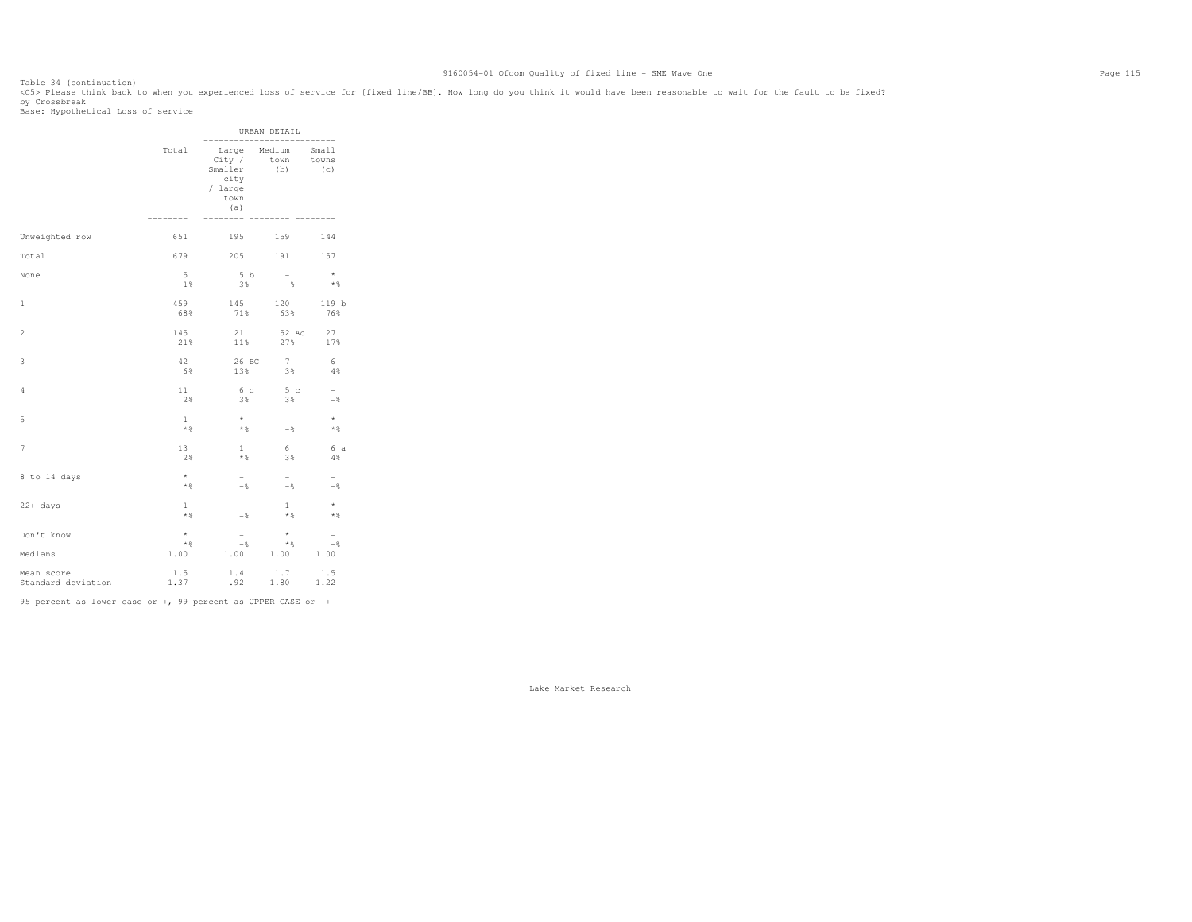Table 34 (continuation)<br><C5> Please think back to when you experienced loss of service for [fixed line/BB]. How long do you think it would have been reasonable to wait for the fault to be fixed? by Crossbreak<br>Base: Hypothetical Loss of service

|                                  |                             |                                                     | URBAN DETAIL<br>------------------------- |                                            |
|----------------------------------|-----------------------------|-----------------------------------------------------|-------------------------------------------|--------------------------------------------|
|                                  | Total<br>--------           | City /<br>Smaller<br>city<br>/ large<br>town<br>(a) | Large Medium Small<br>town towns<br>(b)   | (C)                                        |
| Unweighted row                   | 651                         |                                                     | 195 159                                   | 144                                        |
| Total                            | 679                         |                                                     | 205 191                                   | 157                                        |
| None                             | $5 -$                       | 5 b                                                 | $\sim$                                    | $\star$                                    |
|                                  | 1%                          | 3%                                                  | $ \!$                                     | $*$                                        |
| 1                                | 459                         | 145                                                 | 120                                       | 119 b                                      |
|                                  | 68%                         | 71%                                                 | 63%                                       | 76%                                        |
| $\overline{c}$                   | 145                         | 21                                                  | 52 Ac                                     | 27                                         |
|                                  | 21%                         | 11%                                                 | 27%                                       | 17%                                        |
| 3                                | 42                          | 26 BC                                               | 7                                         | 6                                          |
|                                  | 6%                          | 13%                                                 | 3%                                        | 4%                                         |
| 4                                | 11                          | 6 с                                                 | 5 c                                       | $-$                                        |
|                                  | 2%                          | 3%                                                  | 3%                                        | $-\frac{6}{5}$                             |
| 5                                | $\mathbf{1}$                | $\star$                                             | $\sim$                                    | $\star$                                    |
|                                  | $*$ &                       | $*$ &                                               | $-$ %                                     | $*$ %                                      |
| 7                                | 13                          | $\mathbf{1}$                                        | 6                                         | 6 a                                        |
|                                  | 2%                          | $\star$ $\,$                                        | 3%                                        | 4%                                         |
| 8 to 14 days                     | $\star$                     | $\overline{\phantom{0}}$                            | $-$                                       | $-$                                        |
|                                  | $*$ &                       | $-$                                                 | $-$                                       | $-$                                        |
| 22+ days                         | $\mathbf{1}$                | $\overline{\phantom{0}}$                            | $\mathbf{1}$                              | $\star$                                    |
|                                  | $\star$ $\,$                | $-$                                                 | $*$ &                                     | $*$ %                                      |
| Don't know<br>Medians            | $^{\star}$<br>$*$ &<br>1.00 | $\overline{\phantom{0}}$<br>$-$ 8<br>1.00           | $\star$<br>$*$ &<br>1.00 1.00             | $\overline{\phantom{0}}$<br>$-\frac{6}{5}$ |
| Mean score<br>Standard deviation | 1.5<br>1.37                 | 1.4                                                 | $1.4$ $1.7$<br>$.92$ $1.80$               | 1.5<br>1.22                                |

95 percent as lower case or +, 99 percent as UPPER CASE or ++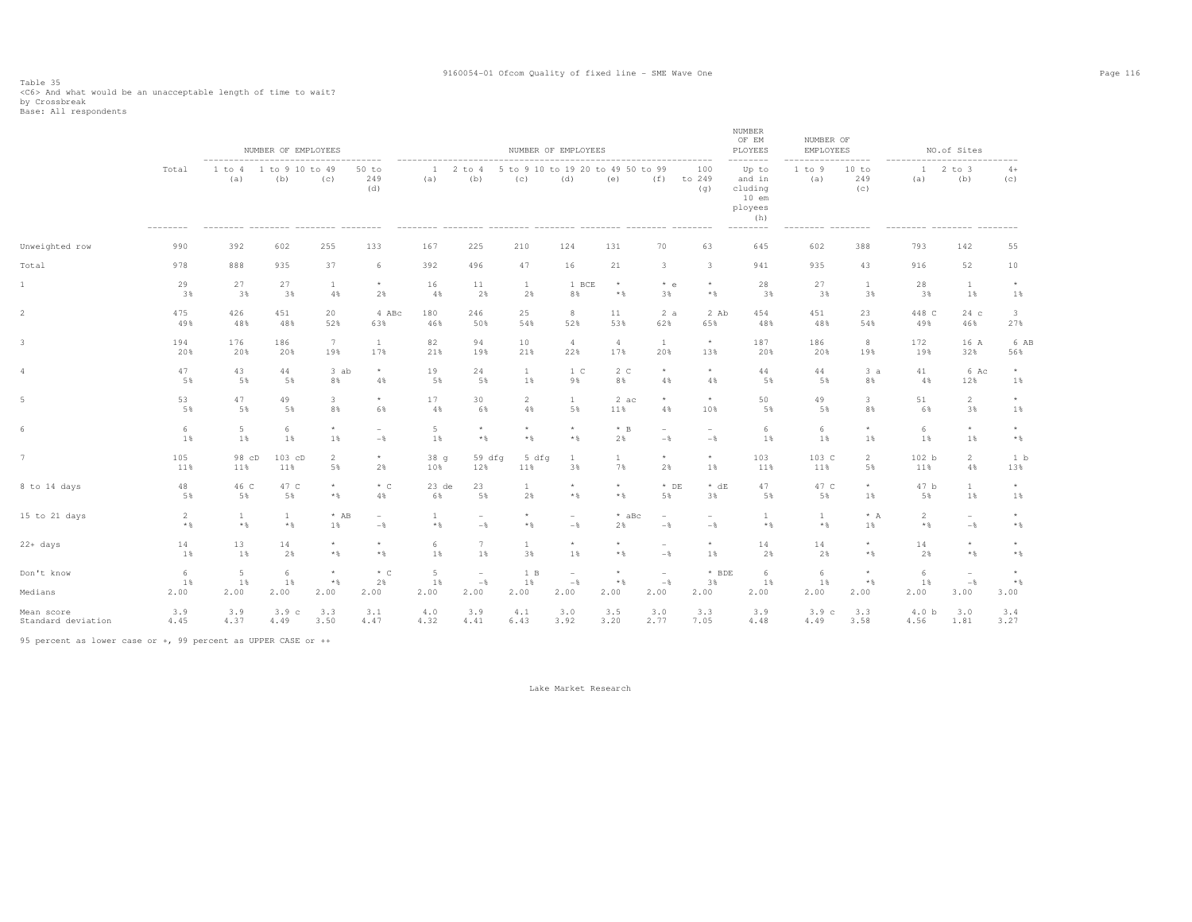# Table 35<br><C6> And what would be an unacceptable length of time to wait?<br>by Crossbreak<br>Base: All respondents

|                       |                 |                               | NUMBER OF EMPLOYEES<br>-------------------------- |                                    |                           |                     | -----------------------                               |                                          | NUMBER OF EMPLOYEES      | ------------------------------ |                          |                            | NUMBER<br>OF EM<br>PLOYEES                              | NUMBER OF<br>EMPLOYEES | -------                         |                  | NO.of Sites             |                                 |
|-----------------------|-----------------|-------------------------------|---------------------------------------------------|------------------------------------|---------------------------|---------------------|-------------------------------------------------------|------------------------------------------|--------------------------|--------------------------------|--------------------------|----------------------------|---------------------------------------------------------|------------------------|---------------------------------|------------------|-------------------------|---------------------------------|
|                       | Total           | 1 to 4<br>(a)                 | 1 to 9 10 to 49<br>(b)                            | (c)                                | $50$ to<br>249<br>(d)     | $\mathbf{1}$<br>(a) | $2$ to $4$<br>(b)<br>-------- -------- ------- ------ | 5 to 9 10 to 19 20 to 49 50 to 99<br>(c) | (d)                      | (e)                            |                          | 100<br>$(f)$ to 249<br>(q) | Up to<br>and in<br>cluding<br>$10$ em<br>ployees<br>(h) | 1 to 9<br>(a)          | 10 to<br>249<br>(C)             | (a)              | $12$ to $3$<br>(b)      | $4+$<br>(c)                     |
| Unweighted row        | 990             | 392                           | 602                                               | 255                                | 133                       | 167                 | 225                                                   | 210                                      | 124                      | 131                            | 70                       | 63                         | 645                                                     | 602                    | 388                             | 793              | 142                     | 55                              |
| Total                 | 978             | 888                           | 935                                               | 37                                 | 6                         | 392                 | 496                                                   | 47                                       | 16                       | 21                             | 3                        | 3                          | 941                                                     | 935                    | 43                              | 916              | 52                      | 10                              |
| 1                     | 29              | 27                            | 27                                                | 1                                  | $\star$                   | 16                  | 11                                                    | $\mathbf{1}$                             | 1 BCE                    | $\star$                        | $*$ e                    | $\star$                    | 28                                                      | 27                     | $\mathbf{1}$                    | 28               | <sup>1</sup>            | $^{\star}$                      |
|                       | 3%              | 3%                            | 3%                                                | 4%                                 | 2%                        | 4%                  | 2%                                                    | 2%                                       | 8%                       | $*$                            | 3%                       | $*$ &                      | 3%                                                      | 3%                     | 3%                              | 3%               | 1%                      | 1%                              |
| $\overline{2}$        | 475             | 426                           | 451                                               | 20                                 | 4 ABc                     | 180                 | 246                                                   | 25                                       | 8                        | 11                             | 2a                       | 2 Ab                       | 454                                                     | 451                    | 23                              | 448 C            | 24c                     | $\mathbf{3}$                    |
|                       | 49%             | 48%                           | 48%                                               | 52%                                | 63%                       | 46%                 | 50%                                                   | 54%                                      | 52%                      | 53%                            | 62%                      | 65%                        | 48%                                                     | 48%                    | 54%                             | 49%              | 46%                     | 27%                             |
| 3                     | 194             | 176                           | 186                                               | 7                                  | $\mathbf{1}$              | 82                  | 94                                                    | 10                                       | $\overline{4}$           | 4                              | $\mathbf{1}$             | $\star$                    | 187                                                     | 186                    | 8                               | 172              | 16 A                    | 6 AB                            |
|                       | 20%             | 20%                           | 20%                                               | 19%                                | 17%                       | 21%                 | 19%                                                   | 21%                                      | 22%                      | 17%                            | 20%                      | 13%                        | 20%                                                     | 20%                    | 19%                             | 19%              | 32%                     | 56%                             |
| 4                     | 47              | 43                            | 44                                                | 3 ab                               | $\star$                   | 19                  | 24                                                    | $\mathbf{1}$                             | 1 <sup>c</sup>           | 2 <sub>c</sub>                 | $\star$                  | $\star$                    | 44                                                      | 44                     | 3a                              | 41               | 6 Ac                    | $\star$                         |
|                       | 5%              | 5%                            | 5%                                                | 8%                                 | 4%                        | 5%                  | 5%                                                    | 1%                                       | 9%                       | 8%                             | 4%                       | 4%                         | 5%                                                      | 5%                     | 8%                              | 4%               | 12%                     | 1%                              |
|                       | 53              | 47                            | 49                                                | 3                                  | $\star$                   | 17                  | 30                                                    | 2                                        | $\mathbf{1}$             | 2 ac                           | $^{\star}$               | $\star$                    | 50                                                      | 49                     | 3                               | 51               | $\overline{2}$          | $\star$                         |
|                       | 5%              | 5%                            | 5%                                                | 8%                                 | 6%                        | 4%                  | 6%                                                    | 4%                                       | 5%                       | 11%                            | 4%                       | 10%                        | 5%                                                      | 5%                     | 8%                              | 6%               | 3%                      | 1%                              |
|                       | 6               | 5                             | 6                                                 | $\star$                            | $\overline{\phantom{a}}$  | 5                   | $\star$                                               | $\star$                                  | $\star$                  | $*$ B                          | $\overline{\phantom{a}}$ | $\sim$                     | 6                                                       | 6                      | $\star$                         | 6                | $\star$                 | $\star$                         |
|                       | 1%              | 1%                            | 1%                                                | 1%                                 | $-\frac{6}{6}$            | $1\%$               | $*$ &                                                 | $*$ &                                    | $\star$ $\,$             | 2%                             | $-\,$                    | $-$                        | 1%                                                      | 1%                     | 1%                              | 1%               | $1\%$                   | $\star$ $\,$                    |
| $\overline{7}$        | 105             | 98 cD                         | $103$ cD                                          | $\overline{2}$                     | $^\star$                  | 38q                 | 59dfq                                                 | 5 dfq                                    | <b>1</b>                 | <sup>1</sup>                   | $\star$                  | $\star$                    | 103                                                     | 103 C                  | $\overline{2}$                  | 102 <sub>b</sub> | $\overline{2}$          | 1 b                             |
|                       | 11%             | 11%                           | 11%                                               | 5%                                 | 2%                        | 10%                 | 12%                                                   | 11%                                      | 3%                       | 7%                             | 2%                       | 1%                         | 11%                                                     | 11%                    | 5%                              | 11%              | 4%                      | 13%                             |
| 8 to 14 days          | 48              | 46 C                          | 47 C                                              | $\star$                            | $*$ C                     | $23$ de             | 23                                                    | $\mathbf{1}$                             | $\star$                  | $\star$                        | $*$ DE                   | $* dE$                     | 47                                                      | 47 C                   | $^{\star}$                      | 47 b             | $\mathbf{1}$            | $^{\star}$                      |
|                       | 5%              | 5%                            | 5%                                                | $*$ &                              | 4%                        | 6%                  | 5%                                                    | 2%                                       | $*$                      | $*$ %                          | 5%                       | 3%                         | 5%                                                      | 5%                     | 1%                              | 5%               | $1\%$                   | $1\%$                           |
| 15 to 21 days         | $\overline{c}$  | $\mathbf{1}$                  | $\mathbf{1}$                                      | $*$ AB                             | $\sim$                    | $\mathbf{1}$        | $\qquad \qquad -$                                     | $\star$                                  | $\overline{\phantom{a}}$ | $*$ aBc                        | $\overline{\phantom{a}}$ | $\overline{a}$             | 1                                                       | 1                      | $* A$                           | $\overline{2}$   | $\overline{a}$          | $\star$                         |
|                       | $\star$ $\,$    | $*$ &                         | $\star$ $\,$                                      | 1%                                 | $-$                       | $\star$ $\,$        | $-$                                                   | $\star$ $\,$                             | $-$                      | 2%                             | $-$                      | $-$                        | $\star$ $\,$                                            | $*$ %                  | 1%                              | $\star$ $\,$     | $-$                     | $*$                             |
| $22 + days$           | 14              | 13                            | 14                                                | $\star$                            | $\star$                   | 6                   | 7                                                     | $\mathbf{1}$                             | $\star$                  | $\star$                        | $\overline{\phantom{a}}$ | $\star$                    | 14                                                      | 14                     | $\star$                         | 14               | $\star$                 | $\star$                         |
|                       | 1%              | 1%                            | 2%                                                | $*$ &                              | $\star$ $\,$              | 1%                  | 1%                                                    | 3%                                       | 1%                       | $\star$ $\,$                   | $-$                      | 1%                         | 2%                                                      | 2%                     | $\star$ $\,$                    | 2%               | $\star$ $\,$            | $*$ %                           |
| Don't know<br>Medians | 6<br>1%<br>2.00 | $5\phantom{.0}$<br>1%<br>2.00 | 6<br>1%<br>2.00                                   | $^{\star}$<br>$\star$ $\,$<br>2.00 | $*$ $\circ$<br>2%<br>2.00 | 5<br>1%<br>2.00     | $\sim$<br>$-$ 8<br>2.00                               | 1 B<br>1%<br>2.00                        | $\sim$<br>$-$<br>2.00    | $^{\star}$<br>$*$ &<br>2.00    | $\sim$<br>$-$<br>2.00    | * BDE<br>3%<br>2.00        | 6<br>1%<br>2.00                                         | 6<br>1%<br>2.00        | $\star$<br>$\star$ $\,$<br>2.00 | 6<br>1%<br>2.00  | $\sim$<br>$-$ %<br>3.00 | $\star$<br>$\star$ $\,$<br>3.00 |
| Mean score            | 3.9             | 3.9                           | 3.9 <sub>c</sub>                                  | 3.3                                | 3.1                       | 4.0                 | 3.9                                                   | 4.1                                      | 3.0                      | 3.5                            | 3.0                      | 3.3                        | 3.9                                                     | 3.9c                   | 3.3                             | 4.0 <sub>b</sub> | 3.0                     | 3.4                             |
| Standard deviation    | 4.45            | 4.37                          | 4.49                                              | 3.50                               | 4.47                      | 4.32                | 4.41                                                  | 6.43                                     | 3.92                     | 3.20                           | 2.77                     | 7.05                       | 4.48                                                    | 4.49                   | 3.58                            | 4.56             | 1.81                    | 3.27                            |
|                       |                 |                               |                                                   |                                    |                           |                     |                                                       |                                          |                          |                                |                          |                            |                                                         |                        |                                 |                  |                         |                                 |

95 percent as lower case or +, 99 percent as UPPER CASE or ++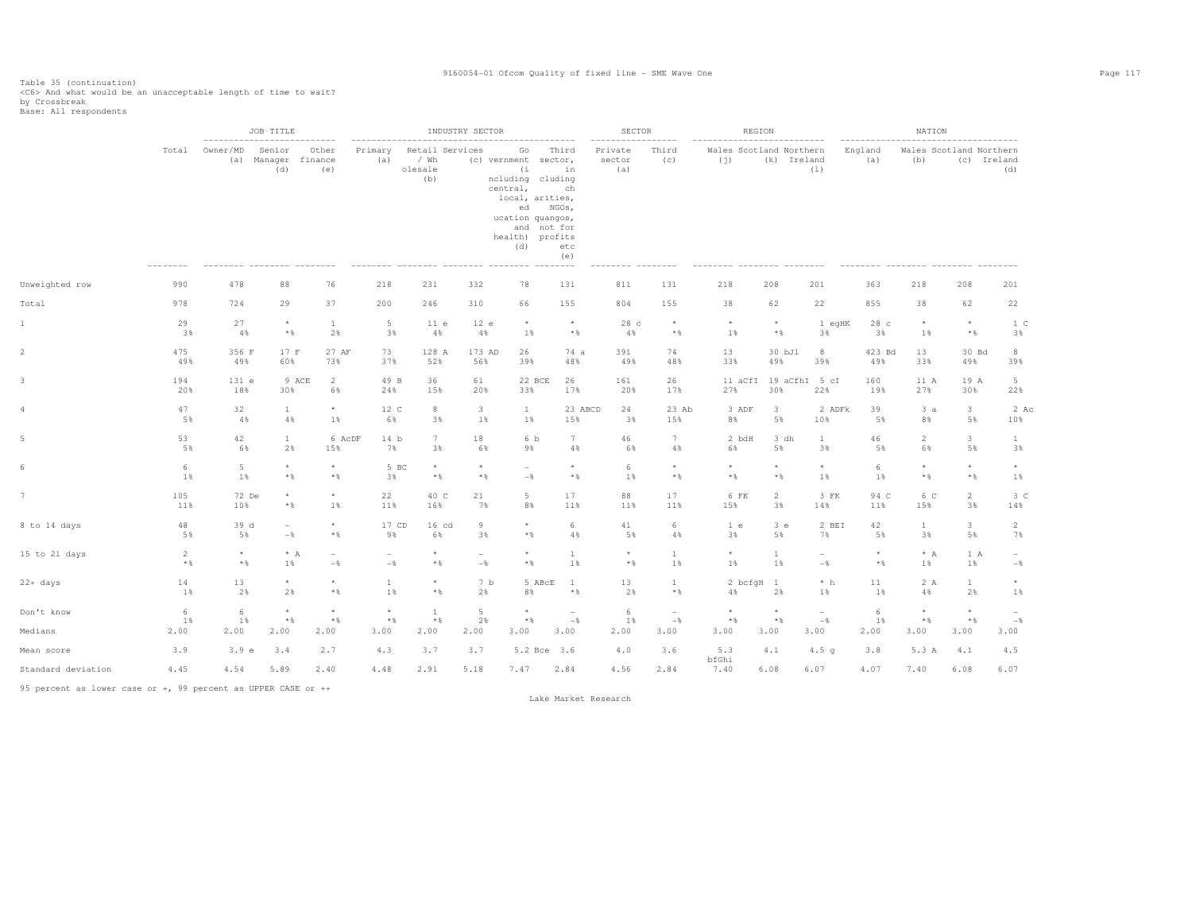Table 35 (continuation)<br><C6> And what would be an unacceptable length of time to wait?<br>by Crossbreak<br>Base: All respondents

|                    |                         | -------------------   | JOB TITLE                                  |                                            |                                 |                                           | INDUSTRY SECTOR                            |                                                                                                                                                              |                                              | <b>SECTOR</b>              |                                   | REGION                         |                               |                                            |                  | NATION                     |                                        |                          |
|--------------------|-------------------------|-----------------------|--------------------------------------------|--------------------------------------------|---------------------------------|-------------------------------------------|--------------------------------------------|--------------------------------------------------------------------------------------------------------------------------------------------------------------|----------------------------------------------|----------------------------|-----------------------------------|--------------------------------|-------------------------------|--------------------------------------------|------------------|----------------------------|----------------------------------------|--------------------------|
|                    | Total                   | Owner/MD<br>(a)       | Senior<br>Manager finance<br>(d)           | Other<br>(e)                               | Primary<br>(a)                  | Retail Services<br>/ Wh<br>olesale<br>(b) |                                            | Go<br>(c) vernment sector,<br>(i<br>ncluding cluding<br>central,<br>local, arities,<br>ed NGOs,<br>ucation quangos,<br>and not for<br>health) profits<br>(d) | Third<br>in<br>ch<br>etc<br>(e)<br>$- - - -$ | Private<br>sector<br>(a)   | Third<br>(C)                      | Wales Scotland Northern<br>(i) | (k) Ireland                   | (1)                                        | England<br>(a)   | (b)                        | Wales Scotland Northern<br>(c) Ireland | (d)                      |
| Unweighted row     | 990                     | 478                   | 88                                         | 76                                         | 218                             | 231                                       | 332                                        | 78                                                                                                                                                           | 131                                          | 811                        | 131                               | 218                            | 208                           | 201                                        | 363              | 218                        | 208                                    | 201                      |
| Total              | 978                     | 724                   | 29                                         | 37                                         | 200                             | 246                                       | 310                                        | 66                                                                                                                                                           | 155                                          | 804                        | 155                               | 38                             | 62                            | 22                                         | 855              | 38                         | 62                                     | 22                       |
| 1                  | 29<br>3%                | 27<br>4%              | $\star$<br>$\star$ $\,$                    | $\mathbf{1}$<br>2%                         | $5 -$<br>3%                     | 11 e<br>4%                                | 12 e<br>4%                                 | $\star$<br>1%                                                                                                                                                | $^{\star}$<br>$\star$ $\,$                   | 28 c<br>4%                 | $\star$<br>$\star$ $\,$           | $^{\star}$<br>$1\%$            | $^\star$<br>$\star$ $\,$      | 1 eqHK<br>3%                               | 28 c<br>3%       | $^{\star}$<br>1%           | $\star$<br>$\star$ $\,$                | 1 C<br>3%                |
|                    | 475<br>49%              | 356 F<br>49%          | 17 F<br>60%                                | 27 AF<br>73%                               | 73<br>37%                       | 128 A<br>52%                              | 173 AD<br>56%                              | 26<br>39%                                                                                                                                                    | 74 a<br>48%                                  | 391<br>49%                 | 74<br>48%                         | 13<br>33%                      | 30 bJl<br>49%                 | 8<br>39%                                   | 423 Bd<br>49%    | 13<br>33%                  | 30 Bd<br>49%                           | $_{\rm 8}$<br>39%        |
|                    | 194<br>20%              | 131 e<br>18%          | 9 ACE<br>30%                               | $\overline{2}$<br>6%                       | 49 B<br>24%                     | 36<br>15%                                 | 61<br>20%                                  | 22 BCE<br>33%                                                                                                                                                | 26<br>17%                                    | 161<br>20%                 | 26<br>17%                         | 27%                            | 11 aCfI 19 aCfhI 5 cI<br>30%  | 22%                                        | 160<br>19%       | 11 A<br>27%                | 19 A<br>30%                            | $5 -$<br>22%             |
|                    | 47<br>5%                | 32<br>4%              | $\mathbf{1}$<br>4%                         | $\star$<br>$1\%$                           | 12 C<br>6%                      | 8<br>3%                                   | $\mathbf{3}$<br>1%                         | $\mathbf{1}$<br>$1\%$                                                                                                                                        | 23 ABCD<br>15%                               | 24<br>3%                   | 23 Ab<br>15%                      | 3 ADF<br>8%                    | $\overline{\mathbf{3}}$<br>5% | 2 ADFk<br>10%                              | 39<br>5%         | 3a<br>8%                   | $3 -$<br>5%                            | 2 Ac<br>10%              |
|                    | 53<br>5%                | 42<br>6%              | $\mathbf{1}$<br>2%                         | 6 AcDF<br>15%                              | 14 b<br>7%                      | 7<br>3%                                   | 18<br>6%                                   | 6 b<br>9%                                                                                                                                                    | $7\phantom{.0}$<br>4%                        | 46<br>6%                   | 7<br>4%                           | 2 bdH<br>6%                    | 3 dh<br>5%                    | $\mathbf{1}$<br>3%                         | 46<br>5%         | $\overline{2}$<br>6%       | 3<br>5%                                | $\mathbf{1}$<br>3%       |
|                    | 6<br>1%                 | $5\phantom{.0}$<br>1% | $\star$<br>$\star$ $\,$                    | $\star$<br>$*$ &                           | 5 BC<br>3%                      | $\star$<br>$\star$ $\,$                   | $\star$<br>$*$                             | $\overline{\phantom{a}}$<br>$-$                                                                                                                              | $\star$<br>$\star$ $\,$                      | 6<br>1%                    | $^{\star}$<br>$\star$ $\,$        | $\star$<br>$\star$ $\,$        | $\star$<br>$\star$ $\,$       | $\star$<br>1%                              | 6<br>1%          | $\star$<br>$\star$ $\S$    | $\star$<br>$\star$ $\S$                | $\star$<br>1%            |
|                    | 105<br>11%              | 72 De<br>10%          | $\star$<br>$\star$ $\S$                    | $\star$<br>$1\%$                           | 22<br>11%                       | 40 C<br>16%                               | 21<br>7%                                   | 5<br>8%                                                                                                                                                      | 17<br>11%                                    | 88<br>11%                  | 17<br>11%                         | 6 FK<br>15%                    | 2<br>3%                       | 3 FK<br>14%                                | 94 C<br>11%      | 6 C<br>15%                 | $\overline{2}$<br>3%                   | 3 <sup>c</sup><br>14%    |
| 8 to 14 days       | 48<br>5%                | 39 d<br>5%            | $\overline{\phantom{0}}$<br>$-\frac{6}{5}$ | $\star$<br>$*$ &                           | 17 CD<br>9%                     | 16 cd<br>6%                               | 9<br>3%                                    | $\star$<br>$*$ &                                                                                                                                             | 6<br>4%                                      | 41<br>5%                   | 6<br>4%                           | 1 e<br>3%                      | 3 e<br>5%                     | 2 BEI<br>7%                                | 42<br>5%         | $\mathbf{1}$<br>3%         | $3 -$<br>5%                            | 2<br>7%                  |
| 15 to 21 days      | $\overline{c}$<br>$*$ % | $\star$<br>$*$ &      | $^\star$ A<br>1%                           | $\overline{\phantom{a}}$<br>$-\frac{6}{6}$ | $\overline{\phantom{a}}$<br>$-$ | $^\star$<br>$\star$ $\S$                  | $\overline{\phantom{a}}$<br>$-\frac{6}{5}$ | $\star$<br>$*$ &                                                                                                                                             | $\mathbf{1}$<br>1%                           | $^{\star}$<br>$\star$ $\,$ | $\mathbf{1}$<br>1%                | $\star$<br>$1\%$               | <b>1</b><br>1%                | $\overline{\phantom{a}}$<br>$-\frac{6}{6}$ | $\star$<br>$*$ % | $* A$<br>1%                | 1 A<br>1%                              | $\sim$<br>$-\frac{6}{6}$ |
| 22+ days           | 14<br>1%                | 13<br>2%              | $\star$<br>2%                              | $\star$<br>$\star$ $\,$                    | $\mathbf{1}$<br>1%              | $^{\star}$<br>$\star$ $\,$                | 7 <sub>b</sub><br>2%                       | 5 ABcE<br>8%                                                                                                                                                 | $\mathbf{1}$<br>$\star$ $\,$                 | 13<br>2%                   | $\mathbf{1}$<br>$\star$ $\,$      | 2 bcfqH 1<br>4%                | 2%                            | $*~h$<br>1%                                | 11<br>1%         | 2 A<br>4%                  | $\mathbf{1}$<br>2%                     | $^{\star}$<br>1%         |
| Don't know         | 6<br>1%                 | 6<br>1%               | $^\star$<br>$\star$ $\,$                   | $\star$<br>$\star$ $\,$                    | $^\star$<br>$\star$ $\,$        | <sup>1</sup><br>$\star$ $\,$              | 5<br>2%                                    | $^{\star}$<br>$\star$ $\,$                                                                                                                                   | $\overline{\phantom{a}}$<br>$-\,$ $\,$       | 6<br>1%                    | $\overline{\phantom{a}}$<br>$-\,$ | $\star$<br>$\star$ $\S$        | $\star$<br>$\star$ $\,$       | $\sim$<br>$-\,$ $\,$                       | 6<br>1%          | $^{\star}$<br>$\star$ $\,$ | $^{\star}$<br>$\star$ $\S$             | $-\frac{6}{6}$           |
| Medians            | 2.00                    | 2.00                  | 2.00                                       | 2.00                                       | 3.00                            | 2.00                                      | 2.00                                       | 3.00                                                                                                                                                         | 3.00                                         | 2.00                       | 3.00                              | 3.00                           | 3.00                          | 3.00                                       | 2.00             | 3.00                       | 3.00                                   | 3.00                     |
| Mean score         | 3.9                     | 3.9 e                 | 3.4                                        | 2.7                                        | 4.3                             | 3.7                                       | 3.7                                        | 5.2 Bce 3.6                                                                                                                                                  |                                              | 4.0                        | 3.6                               | 5.3<br>bfGhi                   | 4.1                           | 4.5 <sub>q</sub>                           | 3.8              | 5.3 A                      | 4.1                                    | 4.5                      |
| Standard deviation | 4.45                    | 4.54                  | 5.89                                       | 2.40                                       | 4.48                            | 2.91                                      | 5.18                                       | 7.47                                                                                                                                                         | 2.84                                         | 4.56                       | 2.84                              | 7.40                           | 6.08                          | 6.07                                       | 4.07             | 7.40                       | 6.08                                   | 6.07                     |

95 percent as lower case or +, 99 percent as UPPER CASE or ++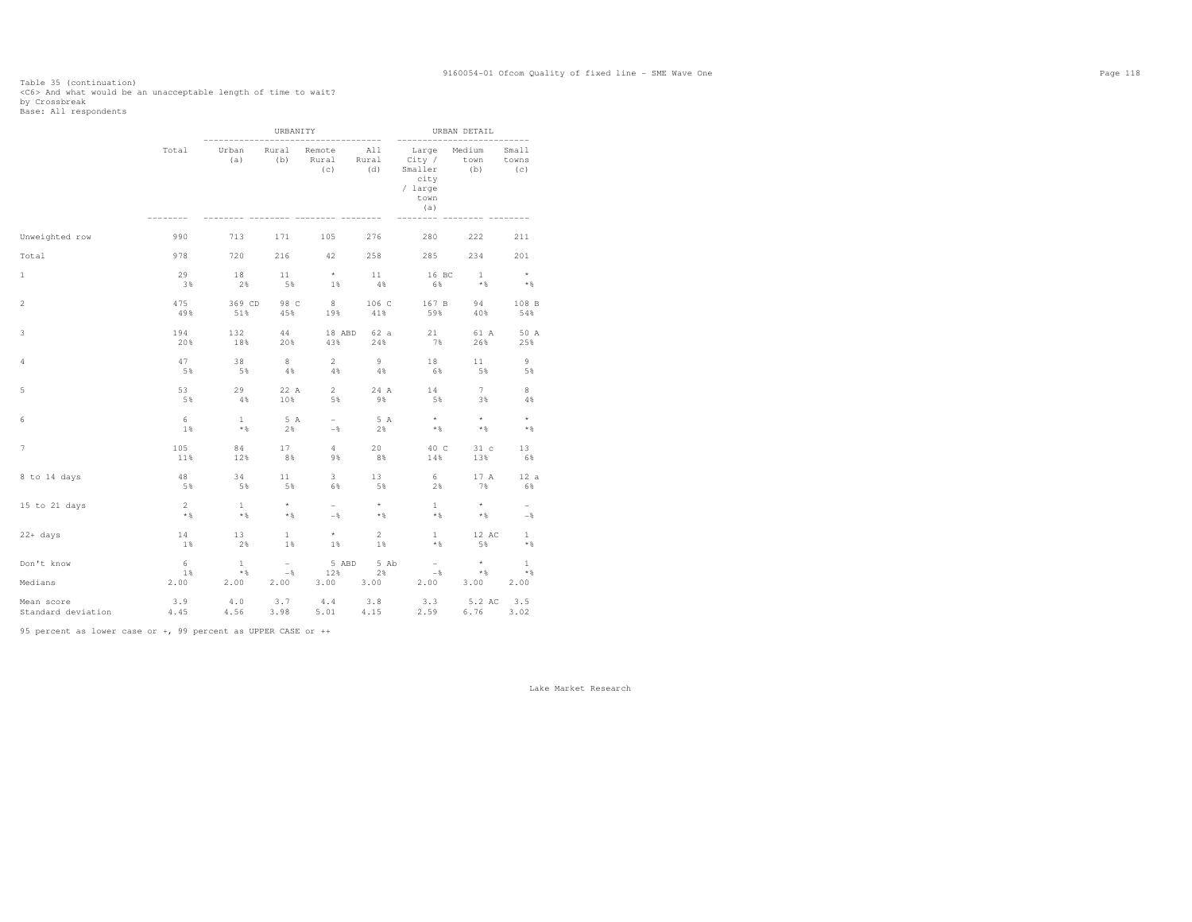# Table 35 (continuation)<br><C6> And what would be an unacceptable length of time to wait?<br>by Crossbreak<br>Base: All respondents

|                                             |                     |                     | URBANITY            |                         |                                    | --------                                                     | URBAN DETAIL          |                                  |
|---------------------------------------------|---------------------|---------------------|---------------------|-------------------------|------------------------------------|--------------------------------------------------------------|-----------------------|----------------------------------|
|                                             | Total               | Urban<br>(a)        | Rural<br>(b)        | Remote<br>Rural<br>(C)  | -----------<br>All<br>Rural<br>(d) | Large<br>City /<br>Smaller<br>city<br>/ large<br>town<br>(a) | Medium<br>town<br>(b) | -------<br>Small<br>towns<br>(C) |
| Unweighted row                              | 990                 | 713                 | 171                 | 105                     | 276                                | 280                                                          | 222                   | 211                              |
| Total                                       | 978                 | 720                 | 216                 | 42                      | 258                                | 285                                                          | 234                   | 201                              |
| $\mathbf{1}$                                | 29                  | 18                  | 11                  | $\pm$                   | 11                                 | 16 BC                                                        | $\sim$ 1              | $\rightarrow$                    |
|                                             | 3%                  | 2%                  | 5%                  | 1%                      | 4%                                 | 6%                                                           | $*$                   | $*$                              |
| $\overline{2}$                              | 475                 | 369 CD              | 98 C                | 8 <sup>1</sup>          | 106 C                              | 167 B                                                        | 94                    | 108 B                            |
|                                             | 49%                 | 51%                 | 45%                 | 19%                     | 41%                                | 59%                                                          | 40%                   | 54%                              |
| 3                                           | 194                 | 132                 | 44                  | 18 ABD                  | 62 a                               | 21                                                           | 61 A                  | 50 A                             |
|                                             | 20%                 | 18%                 | 20%                 | 43%                     | 24%                                | 7%                                                           | 26%                   | 25%                              |
| 4                                           | 47                  | 38                  | 8                   | $\overline{2}$          | 9                                  | 18                                                           | 11                    | 9                                |
|                                             | 5%                  | 5%                  | $4\%$               | 4%                      | 48                                 | 6%                                                           | 5%                    | 5%                               |
| 5                                           | 53                  | 29                  | 22 A                | $\overline{2}$          | 24 A                               | 14                                                           | 7                     | 8                                |
|                                             | 5%                  | 4%                  | 10%                 | 5%                      | 9%                                 | 5%                                                           | 3%                    | 4%                               |
| 6                                           | 6                   | $\mathbf{1}$        | 5 A                 | $\sim$                  | 5 A                                | $\qquad \qquad \star$                                        | $\star$               | $\star$                          |
|                                             | 1%                  | $*$ %               | 2%                  | $-$ %                   | 2%                                 | $*$ &                                                        | $*$ %                 | $*$                              |
| $\overline{7}$                              | 105                 | 84                  | 17                  | 4                       | 20                                 | 40 C                                                         | 31 <sub>c</sub>       | 13                               |
|                                             | 11%                 | 12%                 | $8\%$               | 9%                      | 8%                                 | 14%                                                          | 13%                   | 6%                               |
| 8 to 14 days                                | 48                  | 34                  | 11                  | $\overline{\mathbf{3}}$ | 13                                 | 6 <sup>6</sup>                                               | 17 A                  | 12a                              |
|                                             | 5%                  | 5%                  | 5%                  | 6%                      | 5%                                 | 2%                                                           | 7%                    | 6%                               |
| 15 to 21 days                               | <sup>2</sup>        | $\overline{1}$      | $\star$             | $\sim$                  | $\rightarrow$                      | $\overline{1}$                                               | $\star$               | $\sim$                           |
|                                             | $*$                 | $*$                 | $*$ &               | $-\frac{6}{6}$          | $*$ &                              | $*$                                                          | $*$                   | $-$                              |
| $22 + days$                                 | 14                  | 13                  | 1                   | $\star$                 | $\overline{2}$                     | $1 -$                                                        | 12 AC                 | $\mathbf{1}$                     |
|                                             | $1\%$               | 2%                  | 1%                  | $1\%$                   | 1%                                 | $*$ &                                                        | 5%                    | $*$                              |
| Don't know                                  | 6                   | $\mathbf{1}$        | $ \,$               | 5 ABD                   | 5 Ab                               | $\sim$                                                       | $\star$               | $\mathbf{1}$                     |
|                                             | $1\,$               | $*$                 | $-$ %               | 12%                     | 2%                                 | $-$ 8                                                        | $*$ &                 | $*$                              |
| Medians<br>Mean score<br>Standard deviation | 2.00<br>3.9<br>4.45 | 2.00<br>4.0<br>4.56 | 2.00<br>3.7<br>3.98 | $3.00$ $3.00$           | $5.01$ $4.15$                      | 2.00<br>4.4 3.8 3.3 5.2 AC<br>2.59                           | 3.00<br>6.76          | 2.00<br>3.5<br>3.02              |

95 percent as lower case or +, 99 percent as UPPER CASE or ++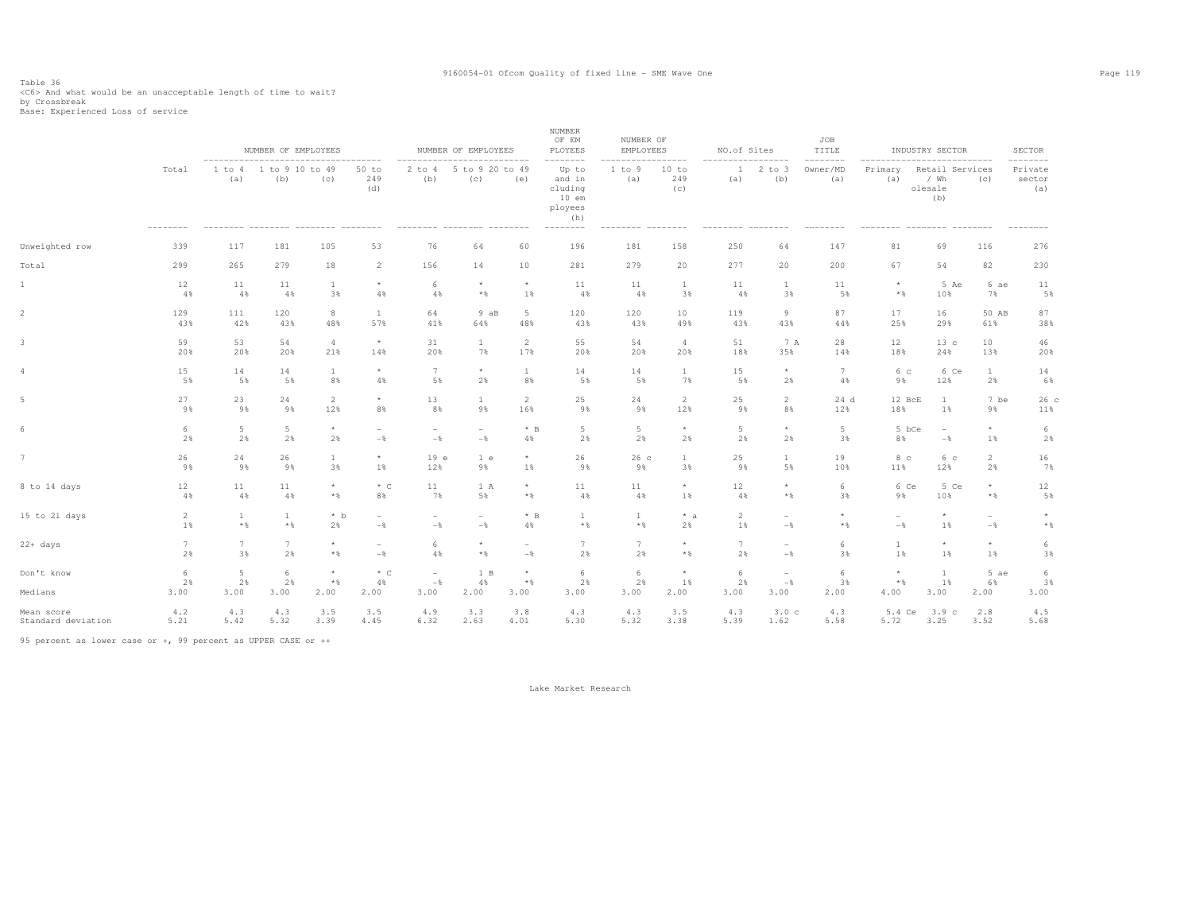# Table 36<br><C6> And what would be an unacceptable length of time to wait?<br>by Crossbreak<br>Base: Experienced Loss of service

|                       |                            |                              | NUMBER OF EMPLOYEES    |                                 |                          |                                         | NUMBER OF EMPLOYEES      | -------                  | NUMBER<br>OF EM<br>PLOYEES<br>---------                             | NUMBER OF<br>EMPLOYEES | $- - - - -$         | NO.of Sites         | $- - - - -$              | JOB<br>TITLE<br>-------- |                                 | INDUSTRY SECTOR<br>.                        |                    | <b>SECTOR</b><br>------  |
|-----------------------|----------------------------|------------------------------|------------------------|---------------------------------|--------------------------|-----------------------------------------|--------------------------|--------------------------|---------------------------------------------------------------------|------------------------|---------------------|---------------------|--------------------------|--------------------------|---------------------------------|---------------------------------------------|--------------------|--------------------------|
|                       | Total<br>$- - - - - - - -$ | -----------<br>1 to 4<br>(a) | 1 to 9 10 to 49<br>(b) | (c)                             | 50 to<br>249<br>(d)      | $2$ to $4$<br>(b)                       | 5 to 9 20 to 49<br>(C)   | (e)                      | Up to<br>and in<br>cluding<br>$10$ em<br>ployees<br>(h)<br>-------- | 1 to 9<br>(a)          | 10 to<br>249<br>(c) | $\mathbf{1}$<br>(a) | $2$ to $3$<br>(b)        | Owner/MD<br>(a)          | Primary<br>(a)                  | Retail Services<br>$/$ Wh<br>olesale<br>(b) | (C)                | Private<br>sector<br>(a) |
| Unweighted row        | 339                        | 117                          | 181                    | 105                             | 53                       | 76                                      | 64                       | 60                       | 196                                                                 | 181                    | 158                 | 250                 | 64                       | 147                      | 81                              | 69                                          | 116                | 276                      |
| Total                 | 299                        | 265                          | 279                    | 18                              | 2                        | 156                                     | 14                       | 10                       | 281                                                                 | 279                    | 20                  | 277                 | 20                       | 200                      | 67                              | 54                                          | 82                 | 230                      |
| $\mathbbm{1}$         | 12                         | 11                           | 11                     | $\mathbf{1}$                    | $\star$                  | 6                                       | $\star$                  | $\star$                  | 11                                                                  | 11                     | <sup>1</sup>        | 11                  | $\mathbf{1}$             | 11                       | $\star$                         | 5 Ae                                        | 6 ae               | 11                       |
|                       | 4%                         | 4%                           | 4%                     | 3%                              | 4%                       | 4%                                      | $*$                      | 1%                       | 4%                                                                  | 4%                     | 3%                  | 4%                  | 3%                       | 5%                       | $*$ &                           | 10%                                         | 7%                 | 5%                       |
| $\overline{2}$        | 129                        | 111                          | 120                    | 8                               | <sup>1</sup>             | 64                                      | 9aB                      | 5                        | 120                                                                 | 120                    | 10                  | 119                 | 9                        | 87                       | 17                              | 16                                          | 50 AB              | 87                       |
|                       | 43%                        | 42%                          | 43%                    | 48%                             | 57%                      | 41%                                     | 64%                      | 48%                      | 43%                                                                 | 43%                    | 49%                 | 43%                 | 43%                      | 44%                      | 25%                             | 29%                                         | 61%                | 38%                      |
| 3                     | 59                         | 53                           | 54                     | $\overline{4}$                  | $\star$                  | 31                                      | $\mathbf{1}$             | $\overline{c}$           | 55                                                                  | 54                     | $\overline{4}$      | 51                  | 7 A                      | 28                       | 12                              | 13c                                         | 10                 | 46                       |
|                       | 20%                        | 20%                          | 20%                    | 21%                             | 14%                      | 20%                                     | 7%                       | 17%                      | 20%                                                                 | 20%                    | 20%                 | 18%                 | 35%                      | 14%                      | 18%                             | 24%                                         | 13%                | 20%                      |
| 4                     | 15                         | 14                           | 14                     | $\mathbf{1}$                    | $\star$                  | 7                                       | $\star$                  | <sup>1</sup>             | 14                                                                  | 14                     | $\mathbf{1}$        | 15                  | $\star$                  | 7                        | 6 с                             | 6 Ce                                        | $\mathbf{1}$       | 14                       |
|                       | 5%                         | 5%                           | 5%                     | 8%                              | 4%                       | 5%                                      | 2%                       | 8%                       | 5%                                                                  | 5%                     | 7%                  | 5%                  | 2%                       | 4%                       | 9%                              | 12%                                         | 2%                 | 6%                       |
| $\overline{5}$        | 27                         | 23                           | 24                     | $\overline{2}$                  | $\star$                  | 13                                      | $\mathbf{1}$             | 2                        | 25                                                                  | 24                     | 2                   | 25                  | 2                        | 24d                      | 12 BcE                          | $\mathbf{1}$                                | 7 be               | 26c                      |
|                       | 9%                         | 9%                           | 9%                     | 12%                             | 8%                       | 8%                                      | 9%                       | 16%                      | 9%                                                                  | 9%                     | 12%                 | 9%                  | 8%                       | 12%                      | 18%                             | $1\%$                                       | 9%                 | 11%                      |
| 6                     | 6                          | 5                            | $5 -$                  | $\star$                         | $\overline{\phantom{a}}$ | $\overline{\phantom{a}}$                | $\overline{\phantom{0}}$ | $*$ B                    | $5 -$                                                               | 5                      | $\star$             | 5                   | $^{\star}$               | 5                        | 5 bCe                           | $\overline{\phantom{a}}$                    | $^{\star}$         | 6                        |
|                       | 2%                         | 2%                           | 2%                     | 2%                              | $-\frac{6}{6}$           | $-$                                     | $-\frac{6}{6}$           | 4%                       | 2%                                                                  | 2%                     | 2%                  | 2%                  | 2%                       | 3%                       | 8%                              | $-$                                         | 1%                 | 2%                       |
| 7                     | 26                         | 24                           | 26                     | $\mathbf{1}$                    | $\star$                  | 19e                                     | 1 e                      | $\star$                  | 26                                                                  | 26c                    | $\mathbf{1}$        | 25                  | $\mathbf{1}$             | 19                       | 8 <sup>c</sup>                  | 6 с                                         | $\overline{2}$     | 16                       |
|                       | 9%                         | 9%                           | 9%                     | 3%                              | 1%                       | 12%                                     | 9%                       | 1%                       | 9%                                                                  | 9%                     | 3%                  | 9%                  | 5%                       | 10%                      | 11%                             | 12%                                         | 2%                 | 7%                       |
| 8 to 14 days          | 12                         | 11                           | 11                     | $\star$                         | $*$ C                    | 11                                      | 1 A                      | $\star$                  | 11                                                                  | 11                     | $\star$             | 12                  | $\star$                  | 6                        | 6 Ce                            | 5 Ce                                        | $\star$            | 12                       |
|                       | 4%                         | 4%                           | 4%                     | $\star$ $\S$                    | 8%                       | 7%                                      | 5%                       | $*$ %                    | 4%                                                                  | 4%                     | 1%                  | 4%                  | $*$                      | 3%                       | 9%                              | 10%                                         | $\star$ $\,$       | 5%                       |
| 15 to 21 days         | 2                          | $\mathbf{1}$                 | $\mathbf{1}$           | $*$ b                           | $\overline{\phantom{a}}$ | $\overline{\phantom{a}}$                | $\overline{\phantom{a}}$ | $*$ B                    | $\mathbf{1}$                                                        | $\mathbf{1}$           | $* a$               | 2                   | $\overline{\phantom{a}}$ | $\star$                  | $\overline{\phantom{a}}$        | $\star$                                     | $\sim$             | $\star$                  |
|                       | 1%                         | $*$ %                        | $*$ &                  | 2%                              | $-\,$                    | $-\,$                                   | $-$                      | $4\,$                    | $\star$ $\,$                                                        | $\star$ $\,$           | 2%                  | 1%                  | $-$                      | $*$ &                    | $-$                             | 1%                                          | $-\frac{6}{6}$     | $*$ &                    |
| $22 + days$           | 7                          | $7\overline{ }$              | $\overline{7}$         | $\star$                         | $\overline{\phantom{a}}$ | 6                                       | $\star$                  | $\overline{\phantom{a}}$ | $7\phantom{.0}$                                                     | 7                      | $\star$             | 7                   | $\overline{\phantom{a}}$ | 6                        | $\mathbf{1}$                    | $\star$                                     | $\star$            | 6                        |
|                       | 2%                         | 3%                           | 2%                     | $\star$ $\,$                    | $-\,$                    | 4%                                      | $*$                      | $-$                      | 2%                                                                  | 2%                     | $\star$ $\,$        | 2%                  | $-$                      | 3%                       | 1%                              | 1%                                          | 1%                 | 3%                       |
| Don't know<br>Medians | 6<br>2%<br>3.00            | 5<br>2%<br>3.00              | 6<br>2%<br>3.00        | $\star$<br>$\star$ $\,$<br>2.00 | $*$ C<br>4%<br>2.00      | $\overline{\phantom{a}}$<br>$-$<br>3.00 | 1 B<br>4%<br>2.00        | $\star$<br>$*$ %<br>3.00 | 6<br>$2\%$<br>3.00                                                  | 6<br>2%<br>3.00        | 1%<br>2.00          | 6<br>2%<br>3.00     | $\sim$<br>$-$<br>3.00    | 6<br>3%<br>2.00          | $\star$<br>$\star$ $\,$<br>4.00 | $\mathbf{1}$<br>$1\,$<br>3.00               | 5 ae<br>6%<br>2.00 | 6<br>3%<br>3.00          |
| Mean score            | 4.2                        | 4.3                          | 4.3                    | 3.5                             | 3.5                      | 4.9                                     | 3.3                      | 3.8                      | 4.3                                                                 | 4.3                    | 3.5                 | 4.3                 | 3.0c                     | 4.3                      | 5.4 Ce                          | 3.9c                                        | 2.8                | 4.5                      |
| Standard deviation    | 5.21                       | 5.42                         | 5.32                   | 3.39                            | 4.45                     | 6.32                                    | 2.63                     | 4.01                     | 5.30                                                                | 5.32                   | 3.38                | 5.39                | 1.62                     | 5.58                     | 5.72                            | 3.25                                        | 3.52               | 5.68                     |

95 percent as lower case or +, 99 percent as UPPER CASE or ++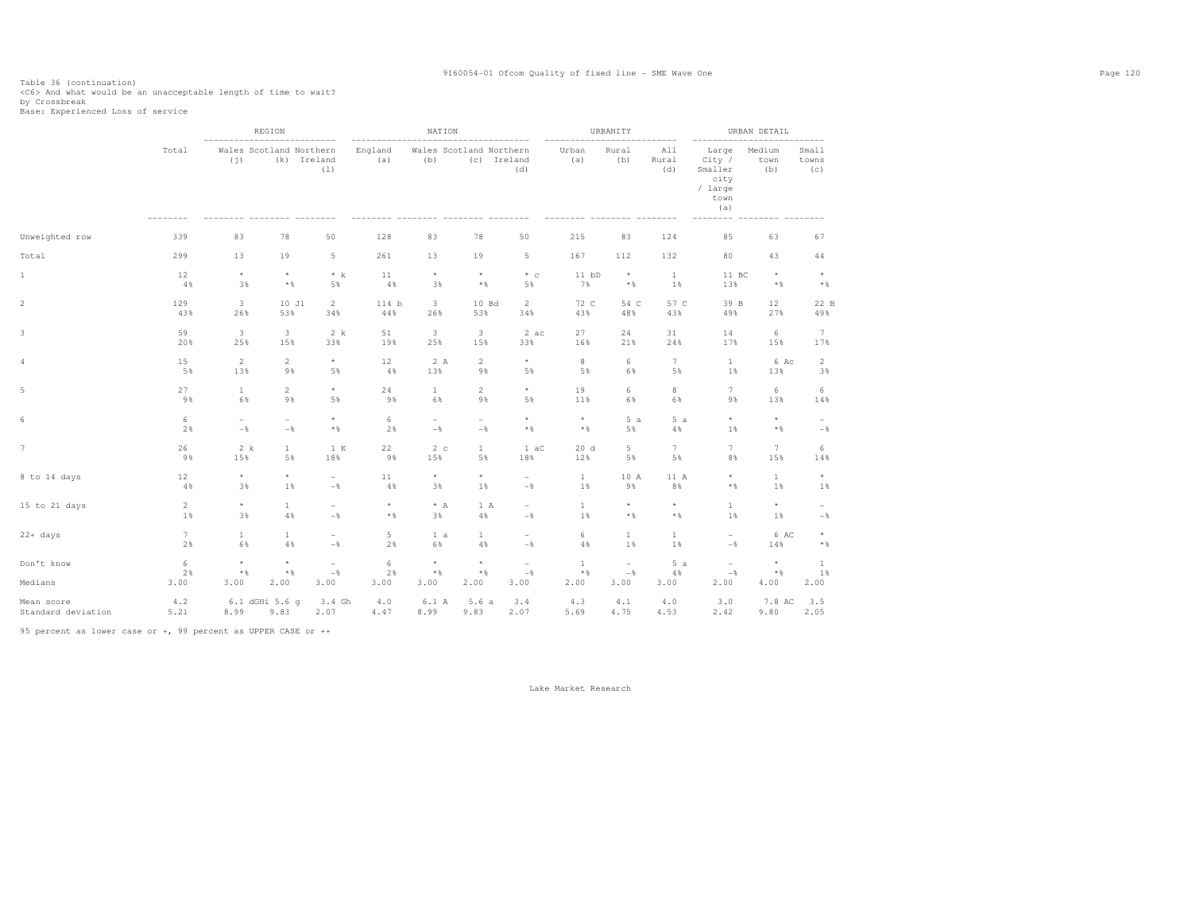Table 36 (continuation)<br><C6> And what would be an unacceptable length of time to wait?<br>by Crossbreak<br>Base: Experienced Loss of service

|                    |                 |                          | REGION                         |                          |                                   | NATION                         |                          |                          |              | URBANITY                 |                                  |                                                              | URBAN DETAIL          |                          |
|--------------------|-----------------|--------------------------|--------------------------------|--------------------------|-----------------------------------|--------------------------------|--------------------------|--------------------------|--------------|--------------------------|----------------------------------|--------------------------------------------------------------|-----------------------|--------------------------|
|                    | Total           | (j)                      | Wales Scotland Northern<br>(k) | Ireland<br>(1)           | ---------------<br>England<br>(a) | Wales Scotland Northern<br>(b) |                          | (c) Ireland<br>(d)       | Urban<br>(a) | Rural<br>(b)             | $- - - -$<br>A11<br>Rural<br>(d) | Large<br>City /<br>Smaller<br>city<br>/ large<br>town<br>(a) | Medium<br>town<br>(b) | Small<br>towns<br>(c)    |
| Unweighted row     | 339             | 83                       | 78                             | 50                       | 128                               | 83                             | 78                       | 50                       | 215          | 83                       | 124                              | 85                                                           | 63                    | 67                       |
| Total              | 299             | 13                       | 19                             | 5                        | 261                               | 13                             | 19                       | 5                        | 167          | 112                      | 132                              | 80                                                           | 43                    | 44                       |
| $\mathbf{1}$       | 12              | $\star$                  | $^\star$                       | $* k$                    | 11                                | $^\star$                       | $\star$                  | $*$ c                    | $11$ bD      | $\star$                  | <sup>1</sup>                     | 11 BC                                                        | $^\star$              | $\star$                  |
|                    | 4%              | 3%                       | $\star$ $\,$                   | 5%                       | 4%                                | 3%                             | $\star$ $\,$             | 5%                       | 7%           | $\star$ $\,$             | 1%                               | 13%                                                          | $\star$ $\,$          | $\star$ &                |
| $\,2$              | 129             | 3                        | 10 Jl                          | $\mathbf{2}$             | 114 b                             | 3                              | 10 Bd                    | $\overline{c}$           | 72 C         | 54 C                     | 57 C                             | 39 B                                                         | 12                    | 22 B                     |
|                    | 43%             | 26%                      | 53%                            | 34%                      | 44%                               | 26%                            | 53%                      | 34%                      | 43%          | 48%                      | 43%                              | 49%                                                          | 27%                   | 49%                      |
| 3                  | 59              | 3                        | 3                              | 2 k                      | 51                                | 3                              | 3                        | 2ac                      | 27           | 24                       | 31                               | 14                                                           | 6                     | $7\phantom{.0}$          |
|                    | 20%             | 25%                      | 15%                            | 33%                      | 19%                               | 25%                            | 15%                      | 33%                      | 16%          | 21%                      | 24%                              | 17%                                                          | 15%                   | 17%                      |
| $\overline{4}$     | 15              | $\overline{2}$           | $\overline{c}$                 | $^{\star}$               | 12                                | 2 A                            | $\overline{c}$           | $^\star$                 | 8            | 6                        | $7\phantom{.0}$                  | $\mathbf{1}$                                                 | 6 Ac                  | $\overline{c}$           |
|                    | 5%              | 13%                      | 9%                             | 5%                       | 4%                                | 13%                            | 9%                       | 5%                       | 5%           | 6%                       | 5%                               | 1%                                                           | 13%                   | 3%                       |
| $\,$ 5 $\,$        | 27              | $\mathbf{1}$             | $\mathbf 2$                    | $^\star$                 | 24                                | $\mathbf{1}$                   | $\sqrt{2}$               | $^\star$                 | 19           | 6                        | $\,$ 8                           | $7\phantom{.0}$                                              | 6                     | 6                        |
|                    | 9%              | 6%                       | 9%                             | 5%                       | 9%                                | 6%                             | 9%                       | 5%                       | 11%          | 6%                       | 6%                               | 9%                                                           | 13%                   | 14%                      |
| 6                  | 6               | $\overline{\phantom{0}}$ | $\overline{\phantom{m}}$       | $^\star$                 | 6                                 | $\overline{\phantom{a}}$       | $\overline{\phantom{0}}$ | $\star$                  | $^\star$     | 5a                       | 5a                               | $\star$                                                      | $^\star$              | $\sim$                   |
|                    | 2%              | $-\,$                    | $-\,$ $\,$                     | $\star$ $\,$             | 2%                                | $-\,$ $\,$                     | $-\,$                    | $\star$ $\,$             | $\star$ $\,$ | 5%                       | $4\%$                            | 1%                                                           | $\star$ $\,$          | $-\,$ %                  |
| $\overline{7}$     | 26              | 2 k                      | $\mathbf{1}$                   | 1 K                      | 22                                | 2c                             | $\mathbf{1}$             | 1 aC                     | 20d          | 5                        | $7\phantom{.}$                   | 7                                                            | $7\phantom{.0}$       | 6                        |
|                    | 9%              | 15%                      | 5%                             | 18%                      | 9%                                | 15%                            | 5%                       | 18%                      | 12%          | 5%                       | 5%                               | 8%                                                           | 15%                   | 14%                      |
| 8 to 14 days       | 12              | $^\star$                 | $\star$                        | $\overline{\phantom{a}}$ | 11                                | $^\star$                       | $^\star$                 | $\overline{\phantom{0}}$ | $\mathbf{1}$ | 10 A                     | 11 A                             | $\star$                                                      | $\mathbf{1}$          | $^\star$                 |
|                    | 4%              | 3%                       | 1%                             | $-$                      | 4%                                | 3%                             | 1%                       | $-\,$ %                  | 1%           | 9%                       | 8%                               | $*$ %                                                        | 1%                    | 1%                       |
| 15 to 21 days      | $\overline{2}$  | $^\star$                 | $\mathbf{1}$                   | $\overline{\phantom{a}}$ | $^\star$                          | $\star$ A                      | 1 A                      | $\overline{\phantom{a}}$ | $\mathbf{1}$ | $^\star$                 | $\star$                          | $\mathbf{1}$                                                 | $^\star$              | $\overline{\phantom{a}}$ |
|                    | 1%              | 3%                       | 4%                             | $-$                      | $\star$ $\,$                      | 3%                             | $4\,$                    | $-$                      | 1%           | $\star$ $\,$             | $*$ &                            | 1%                                                           | 1%                    | $-$                      |
| $22+ days$         | $7\overline{ }$ | $\mathbf{1}$             | $\mathbf{1}$                   | $\overline{\phantom{a}}$ | 5                                 | 1 a                            | $\mathbf{1}$             | $\overline{\phantom{a}}$ | 6            | $\mathbf{1}$             | $\mathbf{1}$                     | $\overline{\phantom{a}}$                                     | 6 AC                  | $^{\star}$               |
|                    | 2%              | 6%                       | $4\,$ %                        | $-$                      | 2%                                | 6%                             | $4\%$                    | $-\,$ $\,$               | 4%           | 1%                       | 1%                               | $-$                                                          | 14%                   | $\star$ $\,$             |
| Don't know         | 6               | $\star$                  | $^\star$                       | $\overline{\phantom{a}}$ | 6                                 | $^\star$                       | $\star$                  | $\overline{\phantom{a}}$ | $\mathbf{1}$ | $\overline{\phantom{a}}$ | 5a                               | $\overline{\phantom{a}}$                                     | $^\star$              | $\mathbf{1}$             |
|                    | 2%              | $\star$ $\,$             | $\star$ $\,$                   | $-$                      | 2%                                | $\star$ $\,$                   | $\star$ $\,$             | $-$                      | $*$ %        | $-$                      | 4%                               | $-$                                                          | $\star$ $\,$          | 1%                       |
| Medians            | 3.00            | 3.00                     | 2.00                           | 3.00                     | 3.00                              | 3.00                           | 2.00                     | 3.00                     | 2.00         | 3.00                     | 3.00                             | 2.00                                                         | 4.00                  | 2.00                     |
| Mean score         | 4.2             | 8.99                     | 6.1 dGHi 5.6 q                 | 3.4 Gh                   | 4.0                               | 6.1 A                          | 5.6a                     | 3.4                      | 4.3          | 4.1                      | 4.0                              | 3.0                                                          | 7.8 AC                | 3.5                      |
| Standard deviation | 5.21            |                          | 9.83                           | 2.07                     | 4.47                              | 8.99                           | 9.83                     | 2.07                     | 5.69         | 4.75                     | 4.53                             | 2.42                                                         | 9.80                  | 2.05                     |

95 percent as lower case or +, 99 percent as UPPER CASE or ++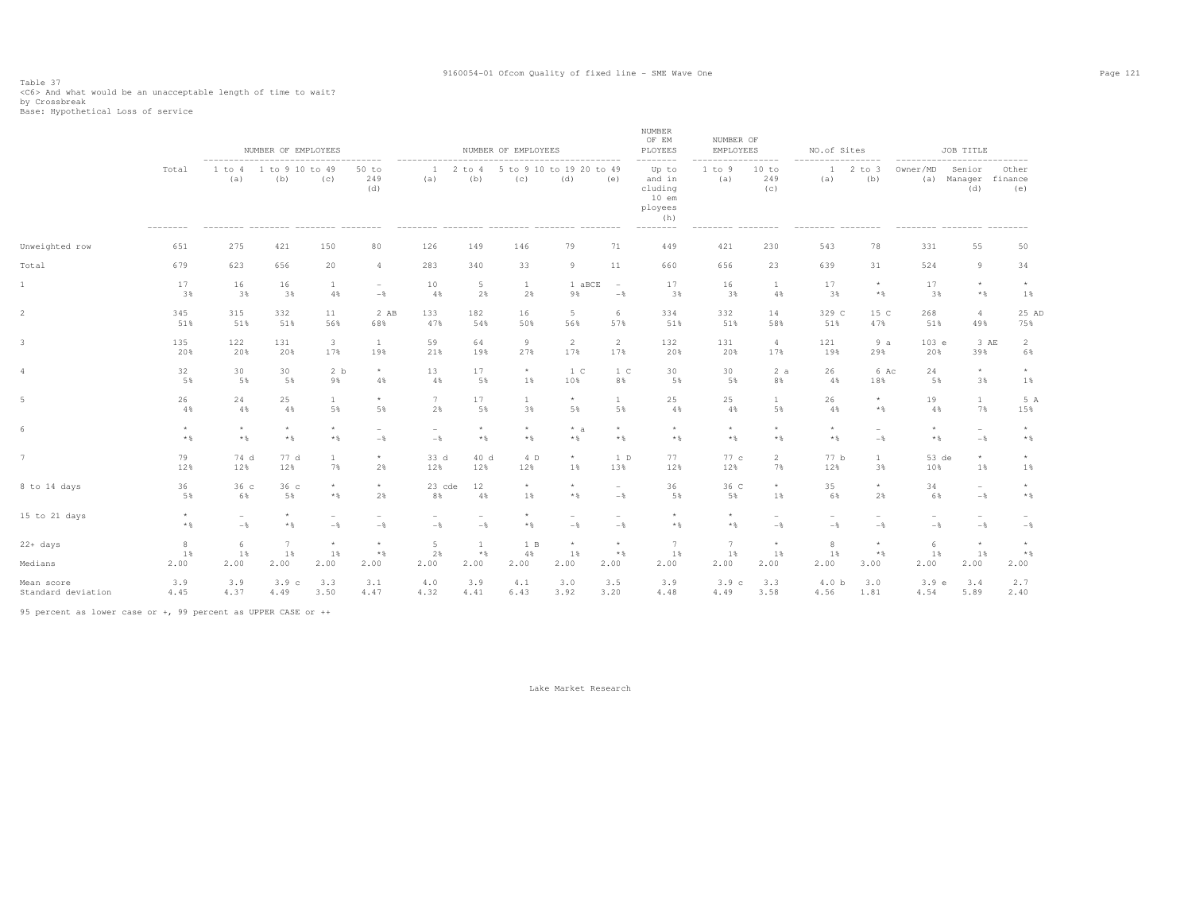# Table 37<br><C6> And what would be an unacceptable length of time to wait?<br>by Crossbreak<br>Base: Hypothetical Loss of service

|                    |                            |                                            | NUMBER OF EMPLOYEES           |                          |                                            |                                            |                                            | NUMBER OF EMPLOYEES             |                                            |                                            | NUMBER<br>OF EM<br>PLOYEES                                                      | NUMBER OF<br><b>EMPLOYEES</b> |                                            | NO.of Sites                     |                                 |                                               | JOB TITLE                                  |                                 |
|--------------------|----------------------------|--------------------------------------------|-------------------------------|--------------------------|--------------------------------------------|--------------------------------------------|--------------------------------------------|---------------------------------|--------------------------------------------|--------------------------------------------|---------------------------------------------------------------------------------|-------------------------------|--------------------------------------------|---------------------------------|---------------------------------|-----------------------------------------------|--------------------------------------------|---------------------------------|
|                    | Total<br>$- - - - - - - -$ | (a)                                        | 1 to 4 1 to 9 10 to 49<br>(b) | (c)                      | $50$ to<br>249<br>(d)                      | ----------<br>1<br>(a)                     | $2$ to $4$<br>(b)                          | 5 to 9 10 to 19 20 to 49<br>(c) | ---------------<br>(d)                     | (e)                                        | --------<br>Up to<br>and in<br>cluding<br>$10$ em<br>ployees<br>(h)<br>-------- | 1 to 9<br>(a)                 | .<br>10 to<br>249<br>(c)<br>---------      | --------<br>$\mathbf{1}$<br>(a) | -------<br>2 to 3<br>(b)        | --------------------------<br>Owner/MD<br>(a) | Senior<br>Manager<br>(d)                   | Other<br>finance<br>(e)         |
| Unweighted row     | 651                        | 275                                        | 421                           | 150                      | 80                                         | 126                                        | 149                                        | 146                             | 79                                         | 71                                         | 449                                                                             | 421                           | 230                                        | 543                             | 78                              | 331                                           | 55                                         | 50                              |
| Total              | 679                        | 623                                        | 656                           | 20                       | $\overline{a}$                             | 283                                        | 340                                        | 33                              | 9                                          | 11                                         | 660                                                                             | 656                           | 23                                         | 639                             | 31                              | 524                                           | 9                                          | 34                              |
| 1                  | 17                         | 16                                         | 16                            | 1                        | $\overline{\phantom{a}}$                   | 10                                         | 5                                          | <sup>1</sup>                    | 1 aBCE                                     | $\sim$                                     | 17                                                                              | 16                            | <sup>1</sup>                               | 17                              | $\star$                         | 17                                            | $\star$                                    | $^{\star}$                      |
|                    | 3%                         | 3%                                         | 3%                            | 4%                       | $-\frac{6}{6}$                             | 4%                                         | 2%                                         | 2%                              | 9%                                         | $-$                                        | 3%                                                                              | 3%                            | 4%                                         | 3%                              | $\star$ $\,$                    | 3%                                            | $*$                                        | $1\%$                           |
| $\overline{2}$     | 345                        | 315                                        | 332                           | 11                       | 2 AB                                       | 133                                        | 182                                        | 16                              | 5 <sub>1</sub>                             | 6                                          | 334                                                                             | 332                           | 14                                         | 329 C                           | 15 C                            | 268                                           | $\overline{4}$                             | 25 AD                           |
|                    | 51%                        | 51%                                        | 51%                           | 56%                      | 68%                                        | 47%                                        | 54%                                        | 50%                             | 56%                                        | 57%                                        | 51%                                                                             | 51%                           | 58%                                        | 51%                             | 47%                             | 51%                                           | 49%                                        | 75%                             |
| 3                  | 135                        | 122                                        | 131                           | $\overline{\mathbf{3}}$  | $\mathbf{1}$                               | 59                                         | 64                                         | 9                               | 2                                          | 2                                          | 132                                                                             | 131                           | $\overline{4}$                             | 121                             | 9a                              | 103 e                                         | 3 AE                                       | 2                               |
|                    | 20%                        | 20%                                        | 20%                           | 17%                      | 19%                                        | 21%                                        | 19%                                        | 27%                             | 17%                                        | 17%                                        | 20%                                                                             | 20%                           | 17%                                        | 19%                             | 29%                             | 20%                                           | 39%                                        | 6%                              |
|                    | 32                         | 30                                         | 30                            | 2 b                      | $^{\star}$                                 | 13                                         | 17                                         | $\star$                         | 1 <sup>c</sup>                             | 1 C                                        | 30                                                                              | 30                            | 2a                                         | 26                              | 6 Ac                            | 24                                            | $\star$                                    | $^{\star}$                      |
|                    | 5%                         | 5%                                         | 5%                            | 9%                       | 4%                                         | 4%                                         | 5%                                         | 1%                              | 10%                                        | 8%                                         | 5%                                                                              | 5%                            | 8%                                         | 4%                              | 18%                             | 5%                                            | 3%                                         | 1%                              |
| 5                  | 26                         | 24                                         | 25                            | $\mathbf{1}$             | $^{\star}$                                 | $7\phantom{.0}$                            | 17                                         | $\mathbf{1}$                    | $\star$                                    | 1                                          | 25                                                                              | 25                            | $\mathbf{1}$                               | 26                              | $\star$                         | 19                                            | $\mathbf{1}$                               | 5 A                             |
|                    | 4%                         | 4%                                         | 4%                            | 5%                       | 5%                                         | 2%                                         | 5%                                         | 3%                              | 5%                                         | 5%                                         | 4%                                                                              | 4%                            | 5%                                         | 4%                              | $*$                             | 4%                                            | 7%                                         | 15%                             |
| 6                  | $\star$<br>$*$ &           | $\star$<br>$\star$ $\,$                    | $\star$<br>$*$ %              | $\star$<br>$*$ &         | $\overline{\phantom{a}}$<br>$-$            | $\overline{\phantom{a}}$<br>$-$            | $\star$<br>$*$ %                           | $*$ %                           | $* a$<br>$\star$ $\,$                      | $\star$<br>$*$ %                           | $\star$<br>$*$ %                                                                | $\star$<br>$*$ %              | $\star$<br>$*$ &                           | $\star$<br>$*$ &                | $\sim$<br>$-\frac{6}{6}$        | $\star$<br>$*$ %                              | $\overline{\phantom{a}}$<br>$-\frac{6}{5}$ | $\star$<br>$*$ &                |
| 7                  | 79                         | 74 d                                       | 77 d                          | $\mathbf{1}$             | $^{\star}$                                 | 33 d                                       | 40 d                                       | 4 D                             | $\star$                                    | 1 D                                        | 77                                                                              | 77 c                          | $\overline{2}$                             | 77 b                            | $\mathbf{1}$                    | 53 de                                         | $\star$                                    | $\star$                         |
|                    | 12%                        | 12%                                        | 12%                           | 7%                       | 2%                                         | 12%                                        | 12%                                        | 12%                             | $1\%$                                      | 13%                                        | 12%                                                                             | 12%                           | 7%                                         | 12%                             | 3%                              | 10%                                           | 1%                                         | 1%                              |
| 8 to 14 days       | 36                         | 36c                                        | 36 <sub>c</sub>               | $\star$                  | $\star$                                    | 23 cde                                     | 12                                         | $\star$                         | $^\star$                                   | $\overline{\phantom{a}}$                   | 36                                                                              | 36 C                          | $^{\star}$                                 | 35                              | $^{\star}$                      | 34                                            | $\sim$                                     | $\star$                         |
|                    | 5%                         | 6%                                         | 5%                            | $*$ &                    | 2%                                         | 8%                                         | 4%                                         | 1%                              | $\star$ $\,$                               | $-$                                        | 5%                                                                              | 5%                            | 1%                                         | 6%                              | 2%                              | 6%                                            | $-\frac{6}{5}$                             | $*$ &                           |
| 15 to 21 days      | $\star$<br>$*$ &           | $\overline{\phantom{a}}$<br>$-\frac{6}{6}$ | $\star$<br>$\star$ $\,$       | $\qquad \qquad -$<br>$-$ | $\overline{\phantom{a}}$<br>$-\frac{6}{6}$ | $\overline{\phantom{a}}$<br>$-\frac{6}{5}$ | $\overline{\phantom{a}}$<br>$-\frac{6}{6}$ | $\star$<br>$*$ &                | $\overline{\phantom{a}}$<br>$-\frac{6}{6}$ | $\overline{\phantom{a}}$<br>$-\frac{6}{5}$ | $\star$<br>$*$ %                                                                | $\star$<br>$*$ &              | $\overline{\phantom{0}}$<br>$-\frac{6}{5}$ | $-\frac{6}{5}$                  | $\overline{\phantom{a}}$<br>$-$ | $\overline{\phantom{a}}$<br>$-$               | $\overline{\phantom{a}}$<br>$-\frac{6}{5}$ | $\overline{\phantom{a}}$<br>$-$ |
| $22+$ days         | 8                          | 6                                          | 7                             | $\star$                  | $\star$                                    | 5                                          | <sup>1</sup>                               | 1 B                             | $\star$                                    | $\star$                                    | 7                                                                               | 7                             | $^\star$                                   | 8                               | $\star$                         | 6                                             | $\star$                                    | $\star$                         |
|                    | 1%                         | 1%                                         | 1%                            | 1%                       | $*$                                        | 2%                                         | $\star$ $\,$                               | 4%                              | 1%                                         | $*$ &                                      | 1%                                                                              | 1%                            | 1%                                         | 1%                              | $\star$ $\,$                    | 1%                                            | 1%                                         | $*$ &                           |
| Medians            | 2.00                       | 2.00                                       | 2.00                          | 2.00                     | 2.00                                       | 2.00                                       | 2.00                                       | 2.00                            | 2.00                                       | 2.00                                       | 2.00                                                                            | 2.00                          | 2.00                                       | 2.00                            | 3.00                            | 2.00                                          | 2.00                                       | 2.00                            |
| Mean score         | 3.9                        | 3.9                                        | 3.9 <sub>c</sub>              | 3.3                      | 3.1                                        | 4.0                                        | 3.9                                        | 4.1                             | 3.0                                        | 3.5                                        | 3.9                                                                             | 3.9 <sub>c</sub>              | 3.3                                        | 4.0 <sub>b</sub>                | 3.0                             | 3.9 e                                         | 3.4                                        | 2.7                             |
| Standard deviation | 4.45                       | 4.37                                       | 4.49                          | 3.50                     | 4.47                                       | 4.32                                       | 4.41                                       | 6.43                            | 3.92                                       | 3.20                                       | 4.48                                                                            | 4.49                          | 3.58                                       | 4.56                            | 1.81                            | 4.54                                          | 5.89                                       | 2.40                            |

95 percent as lower case or +, 99 percent as UPPER CASE or ++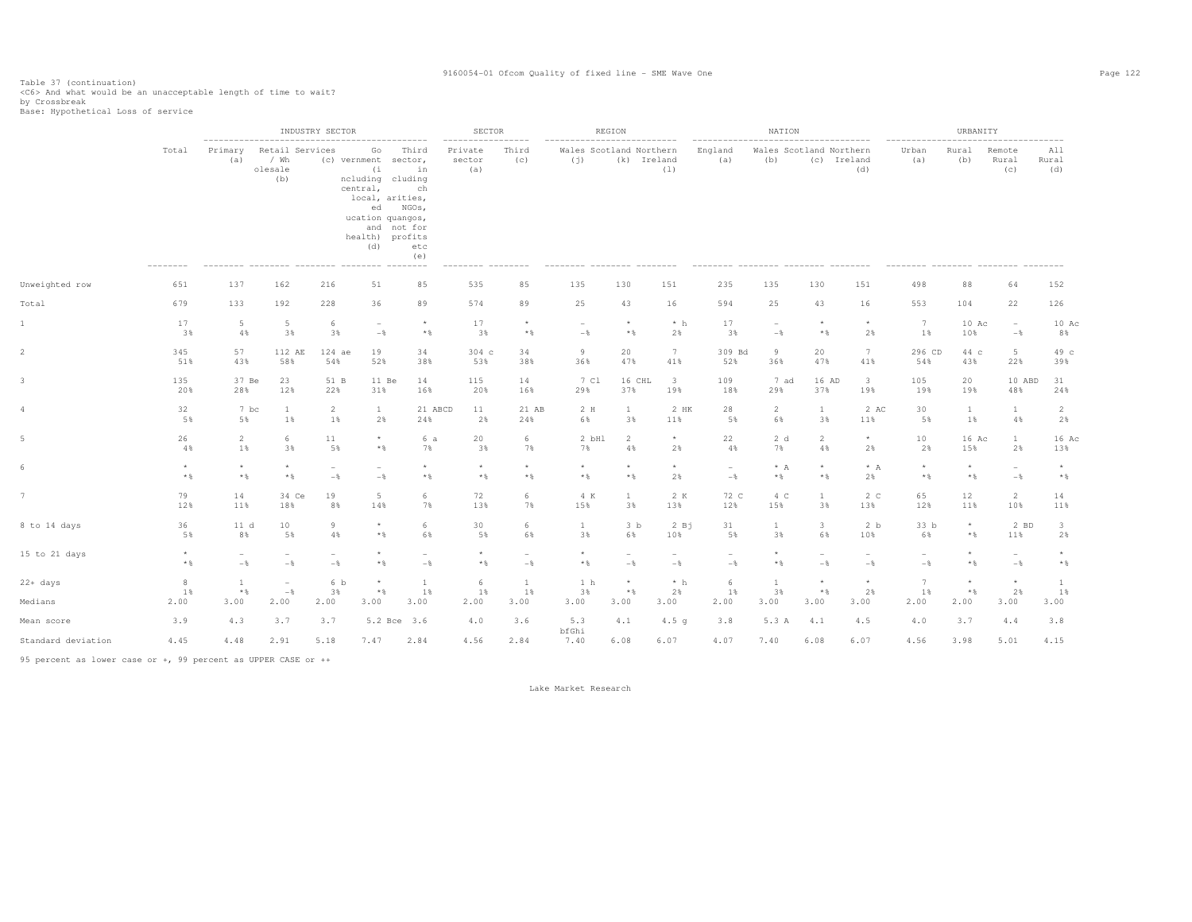Table 37 (continuation) <C6> And what would be an unacceptable length of time to wait?

by Crossbreak<br>Base: Hypothetical Loss of service

|                                  |                   |                                        |                                                                 | INDUSTRY SECTOR |                                                                                                                                                                                     |                                                         | <b>SECTOR</b>                                             |                          |                                | REGION                                           |                          |                                       | NATION                                                       |                                |                          |                                                             | URBANITY     |                          |                         |
|----------------------------------|-------------------|----------------------------------------|-----------------------------------------------------------------|-----------------|-------------------------------------------------------------------------------------------------------------------------------------------------------------------------------------|---------------------------------------------------------|-----------------------------------------------------------|--------------------------|--------------------------------|--------------------------------------------------|--------------------------|---------------------------------------|--------------------------------------------------------------|--------------------------------|--------------------------|-------------------------------------------------------------|--------------|--------------------------|-------------------------|
|                                  | Total<br>-------- | --------------------<br>Primary<br>(a) | Retail Services<br>/ Wh<br>olesale<br>(b)<br>--------- -------- |                 | -----------------<br>Go<br>(c) vernment sector,<br>(i)<br>ncluding cluding<br>central,<br>local, arities,<br>ed<br>ucation quangos,<br>health) profits<br>(d)<br>--------- -------- | Third<br>in<br>ch<br>NGOs,<br>and not for<br>etc<br>(e) | -------<br>Private<br>sector<br>(a)<br>--------- -------- | ------<br>Third<br>(C)   | Wales Scotland Northern<br>(i) | . _ _ _ _ _ _ _ _ _ _ _ _ _ _ _ _<br>(k) Ireland | (1)                      | -------------------<br>England<br>(a) | Wales Scotland Northern<br>(b)<br>--------- -------- ------- | ---------------<br>(c) Ireland | (d)                      | -------------<br>Urban<br>(a)<br>--------- -------- ------- | Rural<br>(b) | Remote<br>Rural<br>(c)   | All<br>Rural<br>(d)     |
| Unweighted row                   | 651               | 137                                    | 162                                                             | 216             | 51                                                                                                                                                                                  | 85                                                      | 535                                                       | 85                       | 135                            | 130                                              | 151                      | 235                                   | 135                                                          | 130                            | 151                      | 498                                                         | 88           | 64                       | 152                     |
| Total                            | 679               | 133                                    | 192                                                             | 228             | 36                                                                                                                                                                                  | 89                                                      | 574                                                       | 89                       | 25                             | 43                                               | 16                       | 594                                   | 25                                                           | 43                             | 16                       | 553                                                         | 104          | 22                       | 126                     |
| 1                                | 17                | 5                                      | 5                                                               | 6               | $\sim$                                                                                                                                                                              | $\star$                                                 | 17                                                        | $\star$                  | $\overline{\phantom{a}}$       | $\star$                                          | $*$ h                    | 17                                    | $\sim$                                                       | $\star$                        | $\star$                  | 7                                                           | $10$ Ac      | $\overline{\phantom{a}}$ | 10 Ac                   |
|                                  | 3%                | $4\%$                                  | 3%                                                              | 3%              | $-\frac{6}{5}$                                                                                                                                                                      | $*$ %                                                   | 3%                                                        | $*$ &                    | $-$                            | $*$                                              | 2%                       | 3%                                    | $-\frac{6}{6}$                                               | $*$ %                          | 2%                       | 1%                                                          | 10%          | $-\frac{6}{6}$           | 8%                      |
|                                  | 345               | 57                                     | 112 AE                                                          | 124 ae          | 19                                                                                                                                                                                  | 34                                                      | 304 <sub>c</sub>                                          | 34                       | 9                              | 20                                               | 7                        | 309 Bd                                | 9                                                            | 20                             | 7                        | 296 CD                                                      | 44 c         | $5 -$                    | 49 c                    |
|                                  | 51%               | 43%                                    | 58%                                                             | 54%             | 52%                                                                                                                                                                                 | 38%                                                     | 53%                                                       | 38%                      | 36%                            | 47%                                              | 41%                      | 52%                                   | 36%                                                          | 47%                            | 41%                      | 54%                                                         | 43%          | 22%                      | 39%                     |
|                                  | 135               | 37 Be                                  | 23                                                              | 51 B            | 11 Be                                                                                                                                                                               | 14                                                      | 115                                                       | 14                       | 7 Cl                           | 16 CHL                                           | $\overline{\mathbf{3}}$  | 109                                   | 7 ad                                                         | 16 AD                          | $\overline{\mathbf{3}}$  | 105                                                         | 20           | 10 ABD                   | 31                      |
|                                  | 20%               | 28%                                    | 12%                                                             | 22%             | 31%                                                                                                                                                                                 | 16%                                                     | 20%                                                       | 16%                      | 29%                            | 37%                                              | 19%                      | 18%                                   | 29%                                                          | 37%                            | 19%                      | 19%                                                         | 19%          | 48%                      | 24%                     |
|                                  | 32                | 7 bc                                   | 1                                                               | $\overline{2}$  | $\mathbf{1}$                                                                                                                                                                        | 21 ABCD                                                 | 11                                                        | 21 AB                    | 2 H                            | $\mathbf{1}$                                     | 2 HK                     | 28                                    | 2                                                            | $\mathbf{1}$                   | 2 AC                     | 30                                                          | $\mathbf{1}$ | $\mathbf{1}$             | 2                       |
|                                  | 5%                | 5%                                     | $1\%$                                                           | $1\%$           | 2%                                                                                                                                                                                  | 24%                                                     | 2%                                                        | 24%                      | 6%                             | 3%                                               | 11%                      | 5%                                    | 6%                                                           | 3%                             | 11%                      | 5%                                                          | $1\%$        | 4%                       | 2%                      |
|                                  | 26                | $\overline{c}$                         | 6                                                               | 11              | $\star$                                                                                                                                                                             | 6 a                                                     | 20                                                        | 6                        | 2 bHl                          | 2                                                | $\star$                  | 22                                    | 2d                                                           | 2                              | $\star$                  | 10                                                          | 16 Ac        | $\mathbf{1}$             | 16 Ac                   |
|                                  | 4%                | $1\%$                                  | 3%                                                              | 5%              | $*$                                                                                                                                                                                 | 7%                                                      | 3%                                                        | 7%                       | 7%                             | 4%                                               | 2%                       | 4%                                    | 7%                                                           | 4%                             | 2%                       | 2%                                                          | 15%          | 2%                       | 13%                     |
|                                  | $^\star$          | $\star$                                | $\star$                                                         | $\sim$          | $\overline{\phantom{a}}$                                                                                                                                                            | $\star$                                                 | $\star$                                                   | $\star$                  | $\star$                        | $\star$                                          | $\star$                  | $\overline{\phantom{a}}$              | $* A$                                                        | $\star$                        | $* A$                    | $\star$                                                     | $^{\star}$   | $\overline{\phantom{a}}$ | $\star$                 |
|                                  | $*$ %             | $*$ %                                  | $*$ &                                                           | $-\frac{6}{6}$  | $-\frac{6}{5}$                                                                                                                                                                      | $\star$ $\,$                                            | $\star$ $\,$                                              | $\star$ $\S$             | $*$                            | $\star$ &                                        | 2%                       | $-$                                   | $*$                                                          | $\star$ $\,$                   | 2%                       | $*$ %                                                       | $*$ &        | $-\frac{6}{5}$           | $\star$ $\,$            |
|                                  | 79                | 14                                     | 34 Ce                                                           | 19              | $5 -$                                                                                                                                                                               | 6                                                       | 72                                                        | 6                        | 4 K                            | 1                                                | 2 K                      | 72 C                                  | 4 C                                                          | $\mathbf{1}$                   | 2 <sub>c</sub>           | 65                                                          | 12           | $\overline{2}$           | 14                      |
|                                  | 12%               | 11%                                    | 18%                                                             | 8%              | 14%                                                                                                                                                                                 | 7%                                                      | 13%                                                       | 7%                       | 15%                            | 3%                                               | 13%                      | 12%                                   | 15%                                                          | 3%                             | 13%                      | 12%                                                         | 11%          | 10%                      | 11%                     |
| 8 to 14 days                     | 36                | 11 d                                   | 10                                                              | 9               | $^{\star}$                                                                                                                                                                          | 6                                                       | 30                                                        | 6                        | <sup>1</sup>                   | 3 <sub>b</sub>                                   | 2Bj                      | 31                                    | $\mathbf{1}$                                                 | $\overline{\mathbf{3}}$        | 2 b                      | 33 b                                                        | $\star$      | 2 BD                     | $\overline{\mathbf{3}}$ |
|                                  | 5%                | 8%                                     | 5%                                                              | 4%              | $*$                                                                                                                                                                                 | 6%                                                      | 5%                                                        | 6%                       | 3%                             | 6%                                               | 10%                      | 5%                                    | 3%                                                           | 6%                             | 10%                      | 6%                                                          | $*$ &        | 11%                      | 2%                      |
| 15 to 21 days                    | $\star$           | $\overline{\phantom{m}}$               | $\overline{\phantom{a}}$                                        | $\sim$          | $\star$                                                                                                                                                                             | $\overline{\phantom{a}}$                                | $\star$                                                   | $\overline{\phantom{0}}$ | $^{\star}$                     | ۰                                                | $\overline{\phantom{a}}$ | $\overline{\phantom{m}}$              | $\star$                                                      | $\overline{\phantom{a}}$       | $\overline{\phantom{a}}$ | $\overline{\phantom{0}}$                                    | $\star$      | $\overline{\phantom{a}}$ | $\star$                 |
|                                  | $*$ %             | $-\frac{6}{5}$                         | $-$ 8                                                           | $-\frac{6}{6}$  | $*$                                                                                                                                                                                 | $-$                                                     | $\star$ $\,$                                              | $-\frac{6}{6}$           | $*$ &                          | $-$                                              | $-\frac{6}{3}$           | $-$                                   | $*$                                                          | $-$                            | $-\frac{6}{5}$           | $-\frac{6}{5}$                                              | $*$ &        | $-$                      | $\star$ $\,$            |
| 22+ days                         | 8                 | <sup>1</sup>                           | $\hspace{0.1mm}-\hspace{0.1mm}$                                 | 6 b             | $^{\star}$                                                                                                                                                                          | 1                                                       | 6                                                         | $\mathbf{1}$             | 1 h                            | $\star$                                          | $*$ h                    | -6                                    | <b>1</b>                                                     | $\star$                        | $^{\star}$               | 7                                                           | $\star$      | $^\star$                 | $\mathbf{1}$            |
|                                  | 1%                | $*$ %                                  | $-$                                                             | 3%              | $*$                                                                                                                                                                                 | 1%                                                      | 1%                                                        | 1%                       | 3%                             | $*$ &                                            | 2%                       | 1%                                    | 3%                                                           | $*$                            | 2%                       | 1%                                                          | $*$          | 2%                       | 1%                      |
| Medians                          | 2.00              | 3.00                                   | 2.00                                                            | 2.00            | 3.00                                                                                                                                                                                | 3.00                                                    | 2.00                                                      | 3.00                     | 3.00                           | 3.00                                             | 3.00                     | 2.00                                  | 3.00                                                         | 3.00                           | 3.00                     | 2.00                                                        | 2.00         | 3.00                     | 3.00                    |
| Mean score<br>Standard deviation | 3.9<br>4.45       | 4.3<br>4.48                            | 3.7<br>2.91                                                     | 3.7<br>5.18     | 7.47                                                                                                                                                                                | 5.2 Bce 3.6<br>2.84                                     | 4.0<br>4.56                                               | 3.6<br>2.84              | 5.3<br>bfGhi<br>7.40           | 4.1<br>6.08                                      | 4.5 <sub>q</sub><br>6.07 | 3.8<br>4.07                           | 5.3 A<br>7.40                                                | 4.1<br>6.08                    | 4.5<br>6.07              | 4.0<br>4.56                                                 | 3.7<br>3.98  | 4.4<br>5.01              | 3.8<br>4.15             |

95 percent as lower case or +, 99 percent as UPPER CASE or ++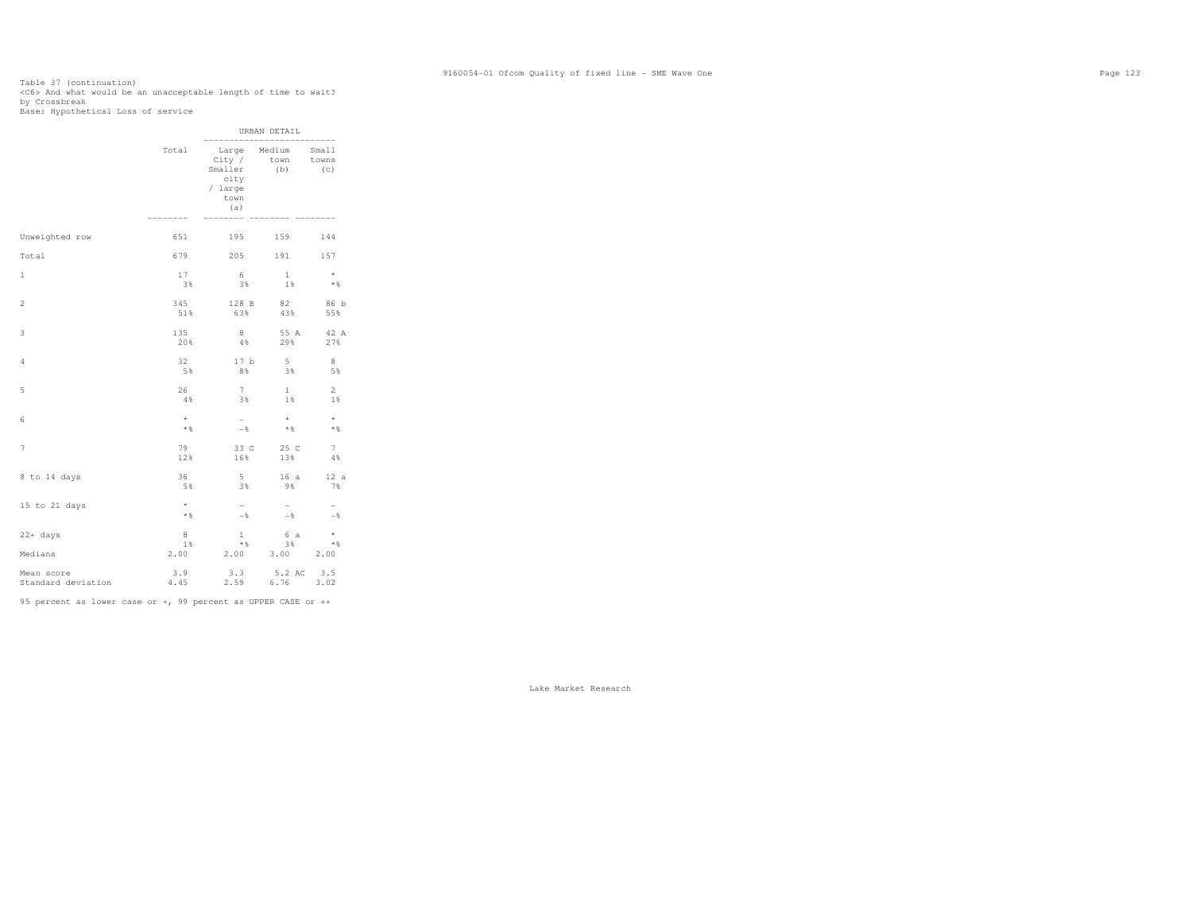# Table 37 (continuation)<br><C6> And what would be an unacceptable length of time to wait?<br>by Crossbreak<br>Base: Hypothetical Loss of service

|                                  |                     |                                                     | URBAN DETAIL                            |                |
|----------------------------------|---------------------|-----------------------------------------------------|-----------------------------------------|----------------|
|                                  | Total<br>--------   | City /<br>Smaller<br>city<br>/ large<br>town<br>(a) | Large Medium Small<br>town towns<br>(b) | (C)            |
| Unweighted row                   | 651                 |                                                     | 195 159                                 | 144            |
| Total                            | 679                 |                                                     | 205 191 157                             |                |
| $\mathbf{1}$                     | 17                  | 6                                                   | $\mathbf{1}$                            | $\star$        |
|                                  | 3%                  | 3%                                                  | 1%                                      | $*$            |
| $\overline{2}$                   | 345                 | 128 B                                               | 82                                      | 86 b           |
|                                  | 51%                 | 63%                                                 | 43%                                     | 55%            |
| 3                                | 135                 | 8                                                   | 55 A                                    | 42 A           |
|                                  | 20%                 | $4\%$                                               | 29%                                     | 27%            |
| 4                                | 32                  | 17 <sub>b</sub>                                     | 5 <sup>5</sup>                          | 8              |
|                                  | 5%                  | 8%                                                  | 38                                      | 5%             |
| 5                                | 26                  | 7                                                   | $\mathbf{1}$                            | $\overline{2}$ |
|                                  | 4%                  | 3%                                                  | $1\%$                                   | 1%             |
| 6                                | $^{\star}$          | $-$                                                 | $\star$                                 | $\star$        |
|                                  | $*$ %               | $ \frac{8}{3}$                                      | $*$ &                                   | $*$            |
| 7                                | 79                  | 33 C                                                | 25 C                                    | 7              |
|                                  | 12%                 | 16%                                                 | 13%                                     | 4%             |
| 8 to 14 days                     | 36                  | $5 -$                                               | 16a                                     | 12 a           |
|                                  | 5%                  | 3%                                                  | 9%                                      | 7%             |
| 15 to 21 days                    | $^{\star}$<br>$*$ & | $-$<br>$-$ %                                        | $-$<br>$-$ %                            | $-$            |
| $22+ days$<br>Medians            | 8<br>1%<br>2.00     | $\mathbf{1}$<br>$*$                                 | 6 a<br>3%<br>2.00 3.00 2.00             | $\star$<br>$*$ |
| Mean score<br>Standard deviation | 3.9<br>4.45         | 3.3<br>2.59                                         | $5.2$ AC $3.5$<br>6.76 $3.02$           |                |

95 percent as lower case or +, 99 percent as UPPER CASE or ++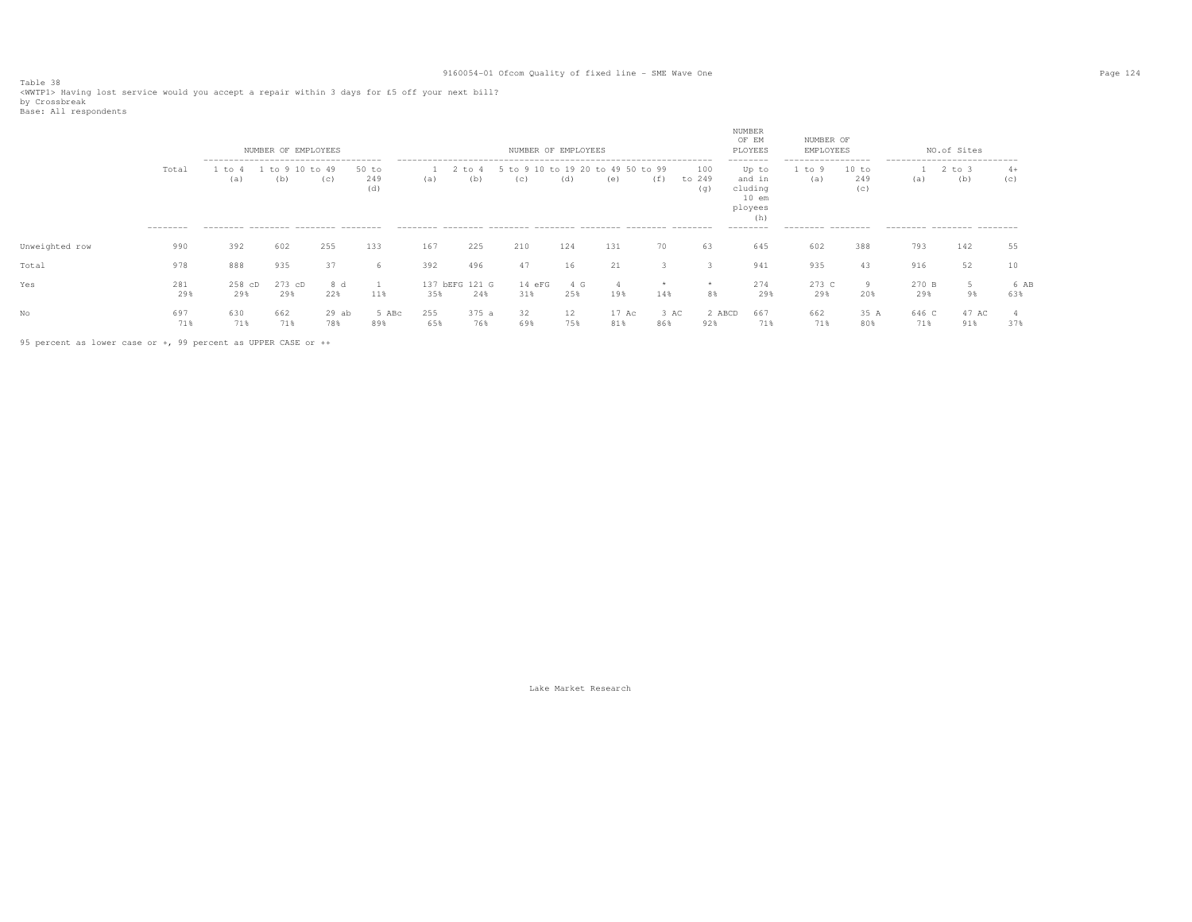Table 38 <WWTP1> Having lost service would you accept a repair within 3 days for £5 off your next bill? by Crossbreak

| Base: All respondents |  |  |
|-----------------------|--|--|
|-----------------------|--|--|

|                |                    |                                                                                            | NUMBER OF EMPLOYEES |                |                     |            |                       | NUMBER OF EMPLOYEES                      |                          |              |             |                      | NUMBER<br>OF EM<br>PLOYEES                                                       | NUMBER OF<br>EMPLOYEES                                   |                     |              | NO.of Sites                                                                     |             |
|----------------|--------------------|--------------------------------------------------------------------------------------------|---------------------|----------------|---------------------|------------|-----------------------|------------------------------------------|--------------------------|--------------|-------------|----------------------|----------------------------------------------------------------------------------|----------------------------------------------------------|---------------------|--------------|---------------------------------------------------------------------------------|-------------|
|                | Total<br>--------- | --------------------------------------<br>to<br>(a)<br>--------- -------- -------- ------- | $+\circ$<br>(b)     | $+0.49$<br>(C) | 50 to<br>249<br>(d) | (a)        | $'t$ to $u$<br>(b)    | 5 to 9 10 to 19 20 to 49 50 to 99<br>(C) | (d)                      | (e)          | (f)         | 100<br>to 249<br>(q) | --------<br>Up to<br>and in<br>cluding<br>$10$ em<br>ployees<br>(h)<br>--------- | -------------------<br>to 9<br>(a)<br>--------- -------- | 10 to<br>249<br>(C) | (a)          | ----------------------------<br>$2$ to $3$<br>(b)<br>--------- -------- ------- | $4+$<br>(c) |
| Unweighted row | 990                | 392                                                                                        | 602                 | 255            | 133                 | 167        | 225                   | 210                                      | 124                      | 131          | 70          | 63                   | 645                                                                              | 602                                                      | 388                 | 793          | 142                                                                             | 55          |
| Total          | 978                | 888                                                                                        | 935                 | 37             | 'n                  | 392        | 496                   | 47                                       | 16                       | 21           |             |                      | 941                                                                              | 935                                                      | 43                  | 916          | 52                                                                              | 10          |
| Yes            | 281<br>29%         | $258$ $CD$<br>29%                                                                          | 273 cD<br>29%       | 8 d<br>22%     | 11%                 | 35%        | 137 bEFG 121 G<br>24% | 14 eFG<br>31%                            | 4 G<br>25%               | 19%          | 14%         | *<br>8%              | 274<br>29%                                                                       | 273 C<br>29%                                             | 9<br>20%            | 270 B<br>29% | 98                                                                              | 6 AB<br>63% |
| No             | 697<br>71%         | 630<br>71%                                                                                 | 662<br>71%          | $29$ ab<br>78% | 5 ABc<br>89%        | 255<br>65% | 375 a<br>76%          | 32<br>69%                                | $12 \overline{ }$<br>75% | 17 Ac<br>81% | 3 AC<br>86% | 2 ABCD<br>92%        | 667<br>71%                                                                       | 662<br>71%                                               | 35 A<br>80%         | 646 C<br>71% | 47 AC<br>91%                                                                    | 37%         |

95 percent as lower case or +, 99 percent as UPPER CASE or ++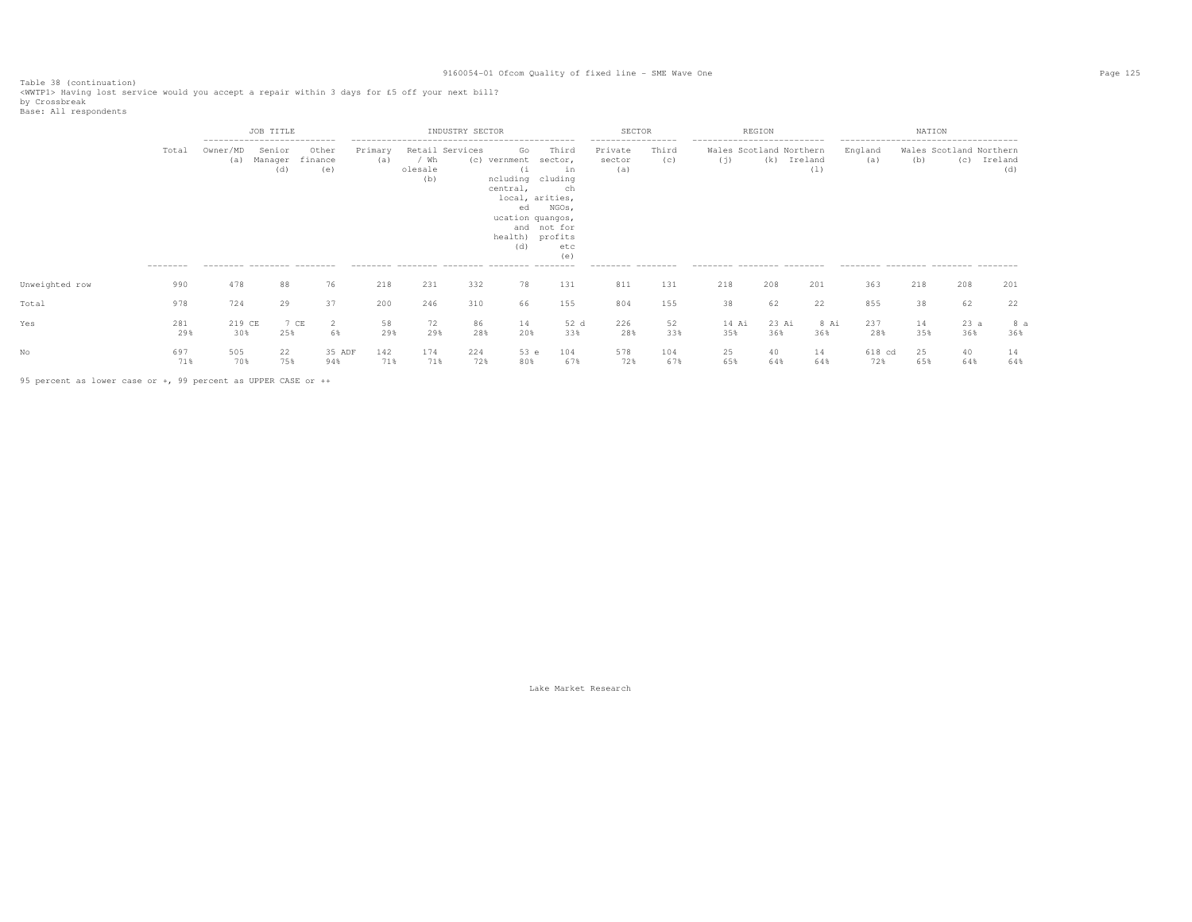Table 38 (continuation) <WWTP1> Having lost service would you accept a repair within 3 days for £5 off your next bill?

by Crossbreak<br>Base: All respondents

|                |                    |                                                                                | JOB TITLE                |                         |                |                        | INDUSTRY SECTOR        |                                                                                                           |                                                                                       | <b>SECTOR</b>                                                        |              |                                                                                               | REGION       |                |                                                                                                | NATION    |                                |                |
|----------------|--------------------|--------------------------------------------------------------------------------|--------------------------|-------------------------|----------------|------------------------|------------------------|-----------------------------------------------------------------------------------------------------------|---------------------------------------------------------------------------------------|----------------------------------------------------------------------|--------------|-----------------------------------------------------------------------------------------------|--------------|----------------|------------------------------------------------------------------------------------------------|-----------|--------------------------------|----------------|
|                | Total<br>--------- | ----------------------------<br>Owner/MD<br>(a)<br>--------- -------- -------- | Senior<br>Manager<br>(d) | Other<br>finance<br>(e) | Primary<br>(a) | / Wh<br>olesale<br>(b) | Retail Services<br>(C) | Go<br>vernment<br>(i)<br>ncluding cluding<br>central,<br>ed<br>ucation quangos,<br>health) profits<br>(d) | Third<br>sector,<br>in<br>ch<br>local, arities,<br>NGOs,<br>and not for<br>etc<br>(e) | ------------------<br>Private<br>sector<br>(a)<br>--------- -------- | Third<br>(C) | ----------------------------<br>Wales Scotland Northern<br>(i)<br>--------- -------- -------- | (k)          | Ireland<br>(1) | -------------------------------------<br>England<br>(a)<br>--------- -------- ------- -------- | (b)       | Wales Scotland Northern<br>(C) | Ireland<br>(d) |
| Unweighted row | 990                | 478                                                                            | 88                       | 76                      | 218            | 231                    | 332                    | 78                                                                                                        | 131                                                                                   | 811                                                                  | 131          | 218                                                                                           | 208          | 201            | 363                                                                                            | 218       | 208                            | 201            |
| Total          | 978                | 724                                                                            | 29                       | 37                      | 200            | 246                    | 310                    | 66                                                                                                        | 155                                                                                   | 804                                                                  | 155          | 38                                                                                            | 62           | 22             | 855                                                                                            | 38        | 62                             | 22             |
| Yes            | 281<br>29%         | 219 CE<br>30%                                                                  | 25%                      | 7 CE<br>2<br>6%         | 58<br>29%      | 72<br>29%              | 86<br>28%              | 14<br>20%                                                                                                 | 52 d<br>33%                                                                           | 226<br>28%                                                           | 52<br>33%    | 14 Ai<br>35%                                                                                  | 23 Ai<br>36% | 8 Ai<br>36%    | 237<br>28%                                                                                     | 14<br>35% | 23a<br>36%                     | 8 a<br>36%     |
|                | 697<br>71%         | 505<br>70%                                                                     | 22<br>75%                | 35 ADF<br>94%           | 142<br>71%     | 174<br>71%             | 224<br>72%             | 53 e<br>80%                                                                                               | 104<br>67%                                                                            | 578<br>72%                                                           | 104<br>67%   | 25<br>65%                                                                                     | 40<br>64%    | 14<br>64%      | 618 cd<br>72%                                                                                  | 25<br>65% | 40<br>64%                      | 14<br>64%      |

95 percent as lower case or +, 99 percent as UPPER CASE or ++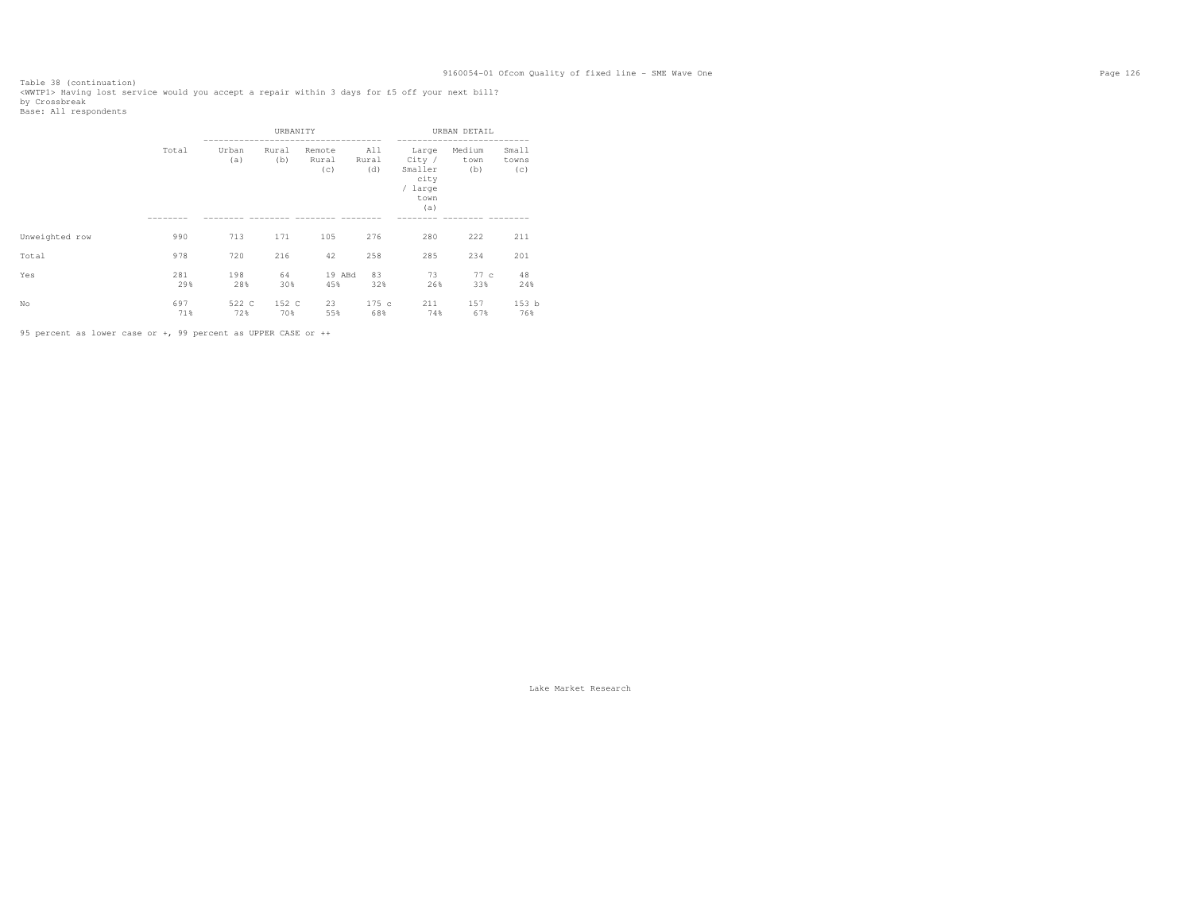Table 38 (continuation)<br><WWTPl> Having lost service would you accept a repair within 3 days for £5 off your next bill?<br>by Crossbreak<br>Base: All respondents

|                |            |              | URBANITY     |                        |                     |                                                              | URBAN DETAIL          |                       |
|----------------|------------|--------------|--------------|------------------------|---------------------|--------------------------------------------------------------|-----------------------|-----------------------|
|                | Total      | Urban<br>(a) | Rural<br>(b) | Remote<br>Rural<br>(c) | All<br>Rural<br>(d) | Large<br>City /<br>Smaller<br>city<br>/ large<br>town<br>(a) | Medium<br>town<br>(b) | Small<br>towns<br>(c) |
|                |            |              |              |                        |                     |                                                              |                       |                       |
| Unweighted row | 990        | 713          | 171          | 105                    | 276                 | 280                                                          | 222                   | 211                   |
| Total          | 978        | 720          | 216          | 42                     | 258                 | 285                                                          | 234                   | 201                   |
| Yes            | 281<br>29% | 198<br>28%   | 64<br>30%    | 19 ABd<br>45%          | 83<br>32%           | 73<br>26%                                                    | 77 c<br>33%           | 48<br>24%             |
| No             | 697<br>71% | 522 C<br>72% | 152 C<br>70% | 23<br>55%              | 175c<br>68%         | 211<br>74%                                                   | 157<br>67%            | 153 b<br>76%          |

95 percent as lower case or +, 99 percent as UPPER CASE or ++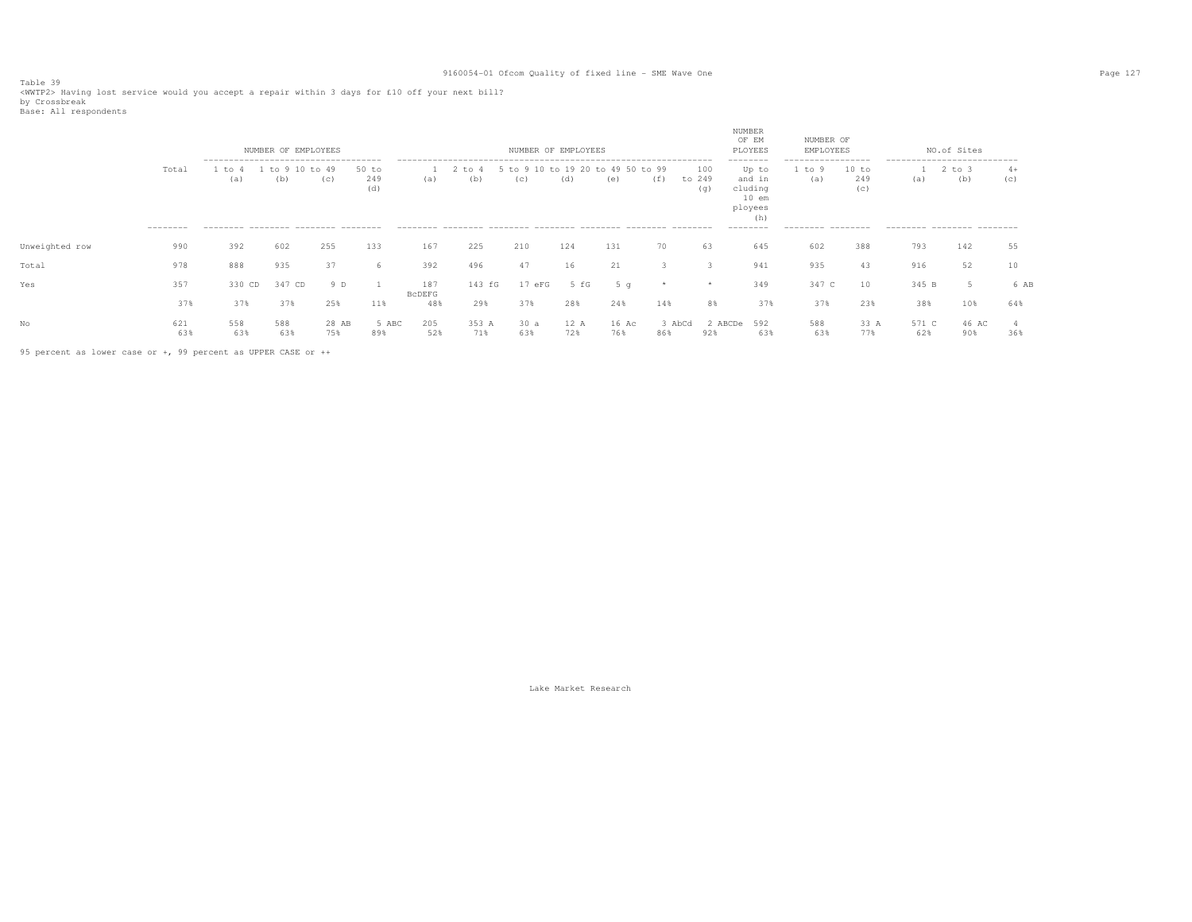Table 39<br><WWTP2> Having lost service would you accept a repair within 3 days for £10 off your next bill?<br>by Crossbreak<br>Base: All respondents

|                |                    |               | NUMBER OF EMPLOYEES                                                                         |              |                       |               |                   |                              | NUMBER OF EMPLOYEES |                    |               |                      | NUMBER<br>OF EM<br>PLOYEES                                                       | NUMBER OF<br>EMPLOYEES                                     |                     |              | NO.of Sites                                                                     |             |
|----------------|--------------------|---------------|---------------------------------------------------------------------------------------------|--------------|-----------------------|---------------|-------------------|------------------------------|---------------------|--------------------|---------------|----------------------|----------------------------------------------------------------------------------|------------------------------------------------------------|---------------------|--------------|---------------------------------------------------------------------------------|-------------|
|                | Total<br>--------- | 1 to 4<br>(a) | -------------------------------------<br>to 9<br>(b)<br>--------- -------- -------- ------- | to 49<br>(C) | $50$ to<br>249<br>(d) | (a)           | $2$ to $4$<br>(b) | 5 to 9 10 to 19 20 to<br>(C) | (d)                 | 49 50 to 99<br>(e) | (f)           | 100<br>to 249<br>(q) | --------<br>Up to<br>and in<br>cluding<br>$10$ em<br>ployees<br>(h)<br>--------- | -------------------<br>1 to 9<br>(a)<br>--------- -------- | 10 to<br>249<br>(C) | (a)          | ----------------------------<br>$2$ to $3$<br>(b)<br>--------- -------- ------- | $4+$<br>(c) |
| Unweighted row | 990                | 392           | 602                                                                                         | 255          | 133                   | 167           | 225               | 210                          | 124                 | 131                | 70            | 63                   | 645                                                                              | 602                                                        | 388                 | 793          | 142                                                                             | 55          |
| Total          | 978                | 888           | 935                                                                                         | 37           | 6                     | 392           | 496               | 47                           | 16                  | 21                 |               |                      | 941                                                                              | 935                                                        | 43                  | 916          | 52                                                                              | 10          |
| Yes            | 357                | 330 CD        | 347 CD                                                                                      | 9 D          |                       | 187<br>BCDEFG | 143 fG            | 17eFG                        | 5 fG                | 5q                 |               | *                    | 349                                                                              | 347 C                                                      | 10                  | 345 B        |                                                                                 | 6 AB        |
|                | 37%                | 37%           | 37%                                                                                         | 25%          | 11%                   | 48%           | 29%               | 37%                          | 28%                 | 24%                | 14%           | 8%                   | 37%                                                                              | 37%                                                        | 23%                 | 38%          | 10%                                                                             | 64%         |
| No             | 621<br>63%         | 558<br>63%    | 588<br>63%                                                                                  | 28 AB<br>75% | 5 ABC<br>89%          | 205<br>52%    | 353 A<br>71%      | 30a<br>63%                   | 12 A<br>72%         | 16 Ac<br>76%       | 3 AbCd<br>86% | 2 ABCDe<br>92%       | 592<br>63%                                                                       | 588<br>63%                                                 | 33 A<br>77%         | 571 C<br>62% | 46 AC<br>90%                                                                    | 368         |

95 percent as lower case or +, 99 percent as UPPER CASE or ++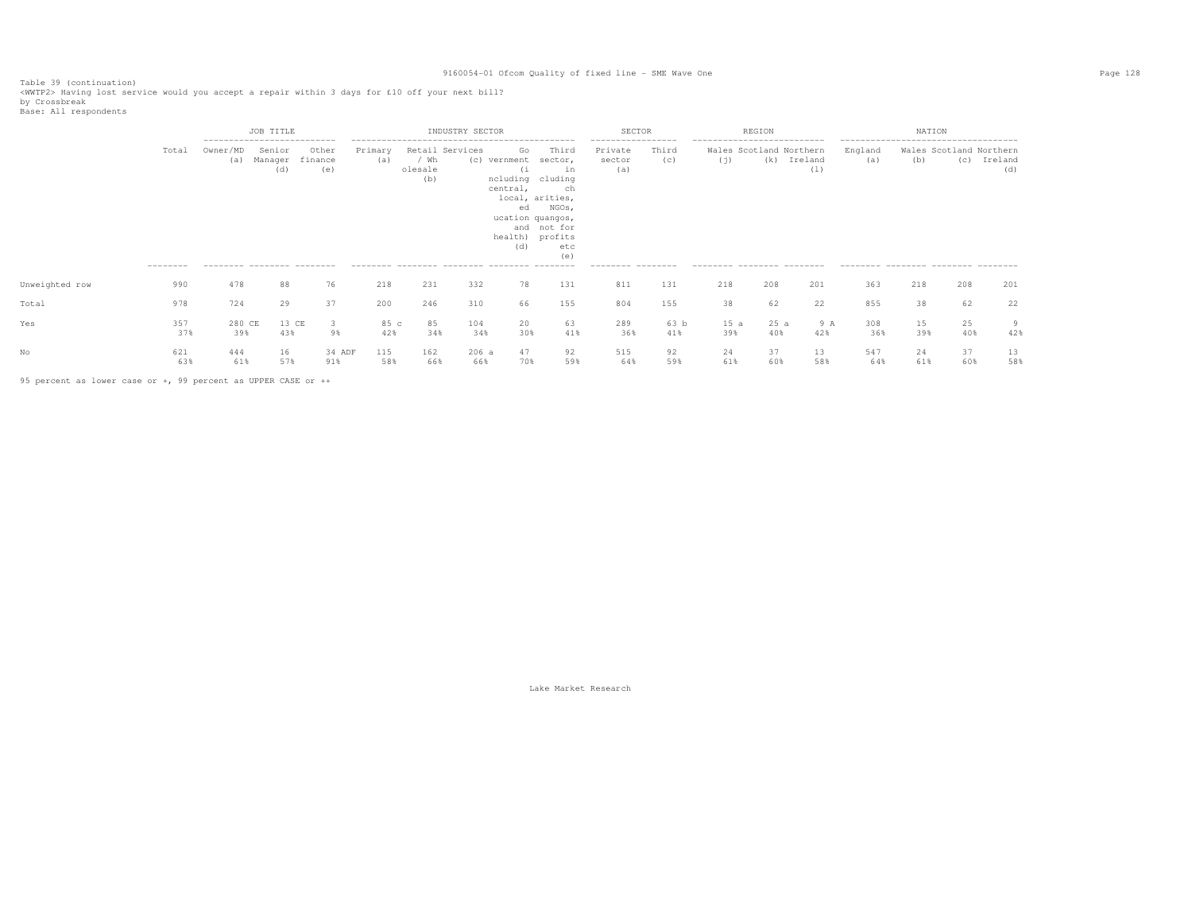Table 39 (continuation)<br><WWTP2> Having lost service would you accept a repair within 3 days for £10 off your next bill?<br>by Crossbreak<br>Base: All respondents

|                |                   |                                                                              | JOB TITLE                |                         |                |                        | INDUSTRY SECTOR |                                                                        |                                                                                                                              | SECTOR                                                              |              |                                                                                              | REGION     |                |                                                       | NATION    |                                |                |
|----------------|-------------------|------------------------------------------------------------------------------|--------------------------|-------------------------|----------------|------------------------|-----------------|------------------------------------------------------------------------|------------------------------------------------------------------------------------------------------------------------------|---------------------------------------------------------------------|--------------|----------------------------------------------------------------------------------------------|------------|----------------|-------------------------------------------------------|-----------|--------------------------------|----------------|
|                | Total<br>-------- | ---------------------------<br>Owner/MD<br>(a)<br>--------- -------- ------- | Senior<br>Manager<br>(d) | Other<br>finance<br>(e) | Primary<br>(a) | / Wh<br>olesale<br>(b) | Retail Services | Go<br>(c) vernment<br>(i)<br>ncluding cluding<br>central,<br>ed<br>(d) | Third<br>sector,<br>in<br>ch<br>local, arities,<br>NGOs,<br>ucation quangos,<br>and not for<br>health) profits<br>etc<br>(e) | -----------------<br>Private<br>sector<br>(a)<br>--------- -------- | Third<br>(c) | ---------------------------<br>Wales Scotland Northern<br>(j)<br>--------- -------- -------- | (k)        | Ireland<br>(1) | England<br>(a)<br>--------- -------- -------- ------- | (b)       | Wales Scotland Northern<br>(C) | Ireland<br>(d) |
| Unweighted row | 990               | 478                                                                          | 88                       | 76                      | 218            | 231                    | 332             | 78                                                                     | 131                                                                                                                          | 811                                                                 | 131          | 218                                                                                          | 208        | 201            | 363                                                   | 218       | 208                            | 201            |
| Total          | 978               | 724                                                                          | 29                       | 37                      | 200            | 246                    | 310             | 66                                                                     | 155                                                                                                                          | 804                                                                 | 155          | 38                                                                                           | 62         | 22             | 855                                                   | 38        | 62                             | 22             |
| Yes            | 357<br>37%        | 280 CE<br>39%                                                                | 13 CE<br>43%             | 3<br>9%                 | 85 c<br>42%    | 85<br>34%              | 104<br>34%      | 20<br>30%                                                              | 63<br>41%                                                                                                                    | 289<br>36%                                                          | 63 b<br>41%  | 15a<br>39%                                                                                   | 25a<br>40% | 9 A<br>42%     | 308<br>36%                                            | 15<br>39% | 25<br>40%                      | 9<br>42%       |
|                | 621<br>63%        | 444<br>61%                                                                   | 16<br>57%                | 34 ADF<br>91%           | 115<br>58%     | 162<br>66%             | 206a<br>66%     | 47<br>70%                                                              | 92<br>59%                                                                                                                    | 515<br>64%                                                          | 92<br>59%    | 24<br>61%                                                                                    | 37<br>60%  | 13<br>58%      | 547<br>64%                                            | 24<br>61% | 37<br>60%                      | 13<br>58%      |

95 percent as lower case or +, 99 percent as UPPER CASE or ++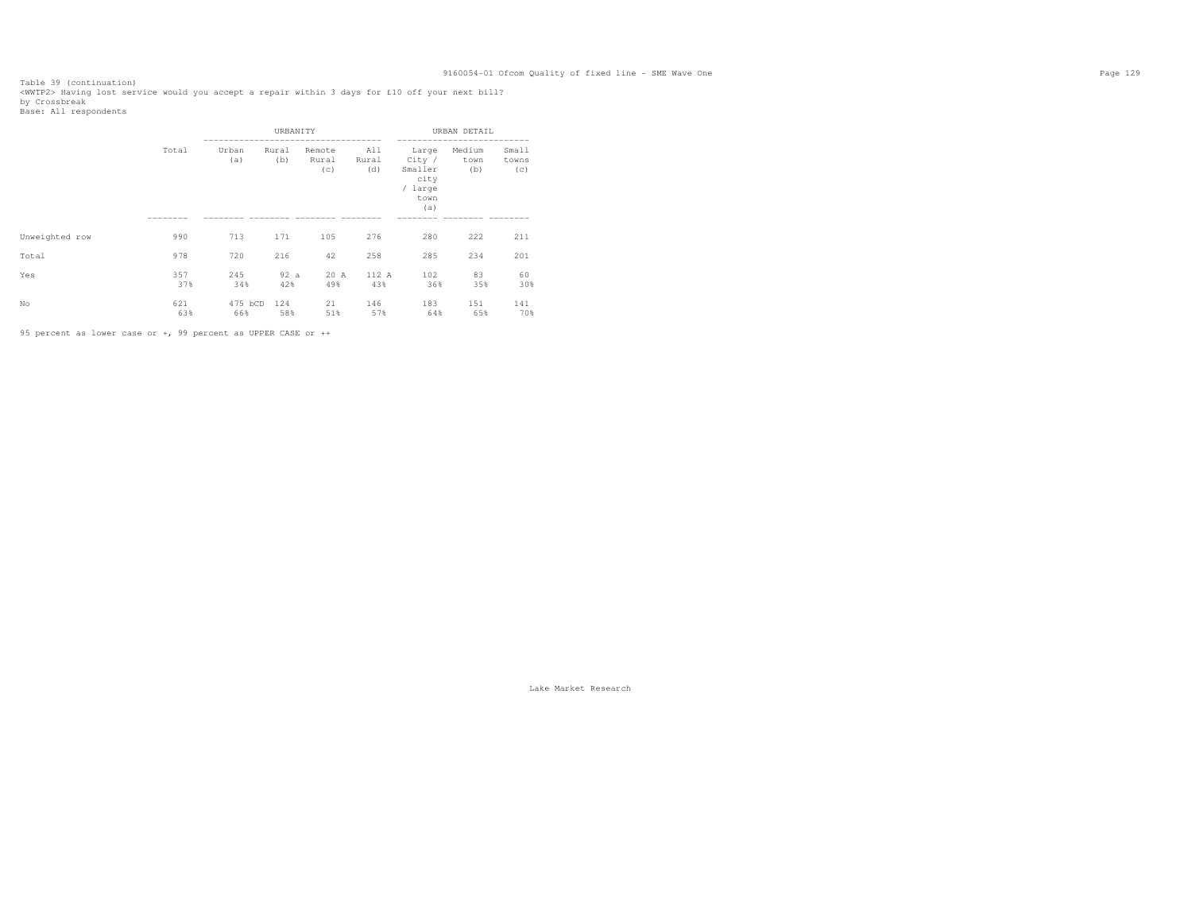Table 39 (continuation)<br><WWTP2> Having lost service would you accept a repair within 3 days for £10 off your next bill?<br>by Crossbreak<br>Base: All respondents

|                |            |                | URBANITY     |                        |                     |                                                              | URBAN DETAIL          |                       |
|----------------|------------|----------------|--------------|------------------------|---------------------|--------------------------------------------------------------|-----------------------|-----------------------|
|                | Total      | Urban<br>(a)   | Rural<br>(b) | Remote<br>Rural<br>(c) | All<br>Rural<br>(d) | Large<br>City /<br>Smaller<br>city<br>/ large<br>town<br>(a) | Medium<br>town<br>(b) | Small<br>towns<br>(c) |
|                |            |                |              |                        |                     |                                                              |                       |                       |
| Unweighted row | 990        | 713            | 171          | 105                    | 276                 | 280                                                          | 222                   | 211                   |
| Total          | 978        | 720            | 216          | 42                     | 258                 | 285                                                          | 234                   | 201                   |
| Yes            | 357<br>37% | 245<br>34%     | 92a<br>42%   | 20 A<br>49%            | 112 A<br>43%        | 102<br>36%                                                   | 83<br>35%             | 60<br>30%             |
| No             | 621<br>63% | 475 bCD<br>66% | 124<br>58%   | 21<br>51%              | 146<br>57%          | 183<br>64%                                                   | 151<br>65%            | 141<br>70%            |

95 percent as lower case or +, 99 percent as UPPER CASE or ++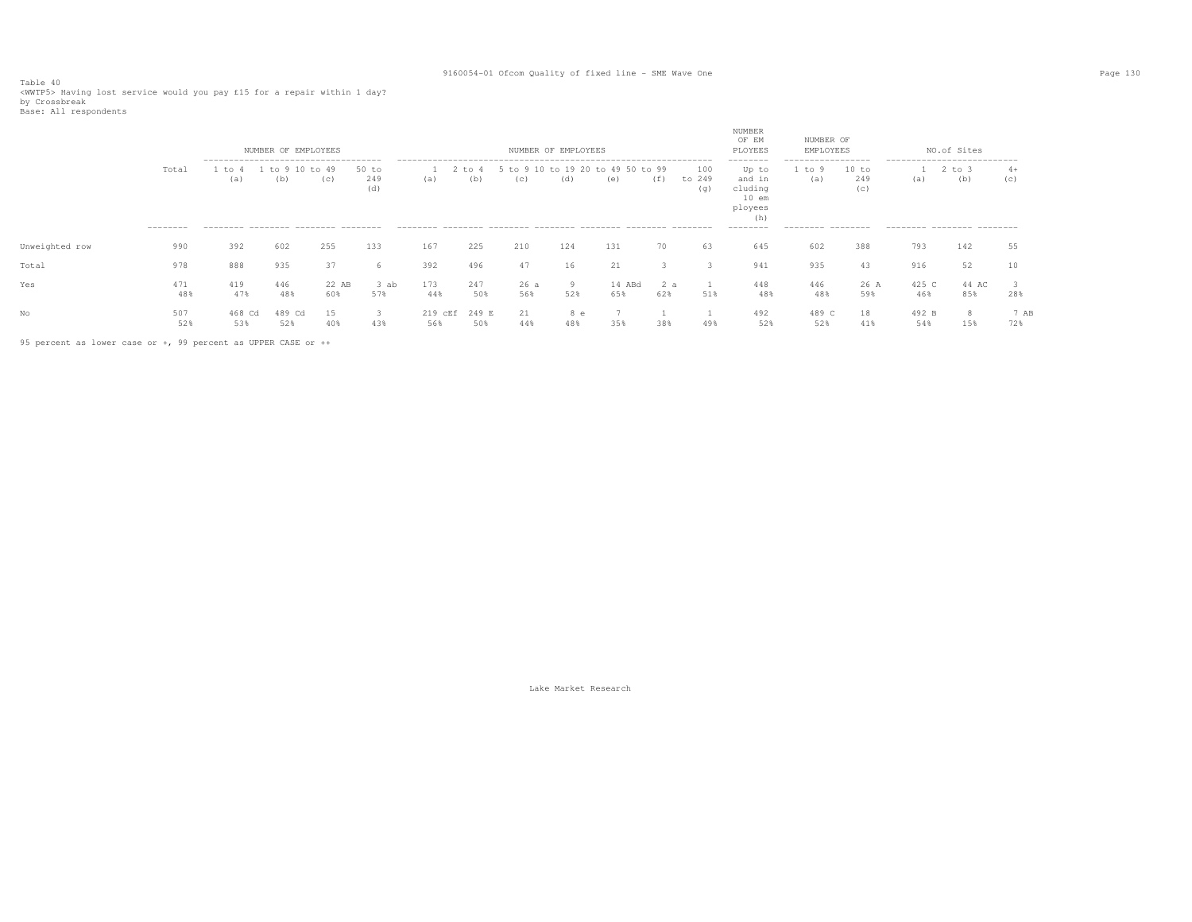Table 40<br><WWTP5> Having lost service would you pay £15 for a repair within 1 day?<br>by Crossbreak<br>Base: All respondents

|                |                    |                                                                                            | NUMBER OF EMPLOYEES |                |                     |                |                 |                 | NUMBER OF EMPLOYEES |                           |            |                      | NUMBER<br>OF EM<br>PLOYEES                                                       | NUMBER OF<br>EMPLOYEES                                 |                     |                                                                  | NO.of Sites   |             |
|----------------|--------------------|--------------------------------------------------------------------------------------------|---------------------|----------------|---------------------|----------------|-----------------|-----------------|---------------------|---------------------------|------------|----------------------|----------------------------------------------------------------------------------|--------------------------------------------------------|---------------------|------------------------------------------------------------------|---------------|-------------|
|                | Total<br>--------- | --------------------------------------<br>to<br>(a)<br>--------- -------- ------- -------- | $+\circ$<br>(b)     | $+0.49$<br>(c) | 50 to<br>249<br>(d) | (a)            | $+\circ$<br>(b) | $+\circ$<br>(C) | to 19 20<br>(d)     | 49 50 to 99<br>÷Λ.<br>(e) | (f)        | 100<br>to 249<br>(q) | --------<br>Up to<br>and in<br>cluding<br>$10$ em<br>ployees<br>(h)<br>--------- | -----------------<br>to 9<br>(a)<br>--------- -------- | 10 to<br>249<br>(C) | ---------------------------<br>(a)<br>--------- -------- ------- | 2 to 3<br>(b) | $4+$<br>(C) |
|                |                    |                                                                                            |                     |                |                     |                |                 |                 |                     |                           |            |                      |                                                                                  |                                                        |                     |                                                                  |               |             |
| Unweighted row | 990                | 392                                                                                        | 602                 | 255            | 133                 | 167            | 225             | 210             | 124                 | 131                       | 70         | 63                   | 645                                                                              | 602                                                    | 388                 | 793                                                              | 142           | 55          |
| Total          | 978                | 888                                                                                        | 935                 | 37             | 6                   | 392            | 496             | 47              | 16                  | 21                        |            |                      | 941                                                                              | 935                                                    | 43                  | 916                                                              | 52            |             |
| Yes            | 471<br>48%         | 419<br>47%                                                                                 | 446<br>48%          | 22 AB<br>60%   | 3 ab<br>57%         | 173<br>44%     | 247<br>50%      | 26a<br>56%      | 9<br>52%            | 14 ABd<br>65%             | 2 a<br>62% | 51%                  | 448<br>48%                                                                       | 446<br>48%                                             | 26 A<br>59%         | 425 C<br>46%                                                     | 44 AC<br>85%  | 28%         |
| No             | 507<br>52%         | 468 Cd<br>53%                                                                              | 489 Cd<br>52%       | 15<br>40%      | 3<br>43%            | 219 cEf<br>56% | 249 E<br>50%    | 21<br>44%       | 8 e<br>48%          | 35%                       | 38%        | 49%                  | 492<br>52%                                                                       | 489 C<br>52%                                           | 18<br>41%           | 492 B<br>54%                                                     | 8<br>15%      | 7 AB<br>72% |

95 percent as lower case or +, 99 percent as UPPER CASE or ++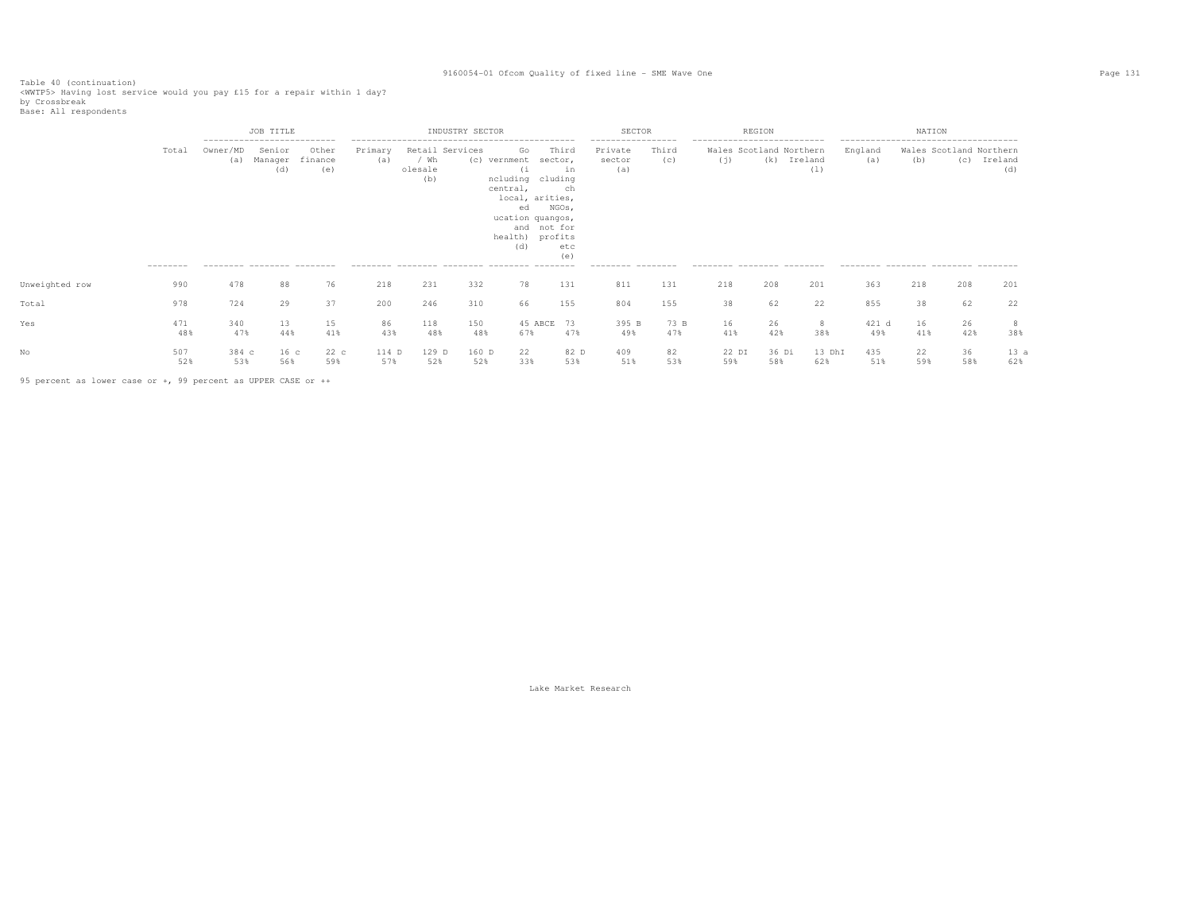Table 40 (continuation)<br><WWTP5> Having lost service would you pay £15 for a repair within 1 day?<br>by Crossbreak<br>Base: All respondents

|                |                    |                                               | JOB TITLE                                               |                         |                |                                           | INDUSTRY SECTOR |                                                                                                                                             |                                                     | <b>SECTOR</b>                                                       |              |                                                                                             | REGION       |                |                                                                                                | NATION    |           |                                           |
|----------------|--------------------|-----------------------------------------------|---------------------------------------------------------|-------------------------|----------------|-------------------------------------------|-----------------|---------------------------------------------------------------------------------------------------------------------------------------------|-----------------------------------------------------|---------------------------------------------------------------------|--------------|---------------------------------------------------------------------------------------------|--------------|----------------|------------------------------------------------------------------------------------------------|-----------|-----------|-------------------------------------------|
|                | Total<br>--------- | Owner/MD<br>(a)<br>--------- -------- ------- | ---------------------------<br>Senior<br>Manager<br>(d) | Other<br>finance<br>(e) | Primary<br>(a) | Retail Services<br>/ Wh<br>olesale<br>(b) | (C)             | Go<br>vernment<br>(1)<br>ncluding cluding<br>central,<br>local, arities,<br>ed<br>ucation quangos,<br>and not for<br>health) profits<br>(d) | Third<br>sector,<br>in<br>ch<br>NGOs,<br>etc<br>(e) | -----------------<br>Private<br>sector<br>(a)<br>--------- -------- | Third<br>(C) | ---------------------------<br>Wales Scotland Northern<br>(i)<br>--------- -------- ------- | (k)          | Ireland<br>(1) | --------------------------------------<br>England<br>(a)<br>--------- -------- -------- ------ | (b)       | (C)       | Wales Scotland Northern<br>Ireland<br>(d) |
| Unweighted row | 990                | 478                                           | 88                                                      | 76                      | 218            | 231                                       | 332             | 78                                                                                                                                          | 131                                                 | 811                                                                 | 131          | 218                                                                                         | 208          | 201            | 363                                                                                            | 218       | 208       | 201                                       |
| Total          | 978                | 724                                           | 29                                                      | 37                      | 200            | 246                                       | 310             | 66                                                                                                                                          | 155                                                 | 804                                                                 | 155          | 38                                                                                          | 62           | 22             | 855                                                                                            | 38        | 62        | 22                                        |
| Yes            | 471<br>48%         | 340<br>47%                                    | 13<br>44%                                               | 15<br>41%               | 86<br>43%      | 118<br>48%                                | 150<br>48%      | 45 ABCE 73<br>67%                                                                                                                           | 47%                                                 | 395 B<br>49%                                                        | 73 B<br>47%  | 16<br>41%                                                                                   | 26<br>42%    | 8<br>38%       | 421 d<br>49%                                                                                   | 16<br>41% | 26<br>42% | 8<br>38%                                  |
|                | 507<br>52%         | 384 c<br>53%                                  | 16 <sub>c</sub><br>56%                                  | 22c<br>59%              | 114 D<br>57%   | 129 D<br>52%                              | 160 D<br>52%    | 22<br>33%                                                                                                                                   | 82 D<br>53%                                         | 409<br>51%                                                          | 82<br>53%    | 22 DI<br>59%                                                                                | 36 Di<br>58% | 13 DhI<br>62%  | 435<br>51%                                                                                     | 22<br>59% | 36<br>58% | 13a<br>62%                                |

95 percent as lower case or +, 99 percent as UPPER CASE or ++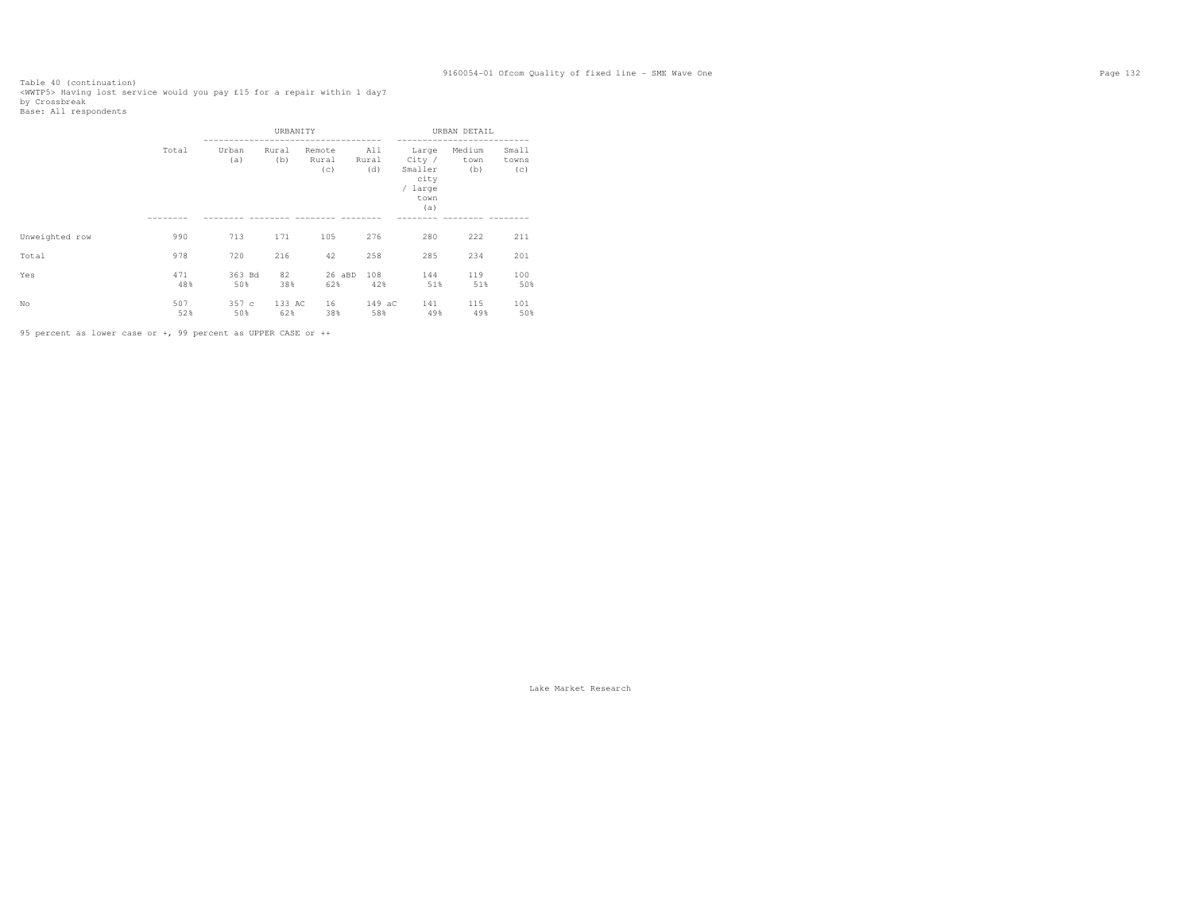Table 40 (continuation)<br><WWTP5> Having lost service would you pay £15 for a repair within 1 day?<br>by Crossbreak<br>Base: All respondents

|                |            |               | URBANITY      |                        |                     |                                                              | URBAN DETAIL          |                       |
|----------------|------------|---------------|---------------|------------------------|---------------------|--------------------------------------------------------------|-----------------------|-----------------------|
|                | Total      | Urban<br>(a)  | Rural<br>(b)  | Remote<br>Rural<br>(c) | All<br>Rural<br>(d) | Large<br>City /<br>Smaller<br>city<br>/ large<br>town<br>(a) | Medium<br>town<br>(b) | Small<br>towns<br>(c) |
| Unweighted row | 990        | 713           | 171           | 105                    | 276                 | 280                                                          | 222                   | 211                   |
| Total          | 978        | 720           | 216           | 42                     | 258                 | 285                                                          | 234                   | 201                   |
| Yes            | 471<br>48% | 363 Bd<br>50% | 82<br>38%     | 26 aBD<br>62%          | 108<br>42%          | 144<br>51%                                                   | 119<br>51%            | 100<br>50%            |
| No             | 507<br>52% | 357c<br>50%   | 133 AC<br>62% | 16<br>38%              | 149 aC<br>58%       | 141<br>49%                                                   | 115<br>49%            | 101<br>50%            |

95 percent as lower case or +, 99 percent as UPPER CASE or ++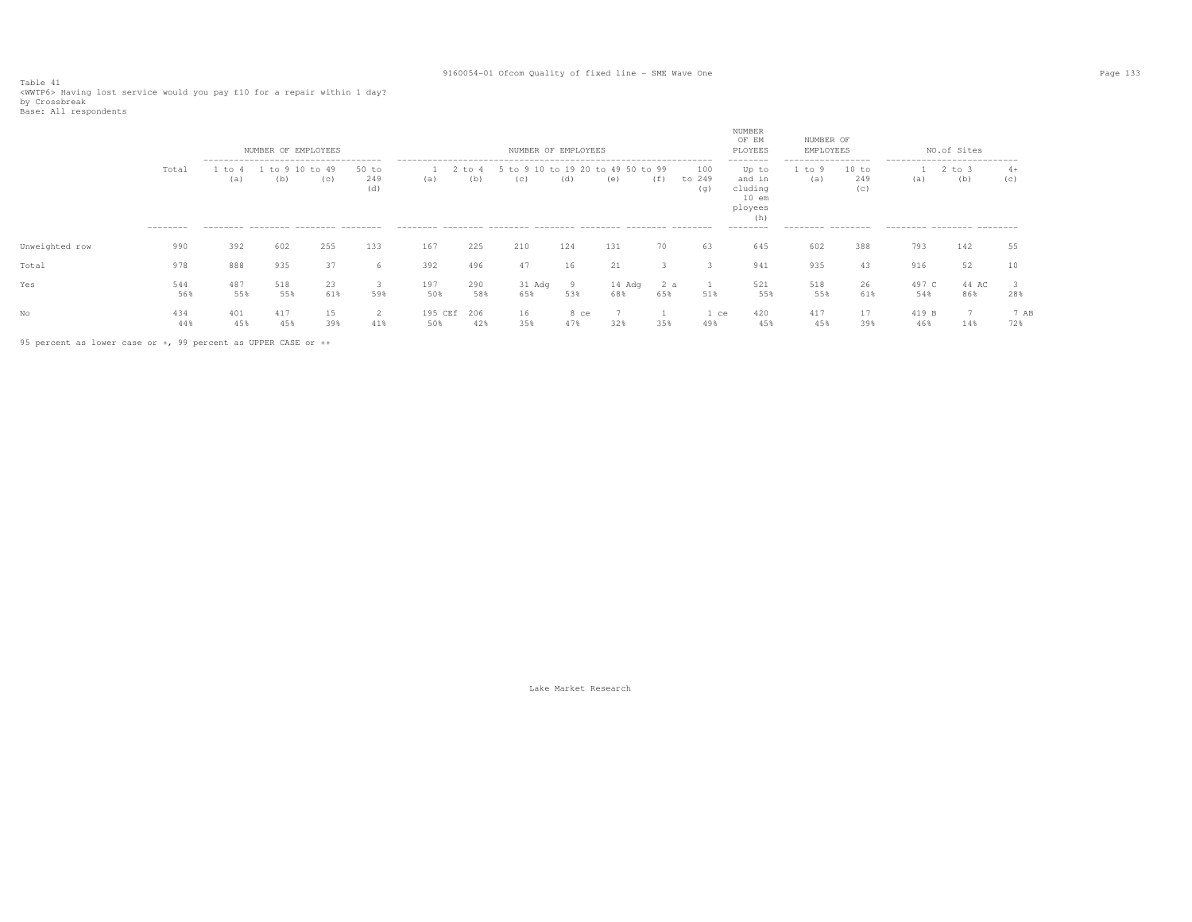Table 41<br><WWTP6> Having lost service would you pay £10 for a repair within 1 day?<br>by Crossbreak<br>Base: All respondents

|                |            |                 | NUMBER OF EMPLOYEES<br>-------------------------------------- |              |                  |                |                          | NUMBER OF EMPLOYEES |                   |               |              |                      | NUMBER<br>OF EM<br>PLOYEES<br>--------                  | NUMBER OF<br>EMPLOYEES<br>----------------- |                            | --------------------------- | NO.of Sites  |             |
|----------------|------------|-----------------|---------------------------------------------------------------|--------------|------------------|----------------|--------------------------|---------------------|-------------------|---------------|--------------|----------------------|---------------------------------------------------------|---------------------------------------------|----------------------------|-----------------------------|--------------|-------------|
|                | Total      | $+\circ$<br>(a) | tο<br>(b)                                                     | to 49<br>(c) | to<br>249<br>(d) | (a)            | $\Gamma$ $\Omega$<br>(d) | (C)                 | $+0.19.20$<br>(d) | (e)           | to 99<br>(f) | 100<br>to 249<br>(q) | Up to<br>and in<br>cluding<br>$10$ em<br>ployees<br>(h) | to<br>(a)                                   | 10 to<br>249<br>(C)        | (a)                         | to 3<br>(b)  | $4+$<br>(C) |
|                | ---------  |                 | --------- -------- ------- --------                           |              |                  |                |                          |                     |                   |               |              |                      | ---------                                               | --------- --------                          |                            | --------- -------- -------  |              |             |
| Unweighted row | 990        | 392             | 602                                                           | 255          | 133              | 167            | 225                      | 210                 | 124               | 131           | 70           | 63                   | 645                                                     | 602                                         | 388                        | 793                         | 142          | 55          |
| Total          | 978        | 888             | 935                                                           | 37           | 'n               | 392            | 496                      | 47                  | 16                | 21            |              |                      | 941                                                     | 935                                         | 43                         | 916                         | 52           |             |
| Yes            | 544<br>56% | 487<br>55%      | 518<br>55%                                                    | 23<br>61%    | 3<br>59%         | 197<br>50%     | 290<br>58%               | 31 Adq<br>65%       | -9<br>53%         | 14 Adg<br>68% | 2 a<br>65%   | 51%                  | 521<br>55%                                              | 518<br>55%                                  | 26<br>61%                  | 497 C<br>54%                | 44 AC<br>86% | 28%         |
| No             | 434<br>44% | 401<br>45%      | 417<br>45%                                                    | 15<br>39%    | 2<br>41%         | 195 CEf<br>50% | 206<br>42%               | 16.<br>35%          | 8 ce<br>47%       | 32%           | 35%          | 1 ce<br>49%          | 420<br>45%                                              | 417<br>45%                                  | $\sim$<br>$\perp$ /<br>39% | 419 B<br>46%                | 14%          | 7 AB<br>72% |

95 percent as lower case or +, 99 percent as UPPER CASE or ++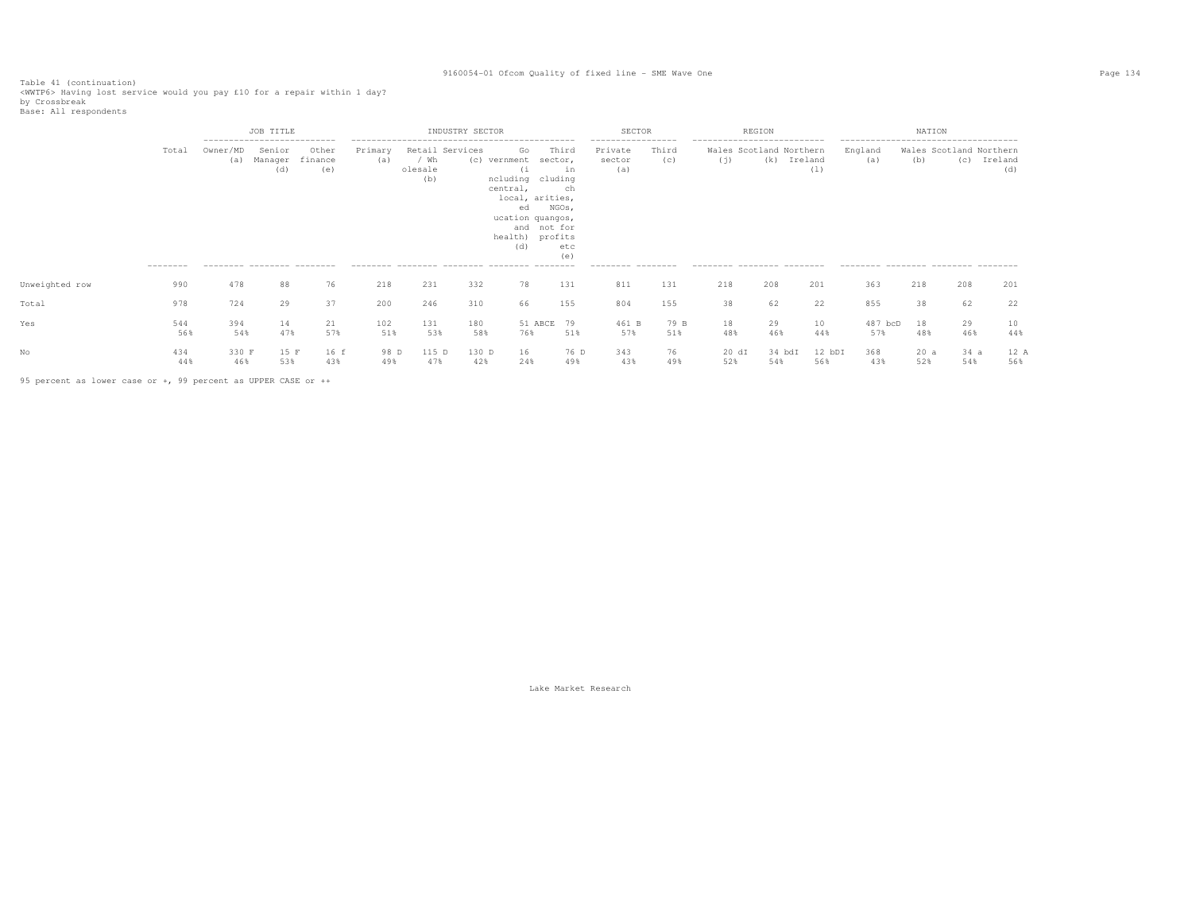Table 41 (continuation)<br><WWTP6> Having lost service would you pay £10 for a repair within 1 day?<br>by Crossbreak<br>Base: All respondents

|                |                    |                 | JOB TITLE                                                                              |                         |                |                                           | INDUSTRY SECTOR |                                                                                                                                      |                                                     | <b>SECTOR</b>                                                       |              |                                                                                              | REGION        |                |                                                                                                 | NATION     |                                |                |
|----------------|--------------------|-----------------|----------------------------------------------------------------------------------------|-------------------------|----------------|-------------------------------------------|-----------------|--------------------------------------------------------------------------------------------------------------------------------------|-----------------------------------------------------|---------------------------------------------------------------------|--------------|----------------------------------------------------------------------------------------------|---------------|----------------|-------------------------------------------------------------------------------------------------|------------|--------------------------------|----------------|
|                | Total<br>--------- | Owner/MD<br>(a) | ---------------------------<br>Senior<br>Manager<br>(d)<br>--------- -------- -------- | Other<br>finance<br>(e) | Primary<br>(a) | Retail Services<br>/ Wh<br>olesale<br>(b) | (C)             | Go<br>vernment<br>ncluding cluding<br>central,<br>local, arities,<br>ed<br>ucation quangos,<br>and not for<br>health) profits<br>(d) | Third<br>sector,<br>in<br>ch<br>NGOs,<br>etc<br>(e) | -----------------<br>Private<br>sector<br>(a)<br>--------- -------- | Third<br>(c) | ---------------------------<br>Wales Scotland Northern<br>(i)<br>--------- -------- -------- | (k)           | Ireland<br>(1) | --------------------------------------<br>England<br>(a)<br>--------- -------- ------- -------- | (b)        | Wales Scotland Northern<br>(C) | Ireland<br>(d) |
| Unweighted row | 990                | 478             | 88                                                                                     | 76                      | 218            | 231                                       | 332             | 78                                                                                                                                   | 131                                                 | 811                                                                 | 131          | 218                                                                                          | 208           | 201            | 363                                                                                             | 218        | 208                            | 201            |
| Total          | 978                | 724             | 29                                                                                     | 37                      | 200            | 246                                       | 310             | 66                                                                                                                                   | 155                                                 | 804                                                                 | 155          | 38                                                                                           | 62            | 22             | 855                                                                                             | 38         | 62                             | 22             |
| Yes            | 544<br>56%         | 394<br>54%      | 14<br>47%                                                                              | 21<br>57%               | 102<br>51%     | 131<br>53%                                | 180<br>58%      | 51 ABCE<br>76%                                                                                                                       | 79<br>51%                                           | 461 B<br>57%                                                        | 79 B<br>51%  | 18<br>48%                                                                                    | 29<br>46%     | 10<br>44%      | 487 bcD<br>57%                                                                                  | 18<br>48%  | 29<br>46%                      | 10<br>44%      |
|                | 434<br>44%         | 330 F<br>46%    | 15 F<br>53%                                                                            | 16 f<br>43%             | 98 D<br>49%    | 115 D<br>47%                              | 130 D<br>42%    | 16<br>24%                                                                                                                            | 76 D<br>49%                                         | 343<br>43%                                                          | 76<br>49%    | 20 dI<br>52%                                                                                 | 34 bdI<br>54% | 12 bDI<br>56%  | 368<br>43%                                                                                      | 20a<br>52% | 34a<br>54%                     | 12 A<br>56%    |

95 percent as lower case or +, 99 percent as UPPER CASE or ++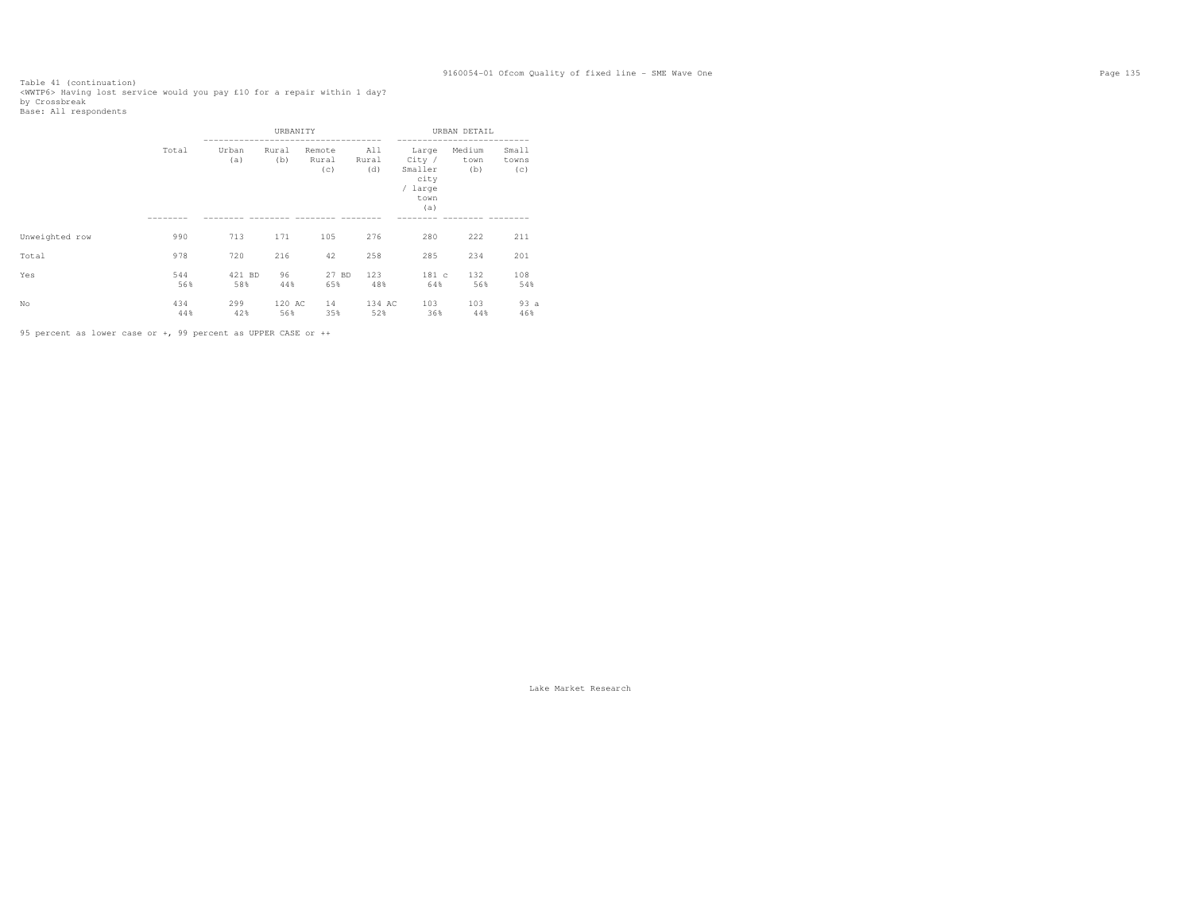Table 41 (continuation)<br><WWTP6> Having lost service would you pay £10 for a repair within 1 day?<br>by Crossbreak<br>Base: All respondents

|                |            |               | URBANITY      |                        |                     |                                                              | URBAN DETAIL          |                       |
|----------------|------------|---------------|---------------|------------------------|---------------------|--------------------------------------------------------------|-----------------------|-----------------------|
|                | Total      | Urban<br>(a)  | Rural<br>(b)  | Remote<br>Rural<br>(c) | All<br>Rural<br>(d) | Large<br>City /<br>Smaller<br>city<br>/ large<br>town<br>(a) | Medium<br>town<br>(b) | Small<br>towns<br>(c) |
| Unweighted row | 990        | 713           | 171           | 105                    | 276                 | 280                                                          | 222                   | 211                   |
| Total          | 978        | 720           | 216           | 42                     | 258                 | 285                                                          | 234                   | 201                   |
| Yes            | 544<br>56% | 421 BD<br>58% | 96<br>44%     | 27 BD<br>65%           | 123<br>48%          | 181 c<br>64%                                                 | 132<br>56%            | 108<br>54%            |
| No             | 434<br>44% | 299<br>42%    | 120 AC<br>56% | 14<br>35%              | 134 AC<br>52%       | 103<br>36%                                                   | 103<br>44%            | 93a<br>46%            |

95 percent as lower case or +, 99 percent as UPPER CASE or ++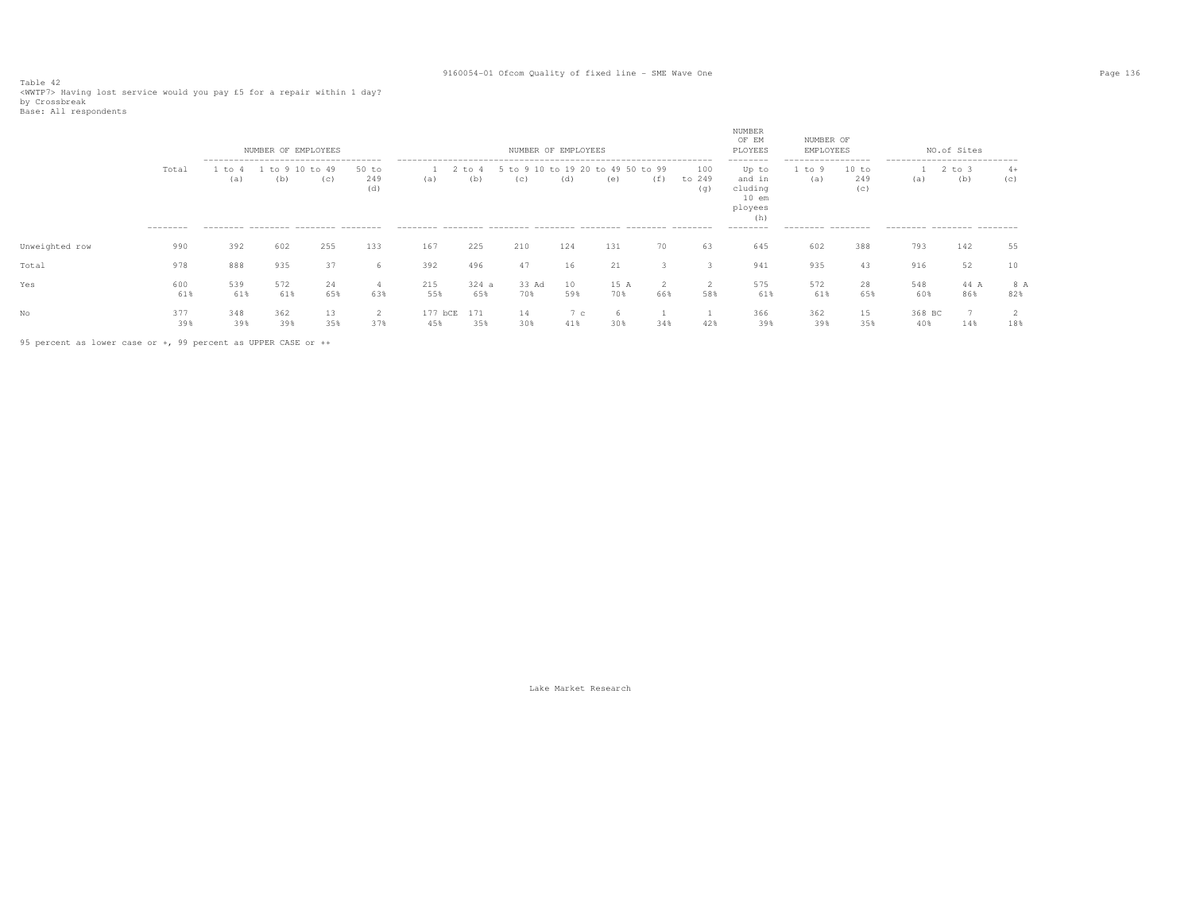Table 42<br><WWTP7> Having lost service would you pay £5 for a repair within 1 day?<br>by Crossbreak<br>Base: All respondents

|                |                    |            | NUMBER OF EMPLOYEES<br>------------------------------------- |                 |                       |                   |                   | NUMBER OF EMPLOYEES          |           |                    |     |                      | NUMBER<br>OF EM<br>PLOYEES<br>--------                  | NUMBER OF<br>EMPLOYEES<br>------------------ |                     | ---------------------------- | NO.of Sites |             |
|----------------|--------------------|------------|--------------------------------------------------------------|-----------------|-----------------------|-------------------|-------------------|------------------------------|-----------|--------------------|-----|----------------------|---------------------------------------------------------|----------------------------------------------|---------------------|------------------------------|-------------|-------------|
|                | Total<br>--------- | to<br>(a)  | to<br>(b)                                                    | 10 to 49<br>(C) | $50$ to<br>249<br>(d) | (a)               | $t$ to $4$<br>(b) | 5 to 9 10 to 19 20 to<br>(C) | (d)       | 49 50 to 99<br>(e) | (f) | 100<br>to 249<br>(q) | Up to<br>and in<br>cluding<br>$10$ em<br>ployees<br>(h) | to<br>(a)                                    | 10 to<br>249<br>(c) | (a)                          | to 3<br>(b) | $4+$<br>(C) |
|                |                    |            | --------- -------- ------- --------                          |                 |                       |                   |                   |                              |           |                    |     |                      | ---------                                               | --------- --------                           |                     | --------- -------- -------   |             |             |
| Unweighted row | 990                | 392        | 602                                                          | 255             | 133                   | 167               | 225               | 210                          | 124       | 131                | 70  | 63                   | 645                                                     | 602                                          | 388                 | 793                          | 142         | 55          |
| Total          | 978                | 888        | 935                                                          | 37              | 6                     | 392               | 496               | 47                           | 16        | 21                 |     |                      | 941                                                     | 935                                          | 43                  | 916                          | 52          | 10          |
| Yes            | 600<br>61%         | 539<br>61% | 572<br>61%                                                   | 24<br>65%       | 63%                   | 215<br>55%        | 324a<br>65%       | 33 Ad<br>70%                 | 10<br>59% | 15 A<br>70%        | 66% | 58%                  | 575<br>61%                                              | 572<br>61%                                   | 28<br>65%           | 548<br>60%                   | 44 A<br>86% | 8 A<br>82%  |
| No             | 377<br>39%         | 348<br>39% | 362<br>39%                                                   | 13<br>35%       | ∠<br>37%              | 177<br>bCE<br>45% | 171<br>35%        | 14<br>30%                    | 7c<br>41% | 30%                | 34% | 42%                  | 366<br>39%                                              | 362<br>39%                                   | 15<br>35%           | 368 BC<br>40%                | 7<br>14%    | 18%         |

95 percent as lower case or +, 99 percent as UPPER CASE or ++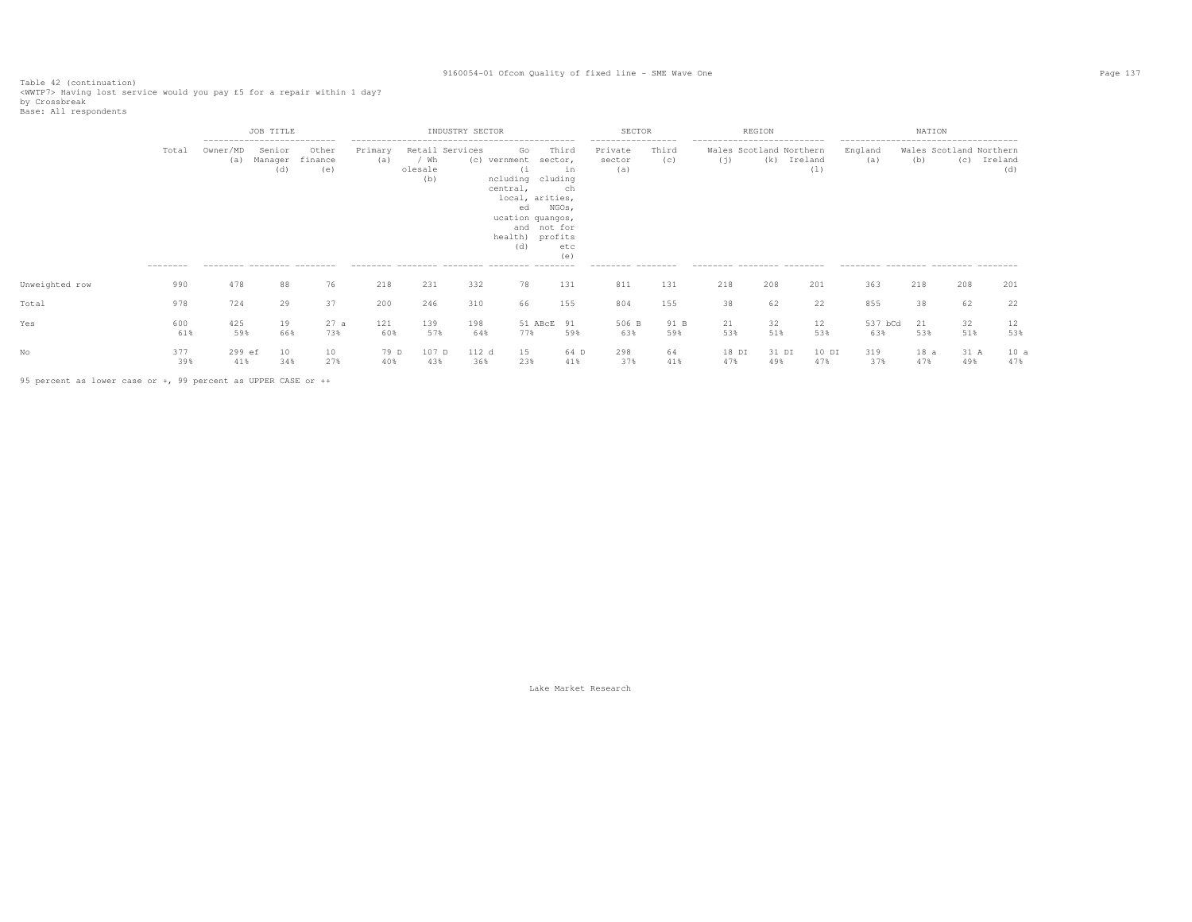Table 42 (continuation)<br><WWTP7> Having lost service would you pay £5 for a repair within 1 day?<br>by Crossbreak<br>Base: All respondents

|                |                    |                                                | JOB TITLE                |                                                        |                |                        | INDUSTRY SECTOR        |                                                                                                                                     |                                                                | SECTOR                                                               |              |                                                                                               | REGION       |                |                                                                                                 | NATION      |                                |                |
|----------------|--------------------|------------------------------------------------|--------------------------|--------------------------------------------------------|----------------|------------------------|------------------------|-------------------------------------------------------------------------------------------------------------------------------------|----------------------------------------------------------------|----------------------------------------------------------------------|--------------|-----------------------------------------------------------------------------------------------|--------------|----------------|-------------------------------------------------------------------------------------------------|-------------|--------------------------------|----------------|
|                | Total<br>--------- | ---------------------------<br>Owner/MD<br>(a) | Senior<br>Manager<br>(d) | Other<br>finance<br>(e)<br>--------- -------- -------- | Primary<br>(a) | / Wh<br>olesale<br>(b) | Retail Services<br>(C) | Go<br>vernment<br>(1)<br>ncluding<br>central,<br>local, arities,<br>ed<br>ucation quangos,<br>and not for<br>health) profits<br>(d) | Third<br>sector,<br>in<br>cluding<br>ch<br>NGOs,<br>etc<br>(e) | ------------------<br>Private<br>sector<br>(a)<br>--------- -------- | Third<br>(C) | ----------------------------<br>Wales Scotland Northern<br>(j)<br>--------- -------- -------- | (k)          | Ireland<br>(1) | --------------------------------------<br>England<br>(a)<br>--------- -------- -------- ------- | (b)         | Wales Scotland Northern<br>(c) | Ireland<br>(d) |
| Unweighted row | 990                | 478                                            | 88                       | 76                                                     | 218            | 231                    | 332                    | 78                                                                                                                                  | 131                                                            | 811                                                                  | 131          | 218                                                                                           | 208          | 201            | 363                                                                                             | 218         | 208                            | 201            |
| Total          | 978                | 724                                            | 29                       | 37                                                     | 200            | 246                    | 310                    | 66                                                                                                                                  | 155                                                            | 804                                                                  | 155          | 38                                                                                            | 62           | 22             | 855                                                                                             | 38          | 62                             | 22             |
| Yes            | 600<br>61%         | 425<br>59%                                     | 19<br>66%                | 27a<br>73%                                             | 121<br>60%     | 139<br>57%             | 198<br>64%             | 51 ABcE 91<br>77%                                                                                                                   | 59%                                                            | 506 B<br>63%                                                         | 91 B<br>59%  | 21<br>53%                                                                                     | 32<br>51%    | 12<br>53%      | 537 bCd<br>63%                                                                                  | 21<br>53%   | 32<br>51%                      | 12<br>53%      |
|                | 377<br>39%         | 299 ef<br>41%                                  | 10<br>34%                | 10<br>27%                                              | 79 D<br>40%    | 107 D<br>43%           | 112 d<br>36%           | 15<br>23%                                                                                                                           | 64 D<br>41%                                                    | 298<br>37%                                                           | 64<br>41%    | 18 DI<br>47%                                                                                  | 31 DI<br>49% | 10 DI<br>47%   | 319<br>37%                                                                                      | 18 a<br>47% | 31 A<br>49%                    | 10a<br>47%     |

95 percent as lower case or +, 99 percent as UPPER CASE or ++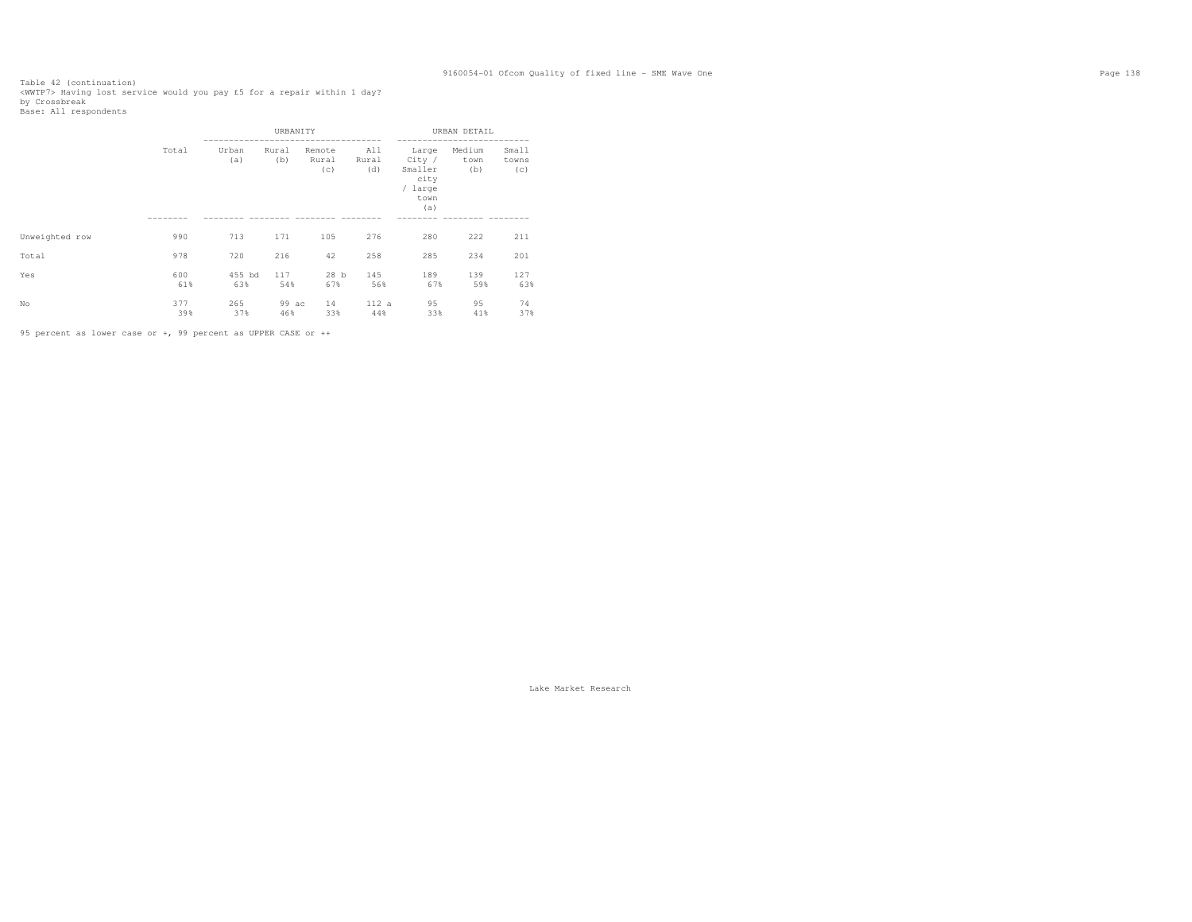Table 42 (continuation)<br><WWTP7> Having lost service would you pay £5 for a repair within 1 day?<br>by Crossbreak<br>Base: All respondents

|                |            |               | URBANITY     |                        |                     |                                                              | URBAN DETAIL          |                       |
|----------------|------------|---------------|--------------|------------------------|---------------------|--------------------------------------------------------------|-----------------------|-----------------------|
|                | Total      | Urban<br>(a)  | Rural<br>(b) | Remote<br>Rural<br>(c) | All<br>Rural<br>(d) | Large<br>City /<br>Smaller<br>city<br>/ large<br>town<br>(a) | Medium<br>town<br>(b) | Small<br>towns<br>(c) |
| Unweighted row | 990        | 713           | 171          | 105                    | 276                 | 280                                                          | 222                   | 211                   |
|                |            |               |              |                        |                     |                                                              |                       |                       |
| Total          | 978        | 720           | 216          | 42                     | 258                 | 285                                                          | 234                   | 201                   |
| Yes            | 600<br>61% | 455 bd<br>63% | 117<br>54%   | 28 <sub>b</sub><br>67% | 145<br>56%          | 189<br>67%                                                   | 139<br>59%            | 127<br>63%            |
| No             | 377<br>39% | 265<br>37%    | 99 ac<br>46% | 14<br>33%              | 112 a<br>44%        | 95<br>33%                                                    | 95<br>41%             | 74<br>37%             |

95 percent as lower case or +, 99 percent as UPPER CASE or ++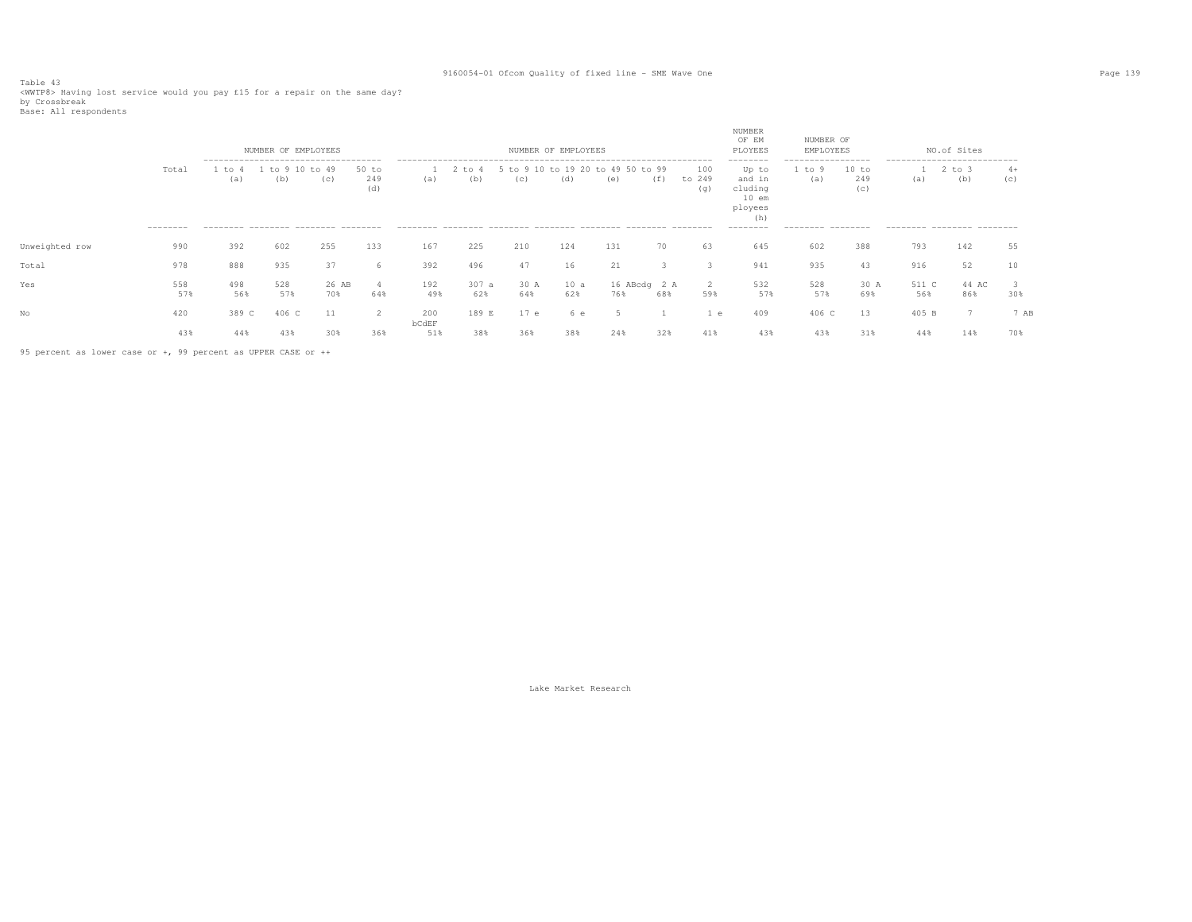Table 43<br><WWTP8> Having lost service would you pay £15 for a repair on the same day?<br>by Crossbreak<br>Base: All respondents

|                |                   |               | NUMBER OF EMPLOYEES                                                                               |              |                       |              |               |             | NUMBER OF EMPLOYEES          |                     |     |                      | NUMBER<br>OF EM<br>PLOYEES                                                       | NUMBER OF<br>EMPLOYEES                                    |                     |              | NO.of Sites                                                                     |             |
|----------------|-------------------|---------------|---------------------------------------------------------------------------------------------------|--------------|-----------------------|--------------|---------------|-------------|------------------------------|---------------------|-----|----------------------|----------------------------------------------------------------------------------|-----------------------------------------------------------|---------------------|--------------|---------------------------------------------------------------------------------|-------------|
|                | Total<br>-------- | 1 to 4<br>(a) | -------------------------------------<br>10<br>to 9<br>(b)<br>--------- -------- -------- ------- | to 49<br>(C) | $50$ to<br>249<br>(d) | (a)          | 2 to 4<br>(b) | (C)         | 5 to 9 10 to 19 20 to<br>(d) | 49 50 to 99<br>(e)  | (f) | 100<br>to 249<br>(g) | --------<br>Up to<br>and in<br>cluding<br>$10$ em<br>ployees<br>(h)<br>--------- | ------------------<br>. to 9<br>(a)<br>--------- -------- | 10 to<br>249<br>(C) | (a)          | ----------------------------<br>$2$ to $3$<br>(b)<br>--------- -------- ------- | $4+$<br>(c) |
| Unweighted row | 990               | 392           | 602                                                                                               | 255          | 133                   | 167          | 225           | 210         | 124                          | 131                 | 70  | 63                   | 645                                                                              | 602                                                       | 388                 | 793          | 142                                                                             | 55          |
| Total          | 978               | 888           | 935                                                                                               | 37           | h                     | 392          | 496           | 47          | 16                           | 21                  |     |                      | 941                                                                              | 935                                                       | 43                  | 916          | 52                                                                              |             |
| Yes            | 558<br>57%        | 498<br>56%    | 528<br>57%                                                                                        | 26 AB<br>70% | 64%                   | 192<br>49%   | 307 a<br>62%  | 30 A<br>64% | 10 a<br>62%                  | 16 ABcdg 2 A<br>76% | 68% | -2<br>59%            | 532<br>57%                                                                       | 528<br>57%                                                | 30 A<br>69%         | 511 C<br>56% | 44 AC<br>86%                                                                    | 30%         |
| No             | 420               | 389 C         | 406 C                                                                                             | -11          | 2                     | 200          | 189 E         | 17e         | $\epsilon$                   |                     |     | $^{\circ}$           | 409                                                                              | 406 C                                                     | 13                  | 405 B        |                                                                                 | 7 AB        |
|                | 43%               | 44%           | 43%                                                                                               | 30%          | 36%                   | bCdEF<br>51% | 38%           | 36%         | 38%                          | 24%                 | 32% | 41%                  | 43%                                                                              | 43%                                                       | 31%                 | 44%          | 14%                                                                             | 70%         |

95 percent as lower case or +, 99 percent as UPPER CASE or ++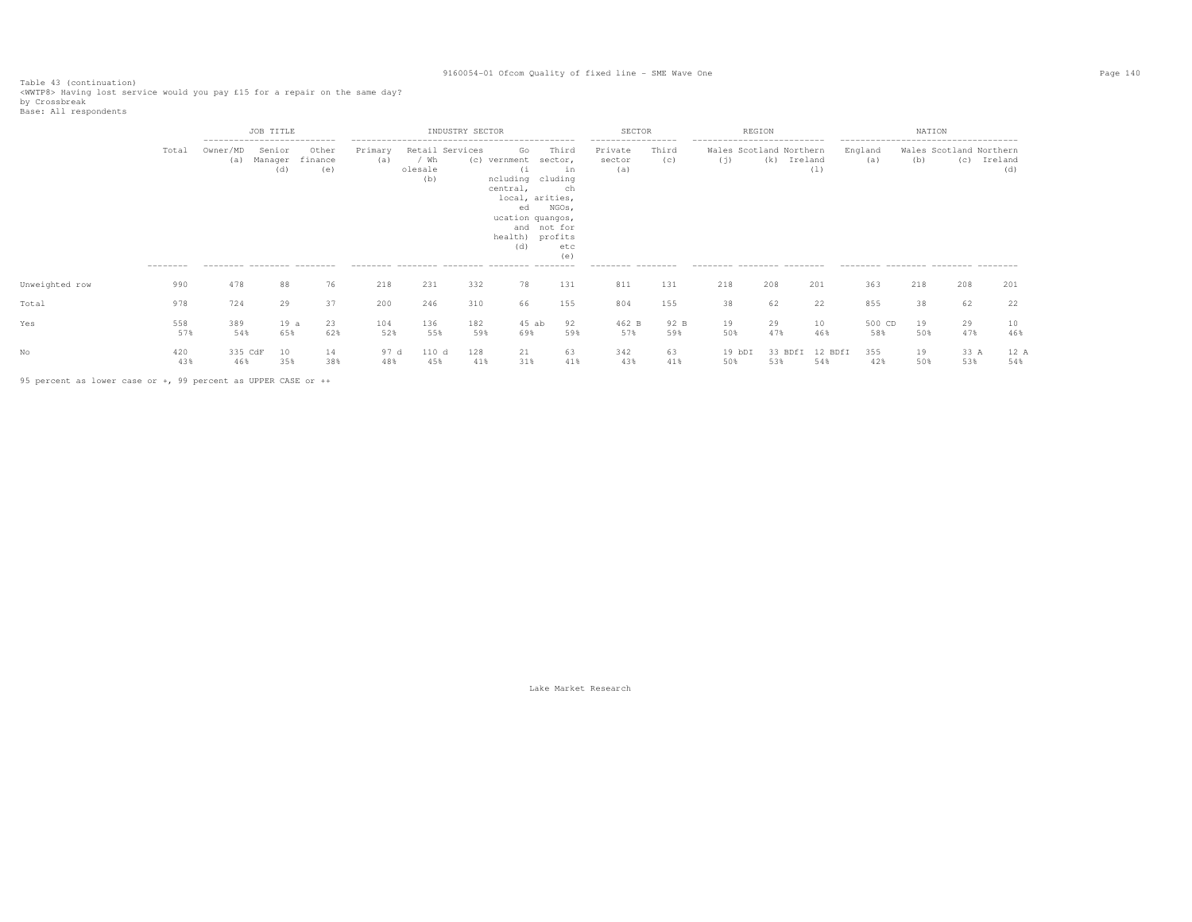Table 43 (continuation)<br><WWTP8> Having lost service would you pay £15 for a repair on the same day?<br>by Crossbreak<br>Base: All respondents

|                |                    |                                                                               | JOB TITLE                |                         |                |                        | INDUSTRY SECTOR |                                                                                                                                  |                                                                    | <b>SECTOR</b>                                                       |              | REGION                                                                                       |                |                |                                                                                                 | NATION    |                                |                |
|----------------|--------------------|-------------------------------------------------------------------------------|--------------------------|-------------------------|----------------|------------------------|-----------------|----------------------------------------------------------------------------------------------------------------------------------|--------------------------------------------------------------------|---------------------------------------------------------------------|--------------|----------------------------------------------------------------------------------------------|----------------|----------------|-------------------------------------------------------------------------------------------------|-----------|--------------------------------|----------------|
|                | Total<br>--------- | ---------------------------<br>Owner/MD<br>(a)<br>--------- -------- -------- | Senior<br>Manager<br>(d) | Other<br>finance<br>(e) | Primary<br>(a) | / Wh<br>olesale<br>(b) | Retail Services | Go<br>(c) vernment<br>(1)<br>ncluding cluding<br>central,<br>local, arities,<br>ed<br>ucation quangos,<br>health) profits<br>(d) | Third<br>sector,<br>in<br>ch<br>NGOs,<br>and not for<br>etc<br>(e) | -----------------<br>Private<br>sector<br>(a)<br>--------- -------- | Third<br>(c) | ---------------------------<br>Wales Scotland Northern<br>(i)<br>--------- -------- -------- | (k)<br>Ireland | (1)            | --------------------------------------<br>England<br>(a)<br>--------- -------- -------- ------- | (b)       | Wales Scotland Northern<br>(C) | Ireland<br>(d) |
| Unweighted row | 990                | 478                                                                           | 88                       | 76                      | 218            | 231                    | 332             | 78                                                                                                                               | 131                                                                | 811                                                                 | 131          | 218                                                                                          | 208            | 201            | 363                                                                                             | 218       | 208                            | 201            |
| Total          | 978                | 724                                                                           | 29                       | 37                      | 200            | 246                    | 310             | 66                                                                                                                               | 155                                                                | 804                                                                 | 155          | 38                                                                                           | 62             | 22             | 855                                                                                             | 38        | 62                             | 22             |
| Yes            | 558<br>57%         | 389<br>54%                                                                    | 19a<br>65%               | 23<br>62%               | 104<br>52%     | 136<br>55%             | 182<br>59%      | $45$ ab<br>69%                                                                                                                   | 92<br>59%                                                          | 462 B<br>57%                                                        | 92 B<br>59%  | 19<br>50%                                                                                    | 29<br>47%      | 10<br>46%      | 500 CD<br>58%                                                                                   | 19<br>50% | 29<br>47%                      | 10<br>46%      |
|                | 420<br>43%         | 335 CdF<br>46%                                                                | 10<br>35%                | 14<br>38%               | 97 d<br>48%    | 110 d<br>45%           | 128<br>41%      | 21<br>31%                                                                                                                        | 63<br>41%                                                          | 342<br>43%                                                          | 63<br>41%    | 19 bDI<br>50%                                                                                | 33 BDfI<br>53% | 12 BDfI<br>54% | 355<br>42%                                                                                      | 19<br>50% | 33 A<br>53%                    | 12 A<br>54%    |

95 percent as lower case or +, 99 percent as UPPER CASE or ++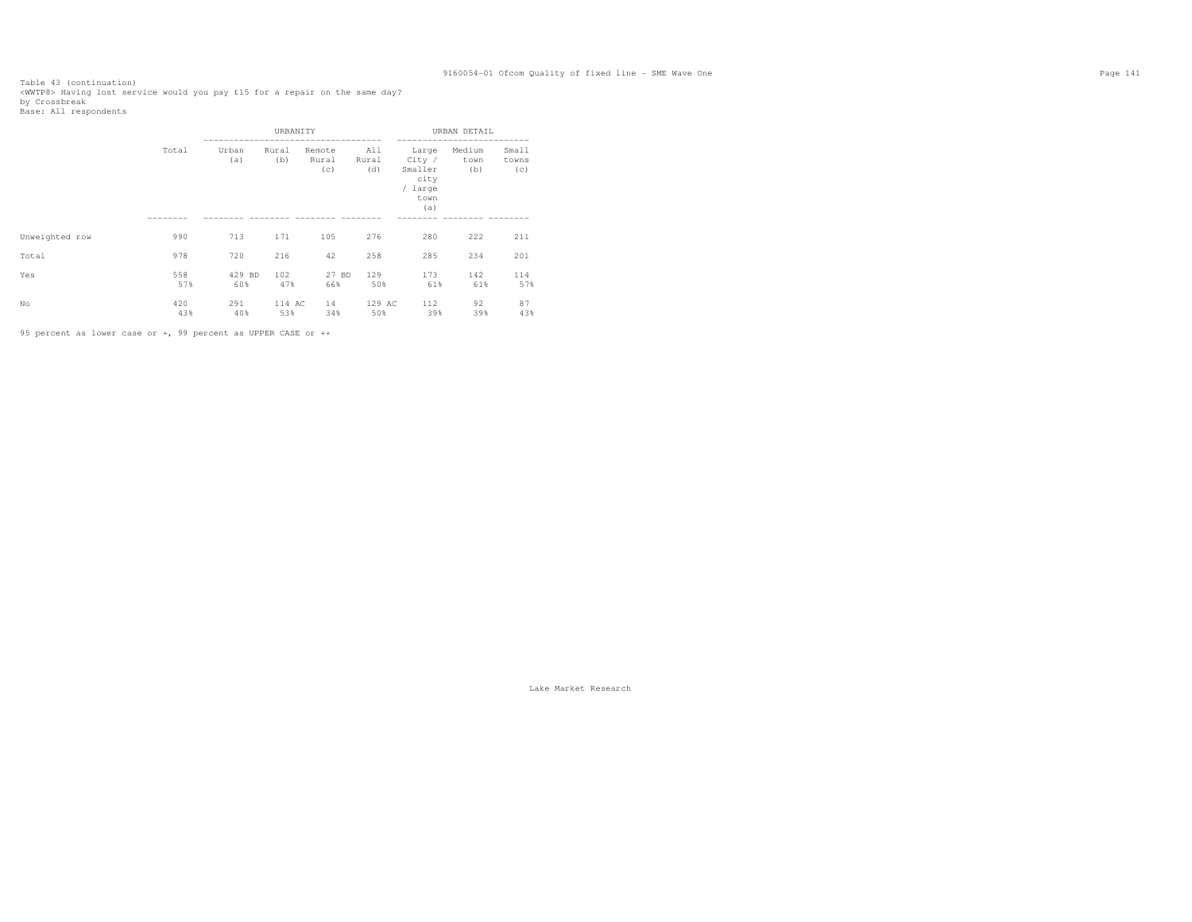Table 43 (continuation)<br><WWTP8> Having lost service would you pay £15 for a repair on the same day?<br>by Crossbreak<br>Base: All respondents

|                |            |               | URBANITY      |                        |                     |                                                              | URBAN DETAIL          |                       |
|----------------|------------|---------------|---------------|------------------------|---------------------|--------------------------------------------------------------|-----------------------|-----------------------|
|                | Total      | Urban<br>(a)  | Rural<br>(b)  | Remote<br>Rural<br>(c) | All<br>Rural<br>(d) | Large<br>City /<br>Smaller<br>city<br>/ large<br>town<br>(a) | Medium<br>town<br>(b) | Small<br>towns<br>(c) |
| Unweighted row | 990        | 713           | 171           | 105                    | 276                 | 280                                                          | 222                   | 211                   |
| Total          | 978        | 720           | 216           | 42                     | 258                 | 285                                                          | 234                   | 201                   |
| Yes            | 558<br>57% | 429 BD<br>60% | 102<br>47%    | 27 BD<br>66%           | 129<br>50%          | 173<br>61%                                                   | 142<br>61%            | 114<br>57%            |
| No             | 420<br>43% | 291<br>40%    | 114 AC<br>53% | 14<br>34%              | 129 AC<br>50%       | 112<br>39%                                                   | 92<br>39%             | 87<br>43%             |

95 percent as lower case or +, 99 percent as UPPER CASE or ++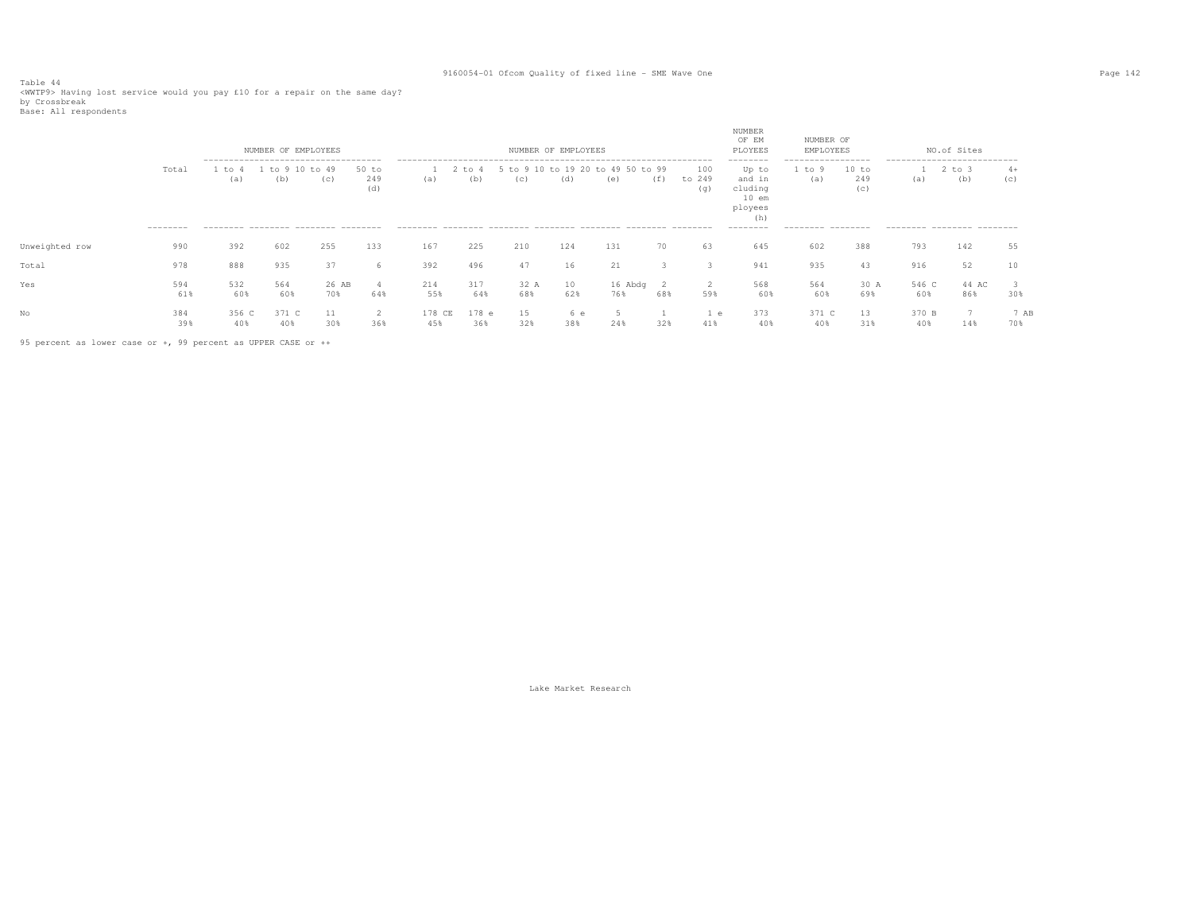Table 44<br><WWTP9> Having lost service would you pay £10 for a repair on the same day?<br>by Crossbreak<br>Base: All respondents

|                |                           |                                                                                            | NUMBER OF EMPLOYEES |              |                       |               |               |                        | NUMBER OF EMPLOYEES |                       |            |                      | NUMBER<br>OF EM<br>PLOYEES                                                       | NUMBER OF<br>EMPLOYEES                                   |                     |                                                                   | NO.of Sites       |             |
|----------------|---------------------------|--------------------------------------------------------------------------------------------|---------------------|--------------|-----------------------|---------------|---------------|------------------------|---------------------|-----------------------|------------|----------------------|----------------------------------------------------------------------------------|----------------------------------------------------------|---------------------|-------------------------------------------------------------------|-------------------|-------------|
|                | Total<br>$-- - - - - - -$ | --------------------------------------<br>to<br>(a)<br>--------- -------- ------- -------- | to 9<br>(b)         | to 49<br>(C) | 50 to<br>249<br>(d)   | (a)           | : to 4<br>(b) | 910<br>$+\circ$<br>(C) | to 19 20<br>(d)     | to 49 50 to 99<br>(e) | (f)        | 100<br>to 249<br>(q) | --------<br>Up to<br>and in<br>cluding<br>$10$ em<br>ployees<br>(h)<br>--------- | -----------------<br>1 to 9<br>(a)<br>--------- -------- | 10 to<br>249<br>(C) | ----------------------------<br>(a)<br>--------- -------- ------- | $2$ to $3$<br>(b) | $4+$<br>(C) |
| Unweighted row | 990                       | 392                                                                                        | 602                 | 255          | 133                   | 167           | 225           | 210                    | 124                 | 131                   | 70         | 63                   | 645                                                                              | 602                                                      | 388                 | 793                                                               | 142               | 55          |
| Total          | 978                       | 888                                                                                        | 935                 | 37           | 6                     | 392           | 496           | 47                     | 16                  | 21                    |            |                      | 941                                                                              | 935                                                      | 43                  | 916                                                               | 52                |             |
| Yes            | 594<br>61%                | 532<br>60%                                                                                 | 564<br>60%          | 26 AB<br>70% | $\overline{4}$<br>64% | 214<br>55%    | 317<br>64%    | 32 A<br>68%            | 10<br>62%           | 16 Abdg<br>76%        | - 2<br>68% | -2<br>59%            | 568<br>60%                                                                       | 564<br>60%                                               | 30 A<br>69%         | 546 C<br>60%                                                      | 44 AC<br>86%      | 30%         |
| No             | 384<br>39%                | 356 C<br>40%                                                                               | 371 C<br>40%        | 30%          | 2<br>36%              | 178 CE<br>45% | 178 e<br>36%  | 15<br>32%              | 6е<br>38%           | 24%                   | 32%        | 1 e<br>41%           | 373<br>40%                                                                       | 371 C<br>40%                                             | 13<br>31%           | 370 B<br>40%                                                      | 14%               | 7 AB<br>70% |

95 percent as lower case or +, 99 percent as UPPER CASE or ++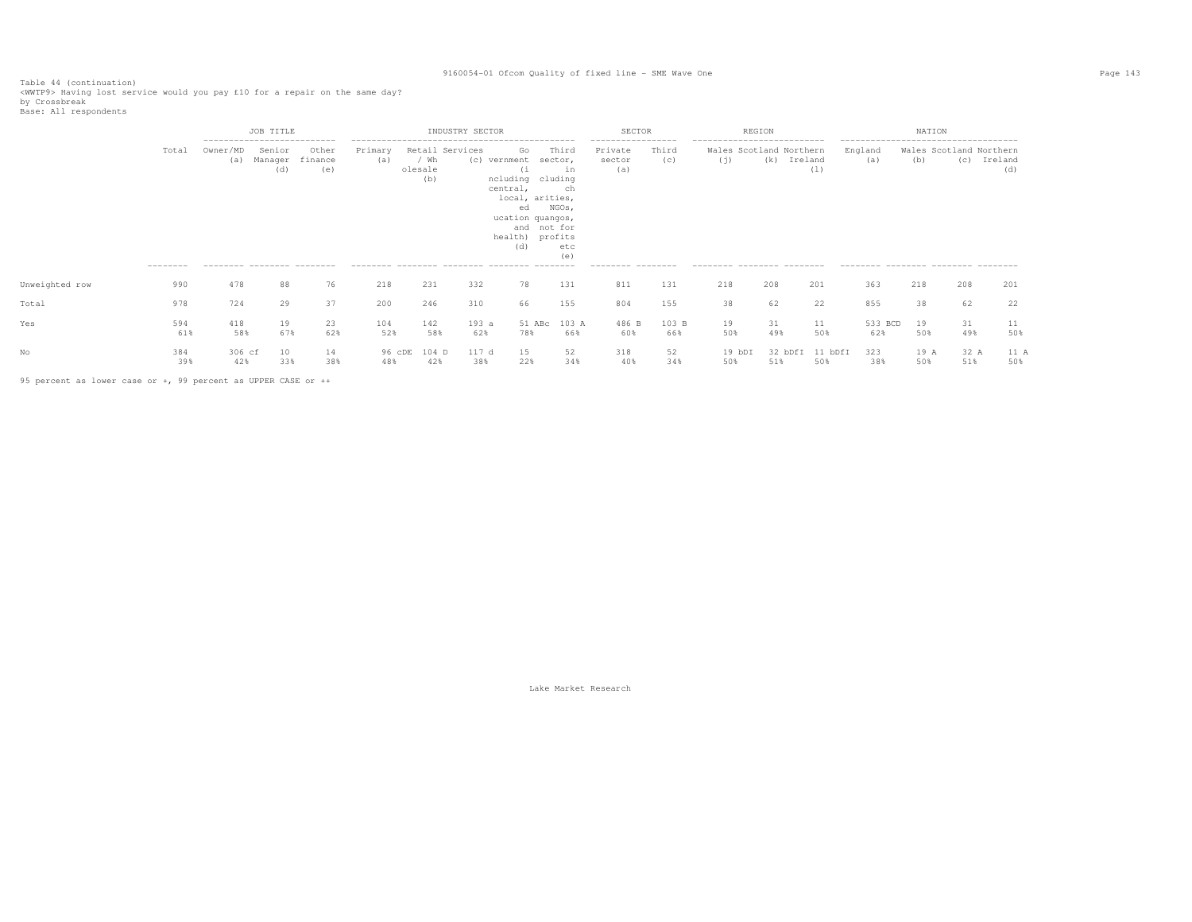Table 44 (continuation)<br><WWTP9> Having lost service would you pay £10 for a repair on the same day?<br>by Crossbreak<br>Base: All respondents

|                |                    |                                               | JOB TITLE<br>---------------------------- |                         |                |                                           | INDUSTRY SECTOR |                                                                                                                                             |                                                     | SECTOR                                                               |              | REGION                                                                                        |                |                |                                                                                                | NATION      |                                |                |
|----------------|--------------------|-----------------------------------------------|-------------------------------------------|-------------------------|----------------|-------------------------------------------|-----------------|---------------------------------------------------------------------------------------------------------------------------------------------|-----------------------------------------------------|----------------------------------------------------------------------|--------------|-----------------------------------------------------------------------------------------------|----------------|----------------|------------------------------------------------------------------------------------------------|-------------|--------------------------------|----------------|
|                | Total<br>--------- | Owner/MD<br>(a)<br>--------- -------- ------- | Senior<br>Manager<br>(d)                  | Other<br>finance<br>(e) | Primary<br>(a) | Retail Services<br>/ Wh<br>olesale<br>(b) | (c)             | Go<br>vernment<br>(i)<br>ncluding cluding<br>central,<br>local, arities,<br>ed<br>ucation quangos,<br>and not for<br>health) profits<br>(d) | Third<br>sector,<br>in<br>ch<br>NGOs,<br>etc<br>(e) | ------------------<br>Private<br>sector<br>(a)<br>--------- -------- | Third<br>(c) | ----------------------------<br>Wales Scotland Northern<br>(i)<br>--------- -------- -------- | (k)<br>Ireland | (1)            | -------------------------------------<br>England<br>(a)<br>--------- -------- -------- ------- | (b)         | Wales Scotland Northern<br>(C) | Ireland<br>(d) |
| Unweighted row | 990                | 478                                           | 88                                        | 76                      | 218            | 231                                       | 332             | 78                                                                                                                                          | 131                                                 | 811                                                                  | 131          | 218                                                                                           | 208            | 201            | 363                                                                                            | 218         | 208                            | 201            |
| Total          | 978                | 724                                           | 29                                        | 37                      | 200            | 246                                       | 310             | 66                                                                                                                                          | 155                                                 | 804                                                                  | 155          | 38                                                                                            | 62             | 22             | 855                                                                                            | 38          | 62                             | 22             |
| Yes            | 594<br>61%         | 418<br>58%                                    | 19<br>67%                                 | 23<br>62%               | 104<br>52%     | 142<br>58%                                | 193a<br>62%     | 51 ABc<br>78%                                                                                                                               | 103 A<br>66%                                        | 486 B<br>60%                                                         | 103 B<br>66% | 19<br>50%                                                                                     | 31<br>49%      | 11<br>50%      | 533 BCD<br>62%                                                                                 | 19<br>50%   | 31<br>49%                      | 11<br>50%      |
|                | 384<br>39%         | 306 cf<br>42%                                 | 10<br>33%                                 | 14<br>38%               | 96 cDE<br>48%  | 104 D<br>42%                              | 117 d<br>38%    | 15<br>22%                                                                                                                                   | 52<br>34%                                           | 318<br>40%                                                           | 52<br>34%    | 19 bDI<br>50%                                                                                 | 32 bDfI<br>51% | 11 bDfI<br>50% | 323<br>38%                                                                                     | 19 A<br>50% | 32 A<br>51%                    | 11 A<br>50%    |

95 percent as lower case or +, 99 percent as UPPER CASE or ++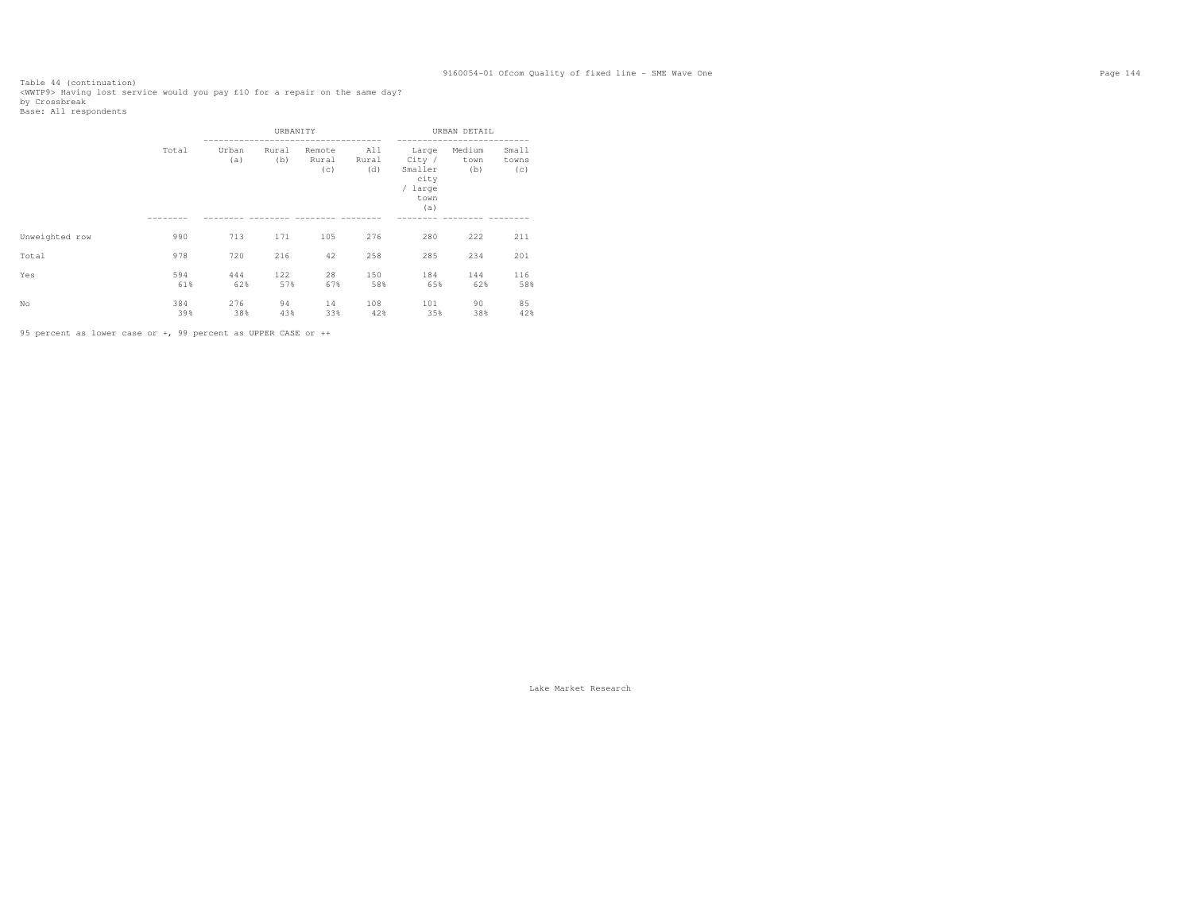Table 44 (continuation)<br><WWTP9> Having lost service would you pay £10 for a repair on the same day?<br>by Crossbreak<br>Base: All respondents

|                |            | URBANITY     |              |                        |                     | URBAN DETAIL                                                 |                       |                       |
|----------------|------------|--------------|--------------|------------------------|---------------------|--------------------------------------------------------------|-----------------------|-----------------------|
|                | Total      | Urban<br>(a) | Rural<br>(b) | Remote<br>Rural<br>(c) | All<br>Rural<br>(d) | Large<br>City /<br>Smaller<br>city<br>/ large<br>town<br>(a) | Medium<br>town<br>(b) | Small<br>towns<br>(c) |
|                |            |              |              |                        |                     |                                                              |                       |                       |
| Unweighted row | 990        | 713          | 171          | 105                    | 276                 | 280                                                          | 222                   | 211                   |
| Total          | 978        | 720          | 216          | 42                     | 258                 | 285                                                          | 234                   | 201                   |
| Yes            | 594<br>61% | 444<br>62%   | 122<br>57%   | 28<br>67%              | 150<br>58%          | 184<br>65%                                                   | 144<br>62%            | 116<br>58%            |
| No             | 384<br>39% | 276<br>38%   | 94<br>43%    | 14<br>33%              | 108<br>42%          | 101<br>35%                                                   | 90<br>38%             | 85<br>42%             |

95 percent as lower case or +, 99 percent as UPPER CASE or ++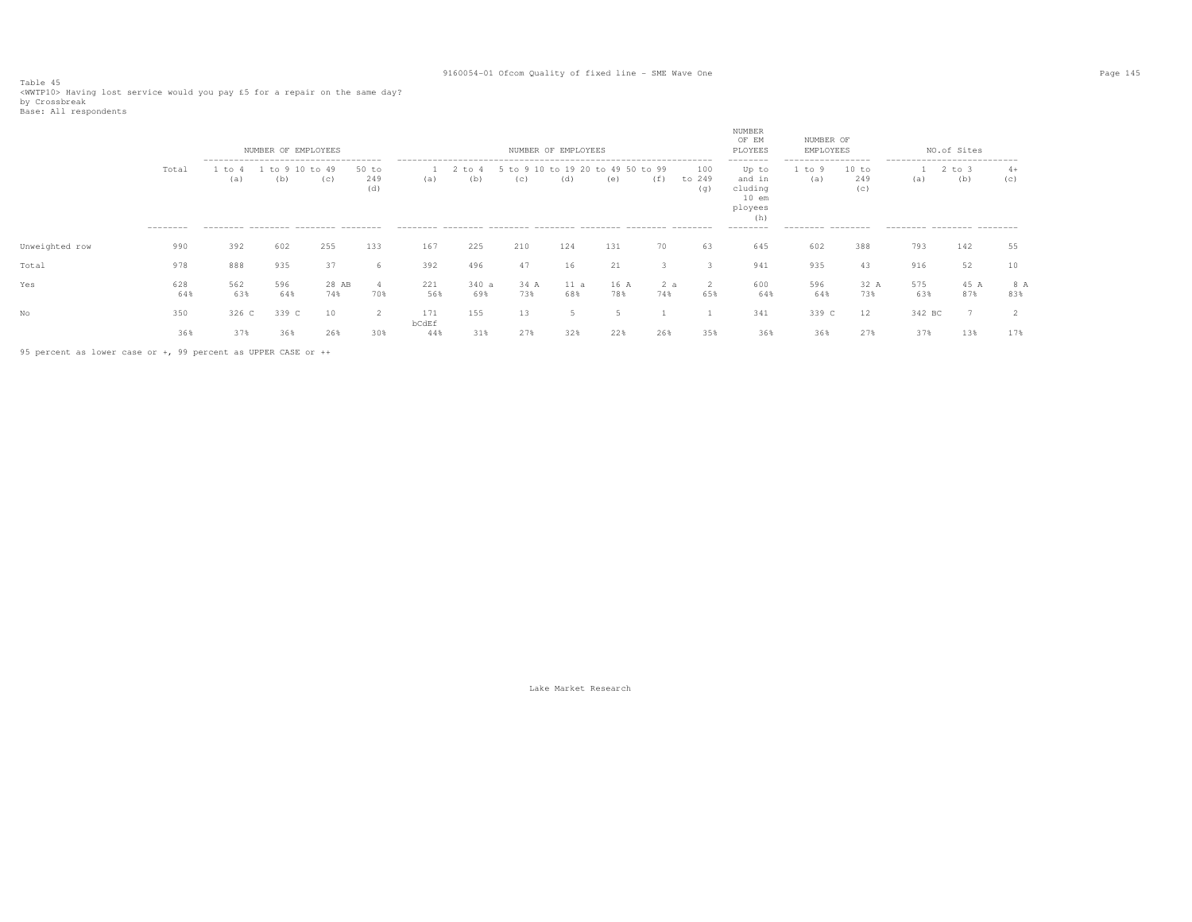Table 45<br><WWTP10> Having lost service would you pay £5 for a repair on the same day?<br>by Crossbreak<br>Base: All respondents

|                |                   |               | NUMBER OF EMPLOYEES                                                                             |              |                     |              |               |                                          | NUMBER OF EMPLOYEES |             |     |                      | NUMBER<br>OF EM<br>PLOYEES                                                       | NUMBER OF<br>EMPLOYEES                                    |                     |                                                                   | NO.of Sites       |             |
|----------------|-------------------|---------------|-------------------------------------------------------------------------------------------------|--------------|---------------------|--------------|---------------|------------------------------------------|---------------------|-------------|-----|----------------------|----------------------------------------------------------------------------------|-----------------------------------------------------------|---------------------|-------------------------------------------------------------------|-------------------|-------------|
|                | Total<br>-------- | 1 to 4<br>(a) | --------------------------------------<br>to 9 10<br>(b)<br>--------- -------- ------- -------- | to 49<br>(C) | 50 to<br>249<br>(d) | (a)          | 2 to 4<br>(b) | 5 to 9 10 to 19 20 to 49 50 to 99<br>(C) | (d)                 | (e)         | (f) | 100<br>to 249<br>(q) | --------<br>Up to<br>and in<br>cluding<br>$10$ em<br>ployees<br>(h)<br>--------- | ------------------<br>1 to 9<br>(a)<br>--------- -------- | 10 to<br>249<br>(c) | ----------------------------<br>(a)<br>--------- -------- ------- | $2$ to $3$<br>(b) | $4+$<br>(c) |
| Unweighted row | 990               | 392           | 602                                                                                             | 255          | 133                 | 167          | 225           | 210                                      | 124                 | 131         | 70  | 63                   | 645                                                                              | 602                                                       | 388                 | 793                                                               | 142               | 55          |
| Total          | 978               | 888           | 935                                                                                             | 37           | b                   | 392          | 496           | 47                                       | 16                  | 21          |     |                      | 941                                                                              | 935                                                       | 43                  | 916                                                               | 52                | 10          |
| Yes            | 628<br>64%        | 562<br>63%    | 596<br>64%                                                                                      | 28 AB<br>74% | -4<br>70%           | 221<br>56%   | 340a<br>69%   | 34 A<br>73%                              | 11 a<br>68%         | 16 A<br>78% | 74% | 65%                  | 600<br>64%                                                                       | 596<br>64%                                                | 32 A<br>73%         | 575<br>63%                                                        | 45 A<br>87%       | 8 A<br>83%  |
| No             | 350               | 326 C         | 339 C                                                                                           | 10           | $\overline{2}$      | 171          | 155           | 13                                       |                     |             |     |                      | 341                                                                              | 339 C                                                     | $12 \overline{ }$   | 342 BC                                                            |                   | ∠           |
|                | 36%               | 37%           | 36%                                                                                             | 26%          | 30%                 | bCdEf<br>44% | 31%           | 27%                                      | 32%                 | 22%         | 26% | 35%                  | 36%                                                                              | 36%                                                       | 27%                 | 37%                                                               | 13%               | 17%         |

95 percent as lower case or +, 99 percent as UPPER CASE or ++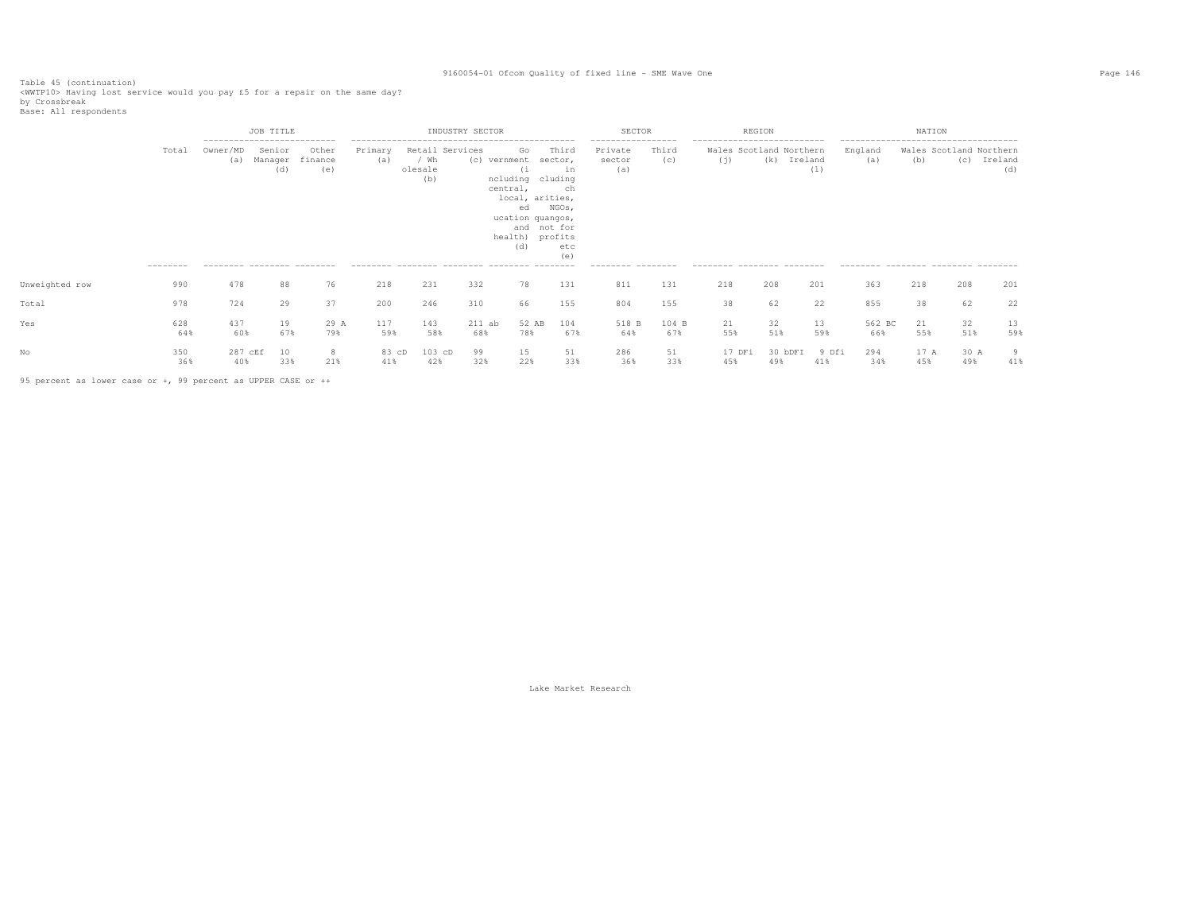Table 45 (continuation) <WWTP10> Having lost service would you pay £5 for a repair on the same day?

by Crossbreak<br>Base: All respondents

|                |                   |                                                                              | JOB TITLE                |                         |                |                                           | INDUSTRY SECTOR |                                                                                                                        |                                                                | SECTOR                                                              |              | REGION                                                                                      |                |              |                                                                                                | NATION      |                                |                |
|----------------|-------------------|------------------------------------------------------------------------------|--------------------------|-------------------------|----------------|-------------------------------------------|-----------------|------------------------------------------------------------------------------------------------------------------------|----------------------------------------------------------------|---------------------------------------------------------------------|--------------|---------------------------------------------------------------------------------------------|----------------|--------------|------------------------------------------------------------------------------------------------|-------------|--------------------------------|----------------|
|                | Total<br>-------- | ---------------------------<br>Owner/MD<br>(a)<br>--------- -------- ------- | Senior<br>Manager<br>(d) | Other<br>finance<br>(e) | Primary<br>(a) | Retail Services<br>/ Wh<br>olesale<br>(b) | (c) vernment    | Go<br>(i<br>ncluding<br>central,<br>local, arities,<br>ed<br>ucation quangos,<br>and not for<br>health) profits<br>(d) | Third<br>sector,<br>in<br>cluding<br>ch<br>NGOs,<br>etc<br>(e) | -----------------<br>Private<br>sector<br>(a)<br>--------- -------- | Third<br>(C) | ---------------------------<br>Wales Scotland Northern<br>(j)<br>--------- -------- ------- | (k)<br>Ireland | (1)          | --------------------------------------<br>England<br>(a)<br>--------- -------- -------- ------ | (b)         | Wales Scotland Northern<br>(C) | Ireland<br>(d) |
| Unweighted row | 990               | 478                                                                          | 88                       | 76                      | 218            | 231                                       | 332             | 78                                                                                                                     | 131                                                            | 811                                                                 | 131          | 218                                                                                         | 208            | 201          | 363                                                                                            | 218         | 208                            | 201            |
| Total          | 978               | 724                                                                          | 29                       | 37                      | 200            | 246                                       | 310             | 66                                                                                                                     | 155                                                            | 804                                                                 | 155          | 38                                                                                          | 62             | 22           | 855                                                                                            | 38          | 62                             | 22             |
| Yes            | 628<br>64%        | 437<br>60%                                                                   | 19<br>67%                | 29 A<br>79%             | 117<br>59%     | 143<br>58%                                | $211$ ab<br>68% | 52 AB<br>78%                                                                                                           | 104<br>67%                                                     | 518 B<br>64%                                                        | 104 B<br>67% | 21<br>55%                                                                                   | 32<br>51%      | 13<br>59%    | 562 BC<br>66%                                                                                  | 21<br>55%   | 32<br>51%                      | 13<br>59%      |
|                | 350<br>36%        | 287 cEf<br>40%                                                               | 10<br>33%                | 21%                     | 83 cD<br>41%   | $103$ cD<br>42%                           | 99<br>32%       | 15<br>22%                                                                                                              | 51<br>33%                                                      | 286<br>36%                                                          | 51<br>33%    | 17 DFi<br>45%                                                                               | 30 bDFI<br>49% | 9 Dfi<br>41% | 294<br>34%                                                                                     | 17 A<br>45% | 30 A<br>49%                    | 9<br>41%       |

95 percent as lower case or +, 99 percent as UPPER CASE or ++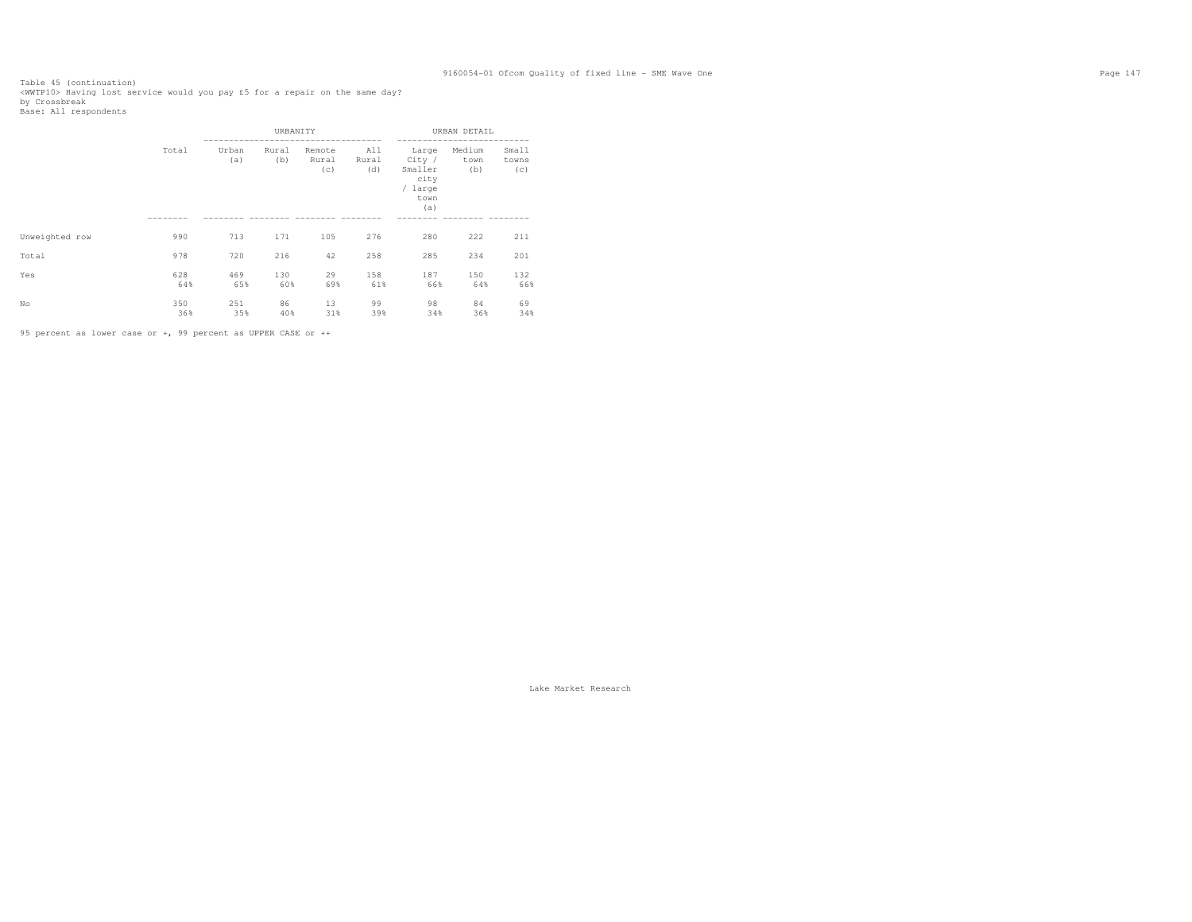Table 45 (continuation)<br><WWTP10> Having lost service would you pay £5 for a repair on the same day?<br>by Crossbreak<br>Base: All respondents

|                |            |              | URBANITY     |                        |                     |                                                              | URBAN DETAIL          |                       |
|----------------|------------|--------------|--------------|------------------------|---------------------|--------------------------------------------------------------|-----------------------|-----------------------|
|                | Total      | Urban<br>(a) | Rural<br>(b) | Remote<br>Rural<br>(c) | All<br>Rural<br>(d) | Large<br>City /<br>Smaller<br>city<br>/ large<br>town<br>(a) | Medium<br>town<br>(b) | Small<br>towns<br>(c) |
|                |            |              |              |                        |                     |                                                              |                       |                       |
| Unweighted row | 990        | 713          | 171          | 105                    | 276                 | 280                                                          | 222                   | 211                   |
| Total          | 978        | 720          | 216          | 42                     | 258                 | 285                                                          | 234                   | 201                   |
| Yes            | 628<br>64% | 469<br>65%   | 130<br>60%   | 29<br>69%              | 158<br>61%          | 187<br>66%                                                   | 150<br>64%            | 132<br>66%            |
| No             | 350<br>36% | 251<br>35%   | 86<br>40%    | 13<br>31%              | 99<br>39%           | 98<br>34%                                                    | 84<br>36%             | 69<br>34%             |

95 percent as lower case or +, 99 percent as UPPER CASE or ++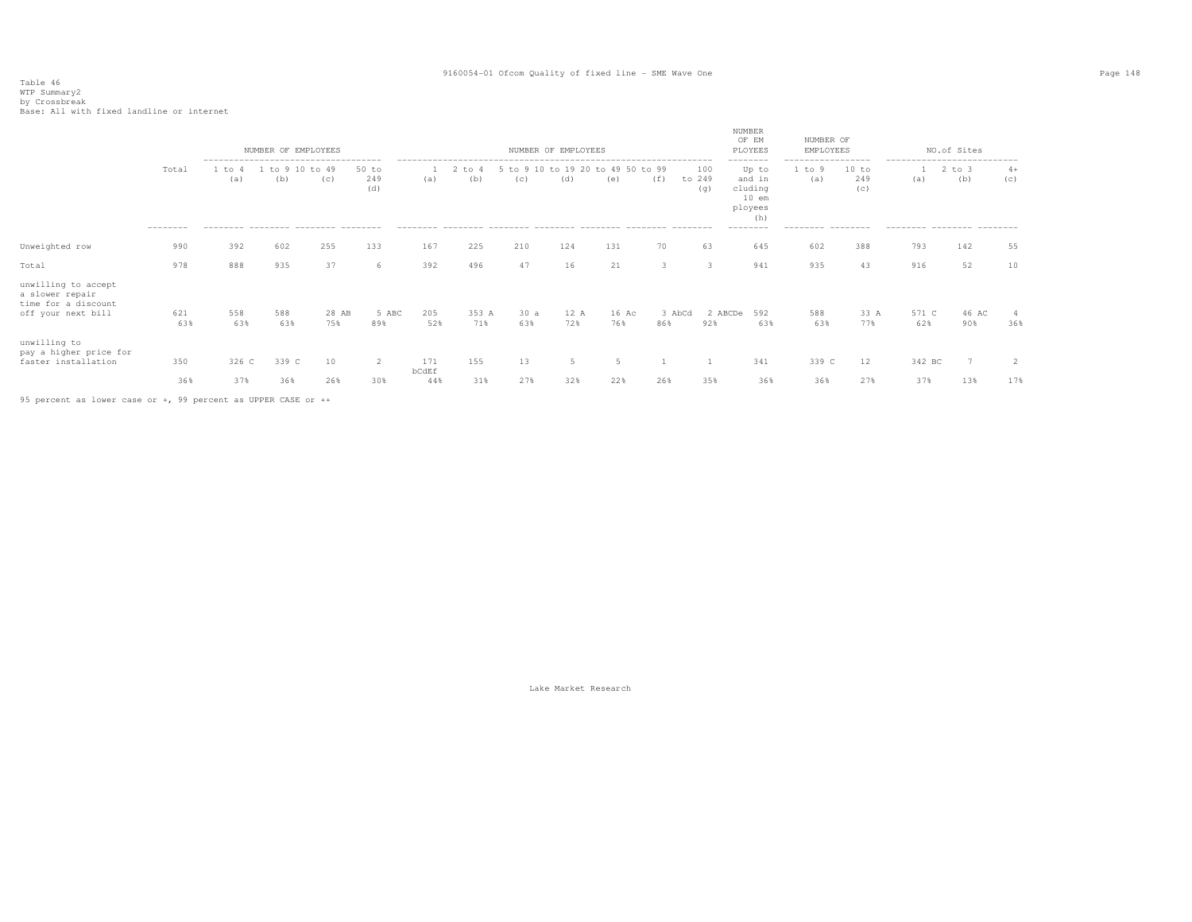# Table 46 WTP Summary2 by Crossbreak Base: All with fixed landline or internet

|                                                                                     |                   |               | NUMBER OF EMPLOYEES  |                                          |                       |              |              |            | NUMBER OF EMPLOYEES |                                          |               |                      | NUMBER<br>OF EM<br>PLOYEES                                                      | NUMBER OF<br>EMPLOYEES                                  |                     |              | NO.of Sites                                                                    |             |
|-------------------------------------------------------------------------------------|-------------------|---------------|----------------------|------------------------------------------|-----------------------|--------------|--------------|------------|---------------------|------------------------------------------|---------------|----------------------|---------------------------------------------------------------------------------|---------------------------------------------------------|---------------------|--------------|--------------------------------------------------------------------------------|-------------|
|                                                                                     | Total<br>-------- | 1 to 4<br>(a) | to 9 10 to 49<br>(b) | (C)<br>-------- -------- ------- ------- | $50$ to<br>249<br>(d) | (a)          | to 4<br>(b)  | (c)        | (d)                 | 5 to 9 10 to 19 20 to 49 50 to 99<br>(e) | (f)           | 100<br>to 249<br>(q) | --------<br>Up to<br>and in<br>cluding<br>$10$ em<br>ployees<br>(h)<br>-------- | -----------------<br>1 to 9<br>(a)<br>--------- ------- | 10 to<br>249<br>(c) | (a)          | ---------------------------<br>$2$ to $3$<br>(b)<br>--------- -------- ------- | $4+$<br>(C) |
| Unweighted row                                                                      | 990               | 392           | 602                  | 255                                      | 133                   | 167          | 225          | 210        | 124                 | 131                                      | 70            | 63                   | 645                                                                             | 602                                                     | 388                 | 793          | 142                                                                            | 55          |
| Total                                                                               | 978               | 888           | 935                  | 37                                       | 6                     | 392          | 496          | 47         | 16                  | 21                                       | $\mathcal{R}$ | 3                    | 941                                                                             | 935                                                     | 43                  | 916          | 52                                                                             | 10          |
| unwilling to accept<br>a slower repair<br>time for a discount<br>off your next bill | 621<br>63%        | 558<br>63%    | 588<br>63%           | 28 AB<br>75%                             | 5 ABC<br>89%          | 205<br>52%   | 353 A<br>71% | 30a<br>63% | 12 A<br>72%         | 16 Ac<br>76%                             | 3 AbCd<br>86% | 92%                  | 2 ABCDe<br>592<br>63%                                                           | 588<br>63%                                              | 33 A<br>77%         | 571 C<br>62% | 46 AC<br>90%                                                                   | 36%         |
| unwilling to<br>pay a higher price for<br>faster installation                       | 350               | 326 C         | 339 C                | 10                                       | 2                     | 171<br>bCdEf | 155          | 13         | 5                   |                                          |               |                      | 341                                                                             | 339 C                                                   | 12                  | 342 BC       | 7                                                                              | 2           |
|                                                                                     | 36%               | 37%           | 36%                  | 26%                                      | 30%                   | 44%          | 31%          | 27%        | 32%                 | 22%                                      | 26%           | 35%                  | 36%                                                                             | 36%                                                     | 27%                 | 37%          | 13%                                                                            | 17%         |

95 percent as lower case or +, 99 percent as UPPER CASE or ++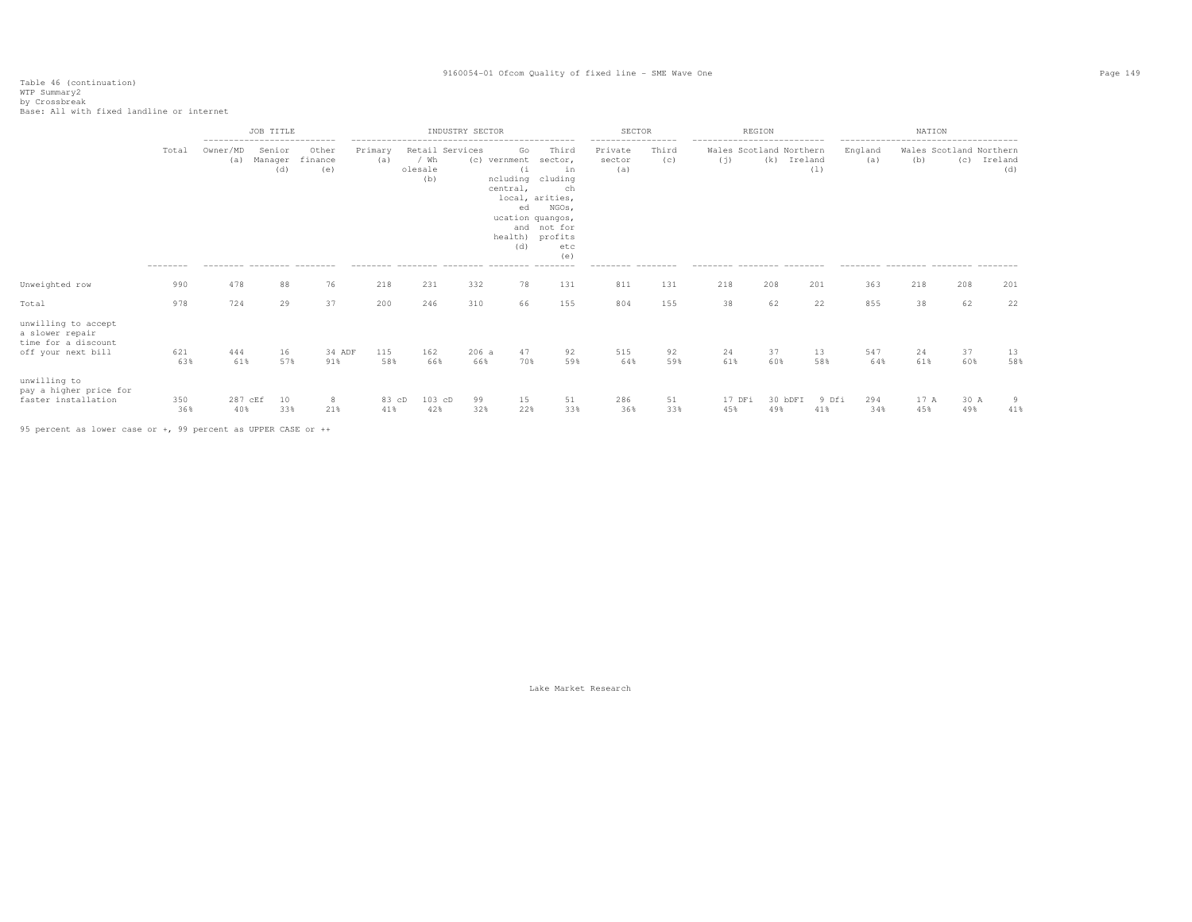Table 46 (continuation) WTP Summary2 by Crossbreak Base: All with fixed landline or internet

|                                                                                     |                   |                                       | JOB TITLE     |                                              |                |                        | INDUSTRY SECTOR |                                                               |                                                                                                                                                       | <b>SECTOR</b>            |              |                                | REGION         |              |                | NATION      |                                |                |
|-------------------------------------------------------------------------------------|-------------------|---------------------------------------|---------------|----------------------------------------------|----------------|------------------------|-----------------|---------------------------------------------------------------|-------------------------------------------------------------------------------------------------------------------------------------------------------|--------------------------|--------------|--------------------------------|----------------|--------------|----------------|-------------|--------------------------------|----------------|
|                                                                                     | Total<br>-------- | Owner/MD<br>(a)<br>--------- -------- | Senior<br>(d) | Other<br>Manager finance<br>(e)<br>--------- | Primary<br>(a) | / Wh<br>olesale<br>(b) | Retail Services | Go<br>(c) vernment<br>(i)<br>central,<br>ed<br>health)<br>(d) | Third<br>sector,<br>in<br>ncluding cluding<br>ch<br>local, arities,<br>NGOs,<br>ucation quangos,<br>and not for<br>profits<br>etc<br>(e)<br>--------- | Private<br>sector<br>(a) | Third<br>(C) | Wales Scotland Northern<br>(i) | (k) Ireland    | (1)          | England<br>(a) | (b)         | Wales Scotland Northern<br>(C) | Ireland<br>(d) |
| Unweighted row                                                                      | 990               | 478                                   | 88            | 76                                           | 218            | 231                    | 332             | 78                                                            | 131                                                                                                                                                   | 811                      | 131          | 218                            | 208            | 201          | 363            | 218         | 208                            | 201            |
| Total                                                                               | 978               | 724                                   | 29            | 37                                           | 200            | 246                    | 310             | 66                                                            | 155                                                                                                                                                   | 804                      | 155          | 38                             | 62             | 22           | 855            | 38          | 62                             | 22             |
| unwilling to accept<br>a slower repair<br>time for a discount<br>off your next bill | 621<br>63%        | 444<br>61%                            | 16<br>57%     | 34 ADF<br>91%                                | 115<br>58%     | 162<br>66%             | 206a<br>66%     | 47<br>70%                                                     | 92<br>59%                                                                                                                                             | 515<br>64%               | 92<br>59%    | 24<br>61%                      | 37<br>60%      | 13<br>58%    | 547<br>64%     | 24<br>61%   | 37<br>60%                      | 13<br>58%      |
| unwilling to<br>pay a higher price for<br>faster installation                       | 350<br>36%        | 287 cEf<br>40%                        | 10<br>33%     | 8<br>21%                                     | 83 cD<br>41%   | 103 cD<br>42%          | 99<br>32%       | 15<br>22%                                                     | 51<br>33%                                                                                                                                             | 286<br>36%               | 51<br>33%    | 17 DFi<br>45%                  | 30 bDFI<br>49% | 9 Dfi<br>41% | 294<br>34%     | 17 A<br>45% | 30 A<br>49%                    | 9<br>41%       |

95 percent as lower case or +, 99 percent as UPPER CASE or ++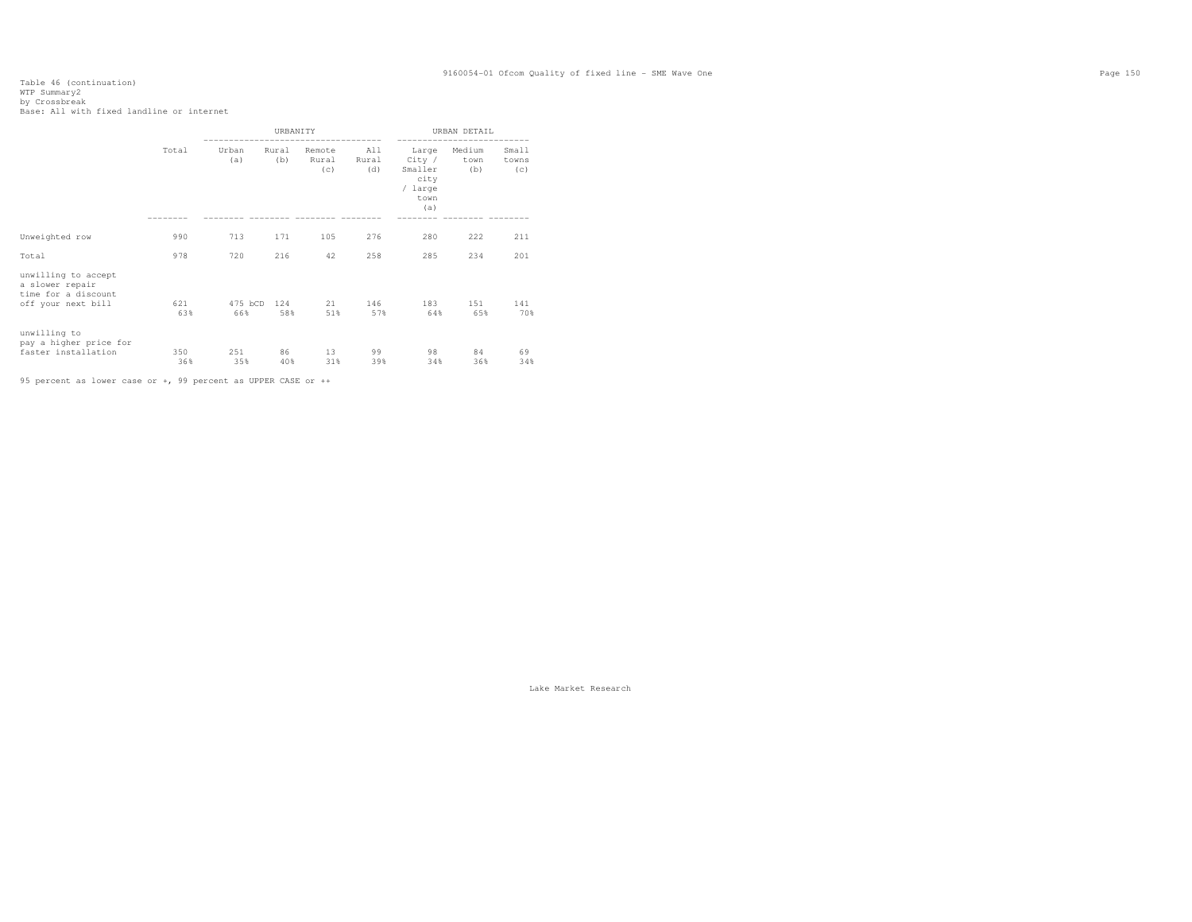# Table 46 (continuation) WTP Summary2 by Crossbreak Base: All with fixed landline or internet

|                                                                                     |            |                | <b>URBANTTY</b> |                        |                     |                                                              | URBAN DETAIL          |                       |
|-------------------------------------------------------------------------------------|------------|----------------|-----------------|------------------------|---------------------|--------------------------------------------------------------|-----------------------|-----------------------|
|                                                                                     | Total      | Urban<br>(a)   | Rural<br>(b)    | Remote<br>Rural<br>(c) | All<br>Rural<br>(d) | Large<br>City /<br>Smaller<br>city<br>/ large<br>town<br>(a) | Medium<br>town<br>(b) | Small<br>towns<br>(c) |
| Unweighted row                                                                      | 990        | 713            | 171             | 105                    | 276                 | 280                                                          | 222                   | 211                   |
| Total                                                                               | 978        | 720            | 216             | 42                     | 258                 | 285                                                          | 234                   | 201                   |
| unwilling to accept<br>a slower repair<br>time for a discount<br>off your next bill | 621<br>63% | 475 bCD<br>66% | 124<br>58%      | 21<br>51%              | 146<br>57%          | 183<br>64%                                                   | 151<br>65%            | 141<br>70%            |
| unwilling to<br>pay a higher price for<br>faster installation                       | 350<br>36% | 251<br>35%     | 86<br>40%       | 13<br>31%              | 99<br>39%           | 98<br>34%                                                    | 84<br>36%             | 69<br>34%             |

95 percent as lower case or +, 99 percent as UPPER CASE or ++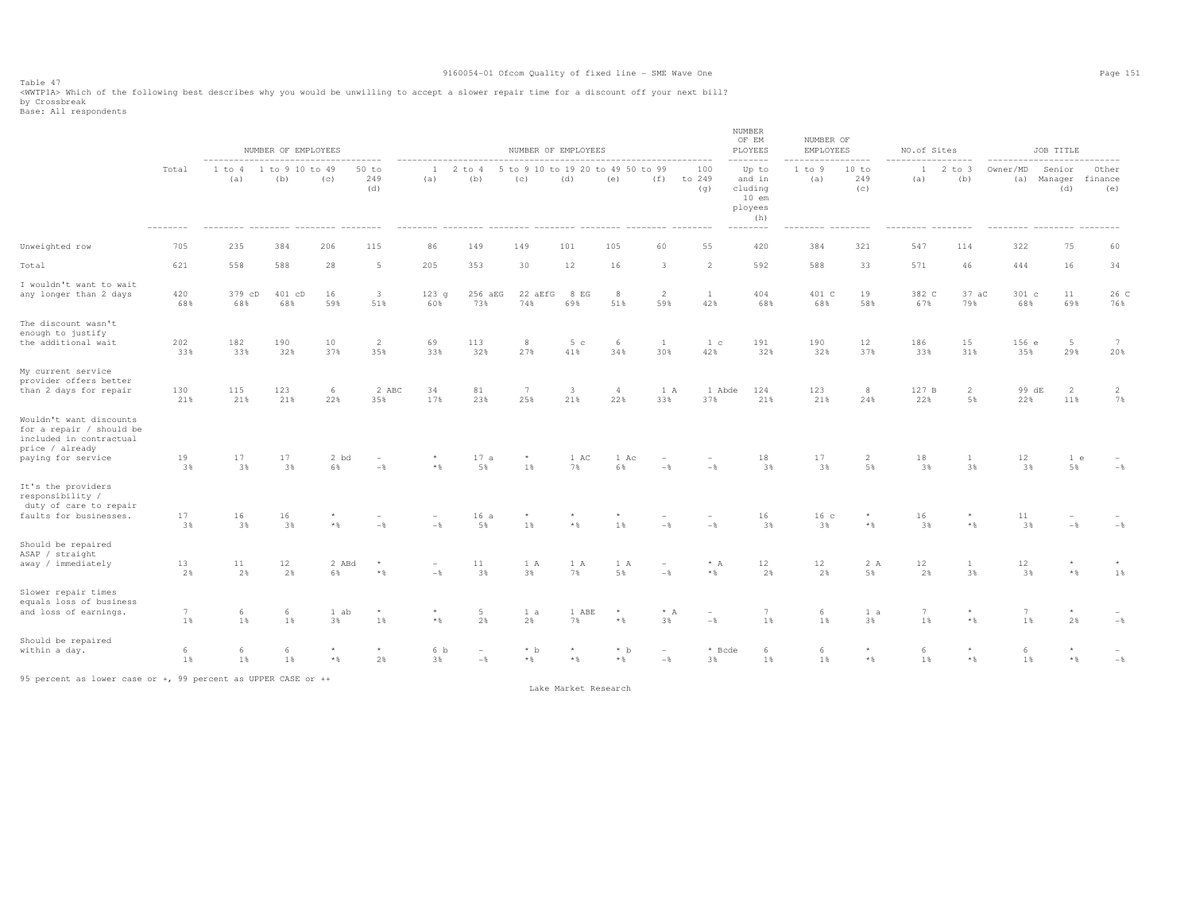Table 47 <WWTP1A> Which of the following best describes why you would be unwilling to accept a slower repair time for a discount off your next bill? by Crossbreak Base: All respondents

 NUMBER OF EM NUMBER OF **EMPLOYEES**  NUMBER OF EMPLOYEES NUMBER OF EMPLOYEES PLOYEES EMPLOYEES NO.of Sites JOB TITLE ----------------------------------- -------------------------------------------------------------- -------- ----------------- ----------------- -------------------------- Other Total 1 to 4 1 to 9 10 to 49 50 to 1 2 to 4 5 to 9 10 to 19 20 to 49 50 to 99 100 Up to 1 to 9 10 to 1 2 to 3 Owner/MD Senior<br>(a) (b) (c) 249 (a) (b) (c) (d) (e) (f) to 249 and in (a) 249 (a) (b) (a) Manager finance (a) (b) (c) 249 (a) (b) (c) (d) (e) (f) to 249 and in (a) 249 (a) (b) (a) Manager finance (d) (g) cluding (c) (d) (e) 10 em ployees  $(h)$  -------- -------- -------- -------- -------- -------- -------- -------- -------- -------- -------- -------- -------- -------- -------- -------- -------- -------- -------- -------- Unweighted row 705 235 384 206 115 86 149 149 101 105 60 55 420 384 321 547 114 322 75 60 Total 621 558 588 28 5 205 353 30 12 16 3 2 592 588 33 571 46 444 16 34 I wouldn't want to wait any longer than 2 days 420 379 cD 401 cD 16 3 123 g 256 aEG 22 aEfG 8 EG 8 2 1 404 401 C 19 382 C 37 aC 301 c 11 26 C<br>68% 68% 68% 68% 59% 51% 60% 73% 74% 69% 51% 59% 42% 68% 68% 58% 67% 79% 68% 68% 68% 69% 69% 69% 68% 68% 68% 59% 51% 60% 73% 74% 69% 51% 59% 42% 68% 68% 58% 67% 79% 68% 69% 76% The discount wasn't enough to justify the additional wait the additional wait 202 182 190 10 2 69 113 8 5 c 6 1 1 c 191 190 12 186 15 156 e 5 7  $20%$  33% 33% 32% 37% 35% 33% 32% 27% 41% 34% 30% 42% 32% 32% 37% 33% 31% 35% 29% 20% My current service provider offers better than 2 days for repair 130 115 123 6 2 ABC 34 81 7 3 4 1 A 1 Abde 124 123 8 127 B 2 99 dE 2 2 7% 21% 21% 21% 22% 35% 17% 23% 25% 21% 22% 33% 37% 21% 21% 24% 22% 5% 22% 11% 7% Wouldn't want discounts for a repair / should be included in contractual price / already paying for service paying for service 19 17 17 2 bd - \* 17 a \* 1 AC 1 Ac - - 18 17 2 18 1 12 1 e -  $-$  3% 3% 3% 6% -% \*% 5% 1% 7% 6% -% -% 3% 3% 5% 3% 3% 3% 5% -% It's the providers responsibility / duty of care to repair faults for businesses. 17 16 16 \* - - 16 a \* \* \* - - - 16 16 c \* 16 \* 11  $-\, \%$  3% 3% 3% \*% -% -% 5% 1% \*% 1% -% -% 3% 3% \*% 3% \*% 3% -% -% Should be repaired ASAP / straight away / immediately away / immediately 13 11 12 2 ABd \* - 1 A 1 A 1 A \* A 12 2 A 12 \* \* 1% 2% 2% 2% 6% \*% -% 3% 3% 7% 5% -% \*% 2% 2% 5% 2% 3% 3% \*% 1% Slower repair times equals loss of business and loss of earnings. 7 6 6 1 ab \* \* 5 1 a 1 ABE \* \* A - 7 6 1 a 7 \* 7 \* -  $-\,$  1% 1% 1% 3% 1% \*% 2% 2% 7% \*% 3% -% 1% 1% 3% 1% \*% 1% 2% -% Should be repaired<br>within a day. within a day. 6 6 6 \* \* 6 b - \* b \* \* b - \* Bcde 6 6 \* 6 \* 6 \* -  $-$  % 1% 1% 1% \*% 2% 3% -% \*% \*% \*% -% 3% 1% 1% \*% 1% \*% 1% \*% -%

95 percent as lower case or +, 99 percent as UPPER CASE or ++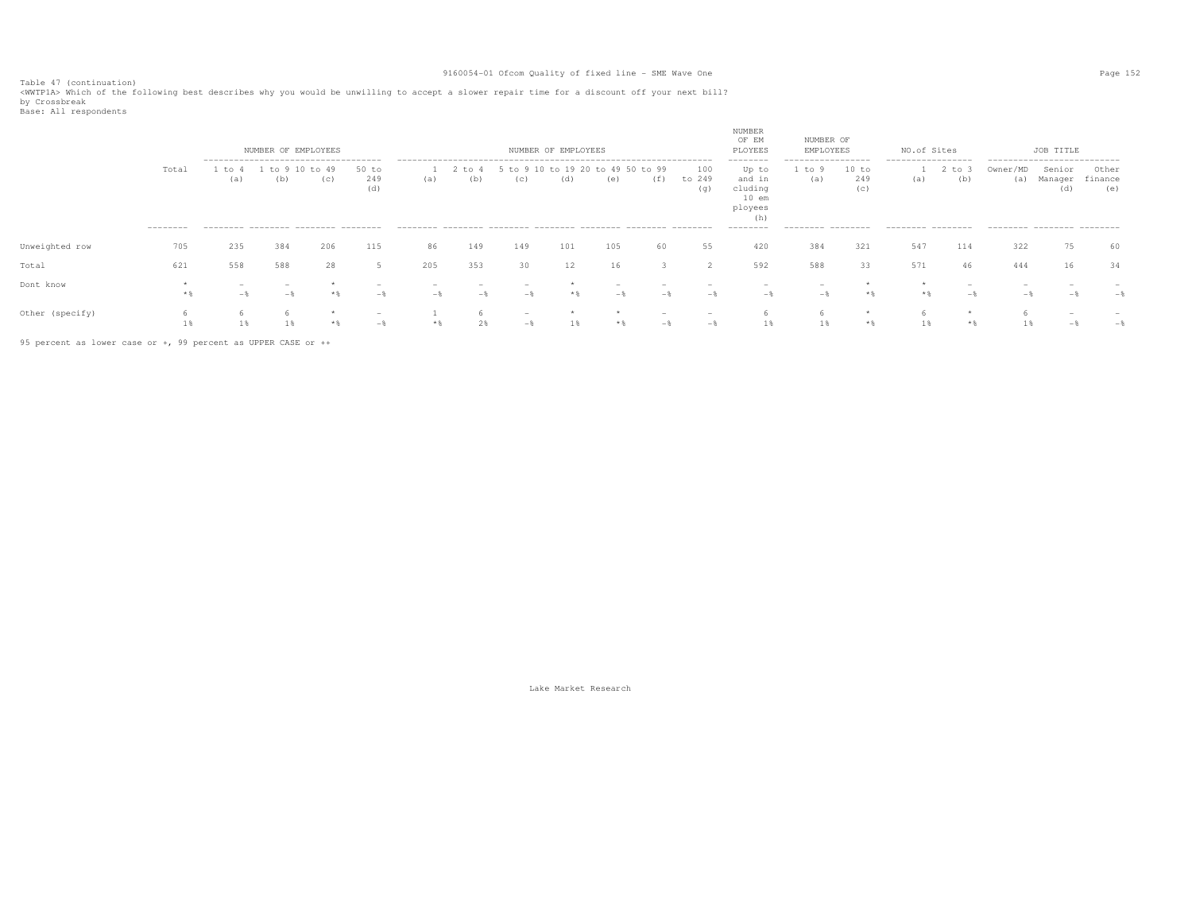Table 47 (continuation) <WWTP1A> Which of the following best describes why you would be unwilling to accept a slower repair time for a discount off your next bill? by Crossbreak<br>Base: All respondents

|                 |                    |             | NUMBER OF EMPLOYEES<br>-------------------------------------- |              |                     |     |               |                                          | NUMBER OF EMPLOYEES |           |           |                      | NUMBER<br>OF EM<br>PLOYEES<br>--------                        | NUMBER OF<br>EMPLOYEES<br>----------------- |                     | NO.of Sites<br>----------------- |           |                 | JOB TITLE<br>---------------------------                       |              |           |
|-----------------|--------------------|-------------|---------------------------------------------------------------|--------------|---------------------|-----|---------------|------------------------------------------|---------------------|-----------|-----------|----------------------|---------------------------------------------------------------|---------------------------------------------|---------------------|----------------------------------|-----------|-----------------|----------------------------------------------------------------|--------------|-----------|
|                 | Total<br>--------- | to -<br>(a) | to<br>(b)<br>--------- -------- ------- --------              | to 49<br>(c) | 50 to<br>249<br>(d) | (a) | : to 4<br>(b) | 5 to 9 10 to 19 20 to 49 50 to 99<br>(C) | (d)                 | (e)       | (f)       | 100<br>to 249<br>(q) | Up to<br>and in<br>cluding<br>$10$ em<br>ployees<br>--------- | to<br>(a)<br>--------- --------             | 10 to<br>249<br>(c) | (a)<br>--------- --------        | to<br>(b) | Owner/MD<br>(a) | Senior<br>Manager finance<br>(d)<br>--------- -------- ------- | Other<br>(e) |           |
| Unweighted row  | 705                | 235         | 384                                                           | 206          | 115                 | 86  | 149           | 149                                      | 101                 | 105       | 60        | 55                   | 420                                                           | 384                                         | 321                 | 547                              | 114       | 322             | 75                                                             | 60           |           |
| Total           | 621                | 558         | 588                                                           | 28           |                     | 205 | 353           | 30                                       | 12                  | 16        |           |                      | 592                                                           | 588                                         | 33                  | 571                              | 46        | 444             | 16                                                             | 34           |           |
| Dont know       |                    |             |                                                               |              |                     |     |               | $-$ %                                    |                     | $ \infty$ | $ \infty$ | $ \infty$            | $-x$                                                          | $ \infty$                                   | $*2$                |                                  | $-1$      |                 |                                                                |              | $ \infty$ |
| Other (specify) |                    |             |                                                               | $*$ &        | $ \infty$           |     |               | $-$ *                                    |                     |           | $ \pi$    | $ \infty$            |                                                               |                                             | $*$ &               |                                  |           |                 | $ \%$                                                          |              | $-$       |

95 percent as lower case or +, 99 percent as UPPER CASE or ++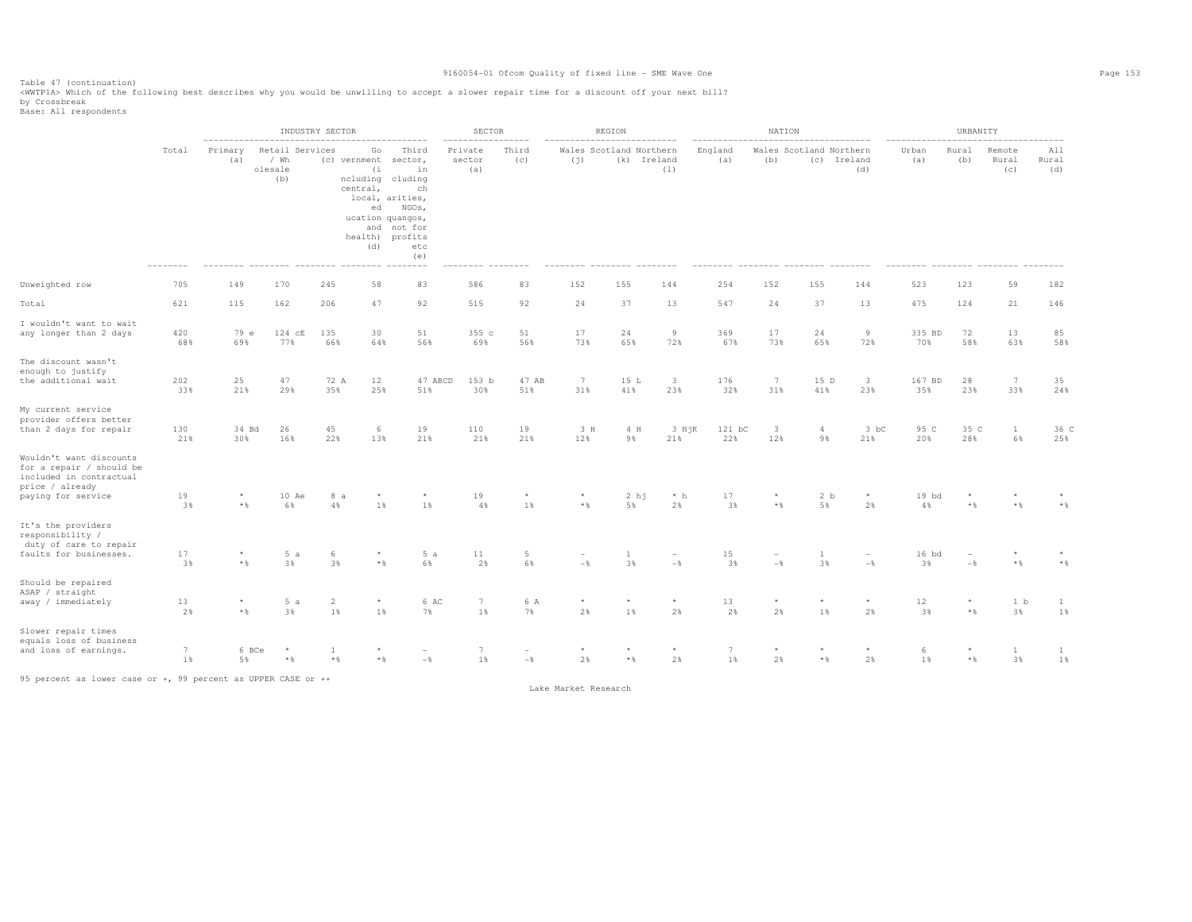Table 47 (continuation) <WWTP1A> Which of the following best describes why you would be unwilling to accept a slower repair time for a discount off your next bill?

by Crossbreak<br>Base: All respondents

|                                                                                                                         |                                 |                                   |                         | INDUSTRY SECTOR               |                                                               |                                                                                                                                                             | SECTOR                      |                 |                      | REGION                                 |                                 |                       | NATION                         |                                        |                      |                 | URBANITY                |                             |                                    |
|-------------------------------------------------------------------------------------------------------------------------|---------------------------------|-----------------------------------|-------------------------|-------------------------------|---------------------------------------------------------------|-------------------------------------------------------------------------------------------------------------------------------------------------------------|-----------------------------|-----------------|----------------------|----------------------------------------|---------------------------------|-----------------------|--------------------------------|----------------------------------------|----------------------|-----------------|-------------------------|-----------------------------|------------------------------------|
|                                                                                                                         | Total<br>--------<br>705<br>621 | Primary<br>(a)                    | / Wh<br>olesale<br>(b)  | Retail Services               | Go<br>(c) vernment<br>(i)<br>central,<br>ed<br>(d)<br>------- | Third<br>sector,<br>in<br>ncluding cluding<br>ch<br>local, arities,<br>NGOs,<br>ucation quangos,<br>and not for<br>health) profits<br>etc<br>(e)<br>------- | Private<br>sector<br>(a)    | Third<br>(c)    | (j)                  | Wales Scotland Northern<br>(k) Ireland | (1)                             | England<br>(a)        | (b)                            | Wales Scotland Northern<br>(c) Ireland | (d)                  | Urban<br>(a)    | Rural<br>(b)            | Remote<br>Rural<br>(c)      | A11<br>Rural<br>(d)                |
| Unweighted row                                                                                                          |                                 | 149                               | 170                     | 245                           | 58                                                            | 83                                                                                                                                                          | 586                         | 83              | 152                  | 155                                    | 144                             | 254                   | 152                            | 155                                    | 144                  | 523             | 123                     | 59                          | 182                                |
| Total                                                                                                                   |                                 | 115                               | 162                     | 206                           | 47                                                            | 92                                                                                                                                                          | 515                         | 92              | 24                   | 37                                     | 13                              | 547                   | 24                             | 37                                     | 13                   | 475             | 124                     | 21                          | 146                                |
| I wouldn't want to wait<br>any longer than 2 days                                                                       | 420<br>68%                      | 79 e<br>69%                       | 124 cE<br>77%           | 135<br>66%                    | 30<br>64%                                                     | 51<br>56%                                                                                                                                                   | 355 c<br>69%                | 51<br>56%       | 17<br>73%            | 24<br>65%                              | $\overline{9}$<br>72%           | 369<br>67%            | 17<br>73%                      | 24<br>65%                              | 9<br>72%             | 335 BD<br>70%   | 72<br>58%               | 13<br>63%                   | 85<br>58%                          |
| The discount wasn't<br>enough to justify<br>the additional wait                                                         | 202<br>33%                      | 25<br>21%                         | 47<br>29%               | 72 A<br>35%                   | 12<br>25%                                                     | 47 ABCD<br>51%                                                                                                                                              | 153 b<br>30%                | 47 AB<br>51%    | 7<br>31%             | 15 L<br>41%                            | $\mathbf{3}$<br>23%             | 176<br>32%            | $7\phantom{.0}$<br>31%         | 15 D<br>41%                            | 3<br>23%             | 167 BD<br>35%   | 28<br>23%               | $7\overline{ }$<br>33%      | 35<br>24%                          |
| My current service<br>provider offers better<br>than 2 days for repair                                                  | 130<br>21%                      | 34 Bd<br>30%                      | 26<br>16%               | 45<br>22%                     | 6<br>13%                                                      | 19<br>21%                                                                                                                                                   | 110<br>21%                  | 19<br>21%       | 3 H<br>12%           | 4 H<br>9%                              | $3 H \, K$<br>21%               | 121 bC<br>22%         | $\overline{\mathbf{3}}$<br>12% | $\overline{4}$<br>9%                   | 3 bC<br>21%          | 95 C<br>20%     | 35 C<br>28%             | $\mathbf{1}$<br>6%          | 36 C<br>25%                        |
| Wouldn't want discounts<br>for a repair / should be<br>included in contractual<br>price / already<br>paying for service | 19<br>3%                        | ${}^{\star}$<br>$*$ $\frac{6}{3}$ | 10 Ae<br>6%             | 4%                            | 8 a<br>1%                                                     | 1%                                                                                                                                                          | 19<br>4%                    | $\star$<br>1%   | $*$                  | 2 hj<br>5%                             | $*$ h<br>2%                     | 17<br>3%              | $^{\star}$<br>$*$              | 2 b<br>5%                              | $^{\star}$<br>2%     | $19$ $bd$<br>4% | $*$ &                   | $*$ &                       | $*$ &                              |
| It's the providers<br>responsibility /<br>duty of care to repair<br>faults for businesses.                              | 17                              |                                   | 5a                      | 6                             |                                                               | 5a                                                                                                                                                          | 11                          | 5               |                      | 1                                      |                                 | 15                    |                                | 1                                      | $\qquad \qquad -$    | 16 bd           |                         |                             |                                    |
| Should be repaired<br>ASAP / straight<br>away / immediately                                                             | 3%<br>13<br>2%                  | $*$ $\frac{6}{3}$<br>$*$          | 3%<br>5a<br>3%          | 3%<br>$\overline{2}$<br>$1\%$ | $*$ &<br>$\star$<br>1%                                        | 6%<br>6 AC<br>7%                                                                                                                                            | 2%<br>$7\phantom{.0}$<br>1% | 6%<br>6 A<br>7% | $-$<br>$\star$<br>2% | 3%<br>$\star$<br>1%                    | $-\frac{6}{6}$<br>$\star$<br>2% | 3%<br>13<br>2%        | $-$<br>$\star$<br>2%           | 3%<br>$\star$<br>1%                    | $-$<br>$\star$<br>2% | 3%<br>12<br>3%  | $-\frac{6}{5}$<br>$*$ & | $*$<br>1 <sub>b</sub><br>3% | $\star$ $\,$<br>$\mathbf{1}$<br>1% |
| Slower repair times<br>equals loss of business<br>and loss of earnings.                                                 | 7<br>1%                         | 6 BCe<br>5%                       | $\star$<br>$\star$ $\,$ | -1<br>$*$ &                   | * *                                                           | $-\frac{6}{5}$                                                                                                                                              | 7<br>1%                     | $-\frac{6}{6}$  | 2%                   | $\star$ &                              | $^{\star}$<br>2%                | $7\phantom{.0}$<br>1% | $\star$<br>2%                  | $\star$<br>$*$ &                       | $\star$<br>2%        | -6<br>1%        | * %                     | $\mathbf{1}$<br>3%          | 1<br>1%                            |

95 percent as lower case or +, 99 percent as UPPER CASE or ++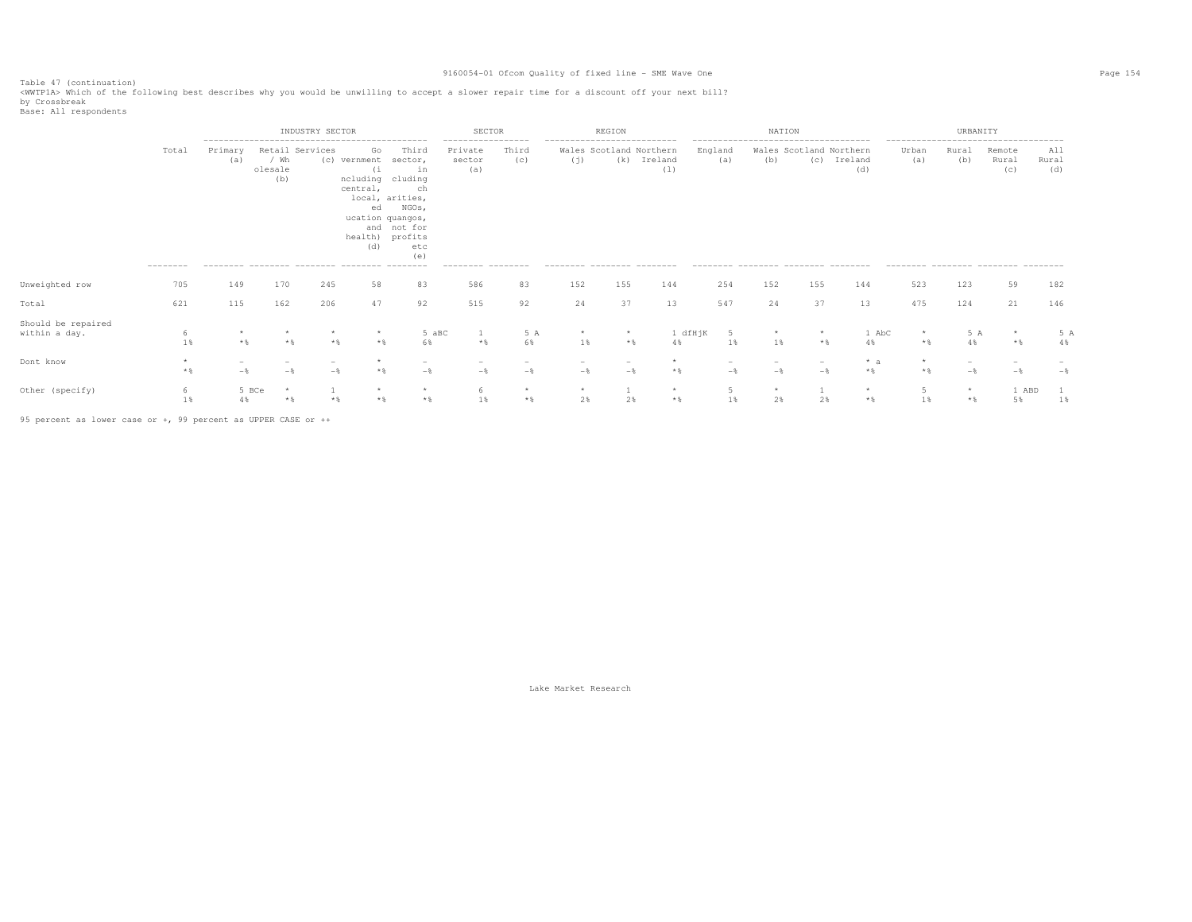Table 47 (continuation) <WWTP1A> Which of the following best describes why you would be unwilling to accept a slower repair time for a discount off your next bill?

by Crossbreak<br>Base: All respondents

|                                     |                  |                | INDUSTRY SECTOR        |                 |                                                                                            |                                                                                                          | SECTOR                                        |              |                                    | REGION                         |                  |                | NATION                                                                   |     |                    |              | URBANITY       |                                                                  |                     |
|-------------------------------------|------------------|----------------|------------------------|-----------------|--------------------------------------------------------------------------------------------|----------------------------------------------------------------------------------------------------------|-----------------------------------------------|--------------|------------------------------------|--------------------------------|------------------|----------------|--------------------------------------------------------------------------|-----|--------------------|--------------|----------------|------------------------------------------------------------------|---------------------|
|                                     | Total            | Primary<br>(a) | / Wh<br>olesale<br>(b) | Retail Services | Go<br>(c) vernment<br>(i)<br>ncluding cluding<br>central,<br>ed<br>ucation quangos,<br>(d) | Third<br>sector,<br>in<br>ch<br>local, arities,<br>NGOs,<br>and not for<br>health) profits<br>etc<br>(e) | -----------------<br>Private<br>sector<br>(a) | Third<br>(c) | ---------------------------<br>(j) | Wales Scotland Northern<br>(k) | Ireland<br>(1)   | England<br>(a) | --------------------------------------<br>Wales Scotland Northern<br>(b) | (C) | Ireland<br>(d)     | Urban<br>(a) | Rural<br>(b)   | --------------------------------------<br>Remote<br>Rural<br>(C) | A11<br>Rural<br>(d) |
| Unweighted row                      | ---------<br>705 | 149            | 170                    | 245             | 58                                                                                         | 83                                                                                                       | --------- -------<br>586                      | 83           | --------- -------- -------<br>152  | 155                            | 144              | 254            | --------- -------- ------- -------<br>152                                | 155 | 144                | 523          | 123            | --------- -------- -------- ------<br>59                         | 182                 |
| Total                               | 621              | 115            | 162                    | 206             | 47                                                                                         | 92                                                                                                       | 515                                           | 92           | 24                                 | 37                             | 13               | 547            | 24                                                                       | 37  | 13                 | 475          | 124            | 21                                                               | 146                 |
| Should be repaired<br>within a day. | h<br>1%          |                |                        | * %             | $\star$<br>$*$ $\frac{6}{3}$                                                               | 5 aBC<br>6%                                                                                              | $*$                                           | 5 A<br>6%    | $1$ %                              | $*$ &                          | 1 dfHjK<br>$4\%$ | -5<br>1%       | $1\%$                                                                    | $*$ | 1 AbC<br>4%        | * %          | 5 A<br>$4\%$   | $\star$<br>$*$                                                   | 5 A<br>4%           |
| Dont know                           | $*$              | $-$ 8          | $ \%$                  | $-$             | $*$ &                                                                                      | $-$                                                                                                      | $-$                                           | $-$          | $-$                                | $-$                            | $*$              | $-\frac{6}{9}$ | $-$                                                                      | $-$ | $* a$<br>$\star$ & | $*$ %        | $-$            | $-$                                                              | $-$ 8               |
| Other (specify)                     | 6<br>1           | 4%             | 5 BCe<br>$\star$       | $*$ &           | $\star$                                                                                    | $\star$<br>$*$                                                                                           | 1%                                            | $\star$      | $\star$<br>2%                      | 2%                             | $\star$<br>$*$   | 5<br>$1\%$     | $\star$<br>2%                                                            | 2%  | $\star$<br>* %     | 1%           | $\star$<br>$*$ | 1 ABD<br>5%                                                      | $1\%$               |

95 percent as lower case or +, 99 percent as UPPER CASE or ++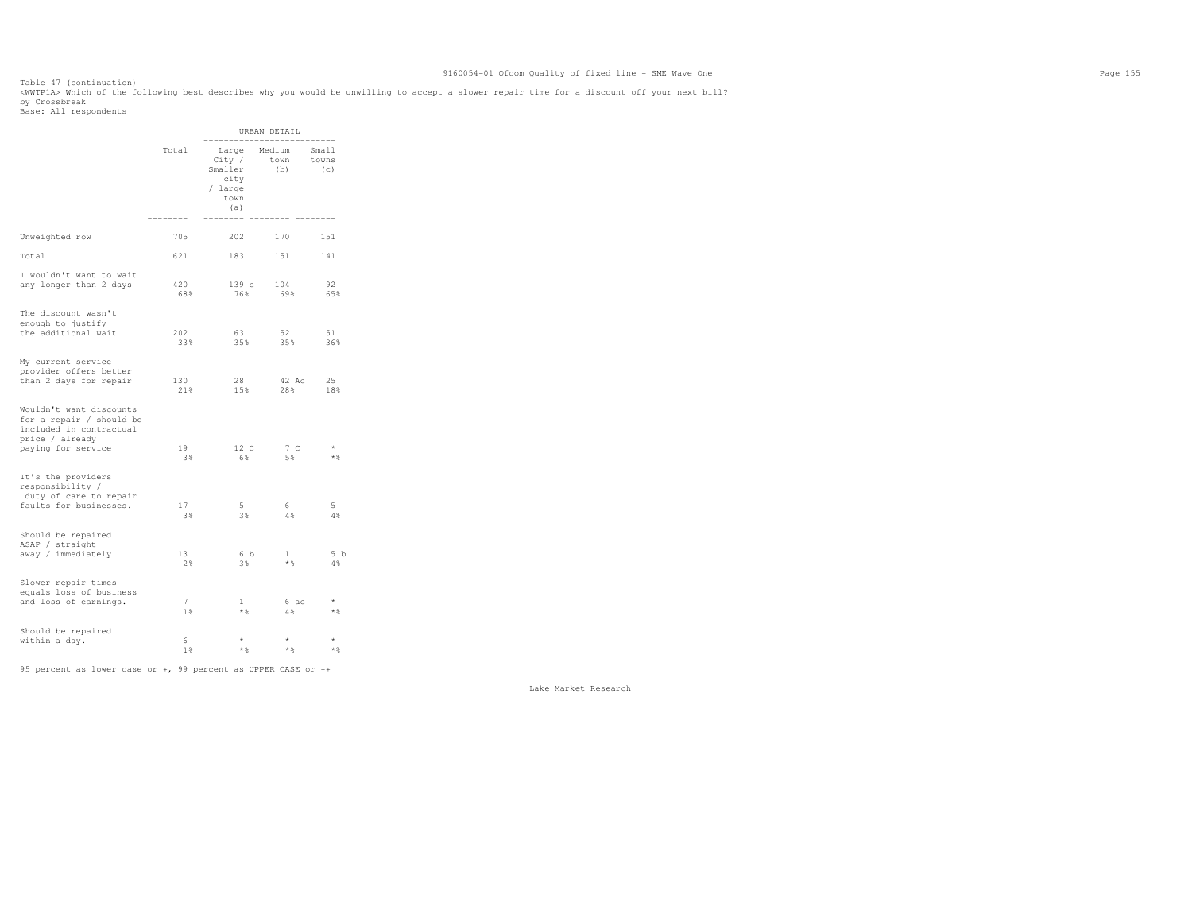Table 47 (continuation) <WWTP1A> Which of the following best describes why you would be unwilling to accept a slower repair time for a discount off your next bill? by Crossbreak Base: All respondents

 URBAN DETAIL -------------------------- Small Total Large Medium<br>City / town towns City / town towns<br>Smaller (b) (c) Smaller city / large town the contract of the contract of the contract of the contract of the contract of the contract of the contract of the contract of the contract of the contract of the contract of the contract of the contract of the contr  $(a)$  (a) -------- -------- -------- -------- Unweighted row 705 202 170 151 Total 621 183 151 141 I wouldn't want to wait any longer than 2 days 420 139 c 104 92 65% 68% 76% 69% 65% The discount wasn't enough to justify the additional wait 202 63 52 51 36% 33% 35% 35% 36% My current service provider offers better than 2 days for repair 130 28 42 Ac 25 18% 21% 15% 28% 18% Wouldn't want discounts for a repair / should be included in contractual price / already paying for service 19 12 C 7 C \*  $\star$   $\,$  $3\%$  5%  $5\%$   $3\%$  6%  $5\%$   $5\%$   $5\%$ It's the providers responsibility / duty of care to repair faults for businesses. 17 5 6 5  $4\,$   $\!$  3% 3% 4% 4% Should be repaired ASAP / straight away / immediately 13 6 b 1 5 b  $2\%$  3%  $\star$   $8$  4% 4% Slower repair times equals loss of business and loss of earnings.  $\begin{array}{ccc} 7 & 1 & 6 \text{ ac} \\ 18 & * \text{ } & 4\text{ } & \end{array}$  $\star$   $\,$ where the contract of  $1\%$  and  $1\%$  and  $1\%$  and  $1\%$  and  $1\%$  and  $1\%$  and  $1\%$  and  $1\%$  and  $1\%$  and  $1\%$  and  $1\%$  and  $1\%$  and  $1\%$  and  $1\%$  and  $1\%$  and  $1\%$  and  $1\%$  and  $1\%$  and  $1\%$  and  $1\%$  and Should be repaired within a day. 6 \* \* \*  $\star$   $\,$ 

 1% \*% \*% \*% 95 percent as lower case or +, 99 percent as UPPER CASE or ++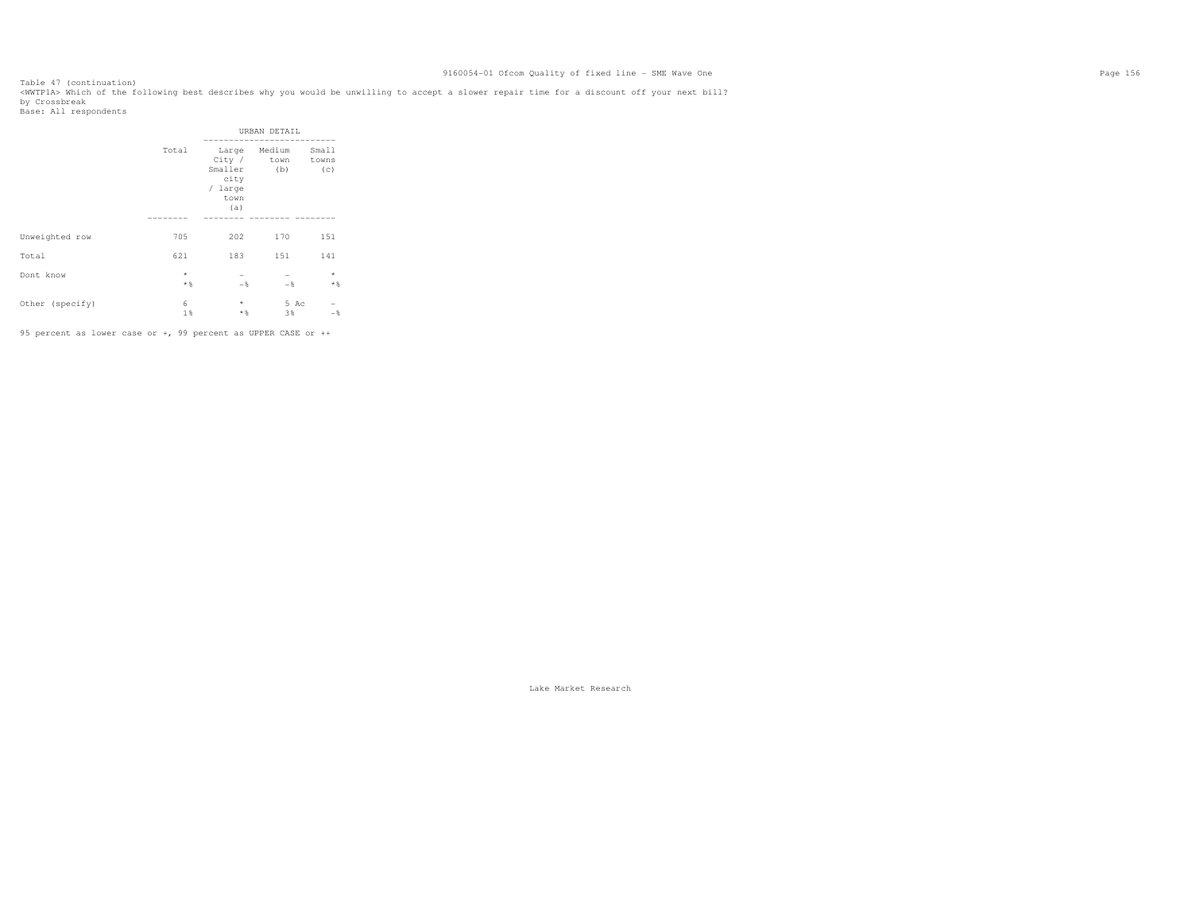Table 47 (continuation) <WWTP1A> Which of the following best describes why you would be unwilling to accept a slower repair time for a discount off your next bill? by Crossbreak<br>Base: All respondents

|                 |                     |                                           | URBAN DETAIL                             |                  |
|-----------------|---------------------|-------------------------------------------|------------------------------------------|------------------|
|                 | Total               | Smaller<br>city<br>/ large<br>town<br>(a) | Large Medium<br>City / town towns<br>(b) | Small<br>(c)     |
|                 |                     |                                           |                                          |                  |
| Unweighted row  | 705                 | 202                                       | 170                                      | 151              |
| Total           | 621                 | 183                                       | 151                                      | 141              |
| Dont know       | $^{\star}$<br>$*$ % | $-$                                       | $-$                                      | $\star$<br>$*$ % |
| Other (specify) | 6<br>1%             | $^{\star}$<br>$*$                         | 5 Ac<br>3%                               | $-$              |

95 percent as lower case or +, 99 percent as UPPER CASE or ++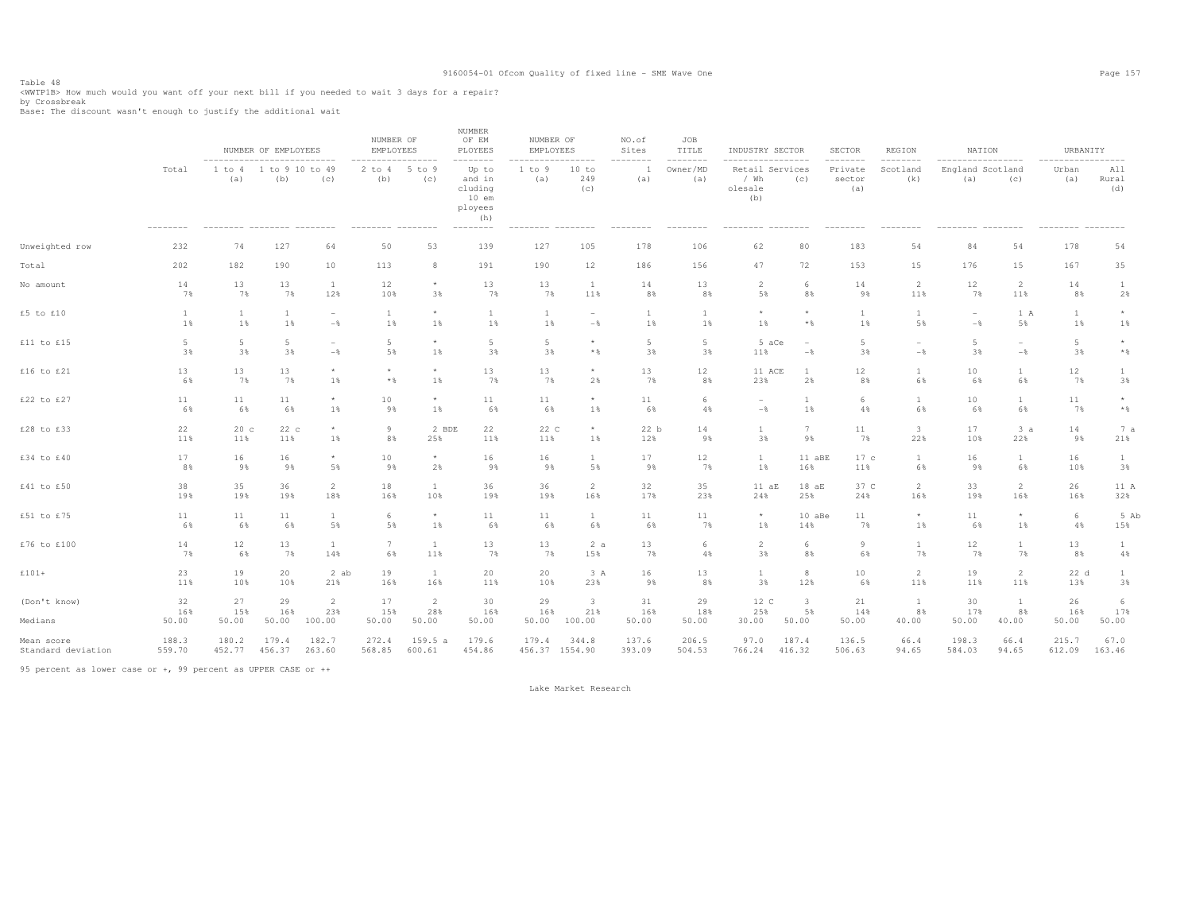Table 48<br><WWTP1B> How much would you want off your next bill if you needed to wait 3 days for a repair?<br>by Carachyark

by Crossbreak Base: The discount wasn't enough to justify the additional wait

|                         |                            |                                                                            | NUMBER OF EMPLOYEES |                                            | NUMBER OF<br>EMPLOYEES                                       |                                | <b>NUMBER</b><br>OF EM<br>PLOYEES<br>--------                          | NUMBER OF<br>EMPLOYEES<br>.         |                                          | NO.of<br>Sites<br>-------- | JOB<br>TITLE<br>-------- | INDUSTRY SECTOR<br>------------------                  |                                            | SECTOR<br>--------       | <b>REGION</b><br>--------   | NATION<br>------------------         |                                            | URBANITY<br>-----------------      |                         |
|-------------------------|----------------------------|----------------------------------------------------------------------------|---------------------|--------------------------------------------|--------------------------------------------------------------|--------------------------------|------------------------------------------------------------------------|-------------------------------------|------------------------------------------|----------------------------|--------------------------|--------------------------------------------------------|--------------------------------------------|--------------------------|-----------------------------|--------------------------------------|--------------------------------------------|------------------------------------|-------------------------|
|                         | Total<br>$- - - - - - - -$ | ---------------------------<br>1 to 4<br>(a)<br>--------- -------- ------- | $\mathbf{1}$<br>(b) | to 9 10 to 49<br>(c)                       | -----------------<br>$2$ to $4$<br>(b)<br>--------- -------- | $5$ to $9$<br>(c)              | Up to<br>and in<br>cluding<br>$10$ em<br>ployees<br>(h)<br>$---------$ | 1 to 9<br>(a)<br>--------- -------- | 10 to<br>249<br>(c)                      | (a)<br>--------            | Owner/MD<br>(a)          | Retail Services<br>/ Wh<br>olesale<br>(b)<br>--------- | (c)<br>$- - - - - - - -$                   | Private<br>sector<br>(a) | Scotland<br>(k)             | England Scotland<br>(a)<br>--------- | (c)<br>$- - - - - - - -$                   | Urban<br>(a)<br>--------- -------- | All<br>Rural<br>(d)     |
| Unweighted row          | 232                        | 74                                                                         | 127                 | 64                                         | 50                                                           | 53                             | 139                                                                    | 127                                 | 105                                      | 178                        | 106                      | 62                                                     | 80                                         | 183                      | 54                          | 84                                   | 54                                         | 178                                | 54                      |
| Total                   | 202                        | 182                                                                        | 190                 | 10                                         | 113                                                          | 8                              | 191                                                                    | 190                                 | 12                                       | 186                        | 156                      | 47                                                     | 72                                         | 153                      | 15                          | 176                                  | 15                                         | 167                                | 35                      |
| No amount               | 14                         | 13                                                                         | 13                  | $\mathbf{1}$                               | 12                                                           | $\star$                        | 13                                                                     | 13                                  | <b>1</b>                                 | 14                         | 13                       | 2                                                      | 6                                          | 14                       | $\overline{2}$              | 12                                   | $\overline{2}$                             | 14                                 | $\mathbf{1}$            |
|                         | 7%                         | 7%                                                                         | 7%                  | 12%                                        | 10%                                                          | 3%                             | 7%                                                                     | 7%                                  | 11%                                      | 8%                         | 8%                       | 5%                                                     | 8%                                         | 9%                       | 11%                         | 7%                                   | 11%                                        | 8%                                 | 2%                      |
| £5 to £10               | $\mathbf{1}$               | $\mathbf{1}$                                                               | $\mathbf{1}$        | $\overline{\phantom{0}}$                   | <b>1</b>                                                     | $\star$                        | $\mathbf{1}$                                                           | $\mathbf{1}$                        | $\overline{\phantom{m}}$                 | 1                          | $\overline{1}$           | $\star$                                                | $\star$                                    | $\mathbf{1}$             | $\overline{1}$              | $\overline{\phantom{a}}$             | 1 A                                        | $\mathbf{1}$                       | $\star$                 |
|                         | 1%                         | 1%                                                                         | 1%                  | $-$ 8                                      | $1\%$                                                        | 1%                             | $1\%$                                                                  | 1%                                  | $-\frac{6}{6}$                           | 1%                         | 1%                       | 1%                                                     | $\star$ $\,$                               | 1%                       | 5%                          | $-$                                  | 5%                                         | 1%                                 | 1%                      |
| £11 to £15              | $5\phantom{.0}$<br>3%      | 5<br>3%                                                                    | 5<br>3%             | $\overline{\phantom{a}}$<br>$-\frac{6}{6}$ | 5<br>5%                                                      | $\star$<br>1%                  | $\overline{5}$<br>3%                                                   | 5<br>3%                             | $^{\star}$<br>$*$ &                      | 5<br>3%                    | 5<br>3%                  | 5 aCe<br>11%                                           | $\overline{\phantom{a}}$<br>$-\frac{6}{6}$ | $5 -$<br>3%              | $-\frac{6}{6}$              | 5<br>3%                              | $\overline{\phantom{a}}$<br>$-\frac{6}{6}$ | $5\phantom{.0}$<br>3%              | $\star$<br>$\star$ $\,$ |
| £16 to £21              | 13                         | 13                                                                         | 13                  | $\star$                                    | $\star$                                                      | $\star$                        | 13                                                                     | 13                                  | $^{\star}$                               | 13                         | 12                       | 11 ACE                                                 | $\overline{1}$                             | 12                       | $\overline{1}$              | 10                                   | 1                                          | 12                                 | 1                       |
|                         | 6%                         | 7%                                                                         | 7%                  | $1\%$                                      | $*$ &                                                        | 1%                             | 7%                                                                     | 7%                                  | 2%                                       | 7%                         | 8%                       | 23%                                                    | 2%                                         | 8%                       | 6%                          | 6%                                   | 6%                                         | 7%                                 | 3%                      |
| £22 to £27              | 11                         | 11                                                                         | 11                  | $\star$                                    | $10$                                                         | $\star$                        | $1\,1$                                                                 | 11                                  | $^{\star}$                               | 11                         | 6                        | $\overline{\phantom{a}}$                               | $\overline{1}$                             | 6                        | $\overline{1}$              | 10                                   | $\overline{1}$                             | 11                                 | $^\star$                |
|                         | 6%                         | 6%                                                                         | 6%                  | $1\%$                                      | 9%                                                           | 1%                             | 6%                                                                     | 6%                                  | 1%                                       | 6%                         | 4%                       | $-\,$                                                  | 1%                                         | 4%                       | 6%                          | 6%                                   | 6%                                         | 7%                                 | $\star$ $\,$            |
| £28 to £33              | 22                         | 20c                                                                        | 22c                 | $\star$                                    | 9                                                            | 2 BDE                          | 22                                                                     | 22 C                                | $\star$                                  | 22 b                       | 14                       | <sup>1</sup>                                           | 7                                          | 11                       | 3                           | 17                                   | 3a                                         | 14                                 | 7 a                     |
|                         | 11%                        | 11%                                                                        | 11%                 | $1\%$                                      | 8%                                                           | 25%                            | 11%                                                                    | 11%                                 | 1%                                       | 12%                        | 9%                       | 3%                                                     | 9%                                         | 7%                       | 22%                         | 10%                                  | 22%                                        | 9%                                 | 21%                     |
| £34 to £40              | 17                         | 16                                                                         | 16                  | $\star$                                    | 10                                                           | $\star$                        | 16                                                                     | 16                                  | $\mathbf{1}$                             | 17                         | 12                       | $\mathbf{1}$                                           | 11 aBE                                     | 17c                      | 1                           | 16                                   | $\mathbf{1}$                               | 16                                 | $\mathbf{1}$            |
|                         | 8%                         | 9%                                                                         | 9%                  | 5%                                         | 9%                                                           | 2%                             | 9%                                                                     | 9%                                  | 5%                                       | 9%                         | 7%                       | 1%                                                     | 16%                                        | 11%                      | 6%                          | 9%                                   | 6%                                         | 10%                                | 3%                      |
| £41 to £50              | 38                         | 35                                                                         | 36                  | $\overline{2}$                             | 18                                                           | -1                             | 36                                                                     | 36                                  | 2                                        | 32                         | 35                       | 11aE                                                   | 18aE                                       | 37 C                     | $\overline{2}$              | 33                                   | 2                                          | 26                                 | 11 A                    |
|                         | 19%                        | 19%                                                                        | 19%                 | 18%                                        | 16%                                                          | 10%                            | 19%                                                                    | 19%                                 | 16%                                      | 17%                        | 23%                      | 24%                                                    | 25%                                        | 24%                      | 16%                         | 19%                                  | 16%                                        | 16%                                | 32%                     |
| £51 to £75              | 11                         | 11                                                                         | 11                  | $\mathbf{1}$                               | 6                                                            | $\star$                        | 11                                                                     | 11                                  | $\mathbf{1}$                             | 11                         | 11                       | $\star$                                                | 10 aBe                                     | 11                       | $\star$                     | 11                                   | $\star$                                    | $6\,$                              | 5 Ab                    |
|                         | 6%                         | 6%                                                                         | 6%                  | 5%                                         | 5%                                                           | 1%                             | 6%                                                                     | 6%                                  | 6%                                       | 6%                         | 7%                       | 1%                                                     | 14%                                        | 7%                       | 1%                          | 6%                                   | 1%                                         | 4%                                 | 15%                     |
| £76 to £100             | 14                         | 12                                                                         | 13                  | $\mathbf{1}$                               | 7                                                            | <sup>1</sup>                   | 13                                                                     | 13                                  | 2a                                       | 13                         | 6                        | $\overline{2}$                                         | 6                                          | 9                        | $\mathbf{1}$                | 12                                   | $\mathbf{1}$                               | 13                                 | $\mathbf{1}$            |
|                         | 7%                         | 6%                                                                         | 7%                  | 14%                                        | 6%                                                           | 11%                            | 7%                                                                     | 7%                                  | 15%                                      | 7%                         | 4%                       | 3%                                                     | 8%                                         | 6%                       | 7%                          | 7%                                   | 7%                                         | 8%                                 | 4%                      |
| $£101+$                 | 23                         | 19                                                                         | 20                  | 2 ab                                       | 19                                                           | <sup>1</sup>                   | 20                                                                     | 20                                  | 3 A                                      | 16                         | 13                       | <sup>1</sup>                                           | 8                                          | 10 <sup>°</sup>          | $\overline{2}$              | 19                                   | 2                                          | 22 d                               | $\mathbf{1}$            |
|                         | 11%                        | 10%                                                                        | 10%                 | 21%                                        | 16%                                                          | 16%                            | 11%                                                                    | 10%                                 | 23%                                      | 9%                         | 8%                       | 3%                                                     | 12%                                        | 6%                       | 11%                         | 11%                                  | 11%                                        | 13%                                | 3%                      |
| (Don't know)<br>Medians | 32<br>16%<br>50.00         | 27<br>15%<br>50.00                                                         | 29<br>16%<br>50.00  | $\overline{2}$<br>23%<br>100.00            | 17<br>15%<br>50.00                                           | $\overline{2}$<br>28%<br>50.00 | 30<br>16%<br>50.00                                                     | 29<br>16%<br>50.00                  | $\overline{\mathbf{3}}$<br>21%<br>100.00 | 31<br>16%<br>50.00         | 29<br>18%<br>50.00       | 12 C<br>25%<br>30.00                                   | $\overline{\mathbf{3}}$<br>5%<br>50.00     | 21<br>14%<br>50.00       | $\mathbf{1}$<br>8%<br>40.00 | 30<br>17%<br>50.00                   | <sup>1</sup><br>8%<br>40.00                | 26<br>16%<br>50.00                 | 6<br>17%<br>50.00       |
| Mean score              | 188.3                      | 180.2                                                                      | 179.4               | 182.7                                      | 272.4                                                        | 159.5a                         | 179.6                                                                  | 179.4                               | 344.8                                    | 137.6                      | 206.5                    | 97.0                                                   | 187.4                                      | 136.5                    | 66.4                        | 198.3                                | 66.4                                       | 215.7                              | 67.0                    |
| Standard deviation      | 559.70                     | 452.77                                                                     | 456.37              | 263.60                                     | 568.85                                                       | 600.61                         | 454.86                                                                 | 456.37 1554.90                      |                                          | 393.09                     | 504.53                   | 766.24                                                 | 416.32                                     | 506.63                   | 94.65                       | 584.03                               | 94.65                                      | 612.09                             | 163.46                  |

95 percent as lower case or +, 99 percent as UPPER CASE or ++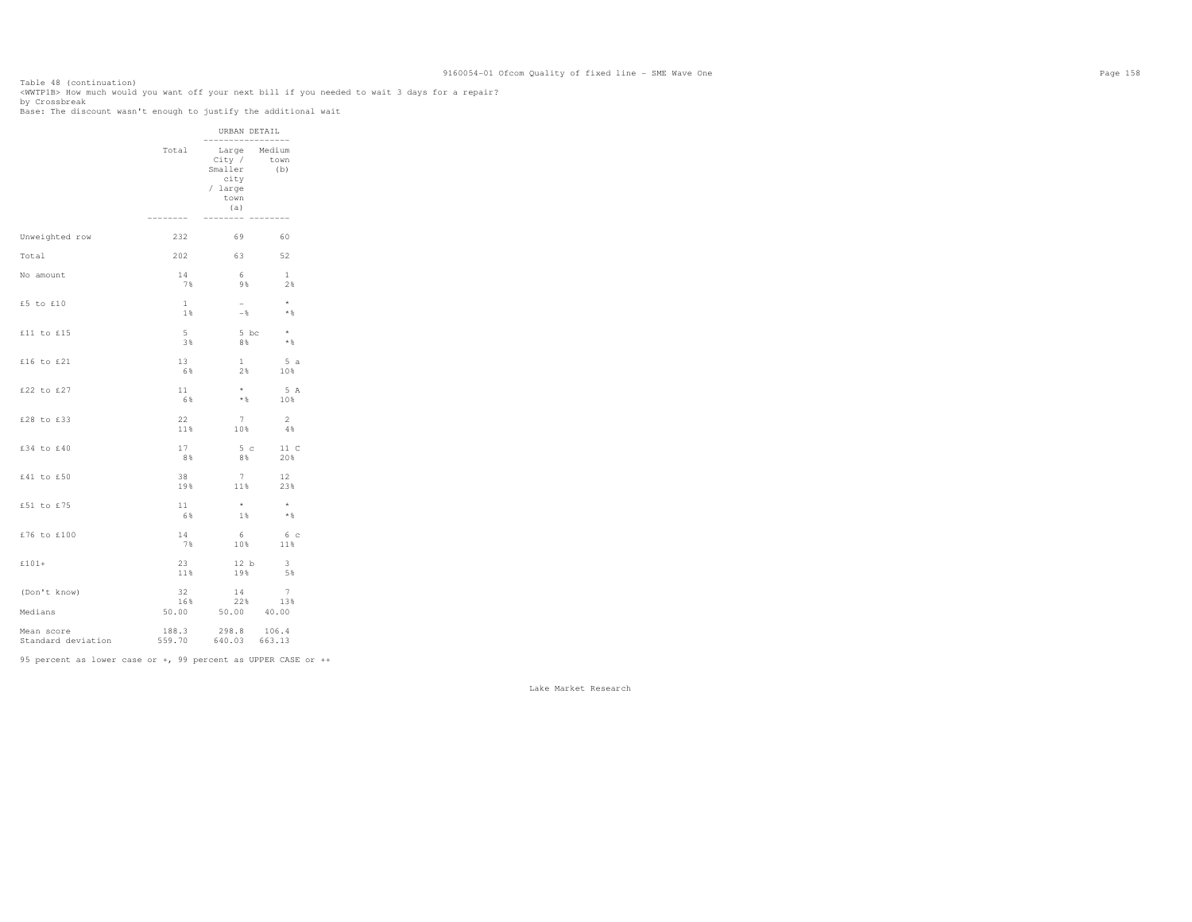Table 48 (continuation) <WWTP1B> How much would you want off your next bill if you needed to wait 3 days for a repair?

by Crossbreak Base: The discount wasn't enough to justify the additional wait

|                                  |              | URBAN DETAIL<br>----------                                                     | --------       |
|----------------------------------|--------------|--------------------------------------------------------------------------------|----------------|
|                                  | Total        | Large Medium<br>City /<br>Smaller<br>city<br>/ large<br>town<br>(a)<br>------- | town<br>(b)    |
|                                  | 232          | 69                                                                             | 60             |
| Unweighted row                   |              |                                                                                |                |
| Total                            | 202          | 63                                                                             | 52             |
| No amount                        | 14           | 6                                                                              | 1              |
|                                  | 7%           | 9%                                                                             | 2%             |
| £5 to £10                        | $\mathbf{1}$ | $-$                                                                            | $\star$        |
|                                  | 1%           | $ \frac{6}{5}$                                                                 | $*$ %          |
| £11 to £15                       | $5 -$        | 5 bc                                                                           | $\star$        |
|                                  | 3%           | 8%                                                                             | $*$ %          |
| £16 to £21                       | 13           | $\mathbf{1}$                                                                   | 5a             |
|                                  | 6%           | $2\%$                                                                          | 10%            |
| £22 to £27                       | 11           | $\star$                                                                        | 5 A            |
|                                  | 6%           | $*$ &                                                                          | 10%            |
| £28 to £33                       | 22           | 7                                                                              | <sup>2</sup>   |
|                                  | 11%          | 10%                                                                            | 4%             |
| £34 to £40                       | 17           | 5 <sub>c</sub>                                                                 | 11 C           |
|                                  | 8%           | 8%                                                                             | 20%            |
| £41 to £50                       | 38           | 7                                                                              | 12             |
|                                  | 19%          | 11%                                                                            | 23%            |
| £51 to £75                       | 11           | $\star$                                                                        | $\star$        |
|                                  | 6%           | 1%                                                                             | $*$ &          |
| £76 to £100                      | 14           | - 6                                                                            | 6 с            |
|                                  | 7%           | 10%                                                                            | 11%            |
| £101+                            | 23           | 12 b                                                                           | 3              |
|                                  | 11%          | 19%                                                                            | 5%             |
| (Don't know)                     | 32           | 14                                                                             | $7\phantom{.}$ |
|                                  | 16%          | 22%                                                                            | 13%            |
| Medians                          |              | 50.00 50.00 40.00                                                              |                |
| Mean score<br>Standard deviation | 188.3        | 298.8<br>559.70 640.03 663.13                                                  | 106.4          |

95 percent as lower case or +, 99 percent as UPPER CASE or ++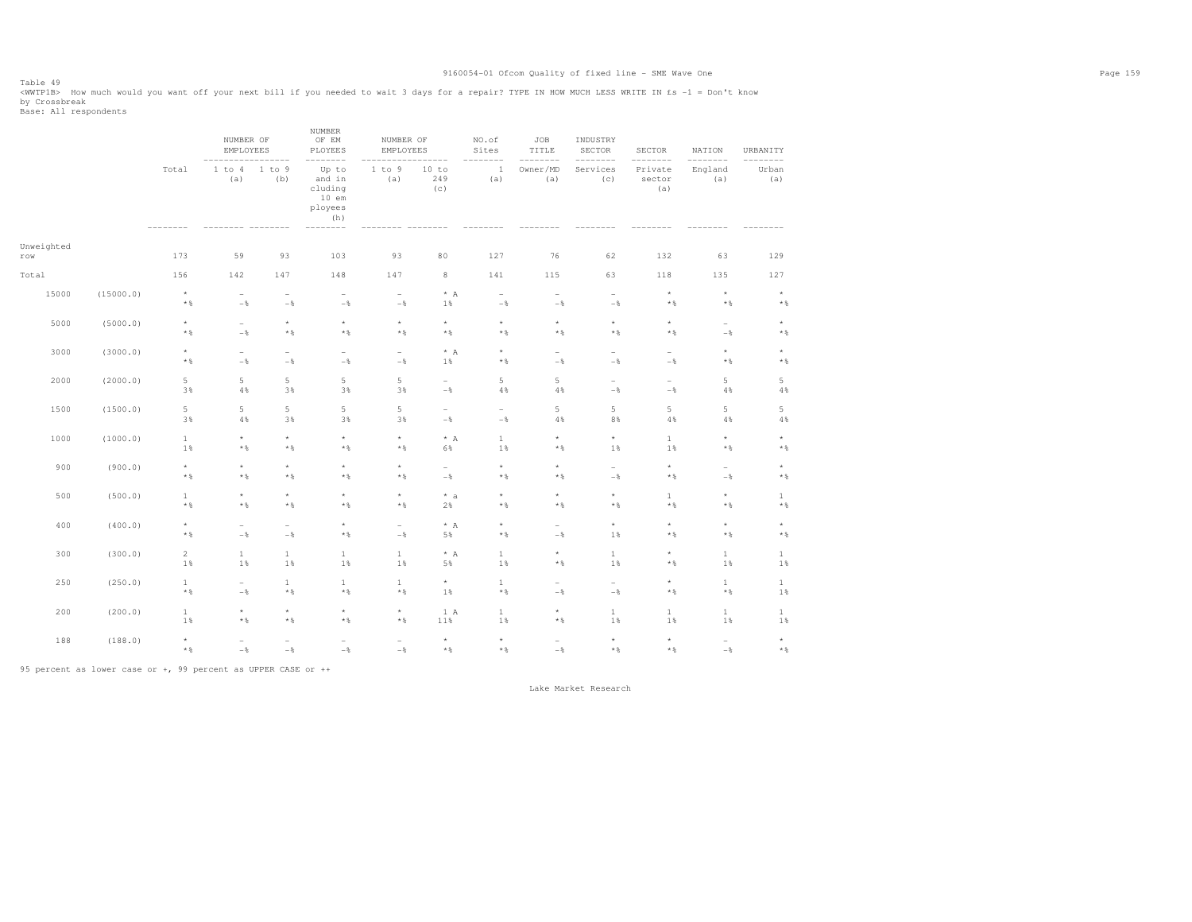Table 49 <WWTP1B> How much would you want off your next bill if you needed to wait 3 days for a repair? TYPE IN HOW MUCH LESS WRITE IN £s -1 = Don't know by Crossbreak Base: All respondents

 NUMBER OF EM NUMBER OF OF EM NUMBER OF NO.of JOB INDUSTRY EMPLOYEES PLOYEES EMPLOYEES Sites TITLE SECTOR SECTOR NATION URBANITY ----------------- -------- ----------------- -------- -------- -------- -------- -------- -------- Urban Total 1 to 4 1 to 9 Up to 1 to 9 10 to 1 Owner/MD Services Private England Urban  $(a)$  (a) (b) and in (a) 249 (a) (a) (c) sector (a) (a) cluding (c) (a) (a) 10 em ployees (h)  $------ -$  -------- -------- -------- -------- -------- -------- -------- -------- -------- -------- -------- -------- Unweighted row 173 59 93 103 93 80 127 76 62 132 63 129 Total 156 142 147 148 147 8 141 115 63 118 135 127 15000 (15000.0) \* - - - - \* A - - - \* \* \*  $\star$   $\,$  \*% -% -% -% -% 1% -% -% -% \*% \*% \*% 5000 (5000.0) \* - \* \* \* \* \* \* \* \* - \*  $\star$   $\,$  \*% -% \*% \*% \*% \*% \*% \*% \*% \*% -% \*% 3000 (3000.0) \* - - - - \* A \* - - - \* \*  $\star$   $\,$  \*% -% -% -% -% 1% \*% -% -% -% \*% \*% 2000 (2000.0) 5 5 5 5 5 - 5 5 - - 5 5  $4\,$  3% 4% 3% 3% 3% -% 4% 4% -% -% 4% 4% 1500 (1500.0) 5 5 5 5 5 - - 5 5 5 5 5  $4%$  3% 4% 3% 3% 3% -% -% 4% 8% 4% 4% 4% 1000 (1000.0) 1 \* \* \* \* \* A 1 \* \* 1 \* \*  $\star$   $\,$  1% \*% \*% \*% \*% 6% 1% \*% 1% 1% \*% \*% 900 (900.0) \* \* \* \* \* - \* \* - \* - \*  $\star$   $\,$  \*% \*% \*% \*% \*% -% \*% \*% -% \*% -% \*% 500 (500.0) 1 \* \* \* \* \* a \* \* \* 1 \* 1  $\star$   $\,$ \* \*% \*% \*% \*% \*% 2% \*% \*% \*% \*% \*% \*% \*% \*% 400 (400.0) \* - - \* - \* A \* - \* \* \* \*  $\star$   $\,$  \*% -% -% \*% -% 5% \*% -% 1% \*% \*% \*% 300 (300.0) 2 1 1 1 1 \* A 1 \* 1 \* 1 1  $1\,$   $\!$  1% 1% 1% 1% 1% 5% 1% \*% 1% \*% 1% 1% 250 (250.0) 1 - 1 1 1 \* 1 - - \* 1 1  $1\,$   $\!$  \*% -% \*% \*% \*% 1% \*% -% -% \*% \*% 1% 200 (200.0) 1 \* \* \* \* \* 1A 1 \* 1 1 1 1  $1%$  1% \*% \*% \*% \*% 11% 1% \*% 1% 1% 1% 1% 188 (188.0) \* - - - - \* \* - \* \* - \*  $\star$   $\,$ \*% -% -% -% -% \*% \*% -% \*% \*% -% \*%

95 percent as lower case or +, 99 percent as UPPER CASE or ++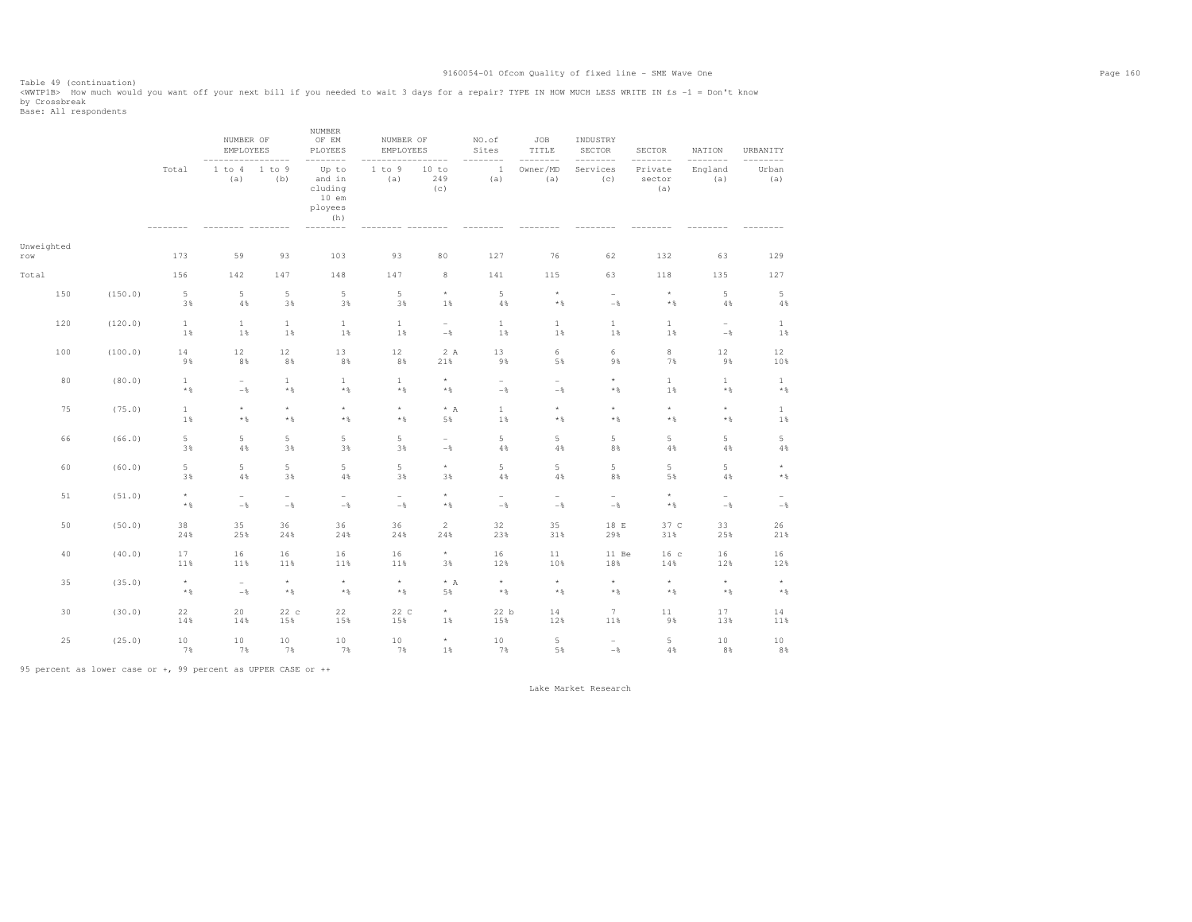Table 49 (continuation)<br><WWTP1B> How much would you want off your next bill if you needed to wait 3 days for a repair? TYPE IN HOW MUCH LESS WRITE IN £s -1 = Don't know by Crossbreak<br>Base: All respondents

|                   |         |                          | NUMBER OF<br><b>EMPLOYEES</b>     | -------                              | NUMBER<br>OF EM<br>PLOYEES<br>--------                             | NUMBER OF<br>EMPLOYEES          | $- - - - -$                     | NO.of<br>Sites                       | JOB<br>TITLE<br>$- - -$  | INDUSTRY<br>SECTOR<br>---------   | SECTOR<br>--------       | NATION<br>$- - - -$<br>$---$        | URBANITY<br>---------                |
|-------------------|---------|--------------------------|-----------------------------------|--------------------------------------|--------------------------------------------------------------------|---------------------------------|---------------------------------|--------------------------------------|--------------------------|-----------------------------------|--------------------------|-------------------------------------|--------------------------------------|
|                   |         | Total                    | 1 to 4<br>(a)                     | 1 to 9<br>(b)                        | Up to<br>and in<br>cluding<br>$10$ em<br>ployees<br>(h)<br>------- | 1 to 9<br>(a)                   | 10 to<br>249<br>(c)             | $\mathbf{1}$<br>(a)                  | Owner/MD<br>(a)          | Services<br>(c)                   | Private<br>sector<br>(a) | England<br>(a)                      | Urban<br>(a)                         |
| Unweighted<br>row |         | 173                      | 59                                | 93                                   | 103                                                                | 93                              | 80                              | 127                                  | 76                       | 62                                | 132                      | 63                                  | 129                                  |
| Total             |         | 156                      | 142                               | 147                                  | 148                                                                | 147                             | 8                               | 141                                  | 115                      | 63                                | 118                      | 135                                 | 127                                  |
| 150               | (150.0) | 5<br>3%                  | $5\phantom{.0}$<br>$4\%$          | $\overline{5}$<br>3%                 | 5<br>3%                                                            | $\overline{5}$<br>3%            | $^\star$<br>1%                  | 5<br>4%                              | $^\star$<br>$\star$ $\,$ | $\sim$<br>$-\frac{6}{5}$          | $^\star$<br>$\star$ $\,$ | 5<br>4%                             | $\mathsf S$<br>$4\,$                 |
| 120               | (120.0) | $\mathbf{1}$<br>1%       | $\mathbf{1}$<br>1%                | 1<br>1%                              | $\mathbf{1}$<br>1%                                                 | $\mathbf{1}$<br>1%              | $\sim$<br>$-\,$                 | $\mathbf{1}$<br>1%                   | $\mathbf{1}$<br>1%       | $\mathbf{1}$<br>1%                | $\mathbf{1}$<br>1%       | $\overline{\phantom{a}}$<br>$-$     | $\mathbf{1}$<br>1%                   |
| 100               | (100.0) | 14<br>9%                 | 12<br>8%                          | 12<br>8%                             | 13<br>8%                                                           | 12<br>8%                        | 2 A<br>21%                      | 13<br>9%                             | 6<br>5%                  | 6<br>9%                           | $\,$ 8<br>7%             | 12<br>9%                            | 12<br>10%                            |
| 80                | (80.0)  | $\mathbf{1}$<br>$*$ %    | $\sim$<br>$-$                     | $\mathbf{1}$<br>$\star$ $\,$         | $\mathbf{1}$<br>$\star$ $\,$                                       | $1\,$<br>$*$ %                  | $^\star$<br>$*$ &               | $\sim$<br>$-\,$                      | ۰<br>$-$                 | $^\star$<br>$\star$ $\,$          | $1\,$<br>1%              | $\mathbf{1}$<br>$\star$ $\,$        | $\mathbf{1}$<br>$\star$ $\,$         |
| 75                | (75.0)  | $\mathbf{1}$<br>1%       | $^\star$<br>$\star$ $\,$          | $^\star$<br>$\star$ $\,$             | $^\star$<br>$\star$ $\,$                                           | $^\star$<br>$\star$ $\,$        | $* A$<br>5%                     | $1\,$<br>1%                          | $\star$<br>$*$ %         | $^\star$<br>$\star$ $\,$          | $^\star$<br>$\star$ $\,$ | $^\star$<br>$\star$ $\,$            | $\mathbf{1}$<br>1%                   |
| 66                | (66.0)  | 5<br>3%                  | 5<br>4%                           | 5<br>3%                              | 5<br>3%                                                            | 5<br>3%                         | $\overline{\phantom{0}}$<br>$-$ | 5<br>4%                              | 5<br>4%                  | 5<br>8%                           | 5<br>4%                  | 5<br>4%                             | 5<br>$4\,$                           |
| 60                | (60.0)  | 5<br>3%                  | $\,$ 5 $\,$<br>$4\%$              | 5<br>3%                              | 5<br>$4\,$                                                         | $\overline{5}$<br>3%            | $^\star$<br>3%                  | 5<br>$4\,$                           | 5<br>4%                  | 5<br>8%                           | 5<br>5%                  | 5<br>$4\,$                          | $^\star$<br>$\star$ $\,$             |
| 51                | (51.0)  | $\star$<br>$\star$ $\,$  | $\overline{\phantom{a}}$<br>$-\,$ | $\overline{\phantom{a}}$<br>$-\, \%$ | $\overline{\phantom{a}}$<br>$-\,$                                  | $\overline{\phantom{a}}$<br>$-$ | $\star$<br>$\star$ $\,$         | $\overline{\phantom{a}}$<br>$-\, \%$ | ÷<br>$-$                 | $\overline{\phantom{a}}$<br>$-\,$ | $^\star$<br>$\star$ $\,$ | $\overline{\phantom{a}}$<br>$-\,$ % | $\overline{\phantom{a}}$<br>$-\, \%$ |
| 50                | (50.0)  | 38<br>24%                | 35<br>25%                         | 36<br>24%                            | 36<br>24%                                                          | 36<br>24%                       | 2<br>24%                        | 32<br>23%                            | 35<br>31%                | 18 E<br>29%                       | 37 C<br>31%              | 33<br>25%                           | 26<br>21%                            |
| 40                | (40.0)  | 17<br>11%                | 16<br>11%                         | 16<br>11%                            | 16<br>11%                                                          | 16<br>11%                       | $\star$<br>3%                   | 16<br>12%                            | 11<br>10%                | 11 Be<br>18%                      | 16 <sub>c</sub><br>14%   | 16<br>12%                           | 16<br>12%                            |
| 35                | (35.0)  | $^\star$<br>$\star$ $\,$ | $ \,$<br>$-\,$                    | $\star$<br>$\star$ $\,$              | $^\star$<br>$\star$ $\,$                                           | $^\star$<br>$\star$ $\,$        | $\star$ A<br>5%                 | $^\star$<br>$\star$ $\,$             | $^\star$<br>$\star$ $\,$ | $^\star$<br>$\star$ $\,$          | $^\star$<br>$\star$ $\,$ | $^\star$<br>$\star$ $\,$            | $^\star$<br>$\star$ $\,$             |
| 30                | (30.0)  | 22<br>14%                | 20<br>14%                         | 22c<br>15%                           | 22<br>15%                                                          | 22 C<br>15%                     | $\star$<br>1%                   | 22 b<br>15%                          | 14<br>12%                | $7\overline{ }$<br>11%            | $1\,1$<br>9%             | 17<br>13%                           | 14<br>11%                            |
| 25                | (25.0)  | 10<br>7%                 | 10<br>7%                          | 10<br>7%                             | 10<br>7%                                                           | 10<br>7%                        | $^\star$<br>1%                  | 10<br>7%                             | 5<br>5%                  | $\overline{\phantom{a}}$<br>$-\,$ | 5<br>4%                  | $10$<br>8%                          | 10<br>8%                             |

95 percent as lower case or +, 99 percent as UPPER CASE or ++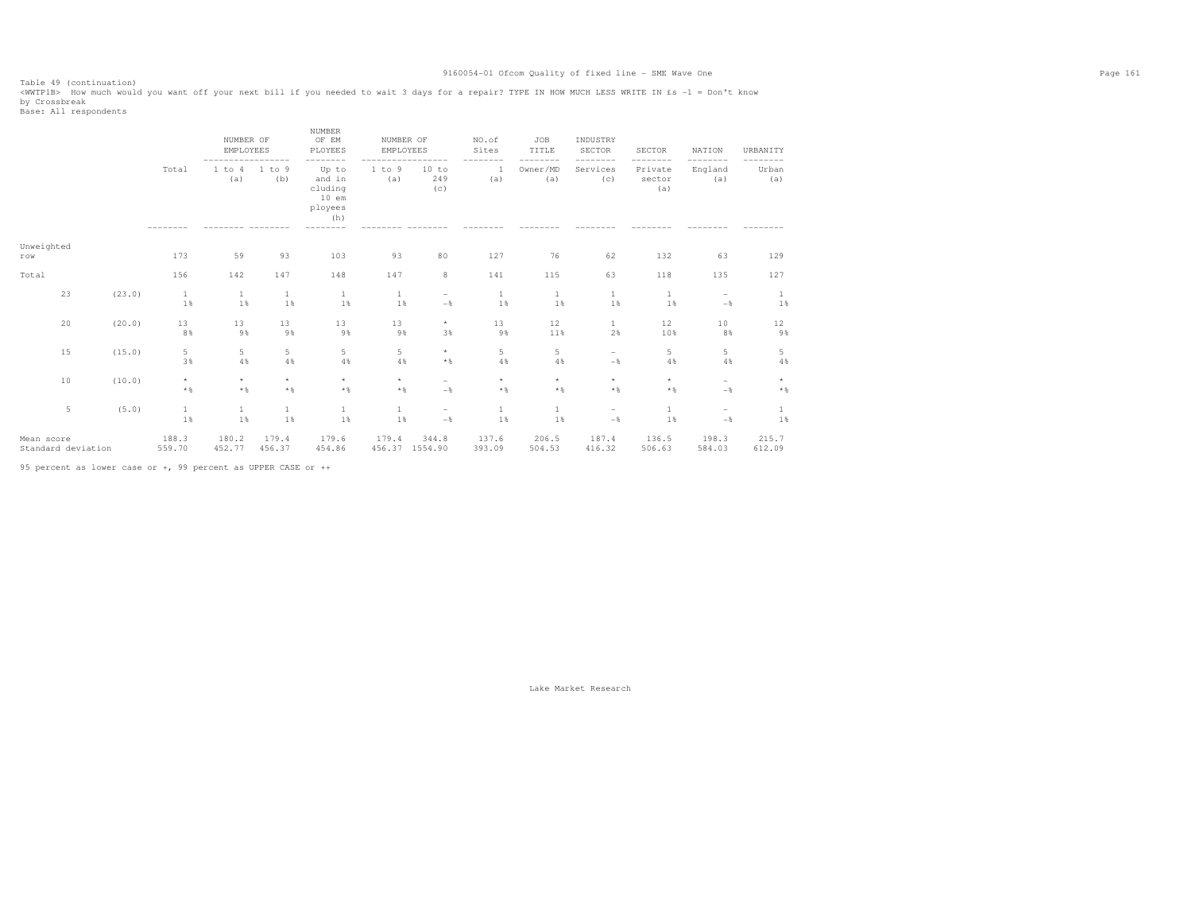Table 49 (continuation)<br><WWTP1B> How much would you want off your next bill if you needed to wait 3 days for a repair? TYPE IN HOW MUCH LESS WRITE IN £s -1 = Don't know by Crossbreak<br>Base: All respondents

|                                  |    |        |                         | NUMBER OF<br><b>EMPLOYEES</b><br>----------------- |                         | <b>NUMBER</b><br>OF EM<br>PLOYEES<br>--------           | NUMBER OF<br>EMPLOYEES  | -----                           | NO.of<br>Sites<br>$- - -$<br>----- | JOB<br>TITLE<br>----<br>---- | INDUSTRY<br><b>SECTOR</b><br>-------- | <b>SECTOR</b><br>-------- | <b>NATION</b><br>--------       | URBANITY<br>--------    |
|----------------------------------|----|--------|-------------------------|----------------------------------------------------|-------------------------|---------------------------------------------------------|-------------------------|---------------------------------|------------------------------------|------------------------------|---------------------------------------|---------------------------|---------------------------------|-------------------------|
|                                  |    |        | Total                   | 1 to 4<br>(a)                                      | 1 to 9<br>(b)           | Up to<br>and in<br>cluding<br>$10$ em<br>ployees<br>(h) | 1 to 9<br>(a)           | 10 to<br>249<br>(c)             | 1<br>(a)                           | Owner/MD<br>(a)              | Services<br>(C)                       | Private<br>sector<br>(a)  | England<br>(a)                  | Urban<br>(a)            |
| Unweighted<br>$r \, \hbox{O}$ W  |    |        | 173                     | 59                                                 | 93                      | 103                                                     | 93                      | 80                              | 127                                | 76                           | 62                                    | 132                       | 63                              | 129                     |
| Total                            |    |        | 156                     | 142                                                | 147                     | 148                                                     | 147                     | 8                               | 141                                | 115                          | 63                                    | 118                       | 135                             | 127                     |
|                                  | 23 | (23.0) | $\mathbf{1}$<br>1%      | $\mathbf{1}$<br>1%                                 | 1<br>1%                 | 1<br>1%                                                 | 1<br>1%                 | $\overline{\phantom{a}}$<br>$-$ | $\mathbf{1}$<br>1%                 | $\mathbf{1}$<br>1%           | $\mathbf{1}$<br>1%                    | 1<br>1%                   | $\qquad \qquad -$<br>$-$        | 1<br>1%                 |
|                                  | 20 | (20.0) | 13<br>8%                | 13<br>9%                                           | 13<br>9%                | 13<br>9%                                                | 13<br>9%                | $^{\star}$<br>3%                | 13<br>9%                           | 12<br>11%                    | 1<br>2%                               | 12<br>10%                 | $10$<br>8%                      | 12<br>9%                |
|                                  | 15 | (15.0) | 5<br>3%                 | 5<br>4%                                            | 5<br>4%                 | 5<br>4%                                                 | $\overline{5}$<br>4%    | $\star$<br>$*$                  | 5<br>4%                            | 5<br>4%                      | $\overline{\phantom{a}}$<br>$-$       | 5<br>4%                   | 5<br>4%                         | 5<br>$4\,$              |
|                                  | 10 | (10.0) | $\star$<br>$\star$ $\,$ | $\star$<br>$\star$ $\,$                            | $\star$<br>$\star$ $\,$ | $\star$<br>$\star$ $\,$                                 | $\star$<br>$\star$ $\,$ | $\overline{\phantom{a}}$<br>$-$ | $\star$<br>$*$ &                   | $\star$<br>$\star$ $\,$      | $\star$<br>$\star$ $\,$               | $\star$<br>$\star$ $\,$   | $\overline{\phantom{a}}$<br>$-$ | $\star$<br>$\star$ $\,$ |
|                                  | 5  | (5.0)  | $\mathbf{1}$<br>1%      | $\mathbf{1}$<br>1%                                 | $\mathbf{1}$<br>1%      | $\mathbf{1}$<br>1%                                      | $\mathbf{1}$<br>1%      | $\overline{\phantom{a}}$<br>$-$ | $\mathbf{1}$<br>1%                 | $\mathbf{1}$<br>1%           | $\overline{\phantom{a}}$<br>$-$       | 1<br>1%                   | $\overline{\phantom{0}}$<br>$-$ | 1<br>1%                 |
| Mean score<br>Standard deviation |    |        | 188.3<br>559.70         | 180.2<br>452.77                                    | 179.4<br>456.37         | 179.6<br>454.86                                         | 179.4<br>456.37 1554.90 | 344.8                           | 137.6<br>393.09                    | 206.5<br>504.53              | 187.4<br>416.32                       | 136.5<br>506.63           | 198.3<br>584.03                 | 215.7<br>612.09         |

95 percent as lower case or +, 99 percent as UPPER CASE or ++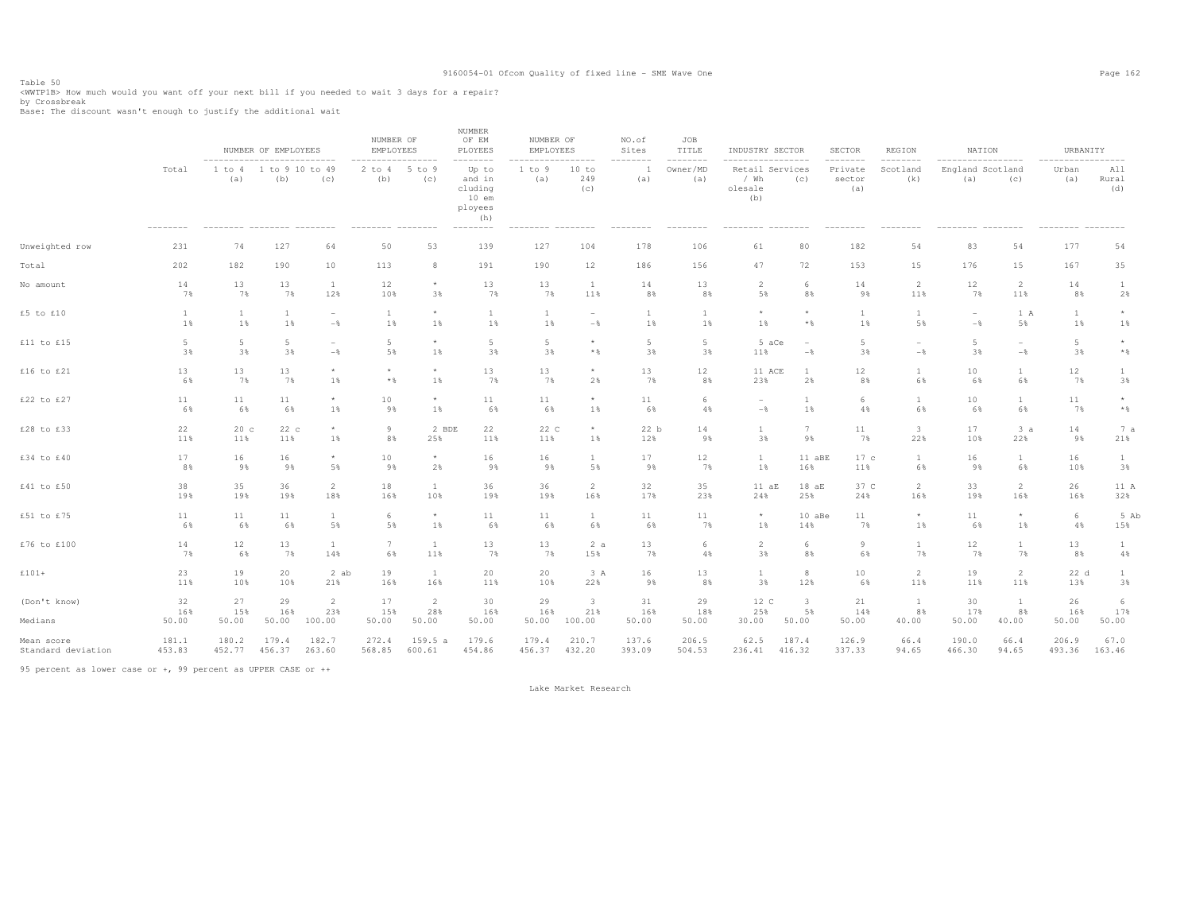Table 50<br><WWTP1B> How much would you want off your next bill if you needed to wait 3 days for a repair?<br>by Carachyash

by Crossbreak Base: The discount wasn't enough to justify the additional wait

|                         |                       |                                                                   | NUMBER OF EMPLOYEES |                                          | NUMBER OF<br>EMPLOYEES                                        |                                | <b>NUMBER</b><br>OF EM<br>PLOYEES                                                  | NUMBER OF<br>EMPLOYEES                                    |                                          | NO.of<br>Sites     | JOB<br>TITLE<br>-------- | INDUSTRY SECTOR<br>-----------------                   |                                            | SECTOR<br>--------       | REGION                      | NATION                                                     |                                            | URBANITY                                                |                         |
|-------------------------|-----------------------|-------------------------------------------------------------------|---------------------|------------------------------------------|---------------------------------------------------------------|--------------------------------|------------------------------------------------------------------------------------|-----------------------------------------------------------|------------------------------------------|--------------------|--------------------------|--------------------------------------------------------|--------------------------------------------|--------------------------|-----------------------------|------------------------------------------------------------|--------------------------------------------|---------------------------------------------------------|-------------------------|
|                         | Total<br>---------    | --------------------------<br>1 to 4<br>(a)<br>--------- -------- | -1.<br>(b)          | to 9 10 to 49<br>(c)<br>$-- - - - - - -$ | ------------------<br>$2$ to $4$<br>(b)<br>--------- -------- | 5 to 9<br>(c)                  | --------<br>Up to<br>and in<br>cluding<br>$10$ em<br>ployees<br>(h)<br>$---------$ | ------------------<br>1 to 9<br>(a)<br>--------- -------- | 10 to<br>249<br>(C)                      | --------<br>(a)    | Owner/MD<br>(a)          | Retail Services<br>/ Wh<br>olesale<br>(b)<br>--------- | (c)                                        | Private<br>sector<br>(a) | --------<br>Scotland<br>(k) | ------------------<br>England Scotland<br>(a)<br>--------- | (c)<br>$- - - - - - - -$                   | -----------------<br>Urban<br>(a)<br>--------- -------- | All<br>Rural<br>(d)     |
| Unweighted row          | 231                   | 74                                                                | 127                 | 64                                       | 50                                                            | 53                             | 139                                                                                | 127                                                       | 104                                      | 178                | 106                      | 61                                                     | 80                                         | 182                      | 54                          | 83                                                         | 54                                         | 177                                                     | 54                      |
| Total                   | 202                   | 182                                                               | 190                 | 10                                       | 113                                                           | 8                              | 191                                                                                | 190                                                       | 12                                       | 186                | 156                      | 47                                                     | 72                                         | 153                      | 15                          | 176                                                        | 15                                         | 167                                                     | 35                      |
| No amount               | 14                    | 13                                                                | 13                  | $\mathbf{1}$                             | 12                                                            | $\star$                        | 13                                                                                 | 13                                                        | $\mathbf{1}$                             | 14                 | 13                       | $\overline{2}$                                         | 6                                          | 14                       | $\overline{2}$              | 12                                                         | $\overline{2}$                             | 14                                                      | $\mathbf{1}$            |
|                         | 7%                    | 7%                                                                | 7%                  | 12%                                      | 10%                                                           | 3%                             | 7%                                                                                 | 7%                                                        | 11%                                      | 8%                 | 8%                       | 5%                                                     | 8%                                         | 9%                       | 11%                         | 7%                                                         | 11%                                        | 8%                                                      | 2%                      |
| £5 to £10               | $\mathbf{1}$<br>1%    | 1%                                                                | 1%                  | $\overline{\phantom{0}}$<br>$-$ %        | $\mathbf{1}$<br>1%                                            | $\star$<br>1%                  | $\mathbf{1}$<br>1%                                                                 | $\mathbf{1}$<br>1%                                        | $\overline{\phantom{a}}$<br>$-$ %        | 1%                 | $\overline{1}$<br>$1\%$  | $\star$<br>1%                                          | $\star$<br>$\star$ $\,$                    | $\overline{1}$<br>1%     | $\overline{1}$<br>5%        | $\overline{\phantom{a}}$<br>$-$                            | 1 A<br>5%                                  | $\mathbf{1}$<br>1%                                      | $\star$<br>1%           |
| £11 to £15              | $5\phantom{.0}$<br>3% | -5<br>3%                                                          | 5<br>3%             | $\overline{\phantom{0}}$<br>$-$ %        | 5<br>5%                                                       | $\star$<br>$1\%$               | -5<br>3%                                                                           | 5<br>3%                                                   | $^{\star}$<br>$\star$ $\,$               | 5<br>3%            | 5<br>3%                  | 5 aCe<br>11%                                           | $\overline{\phantom{a}}$<br>$-\frac{6}{6}$ | $5 -$<br>3%              | $-\frac{6}{6}$              | 5<br>3%                                                    | $\overline{\phantom{a}}$<br>$-\frac{6}{6}$ | $5\phantom{.0}$<br>3%                                   | $\star$<br>$\star$ $\,$ |
| £16 to £21              | 13                    | 13                                                                | 13                  | $\star$                                  | $\star$                                                       | $\star$                        | 13                                                                                 | 13                                                        | $\star$                                  | 13                 | 12                       | 11 ACE                                                 | $\overline{1}$                             | 12                       | $\mathbf{1}$                | 10                                                         | 1                                          | 12                                                      | $\mathbf{1}$            |
|                         | 6%                    | 7%                                                                | 7%                  | $1\%$                                    | $*$ %                                                         | 1%                             | 7%                                                                                 | 7%                                                        | 2%                                       | 7%                 | 8%                       | 23%                                                    | 2%                                         | 8%                       | 6%                          | 6%                                                         | 6%                                         | 7%                                                      | 3%                      |
| £22 to £27              | 11                    | 11                                                                | 11                  | $^\star$                                 | 10                                                            | $\star$                        | 11                                                                                 | 11                                                        | $^{\star}$                               | 11                 | -6                       | $\overline{\phantom{a}}$                               | $\overline{1}$                             | 6                        | $\overline{1}$              | $10$                                                       | 1                                          | 11                                                      | $^\star$                |
|                         | 6%                    | 6%                                                                | 6%                  | 1%                                       | 9%                                                            | $1\%$                          | 6%                                                                                 | 6%                                                        | 1%                                       | 6%                 | 4%                       | $-\,$                                                  | 1%                                         | 4%                       | 6%                          | 6%                                                         | 6%                                         | 7%                                                      | $\star$ $\,$            |
| £28 to £33              | 22                    | 20c                                                               | 22c                 | $\star$                                  | 9                                                             | 2 BDE                          | 22                                                                                 | 22 C                                                      | $\star$                                  | 22 b               | 14                       | $\mathbf{1}$                                           | $7\phantom{.0}$                            | 11                       | 3                           | 17                                                         | 3a                                         | 14                                                      | 7 a                     |
|                         | 11%                   | 11%                                                               | 11%                 | $1\%$                                    | 8%                                                            | 25%                            | 11%                                                                                | 11%                                                       | 1%                                       | 12%                | 98                       | 3%                                                     | 9%                                         | 7%                       | 22%                         | 10%                                                        | 22%                                        | 9%                                                      | 21%                     |
| £34 to £40              | 17                    | 16                                                                | 16                  | $^\star$                                 | 10                                                            | $\star$                        | 16                                                                                 | 16                                                        | $\mathbf{1}$                             | 17                 | 12                       | $\mathbf{1}$                                           | 11 aBE                                     | 17c                      | 1                           | 16                                                         | $\mathbf{1}$                               | 16                                                      | $\mathbf{1}$            |
|                         | 8%                    | 9%                                                                | 9%                  | 5%                                       | 9%                                                            | 2%                             | 9%                                                                                 | 9%                                                        | 5%                                       | 9%                 | 7%                       | 1%                                                     | 16%                                        | 11%                      | 6%                          | 9%                                                         | 6%                                         | 10%                                                     | 3%                      |
| £41 to £50              | 38                    | 35                                                                | 36                  | $\overline{2}$                           | 18                                                            | <sup>1</sup>                   | 36                                                                                 | 36                                                        | 2                                        | 32                 | 35                       | 11 aE                                                  | 18aE                                       | 37 C                     | $\overline{2}$              | 33                                                         | 2                                          | 26                                                      | 11 A                    |
|                         | 19%                   | 19%                                                               | 19%                 | 18%                                      | 16%                                                           | 10%                            | 19%                                                                                | 19%                                                       | 16%                                      | 17%                | 23%                      | 24%                                                    | 25%                                        | 24%                      | 16%                         | 19%                                                        | 16%                                        | 16%                                                     | 32%                     |
| £51 to £75              | 11                    | 11                                                                | 11                  | $\mathbf{1}$                             | 6                                                             | $\star$                        | 11                                                                                 | 11                                                        | $\mathbf{1}$                             | 11                 | 11                       | $\star$                                                | 10 aBe                                     | 11                       | $\star$                     | 11                                                         | $\star$                                    | $6\,$                                                   | 5 Ab                    |
|                         | 6%                    | 6%                                                                | 6%                  | $5\,$ %                                  | 5%                                                            | 1%                             | 6%                                                                                 | 6%                                                        | 6%                                       | 6%                 | 7%                       | 1%                                                     | 14%                                        | 7%                       | 1%                          | 6%                                                         | 1%                                         | 4%                                                      | 15%                     |
| £76 to £100             | 14                    | 12                                                                | 13                  | $\mathbf{1}$                             | 7                                                             | <sup>1</sup>                   | 13                                                                                 | 13                                                        | 2a                                       | 13                 | 6                        | 2                                                      | 6                                          | 9                        | $\mathbf{1}$                | 12                                                         | $\mathbf{1}$                               | 13                                                      | $\mathbf{1}$            |
|                         | 7%                    | 6%                                                                | 7%                  | 14%                                      | 6%                                                            | 11%                            | 7%                                                                                 | 7%                                                        | 15%                                      | 7%                 | 4%                       | 3%                                                     | 8%                                         | 6%                       | 7%                          | 7%                                                         | 7%                                         | 8%                                                      | 4%                      |
| $£101+$                 | 23                    | 19                                                                | 20                  | 2 ab                                     | 19                                                            | <sup>1</sup>                   | 20                                                                                 | 20                                                        | 3 A                                      | 16                 | 13                       | 1                                                      | 8                                          | 10                       | $\overline{2}$              | 19                                                         | 2                                          | 22 d                                                    | $\mathbf{1}$            |
|                         | 11%                   | 10%                                                               | 10%                 | 21%                                      | 16%                                                           | 16%                            | 11%                                                                                | 10%                                                       | 22%                                      | 9%                 | 8%                       | 3%                                                     | 12%                                        | 6%                       | 11%                         | 11%                                                        | 11%                                        | 13%                                                     | 3%                      |
| (Don't know)<br>Medians | 32<br>16%<br>50.00    | 27<br>15%<br>50.00                                                | 29<br>16%<br>50.00  | $\overline{2}$<br>23%<br>100.00          | 17<br>15%<br>50.00                                            | $\overline{2}$<br>28%<br>50.00 | 30<br>16%<br>50.00                                                                 | 29<br>16%<br>50.00                                        | $\overline{\mathbf{3}}$<br>21%<br>100.00 | 31<br>16%<br>50.00 | 29<br>18%<br>50.00       | 12 C<br>25%<br>30.00                                   | $\overline{\mathbf{3}}$<br>5%<br>50.00     | 21<br>14%<br>50.00       | <sup>1</sup><br>8%<br>40.00 | 30<br>17%<br>50.00                                         | <sup>1</sup><br>8%<br>40.00                | 26<br>16%<br>50.00                                      | 6<br>17%<br>50.00       |
| Mean score              | 181.1                 | 180.2                                                             | 179.4               | 182.7                                    | 272.4                                                         | 159.5a                         | 179.6                                                                              | 179.4                                                     | 210.7                                    | 137.6              | 206.5                    | 62.5                                                   | 187.4                                      | 126.9                    | 66.4                        | 190.0                                                      | 66.4                                       | 206.9                                                   | 67.0                    |
| Standard deviation      | 453.83                | 452.77                                                            | 456.37              | 263.60                                   | 568.85                                                        | 600.61                         | 454.86                                                                             | 456.37                                                    | 432.20                                   | 393.09             | 504.53                   | 236.41                                                 | 416.32                                     | 337.33                   | 94.65                       | 466.30                                                     | 94.65                                      | 493.36                                                  | 163.46                  |

95 percent as lower case or +, 99 percent as UPPER CASE or ++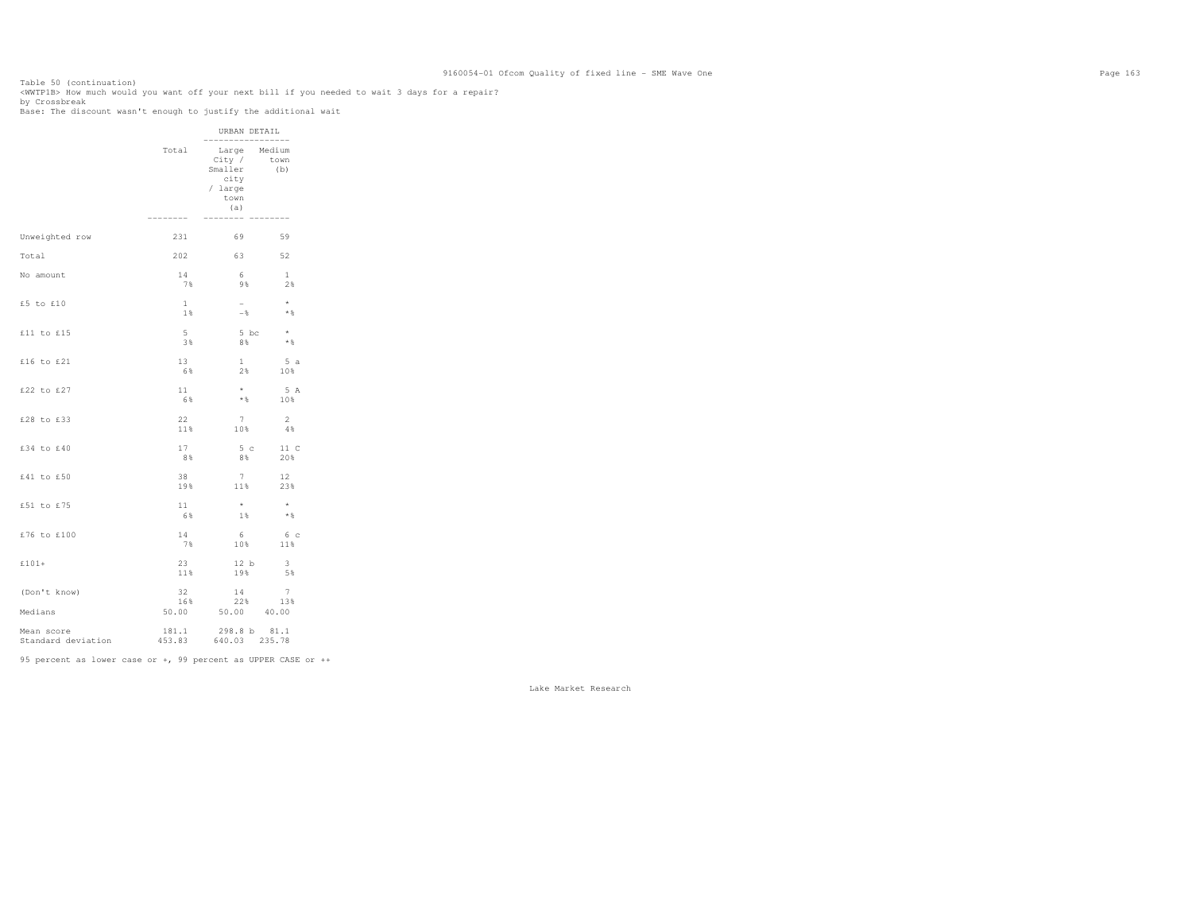Table 50 (continuation) <WWTP1B> How much would you want off your next bill if you needed to wait 3 days for a repair?

by Crossbreak Base: The discount wasn't enough to justify the additional wait URBAN DETAIL ----------------- Total Large Medium town City / town<br>Smaller (b) city / large town the contract of the contract of the contract of the contract of the contract of the contract of the contract of the contract of the contract of the contract of the contract of the contract of the contract of the contr (a) -------- -------- -------- Unweighted row 231 69 59 Total 202 63 52 No amount 14 6 1  $2\,$  7% 9% 2% £5 to £10  $1 - *$ <br>1% -% \*  $\star$   $\,$ . The contract of the contract of the contract of  $1\%$  and  $-8$  and  $\pm 8$  and  $\pm 8$  and  $\pm 8$  and  $\pm 8$  and  $\pm 8$  and  $\pm 8$  and  $\pm 8$  and  $\pm 8$  and  $\pm 8$  and  $\pm 8$  and  $\pm 8$  and  $\pm 8$  and  $\pm 8$  and  $\pm 8$  an  $£11$  to £15 5 5 bc  $*$  $\star$   $\,$  $3\%$  8%  $8\%$   $3\%$  8%  $8\%$   $3\%$ £16 to £21 13 1 5 a 6% 2% 10%  $\begin{array}{ccccc} \texttt{f22 to f27} & & & & 11 & & * & 5 \text{ A} \\ & & & & & & 6\% & & * \text{ } & & 10\% \end{array}$  $6\%$  \*  $\frac{10\%}{10\%}$ £28 to £33 22 7 2  $\frac{1}{4}$  $11\%$  10% 4% 4% £34 to £40 17 5 c 11 C 8% 8% 20% £41 to £50 38 7 12 23% 19% 11% 23% £51 to £75 11  $*$  \* \*  $\star$   $\,$  $-6\%$  1%  $1\%$   $\star$  8 £76 to £100 14 6 6 c 7% 10% 11% £101+ 23 12 b  $\frac{3}{5}$  11% 19% 5% (Don't know) 32 14 7

 16% 22% 13% Medians 50.00 50.00 40.00 Mean score 181.1 298.8 b 81.1  $640.03$  235.78 Standard deviation 453.83

95 percent as lower case or +, 99 percent as UPPER CASE or ++

13%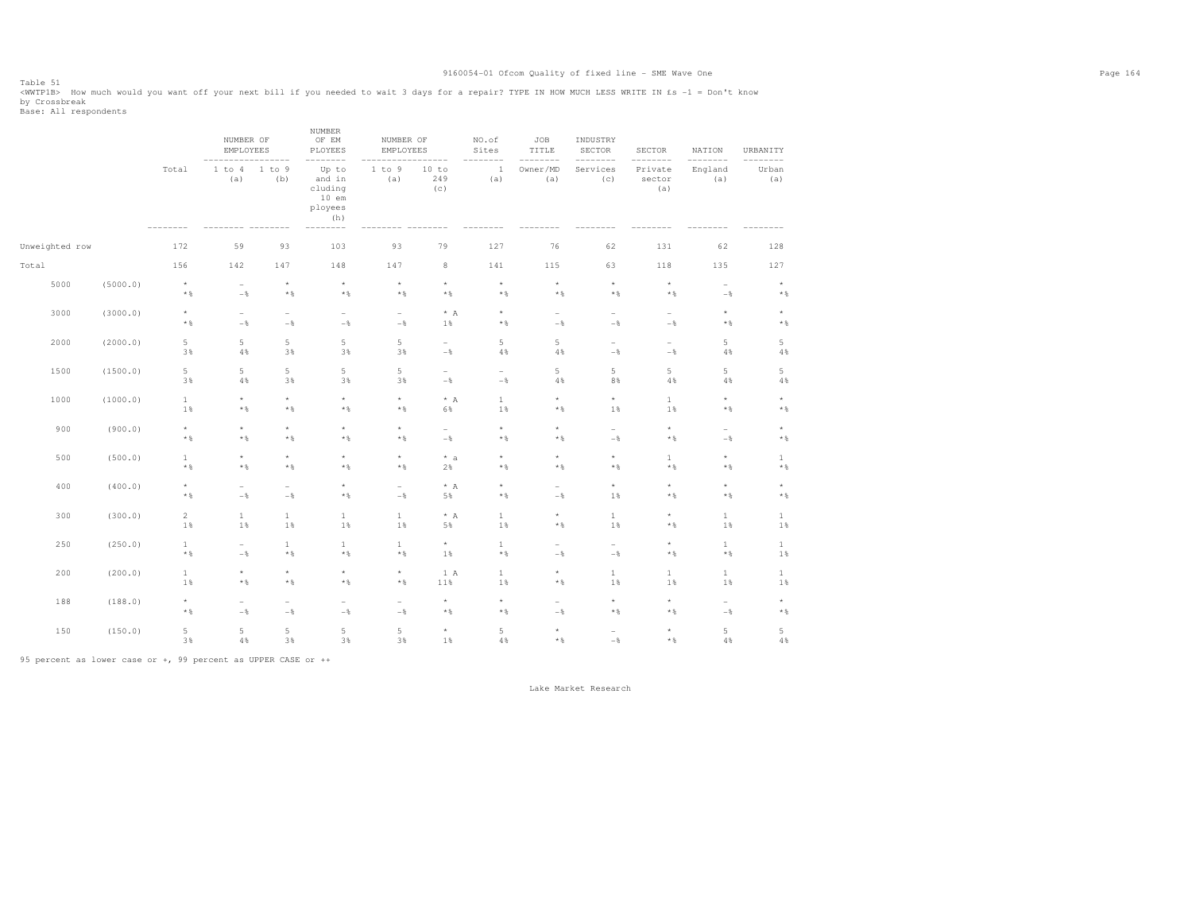Table 51 <WWTP1B> How much would you want off your next bill if you needed to wait 3 days for a repair? TYPE IN HOW MUCH LESS WRITE IN £s -1 = Don't know by Crossbreak<br>Base: All respondents

|                |          |                              | NUMBER OF<br>EMPLOYEES            |                                            | NUMBER<br>OF EM<br>PLOYEES                              | NUMBER OF<br>EMPLOYEES       |                                   | NO.of<br>Sites               | JOB<br>TITLE                    | INDUSTRY<br>SECTOR                         | SECTOR<br>$- - -$            | NATION                               | URBANITY<br>$- - -$          |
|----------------|----------|------------------------------|-----------------------------------|--------------------------------------------|---------------------------------------------------------|------------------------------|-----------------------------------|------------------------------|---------------------------------|--------------------------------------------|------------------------------|--------------------------------------|------------------------------|
|                |          | Total                        | 1 to 4<br>(a)                     | 1 to 9<br>(b)                              | Up to<br>and in<br>cluding<br>$10$ em<br>ployees<br>(h) | 1 to 9<br>(a)                | 10 to<br>249<br>(c)               | $\mathbf{1}$<br>(a)          | Owner/MD<br>(a)                 | Services<br>(c)                            | Private<br>sector<br>(a)     | England<br>(a)                       | Urban<br>(a)                 |
| Unweighted row |          | 172                          | 59                                | 93                                         | 103                                                     | 93                           | 79                                | 127                          | 76                              | 62                                         | 131                          | 62                                   | 128                          |
| Total          |          | 156                          | 142                               | 147                                        | 148                                                     | 147                          | $_{\rm 8}$                        | 141                          | 115                             | 63                                         | 118                          | 135                                  | 127                          |
| 5000           | (5000.0) | $^\star$<br>$\star$ $\,$     | $\overline{\phantom{a}}$<br>$-\,$ | $\star$<br>$\star$ $\,$                    | $^\star$<br>$\star$ $\,$                                | $^\star$<br>$\star$ $\,$     | $\star$<br>$\star$ $\S$           | $\star$<br>$\star$ $\,$      | $^\star$<br>$\star$ $\S$        | $^\star$<br>$\star$ $\,$                   | $^\star$<br>$\star$ $\,$     | $\overline{\phantom{0}}$<br>$-\, \%$ | $\star$<br>$\star$ $\,$      |
| 3000           | (3000.0) | $\star$<br>$\star$ $\,$      | $\overline{\phantom{a}}$<br>$-$   | $\overline{\phantom{a}}$<br>$-$            | $\overline{\phantom{a}}$<br>$-$                         | $\overline{a}$<br>$-$        | $^\star$ A<br>$1\,$ $\,$          | $\star$<br>$\star$ $\S$      | $\overline{\phantom{0}}$<br>$-$ | $\overline{\phantom{a}}$<br>$-\frac{6}{6}$ | ÷<br>$-$                     | $^\star$<br>$\star$ $\S$             | $^\star$<br>$\star$ $\,$     |
| 2000           | (2000.0) | $\,$ 5 $\,$<br>3%            | 5<br>$4\,$                        | 5<br>3%                                    | $\,$ 5 $\,$<br>3%                                       | 5<br>3%                      | $\overline{\phantom{0}}$<br>$-\,$ | $\,$ 5<br>$4\,$ %            | 5<br>$4\%$                      | $\overline{\phantom{a}}$<br>$-\,$          | $\overline{a}$<br>$-\,$ $\,$ | 5<br>$4\,$ %                         | $\,$ 5 $\,$<br>$4\,$         |
| 1500           | (1500.0) | 5<br>3%                      | 5<br>$4\,$                        | $\overline{5}$<br>3%                       | 5<br>3%                                                 | 5<br>3%                      | $\overline{a}$<br>$-\, \%$        | $\overline{a}$<br>$-\,$ $\,$ | 5<br>$4\%$                      | $\overline{5}$<br>8%                       | 5<br>$4\,$ %                 | 5<br>$4\,$ %                         | $\,$ 5 $\,$<br>$4\,$         |
| 1000           | (1000.0) | $\mathbf{1}$<br>1%           | $^\star$<br>$\star$ $\,$          | $\star$<br>$\star$ $\,$                    | $\star$<br>$\star$ $\,$                                 | $^\star$<br>$\star$ $\,$     | $* A$<br>6%                       | $1\,$<br>$1\,$ $\!$          | $\star$<br>$\star$ $\,$         | $^\star$<br>1%                             | $1\,$<br>$1\,$ %             | $^\star$<br>* %                      | $^\star$<br>$\star$ $\,$     |
| 900            | (900.0)  | $^\star$<br>$\star$ $\,$     | $\star$<br>$\star$ $\,$           | $^\star$<br>$\star$ $\,$                   | $^\star$<br>$\star$ $\,$                                | $\star$<br>$\star$ $\,$      | $\sim$<br>$-$                     | $^\star$<br>$\star$ $\S$     | $\star$<br>$\star$ $\,$         | $\overline{\phantom{a}}$<br>$-\,$          | $\star$<br>$\star$ $\,$      | $\overline{a}$<br>$-\,$              | $^\star$<br>$\star$ $\,$     |
| 500            | (500.0)  | $\mathbf{1}$<br>$\star$ $\,$ | $^\star$<br>$*$ %                 | $^\star$<br>$\star$ $\,$                   | $^\star$<br>$\star$ $\,$                                | $\star$<br>$\star$ $\,$      | $* a$<br>2%                       | $^\star$<br>$\star$ $\S$     | $^\star$<br>$\star$ $\,$        | $^\star$<br>$\star$ $\,$                   | $1\,$<br>$\star$ $\S$        | $^\star$<br>$*$ %                    | $\mathbf{1}$<br>$\star$ $\,$ |
| 400            | (400.0)  | $^\star$<br>$\star$ $\,$     | $\overline{\phantom{0}}$<br>$-$   | $\overline{\phantom{a}}$<br>$-\frac{6}{6}$ | $^\star$<br>$\star$ $\,$                                | ۰<br>$-$                     | $*$ A<br>5%                       | $^\star$<br>$\star$ $\,$     | $\overline{\phantom{0}}$<br>$-$ | $^\star$<br>1%                             | $\star$<br>$\star$ $\S$      | $^\star$<br>$\star$ $\,$             | $^\star$<br>$\star$ $\,$     |
| 300            | (300.0)  | $\overline{c}$<br>1%         | $1\,$<br>$1\,$                    | $\mathbf{1}$<br>1%                         | $\mathbf{1}$<br>1%                                      | $\mathbf{1}$<br>1%           | $\star$ A<br>5%                   | $\mathbf{1}$<br>$1\,$ $\!$   | $^\star$<br>$\star$ $\,$        | $\mathbf{1}$<br>1%                         | $^\star$<br>$\star$ $\S$     | $\mathbf{1}$<br>$1\,$                | $\mathbf{1}$<br>$1\,$        |
| 250            | (250.0)  | $\mathbf{1}$<br>$\star$ $\,$ | $\overline{\phantom{0}}$<br>$-$   | $\mathbf{1}$<br>$\star$ $\,$               | $\mathbf{1}$<br>$\star$ $\,$                            | $\mathbf{1}$<br>$\star$ $\,$ | $^\star$<br>1%                    | $\mathbf{1}$<br>$\star$ $\S$ | ۰<br>$-$ 8                      | $\sim$<br>$-\frac{6}{6}$                   | $^\star$<br>$\star$ $\,$     | $\mathbf{1}$<br>$\star$ $\,$         | $\,1\,$<br>$1\,$             |
| 200            | (200.0)  | $\mathbf{1}$<br>1%           | $^\star$<br>$*$ %                 | $^\star$<br>$\star$ $\,$                   | $^\star$<br>$\star$ $\,$                                | $\star$<br>$\star$ $\,$      | 1 A<br>$11\,$                     | $1\,$<br>$1\,$ $\!$          | $^\star$<br>$\star$ $\,$        | $\mathbf{1}$<br>1%                         | $1\,$<br>$1\,$ %             | $\mathbf{1}$<br>$1\,$                | $\,1\,$<br>$1\,$             |
| 188            | (188.0)  | $^\star$<br>$\star$ $\,$     | $\overline{\phantom{a}}$<br>$-\,$ | $\overline{\phantom{a}}$<br>$-$            | $\overline{\phantom{a}}$<br>$-$                         | ۰<br>$-$                     | $^\star$<br>$\star$ $\,$          | $^\star$<br>$\star$ $\,$     | $\equiv$<br>$-$ 8               | $^\star$<br>$\star$ $\,$                   | $^\star$<br>$\star$ $\,$     | -<br>$-\,$                           | $^\star$<br>$\star$ $\,$     |
| 150            | (150.0)  | 5<br>3%                      | 5<br>$4\,$                        | $\overline{5}$<br>3%                       | 5<br>3%                                                 | 5<br>3%                      | $^\star$<br>1%                    | $\,$ 5<br>$4\,$              | $\star$<br>$\star$ $\,$         | $\overline{\phantom{a}}$<br>$-\,$          | $\star$<br>$\star$ $\,$      | 5<br>4%                              | $\,$ 5 $\,$<br>$4\,$         |

95 percent as lower case or +, 99 percent as UPPER CASE or ++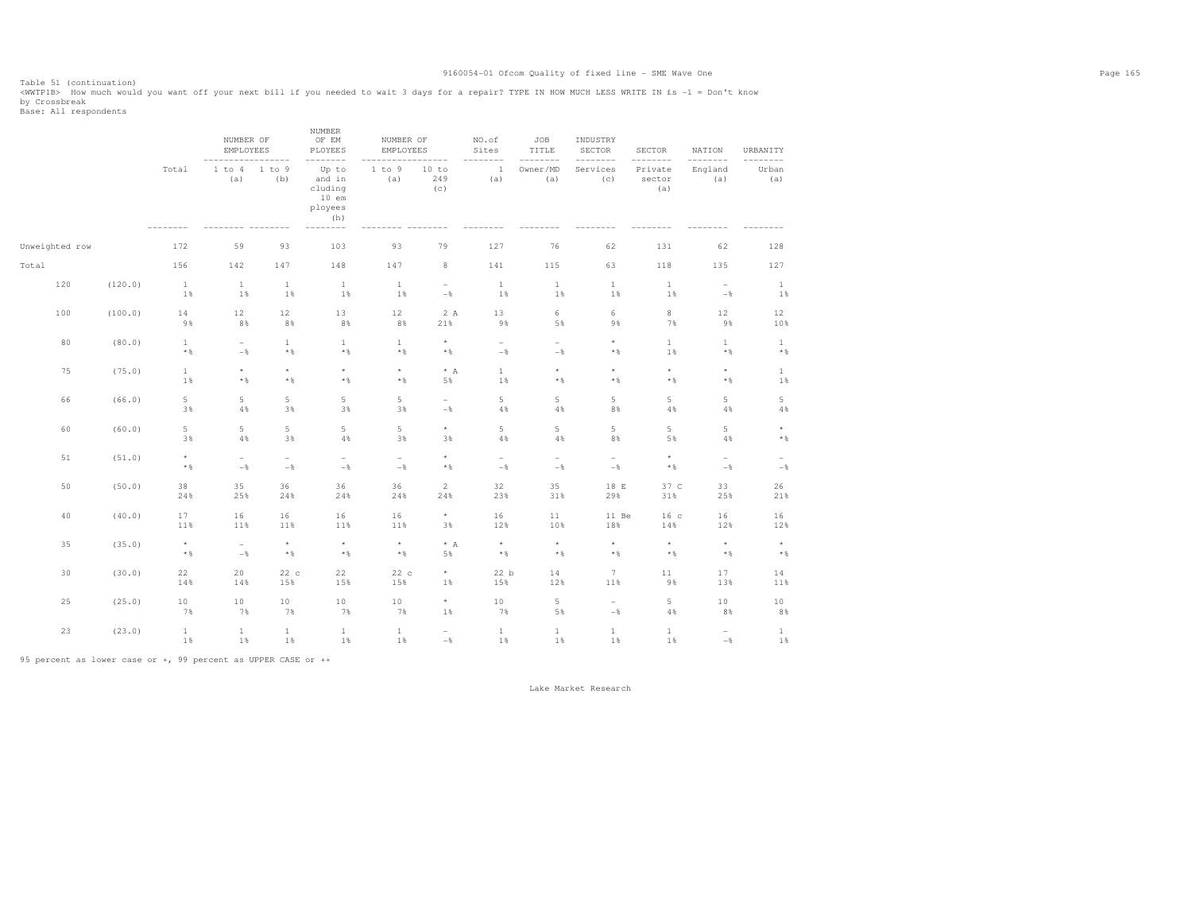Table 51 (continuation)<br><WWTP1B> How much would you want off your next bill if you needed to wait 3 days for a repair? TYPE IN HOW MUCH LESS WRITE IN £s -1 = Don't know by Crossbreak<br>Base: All respondents

|                |         |                          | NUMBER OF<br>EMPLOYEES            |                                 | NUMBER<br>OF EM<br>PLOYEES                              | NUMBER OF<br>EMPLOYEES          |                                        | NO.of<br>Sites                    | JOB<br>TITLE                      | INDUSTRY<br>SECTOR                | SECTOR<br>$---$          | NATION                                 | URBANITY<br>$- - - -$             |
|----------------|---------|--------------------------|-----------------------------------|---------------------------------|---------------------------------------------------------|---------------------------------|----------------------------------------|-----------------------------------|-----------------------------------|-----------------------------------|--------------------------|----------------------------------------|-----------------------------------|
|                |         | Total                    | 1 to 4<br>(a)                     | 1 to 9<br>(b)                   | Up to<br>and in<br>cluding<br>$10$ em<br>ployees<br>(h) | $1$ to $9$<br>(a)               | 10 to<br>249<br>(c)                    | $\mathbf{1}$<br>(a)               | Owner/MD<br>(a)                   | Services<br>(c)                   | Private<br>sector<br>(a) | England<br>(a)                         | Urban<br>(a)                      |
| Unweighted row |         | 172                      | 59                                | 93                              | 103                                                     | 93                              | 79                                     | 127                               | 76                                | 62                                | 131                      | 62                                     | 128                               |
| Total          |         | 156                      | 142                               | 147                             | 148                                                     | 147                             | 8                                      | 141                               | 115                               | 63                                | 118                      | 135                                    | 127                               |
| 120            | (120.0) | $\mathbf{1}$<br>1%       | $\mathbf{1}$<br>1%                | $\mathbf{1}$<br>1%              | $\mathbf{1}$<br>1%                                      | $\mathbf{1}$<br>$1\,$           | $\sim$<br>$-\,$ $\,$                   | $\mathbf{1}$<br>1%                | $\mathbf{1}$<br>$1\,$             | $\mathbf{1}$<br>1%                | $\mathbf{1}$<br>1%       | $\overline{\phantom{a}}$<br>$-\,$ $\,$ | $\mathbf{1}$<br>1%                |
| 100            | (100.0) | 14<br>9%                 | 12<br>8%                          | 12<br>8%                        | 13<br>8%                                                | 12<br>8%                        | 2 A<br>21%                             | 13<br>9%                          | 6<br>5%                           | 6<br>9%                           | $_{\rm 8}$<br>7%         | 12<br>9%                               | 12<br>10%                         |
| 80             | (80.0)  | $\mathbf{1}$<br>$*$ &    | $\overline{\phantom{a}}$<br>$-\,$ | $\mathbf{1}$<br>$\star$ $\,$    | $\mathbf{1}$<br>$\star$ $\,$                            | $\mathbf{1}$<br>$\star$ $\,$    | $^\star$<br>$\star$ $\,$               | $\overline{\phantom{a}}$<br>$-\,$ | $\overline{\phantom{0}}$<br>$-\,$ | $^\star$<br>$\star$ $\,$          | $1\,$<br>1%              | $\mathbf{1}$<br>$\star$ $\S$           | $1\,$<br>$\star$ $\,$             |
| 75             | (75.0)  | $\mathbf{1}$<br>1%       | $\star$<br>$\star$ $\S$           | $\star$<br>$\star$ $\,$         | $\star$<br>$\star$ $\,$                                 | $^\star$<br>$\star$ $\,$        | $*$ A<br>5%                            | $1\,$<br>$1\,$                    | $\star$<br>$\star$ $\,$           | $\star$<br>$\star$ $\,$           | $\star$<br>$\star$ $\,$  | $^\star$<br>$\star$ $\S$               | $\mathbf{1}$<br>$1\,$             |
| 66             | (66.0)  | 5<br>3%                  | $\mathbb S$<br>$4\,$              | 5<br>3%                         | $\,$ 5 $\,$<br>3%                                       | 5<br>3%                         | $\overline{\phantom{a}}$<br>$-\,$      | $\,$ 5 $\,$<br>$4\,$              | 5<br>$4\,$                        | $\,$ 5 $\,$<br>8%                 | 5<br>4%                  | 5<br>$4\,$                             | $\mathsf S$<br>$4\,$ %            |
| 60             | (60.0)  | 5<br>3%                  | 5<br>4%                           | 5<br>3%                         | 5<br>4%                                                 | 5<br>3%                         | $^\star$<br>3%                         | 5<br>$4\,$                        | 5<br>$4\,$                        | $\,$ 5 $\,$<br>8%                 | 5<br>5%                  | 5<br>$4\,$                             | $^\star$<br>$\star$ $\,$          |
| 51             | (51.0)  | $^\star$<br>$\star$ $\,$ | $\overline{\phantom{a}}$<br>$-$   | $\overline{\phantom{a}}$<br>$-$ | $\overline{\phantom{a}}$<br>$-$                         | $\overline{\phantom{a}}$<br>$-$ | $\star$<br>$*$ &                       | $\overline{\phantom{a}}$<br>$-$   | $\overline{\phantom{a}}$<br>$-$   | $\overline{\phantom{a}}$<br>$-$   | $\star$<br>$\star$ $\,$  | $\overline{\phantom{a}}$<br>$-$        | $\overline{\phantom{a}}$<br>$-\,$ |
| 50             | (50.0)  | 38<br>24%                | 35<br>25%                         | 36<br>24%                       | 36<br>24%                                               | 36<br>24%                       | $\overline{c}$<br>24%                  | 32<br>23%                         | 35<br>31%                         | 18 E<br>29%                       | 37 C<br>31%              | 33<br>25%                              | 26<br>21%                         |
| 40             | (40.0)  | 17<br>11%                | 16<br>11%                         | 16<br>11%                       | 16<br>11%                                               | 16<br>11%                       | $^\star$<br>3%                         | 16<br>12%                         | 11<br>10%                         | 11 Be<br>18%                      | 16 <sub>c</sub><br>14%   | 16<br>12%                              | 16<br>12%                         |
| 35             | (35.0)  | $^\star$<br>$\star$ $\,$ | $\overline{\phantom{a}}$<br>$-$   | $\star$<br>$\star$ $\,$         | $\star$<br>$\star$ $\,$                                 | $^\star$<br>$\star$ $\,$        | $*$ A<br>5%                            | $\star$<br>$\star$ $\,$           | $\star$<br>$*$ %                  | $\star$<br>$\star$ $\,$           | $\star$<br>$\star$ $\,$  | $\star$<br>$\star$ $\S$                | $^\star$<br>$\star$ $\,$          |
| 30             | (30.0)  | 22<br>14%                | 20<br>14%                         | 22c<br>15%                      | 22<br>15%                                               | 22 c<br>15%                     | $^\star$<br>1%                         | 22 b<br>15%                       | 14<br>12%                         | $7\phantom{.0}$<br>11%            | 11<br>9%                 | 17<br>13%                              | 14<br>11%                         |
| 25             | (25.0)  | 10<br>7%                 | 10<br>7%                          | $10$<br>7%                      | $10$<br>7%                                              | $10$<br>7%                      | $^\star$<br>$1\,$                      | $10$<br>7%                        | 5<br>5%                           | $\overline{\phantom{a}}$<br>$-\,$ | $\mathbbm{5}$<br>$4\,$ % | $10$<br>$8\,$ $\,$                     | $10$<br>$8\,$ $\,$                |
| 23             | (23.0)  | $\mathbf{1}$<br>1%       | $\mathbf{1}$<br>1%                | 1<br>1%                         | $\mathbf{1}$<br>$1\%$                                   | $\mathbf{1}$<br>$1\%$           | $\overline{\phantom{a}}$<br>$-\,$ $\,$ | $\mathbf{1}$<br>$1\%$             | 1<br>$1\%$                        | $\mathbf{1}$<br>1%                | $\mathbf{1}$<br>1%       | $\overline{\phantom{0}}$<br>$-\,$ $\,$ | $\mathbf{1}$<br>$1\,$             |

95 percent as lower case or +, 99 percent as UPPER CASE or ++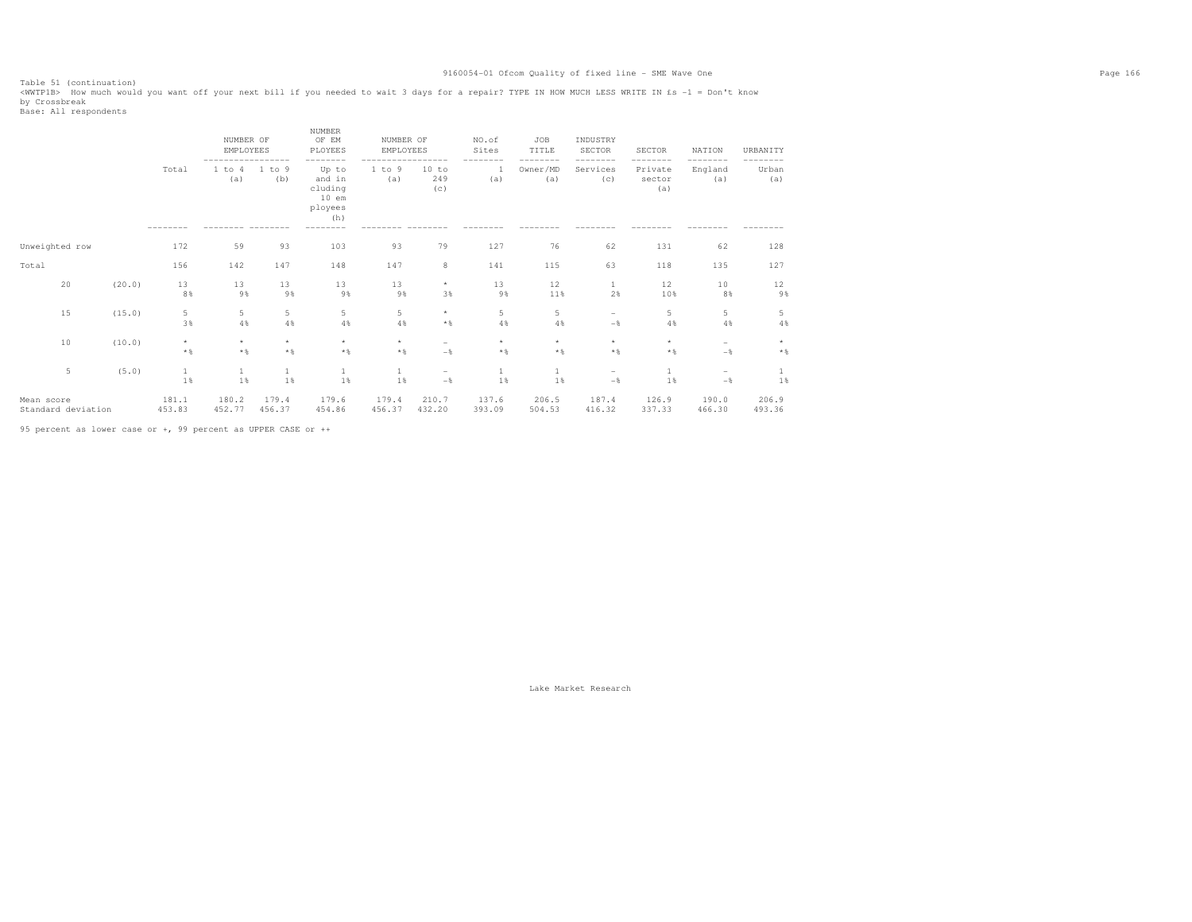Table 51 (continuation)<br><WWTP1B> How much would you want off your next bill if you needed to wait 3 days for a repair? TYPE IN HOW MUCH LESS WRITE IN £s -1 = Don't know by Crossbreak<br>Base: All respondents

|                                  |        |                         | NUMBER OF<br><b>EMPLOYEES</b> |                         | <b>NUMBER</b><br>OF EM<br>PLOYEES                       | NUMBER OF<br>EMPLOYEES |                                   | NO.of<br>Sites   | <b>JOB</b><br>TITLE     | INDUSTRY<br><b>SECTOR</b> | SECTOR                             | NATION                                     | URBANITY        |
|----------------------------------|--------|-------------------------|-------------------------------|-------------------------|---------------------------------------------------------|------------------------|-----------------------------------|------------------|-------------------------|---------------------------|------------------------------------|--------------------------------------------|-----------------|
|                                  |        | Total                   | 1 to 4<br>(a)                 | 1 to 9<br>(b)           | Up to<br>and in<br>cluding<br>$10$ em<br>ployees<br>(h) | 1 to 9<br>(a)          | 10 to<br>249<br>(c)               | -1<br>(a)        | Owner/MD<br>(a)         | Services<br>(C)           | ------<br>Private<br>sector<br>(a) | ----<br>England<br>(a)                     | Urban<br>(a)    |
| Unweighted row                   |        | 172                     | 59                            | 93                      | 103                                                     | 93                     | 79                                | 127              | 76                      | 62                        | 131                                | 62                                         | 128             |
| Total                            |        | 156                     | 142                           | 147                     | 148                                                     | 147                    | 8                                 | 141              | 115                     | 63                        | 118                                | 135                                        | 127             |
| 20                               | (20.0) | 13<br>8%                | 13<br>9%                      | 13<br>9%                | 13<br>9%                                                | 13<br>9%               | $^\star$<br>3%                    | 13<br>9%         | 12<br>11%               | 1<br>2%                   | 12<br>10%                          | 10<br>8%                                   | 12<br>9%        |
| 15                               | (15.0) | 5<br>3%                 | 5<br>4%                       | 5<br>4%                 | 5<br>4%                                                 | 5<br>4%                | $\star$<br>$*$ %                  | 5<br>4%          | 5<br>4%                 | $\qquad \qquad =$<br>$-$  | 5<br>4%                            | 5<br>4%                                    | 5<br>4%         |
| 10                               | (10.0) | $\star$<br>$\star$ $\,$ | $\star$<br>$*$ &              | $\star$<br>$\star$ $\,$ | $_{\star}$<br>$*$ &                                     | $\star$<br>$*$         | $\overline{\phantom{a}}$<br>$-$ 8 | $\star$<br>$*$ % | $\star$<br>$\star$ $\,$ | $\star$<br>$*$            | $\star$<br>$\star$ $\,$            | $\overline{\phantom{a}}$<br>$-\frac{6}{6}$ | $\star$<br>$*$  |
| $\overline{5}$                   | (5.0)  | 1<br>1%                 | 1<br>1%                       | 1%                      | 1<br>1%                                                 | 1<br>1%                | $\overline{\phantom{0}}$<br>$-$   | 1<br>1%          | 1<br>1%                 | $\qquad \qquad =$<br>$-$  | 1%                                 | $-$<br>$-\,$                               | 1%              |
| Mean score<br>Standard deviation |        | 181.1<br>453.83         | 180.2<br>452.77               | 179.4<br>456.37         | 179.6<br>454.86                                         | 179.4<br>456.37        | 210.7<br>432.20                   | 137.6<br>393.09  | 206.5<br>504.53         | 187.4<br>416.32           | 126.9<br>337.33                    | 190.0<br>466.30                            | 206.9<br>493.36 |

95 percent as lower case or +, 99 percent as UPPER CASE or ++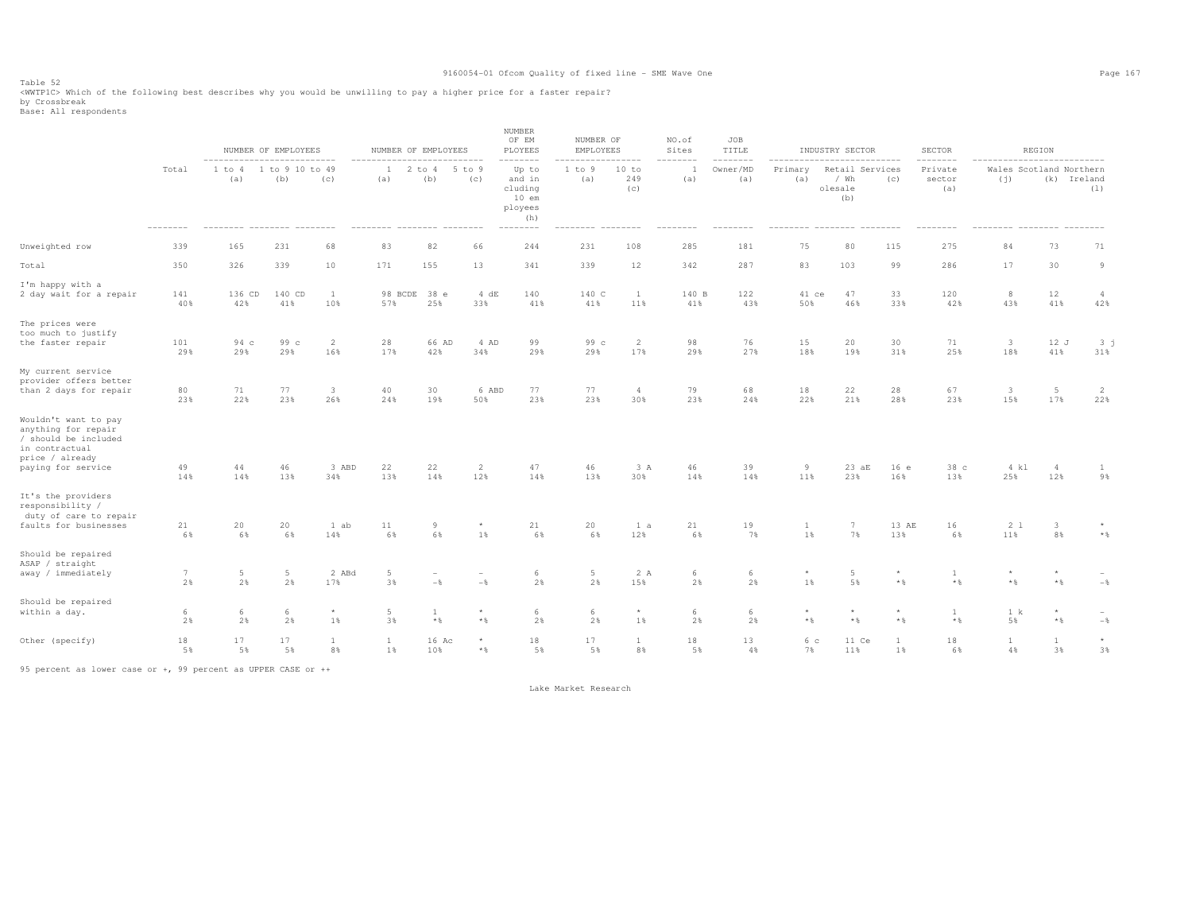Table 52 <WWTP1C> Which of the following best describes why you would be unwilling to pay a higher price for a faster repair? by Crossbreak<br>Base: All respondents

|                                                                                                                                |                       |                                                                            | NUMBER OF EMPLOYEES    |                       | NUMBER OF EMPLOYEES                                              |                                          |                                   | <b>NUMBER</b><br>OF EM<br>PLOYEES                                                   | NUMBER OF<br>EMPLOYEES                          |                          | NO.of<br>Sites  | JOB<br>TITLE                |                             | INDUSTRY SECTOR                                                                             |                         | <b>SECTOR</b>                                             |                                                              | REGION                  |                         |
|--------------------------------------------------------------------------------------------------------------------------------|-----------------------|----------------------------------------------------------------------------|------------------------|-----------------------|------------------------------------------------------------------|------------------------------------------|-----------------------------------|-------------------------------------------------------------------------------------|-------------------------------------------------|--------------------------|-----------------|-----------------------------|-----------------------------|---------------------------------------------------------------------------------------------|-------------------------|-----------------------------------------------------------|--------------------------------------------------------------|-------------------------|-------------------------|
|                                                                                                                                | Total<br>$----------$ | ----------------------------<br>1 to 4<br>(a)<br>-------- -------- ------- | 1 to 9 10 to 49<br>(b) | (c)                   | $-- - - - - - - -$<br>2<br>1<br>(a)<br>-------- -------- ------- | --------------<br>to 4<br>(b)            | 5 to 9<br>(c)                     | --------<br>Up to<br>and in<br>cluding<br>$10$ em<br>ployees<br>(h)<br>$----------$ | --------<br>1 to 9<br>(a)<br>--------- -------- | .<br>10 to<br>249<br>(c) | --------<br>(a) | --------<br>Owner/MD<br>(a) | ---------<br>Primary<br>(a) | ----------------<br>Retail Services<br>/ Wh<br>olesale<br>(b)<br>--------- -------- ------- | (C)                     | $- - - - - - - -$<br>Private<br>sector<br>(a)<br>-------- | --------------------------<br>Wales Scotland Northern<br>(j) | (k) Ireland<br>-------- | (1)                     |
| Unweighted row                                                                                                                 | 339                   | 165                                                                        | 231                    | 68                    | 83                                                               | 82                                       | 66                                | 244                                                                                 | 231                                             | 108                      | 285             | 181                         | 75                          | 80                                                                                          | 115                     | 275                                                       | 84                                                           | 73                      | 71                      |
| Total                                                                                                                          | 350                   | 326                                                                        | 339                    | 10                    | 171                                                              | 155                                      | 13                                | 341                                                                                 | 339                                             | 12                       | 342             | 287                         | 83                          | 103                                                                                         | 99                      | 286                                                       | 17                                                           | 30                      | 9                       |
| I'm happy with a<br>2 day wait for a repair                                                                                    | 141<br>40%            | 136 CD<br>42%                                                              | 140 CD<br>41%          | <sup>1</sup><br>10%   | 98 BCDE<br>57%                                                   | 38 e<br>25%                              | 4 dE<br>33%                       | 140<br>41%                                                                          | 140 C<br>41%                                    | 1<br>11%                 | 140 B<br>41%    | 122<br>43%                  | 41 ce<br>50%                | 47<br>46%                                                                                   | 33<br>33%               | 120<br>42%                                                | 8<br>43%                                                     | 12<br>41%               | $\overline{4}$<br>42%   |
| The prices were<br>too much to justify<br>the faster repair                                                                    | 101<br>29%            | $94\text{ c}$<br>29%                                                       | 99 c<br>29%            | 2<br>16%              | 28<br>17%                                                        | 66 AD<br>42%                             | 4 AD<br>34%                       | 99<br>29%                                                                           | 99 <sub>c</sub><br>29%                          | $\overline{2}$<br>17%    | 98<br>29%       | 76<br>27%                   | 15<br>18%                   | 20<br>19%                                                                                   | 30<br>31%               | 71<br>25%                                                 | $\overline{\mathbf{3}}$<br>18%                               | 12J<br>41%              | 3 <sub>j</sub><br>31%   |
| My current service<br>provider offers better<br>than 2 days for repair                                                         | 80<br>23%             | 71<br>22%                                                                  | 77<br>23%              | $\overline{3}$<br>26% | 40<br>24%                                                        | 30<br>19%                                | 6 ABD<br>50%                      | 77<br>23%                                                                           | 77<br>23%                                       | $\overline{4}$<br>30%    | 79<br>23%       | 68<br>24%                   | 18<br>22%                   | 22<br>21%                                                                                   | 28<br>28%               | 67<br>23%                                                 | $\overline{\mathbf{3}}$<br>15%                               | $5\phantom{.0}$<br>17%  | 2<br>22%                |
| Wouldn't want to pay<br>anything for repair<br>/ should be included<br>in contractual<br>price / already<br>paying for service | 49<br>14%             | 44<br>14%                                                                  | 46<br>13%              | 3 ABD<br>34%          | 22<br>13%                                                        | 22<br>14%                                | $\overline{c}$<br>12%             | 47<br>14%                                                                           | 46<br>13%                                       | 3 A<br>30%               | 46<br>14%       | 39<br>14%                   | 9<br>11%                    | 23aE<br>23%                                                                                 | 16e<br>16%              | 38 c<br>13%                                               | 4 kl<br>25%                                                  | $\overline{4}$<br>12%   | $\mathbf{1}$<br>9%      |
| It's the providers<br>responsibility /<br>duty of care to repair<br>faults for businesses                                      | 21<br>6%              | 20<br>6%                                                                   | 20<br>6%               | 1 ab<br>14%           | $1\,1$<br>6%                                                     | 9<br>6%                                  | $^{\star}$<br>1%                  | 21<br>6%                                                                            | 20<br>6%                                        | 1 a<br>12%               | 21<br>6%        | 19<br>7%                    | 1<br>1%                     | $\overline{7}$<br>7%                                                                        | 13 AE<br>13%            | 16<br>6%                                                  | 2 <sub>1</sub><br>11%                                        | $\mathbf{3}$<br>8%      | $\star$<br>$\star$ $\,$ |
| Should be repaired<br>ASAP / straight<br>away / immediately                                                                    | $7\phantom{.0}$<br>2% | 5<br>2%                                                                    | $5\phantom{.0}$<br>2%  | 2 ABd<br>17%          | 5<br>3%                                                          | $\hspace{0.1mm}-\hspace{0.1mm}$<br>$-\,$ | $\overline{\phantom{a}}$<br>$-\,$ | 6<br>2%                                                                             | $5 -$<br>2%                                     | 2 A<br>15%               | 6<br>2%         | 6<br>2%                     | $\star$<br>1%               | 5<br>5%                                                                                     | $\star$<br>$\star$ $\,$ | 1<br>$\star$ $\,$                                         | $*$ %                                                        | $*$ &                   | $-$ %                   |
| Should be repaired<br>within a day.                                                                                            | 6<br>2%               | 6<br>2%                                                                    | 6<br>2%                | $\star$<br>1%         | 5<br>3%                                                          | $\mathbf{1}$<br>$\star$ $\,$             | $\star$<br>$\star$ $\,$           | 6<br>2%                                                                             | 6<br>2%                                         | $^{\star}$<br>1%         | 6<br>2%         | 6<br>2%                     | $\star$<br>$\star$ $\,$     | $\star$<br>$*$                                                                              | $\star$<br>$\star$ $\,$ | 1<br>$\star$ $\,$                                         | 1 k<br>5%                                                    | $\star$<br>$\star$ $\,$ | $-$ %                   |
| Other (specify)                                                                                                                | 18<br>5%              | 17<br>5%                                                                   | 17<br>5%               | <sup>1</sup><br>8%    | <sup>1</sup><br>1%                                               | 16 Ac<br>10%                             | $\star$<br>$\star$ $\,$           | 18<br>5%                                                                            | 17<br>5%                                        | $\mathbf{1}$<br>8%       | 18<br>5%        | 13<br>4%                    | 6 c<br>7%                   | 11 Ce<br>11%                                                                                | -1<br>1%                | 18<br>6%                                                  | $\mathbf{1}$<br>4%                                           | 1<br>3%                 | $\star$<br>3%           |

95 percent as lower case or +, 99 percent as UPPER CASE or ++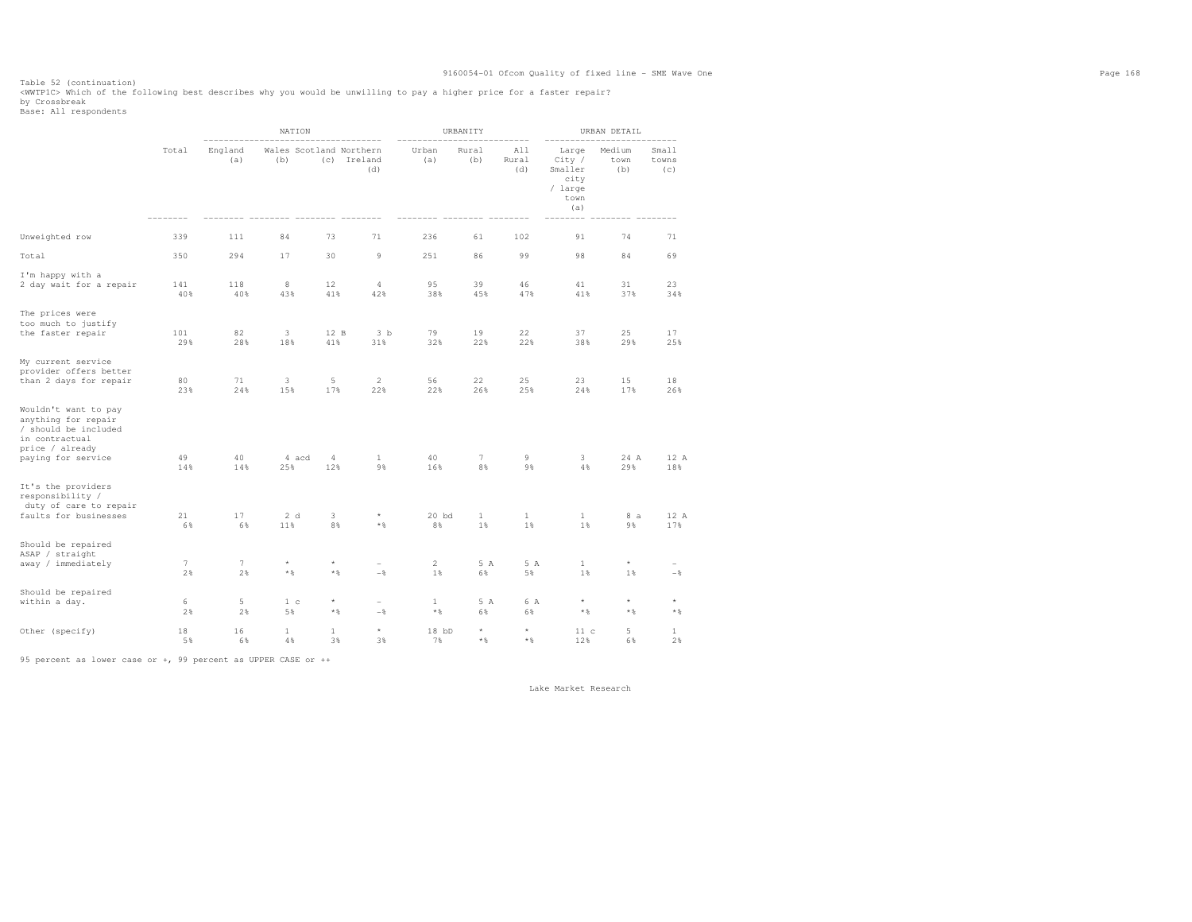Table 52 (continuation) <WWTP1C> Which of the following best describes why you would be unwilling to pay a higher price for a faster repair?

by Crossbreak<br>Base: All respondents

|                                                                                                                                |            |                       | NATION                         |                              |                                            |                       | URBANITY              |                     |                                                              | URBAN DETAIL             | $- - - - -$                                |
|--------------------------------------------------------------------------------------------------------------------------------|------------|-----------------------|--------------------------------|------------------------------|--------------------------------------------|-----------------------|-----------------------|---------------------|--------------------------------------------------------------|--------------------------|--------------------------------------------|
|                                                                                                                                | Total      | England<br>(a)        | Wales Scotland Northern<br>(b) |                              | (c) Ireland<br>(d)                         | Urban<br>(a)          | Rural<br>(b)          | All<br>Rural<br>(d) | Large<br>City /<br>Smaller<br>city<br>/ large<br>town<br>(a) | Medium<br>town<br>(b)    | Small<br>towns<br>(c)                      |
| Unweighted row                                                                                                                 | 339        | 111                   | 84                             | 73                           | 71                                         | 236                   | 61                    | 102                 | 91                                                           | 74                       | 71                                         |
| Total                                                                                                                          | 350        | 294                   | 17                             | 30                           | $\overline{9}$                             | 251                   | 86                    | 99                  | 98                                                           | 84                       | 69                                         |
| I'm happy with a<br>2 day wait for a repair                                                                                    | 141<br>40% | 118<br>40%            | 8<br>43%                       | 12<br>41%                    | 4<br>42%                                   | 95<br>38%             | 39<br>45%             | 46<br>47%           | 41<br>41%                                                    | 31<br>37%                | 23<br>34%                                  |
| The prices were<br>too much to justify<br>the faster repair                                                                    | 101<br>29% | 82<br>28%             | 3<br>18%                       | 12 B<br>41%                  | 3 <sub>b</sub><br>31%                      | 79<br>32%             | 19<br>22%             | 22<br>22%           | 37<br>38%                                                    | 25<br>29%                | 17<br>25%                                  |
| My current service<br>provider offers better<br>than 2 days for repair                                                         | 80<br>23%  | 71<br>24%             | 3<br>15%                       | 5<br>17%                     | $\overline{2}$<br>22%                      | 56<br>22%             | 22<br>26%             | 25<br>25%           | 23<br>24%                                                    | 15<br>17%                | 18<br>26%                                  |
| Wouldn't want to pay<br>anything for repair<br>/ should be included<br>in contractual<br>price / already<br>paying for service | 49<br>14%  | 40<br>14%             | 4 acd<br>25%                   | 4<br>12%                     | 1<br>9%                                    | 40<br>16%             | $7\phantom{.0}$<br>8% | 9<br>9%             | 3<br>4%                                                      | 24 A<br>29%              | 12 A<br>18%                                |
| It's the providers<br>responsibility /<br>duty of care to repair<br>faults for businesses                                      | 21<br>6%   | 17<br>6%              | 2d<br>11%                      | 3<br>8%                      | $^{\star}$<br>$\star$ $\,$                 | $20$ bd<br>8%         | 1<br>$1\%$            | 1<br>$1\%$          | 1<br>1%                                                      | 8 a<br>98                | 12 A<br>17%                                |
| Should be repaired<br>ASAP / straight<br>away / immediately                                                                    | 7<br>2%    | $7\phantom{.0}$<br>2% | $\star$<br>$\star$ $\S$        | ${}^{\star}$<br>* %          | $\overline{\phantom{0}}$<br>$-\frac{6}{5}$ | $\mathbf{2}$<br>$1\%$ | 5 A<br>6%             | 5 A<br>5%           | $\mathbf 1$<br>$1\%$                                         | $^\star$<br>$1\%$        | $\overline{\phantom{a}}$<br>$-\frac{6}{3}$ |
| Should be repaired<br>within a day.                                                                                            | 6<br>2%    | 5<br>2%               | 1 <sub>c</sub><br>5%           | $\star$<br>$*$ $\frac{6}{3}$ | $\overline{\phantom{a}}$<br>$-\frac{6}{6}$ | 1<br>$*$ &            | 5 A<br>6%             | 6 A<br>6%           | $^\star$<br>$*$ &                                            | $^\star$<br>$\star$ $\,$ | $^{\star}$<br>$\star$ $\,$                 |
| Other (specify)                                                                                                                | 18<br>5%   | 16<br>6%              | 1<br>4%                        | 1<br>3%                      | $^\star$<br>3%                             | $18$ bD<br>7%         | $^\star$<br>$*$ &     | $\star$<br>$*$ &    | 11c<br>12%                                                   | 5<br>6%                  | 1<br>2%                                    |

95 percent as lower case or +, 99 percent as UPPER CASE or ++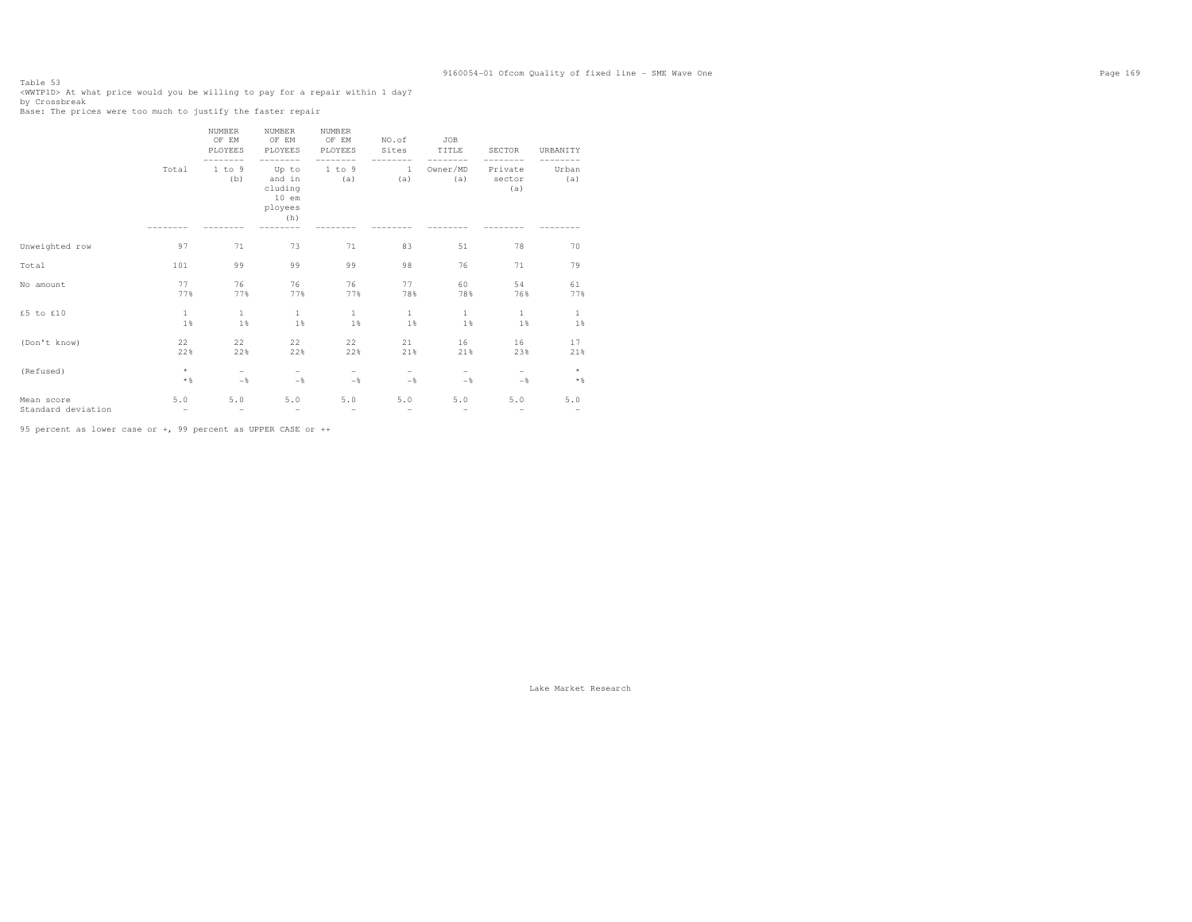Table 53<br><WWTP1D> At what price would you be willing to pay for a repair within 1 day?<br>ky Outschust by Crossbreak Base: The prices were too much to justify the faster repair

|                    |                   | NUMBER<br>OF EM<br>PLOYEES | NUMBER<br>OF EM<br>PLOYEES                              | NUMBER<br>OF EM<br>PLOYEES<br>$- - -$ | NO.of<br>Sites      | <b>JOB</b><br>TITLE      | <b>SECTOR</b>            | URBANITY                        |
|--------------------|-------------------|----------------------------|---------------------------------------------------------|---------------------------------------|---------------------|--------------------------|--------------------------|---------------------------------|
|                    | Total             | 1 to 9<br>(b)              | Up to<br>and in<br>cluding<br>$10$ em<br>ployees<br>(h) | 1 to 9<br>(a)                         | <sup>1</sup><br>(a) | Owner/MD<br>(a)          | Private<br>sector<br>(a) | Urban<br>(a)                    |
| Unweighted row     | 97                | 71                         | 73                                                      | 71                                    | 83                  | 51                       | 78                       | 70                              |
| Total              | 101               | 99                         | 99                                                      | 99                                    | 98                  | 76                       | 71                       | 79                              |
| No amount          | 77                | 76                         | 76                                                      | 76                                    | 77                  | 60                       | 54                       | 61                              |
|                    | 77%               | 77%                        | 77%                                                     | 77%                                   | 78%                 | 78%                      | 76%                      | 77%                             |
| £5 to £10          | $\mathbf{1}$      | $\mathbf{1}$               | $\mathbf{1}$                                            | 1                                     | $\mathbf{1}$        | $\mathbf{1}$             | $\mathbf{1}$             | 1                               |
|                    | 1%                | 1%                         | 1%                                                      | 1%                                    | 1%                  | 1%                       | 1%                       | 1%                              |
| (Don't know)       | 22                | 22                         | 22                                                      | 22                                    | 21                  | 16                       | 16                       | 17                              |
|                    | 22%               | 22%                        | 22%                                                     | 22%                                   | 21%                 | 21%                      | 23%                      | 21%                             |
| (Refused)          | $\star$           | $-$                        | $\overline{\phantom{m}}$                                | $-$                                   | -                   | $\overline{\phantom{0}}$ | $-$                      | $\star$                         |
|                    | $*$ &             | $-$                        | $-$                                                     | $-$                                   | $-$                 | $-$                      | $-$                      | $*$ &                           |
| Mean score         | 5.0               | 5.0                        | 5.0                                                     | 5.0                                   | 5.0                 | 5.0                      | 5.0                      | $5.0$                           |
| Standard deviation | $\qquad \qquad -$ | $\qquad \qquad -$          | $\overline{\phantom{m}}$                                | $\qquad \qquad -$                     | $\qquad \qquad -$   | $\overline{\phantom{m}}$ | $\qquad \qquad -$        | $\hspace{0.1mm}-\hspace{0.1mm}$ |

95 percent as lower case or +, 99 percent as UPPER CASE or ++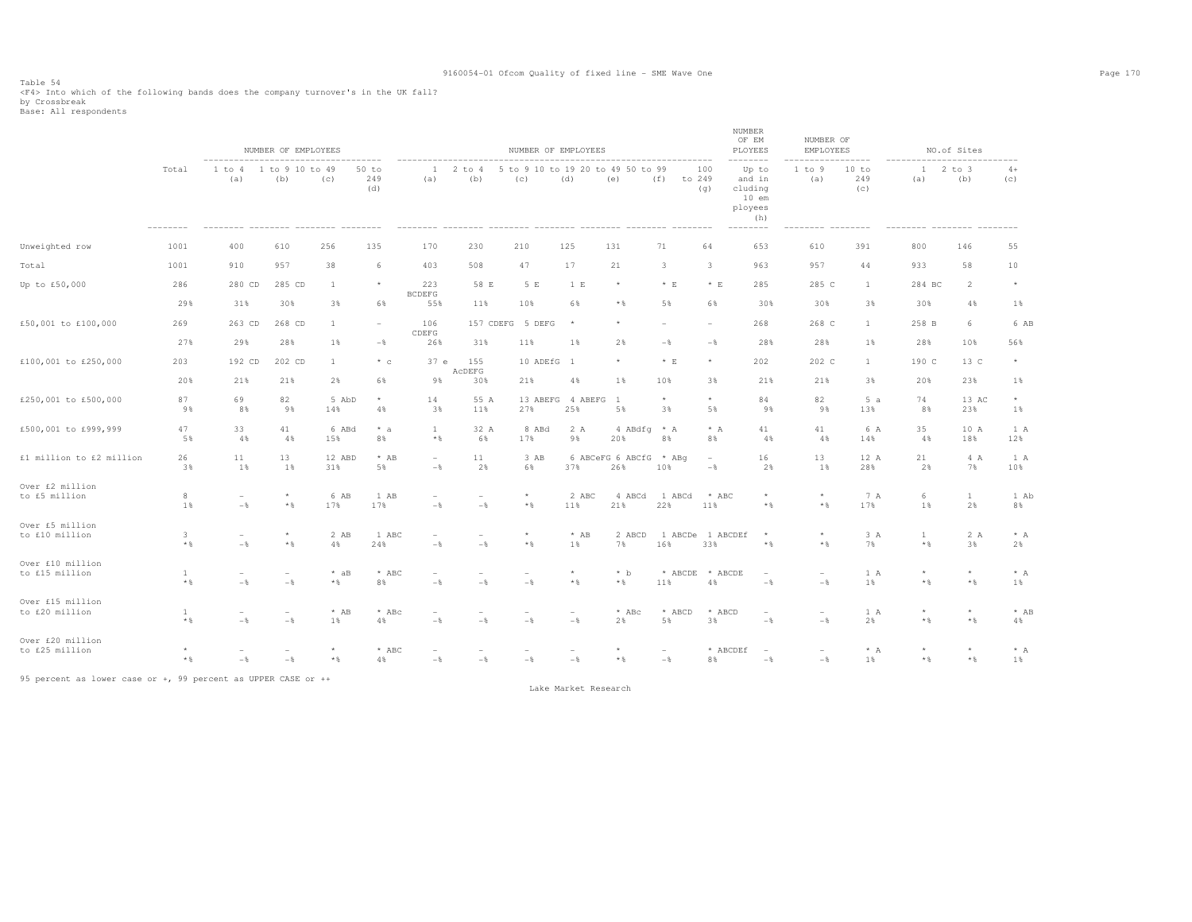Table 54<br><F4> Into which of the following bands does the company turnover's in the UK fall?<br>by Crossbreak<br>Base: All respondents

|                                    |                     |                                 | NUMBER OF EMPLOYEES                        |                         |                       |                                            |                          | NUMBER OF EMPLOYEES                        |                                 |                                          |                         |                                 | NUMBER<br>OF EM<br>PLOYEES                              | NUMBER OF<br>EMPLOYEES          |                     |                         | NO.of Sites             |                |
|------------------------------------|---------------------|---------------------------------|--------------------------------------------|-------------------------|-----------------------|--------------------------------------------|--------------------------|--------------------------------------------|---------------------------------|------------------------------------------|-------------------------|---------------------------------|---------------------------------------------------------|---------------------------------|---------------------|-------------------------|-------------------------|----------------|
|                                    | Total               | 1 to 4<br>(a)                   | 1 to 9 10 to 49<br>(b)                     | (c)                     | $50$ to<br>249<br>(d) | $\mathbf{1}$<br>(a)                        | $2$ to $4$<br>(b)        | (c)                                        | (d)                             | 5 to 9 10 to 19 20 to 49 50 to 99<br>(e) | to 249<br>(f)           | 100<br>(q)                      | Up to<br>and in<br>cluding<br>$10$ em<br>ployees<br>(h) | 1 to 9<br>(a)                   | 10 to<br>249<br>(c) | $12$ to $3$<br>(a)      | (b)                     | $4+$<br>(c)    |
| Unweighted row                     | 1001                | 400                             | 610                                        | 256                     | 135                   | 170                                        | 230                      | 210                                        | 125                             | 131                                      | 71                      | 64                              | 653                                                     | 610                             | 391                 | 800                     | 146                     | 55             |
| Total                              | 1001                | 910                             | 957                                        | 38                      | 6                     | 403                                        | 508                      | 47                                         | 17                              | 21                                       | $\mathbf{3}$            | 3                               | 963                                                     | 957                             | 44                  | 933                     | 58                      | 10             |
| Up to £50,000                      | 286                 | 280 CD                          | 285 CD                                     | <sup>1</sup>            | $\star$               | 223<br><b>BCDEFG</b>                       | 58 E                     | 5 E                                        | 1 E                             | $^\star$                                 | $*$ E                   | $*$ E                           | 285                                                     | 285 C                           | $\mathbf{1}$        | 284 BC                  | $\overline{2}$          | $\star$        |
|                                    | 29%                 | 31%                             | 30%                                        | 3%                      | 6%                    | 55%                                        | 11%                      | 10%                                        | 6%                              | $*$ %                                    | 5%                      | 6%                              | 30%                                                     | 30%                             | 3%                  | 30%                     | 4%                      | 1%             |
| £50,001 to £100,000                | 269                 | 263 CD                          | 268 CD                                     | $\overline{1}$          | $\sim$                | 106<br>CDEFG                               | 157 CDEFG                | 5 DEFG                                     |                                 | $\star$                                  |                         | $\sim$                          | 268                                                     | 268 C                           | $\mathbf{1}$        | 258 B                   | 6                       | 6 AB           |
|                                    | 27%                 | 29%                             | 28%                                        | 1%                      | $-\frac{6}{6}$        | 26%                                        | 31%                      | 11%                                        | 1%                              | 2%                                       | $-$                     | $-\frac{6}{6}$                  | 28%                                                     | 28%                             | 1%                  | 28%                     | 10%                     | 56%            |
| £100,001 to £250,000               | 203                 | 192 CD                          | 202 CD                                     | $\mathbf{1}$            | $*$ c                 | 37 e                                       | 155<br>ACDEFG            | 10 ADEfG                                   | - 1                             | $^{\star}$                               | $* E$                   | $\star$                         | 202                                                     | 202 C                           | $\mathbf{1}$        | 190 C                   | 13 C                    | $^{\star}$     |
|                                    | 20%                 | 21%                             | 21%                                        | 2%                      | 6%                    | 9%                                         | 30%                      | 21%                                        | 4%                              | 1%                                       | 10%                     | 3%                              | 21%                                                     | 21%                             | 3%                  | 20%                     | 23%                     | 1%             |
| £250,001 to £500,000               | 87<br>9%            | 69<br>8%                        | 82<br>9%                                   | 5 AbD<br>14%            | $\star$<br>4%         | 14<br>3%                                   | 55 A<br>11%              | 27%                                        | 13 ABEFG 4 ABEFG<br>25%         | $\overline{1}$<br>5%                     | $\star$<br>3%           | $\star$<br>5%                   | 84<br>9%                                                | 82<br>9%                        | 5a<br>13%           | 74<br>8%                | 13 AC<br>23%            | $^\star$<br>1% |
| £500,001 to £999,999               | 47<br>5%            | 33<br>4%                        | 41<br>4%                                   | 6 ABd<br>15%            | $* a$<br>8%           | -1<br>$*$ &                                | 32 A<br>6%               | 8 ABd<br>17%                               | 2 A<br>9%                       | 4 ABdfg * A<br>20%                       | 8%                      | $* A$<br>8%                     | 41<br>4%                                                | 41<br>4%                        | 6 A<br>14%          | 35<br>4%                | 10 A<br>18%             | 1 A<br>12%     |
| £1 million to £2 million           | 26<br>3%            | 11<br>1%                        | 13<br>1%                                   | 12 ABD<br>31%           | $*$ AB<br>5%          | $\sim$<br>$-$                              | 11<br>2%                 | 3 AB<br>6%                                 | 37%                             | 6 ABCeFG 6 ABCfG<br>26%                  | $*$ ABq<br>10%          | $\overline{\phantom{a}}$<br>$-$ | 16<br>2%                                                | 13<br>1%                        | 12 A<br>28%         | 21<br>2%                | 4 A<br>7%               | 1 A<br>10%     |
| Over £2 million<br>to £5 million   | 8                   | $\overline{a}$                  | $\star$                                    | 6 AB                    | 1 AB                  | $\overline{a}$                             | $\overline{\phantom{a}}$ | $\star$                                    | 2 ABC                           | 4 ABCd                                   | 1 ABCd                  | $*$ ABC                         | $\star$                                                 | $\star$                         | 7 A                 | 6                       | $\mathbf{1}$            | 1 Ab           |
|                                    | 1%                  | $-\frac{6}{5}$                  | $*$ &                                      | 17%                     | 17%                   | $-$                                        | $-\frac{6}{6}$           | $*$ &                                      | 11%                             | 21%                                      | 22%                     | 11%                             | $*$ &                                                   | $*$ %                           | 17%                 | 1%                      | 2%                      | 8%             |
| Over £5 million<br>to £10 million  | $\mathbf{3}$<br>$*$ | $\overline{\phantom{0}}$<br>$-$ | $\star$<br>$*$ &                           | 2 AB<br>4%              | 1 ABC<br>24%          | $\overline{\phantom{a}}$<br>$-\frac{6}{6}$ | $\sim$<br>$-\frac{6}{6}$ | $\star$<br>$*$ &                           | $*$ AB<br>1%                    | 2 ABCD<br>7%                             | 1 ABCDe 1 ABCDEf<br>16% | 33%                             | $\star$<br>$*$ &                                        | $\star$<br>$*$ &                | 3 A<br>7%           | $\mathbf{1}$<br>$*$ &   | 2 A<br>3%               | $* A$<br>2%    |
| Over £10 million<br>to £15 million | 1<br>$\star$ $\,$   | $\overline{\phantom{0}}$<br>$-$ | $\sim$<br>$-\frac{6}{6}$                   | $*$ aB<br>$\star$ $\,$  | $*$ ABC<br>8%         | $\overline{\phantom{a}}$<br>$-$            | $-\frac{6}{6}$           | $\sim$<br>$-\frac{6}{6}$                   | $^{\star}$<br>$\star$ $\,$      | $*$ b<br>$*$ &                           | * ABCDE<br>11%          | * ABCDE<br>4%                   | $-$                                                     | $\sim$<br>$-$                   | 1A<br>1%            | $\star$<br>$\star$ $\,$ | $\star$<br>$\star$ $\,$ | $* A$<br>1%    |
|                                    |                     |                                 |                                            |                         |                       |                                            |                          |                                            |                                 |                                          |                         |                                 |                                                         |                                 |                     |                         |                         |                |
| Over £15 million<br>to £20 million | $\mathbf{1}$<br>$*$ | $\overline{\phantom{0}}$<br>$-$ | $\overline{\phantom{a}}$<br>$-\frac{6}{6}$ | $*$ AB<br>$1\%$         | $*$ ABc<br>4%         | $\overline{\phantom{a}}$<br>$-\frac{6}{6}$ | $-$                      | $\overline{\phantom{a}}$<br>$-\frac{6}{5}$ | $\overline{\phantom{a}}$<br>$-$ | $*$ ABc<br>2%                            | * ABCD<br>5%            | * ABCD<br>3%                    | $-\frac{6}{6}$                                          | $\overline{\phantom{a}}$<br>$-$ | 1 A<br>2%           | $\star$<br>$*$ %        | $\star$<br>$\star$ $\,$ | $*$ AB<br>4%   |
| Over £20 million<br>to £25 million | $*$ &               | $-$                             | $-\frac{6}{6}$                             | $\star$<br>$\star$ $\,$ | * ABC<br>4%           | $-$                                        | $-$                      | $-\frac{6}{6}$                             | $-$                             | $\star$<br>$*$ &                         | $\sim$<br>$-$           | * ABCDEf<br>8%                  | $\sim$<br>$-\frac{6}{6}$                                | $\overline{\phantom{a}}$<br>$-$ | $* A$<br>1%         | $\star$<br>$\star$ $\,$ | $\star$<br>$\star$ $\,$ | $* A$<br>1%    |
|                                    |                     |                                 |                                            |                         |                       |                                            |                          |                                            |                                 |                                          |                         |                                 |                                                         |                                 |                     |                         |                         |                |

95 percent as lower case or +, 99 percent as UPPER CASE or ++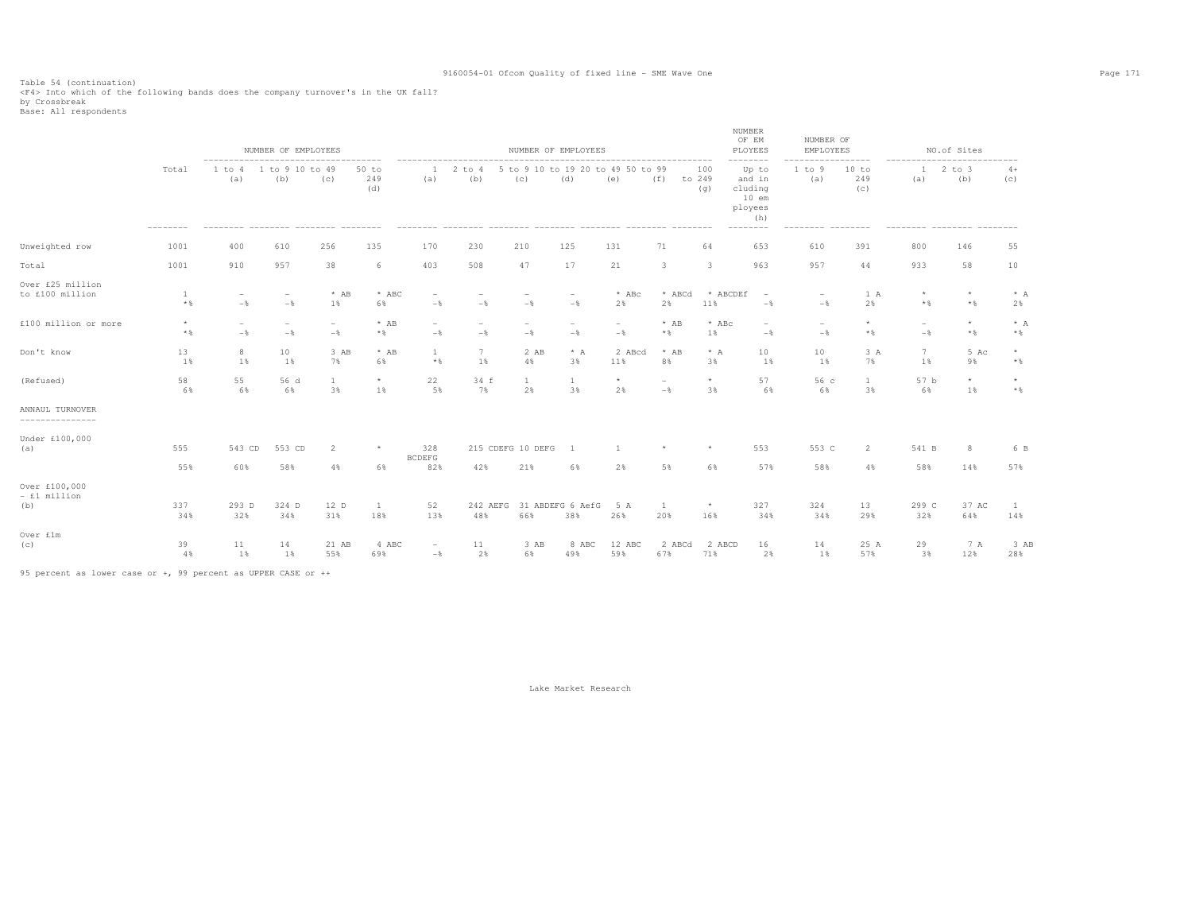Table 54 (continuation) <F4> Into which of the following bands does the company turnover's in the UK fall? by Crossbreak Base: All respondents

|                                      |                            | $- - - - - - -$                            | NUMBER OF EMPLOYEES                        |                                            |                       |                                 |                   | NUMBER OF EMPLOYEES                        |                                 |                                 |                                            |                         | NUMBER<br>OF EM<br>PLOYEES<br>--------                                       | NUMBER OF<br>EMPLOYEES          |                     |                                 | NO.of Sites       |                 |
|--------------------------------------|----------------------------|--------------------------------------------|--------------------------------------------|--------------------------------------------|-----------------------|---------------------------------|-------------------|--------------------------------------------|---------------------------------|---------------------------------|--------------------------------------------|-------------------------|------------------------------------------------------------------------------|---------------------------------|---------------------|---------------------------------|-------------------|-----------------|
|                                      | Total                      | 1 to 4<br>(a)                              | 1 to 9 10 to 49<br>(b)                     | (c)                                        | $50$ to<br>249<br>(d) | -1<br>(a)                       | $2$ to $4$<br>(b) | 5 to 9 10 to 19 20 to 49 50 to 99<br>(c)   | (d)                             | (e)                             | (f)<br>to 249                              | 100<br>(q)              | Up to<br>and in<br>cluding<br>$10$ em<br>ployees<br>(h)<br>$- - - - - - - -$ | 1 to 9<br>(a)                   | 10 to<br>249<br>(C) | 1<br>(a)                        | $2$ to $3$<br>(b) | $4+$<br>(C)     |
| Unweighted row                       | 1001                       | 400                                        | 610                                        | 256                                        | 135                   | 170                             | 230               | 210                                        | 125                             | 131                             | 71                                         | 64                      | 653                                                                          | 610                             | 391                 | 800                             | 146               | 55              |
| Total                                | 1001                       | 910                                        | 957                                        | 38                                         | 6                     | 403                             | 508               | 47                                         | 17                              | 21                              | $\mathbf{3}$                               | $\overline{\mathbf{3}}$ | 963                                                                          | 957                             | 44                  | 933                             | 58                | 10              |
| Over £25 million<br>to £100 million  | 1<br>$*$ %                 | $\qquad \qquad -$<br>$-\frac{6}{5}$        | $\overline{\phantom{a}}$<br>$-\frac{6}{6}$ | $*$ AB<br>$1\%$                            | $*$ ABC<br>6%         | $\overline{a}$<br>$-$           | $-\frac{6}{6}$    | $-$                                        | $\overline{\phantom{a}}$<br>$-$ | $*$ ABc<br>2%                   | * ABCd<br>2%                               | * ABCDEf<br>11%         | $\overline{\phantom{a}}$<br>$-\frac{6}{5}$                                   | $-$                             | 1 A<br>2%           | $\star$<br>$\star$ $\,$         | $\star$<br>$*$ &  | $*$ A<br>2%     |
| £100 million or more                 | $^{\star}$<br>$\star$ $\,$ | $\overline{\phantom{a}}$<br>$-\frac{6}{5}$ | $\overline{\phantom{a}}$<br>$-\frac{6}{6}$ | $\overline{\phantom{m}}$<br>$-\frac{6}{6}$ | $*$ AB<br>$*$         | $\overline{\phantom{m}}$<br>$-$ | $-\frac{6}{6}$    | $\overline{\phantom{m}}$<br>$-\frac{6}{6}$ | $\overline{\phantom{a}}$<br>$-$ | $\overline{\phantom{0}}$<br>$-$ | $*$ AB<br>$*$ &                            | $*$ ABc<br>1%           | $\overline{\phantom{a}}$<br>$-\frac{6}{6}$                                   | $\overline{\phantom{a}}$<br>$-$ | $^{\star}$<br>$*$   | $\overline{\phantom{a}}$<br>$-$ | $\star$<br>$*$ &  | $* A$<br>$*$    |
| Don't know                           | 13<br>1%                   | 8<br>1%                                    | 10<br>1%                                   | 3 AB<br>7%                                 | $*$ AB<br>6%          | 1<br>$*$ &                      | 7<br>1%           | 2 AB<br>4%                                 | $*$ A<br>3%                     | 2 ABcd<br>11%                   | $*$ AB<br>8%                               | $* A$<br>3%             | 10<br>1%                                                                     | 10<br>1%                        | 3A<br>7%            | $7\phantom{.0}$<br>1%           | 5 Ac<br>9%        | $\star$<br>$*$  |
| (Refused)                            | 58<br>6%                   | 55<br>6%                                   | 56 d<br>6%                                 | 1<br>3%                                    | $\star$<br>1%         | 22<br>5%                        | 34 f<br>7%        | 1<br>2%                                    | 1<br>3%                         | $\star$<br>2%                   | $\overline{\phantom{a}}$<br>$-\frac{6}{5}$ | $\star$<br>3%           | 57<br>6%                                                                     | 56 с<br>6%                      | $\mathbf{1}$<br>3%  | 57 b<br>6%                      | $\star$<br>1%     | $\star$<br>$*$  |
| ANNAUL TURNOVER<br>---------------   |                            |                                            |                                            |                                            |                       |                                 |                   |                                            |                                 |                                 |                                            |                         |                                                                              |                                 |                     |                                 |                   |                 |
| Under £100,000<br>(a)                | 555                        | 543 CD                                     | 553 CD                                     | $\overline{2}$                             | $\star$               | 328<br><b>BCDEFG</b>            |                   | 215 CDEFG 10 DEFG                          | <sup>1</sup>                    |                                 | $\star$                                    | $\star$                 | 553                                                                          | 553 C                           | $\overline{2}$      | 541 B                           | 8                 | 6 B             |
|                                      | 55%                        | 60%                                        | 58%                                        | 4%                                         | 6%                    | 82%                             | 42%               | 21%                                        | 6%                              | 2%                              | 5%                                         | 6%                      | 57%                                                                          | 58%                             | 4%                  | 58%                             | 14%               | 57%             |
| Over £100,000<br>- £1 million<br>(b) | 337<br>34%                 | 293 D<br>32%                               | 324 D<br>34%                               | 12 D<br>31%                                | <b>1</b><br>18%       | 52<br>13%                       | 242 AEFG<br>48%   | 66%                                        | 31 ABDEFG 6 AefG<br>38%         | 5 A<br>26%                      | -1<br>20%                                  | $\star$<br>16%          | 327<br>34%                                                                   | 324<br>34%                      | 13<br>29%           | 299 C<br>32%                    | 37 AC<br>64%      | <b>1</b><br>14% |
| Over £1m<br>(c)                      | 39<br>4%                   | 11<br>1%                                   | 14<br>1%                                   | 21 AB<br>55%                               | 4 ABC<br>69%          | $\overline{\phantom{a}}$<br>$-$ | 11<br>2%          | 3 AB<br>6%                                 | 8 ABC<br>49%                    | 12 ABC<br>59%                   | 2 ABCd<br>67%                              | 2 ABCD<br>71%           | 16<br>2%                                                                     | 14<br>1%                        | 25 A<br>57%         | 29<br>3%                        | 7 A<br>12%        | 3 AB<br>28%     |

95 percent as lower case or +, 99 percent as UPPER CASE or ++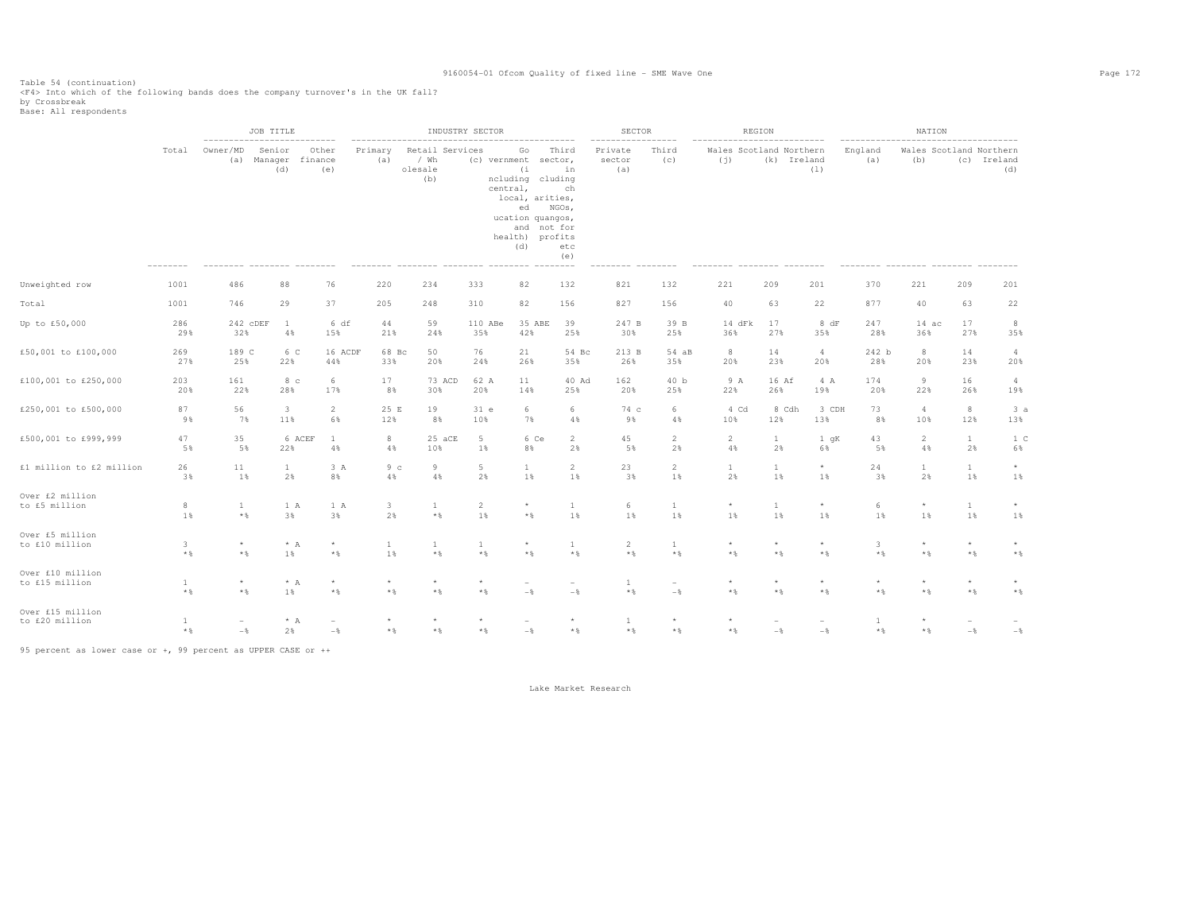Table 54 (continuation) <F4> Into which of the following bands does the company turnover's in the UK fall? by Crossbreak Base: All respondents

|                                    |                   |                         | JOB TITLE<br>____________________    |                                 |                   |                                           | INDUSTRY SECTOR         |                                                                                                                                                 |                                                     | SECTOR                       |                                   |                                | REGION                  |                         |                       | NATION         |                         |                                               |
|------------------------------------|-------------------|-------------------------|--------------------------------------|---------------------------------|-------------------|-------------------------------------------|-------------------------|-------------------------------------------------------------------------------------------------------------------------------------------------|-----------------------------------------------------|------------------------------|-----------------------------------|--------------------------------|-------------------------|-------------------------|-----------------------|----------------|-------------------------|-----------------------------------------------|
|                                    | Total             | Owner/MD                | Senior<br>(a) Manager finance<br>(d) | Other<br>(e)                    | Primary<br>(a)    | Retail Services<br>/ Wh<br>olesale<br>(b) |                         | Go<br>(c) vernment<br>(i)<br>ncluding cluding<br>central,<br>local, arities,<br>ed<br>ucation quangos,<br>and not for<br>health) profits<br>(d) | Third<br>sector,<br>in<br>ch<br>NGOs,<br>etc<br>(e) | Private<br>sector<br>(a)     | Third<br>(C)                      | Wales Scotland Northern<br>(j) | (k) Ireland             | (1)                     | England<br>(a)        | (b)            |                         | Wales Scotland Northern<br>(c) Ireland<br>(d) |
| Unweighted row                     | 1001              | 486                     | 88                                   | 76                              | 220               | 234                                       | 333                     | 82                                                                                                                                              | 132                                                 | 821                          | 132                               | 221                            | 209                     | 201                     | 370                   | 221            | 209                     | 201                                           |
| Total                              | 1001              | 746                     | 29                                   | 37                              | 205               | 248                                       | 310                     | 82                                                                                                                                              | 156                                                 | 827                          | 156                               | 40                             | 63                      | 22                      | 877                   | 40             | 63                      | 22                                            |
| Up to £50,000                      | 286               | 242 CDEF                | <sup>1</sup>                         | 6 df                            | 44                | 59                                        | 110 ABe                 | 35 ABE                                                                                                                                          | 39                                                  | 247 B                        | 39 B                              | 14 dFk                         | 17                      | 8 dF                    | 247                   | 14ac           | 17                      | 8                                             |
|                                    | 29%               | 32%                     | $4\,$ %                              | 15%                             | 21%               | 24%                                       | 35%                     | 42%                                                                                                                                             | 25%                                                 | 30%                          | 25%                               | 36%                            | 27%                     | 35%                     | 28%                   | 36%            | 27%                     | 35%                                           |
| £50,001 to £100,000                | 269               | 189 C                   | 6 C                                  | 16 ACDF                         | 68 Bc             | 50                                        | 76                      | 21                                                                                                                                              | 54 Bc                                               | 213 B                        | 54 aB                             | 8                              | 14                      | $\overline{4}$          | 242 b                 | 8              | 14                      | $\overline{4}$                                |
|                                    | 27%               | 25%                     | 22%                                  | 44%                             | 33%               | 20%                                       | 24%                     | 26%                                                                                                                                             | 35%                                                 | 26%                          | 35%                               | 20%                            | 23%                     | 20%                     | 28%                   | 20%            | 23%                     | 20%                                           |
| £100,001 to £250,000               | 203               | 161                     | 8 <sub>c</sub>                       | 6                               | 17                | 73 ACD                                    | 62 A                    | 11                                                                                                                                              | 40 Ad                                               | 162                          | 40 <sub>b</sub>                   | 9 A                            | 16 Af                   | 4 A                     | 174                   | 9              | 16                      | $\overline{4}$                                |
|                                    | 20%               | 22%                     | 28%                                  | 17%                             | 8%                | 30%                                       | 20%                     | 14%                                                                                                                                             | 25%                                                 | 20%                          | 25%                               | 22%                            | 26%                     | 19%                     | 20%                   | 22%            | 26%                     | 19%                                           |
| £250,001 to £500,000               | 87                | 56                      | $\overline{\mathbf{3}}$              | $\overline{a}$                  | 25 E              | 19                                        | 31 e                    | 6                                                                                                                                               | 6                                                   | 74 c                         | 6                                 | 4 Cd                           | 8 Cdh                   | 3 CDH                   | 73                    | 4              | $_{\rm 8}$              | 3a                                            |
|                                    | 9%                | 7%                      | 11%                                  | 6%                              | 12%               | 8%                                        | 10%                     | 7%                                                                                                                                              | 4%                                                  | 9%                           | 4%                                | 10%                            | 12%                     | 13%                     | 8%                    | 10%            | 12%                     | 13%                                           |
| £500,001 to £999,999               | 47                | 35                      | 6 ACEF                               | $\mathbf{1}$                    | 8                 | 25 aCE                                    | 5                       | 6 Ce                                                                                                                                            | $\overline{2}$                                      | 45                           | 2                                 | $\overline{a}$                 | $\mathbf{1}$            | 1 qK                    | 43                    | $\overline{2}$ | $\mathbf{1}$            | 1 <sup>c</sup>                                |
|                                    | 5%                | 5%                      | 22%                                  | 4%                              | 4%                | 10%                                       | 1%                      | 8%                                                                                                                                              | 2%                                                  | 5%                           | 2%                                | $4\,$                          | 2%                      | 6%                      | 5%                    | 4%             | 2%                      | 6%                                            |
| £1 million to £2 million           | 26                | 11                      | $\mathbf{1}$                         | 3 A                             | 9 <sub>c</sub>    | 9                                         | $5 -$                   | $\mathbf{1}$                                                                                                                                    | $\mathbf{2}$                                        | 23                           | $\overline{2}$                    | $\mathbf{1}$                   | $\mathbf{1}$            | $^{\star}$              | 24                    | $\mathbf{1}$   | $\mathbf{1}$            | $^\star$                                      |
|                                    | 3%                | 1%                      | 2%                                   | 8%                              | 4%                | 4%                                        | 2%                      | 1%                                                                                                                                              | 1%                                                  | 3%                           | 1%                                | 2%                             | 1%                      | 1%                      | 3%                    | 2%             | 1%                      | 1%                                            |
| Over £2 million                    | 8                 | $\mathbf{1}$            | 1 A                                  | 1 A                             | $\mathbf{3}$      | $\mathbf{1}$                              | $\overline{c}$          | $\star$                                                                                                                                         | $\mathbf{1}$                                        | $6\,$                        | $\mathbf{1}$                      | $^{\star}$                     | $\mathbf{1}$            | $^{\star}$              | 6                     | $\star$        | $\mathbf{1}$            | $\star$                                       |
| to £5 million                      | 1%                | $\star$ $\,$            | 3%                                   | 3%                              | 2%                | $\star$ $\,$                              | 1%                      | $\star$ $\S$                                                                                                                                    | 1%                                                  | 1%                           | 1%                                | 1%                             | 1%                      | 1%                      | 1%                    | 1%             | 1%                      | 1%                                            |
| Over £5 million                    | $\mathbf{3}$      | $\star$                 | $* A$                                | $^{\star}$                      | $\mathbf{1}$      | $\mathbf{1}$                              | $\mathbf{1}$            | $\star$                                                                                                                                         | $\mathbf{1}$                                        | 2                            | $\mathbf{1}$                      | $\star$                        | $\star$                 | $^{\star}$              | 3                     | $\star$        | $^{\star}$              | $\star$                                       |
| to £10 million                     | $\star$ $\,$      | $\star$ $\,$            | 1%                                   | $*$ &                           | 1%                | $\star$ $\,$                              | $\star$ $\,$            | $\star$ $\S$                                                                                                                                    | $*$ %                                               | $\star$ $\,$                 | $\star$ $\,$                      | $\star$ $\,$                   | $\star$ $\,$            | $*$ %                   | $*$ %                 | $*$ %          | $\star$ $\,$            | $\star$ $\,$                                  |
| Over £10 million<br>to £15 million | 1<br>$\star$ $\,$ | $\star$<br>$\star$ $\,$ | $* A$<br>1%                          | $\star$<br>$\star$ $\S$         | $^\star$<br>$*$ % | $\star$<br>$\star$ $\,$                   | $\star$<br>$\star$ $\,$ | $-\,$                                                                                                                                           | $-$                                                 | 1<br>$\star$ $\,$            | $\overline{\phantom{a}}$<br>$-\,$ | $\star$<br>$*$ %               | $\star$<br>$\star$ $\,$ | $\star$<br>$\star$ $\,$ | $\star$<br>$*$ %      | $*$ %          | $\star$<br>$\star$ $\,$ | $\star$ $\,$                                  |
| Over £15 million<br>to £20 million | 1<br>$\star$ $\,$ | $-\frac{6}{6}$          | $* A$<br>2%                          | $\overline{\phantom{0}}$<br>$-$ | $\star$<br>$*$ &  | $*$ %                                     | $\star$<br>$*$          | $-$                                                                                                                                             | $*$ %                                               | $\mathbf{1}$<br>$\star$ $\,$ | $\star$<br>$*$ %                  | $*$ %                          | $-$                     | $-$                     | $\mathbf{1}$<br>$*$ % | $*$ &          | $-\frac{6}{6}$          | $-\,$                                         |

95 percent as lower case or +, 99 percent as UPPER CASE or ++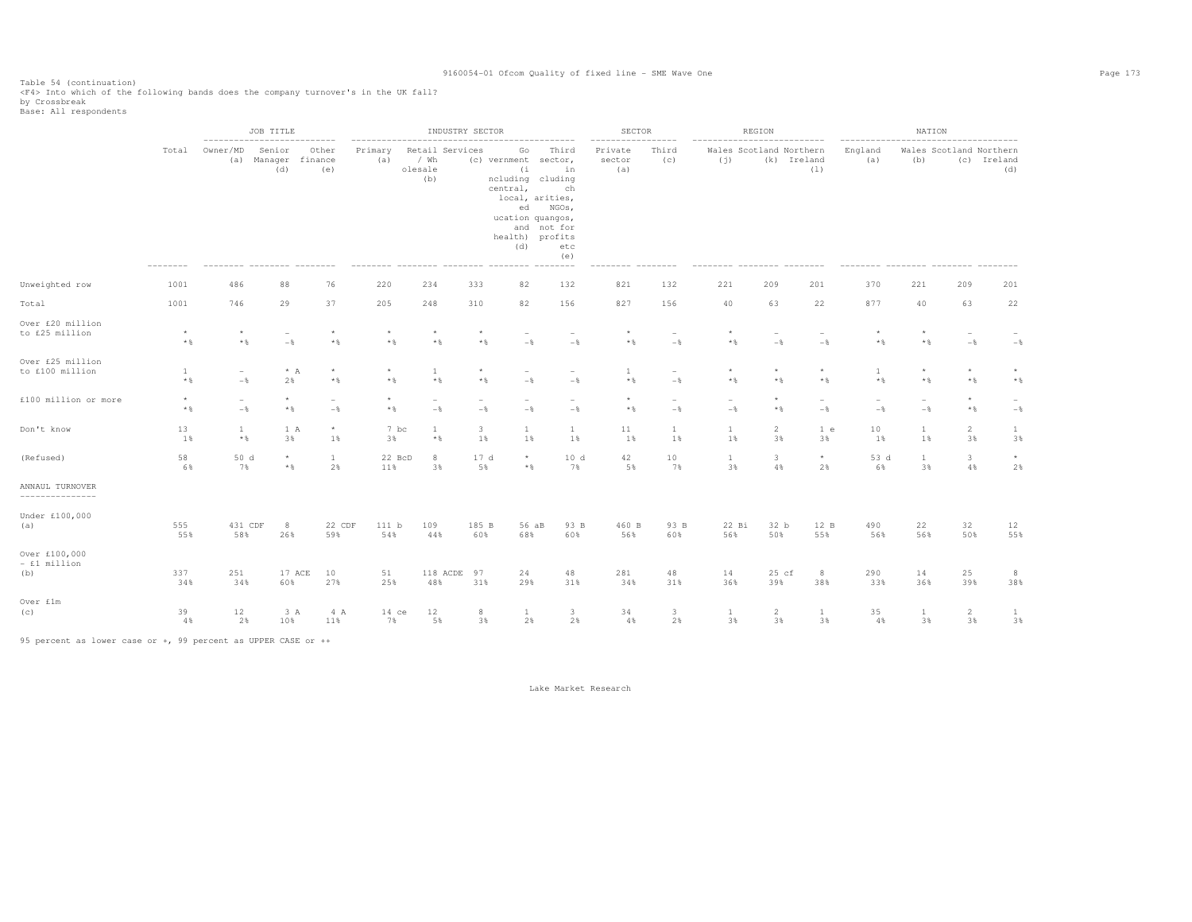Table 54 (continuation) <F4> Into which of the following bands does the company turnover's in the UK fall? by Crossbreak Base: All respondents

|                                      |                              | JOB TITLE                         |                         |                                     | INDUSTRY SECTOR         |                                           |                                   |                                                                                                                                                                | SECTOR                                                  |                          | REGION                          |                                  |                                  |                                               | NATION                            |                    |                               |                                   |
|--------------------------------------|------------------------------|-----------------------------------|-------------------------|-------------------------------------|-------------------------|-------------------------------------------|-----------------------------------|----------------------------------------------------------------------------------------------------------------------------------------------------------------|---------------------------------------------------------|--------------------------|---------------------------------|----------------------------------|----------------------------------|-----------------------------------------------|-----------------------------------|--------------------|-------------------------------|-----------------------------------|
|                                      | Total                        | Owner/MD                          | Senior<br>(d)           | Other<br>(a) Manager finance<br>(e) | Primary<br>(a)          | Retail Services<br>/ Wh<br>olesale<br>(b) |                                   | Go<br>(c) vernment sector,<br>(i)<br>ncluding cluding<br>central,<br>local, arities,<br>ed<br>ucation quangos,<br>health) profits<br>(d)<br>--------- -------- | Third<br>in<br>ch<br>NGOs,<br>and not for<br>etc<br>(e) | Private<br>sector<br>(a) | Third<br>(C)<br>--------        | (i)                              |                                  | Wales Scotland Northern<br>(k) Ireland<br>(1) | England<br>(a)                    | (b)                | Wales Scotland Northern       | (c) Ireland<br>(d)                |
| Unweighted row                       | 1001                         | 486                               | 88                      | 76                                  | 220                     | 234                                       | 333                               | 82                                                                                                                                                             | 132                                                     | 821                      | 132                             | 221                              | 209                              | 201                                           | 370                               | 221                | 209                           | 201                               |
| Total                                | 1001                         | 746                               | 29                      | 37                                  | 205                     | 248                                       | 310                               | 82                                                                                                                                                             | 156                                                     | 827                      | 156                             | 40                               | 63                               | 22                                            | 877                               | 40                 | 63                            | 22                                |
| Over £20 million<br>to £25 million   | $^\star$<br>$*$ &            | $\star$<br>$\star$ $\,$           | $-$                     | $\star$<br>$\star$ $\S$             | $\star$<br>$*$ &        | $\star$<br>$*$ %                          | $\star$<br>$*$ %                  | $-$                                                                                                                                                            | $-$                                                     | $\star$ $\S$             | $-\frac{6}{6}$                  | $*$ &                            | $-\frac{6}{5}$                   | $-$                                           | $\star$<br>$*$ %                  | $*$ &              | $-$                           | $-\,$                             |
| Over £25 million<br>to £100 million  | $\mathbf{1}$<br>$\star$ $\,$ | $\overline{\phantom{a}}$<br>$-\,$ | $* A$<br>2%             | $\star$<br>$*$ $\frac{6}{3}$        | $\star$<br>$\star$ $\,$ | $\mathbf{1}$<br>$*$ %                     | $\star$<br>$\star$ $\,$           | $-\frac{6}{6}$                                                                                                                                                 | $-\frac{6}{5}$                                          | $\overline{1}$<br>$*$ %  | $\overline{\phantom{a}}$<br>$-$ | $\star$<br>$*$ %                 | $\star$<br>$\star$ $\,$          | $\star$<br>$*$ %                              | $\overline{1}$<br>$*$ %           | $*$ &              | $\star$<br>$*$ %              | $\star$<br>$\star$ $\,$           |
| £100 million or more                 | $\star$<br>$\star$ $\,$      | $\overline{\phantom{a}}$<br>$-$   | $\star$<br>$\star$ $\S$ | $\overline{\phantom{a}}$<br>$-$     | $\star$<br>$\star$ $\,$ | $\overline{a}$<br>$-$ 8                   | $\overline{\phantom{a}}$<br>$-$ 8 | $-$                                                                                                                                                            | $-$                                                     | $\star$<br>$\star$ $\S$  | $\overline{\phantom{a}}$<br>$-$ | $\overline{a}$<br>$-\frac{6}{6}$ | $^{\star}$<br>$*$                | $-$                                           | $\overline{\phantom{0}}$<br>$-$ 8 | $-$                | $\star$<br>$\star$ $\S$       | $\overline{\phantom{a}}$<br>$-\,$ |
| Don't know                           | 13<br>1%                     | $\mathbf{1}$<br>$\star$ $\,$      | 1 A<br>3%               | $^{\star}$<br>1%                    | 7 bc<br>3%              | $\mathbf{1}$<br>$\star$ $\S$              | 3<br>1%                           | $\mathbf{1}$<br>1%                                                                                                                                             | $\mathbf{1}$<br>1%                                      | 11<br>1%                 | $\mathbf{1}$<br>1%              | $\mathbf{1}$<br>1%               | $\overline{2}$<br>3%             | 1 e<br>3%                                     | 10<br>1%                          | $\mathbf{1}$<br>1% | $\overline{c}$<br>3%          | $\mathbf{1}$<br>3%                |
| (Refused)                            | 58<br>6%                     | 50 d<br>7%                        | $\star$<br>$*$ &        | $\mathbf{1}$<br>2%                  | 22 BcD<br>11%           | 8<br>3%                                   | 17 d<br>5%                        | $\star$<br>$*$ &                                                                                                                                               | 10d<br>7%                                               | 42<br>5%                 | 10<br>7%                        | 1<br>3%                          | $\overline{\mathbf{3}}$<br>$4\%$ | $\star$<br>2%                                 | 53 d<br>6%                        | $\mathbf{1}$<br>3% | $\overline{\mathbf{3}}$<br>4% | $^{\star}$<br>2%                  |
| ANNAUL TURNOVER<br>---------------   |                              |                                   |                         |                                     |                         |                                           |                                   |                                                                                                                                                                |                                                         |                          |                                 |                                  |                                  |                                               |                                   |                    |                               |                                   |
| Under £100,000<br>(a)                | 555<br>55%                   | 431 CDF<br>58%                    | 8<br>26%                | 22 CDF<br>59%                       | 111 b<br>54%            | 109<br>44%                                | 185 B<br>60%                      | 56 aB<br>68%                                                                                                                                                   | 93 B<br>60%                                             | 460 B<br>56%             | 93 B<br>60%                     | 22 Bi<br>56%                     | 32 b<br>50%                      | 12 B<br>55%                                   | 490<br>56%                        | 22<br>56%          | 32<br>50%                     | 12<br>55%                         |
| Over £100,000<br>- £1 million<br>(b) | 337<br>34%                   | 251<br>34%                        | 60%                     | 17 ACE<br>10<br>27%                 | 51<br>25%               | 118 ACDE<br>48%                           | 97<br>31%                         | 24<br>29%                                                                                                                                                      | 48<br>31%                                               | 281<br>34%               | 48<br>31%                       | 14<br>36%                        | $25$ cf<br>39%                   | 8<br>38%                                      | 290<br>33%                        | 14<br>36%          | 25<br>39%                     | 8<br>38%                          |
| Over £1m<br>(C)                      | 39<br>4%                     | 12<br>2%                          | 3A<br>10%               | 4 A<br>11%                          | $14$ ce<br>7%           | 12<br>5%                                  | 8<br>3%                           | 1<br>2%                                                                                                                                                        | 3<br>2%                                                 | 34<br>4%                 | 3<br>2%                         | <sup>1</sup><br>3%               | 2<br>3%                          | $\mathbf{1}$<br>3%                            | 35<br>4%                          | 1<br>3%            | 2<br>3%                       | 1<br>3%                           |

95 percent as lower case or +, 99 percent as UPPER CASE or ++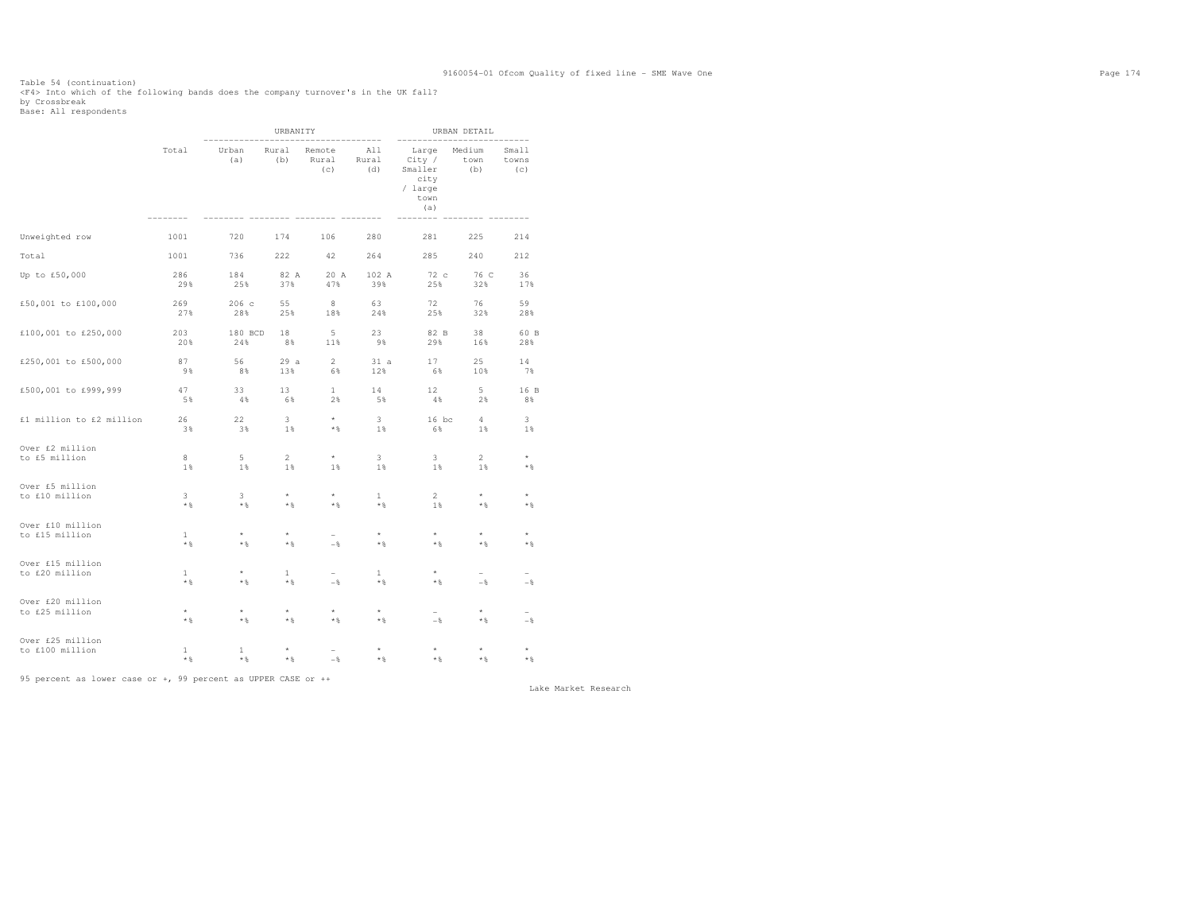Table 54 (continuation) <F4> Into which of the following bands does the company turnover's in the UK fall? by Crossbreak Base: All respondents

|                                    |                       |                      | URBANITY              |                        | URBAN DETAIL                   |                                                              |                       |                       |  |
|------------------------------------|-----------------------|----------------------|-----------------------|------------------------|--------------------------------|--------------------------------------------------------------|-----------------------|-----------------------|--|
|                                    | Total                 | Urban<br>(a)         | Rural<br>(b)          | Remote<br>Rural<br>(c) | -------<br>All<br>Rural<br>(d) | Large<br>City /<br>Smaller<br>city<br>/ large<br>town<br>(a) | Medium<br>town<br>(b) | Small<br>towns<br>(c) |  |
| Unweighted row                     | 1001                  | 720                  | 174                   | 106                    | 280                            | 281                                                          | 225                   | 214                   |  |
| Total                              | 1001                  | 736                  | 222                   | 42                     | 264                            | 285                                                          | 240                   | 212                   |  |
| Up to £50,000                      | 286                   | 184                  | 82 A                  | 20 A                   | 102 A                          | 72c                                                          | 76 C                  | 36                    |  |
|                                    | 29%                   | 25%                  | 37%                   | 47%                    | 39%                            | 25%                                                          | 32%                   | 17%                   |  |
| £50,001 to £100,000                | 269                   | 206 с                | 55                    | 8                      | 63                             | 72                                                           | 76                    | 59                    |  |
|                                    | 27%                   | 28%                  | 25%                   | 18%                    | 24%                            | 25%                                                          | 32%                   | 28%                   |  |
| £100,001 to £250,000               | 203                   | 180 BCD              | 18                    | 5                      | 23                             | 82 B                                                         | 38                    | 60 B                  |  |
|                                    | 20%                   | 24%                  | 8%                    | 11%                    | 98                             | 29%                                                          | 16%                   | 28%                   |  |
| £250,001 to £500,000               | 87                    | 56                   | 29a                   | $2^{\circ}$            | 31 a                           | 17                                                           | 25                    | 14                    |  |
|                                    | 9%                    | 8%                   | 13%                   | 6%                     | 12%                            | 6%                                                           | 10%                   | 7%                    |  |
| £500,001 to £999,999               | 47                    | 33                   | 13                    | $\mathbf{1}$           | 14                             | 12 <sup>7</sup>                                              | $5 -$                 | 16 B                  |  |
|                                    | 5%                    | 4%                   | 6%                    | $2\%$                  | 5%                             | 4%                                                           | 2%                    | 8%                    |  |
| £1 million to £2 million           | 26                    | 22                   | 3                     | $\star$                | $\overline{\mathbf{3}}$        | $16$ bc                                                      | $4\overline{ }$       | 3                     |  |
|                                    | 3%                    | 3%                   | 1%                    | * %                    | 1%                             | 6%                                                           | $1\%$                 | 1%                    |  |
| Over £2 million                    | 8                     | 5                    | $\overline{2}$        | $\star$                | $\overline{\mathbf{3}}$        | 3                                                            | $\overline{2}$        | $\star$               |  |
| to £5 million                      | 1%                    | 1%                   | 1%                    | 1%                     | 1%                             | 1%                                                           | 1%                    | $\star$ $\S$          |  |
| Over £5 million                    | 3                     | 3.                   | $\star$               | $\star$                | $\mathbf{1}$                   | 2 <sup>1</sup>                                               | $\star$               | ÷                     |  |
| to £10 million                     | $*$ %                 | $*$                  | $*$ &                 | $*$ &                  | $*$                            | 1 %                                                          | $*$ %                 | $*$ %                 |  |
| Over £10 million                   | $\mathbf{1}$          | $\star$              | $\star$               | $-$                    | $\star$                        | $\star$                                                      | $\star$               | $\star$               |  |
| to £15 million                     | $*$ %                 | $*$                  | $*$ &                 |                        | $*$ &                          | $*$ %                                                        | $*$ %                 | $*$ %                 |  |
| Over £15 million<br>to £20 million | $\mathbf{1}$<br>$*$ % | $\star$ &            | $\mathbf{1}$<br>$*$ % | $-$                    | $\mathbf{1}$<br>$*$            | $*$ &                                                        | $-$                   | $-\frac{6}{6}$        |  |
| Over £20 million<br>to £25 million | $^\star$<br>$*$ %     | $\star$<br>$\star$ & | $\star$<br>$*$ &      | $\star$<br>$*$ &       | $^{\star}$<br>$*$ &            | $-$                                                          | $\star$<br>$\star$ &  | $-$                   |  |
| Over £25 million                   | $\mathbf{1}$          | $\mathbf{1}$         | $^\star$              | $-\frac{6}{5}$         | $\star$                        | $\star$                                                      | $\star$               | $\star$               |  |
| to £100 million                    | $*$ %                 | **                   | $\star$ &             |                        | $*$ &                          | $\star$ &                                                    | $*$                   | $*$ %                 |  |

95 percent as lower case or +, 99 percent as UPPER CASE or ++